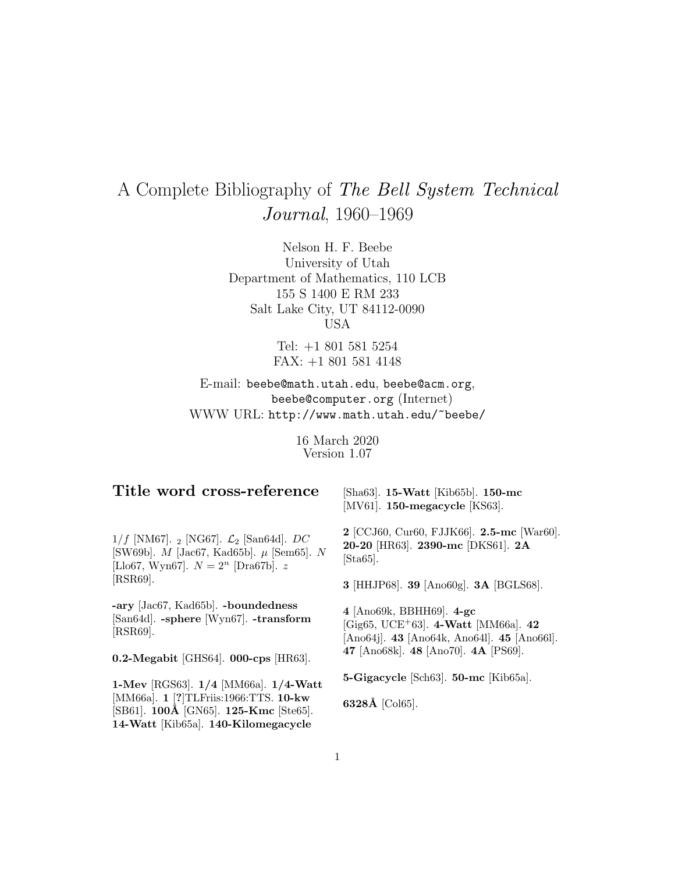# A Complete Bibliography of The Bell System Technical Journal, 1960–1969

Nelson H. F. Beebe University of Utah Department of Mathematics, 110 LCB 155 S 1400 E RM 233 Salt Lake City, UT 84112-0090 USA

> Tel: +1 801 581 5254 FAX: +1 801 581 4148

E-mail: beebe@math.utah.edu, beebe@acm.org, beebe@computer.org (Internet) WWW URL: http://www.math.utah.edu/~beebe/

> 16 March 2020 Version 1.07

# **Title word cross-reference**

[Sha63]. **15-Watt** [Kib65b]. **150-mc** [MV61]. **150-megacycle** [KS63].

 $1/f$  [NM67]. 2 [NG67].  $\mathcal{L}_2$  [San64d]. DC [SW69b]. M [Jac67, Kad65b]. µ [Sem65]. N [Llo67, Wyn67].  $N = 2^n$  [Dra67b]. z [RSR69].

**-ary** [Jac67, Kad65b]. **-boundedness** [San64d]. **-sphere** [Wyn67]. **-transform** [RSR69].

**0.2-Megabit** [GHS64]. **000-cps** [HR63].

**1-Mev** [RGS63]. **1/4** [MM66a]. **1/4-Watt** [MM66a]. **1** [**?**]TLFriis:1966:TTS. **10-kw** [SB61]. **100Å** [GN65]. **125-Kmc** [Ste65]. **14-Watt** [Kib65a]. **140-Kilomegacycle**

**2** [CCJ60, Cur60, FJJK66]. **2.5-mc** [War60]. **20-20** [HR63]. **2390-mc** [DKS61]. **2A** [Sta65].

**3** [HHJP68]. **39** [Ano60g]. **3A** [BGLS68].

**4** [Ano69k, BBHH69]. **4-gc** [Gig65, UCE<sup>+</sup>63]. **4-Watt** [MM66a]. **42** [Ano64j]. **43** [Ano64k, Ano64l]. **45** [Ano66l]. **47** [Ano68k]. **48** [Ano70]. **4A** [PS69].

**5-Gigacycle** [Sch63]. **50-mc** [Kib65a].

**6328Å** [Col65].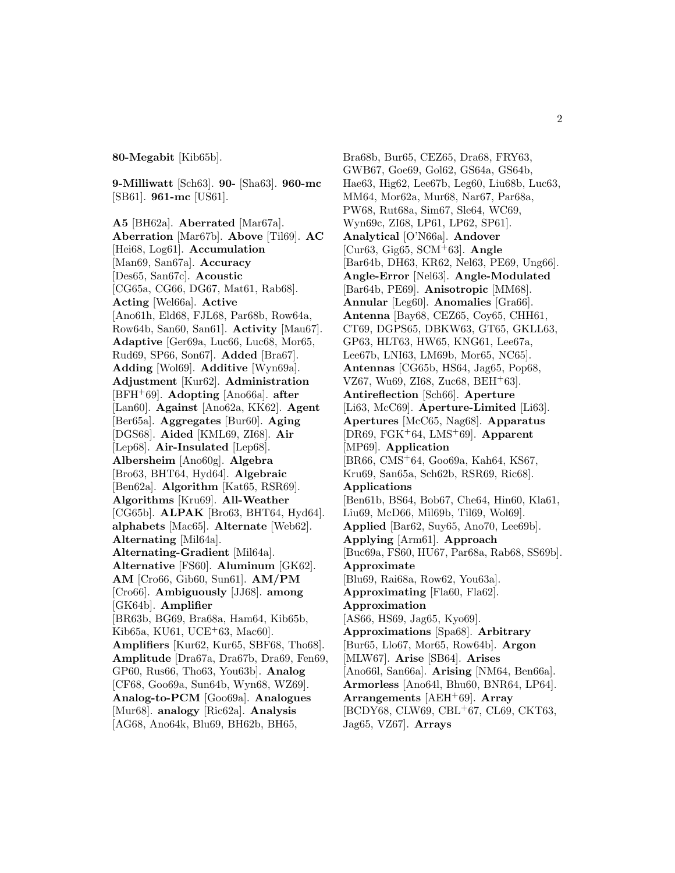**80-Megabit** [Kib65b].

**9-Milliwatt** [Sch63]. **90-** [Sha63]. **960-mc** [SB61]. **961-mc** [US61].

**A5** [BH62a]. **Aberrated** [Mar67a]. **Aberration** [Mar67b]. **Above** [Til69]. **AC** [Hei68, Log61]. **Accumulation** [Man69, San67a]. **Accuracy** [Des65, San67c]. **Acoustic** [CG65a, CG66, DG67, Mat61, Rab68]. **Acting** [Wel66a]. **Active** [Ano61h, Eld68, FJL68, Par68b, Row64a, Row64b, San60, San61]. **Activity** [Mau67]. **Adaptive** [Ger69a, Luc66, Luc68, Mor65, Rud69, SP66, Son67]. **Added** [Bra67]. **Adding** [Wol69]. **Additive** [Wyn69a]. **Adjustment** [Kur62]. **Administration** [BFH<sup>+</sup>69]. **Adopting** [Ano66a]. **after** [Lan60]. **Against** [Ano62a, KK62]. **Agent** [Ber65a]. **Aggregates** [Bur60]. **Aging** [DGS68]. **Aided** [KML69, ZI68]. **Air** [Lep68]. **Air-Insulated** [Lep68]. **Albersheim** [Ano60g]. **Algebra** [Bro63, BHT64, Hyd64]. **Algebraic** [Ben62a]. **Algorithm** [Kat65, RSR69]. **Algorithms** [Kru69]. **All-Weather** [CG65b]. **ALPAK** [Bro63, BHT64, Hyd64]. **alphabets** [Mac65]. **Alternate** [Web62]. **Alternating** [Mil64a]. **Alternating-Gradient** [Mil64a]. **Alternative** [FS60]. **Aluminum** [GK62]. **AM** [Cro66, Gib60, Sun61]. **AM/PM** [Cro66]. **Ambiguously** [JJ68]. **among** [GK64b]. **Amplifier** [BR63b, BG69, Bra68a, Ham64, Kib65b, Kib65a, KU61, UCE<sup>+</sup>63, Mac60]. **Amplifiers** [Kur62, Kur65, SBF68, Tho68]. **Amplitude** [Dra67a, Dra67b, Dra69, Fen69, GP60, Rus66, Tho63, You63b]. **Analog** [CF68, Goo69a, Sun64b, Wyn68, WZ69]. **Analog-to-PCM** [Goo69a]. **Analogues** [Mur68]. **analogy** [Ric62a]. **Analysis** [AG68, Ano64k, Blu69, BH62b, BH65,

Bra68b, Bur65, CEZ65, Dra68, FRY63, GWB67, Goe69, Gol62, GS64a, GS64b, Hae63, Hig62, Lee67b, Leg60, Liu68b, Luc63, MM64, Mor62a, Mur68, Nar67, Par68a, PW68, Rut68a, Sim67, Sle64, WC69, Wyn69c, ZI68, LP61, LP62, SP61]. **Analytical** [O'N66a]. **Andover** [Cur63, Gig65, SCM<sup>+</sup>63]. **Angle** [Bar64b, DH63, KR62, Nel63, PE69, Ung66]. **Angle-Error** [Nel63]. **Angle-Modulated** [Bar64b, PE69]. **Anisotropic** [MM68]. **Annular** [Leg60]. **Anomalies** [Gra66]. **Antenna** [Bay68, CEZ65, Coy65, CHH61, CT69, DGPS65, DBKW63, GT65, GKLL63, GP63, HLT63, HW65, KNG61, Lee67a, Lee67b, LNI63, LM69b, Mor65, NC65]. **Antennas** [CG65b, HS64, Jag65, Pop68, VZ67, Wu69, ZI68, Zuc68, BEH<sup>+</sup>63]. **Antireflection** [Sch66]. **Aperture** [Li63, McC69]. **Aperture-Limited** [Li63]. **Apertures** [McC65, Nag68]. **Apparatus** [DR69, FGK<sup>+</sup>64, LMS<sup>+</sup>69]. **Apparent** [MP69]. **Application** [BR66, CMS<sup>+</sup>64, Goo69a, Kah64, KS67, Kru69, San65a, Sch62b, RSR69, Ric68]. **Applications** [Ben61b, BS64, Bob67, Che64, Hin60, Kla61, Liu69, McD66, Mil69b, Til69, Wol69]. **Applied** [Bar62, Suy65, Ano70, Lee69b]. **Applying** [Arm61]. **Approach** [Buc69a, FS60, HU67, Par68a, Rab68, SS69b]. **Approximate** [Blu69, Rai68a, Row62, You63a]. **Approximating** [Fla60, Fla62]. **Approximation** [AS66, HS69, Jag65, Kyo69]. **Approximations** [Spa68]. **Arbitrary** [Bur65, Llo67, Mor65, Row64b]. **Argon** [MLW67]. **Arise** [SB64]. **Arises** [Ano66l, San66a]. **Arising** [NM64, Ben66a]. **Armorless** [Ano64l, Bhu60, BNR64, LP64]. **Arrangements** [AEH<sup>+</sup>69]. **Array** [BCDY68, CLW69, CBL<sup>+</sup>67, CL69, CKT63, Jag65, VZ67]. **Arrays**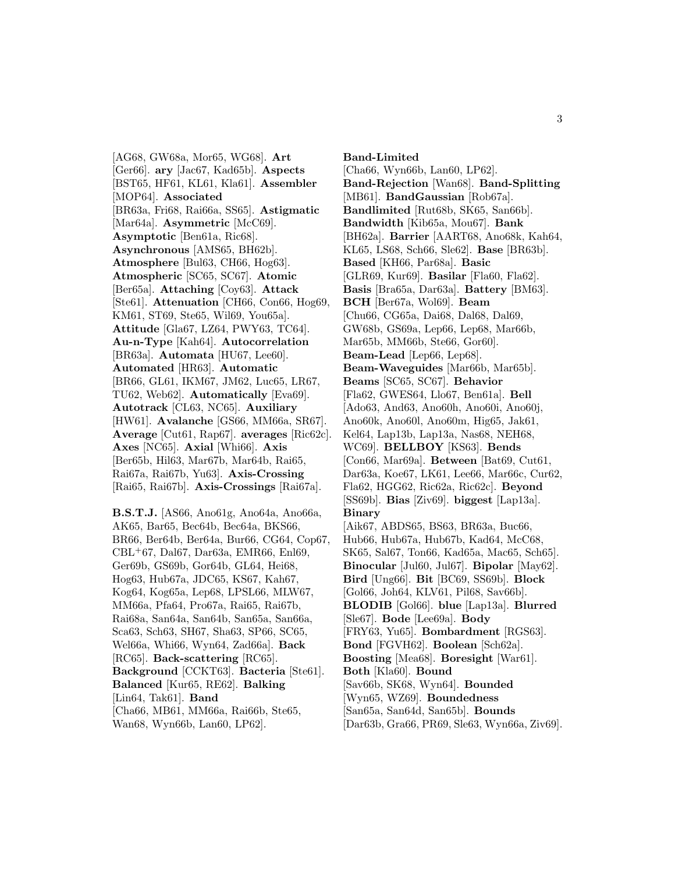[AG68, GW68a, Mor65, WG68]. **Art** [Ger66]. **ary** [Jac67, Kad65b]. **Aspects** [BST65, HF61, KL61, Kla61]. **Assembler** [MOP64]. **Associated** [BR63a, Fri68, Rai66a, SS65]. **Astigmatic** [Mar64a]. **Asymmetric** [McC69]. **Asymptotic** [Ben61a, Ric68]. **Asynchronous** [AMS65, BH62b]. **Atmosphere** [Bul63, CH66, Hog63]. **Atmospheric** [SC65, SC67]. **Atomic** [Ber65a]. **Attaching** [Coy63]. **Attack** [Ste61]. **Attenuation** [CH66, Con66, Hog69, KM61, ST69, Ste65, Wil69, You65a]. **Attitude** [Gla67, LZ64, PWY63, TC64]. **Au-n-Type** [Kah64]. **Autocorrelation** [BR63a]. **Automata** [HU67, Lee60]. **Automated** [HR63]. **Automatic** [BR66, GL61, IKM67, JM62, Luc65, LR67, TU62, Web62]. **Automatically** [Eva69]. **Autotrack** [CL63, NC65]. **Auxiliary** [HW61]. **Avalanche** [GS66, MM66a, SR67]. **Average** [Cut61, Rap67]. **averages** [Ric62c]. **Axes** [NC65]. **Axial** [Whi66]. **Axis** [Ber65b, Hil63, Mar67b, Mar64b, Rai65, Rai67a, Rai67b, Yu63]. **Axis-Crossing** [Rai65, Rai67b]. **Axis-Crossings** [Rai67a].

**B.S.T.J.** [AS66, Ano61g, Ano64a, Ano66a, AK65, Bar65, Bec64b, Bec64a, BKS66, BR66, Ber64b, Ber64a, Bur66, CG64, Cop67, CBL<sup>+</sup>67, Dal67, Dar63a, EMR66, Enl69, Ger69b, GS69b, Gor64b, GL64, Hei68, Hog63, Hub67a, JDC65, KS67, Kah67, Kog64, Kog65a, Lep68, LPSL66, MLW67, MM66a, Pfa64, Pro67a, Rai65, Rai67b, Rai68a, San64a, San64b, San65a, San66a, Sca63, Sch63, SH67, Sha63, SP66, SC65, Wel66a, Whi66, Wyn64, Zad66a]. **Back** [RC65]. **Back-scattering** [RC65]. **Background** [CCKT63]. **Bacteria** [Ste61]. **Balanced** [Kur65, RE62]. **Balking** [Lin64, Tak61]. **Band** [Cha66, MB61, MM66a, Rai66b, Ste65, Wan68, Wyn66b, Lan60, LP62].

**Band-Limited** [Cha66, Wyn66b, Lan60, LP62]. **Band-Rejection** [Wan68]. **Band-Splitting** [MB61]. **BandGaussian** [Rob67a]. **Bandlimited** [Rut68b, SK65, San66b]. **Bandwidth** [Kib65a, Mou67]. **Bank** [BH62a]. **Barrier** [AART68, Ano68k, Kah64, KL65, LS68, Sch66, Sle62]. **Base** [BR63b]. **Based** [KH66, Par68a]. **Basic** [GLR69, Kur69]. **Basilar** [Fla60, Fla62]. **Basis** [Bra65a, Dar63a]. **Battery** [BM63]. **BCH** [Ber67a, Wol69]. **Beam** [Chu66, CG65a, Dai68, Dal68, Dal69, GW68b, GS69a, Lep66, Lep68, Mar66b, Mar65b, MM66b, Ste66, Gor60]. **Beam-Lead** [Lep66, Lep68]. **Beam-Waveguides** [Mar66b, Mar65b]. **Beams** [SC65, SC67]. **Behavior** [Fla62, GWES64, Llo67, Ben61a]. **Bell** [Ado63, And63, Ano60h, Ano60i, Ano60j, Ano60k, Ano60l, Ano60m, Hig65, Jak61, Kel64, Lap13b, Lap13a, Nas68, NEH68, WC69]. **BELLBOY** [KS63]. **Bends** [Con66, Mar69a]. **Between** [Bat69, Cut61, Dar63a, Koe67, LK61, Lee66, Mar66c, Cur62, Fla62, HGG62, Ric62a, Ric62c]. **Beyond** [SS69b]. **Bias** [Ziv69]. **biggest** [Lap13a]. **Binary** [Aik67, ABDS65, BS63, BR63a, Buc66, Hub66, Hub67a, Hub67b, Kad64, McC68, SK65, Sal67, Ton66, Kad65a, Mac65, Sch65]. **Binocular** [Jul60, Jul67]. **Bipolar** [May62]. **Bird** [Ung66]. **Bit** [BC69, SS69b]. **Block** [Gol66, Joh64, KLV61, Pil68, Sav66b]. **BLODIB** [Gol66]. **blue** [Lap13a]. **Blurred** [Sle67]. **Bode** [Lee69a]. **Body** [FRY63, Yu65]. **Bombardment** [RGS63]. **Bond** [FGVH62]. **Boolean** [Sch62a]. **Boosting** [Mea68]. **Boresight** [War61]. **Both** [Kla60]. **Bound** [Sav66b, SK68, Wyn64]. **Bounded** [Wyn65, WZ69]. **Boundedness** [San65a, San64d, San65b]. **Bounds**

[Dar63b, Gra66, PR69, Sle63, Wyn66a, Ziv69].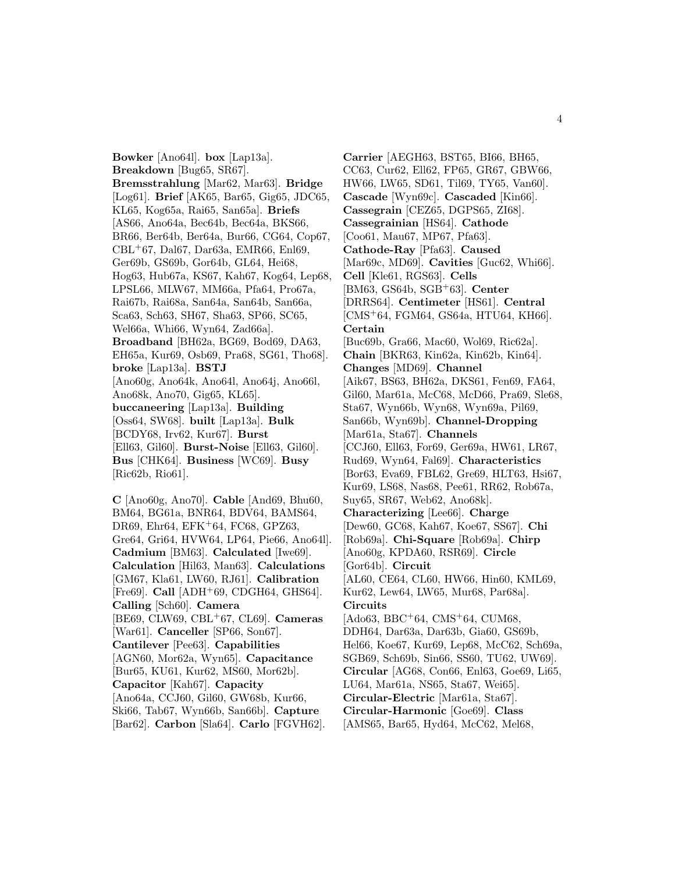**Bowker** [Ano64l]. **box** [Lap13a]. **Breakdown** [Bug65, SR67]. **Bremsstrahlung** [Mar62, Mar63]. **Bridge** [Log61]. **Brief** [AK65, Bar65, Gig65, JDC65, KL65, Kog65a, Rai65, San65a]. **Briefs** [AS66, Ano64a, Bec64b, Bec64a, BKS66, BR66, Ber64b, Ber64a, Bur66, CG64, Cop67, CBL<sup>+</sup>67, Dal67, Dar63a, EMR66, Enl69, Ger69b, GS69b, Gor64b, GL64, Hei68, Hog63, Hub67a, KS67, Kah67, Kog64, Lep68, LPSL66, MLW67, MM66a, Pfa64, Pro67a, Rai67b, Rai68a, San64a, San64b, San66a, Sca63, Sch63, SH67, Sha63, SP66, SC65, Wel66a, Whi66, Wyn64, Zad66a]. **Broadband** [BH62a, BG69, Bod69, DA63, EH65a, Kur69, Osb69, Pra68, SG61, Tho68]. **broke** [Lap13a]. **BSTJ** [Ano60g, Ano64k, Ano64l, Ano64j, Ano66l, Ano68k, Ano70, Gig65, KL65]. **buccaneering** [Lap13a]. **Building** [Oss64, SW68]. **built** [Lap13a]. **Bulk** [BCDY68, Irv62, Kur67]. **Burst** [Ell63, Gil60]. **Burst-Noise** [Ell63, Gil60]. **Bus** [CHK64]. **Business** [WC69]. **Busy** [Ric62b, Rio61].

**C** [Ano60g, Ano70]. **Cable** [And69, Bhu60, BM64, BG61a, BNR64, BDV64, BAMS64, DR69, Ehr64, EFK<sup>+</sup>64, FC68, GPZ63, Gre64, Gri64, HVW64, LP64, Pie66, Ano64l]. **Cadmium** [BM63]. **Calculated** [Iwe69]. **Calculation** [Hil63, Man63]. **Calculations** [GM67, Kla61, LW60, RJ61]. **Calibration** [Fre69]. **Call** [ADH<sup>+</sup>69, CDGH64, GHS64]. **Calling** [Sch60]. **Camera** [BE69, CLW69, CBL<sup>+</sup>67, CL69]. **Cameras** [War61]. **Canceller** [SP66, Son67]. **Cantilever** [Pee63]. **Capabilities** [AGN60, Mor62a, Wyn65]. **Capacitance** [Bur65, KU61, Kur62, MS60, Mor62b]. **Capacitor** [Kah67]. **Capacity** [Ano64a, CCJ60, Gil60, GW68b, Kur66, Ski66, Tab67, Wyn66b, San66b]. **Capture** [Bar62]. **Carbon** [Sla64]. **Carlo** [FGVH62].

**Carrier** [AEGH63, BST65, BI66, BH65, CC63, Cur62, Ell62, FP65, GR67, GBW66, HW66, LW65, SD61, Til69, TY65, Van60]. **Cascade** [Wyn69c]. **Cascaded** [Kin66]. **Cassegrain** [CEZ65, DGPS65, ZI68]. **Cassegrainian** [HS64]. **Cathode** [Coo61, Mau67, MP67, Pfa63]. **Cathode-Ray** [Pfa63]. **Caused** [Mar69c, MD69]. **Cavities** [Guc62, Whi66]. **Cell** [Kle61, RGS63]. **Cells** [BM63, GS64b, SGB<sup>+</sup>63]. **Center** [DRRS64]. **Centimeter** [HS61]. **Central** [CMS<sup>+</sup>64, FGM64, GS64a, HTU64, KH66]. **Certain** [Buc69b, Gra66, Mac60, Wol69, Ric62a]. **Chain** [BKR63, Kin62a, Kin62b, Kin64]. **Changes** [MD69]. **Channel** [Aik67, BS63, BH62a, DKS61, Fen69, FA64, Gil60, Mar61a, McC68, McD66, Pra69, Sle68, Sta67, Wyn66b, Wyn68, Wyn69a, Pil69, San66b, Wyn69b]. **Channel-Dropping** [Mar61a, Sta67]. **Channels** [CCJ60, Ell63, For69, Ger69a, HW61, LR67, Rud69, Wyn64, Fal69]. **Characteristics** [Bor63, Eva69, FBL62, Gre69, HLT63, Hsi67, Kur69, LS68, Nas68, Pee61, RR62, Rob67a, Suy65, SR67, Web62, Ano68k]. **Characterizing** [Lee66]. **Charge** [Dew60, GC68, Kah67, Koe67, SS67]. **Chi** [Rob69a]. **Chi-Square** [Rob69a]. **Chirp** [Ano60g, KPDA60, RSR69]. **Circle** [Gor64b]. **Circuit** [AL60, CE64, CL60, HW66, Hin60, KML69, Kur62, Lew64, LW65, Mur68, Par68a]. **Circuits** [Ado63, BBC+64, CMS+64, CUM68, DDH64, Dar63a, Dar63b, Gia60, GS69b, Hel66, Koe67, Kur69, Lep68, McC62, Sch69a, SGB69, Sch69b, Sin66, SS60, TU62, UW69]. **Circular** [AG68, Con66, Enl63, Goe69, Li65, LU64, Mar61a, NS65, Sta67, Wei65]. **Circular-Electric** [Mar61a, Sta67]. **Circular-Harmonic** [Goe69]. **Class** [AMS65, Bar65, Hyd64, McC62, Mel68,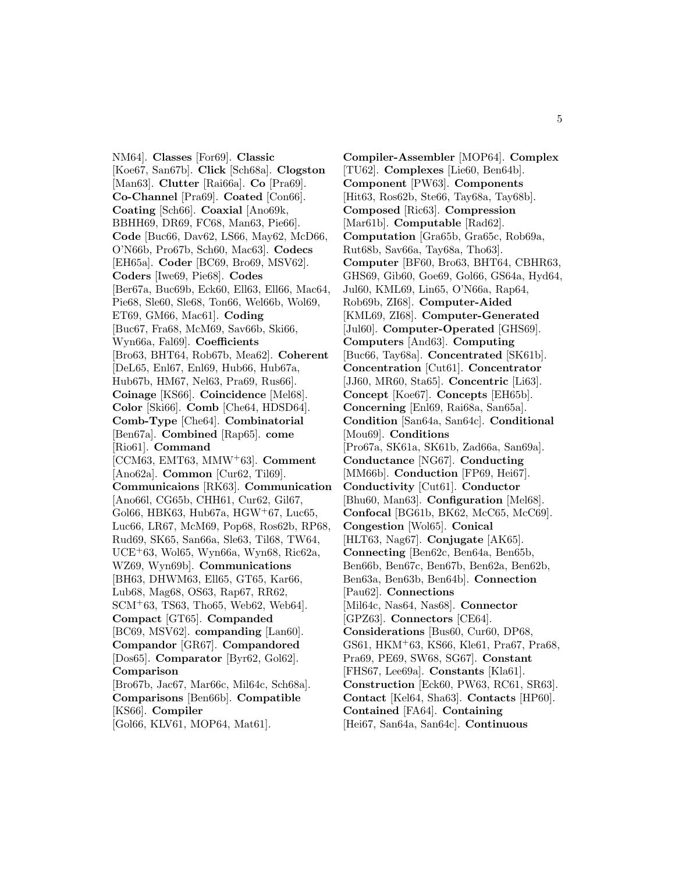NM64]. **Classes** [For69]. **Classic** [Koe67, San67b]. **Click** [Sch68a]. **Clogston** [Man63]. **Clutter** [Rai66a]. **Co** [Pra69]. **Co-Channel** [Pra69]. **Coated** [Con66]. **Coating** [Sch66]. **Coaxial** [Ano69k, BBHH69, DR69, FC68, Man63, Pie66]. **Code** [Buc66, Dav62, LS66, May62, McD66, O'N66b, Pro67b, Sch60, Mac63]. **Codecs** [EH65a]. **Coder** [BC69, Bro69, MSV62]. **Coders** [Iwe69, Pie68]. **Codes** [Ber67a, Buc69b, Eck60, Ell63, Ell66, Mac64, Pie68, Sle60, Sle68, Ton66, Wel66b, Wol69, ET69, GM66, Mac61]. **Coding** [Buc67, Fra68, McM69, Sav66b, Ski66, Wyn66a, Fal69]. **Coefficients** [Bro63, BHT64, Rob67b, Mea62]. **Coherent** [DeL65, Enl67, Enl69, Hub66, Hub67a, Hub67b, HM67, Nel63, Pra69, Rus66]. **Coinage** [KS66]. **Coincidence** [Mel68]. **Color** [Ski66]. **Comb** [Che64, HDSD64]. **Comb-Type** [Che64]. **Combinatorial** [Ben67a]. **Combined** [Rap65]. **come** [Rio61]. **Command** [CCM63, EMT63, MMW<sup>+</sup>63]. **Comment** [Ano62a]. **Common** [Cur62, Til69]. **Communicaions** [RK63]. **Communication** [Ano66l, CG65b, CHH61, Cur62, Gil67, Gol66, HBK63, Hub67a, HGW<sup>+</sup>67, Luc65, Luc66, LR67, McM69, Pop68, Ros62b, RP68, Rud69, SK65, San66a, Sle63, Til68, TW64, UCE<sup>+</sup>63, Wol65, Wyn66a, Wyn68, Ric62a, WZ69, Wyn69b]. **Communications** [BH63, DHWM63, Ell65, GT65, Kar66, Lub68, Mag68, OS63, Rap67, RR62, SCM<sup>+</sup>63, TS63, Tho65, Web62, Web64]. **Compact** [GT65]. **Companded** [BC69, MSV62]. **companding** [Lan60]. **Compandor** [GR67]. **Compandored** [Dos65]. **Comparator** [Byr62, Gol62]. **Comparison** [Bro67b, Jac67, Mar66c, Mil64c, Sch68a]. **Comparisons** [Ben66b]. **Compatible** [KS66]. **Compiler**

[Gol66, KLV61, MOP64, Mat61].

**Compiler-Assembler** [MOP64]. **Complex** [TU62]. **Complexes** [Lie60, Ben64b]. **Component** [PW63]. **Components** [Hit63, Ros62b, Ste66, Tay68a, Tay68b]. **Composed** [Ric63]. **Compression** [Mar61b]. **Computable** [Rad62]. **Computation** [Gra65b, Gra65c, Rob69a, Rut68b, Sav66a, Tay68a, Tho63]. **Computer** [BF60, Bro63, BHT64, CBHR63, GHS69, Gib60, Goe69, Gol66, GS64a, Hyd64, Jul60, KML69, Lin65, O'N66a, Rap64, Rob69b, ZI68]. **Computer-Aided** [KML69, ZI68]. **Computer-Generated** [Jul60]. **Computer-Operated** [GHS69]. **Computers** [And63]. **Computing** [Buc66, Tay68a]. **Concentrated** [SK61b]. **Concentration** [Cut61]. **Concentrator** [JJ60, MR60, Sta65]. **Concentric** [Li63]. **Concept** [Koe67]. **Concepts** [EH65b]. **Concerning** [Enl69, Rai68a, San65a]. **Condition** [San64a, San64c]. **Conditional** [Mou69]. **Conditions** [Pro67a, SK61a, SK61b, Zad66a, San69a]. **Conductance** [NG67]. **Conducting** [MM66b]. **Conduction** [FP69, Hei67]. **Conductivity** [Cut61]. **Conductor** [Bhu60, Man63]. **Configuration** [Mel68]. **Confocal** [BG61b, BK62, McC65, McC69]. **Congestion** [Wol65]. **Conical** [HLT63, Nag67]. **Conjugate** [AK65]. **Connecting** [Ben62c, Ben64a, Ben65b, Ben66b, Ben67c, Ben67b, Ben62a, Ben62b, Ben63a, Ben63b, Ben64b]. **Connection** [Pau62]. **Connections** [Mil64c, Nas64, Nas68]. **Connector** [GPZ63]. **Connectors** [CE64]. **Considerations** [Bus60, Cur60, DP68, GS61, HKM<sup>+</sup>63, KS66, Kle61, Pra67, Pra68, Pra69, PE69, SW68, SG67]. **Constant** [FHS67, Lee69a]. **Constants** [Kla61]. **Construction** [Eck60, PW63, RC61, SR63]. **Contact** [Kel64, Sha63]. **Contacts** [HP60]. **Contained** [FA64]. **Containing** [Hei67, San64a, San64c]. **Continuous**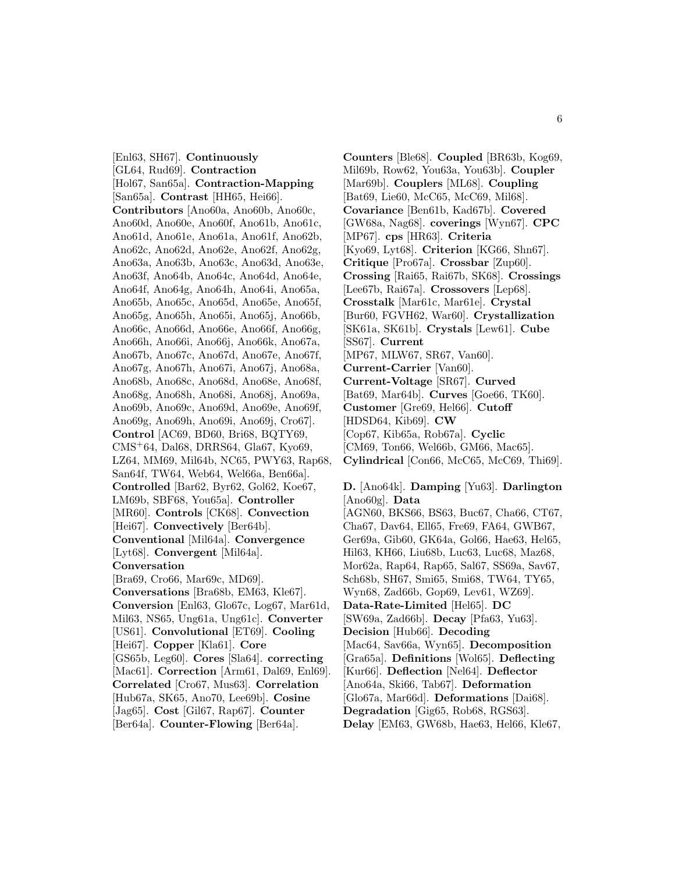[Enl63, SH67]. **Continuously** [GL64, Rud69]. **Contraction** [Hol67, San65a]. **Contraction-Mapping** [San65a]. **Contrast** [HH65, Hei66]. **Contributors** [Ano60a, Ano60b, Ano60c, Ano60d, Ano60e, Ano60f, Ano61b, Ano61c, Ano61d, Ano61e, Ano61a, Ano61f, Ano62b, Ano62c, Ano62d, Ano62e, Ano62f, Ano62g, Ano63a, Ano63b, Ano63c, Ano63d, Ano63e, Ano63f, Ano64b, Ano64c, Ano64d, Ano64e, Ano64f, Ano64g, Ano64h, Ano64i, Ano65a, Ano65b, Ano65c, Ano65d, Ano65e, Ano65f, Ano65g, Ano65h, Ano65i, Ano65j, Ano66b, Ano66c, Ano66d, Ano66e, Ano66f, Ano66g, Ano66h, Ano66i, Ano66j, Ano66k, Ano67a, Ano67b, Ano67c, Ano67d, Ano67e, Ano67f, Ano67g, Ano67h, Ano67i, Ano67j, Ano68a, Ano68b, Ano68c, Ano68d, Ano68e, Ano68f, Ano68g, Ano68h, Ano68i, Ano68j, Ano69a, Ano69b, Ano69c, Ano69d, Ano69e, Ano69f, Ano69g, Ano69h, Ano69i, Ano69j, Cro67]. **Control** [AC69, BD60, Bri68, BQTY69, CMS<sup>+</sup>64, Dal68, DRRS64, Gla67, Kyo69, LZ64, MM69, Mil64b, NC65, PWY63, Rap68, San64f, TW64, Web64, Wel66a, Ben66a]. **Controlled** [Bar62, Byr62, Gol62, Koe67, LM69b, SBF68, You65a]. **Controller** [MR60]. **Controls** [CK68]. **Convection** [Hei67]. **Convectively** [Ber64b]. **Conventional** [Mil64a]. **Convergence** [Lyt68]. **Convergent** [Mil64a]. **Conversation** [Bra69, Cro66, Mar69c, MD69]. **Conversations** [Bra68b, EM63, Kle67]. **Conversion** [Enl63, Glo67c, Log67, Mar61d, Mil63, NS65, Ung61a, Ung61c]. **Converter** [US61]. **Convolutional** [ET69]. **Cooling** [Hei67]. **Copper** [Kla61]. **Core** [GS65b, Leg60]. **Cores** [Sla64]. **correcting** [Mac61]. **Correction** [Arm61, Dal69, Enl69]. **Correlated** [Cro67, Mus63]. **Correlation** [Hub67a, SK65, Ano70, Lee69b]. **Cosine** [Jag65]. **Cost** [Gil67, Rap67]. **Counter** [Ber64a]. **Counter-Flowing** [Ber64a].

**Counters** [Ble68]. **Coupled** [BR63b, Kog69, Mil69b, Row62, You63a, You63b]. **Coupler** [Mar69b]. **Couplers** [ML68]. **Coupling** [Bat69, Lie60, McC65, McC69, Mil68]. **Covariance** [Ben61b, Kad67b]. **Covered** [GW68a, Nag68]. **coverings** [Wyn67]. **CPC** [MP67]. **cps** [HR63]. **Criteria** [Kyo69, Lyt68]. **Criterion** [KG66, Shn67]. **Critique** [Pro67a]. **Crossbar** [Zup60]. **Crossing** [Rai65, Rai67b, SK68]. **Crossings** [Lee67b, Rai67a]. **Crossovers** [Lep68]. **Crosstalk** [Mar61c, Mar61e]. **Crystal** [Bur60, FGVH62, War60]. **Crystallization** [SK61a, SK61b]. **Crystals** [Lew61]. **Cube** [SS67]. **Current** [MP67, MLW67, SR67, Van60]. **Current-Carrier** [Van60]. **Current-Voltage** [SR67]. **Curved** [Bat69, Mar64b]. **Curves** [Goe66, TK60]. **Customer** [Gre69, Hel66]. **Cutoff** [HDSD64, Kib69]. **CW** [Cop67, Kib65a, Rob67a]. **Cyclic** [CM69, Ton66, Wel66b, GM66, Mac65]. **Cylindrical** [Con66, McC65, McC69, Thi69].

**D.** [Ano64k]. **Damping** [Yu63]. **Darlington** [Ano60g]. **Data** [AGN60, BKS66, BS63, Buc67, Cha66, CT67, Cha67, Dav64, Ell65, Fre69, FA64, GWB67, Ger69a, Gib60, GK64a, Gol66, Hae63, Hel65, Hil63, KH66, Liu68b, Luc63, Luc68, Maz68, Mor62a, Rap64, Rap65, Sal67, SS69a, Sav67, Sch68b, SH67, Smi65, Smi68, TW64, TY65, Wyn68, Zad66b, Gop69, Lev61, WZ69]. **Data-Rate-Limited** [Hel65]. **DC** [SW69a, Zad66b]. **Decay** [Pfa63, Yu63]. **Decision** [Hub66]. **Decoding** [Mac64, Sav66a, Wyn65]. **Decomposition** [Gra65a]. **Definitions** [Wol65]. **Deflecting** [Kur66]. **Deflection** [Nel64]. **Deflector** [Ano64a, Ski66, Tab67]. **Deformation** [Glo67a, Mar66d]. **Deformations** [Dai68]. **Degradation** [Gig65, Rob68, RGS63]. **Delay** [EM63, GW68b, Hae63, Hel66, Kle67,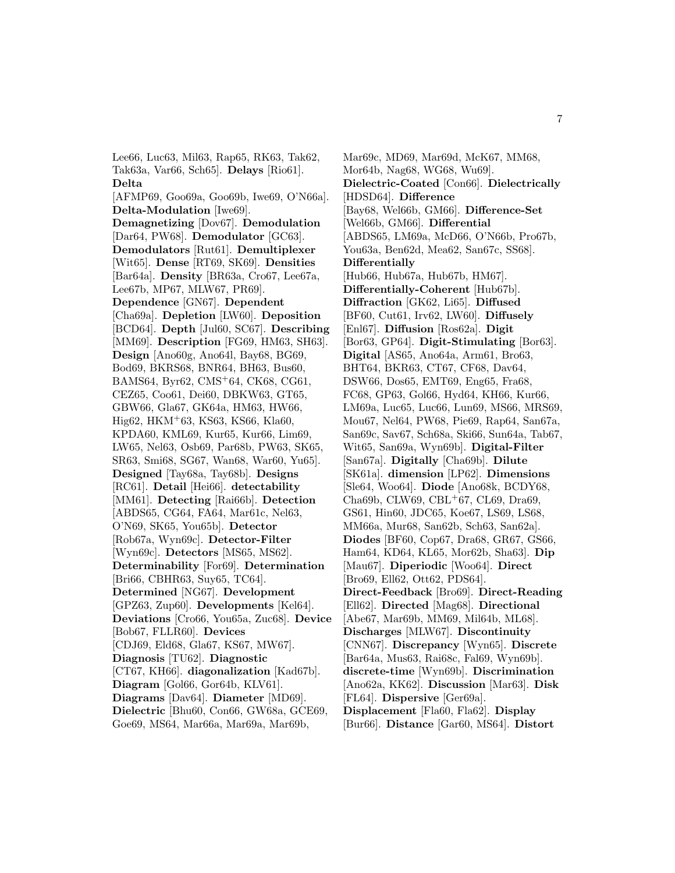Lee66, Luc63, Mil63, Rap65, RK63, Tak62, Tak63a, Var66, Sch65]. **Delays** [Rio61]. **Delta**

[AFMP69, Goo69a, Goo69b, Iwe69, O'N66a]. **Delta-Modulation** [Iwe69]. **Demagnetizing** [Dov67]. **Demodulation** [Dar64, PW68]. **Demodulator** [GC63]. **Demodulators** [Rut61]. **Demultiplexer** [Wit65]. **Dense** [RT69, SK69]. **Densities** [Bar64a]. **Density** [BR63a, Cro67, Lee67a, Lee67b, MP67, MLW67, PR69]. **Dependence** [GN67]. **Dependent** [Cha69a]. **Depletion** [LW60]. **Deposition** [BCD64]. **Depth** [Jul60, SC67]. **Describing** [MM69]. **Description** [FG69, HM63, SH63]. **Design** [Ano60g, Ano64l, Bay68, BG69, Bod69, BKRS68, BNR64, BH63, Bus60, BAMS64, Byr62, CMS<sup>+</sup>64, CK68, CG61, CEZ65, Coo61, Dei60, DBKW63, GT65, GBW66, Gla67, GK64a, HM63, HW66, Hig62, HKM<sup>+</sup>63, KS63, KS66, Kla60, KPDA60, KML69, Kur65, Kur66, Lim69, LW65, Nel63, Osb69, Par68b, PW63, SK65, SR63, Smi68, SG67, Wan68, War60, Yu65]. **Designed** [Tay68a, Tay68b]. **Designs** [RC61]. **Detail** [Hei66]. **detectability** [MM61]. **Detecting** [Rai66b]. **Detection** [ABDS65, CG64, FA64, Mar61c, Nel63, O'N69, SK65, You65b]. **Detector** [Rob67a, Wyn69c]. **Detector-Filter** [Wyn69c]. **Detectors** [MS65, MS62]. **Determinability** [For69]. **Determination** [Bri66, CBHR63, Suy65, TC64]. **Determined** [NG67]. **Development** [GPZ63, Zup60]. **Developments** [Kel64]. **Deviations** [Cro66, You65a, Zuc68]. **Device** [Bob67, FLLR60]. **Devices** [CDJ69, Eld68, Gla67, KS67, MW67]. **Diagnosis** [TU62]. **Diagnostic** [CT67, KH66]. **diagonalization** [Kad67b]. **Diagram** [Gol66, Gor64b, KLV61]. **Diagrams** [Dav64]. **Diameter** [MD69]. **Dielectric** [Bhu60, Con66, GW68a, GCE69, Goe69, MS64, Mar66a, Mar69a, Mar69b,

Mar69c, MD69, Mar69d, McK67, MM68, Mor64b, Nag68, WG68, Wu69]. **Dielectric-Coated** [Con66]. **Dielectrically** [HDSD64]. **Difference** [Bay68, Wel66b, GM66]. **Difference-Set** [Wel66b, GM66]. **Differential** [ABDS65, LM69a, McD66, O'N66b, Pro67b, You63a, Ben62d, Mea62, San67c, SS68]. **Differentially** [Hub66, Hub67a, Hub67b, HM67]. **Differentially-Coherent** [Hub67b]. **Diffraction** [GK62, Li65]. **Diffused** [BF60, Cut61, Irv62, LW60]. **Diffusely** [Enl67]. **Diffusion** [Ros62a]. **Digit** [Bor63, GP64]. **Digit-Stimulating** [Bor63]. **Digital** [AS65, Ano64a, Arm61, Bro63, BHT64, BKR63, CT67, CF68, Dav64, DSW66, Dos65, EMT69, Eng65, Fra68, FC68, GP63, Gol66, Hyd64, KH66, Kur66, LM69a, Luc65, Luc66, Lun69, MS66, MRS69, Mou67, Nel64, PW68, Pie69, Rap64, San67a, San69c, Sav67, Sch68a, Ski66, Sun64a, Tab67, Wit65, San69a, Wyn69b]. **Digital-Filter** [San67a]. **Digitally** [Cha69b]. **Dilute** [SK61a]. **dimension** [LP62]. **Dimensions** [Sle64, Woo64]. **Diode** [Ano68k, BCDY68, Cha69b, CLW69, CBL<sup>+</sup>67, CL69, Dra69, GS61, Hin60, JDC65, Koe67, LS69, LS68, MM66a, Mur68, San62b, Sch63, San62a]. **Diodes** [BF60, Cop67, Dra68, GR67, GS66, Ham64, KD64, KL65, Mor62b, Sha63]. **Dip** [Mau67]. **Diperiodic** [Woo64]. **Direct** [Bro69, Ell62, Ott62, PDS64]. **Direct-Feedback** [Bro69]. **Direct-Reading** [Ell62]. **Directed** [Mag68]. **Directional** [Abe67, Mar69b, MM69, Mil64b, ML68]. **Discharges** [MLW67]. **Discontinuity** [CNN67]. **Discrepancy** [Wyn65]. **Discrete** [Bar64a, Mus63, Rai68c, Fal69, Wyn69b]. **discrete-time** [Wyn69b]. **Discrimination** [Ano62a, KK62]. **Discussion** [Mar63]. **Disk** [FL64]. **Dispersive** [Ger69a]. **Displacement** [Fla60, Fla62]. **Display** [Bur66]. **Distance** [Gar60, MS64]. **Distort**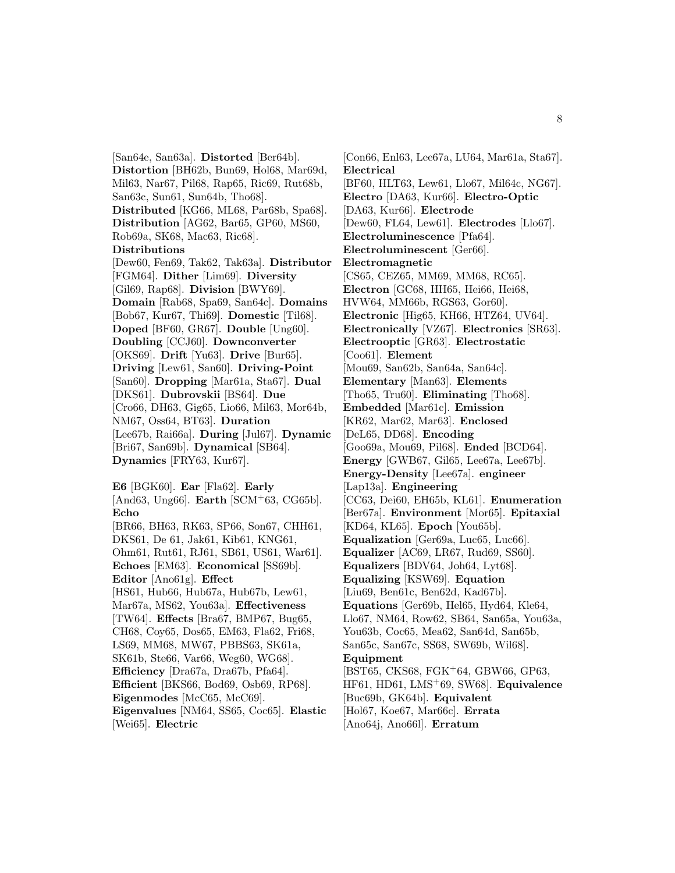[San64e, San63a]. **Distorted** [Ber64b]. **Distortion** [BH62b, Bun69, Hol68, Mar69d, Mil63, Nar67, Pil68, Rap65, Ric69, Rut68b, San63c, Sun61, Sun64b, Tho68]. **Distributed** [KG66, ML68, Par68b, Spa68]. **Distribution** [AG62, Bar65, GP60, MS60, Rob69a, SK68, Mac63, Ric68]. **Distributions** [Dew60, Fen69, Tak62, Tak63a]. **Distributor** [FGM64]. **Dither** [Lim69]. **Diversity** [Gil69, Rap68]. **Division** [BWY69]. **Domain** [Rab68, Spa69, San64c]. **Domains** [Bob67, Kur67, Thi69]. **Domestic** [Til68]. **Doped** [BF60, GR67]. **Double** [Ung60]. **Doubling** [CCJ60]. **Downconverter** [OKS69]. **Drift** [Yu63]. **Drive** [Bur65]. **Driving** [Lew61, San60]. **Driving-Point** [San60]. **Dropping** [Mar61a, Sta67]. **Dual** [DKS61]. **Dubrovskii** [BS64]. **Due** [Cro66, DH63, Gig65, Lio66, Mil63, Mor64b, NM67, Oss64, BT63]. **Duration** [Lee67b, Rai66a]. **During** [Jul67]. **Dynamic** [Bri67, San69b]. **Dynamical** [SB64]. **Dynamics** [FRY63, Kur67]. **E6** [BGK60]. **Ear** [Fla62]. **Early** [And63, Ung66]. **Earth** [SCM<sup>+</sup>63, CG65b]. **Echo** [BR66, BH63, RK63, SP66, Son67, CHH61, DKS61, De 61, Jak61, Kib61, KNG61, Ohm61, Rut61, RJ61, SB61, US61, War61]. **Echoes** [EM63]. **Economical** [SS69b]. **Editor** [Ano61g]. **Effect**

[HS61, Hub66, Hub67a, Hub67b, Lew61, Mar67a, MS62, You63a]. **Effectiveness** [TW64]. **Effects** [Bra67, BMP67, Bug65, CH68, Coy65, Dos65, EM63, Fla62, Fri68, LS69, MM68, MW67, PBBS63, SK61a, SK61b, Ste66, Var66, Weg60, WG68]. **Efficiency** [Dra67a, Dra67b, Pfa64]. **Efficient** [BKS66, Bod69, Osb69, RP68]. **Eigenmodes** [McC65, McC69]. **Eigenvalues** [NM64, SS65, Coc65]. **Elastic**

[Wei65]. **Electric**

[Con66, Enl63, Lee67a, LU64, Mar61a, Sta67]. **Electrical** [BF60, HLT63, Lew61, Llo67, Mil64c, NG67]. **Electro** [DA63, Kur66]. **Electro-Optic** [DA63, Kur66]. **Electrode** [Dew60, FL64, Lew61]. **Electrodes** [Llo67]. **Electroluminescence** [Pfa64]. **Electroluminescent** [Ger66]. **Electromagnetic** [CS65, CEZ65, MM69, MM68, RC65]. **Electron** [GC68, HH65, Hei66, Hei68, HVW64, MM66b, RGS63, Gor60]. **Electronic** [Hig65, KH66, HTZ64, UV64]. **Electronically** [VZ67]. **Electronics** [SR63]. **Electrooptic** [GR63]. **Electrostatic** [Coo61]. **Element** [Mou69, San62b, San64a, San64c]. **Elementary** [Man63]. **Elements** [Tho65, Tru60]. **Eliminating** [Tho68]. **Embedded** [Mar61c]. **Emission** [KR62, Mar62, Mar63]. **Enclosed** [DeL65, DD68]. **Encoding** [Goo69a, Mou69, Pil68]. **Ended** [BCD64]. **Energy** [GWB67, Gil65, Lee67a, Lee67b]. **Energy-Density** [Lee67a]. **engineer** [Lap13a]. **Engineering** [CC63, Dei60, EH65b, KL61]. **Enumeration** [Ber67a]. **Environment** [Mor65]. **Epitaxial** [KD64, KL65]. **Epoch** [You65b]. **Equalization** [Ger69a, Luc65, Luc66]. **Equalizer** [AC69, LR67, Rud69, SS60]. **Equalizers** [BDV64, Joh64, Lyt68]. **Equalizing** [KSW69]. **Equation** [Liu69, Ben61c, Ben62d, Kad67b]. **Equations** [Ger69b, Hel65, Hyd64, Kle64, Llo67, NM64, Row62, SB64, San65a, You63a, You63b, Coc65, Mea62, San64d, San65b, San65c, San67c, SS68, SW69b, Wil68]. **Equipment** [BST65, CKS68, FGK<sup>+</sup>64, GBW66, GP63, HF61, HD61, LMS<sup>+</sup>69, SW68]. **Equivalence** [Buc69b, GK64b]. **Equivalent** [Hol67, Koe67, Mar66c]. **Errata** [Ano64j, Ano66l]. **Erratum**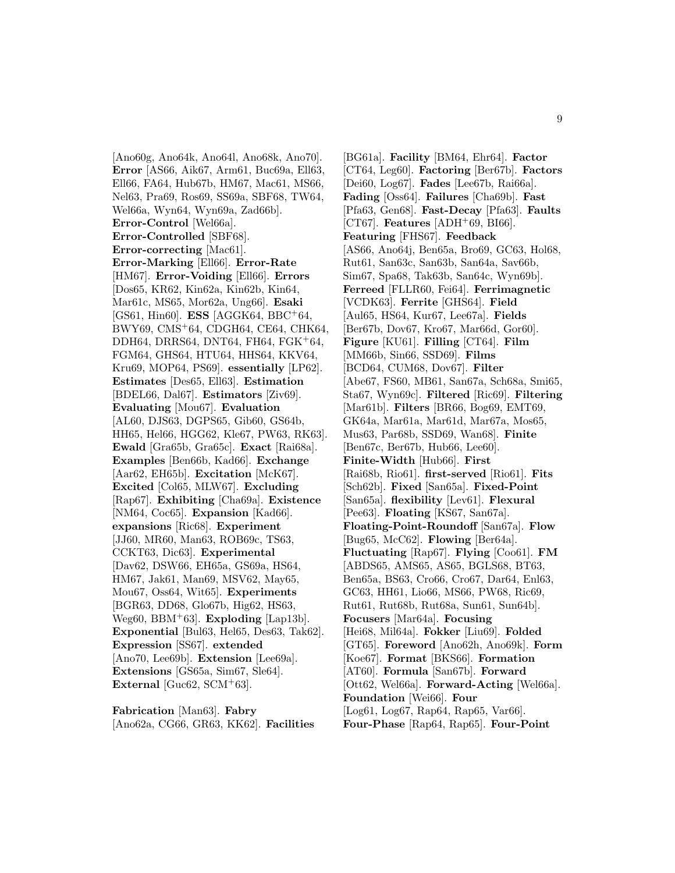[Ano60g, Ano64k, Ano64l, Ano68k, Ano70]. **Error** [AS66, Aik67, Arm61, Buc69a, Ell63, Ell66, FA64, Hub67b, HM67, Mac61, MS66, Nel63, Pra69, Ros69, SS69a, SBF68, TW64, Wel66a, Wyn64, Wyn69a, Zad66b]. **Error-Control** [Wel66a]. **Error-Controlled** [SBF68]. **Error-correcting** [Mac61]. **Error-Marking** [Ell66]. **Error-Rate** [HM67]. **Error-Voiding** [Ell66]. **Errors** [Dos65, KR62, Kin62a, Kin62b, Kin64, Mar61c, MS65, Mor62a, Ung66]. **Esaki** [GS61, Hin60]. **ESS** [AGGK64, BBC<sup>+</sup>64, BWY69, CMS<sup>+</sup>64, CDGH64, CE64, CHK64, DDH64, DRRS64, DNT64, FH64, FGK<sup>+</sup>64, FGM64, GHS64, HTU64, HHS64, KKV64, Kru69, MOP64, PS69]. **essentially** [LP62]. **Estimates** [Des65, Ell63]. **Estimation** [BDEL66, Dal67]. **Estimators** [Ziv69]. **Evaluating** [Mou67]. **Evaluation** [AL60, DJS63, DGPS65, Gib60, GS64b, HH65, Hel66, HGG62, Kle67, PW63, RK63]. **Ewald** [Gra65b, Gra65c]. **Exact** [Rai68a]. **Examples** [Ben66b, Kad66]. **Exchange** [Aar62, EH65b]. **Excitation** [McK67]. **Excited** [Col65, MLW67]. **Excluding** [Rap67]. **Exhibiting** [Cha69a]. **Existence** [NM64, Coc65]. **Expansion** [Kad66]. **expansions** [Ric68]. **Experiment** [JJ60, MR60, Man63, ROB69c, TS63, CCKT63, Dic63]. **Experimental** [Dav62, DSW66, EH65a, GS69a, HS64, HM67, Jak61, Man69, MSV62, May65, Mou67, Oss64, Wit65]. **Experiments** [BGR63, DD68, Glo67b, Hig62, HS63, Weg60, BBM<sup>+</sup>63]. **Exploding** [Lap13b]. **Exponential** [Bul63, Hel65, Des63, Tak62]. **Expression** [SS67]. **extended** [Ano70, Lee69b]. **Extension** [Lee69a]. **Extensions** [GS65a, Sim67, Sle64]. **External** [Guc $62$ , SCM+ $63$ ].

**Fabrication** [Man63]. **Fabry** [Ano62a, CG66, GR63, KK62]. **Facilities**

[BG61a]. **Facility** [BM64, Ehr64]. **Factor** [CT64, Leg60]. **Factoring** [Ber67b]. **Factors** [Dei60, Log67]. **Fades** [Lee67b, Rai66a]. **Fading** [Oss64]. **Failures** [Cha69b]. **Fast** [Pfa63, Gen68]. **Fast-Decay** [Pfa63]. **Faults**  $[CT67]$ . **Features**  $[ADH<sup>+</sup>69$ , BI66. **Featuring** [FHS67]. **Feedback** [AS66, Ano64j, Ben65a, Bro69, GC63, Hol68, Rut61, San63c, San63b, San64a, Sav66b, Sim67, Spa68, Tak63b, San64c, Wyn69b]. **Ferreed** [FLLR60, Fei64]. **Ferrimagnetic** [VCDK63]. **Ferrite** [GHS64]. **Field** [Aul65, HS64, Kur67, Lee67a]. **Fields** [Ber67b, Dov67, Kro67, Mar66d, Gor60]. **Figure** [KU61]. **Filling** [CT64]. **Film** [MM66b, Sin66, SSD69]. **Films** [BCD64, CUM68, Dov67]. **Filter** [Abe67, FS60, MB61, San67a, Sch68a, Smi65, Sta67, Wyn69c]. **Filtered** [Ric69]. **Filtering** [Mar61b]. **Filters** [BR66, Bog69, EMT69, GK64a, Mar61a, Mar61d, Mar67a, Mos65, Mus63, Par68b, SSD69, Wan68]. **Finite** [Ben67c, Ber67b, Hub66, Lee60]. **Finite-Width** [Hub66]. **First** [Rai68b, Rio61]. **first-served** [Rio61]. **Fits** [Sch62b]. **Fixed** [San65a]. **Fixed-Point** [San65a]. **flexibility** [Lev61]. **Flexural** [Pee63]. **Floating** [KS67, San67a]. **Floating-Point-Roundoff** [San67a]. **Flow** [Bug65, McC62]. **Flowing** [Ber64a]. **Fluctuating** [Rap67]. **Flying** [Coo61]. **FM** [ABDS65, AMS65, AS65, BGLS68, BT63, Ben65a, BS63, Cro66, Cro67, Dar64, Enl63, GC63, HH61, Lio66, MS66, PW68, Ric69, Rut61, Rut68b, Rut68a, Sun61, Sun64b]. **Focusers** [Mar64a]. **Focusing** [Hei68, Mil64a]. **Fokker** [Liu69]. **Folded** [GT65]. **Foreword** [Ano62h, Ano69k]. **Form** [Koe67]. **Format** [BKS66]. **Formation** [AT60]. **Formula** [San67b]. **Forward** [Ott62, Wel66a]. **Forward-Acting** [Wel66a]. **Foundation** [Wei66]. **Four** [Log61, Log67, Rap64, Rap65, Var66]. **Four-Phase** [Rap64, Rap65]. **Four-Point**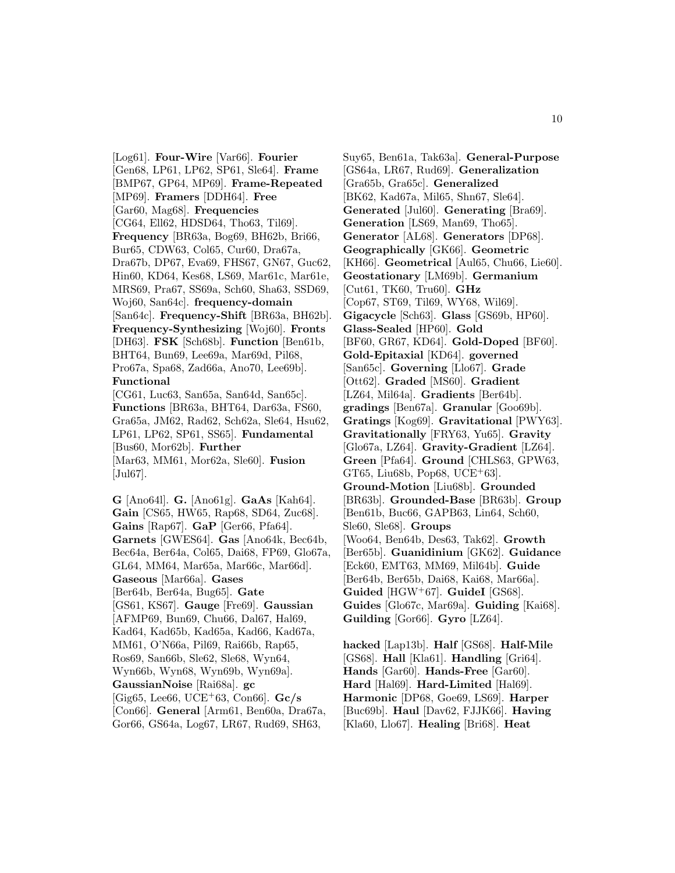[Log61]. **Four-Wire** [Var66]. **Fourier** [Gen68, LP61, LP62, SP61, Sle64]. **Frame** [BMP67, GP64, MP69]. **Frame-Repeated** [MP69]. **Framers** [DDH64]. **Free** [Gar60, Mag68]. **Frequencies** [CG64, Ell62, HDSD64, Tho63, Til69]. **Frequency** [BR63a, Bog69, BH62b, Bri66, Bur65, CDW63, Col65, Cur60, Dra67a, Dra67b, DP67, Eva69, FHS67, GN67, Guc62, Hin60, KD64, Kes68, LS69, Mar61c, Mar61e, MRS69, Pra67, SS69a, Sch60, Sha63, SSD69, Woj60, San64c]. **frequency-domain** [San64c]. **Frequency-Shift** [BR63a, BH62b]. **Frequency-Synthesizing** [Woj60]. **Fronts** [DH63]. **FSK** [Sch68b]. **Function** [Ben61b, BHT64, Bun69, Lee69a, Mar69d, Pil68, Pro67a, Spa68, Zad66a, Ano70, Lee69b]. **Functional** [CG61, Luc63, San65a, San64d, San65c].

**Functions** [BR63a, BHT64, Dar63a, FS60, Gra65a, JM62, Rad62, Sch62a, Sle64, Hsu62, LP61, LP62, SP61, SS65]. **Fundamental** [Bus60, Mor62b]. **Further** [Mar63, MM61, Mor62a, Sle60]. **Fusion** [Jul67].

**G** [Ano64l]. **G.** [Ano61g]. **GaAs** [Kah64]. **Gain** [CS65, HW65, Rap68, SD64, Zuc68]. **Gains** [Rap67]. **GaP** [Ger66, Pfa64]. **Garnets** [GWES64]. **Gas** [Ano64k, Bec64b, Bec64a, Ber64a, Col65, Dai68, FP69, Glo67a, GL64, MM64, Mar65a, Mar66c, Mar66d]. **Gaseous** [Mar66a]. **Gases** [Ber64b, Ber64a, Bug65]. **Gate** [GS61, KS67]. **Gauge** [Fre69]. **Gaussian** [AFMP69, Bun69, Chu66, Dal67, Hal69, Kad64, Kad65b, Kad65a, Kad66, Kad67a, MM61, O'N66a, Pil69, Rai66b, Rap65, Ros69, San66b, Sle62, Sle68, Wyn64, Wyn66b, Wyn68, Wyn69b, Wyn69a]. **GaussianNoise** [Rai68a]. **gc** [Gig65, Lee66, UCE<sup>+</sup>63, Con66]. **Gc/s** [Con66]. **General** [Arm61, Ben60a, Dra67a, Gor66, GS64a, Log67, LR67, Rud69, SH63,

Suy65, Ben61a, Tak63a]. **General-Purpose** [GS64a, LR67, Rud69]. **Generalization** [Gra65b, Gra65c]. **Generalized** [BK62, Kad67a, Mil65, Shn67, Sle64]. **Generated** [Jul60]. **Generating** [Bra69]. **Generation** [LS69, Man69, Tho65]. **Generator** [AL68]. **Generators** [DP68]. **Geographically** [GK66]. **Geometric** [KH66]. **Geometrical** [Aul65, Chu66, Lie60]. **Geostationary** [LM69b]. **Germanium** [Cut61, TK60, Tru60]. **GHz** [Cop67, ST69, Til69, WY68, Wil69]. **Gigacycle** [Sch63]. **Glass** [GS69b, HP60]. **Glass-Sealed** [HP60]. **Gold** [BF60, GR67, KD64]. **Gold-Doped** [BF60]. **Gold-Epitaxial** [KD64]. **governed** [San65c]. **Governing** [Llo67]. **Grade** [Ott62]. **Graded** [MS60]. **Gradient** [LZ64, Mil64a]. **Gradients** [Ber64b]. **gradings** [Ben67a]. **Granular** [Goo69b]. **Gratings** [Kog69]. **Gravitational** [PWY63]. **Gravitationally** [FRY63, Yu65]. **Gravity** [Glo67a, LZ64]. **Gravity-Gradient** [LZ64]. **Green** [Pfa64]. **Ground** [CHLS63, GPW63, GT65, Liu68b, Pop68, UCE<sup>+</sup>63. **Ground-Motion** [Liu68b]. **Grounded** [BR63b]. **Grounded-Base** [BR63b]. **Group** [Ben61b, Buc66, GAPB63, Lin64, Sch60, Sle60, Sle68]. **Groups** [Woo64, Ben64b, Des63, Tak62]. **Growth** [Ber65b]. **Guanidinium** [GK62]. **Guidance** [Eck60, EMT63, MM69, Mil64b]. **Guide** [Ber64b, Ber65b, Dai68, Kai68, Mar66a]. **Guided** [HGW<sup>+</sup>67]. **GuideI** [GS68]. **Guides** [Glo67c, Mar69a]. **Guiding** [Kai68]. **Guilding** [Gor66]. **Gyro** [LZ64].

**hacked** [Lap13b]. **Half** [GS68]. **Half-Mile** [GS68]. **Hall** [Kla61]. **Handling** [Gri64]. **Hands** [Gar60]. **Hands-Free** [Gar60]. **Hard** [Hal69]. **Hard-Limited** [Hal69]. **Harmonic** [DP68, Goe69, LS69]. **Harper** [Buc69b]. **Haul** [Dav62, FJJK66]. **Having** [Kla60, Llo67]. **Healing** [Bri68]. **Heat**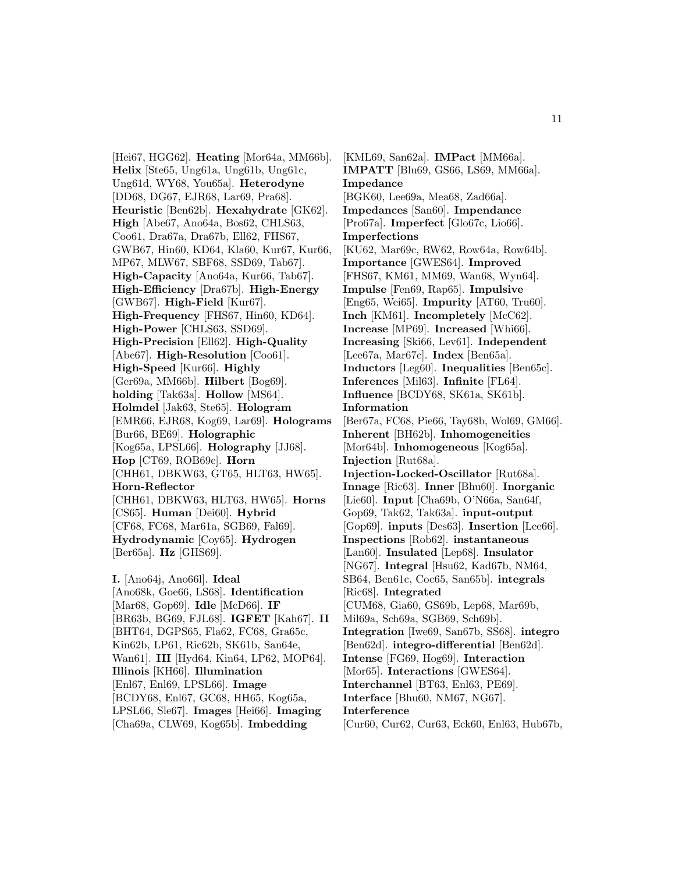[Hei67, HGG62]. **Heating** [Mor64a, MM66b]. **Helix** [Ste65, Ung61a, Ung61b, Ung61c, Ung61d, WY68, You65a]. **Heterodyne** [DD68, DG67, EJR68, Lar69, Pra68]. **Heuristic** [Ben62b]. **Hexahydrate** [GK62]. **High** [Abe67, Ano64a, Bos62, CHLS63, Coo61, Dra67a, Dra67b, Ell62, FHS67, GWB67, Hin60, KD64, Kla60, Kur67, Kur66, MP67, MLW67, SBF68, SSD69, Tab67]. **High-Capacity** [Ano64a, Kur66, Tab67]. **High-Efficiency** [Dra67b]. **High-Energy** [GWB67]. **High-Field** [Kur67]. **High-Frequency** [FHS67, Hin60, KD64]. **High-Power** [CHLS63, SSD69]. **High-Precision** [Ell62]. **High-Quality** [Abe67]. **High-Resolution** [Coo61]. **High-Speed** [Kur66]. **Highly** [Ger69a, MM66b]. **Hilbert** [Bog69]. **holding** [Tak63a]. **Hollow** [MS64]. **Holmdel** [Jak63, Ste65]. **Hologram** [EMR66, EJR68, Kog69, Lar69]. **Holograms** [Bur66, BE69]. **Holographic** [Kog65a, LPSL66]. **Holography** [JJ68]. **Hop** [CT69, ROB69c]. **Horn** [CHH61, DBKW63, GT65, HLT63, HW65]. **Horn-Reflector** [CHH61, DBKW63, HLT63, HW65]. **Horns** [CS65]. **Human** [Dei60]. **Hybrid** [CF68, FC68, Mar61a, SGB69, Fal69]. **Hydrodynamic** [Coy65]. **Hydrogen** [Ber65a]. **Hz** [GHS69].

**I.** [Ano64j, Ano66l]. **Ideal** [Ano68k, Goe66, LS68]. **Identification** [Mar68, Gop69]. **Idle** [McD66]. **IF** [BR63b, BG69, FJL68]. **IGFET** [Kah67]. **II** [BHT64, DGPS65, Fla62, FC68, Gra65c, Kin62b, LP61, Ric62b, SK61b, San64e, Wan61]. **III** [Hyd64, Kin64, LP62, MOP64]. **Illinois** [KH66]. **Illumination** [Enl67, Enl69, LPSL66]. **Image** [BCDY68, Enl67, GC68, HH65, Kog65a, LPSL66, Sle67]. **Images** [Hei66]. **Imaging** [Cha69a, CLW69, Kog65b]. **Imbedding**

[KML69, San62a]. **IMPact** [MM66a]. **IMPATT** [Blu69, GS66, LS69, MM66a]. **Impedance** [BGK60, Lee69a, Mea68, Zad66a]. **Impedances** [San60]. **Impendance** [Pro67a]. **Imperfect** [Glo67c, Lio66]. **Imperfections** [KU62, Mar69c, RW62, Row64a, Row64b]. **Importance** [GWES64]. **Improved** [FHS67, KM61, MM69, Wan68, Wyn64]. **Impulse** [Fen69, Rap65]. **Impulsive** [Eng65, Wei65]. **Impurity** [AT60, Tru60]. **Inch** [KM61]. **Incompletely** [McC62]. **Increase** [MP69]. **Increased** [Whi66]. **Increasing** [Ski66, Lev61]. **Independent** [Lee67a, Mar67c]. **Index** [Ben65a]. **Inductors** [Leg60]. **Inequalities** [Ben65c]. **Inferences** [Mil63]. **Infinite** [FL64]. **Influence** [BCDY68, SK61a, SK61b]. **Information** [Ber67a, FC68, Pie66, Tay68b, Wol69, GM66]. **Inherent** [BH62b]. **Inhomogeneities** [Mor64b]. **Inhomogeneous** [Kog65a]. **Injection** [Rut68a]. **Injection-Locked-Oscillator** [Rut68a]. **Innage** [Ric63]. **Inner** [Bhu60]. **Inorganic** [Lie60]. **Input** [Cha69b, O'N66a, San64f, Gop69, Tak62, Tak63a]. **input-output** [Gop69]. **inputs** [Des63]. **Insertion** [Lee66]. **Inspections** [Rob62]. **instantaneous** [Lan60]. **Insulated** [Lep68]. **Insulator** [NG67]. **Integral** [Hsu62, Kad67b, NM64, SB64, Ben61c, Coc65, San65b]. **integrals** [Ric68]. **Integrated** [CUM68, Gia60, GS69b, Lep68, Mar69b, Mil69a, Sch69a, SGB69, Sch69b]. **Integration** [Iwe69, San67b, SS68]. **integro** [Ben62d]. **integro-differential** [Ben62d]. **Intense** [FG69, Hog69]. **Interaction** [Mor65]. **Interactions** [GWES64]. **Interchannel** [BT63, Enl63, PE69]. **Interface** [Bhu60, NM67, NG67]. **Interference**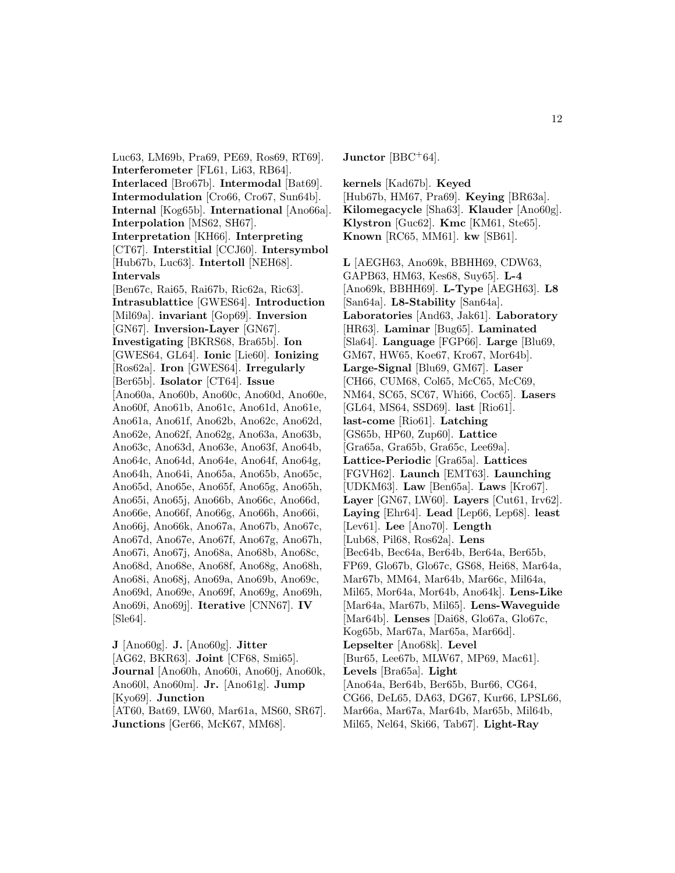Luc63, LM69b, Pra69, PE69, Ros69, RT69]. **Interferometer** [FL61, Li63, RB64]. **Interlaced** [Bro67b]. **Intermodal** [Bat69]. **Intermodulation** [Cro66, Cro67, Sun64b]. **Internal** [Kog65b]. **International** [Ano66a]. **Interpolation** [MS62, SH67]. **Interpretation** [KH66]. **Interpreting** [CT67]. **Interstitial** [CCJ60]. **Intersymbol** [Hub67b, Luc63]. **Intertoll** [NEH68]. **Intervals** [Ben67c, Rai65, Rai67b, Ric62a, Ric63]. **Intrasublattice** [GWES64]. **Introduction** [Mil69a]. **invariant** [Gop69]. **Inversion** [GN67]. **Inversion-Layer** [GN67]. **Investigating** [BKRS68, Bra65b]. **Ion** [GWES64, GL64]. **Ionic** [Lie60]. **Ionizing** [Ros62a]. **Iron** [GWES64]. **Irregularly** [Ber65b]. **Isolator** [CT64]. **Issue** [Ano60a, Ano60b, Ano60c, Ano60d, Ano60e, Ano60f, Ano61b, Ano61c, Ano61d, Ano61e, Ano61a, Ano61f, Ano62b, Ano62c, Ano62d, Ano62e, Ano62f, Ano62g, Ano63a, Ano63b, Ano63c, Ano63d, Ano63e, Ano63f, Ano64b, Ano64c, Ano64d, Ano64e, Ano64f, Ano64g, Ano64h, Ano64i, Ano65a, Ano65b, Ano65c, Ano65d, Ano65e, Ano65f, Ano65g, Ano65h, Ano65i, Ano65j, Ano66b, Ano66c, Ano66d, Ano66e, Ano66f, Ano66g, Ano66h, Ano66i, Ano66j, Ano66k, Ano67a, Ano67b, Ano67c, Ano67d, Ano67e, Ano67f, Ano67g, Ano67h, Ano67i, Ano67j, Ano68a, Ano68b, Ano68c, Ano68d, Ano68e, Ano68f, Ano68g, Ano68h, Ano68i, Ano68j, Ano69a, Ano69b, Ano69c, Ano69d, Ano69e, Ano69f, Ano69g, Ano69h, Ano69i, Ano69j]. **Iterative** [CNN67]. **IV** [Sle64].

**J** [Ano60g]. **J.** [Ano60g]. **Jitter** [AG62, BKR63]. **Joint** [CF68, Smi65]. **Journal** [Ano60h, Ano60i, Ano60j, Ano60k, Ano60l, Ano60m]. **Jr.** [Ano61g]. **Jump** [Kyo69]. **Junction** [AT60, Bat69, LW60, Mar61a, MS60, SR67]. **Junctions** [Ger66, McK67, MM68].

**Junctor** [BBC<sup>+</sup>64].

**kernels** [Kad67b]. **Keyed** [Hub67b, HM67, Pra69]. **Keying** [BR63a]. **Kilomegacycle** [Sha63]. **Klauder** [Ano60g]. **Klystron** [Guc62]. **Kmc** [KM61, Ste65]. **Known** [RC65, MM61]. **kw** [SB61].

**L** [AEGH63, Ano69k, BBHH69, CDW63, GAPB63, HM63, Kes68, Suy65]. **L-4** [Ano69k, BBHH69]. **L-Type** [AEGH63]. **L8** [San64a]. **L8-Stability** [San64a]. **Laboratories** [And63, Jak61]. **Laboratory** [HR63]. **Laminar** [Bug65]. **Laminated** [Sla64]. **Language** [FGP66]. **Large** [Blu69, GM67, HW65, Koe67, Kro67, Mor64b]. **Large-Signal** [Blu69, GM67]. **Laser** [CH66, CUM68, Col65, McC65, McC69, NM64, SC65, SC67, Whi66, Coc65]. **Lasers** [GL64, MS64, SSD69]. **last** [Rio61]. **last-come** [Rio61]. **Latching** [GS65b, HP60, Zup60]. **Lattice** [Gra65a, Gra65b, Gra65c, Lee69a]. **Lattice-Periodic** [Gra65a]. **Lattices** [FGVH62]. **Launch** [EMT63]. **Launching** [UDKM63]. **Law** [Ben65a]. **Laws** [Kro67]. **Layer** [GN67, LW60]. **Layers** [Cut61, Irv62]. **Laying** [Ehr64]. **Lead** [Lep66, Lep68]. **least** [Lev61]. **Lee** [Ano70]. **Length** [Lub68, Pil68, Ros62a]. **Lens** [Bec64b, Bec64a, Ber64b, Ber64a, Ber65b, FP69, Glo67b, Glo67c, GS68, Hei68, Mar64a, Mar67b, MM64, Mar64b, Mar66c, Mil64a, Mil65, Mor64a, Mor64b, Ano64k]. **Lens-Like** [Mar64a, Mar67b, Mil65]. **Lens-Waveguide** [Mar64b]. **Lenses** [Dai68, Glo67a, Glo67c, Kog65b, Mar67a, Mar65a, Mar66d]. **Lepselter** [Ano68k]. **Level** [Bur65, Lee67b, MLW67, MP69, Mac61]. **Levels** [Bra65a]. **Light** [Ano64a, Ber64b, Ber65b, Bur66, CG64, CG66, DeL65, DA63, DG67, Kur66, LPSL66, Mar66a, Mar67a, Mar64b, Mar65b, Mil64b,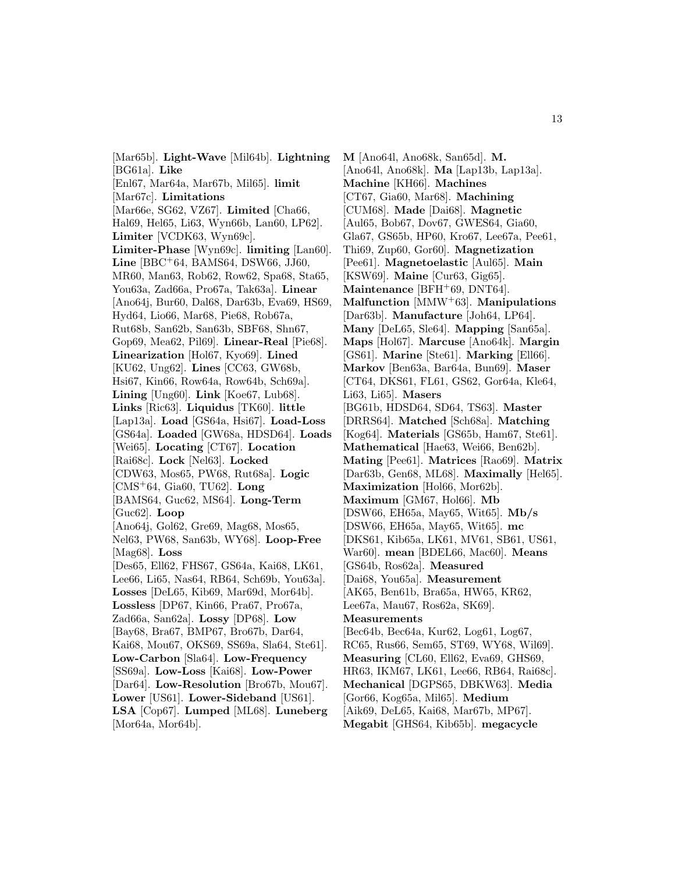[Mar65b]. **Light-Wave** [Mil64b]. **Lightning** [BG61a]. **Like**

[Enl67, Mar64a, Mar67b, Mil65]. **limit** [Mar67c]. **Limitations**

[Mar66e, SG62, VZ67]. **Limited** [Cha66, Hal69, Hel65, Li63, Wyn66b, Lan60, LP62]. **Limiter** [VCDK63, Wyn69c]. **Limiter-Phase** [Wyn69c]. **limiting** [Lan60]. **Line** [BBC<sup>+</sup>64, BAMS64, DSW66, JJ60, MR60, Man63, Rob62, Row62, Spa68, Sta65,

You63a, Zad66a, Pro67a, Tak63a]. **Linear** [Ano64j, Bur60, Dal68, Dar63b, Eva69, HS69, Hyd64, Lio66, Mar68, Pie68, Rob67a,

Rut68b, San62b, San63b, SBF68, Shn67, Gop69, Mea62, Pil69]. **Linear-Real** [Pie68].

**Linearization** [Hol67, Kyo69]. **Lined** [KU62, Ung62]. **Lines** [CC63, GW68b, Hsi67, Kin66, Row64a, Row64b, Sch69a].

**Lining** [Ung60]. **Link** [Koe67, Lub68]. **Links** [Ric63]. **Liquidus** [TK60]. **little**

[Lap13a]. **Load** [GS64a, Hsi67]. **Load-Loss**

[GS64a]. **Loaded** [GW68a, HDSD64]. **Loads**

[Wei65]. **Locating** [CT67]. **Location**

[Rai68c]. **Lock** [Nel63]. **Locked**

- [CDW63, Mos65, PW68, Rut68a]. **Logic**
- [CMS<sup>+</sup>64, Gia60, TU62]. **Long** [BAMS64, Guc62, MS64]. **Long-Term**

[Guc62]. **Loop**

[Ano64j, Gol62, Gre69, Mag68, Mos65, Nel63, PW68, San63b, WY68]. **Loop-Free**

[Mag68]. **Loss**

[Des65, Ell62, FHS67, GS64a, Kai68, LK61, Lee66, Li65, Nas64, RB64, Sch69b, You63a]. **Losses** [DeL65, Kib69, Mar69d, Mor64b]. **Lossless** [DP67, Kin66, Pra67, Pro67a, Zad66a, San62a]. **Lossy** [DP68]. **Low**

[Bay68, Bra67, BMP67, Bro67b, Dar64,

Kai68, Mou67, OKS69, SS69a, Sla64, Ste61].

**Low-Carbon** [Sla64]. **Low-Frequency**

[SS69a]. **Low-Loss** [Kai68]. **Low-Power**

[Dar64]. **Low-Resolution** [Bro67b, Mou67].

**Lower** [US61]. **Lower-Sideband** [US61].

**LSA** [Cop67]. **Lumped** [ML68]. **Luneberg** [Mor64a, Mor64b].

**M** [Ano64l, Ano68k, San65d]. **M.** [Ano64l, Ano68k]. **Ma** [Lap13b, Lap13a]. **Machine** [KH66]. **Machines** [CT67, Gia60, Mar68]. **Machining** [CUM68]. **Made** [Dai68]. **Magnetic** [Aul65, Bob67, Dov67, GWES64, Gia60, Gla67, GS65b, HP60, Kro67, Lee67a, Pee61, Thi69, Zup60, Gor60]. **Magnetization** [Pee61]. **Magnetoelastic** [Aul65]. **Main** [KSW69]. **Maine** [Cur63, Gig65]. **Maintenance** [BFH<sup>+</sup>69, DNT64]. **Malfunction** [MMW<sup>+</sup>63]. **Manipulations** [Dar63b]. **Manufacture** [Joh64, LP64]. **Many** [DeL65, Sle64]. **Mapping** [San65a]. **Maps** [Hol67]. **Marcuse** [Ano64k]. **Margin** [GS61]. **Marine** [Ste61]. **Marking** [Ell66]. **Markov** [Ben63a, Bar64a, Bun69]. **Maser** [CT64, DKS61, FL61, GS62, Gor64a, Kle64, Li63, Li65]. **Masers** [BG61b, HDSD64, SD64, TS63]. **Master** [DRRS64]. **Matched** [Sch68a]. **Matching** [Kog64]. **Materials** [GS65b, Ham67, Ste61]. **Mathematical** [Hae63, Wei66, Ben62b]. **Mating** [Pee61]. **Matrices** [Rao69]. **Matrix** [Dar63b, Gen68, ML68]. **Maximally** [Hel65]. **Maximization** [Hol66, Mor62b]. **Maximum** [GM67, Hol66]. **Mb** [DSW66, EH65a, May65, Wit65]. **Mb/s** [DSW66, EH65a, May65, Wit65]. **mc** [DKS61, Kib65a, LK61, MV61, SB61, US61, War60]. **mean** [BDEL66, Mac60]. **Means** [GS64b, Ros62a]. **Measured** [Dai68, You65a]. **Measurement** [AK65, Ben61b, Bra65a, HW65, KR62, Lee67a, Mau67, Ros62a, SK69]. **Measurements** [Bec64b, Bec64a, Kur62, Log61, Log67, RC65, Rus66, Sem65, ST69, WY68, Wil69]. **Measuring** [CL60, Ell62, Eva69, GHS69, HR63, IKM67, LK61, Lee66, RB64, Rai68c]. **Mechanical** [DGPS65, DBKW63]. **Media** [Gor66, Kog65a, Mil65]. **Medium** [Aik69, DeL65, Kai68, Mar67b, MP67].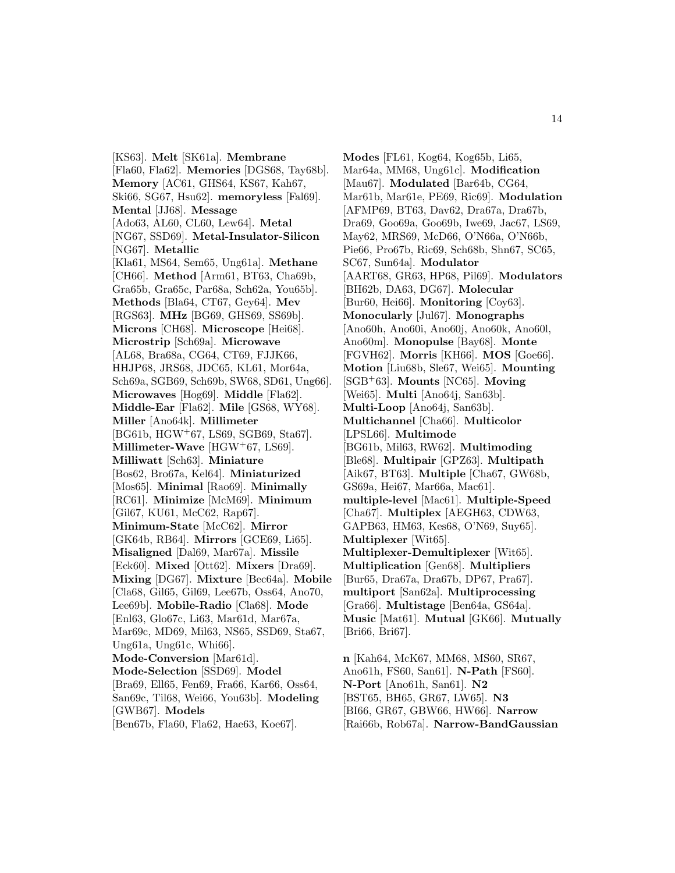[KS63]. **Melt** [SK61a]. **Membrane** [Fla60, Fla62]. **Memories** [DGS68, Tay68b]. **Memory** [AC61, GHS64, KS67, Kah67, Ski66, SG67, Hsu62]. **memoryless** [Fal69]. **Mental** [JJ68]. **Message** [Ado63, AL60, CL60, Lew64]. **Metal** [NG67, SSD69]. **Metal-Insulator-Silicon** [NG67]. **Metallic** [Kla61, MS64, Sem65, Ung61a]. **Methane** [CH66]. **Method** [Arm61, BT63, Cha69b, Gra65b, Gra65c, Par68a, Sch62a, You65b]. **Methods** [Bla64, CT67, Gey64]. **Mev** [RGS63]. **MHz** [BG69, GHS69, SS69b]. **Microns** [CH68]. **Microscope** [Hei68]. **Microstrip** [Sch69a]. **Microwave** [AL68, Bra68a, CG64, CT69, FJJK66, HHJP68, JRS68, JDC65, KL61, Mor64a, Sch69a, SGB69, Sch69b, SW68, SD61, Ung66]. **Microwaves** [Hog69]. **Middle** [Fla62]. **Middle-Ear** [Fla62]. **Mile** [GS68, WY68]. **Miller** [Ano64k]. **Millimeter** [BG61b, HGW<sup>+</sup>67, LS69, SGB69, Sta67]. **Millimeter-Wave** [HGW<sup>+</sup>67, LS69]. **Milliwatt** [Sch63]. **Miniature** [Bos62, Bro67a, Kel64]. **Miniaturized** [Mos65]. **Minimal** [Rao69]. **Minimally** [RC61]. **Minimize** [McM69]. **Minimum** [Gil67, KU61, McC62, Rap67]. **Minimum-State** [McC62]. **Mirror** [GK64b, RB64]. **Mirrors** [GCE69, Li65]. **Misaligned** [Dal69, Mar67a]. **Missile** [Eck60]. **Mixed** [Ott62]. **Mixers** [Dra69]. **Mixing** [DG67]. **Mixture** [Bec64a]. **Mobile** [Cla68, Gil65, Gil69, Lee67b, Oss64, Ano70, Lee69b]. **Mobile-Radio** [Cla68]. **Mode** [Enl63, Glo67c, Li63, Mar61d, Mar67a, Mar69c, MD69, Mil63, NS65, SSD69, Sta67, Ung61a, Ung61c, Whi66]. **Mode-Conversion** [Mar61d]. **Mode-Selection** [SSD69]. **Model** [Bra69, Ell65, Fen69, Fra66, Kar66, Oss64, San69c, Til68, Wei66, You63b]. **Modeling** [GWB67]. **Models** [Ben67b, Fla60, Fla62, Hae63, Koe67].

**Modes** [FL61, Kog64, Kog65b, Li65, Mar64a, MM68, Ung61c]. **Modification** [Mau67]. **Modulated** [Bar64b, CG64, Mar61b, Mar61e, PE69, Ric69]. **Modulation** [AFMP69, BT63, Dav62, Dra67a, Dra67b, Dra69, Goo69a, Goo69b, Iwe69, Jac67, LS69, May62, MRS69, McD66, O'N66a, O'N66b, Pie66, Pro67b, Ric69, Sch68b, Shn67, SC65, SC67, Sun64a]. **Modulator** [AART68, GR63, HP68, Pil69]. **Modulators** [BH62b, DA63, DG67]. **Molecular** [Bur60, Hei66]. **Monitoring** [Coy63]. **Monocularly** [Jul67]. **Monographs** [Ano60h, Ano60i, Ano60j, Ano60k, Ano60l, Ano60m]. **Monopulse** [Bay68]. **Monte** [FGVH62]. **Morris** [KH66]. **MOS** [Goe66]. **Motion** [Liu68b, Sle67, Wei65]. **Mounting** [SGB<sup>+</sup>63]. **Mounts** [NC65]. **Moving** [Wei65]. **Multi** [Ano64j, San63b]. **Multi-Loop** [Ano64j, San63b]. **Multichannel** [Cha66]. **Multicolor** [LPSL66]. **Multimode** [BG61b, Mil63, RW62]. **Multimoding** [Ble68]. **Multipair** [GPZ63]. **Multipath** [Aik67, BT63]. **Multiple** [Cha67, GW68b, GS69a, Hei67, Mar66a, Mac61]. **multiple-level** [Mac61]. **Multiple-Speed** [Cha67]. **Multiplex** [AEGH63, CDW63, GAPB63, HM63, Kes68, O'N69, Suy65]. **Multiplexer** [Wit65]. **Multiplexer-Demultiplexer** [Wit65]. **Multiplication** [Gen68]. **Multipliers** [Bur65, Dra67a, Dra67b, DP67, Pra67]. **multiport** [San62a]. **Multiprocessing** [Gra66]. **Multistage** [Ben64a, GS64a]. **Music** [Mat61]. **Mutual** [GK66]. **Mutually** [Bri66, Bri67].

**n** [Kah64, McK67, MM68, MS60, SR67, Ano61h, FS60, San61]. **N-Path** [FS60]. **N-Port** [Ano61h, San61]. **N2** [BST65, BH65, GR67, LW65]. **N3** [BI66, GR67, GBW66, HW66]. **Narrow** [Rai66b, Rob67a]. **Narrow-BandGaussian**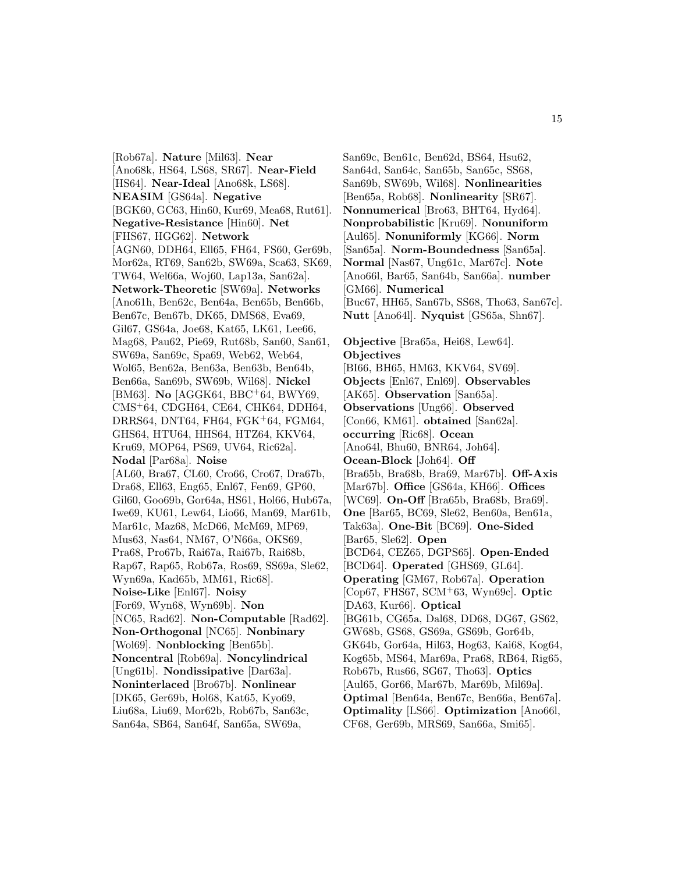[Rob67a]. **Nature** [Mil63]. **Near** [Ano68k, HS64, LS68, SR67]. **Near-Field** [HS64]. **Near-Ideal** [Ano68k, LS68]. **NEASIM** [GS64a]. **Negative** [BGK60, GC63, Hin60, Kur69, Mea68, Rut61]. **Negative-Resistance** [Hin60]. **Net** [FHS67, HGG62]. **Network** [AGN60, DDH64, Ell65, FH64, FS60, Ger69b, Mor62a, RT69, San62b, SW69a, Sca63, SK69, TW64, Wel66a, Woj60, Lap13a, San62a]. **Network-Theoretic** [SW69a]. **Networks** [Ano61h, Ben62c, Ben64a, Ben65b, Ben66b, Ben67c, Ben67b, DK65, DMS68, Eva69, Gil67, GS64a, Joe68, Kat65, LK61, Lee66, Mag68, Pau62, Pie69, Rut68b, San60, San61, SW69a, San69c, Spa69, Web62, Web64, Wol65, Ben62a, Ben63a, Ben63b, Ben64b, Ben66a, San69b, SW69b, Wil68]. **Nickel** [BM63]. **No** [AGGK64, BBC<sup>+</sup>64, BWY69, CMS<sup>+</sup>64, CDGH64, CE64, CHK64, DDH64, DRRS64, DNT64, FH64, FGK<sup>+</sup>64, FGM64, GHS64, HTU64, HHS64, HTZ64, KKV64, Kru69, MOP64, PS69, UV64, Ric62a]. **Nodal** [Par68a]. **Noise** [AL60, Bra67, CL60, Cro66, Cro67, Dra67b, Dra68, Ell63, Eng65, Enl67, Fen69, GP60, Gil60, Goo69b, Gor64a, HS61, Hol66, Hub67a, Iwe69, KU61, Lew64, Lio66, Man69, Mar61b, Mar61c, Maz68, McD66, McM69, MP69, Mus63, Nas64, NM67, O'N66a, OKS69, Pra68, Pro67b, Rai67a, Rai67b, Rai68b, Rap67, Rap65, Rob67a, Ros69, SS69a, Sle62, Wyn69a, Kad65b, MM61, Ric68]. **Noise-Like** [Enl67]. **Noisy** [For69, Wyn68, Wyn69b]. **Non** [NC65, Rad62]. **Non-Computable** [Rad62]. **Non-Orthogonal** [NC65]. **Nonbinary** [Wol69]. **Nonblocking** [Ben65b]. **Noncentral** [Rob69a]. **Noncylindrical** [Ung61b]. **Nondissipative** [Dar63a]. **Noninterlaced** [Bro67b]. **Nonlinear** [DK65, Ger69b, Hol68, Kat65, Kyo69, Liu68a, Liu69, Mor62b, Rob67b, San63c, San64a, SB64, San64f, San65a, SW69a,

San69c, Ben61c, Ben62d, BS64, Hsu62, San64d, San64c, San65b, San65c, SS68, San69b, SW69b, Wil68]. **Nonlinearities** [Ben65a, Rob68]. **Nonlinearity** [SR67]. **Nonnumerical** [Bro63, BHT64, Hyd64]. **Nonprobabilistic** [Kru69]. **Nonuniform** [Aul65]. **Nonuniformly** [KG66]. **Norm** [San65a]. **Norm-Boundedness** [San65a]. **Normal** [Nas67, Ung61c, Mar67c]. **Note** [Ano66l, Bar65, San64b, San66a]. **number** [GM66]. **Numerical** [Buc67, HH65, San67b, SS68, Tho63, San67c]. **Nutt** [Ano64l]. **Nyquist** [GS65a, Shn67]. **Objective** [Bra65a, Hei68, Lew64]. **Objectives** [BI66, BH65, HM63, KKV64, SV69]. **Objects** [Enl67, Enl69]. **Observables** [AK65]. **Observation** [San65a]. **Observations** [Ung66]. **Observed** [Con66, KM61]. **obtained** [San62a]. **occurring** [Ric68]. **Ocean** [Ano64l, Bhu60, BNR64, Joh64]. **Ocean-Block** [Joh64]. **Off** [Bra65b, Bra68b, Bra69, Mar67b]. **Off-Axis** [Mar67b]. **Office** [GS64a, KH66]. **Offices** [WC69]. **On-Off** [Bra65b, Bra68b, Bra69]. **One** [Bar65, BC69, Sle62, Ben60a, Ben61a, Tak63a]. **One-Bit** [BC69]. **One-Sided** [Bar65, Sle62]. **Open** [BCD64, CEZ65, DGPS65]. **Open-Ended** [BCD64]. **Operated** [GHS69, GL64]. **Operating** [GM67, Rob67a]. **Operation** [Cop67, FHS67, SCM<sup>+</sup>63, Wyn69c]. **Optic** [DA63, Kur66]. **Optical** [BG61b, CG65a, Dal68, DD68, DG67, GS62, GW68b, GS68, GS69a, GS69b, Gor64b, GK64b, Gor64a, Hil63, Hog63, Kai68, Kog64, Kog65b, MS64, Mar69a, Pra68, RB64, Rig65, Rob67b, Rus66, SG67, Tho63]. **Optics** [Aul65, Gor66, Mar67b, Mar69b, Mil69a]. **Optimal** [Ben64a, Ben67c, Ben66a, Ben67a]. **Optimality** [LS66]. **Optimization** [Ano66l, CF68, Ger69b, MRS69, San66a, Smi65].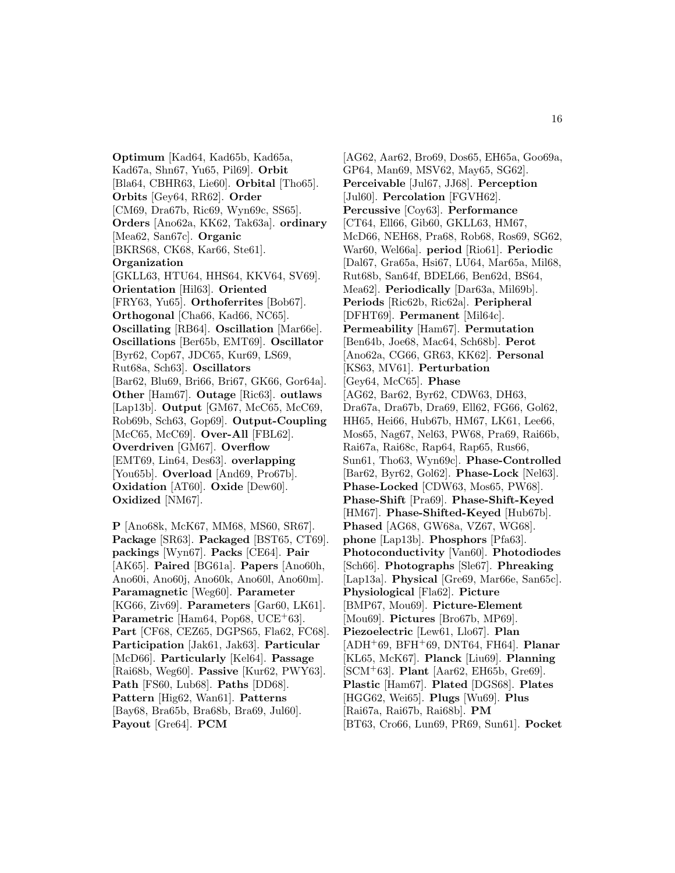**Optimum** [Kad64, Kad65b, Kad65a, Kad67a, Shn67, Yu65, Pil69]. **Orbit** [Bla64, CBHR63, Lie60]. **Orbital** [Tho65]. **Orbits** [Gey64, RR62]. **Order** [CM69, Dra67b, Ric69, Wyn69c, SS65]. **Orders** [Ano62a, KK62, Tak63a]. **ordinary** [Mea62, San67c]. **Organic** [BKRS68, CK68, Kar66, Ste61]. **Organization** [GKLL63, HTU64, HHS64, KKV64, SV69]. **Orientation** [Hil63]. **Oriented** [FRY63, Yu65]. **Orthoferrites** [Bob67]. **Orthogonal** [Cha66, Kad66, NC65]. **Oscillating** [RB64]. **Oscillation** [Mar66e]. **Oscillations** [Ber65b, EMT69]. **Oscillator** [Byr62, Cop67, JDC65, Kur69, LS69, Rut68a, Sch63]. **Oscillators** [Bar62, Blu69, Bri66, Bri67, GK66, Gor64a]. **Other** [Ham67]. **Outage** [Ric63]. **outlaws** [Lap13b]. **Output** [GM67, McC65, McC69, Rob69b, Sch63, Gop69]. **Output-Coupling** [McC65, McC69]. **Over-All** [FBL62]. **Overdriven** [GM67]. **Overflow** [EMT69, Lin64, Des63]. **overlapping** [You65b]. **Overload** [And69, Pro67b]. **Oxidation** [AT60]. **Oxide** [Dew60]. **Oxidized** [NM67].

**P** [Ano68k, McK67, MM68, MS60, SR67]. **Package** [SR63]. **Packaged** [BST65, CT69]. **packings** [Wyn67]. **Packs** [CE64]. **Pair** [AK65]. **Paired** [BG61a]. **Papers** [Ano60h, Ano60i, Ano60j, Ano60k, Ano60l, Ano60m]. **Paramagnetic** [Weg60]. **Parameter** [KG66, Ziv69]. **Parameters** [Gar60, LK61]. Parametric [Ham64, Pop68, UCE<sup>+</sup>63]. **Part** [CF68, CEZ65, DGPS65, Fla62, FC68]. **Participation** [Jak61, Jak63]. **Particular** [McD66]. **Particularly** [Kel64]. **Passage** [Rai68b, Weg60]. **Passive** [Kur62, PWY63]. **Path** [FS60, Lub68]. **Paths** [DD68]. **Pattern** [Hig62, Wan61]. **Patterns** [Bay68, Bra65b, Bra68b, Bra69, Jul60]. **Payout** [Gre64]. **PCM**

[AG62, Aar62, Bro69, Dos65, EH65a, Goo69a, GP64, Man69, MSV62, May65, SG62]. **Perceivable** [Jul67, JJ68]. **Perception** [Jul60]. **Percolation** [FGVH62]. **Percussive** [Coy63]. **Performance** [CT64, Ell66, Gib60, GKLL63, HM67, McD66, NEH68, Pra68, Rob68, Ros69, SG62, War60, Wel66a]. **period** [Rio61]. **Periodic** [Dal67, Gra65a, Hsi67, LU64, Mar65a, Mil68, Rut68b, San64f, BDEL66, Ben62d, BS64, Mea62]. **Periodically** [Dar63a, Mil69b]. **Periods** [Ric62b, Ric62a]. **Peripheral** [DFHT69]. **Permanent** [Mil64c]. **Permeability** [Ham67]. **Permutation** [Ben64b, Joe68, Mac64, Sch68b]. **Perot** [Ano62a, CG66, GR63, KK62]. **Personal** [KS63, MV61]. **Perturbation** [Gey64, McC65]. **Phase** [AG62, Bar62, Byr62, CDW63, DH63, Dra67a, Dra67b, Dra69, Ell62, FG66, Gol62, HH65, Hei66, Hub67b, HM67, LK61, Lee66, Mos65, Nag67, Nel63, PW68, Pra69, Rai66b, Rai67a, Rai68c, Rap64, Rap65, Rus66, Sun61, Tho63, Wyn69c]. **Phase-Controlled** [Bar62, Byr62, Gol62]. **Phase-Lock** [Nel63]. **Phase-Locked** [CDW63, Mos65, PW68]. **Phase-Shift** [Pra69]. **Phase-Shift-Keyed** [HM67]. **Phase-Shifted-Keyed** [Hub67b]. **Phased** [AG68, GW68a, VZ67, WG68]. **phone** [Lap13b]. **Phosphors** [Pfa63]. **Photoconductivity** [Van60]. **Photodiodes** [Sch66]. **Photographs** [Sle67]. **Phreaking** [Lap13a]. **Physical** [Gre69, Mar66e, San65c]. **Physiological** [Fla62]. **Picture** [BMP67, Mou69]. **Picture-Element** [Mou69]. **Pictures** [Bro67b, MP69]. **Piezoelectric** [Lew61, Llo67]. **Plan** [ADH<sup>+</sup>69, BFH<sup>+</sup>69, DNT64, FH64]. **Planar** [KL65, McK67]. **Planck** [Liu69]. **Planning** [SCM<sup>+</sup>63]. **Plant** [Aar62, EH65b, Gre69]. **Plastic** [Ham67]. **Plated** [DGS68]. **Plates** [HGG62, Wei65]. **Plugs** [Wu69]. **Plus** [Rai67a, Rai67b, Rai68b]. **PM** [BT63, Cro66, Lun69, PR69, Sun61]. **Pocket**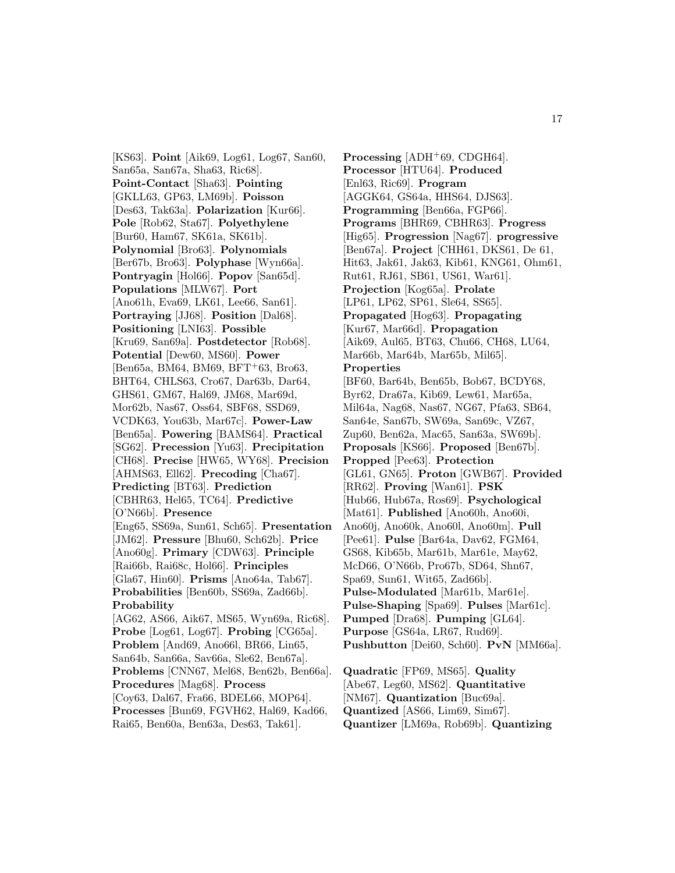[KS63]. **Point** [Aik69, Log61, Log67, San60, San65a, San67a, Sha63, Ric68]. **Point-Contact** [Sha63]. **Pointing** [GKLL63, GP63, LM69b]. **Poisson** [Des63, Tak63a]. **Polarization** [Kur66]. **Pole** [Rob62, Sta67]. **Polyethylene** [Bur60, Ham67, SK61a, SK61b]. **Polynomial** [Bro63]. **Polynomials** [Ber67b, Bro63]. **Polyphase** [Wyn66a]. **Pontryagin** [Hol66]. **Popov** [San65d]. **Populations** [MLW67]. **Port** [Ano61h, Eva69, LK61, Lee66, San61]. **Portraying** [JJ68]. **Position** [Dal68]. **Positioning** [LNI63]. **Possible** [Kru69, San69a]. **Postdetector** [Rob68]. **Potential** [Dew60, MS60]. **Power**  $[Ben65a, BM64, BM69, BFT+63, Bro63,$ BHT64, CHLS63, Cro67, Dar63b, Dar64, GHS61, GM67, Hal69, JM68, Mar69d, Mor62b, Nas67, Oss64, SBF68, SSD69, VCDK63, You63b, Mar67c]. **Power-Law** [Ben65a]. **Powering** [BAMS64]. **Practical** [SG62]. **Precession** [Yu63]. **Precipitation** [CH68]. **Precise** [HW65, WY68]. **Precision** [AHMS63, Ell62]. **Precoding** [Cha67]. **Predicting** [BT63]. **Prediction** [CBHR63, Hel65, TC64]. **Predictive** [O'N66b]. **Presence** [Eng65, SS69a, Sun61, Sch65]. **Presentation** [JM62]. **Pressure** [Bhu60, Sch62b]. **Price** [Ano60g]. **Primary** [CDW63]. **Principle** [Rai66b, Rai68c, Hol66]. **Principles** [Gla67, Hin60]. **Prisms** [Ano64a, Tab67]. **Probabilities** [Ben60b, SS69a, Zad66b]. **Probability** [AG62, AS66, Aik67, MS65, Wyn69a, Ric68]. **Probe** [Log61, Log67]. **Probing** [CG65a]. **Problem** [And69, Ano66l, BR66, Lin65, San64b, San66a, Sav66a, Sle62, Ben67a]. **Problems** [CNN67, Mel68, Ben62b, Ben66a]. **Procedures** [Mag68]. **Process** [Coy63, Dal67, Fra66, BDEL66, MOP64]. **Processes** [Bun69, FGVH62, Hal69, Kad66, Rai65, Ben60a, Ben63a, Des63, Tak61].

**Processing** [ADH<sup>+</sup>69, CDGH64]. **Processor** [HTU64]. **Produced** [Enl63, Ric69]. **Program** [AGGK64, GS64a, HHS64, DJS63]. **Programming** [Ben66a, FGP66]. **Programs** [BHR69, CBHR63]. **Progress** [Hig65]. **Progression** [Nag67]. **progressive** [Ben67a]. **Project** [CHH61, DKS61, De 61, Hit63, Jak61, Jak63, Kib61, KNG61, Ohm61, Rut61, RJ61, SB61, US61, War61]. **Projection** [Kog65a]. **Prolate** [LP61, LP62, SP61, Sle64, SS65]. **Propagated** [Hog63]. **Propagating** [Kur67, Mar66d]. **Propagation** [Aik69, Aul65, BT63, Chu66, CH68, LU64, Mar66b, Mar64b, Mar65b, Mil65]. **Properties** [BF60, Bar64b, Ben65b, Bob67, BCDY68, Byr62, Dra67a, Kib69, Lew61, Mar65a, Mil64a, Nag68, Nas67, NG67, Pfa63, SB64, San64e, San67b, SW69a, San69c, VZ67, Zup60, Ben62a, Mac65, San63a, SW69b]. **Proposals** [KS66]. **Proposed** [Ben67b]. **Propped** [Pee63]. **Protection** [GL61, GN65]. **Proton** [GWB67]. **Provided** [RR62]. **Proving** [Wan61]. **PSK** [Hub66, Hub67a, Ros69]. **Psychological** [Mat61]. **Published** [Ano60h, Ano60i, Ano60j, Ano60k, Ano60l, Ano60m]. **Pull** [Pee61]. **Pulse** [Bar64a, Dav62, FGM64, GS68, Kib65b, Mar61b, Mar61e, May62, McD66, O'N66b, Pro67b, SD64, Shn67, Spa69, Sun61, Wit65, Zad66b]. **Pulse-Modulated** [Mar61b, Mar61e]. **Pulse-Shaping** [Spa69]. **Pulses** [Mar61c]. **Pumped** [Dra68]. **Pumping** [GL64]. **Purpose** [GS64a, LR67, Rud69]. **Pushbutton** [Dei60, Sch60]. **PvN** [MM66a].

**Quadratic** [FP69, MS65]. **Quality** [Abe67, Leg60, MS62]. **Quantitative** [NM67]. **Quantization** [Buc69a]. **Quantized** [AS66, Lim69, Sim67]. **Quantizer** [LM69a, Rob69b]. **Quantizing**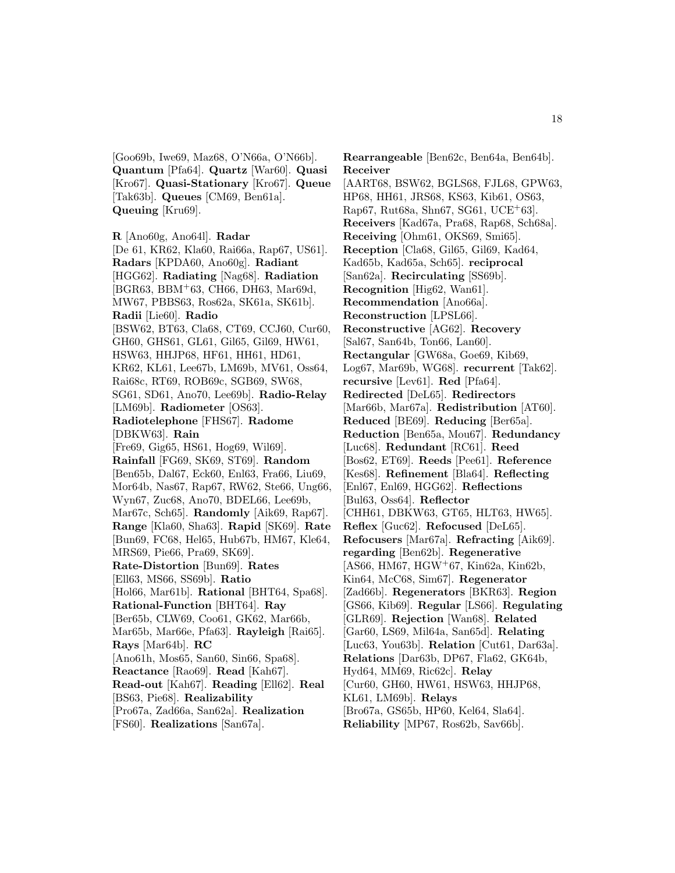[Goo69b, Iwe69, Maz68, O'N66a, O'N66b]. **Quantum** [Pfa64]. **Quartz** [War60]. **Quasi** [Kro67]. **Quasi-Stationary** [Kro67]. **Queue** [Tak63b]. **Queues** [CM69, Ben61a]. **Queuing** [Kru69].

[De 61, KR62, Kla60, Rai66a, Rap67, US61]. **Radars** [KPDA60, Ano60g]. **Radiant** [HGG62]. **Radiating** [Nag68]. **Radiation** [BGR63, BBM<sup>+</sup>63, CH66, DH63, Mar69d, MW67, PBBS63, Ros62a, SK61a, SK61b]. **Radii** [Lie60]. **Radio** [BSW62, BT63, Cla68, CT69, CCJ60, Cur60, GH60, GHS61, GL61, Gil65, Gil69, HW61, HSW63, HHJP68, HF61, HH61, HD61, KR62, KL61, Lee67b, LM69b, MV61, Oss64, Rai68c, RT69, ROB69c, SGB69, SW68, SG61, SD61, Ano70, Lee69b]. **Radio-Relay** [LM69b]. **Radiometer** [OS63]. **Radiotelephone** [FHS67]. **Radome** [DBKW63]. **Rain** [Fre69, Gig65, HS61, Hog69, Wil69]. **Rainfall** [FG69, SK69, ST69]. **Random** [Ben65b, Dal67, Eck60, Enl63, Fra66, Liu69, Mor64b, Nas67, Rap67, RW62, Ste66, Ung66, Wyn67, Zuc68, Ano70, BDEL66, Lee69b, Mar67c, Sch65]. **Randomly** [Aik69, Rap67]. **Range** [Kla60, Sha63]. **Rapid** [SK69]. **Rate** [Bun69, FC68, Hel65, Hub67b, HM67, Kle64, MRS69, Pie66, Pra69, SK69]. **Rate-Distortion** [Bun69]. **Rates** [Ell63, MS66, SS69b]. **Ratio** [Hol66, Mar61b]. **Rational** [BHT64, Spa68]. **Rational-Function** [BHT64]. **Ray** [Ber65b, CLW69, Coo61, GK62, Mar66b, Mar65b, Mar66e, Pfa63]. **Rayleigh** [Rai65]. **Rays** [Mar64b]. **RC** [Ano61h, Mos65, San60, Sin66, Spa68]. **Reactance** [Rao69]. **Read** [Kah67]. **Read-out** [Kah67]. **Reading** [Ell62]. **Real** [BS63, Pie68]. **Realizability** [Pro67a, Zad66a, San62a]. **Realization**

[FS60]. **Realizations** [San67a].

**Rearrangeable** [Ben62c, Ben64a, Ben64b]. **Receiver** [AART68, BSW62, BGLS68, FJL68, GPW63, HP68, HH61, JRS68, KS63, Kib61, OS63, Rap67, Rut68a, Shn67, SG61, UCE<sup>+</sup>63]. **Receivers** [Kad67a, Pra68, Rap68, Sch68a]. **Receiving** [Ohm61, OKS69, Smi65]. **Reception** [Cla68, Gil65, Gil69, Kad64, Kad65b, Kad65a, Sch65]. **reciprocal** [San62a]. **Recirculating** [SS69b]. **Recognition** [Hig62, Wan61]. **Recommendation** [Ano66a]. **Reconstruction** [LPSL66]. **Reconstructive** [AG62]. **Recovery** [Sal67, San64b, Ton66, Lan60]. **Rectangular** [GW68a, Goe69, Kib69, Log67, Mar69b, WG68]. **recurrent** [Tak62]. **recursive** [Lev61]. **Red** [Pfa64]. **Redirected** [DeL65]. **Redirectors** [Mar66b, Mar67a]. **Redistribution** [AT60]. **Reduced** [BE69]. **Reducing** [Ber65a]. **Reduction** [Ben65a, Mou67]. **Redundancy** [Luc68]. **Redundant** [RC61]. **Reed** [Bos62, ET69]. **Reeds** [Pee61]. **Reference** [Kes68]. **Refinement** [Bla64]. **Reflecting** [Enl67, Enl69, HGG62]. **Reflections** [Bul63, Oss64]. **Reflector** [CHH61, DBKW63, GT65, HLT63, HW65]. **Reflex** [Guc62]. **Refocused** [DeL65]. **Refocusers** [Mar67a]. **Refracting** [Aik69]. **regarding** [Ben62b]. **Regenerative** [AS66, HM67, HGW<sup>+</sup>67, Kin62a, Kin62b, Kin64, McC68, Sim67]. **Regenerator** [Zad66b]. **Regenerators** [BKR63]. **Region** [GS66, Kib69]. **Regular** [LS66]. **Regulating** [GLR69]. **Rejection** [Wan68]. **Related** [Gar60, LS69, Mil64a, San65d]. **Relating** [Luc63, You63b]. **Relation** [Cut61, Dar63a]. **Relations** [Dar63b, DP67, Fla62, GK64b, Hyd64, MM69, Ric62c]. **Relay** [Cur60, GH60, HW61, HSW63, HHJP68, KL61, LM69b]. **Relays** [Bro67a, GS65b, HP60, Kel64, Sla64]. **Reliability** [MP67, Ros62b, Sav66b].

**R** [Ano60g, Ano64l]. **Radar**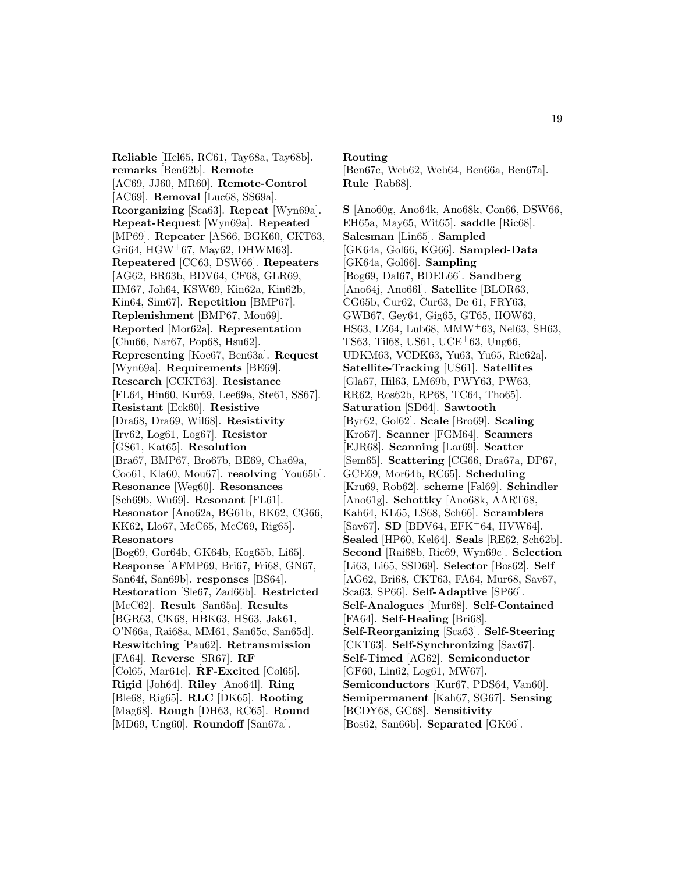**Reliable** [Hel65, RC61, Tay68a, Tay68b]. **remarks** [Ben62b]. **Remote** [AC69, JJ60, MR60]. **Remote-Control** [AC69]. **Removal** [Luc68, SS69a]. **Reorganizing** [Sca63]. **Repeat** [Wyn69a]. **Repeat-Request** [Wyn69a]. **Repeated** [MP69]. **Repeater** [AS66, BGK60, CKT63, Gri $64$ , HGW<sup>+</sup> $67$ , May $62$ , DHWM $63$ ]. **Repeatered** [CC63, DSW66]. **Repeaters** [AG62, BR63b, BDV64, CF68, GLR69, HM67, Joh64, KSW69, Kin62a, Kin62b, Kin64, Sim67]. **Repetition** [BMP67]. **Replenishment** [BMP67, Mou69]. **Reported** [Mor62a]. **Representation** [Chu66, Nar67, Pop68, Hsu62]. **Representing** [Koe67, Ben63a]. **Request** [Wyn69a]. **Requirements** [BE69]. **Research** [CCKT63]. **Resistance** [FL64, Hin60, Kur69, Lee69a, Ste61, SS67]. **Resistant** [Eck60]. **Resistive** [Dra68, Dra69, Wil68]. **Resistivity** [Irv62, Log61, Log67]. **Resistor** [GS61, Kat65]. **Resolution** [Bra67, BMP67, Bro67b, BE69, Cha69a, Coo61, Kla60, Mou67]. **resolving** [You65b]. **Resonance** [Weg60]. **Resonances** [Sch69b, Wu69]. **Resonant** [FL61]. **Resonator** [Ano62a, BG61b, BK62, CG66, KK62, Llo67, McC65, McC69, Rig65]. **Resonators** [Bog69, Gor64b, GK64b, Kog65b, Li65]. **Response** [AFMP69, Bri67, Fri68, GN67, San64f, San69b]. **responses** [BS64]. **Restoration** [Sle67, Zad66b]. **Restricted** [McC62]. **Result** [San65a]. **Results** [BGR63, CK68, HBK63, HS63, Jak61, O'N66a, Rai68a, MM61, San65c, San65d]. **Reswitching** [Pau62]. **Retransmission** [FA64]. **Reverse** [SR67]. **RF** [Col65, Mar61c]. **RF-Excited** [Col65]. **Rigid** [Joh64]. **Riley** [Ano64l]. **Ring** [Ble68, Rig65]. **RLC** [DK65]. **Rooting** [Mag68]. **Rough** [DH63, RC65]. **Round** [MD69, Ung60]. **Roundoff** [San67a].

**Routing**

[Ben67c, Web62, Web64, Ben66a, Ben67a]. **Rule** [Rab68].

**S** [Ano60g, Ano64k, Ano68k, Con66, DSW66, EH65a, May65, Wit65]. **saddle** [Ric68]. **Salesman** [Lin65]. **Sampled** [GK64a, Gol66, KG66]. **Sampled-Data** [GK64a, Gol66]. **Sampling** [Bog69, Dal67, BDEL66]. **Sandberg** [Ano64j, Ano66l]. **Satellite** [BLOR63, CG65b, Cur62, Cur63, De 61, FRY63, GWB67, Gey64, Gig65, GT65, HOW63, HS63, LZ64, Lub68, MMW<sup>+</sup>63, Nel63, SH63, TS63, Til68, US61, UCE<sup>+</sup>63, Ung66, UDKM63, VCDK63, Yu63, Yu65, Ric62a]. **Satellite-Tracking** [US61]. **Satellites** [Gla67, Hil63, LM69b, PWY63, PW63, RR62, Ros62b, RP68, TC64, Tho65]. **Saturation** [SD64]. **Sawtooth** [Byr62, Gol62]. **Scale** [Bro69]. **Scaling** [Kro67]. **Scanner** [FGM64]. **Scanners** [EJR68]. **Scanning** [Lar69]. **Scatter** [Sem65]. **Scattering** [CG66, Dra67a, DP67, GCE69, Mor64b, RC65]. **Scheduling** [Kru69, Rob62]. **scheme** [Fal69]. **Schindler** [Ano61g]. **Schottky** [Ano68k, AART68, Kah64, KL65, LS68, Sch66]. **Scramblers** [Sav67]. **SD** [BDV64, EFK<sup>+</sup>64, HVW64]. **Sealed** [HP60, Kel64]. **Seals** [RE62, Sch62b]. **Second** [Rai68b, Ric69, Wyn69c]. **Selection** [Li63, Li65, SSD69]. **Selector** [Bos62]. **Self** [AG62, Bri68, CKT63, FA64, Mur68, Sav67, Sca63, SP66]. **Self-Adaptive** [SP66]. **Self-Analogues** [Mur68]. **Self-Contained** [FA64]. **Self-Healing** [Bri68]. **Self-Reorganizing** [Sca63]. **Self-Steering** [CKT63]. **Self-Synchronizing** [Sav67]. **Self-Timed** [AG62]. **Semiconductor** [GF60, Lin62, Log61, MW67]. **Semiconductors** [Kur67, PDS64, Van60]. **Semipermanent** [Kah67, SG67]. **Sensing** [BCDY68, GC68]. **Sensitivity** [Bos62, San66b]. **Separated** [GK66].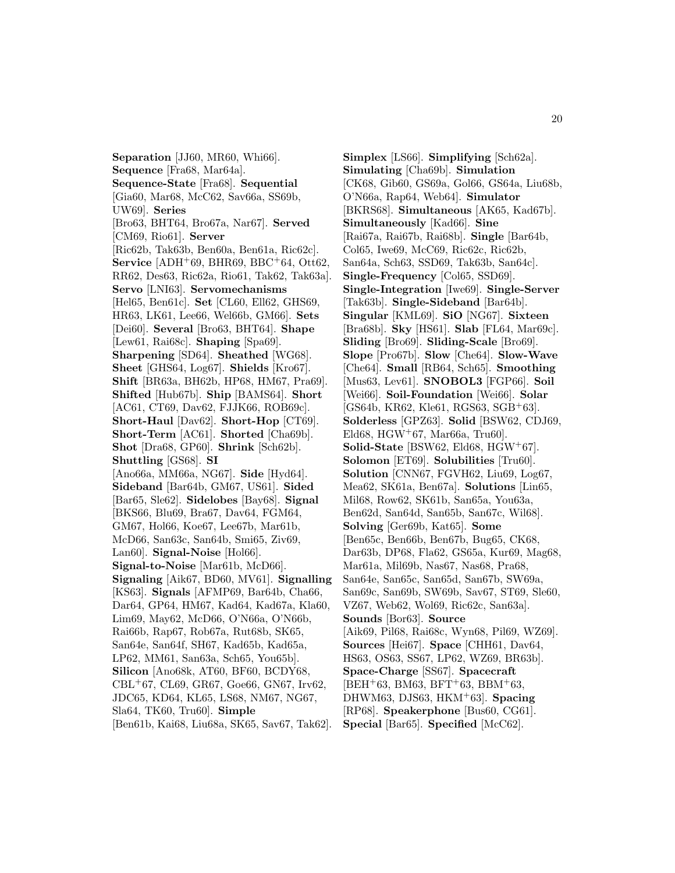**Separation** [JJ60, MR60, Whi66]. **Sequence** [Fra68, Mar64a]. **Sequence-State** [Fra68]. **Sequential** [Gia60, Mar68, McC62, Sav66a, SS69b, UW69]. **Series** [Bro63, BHT64, Bro67a, Nar67]. **Served** [CM69, Rio61]. **Server** [Ric62b, Tak63b, Ben60a, Ben61a, Ric62c]. **Service** [ADH<sup>+</sup>69, BHR69, BBC<sup>+</sup>64, Ott62, RR62, Des63, Ric62a, Rio61, Tak62, Tak63a]. **Servo** [LNI63]. **Servomechanisms** [Hel65, Ben61c]. **Set** [CL60, Ell62, GHS69, HR63, LK61, Lee66, Wel66b, GM66]. **Sets** [Dei60]. **Several** [Bro63, BHT64]. **Shape** [Lew61, Rai68c]. **Shaping** [Spa69]. **Sharpening** [SD64]. **Sheathed** [WG68]. **Sheet** [GHS64, Log67]. **Shields** [Kro67]. **Shift** [BR63a, BH62b, HP68, HM67, Pra69]. **Shifted** [Hub67b]. **Ship** [BAMS64]. **Short** [AC61, CT69, Dav62, FJJK66, ROB69c]. **Short-Haul** [Dav62]. **Short-Hop** [CT69]. **Short-Term** [AC61]. **Shorted** [Cha69b]. **Shot** [Dra68, GP60]. **Shrink** [Sch62b]. **Shuttling** [GS68]. **SI** [Ano66a, MM66a, NG67]. **Side** [Hyd64]. **Sideband** [Bar64b, GM67, US61]. **Sided** [Bar65, Sle62]. **Sidelobes** [Bay68]. **Signal** [BKS66, Blu69, Bra67, Dav64, FGM64, GM67, Hol66, Koe67, Lee67b, Mar61b, McD66, San63c, San64b, Smi65, Ziv69, Lan60]. **Signal-Noise** [Hol66]. **Signal-to-Noise** [Mar61b, McD66]. **Signaling** [Aik67, BD60, MV61]. **Signalling** [KS63]. **Signals** [AFMP69, Bar64b, Cha66, Dar64, GP64, HM67, Kad64, Kad67a, Kla60, Lim69, May62, McD66, O'N66a, O'N66b, Rai66b, Rap67, Rob67a, Rut68b, SK65, San64e, San64f, SH67, Kad65b, Kad65a, LP62, MM61, San63a, Sch65, You65b]. **Silicon** [Ano68k, AT60, BF60, BCDY68, CBL<sup>+</sup>67, CL69, GR67, Goe66, GN67, Irv62, JDC65, KD64, KL65, LS68, NM67, NG67, Sla64, TK60, Tru60]. **Simple** [Ben61b, Kai68, Liu68a, SK65, Sav67, Tak62].

**Simplex** [LS66]. **Simplifying** [Sch62a]. **Simulating** [Cha69b]. **Simulation** [CK68, Gib60, GS69a, Gol66, GS64a, Liu68b, O'N66a, Rap64, Web64]. **Simulator** [BKRS68]. **Simultaneous** [AK65, Kad67b]. **Simultaneously** [Kad66]. **Sine** [Rai67a, Rai67b, Rai68b]. **Single** [Bar64b, Col65, Iwe69, McC69, Ric62c, Ric62b, San64a, Sch63, SSD69, Tak63b, San64c]. **Single-Frequency** [Col65, SSD69]. **Single-Integration** [Iwe69]. **Single-Server** [Tak63b]. **Single-Sideband** [Bar64b]. **Singular** [KML69]. **SiO** [NG67]. **Sixteen** [Bra68b]. **Sky** [HS61]. **Slab** [FL64, Mar69c]. **Sliding** [Bro69]. **Sliding-Scale** [Bro69]. **Slope** [Pro67b]. **Slow** [Che64]. **Slow-Wave** [Che64]. **Small** [RB64, Sch65]. **Smoothing** [Mus63, Lev61]. **SNOBOL3** [FGP66]. **Soil** [Wei66]. **Soil-Foundation** [Wei66]. **Solar** [GS64b, KR62, Kle61, RGS63, SGB<sup>+</sup>63]. **Solderless** [GPZ63]. **Solid** [BSW62, CDJ69, Eld68, HGW<sup>+</sup>67, Mar66a, Tru60. **Solid-State** [BSW62, Eld68, HGW<sup>+</sup>67]. **Solomon** [ET69]. **Solubilities** [Tru60]. **Solution** [CNN67, FGVH62, Liu69, Log67, Mea62, SK61a, Ben67a]. **Solutions** [Lin65, Mil68, Row62, SK61b, San65a, You63a, Ben62d, San64d, San65b, San67c, Wil68]. **Solving** [Ger69b, Kat65]. **Some** [Ben65c, Ben66b, Ben67b, Bug65, CK68, Dar63b, DP68, Fla62, GS65a, Kur69, Mag68, Mar61a, Mil69b, Nas67, Nas68, Pra68, San64e, San65c, San65d, San67b, SW69a, San69c, San69b, SW69b, Sav67, ST69, Sle60, VZ67, Web62, Wol69, Ric62c, San63a]. **Sounds** [Bor63]. **Source** [Aik69, Pil68, Rai68c, Wyn68, Pil69, WZ69]. **Sources** [Hei67]. **Space** [CHH61, Dav64, HS63, OS63, SS67, LP62, WZ69, BR63b]. **Space-Charge** [SS67]. **Spacecraft**  $[BEH<sup>+</sup>63, BM63, BFT<sup>+</sup>63, BBM<sup>+</sup>63,$ DHWM63, DJS63, HKM<sup>+</sup>63]. **Spacing** [RP68]. **Speakerphone** [Bus60, CG61]. **Special** [Bar65]. **Specified** [McC62].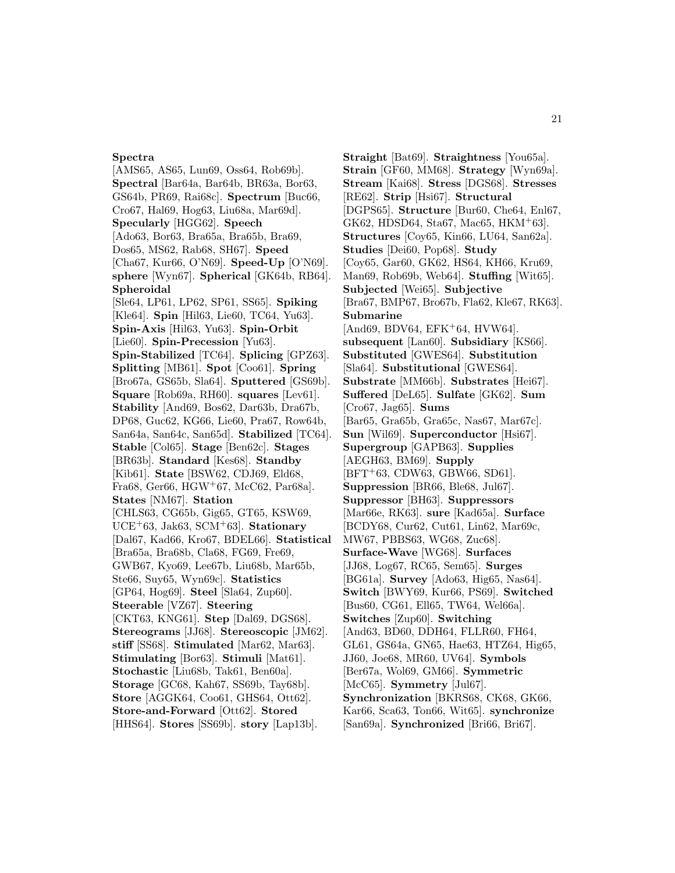## **Spectra**

[AMS65, AS65, Lun69, Oss64, Rob69b]. **Spectral** [Bar64a, Bar64b, BR63a, Bor63, GS64b, PR69, Rai68c]. **Spectrum** [Buc66, Cro67, Hal69, Hog63, Liu68a, Mar69d]. **Specularly** [HGG62]. **Speech** [Ado63, Bor63, Bra65a, Bra65b, Bra69, Dos65, MS62, Rab68, SH67]. **Speed** [Cha67, Kur66, O'N69]. **Speed-Up** [O'N69]. **sphere** [Wyn67]. **Spherical** [GK64b, RB64]. **Spheroidal** [Sle64, LP61, LP62, SP61, SS65]. **Spiking** [Kle64]. **Spin** [Hil63, Lie60, TC64, Yu63]. **Spin-Axis** [Hil63, Yu63]. **Spin-Orbit** [Lie60]. **Spin-Precession** [Yu63]. **Spin-Stabilized** [TC64]. **Splicing** [GPZ63]. **Splitting** [MB61]. **Spot** [Coo61]. **Spring** [Bro67a, GS65b, Sla64]. **Sputtered** [GS69b]. **Square** [Rob69a, RH60]. **squares** [Lev61]. **Stability** [And69, Bos62, Dar63b, Dra67b, DP68, Guc62, KG66, Lie60, Pra67, Row64b, San64a, San64c, San65d]. **Stabilized** [TC64]. **Stable** [Col65]. **Stage** [Ben62c]. **Stages** [BR63b]. **Standard** [Kes68]. **Standby** [Kib61]. **State** [BSW62, CDJ69, Eld68, Fra68, Ger66, HGW<sup>+</sup>67, McC62, Par68a]. **States** [NM67]. **Station** [CHLS63, CG65b, Gig65, GT65, KSW69, UCE<sup>+</sup>63, Jak63, SCM<sup>+</sup>63]. **Stationary** [Dal67, Kad66, Kro67, BDEL66]. **Statistical** [Bra65a, Bra68b, Cla68, FG69, Fre69, GWB67, Kyo69, Lee67b, Liu68b, Mar65b, Ste66, Suy65, Wyn69c]. **Statistics** [GP64, Hog69]. **Steel** [Sla64, Zup60]. **Steerable** [VZ67]. **Steering** [CKT63, KNG61]. **Step** [Dal69, DGS68]. **Stereograms** [JJ68]. **Stereoscopic** [JM62]. **stiff** [SS68]. **Stimulated** [Mar62, Mar63]. **Stimulating** [Bor63]. **Stimuli** [Mat61]. **Stochastic** [Liu68b, Tak61, Ben60a]. **Storage** [GC68, Kah67, SS69b, Tay68b]. **Store** [AGGK64, Coo61, GHS64, Ott62]. **Store-and-Forward** [Ott62]. **Stored** [HHS64]. **Stores** [SS69b]. **story** [Lap13b].

**Straight** [Bat69]. **Straightness** [You65a]. **Strain** [GF60, MM68]. **Strategy** [Wyn69a]. **Stream** [Kai68]. **Stress** [DGS68]. **Stresses** [RE62]. **Strip** [Hsi67]. **Structural** [DGPS65]. **Structure** [Bur60, Che64, Enl67, GK62, HDSD64, Sta67, Mac65, HKM<sup>+</sup>63]. **Structures** [Coy65, Kin66, LU64, San62a]. **Studies** [Dei60, Pop68]. **Study** [Coy65, Gar60, GK62, HS64, KH66, Kru69, Man69, Rob69b, Web64]. **Stuffing** [Wit65]. **Subjected** [Wei65]. **Subjective** [Bra67, BMP67, Bro67b, Fla62, Kle67, RK63]. **Submarine**  $[And69, BDV64, EFK<sup>+</sup>64, HVW64].$ **subsequent** [Lan60]. **Subsidiary** [KS66]. **Substituted** [GWES64]. **Substitution** [Sla64]. **Substitutional** [GWES64]. **Substrate** [MM66b]. **Substrates** [Hei67]. **Suffered** [DeL65]. **Sulfate** [GK62]. **Sum** [Cro67, Jag65]. **Sums** [Bar65, Gra65b, Gra65c, Nas67, Mar67c]. **Sun** [Wil69]. **Superconductor** [Hsi67]. **Supergroup** [GAPB63]. **Supplies** [AEGH63, BM69]. **Supply** [BFT<sup>+</sup>63, CDW63, GBW66, SD61]. **Suppression** [BR66, Ble68, Jul67]. **Suppressor** [BH63]. **Suppressors** [Mar66e, RK63]. **sure** [Kad65a]. **Surface** [BCDY68, Cur62, Cut61, Lin62, Mar69c, MW67, PBBS63, WG68, Zuc68]. **Surface-Wave** [WG68]. **Surfaces** [JJ68, Log67, RC65, Sem65]. **Surges** [BG61a]. **Survey** [Ado63, Hig65, Nas64]. **Switch** [BWY69, Kur66, PS69]. **Switched** [Bus60, CG61, Ell65, TW64, Wel66a]. **Switches** [Zup60]. **Switching** [And63, BD60, DDH64, FLLR60, FH64, GL61, GS64a, GN65, Hae63, HTZ64, Hig65, JJ60, Joe68, MR60, UV64]. **Symbols** [Ber67a, Wol69, GM66]. **Symmetric** [McC65]. **Symmetry** [Jul67]. **Synchronization** [BKRS68, CK68, GK66, Kar66, Sca63, Ton66, Wit65]. **synchronize** [San69a]. **Synchronized** [Bri66, Bri67].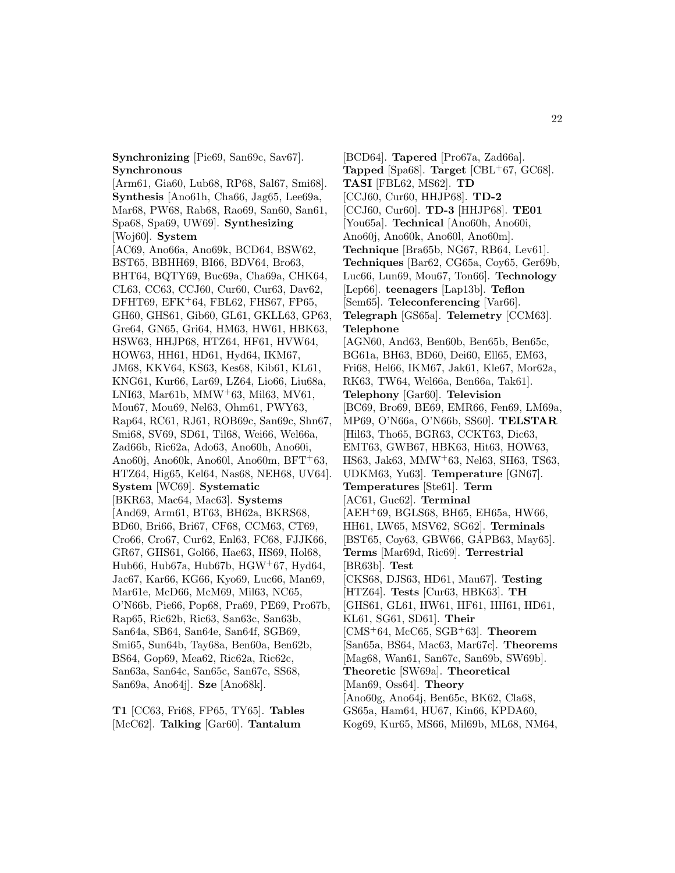**Synchronizing** [Pie69, San69c, Sav67]. **Synchronous**

[Arm61, Gia60, Lub68, RP68, Sal67, Smi68]. **Synthesis** [Ano61h, Cha66, Jag65, Lee69a, Mar68, PW68, Rab68, Rao69, San60, San61, Spa68, Spa69, UW69]. **Synthesizing** [Woj60]. **System** [AC69, Ano66a, Ano69k, BCD64, BSW62, BST65, BBHH69, BI66, BDV64, Bro63, BHT64, BQTY69, Buc69a, Cha69a, CHK64, CL63, CC63, CCJ60, Cur60, Cur63, Dav62, DFHT69, EFK<sup>+</sup>64, FBL62, FHS67, FP65, GH60, GHS61, Gib60, GL61, GKLL63, GP63, Gre64, GN65, Gri64, HM63, HW61, HBK63, HSW63, HHJP68, HTZ64, HF61, HVW64, HOW63, HH61, HD61, Hyd64, IKM67, JM68, KKV64, KS63, Kes68, Kib61, KL61, KNG61, Kur66, Lar69, LZ64, Lio66, Liu68a, LNI63, Mar61b, MMW<sup>+</sup>63, Mil63, MV61, Mou67, Mou69, Nel63, Ohm61, PWY63, Rap64, RC61, RJ61, ROB69c, San69c, Shn67, Smi68, SV69, SD61, Til68, Wei66, Wel66a, Zad66b, Ric62a, Ado63, Ano60h, Ano60i, Ano60j, Ano60k, Ano60l, Ano60m, BFT<sup>+</sup>63, HTZ64, Hig65, Kel64, Nas68, NEH68, UV64]. **System** [WC69]. **Systematic** [BKR63, Mac64, Mac63]. **Systems** [And69, Arm61, BT63, BH62a, BKRS68, BD60, Bri66, Bri67, CF68, CCM63, CT69, Cro66, Cro67, Cur62, Enl63, FC68, FJJK66, GR67, GHS61, Gol66, Hae63, HS69, Hol68, Hub66, Hub67a, Hub67b, HGW<sup>+</sup>67, Hyd64, Jac67, Kar66, KG66, Kyo69, Luc66, Man69, Mar61e, McD66, McM69, Mil63, NC65, O'N66b, Pie66, Pop68, Pra69, PE69, Pro67b, Rap65, Ric62b, Ric63, San63c, San63b, San64a, SB64, San64e, San64f, SGB69, Smi65, Sun64b, Tay68a, Ben60a, Ben62b, BS64, Gop69, Mea62, Ric62a, Ric62c, San63a, San64c, San65c, San67c, SS68, San69a, Ano64j]. **Sze** [Ano68k].

**T1** [CC63, Fri68, FP65, TY65]. **Tables** [McC62]. **Talking** [Gar60]. **Tantalum**

[BCD64]. **Tapered** [Pro67a, Zad66a]. **Tapped** [Spa68]. **Target** [CBL<sup>+</sup>67, GC68]. **TASI** [FBL62, MS62]. **TD** [CCJ60, Cur60, HHJP68]. **TD-2** [CCJ60, Cur60]. **TD-3** [HHJP68]. **TE01** [You65a]. **Technical** [Ano60h, Ano60i, Ano60j, Ano60k, Ano60l, Ano60m]. **Technique** [Bra65b, NG67, RB64, Lev61]. **Techniques** [Bar62, CG65a, Coy65, Ger69b, Luc66, Lun69, Mou67, Ton66]. **Technology** [Lep66]. **teenagers** [Lap13b]. **Teflon** [Sem65]. **Teleconferencing** [Var66]. **Telegraph** [GS65a]. **Telemetry** [CCM63]. **Telephone** [AGN60, And63, Ben60b, Ben65b, Ben65c, BG61a, BH63, BD60, Dei60, Ell65, EM63, Fri68, Hel66, IKM67, Jak61, Kle67, Mor62a, RK63, TW64, Wel66a, Ben66a, Tak61]. **Telephony** [Gar60]. **Television** [BC69, Bro69, BE69, EMR66, Fen69, LM69a, MP69, O'N66a, O'N66b, SS60]. **TELSTAR** [Hil63, Tho65, BGR63, CCKT63, Dic63, EMT63, GWB67, HBK63, Hit63, HOW63, HS63, Jak63, MMW<sup>+</sup>63, Nel63, SH63, TS63, UDKM63, Yu63]. **Temperature** [GN67]. **Temperatures** [Ste61]. **Term** [AC61, Guc62]. **Terminal** [AEH<sup>+</sup>69, BGLS68, BH65, EH65a, HW66, HH61, LW65, MSV62, SG62]. **Terminals** [BST65, Coy63, GBW66, GAPB63, May65]. **Terms** [Mar69d, Ric69]. **Terrestrial** [BR63b]. **Test** [CKS68, DJS63, HD61, Mau67]. **Testing** [HTZ64]. **Tests** [Cur63, HBK63]. **TH** [GHS61, GL61, HW61, HF61, HH61, HD61, KL61, SG61, SD61]. **Their** [CMS<sup>+</sup>64, McC65, SGB<sup>+</sup>63]. **Theorem** [San65a, BS64, Mac63, Mar67c]. **Theorems** [Mag68, Wan61, San67c, San69b, SW69b]. **Theoretic** [SW69a]. **Theoretical** [Man69, Oss64]. **Theory** [Ano60g, Ano64j, Ben65c, BK62, Cla68, GS65a, Ham64, HU67, Kin66, KPDA60, Kog69, Kur65, MS66, Mil69b, ML68, NM64,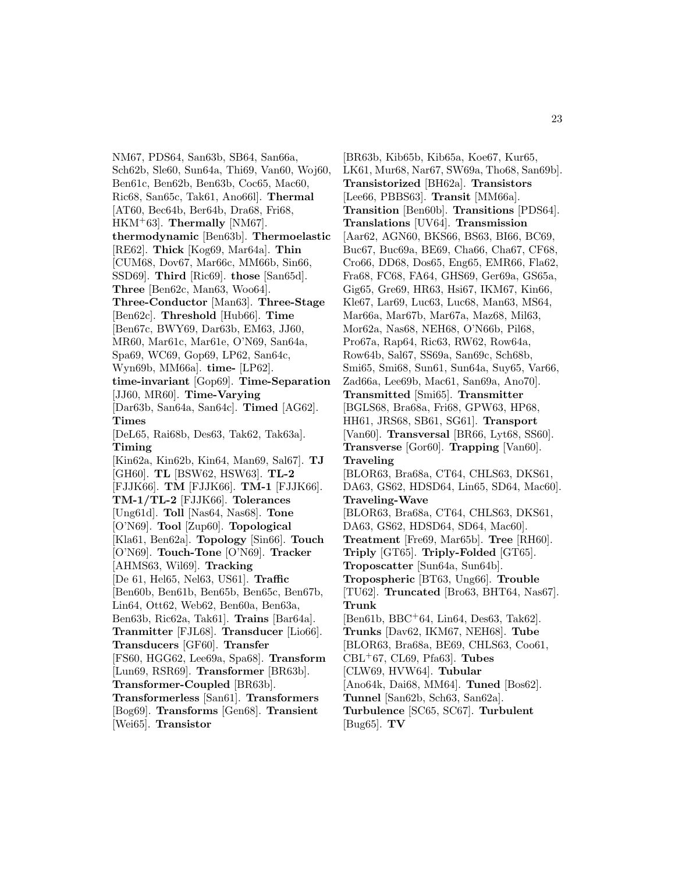NM67, PDS64, San63b, SB64, San66a, Sch62b, Sle60, Sun64a, Thi69, Van60, Woj60, Ben61c, Ben62b, Ben63b, Coc65, Mac60, Ric68, San65c, Tak61, Ano66l]. **Thermal** [AT60, Bec64b, Ber64b, Dra68, Fri68, HKM<sup>+</sup>63]. **Thermally** [NM67]. **thermodynamic** [Ben63b]. **Thermoelastic** [RE62]. **Thick** [Kog69, Mar64a]. **Thin** [CUM68, Dov67, Mar66c, MM66b, Sin66, SSD69]. **Third** [Ric69]. **those** [San65d]. **Three** [Ben62c, Man63, Woo64]. **Three-Conductor** [Man63]. **Three-Stage** [Ben62c]. **Threshold** [Hub66]. **Time** [Ben67c, BWY69, Dar63b, EM63, JJ60, MR60, Mar61c, Mar61e, O'N69, San64a, Spa69, WC69, Gop69, LP62, San64c, Wyn69b, MM66a]. **time-** [LP62]. **time-invariant** [Gop69]. **Time-Separation** [JJ60, MR60]. **Time-Varying** [Dar63b, San64a, San64c]. **Timed** [AG62]. **Times** [DeL65, Rai68b, Des63, Tak62, Tak63a]. **Timing** [Kin62a, Kin62b, Kin64, Man69, Sal67]. **TJ** [GH60]. **TL** [BSW62, HSW63]. **TL-2** [FJJK66]. **TM** [FJJK66]. **TM-1** [FJJK66]. **TM-1/TL-2** [FJJK66]. **Tolerances** [Ung61d]. **Toll** [Nas64, Nas68]. **Tone** [O'N69]. **Tool** [Zup60]. **Topological** [Kla61, Ben62a]. **Topology** [Sin66]. **Touch** [O'N69]. **Touch-Tone** [O'N69]. **Tracker** [AHMS63, Wil69]. **Tracking** [De 61, Hel65, Nel63, US61]. **Traffic** [Ben60b, Ben61b, Ben65b, Ben65c, Ben67b, Lin64, Ott62, Web62, Ben60a, Ben63a, Ben63b, Ric62a, Tak61]. **Trains** [Bar64a]. **Tranmitter** [FJL68]. **Transducer** [Lio66]. **Transducers** [GF60]. **Transfer** [FS60, HGG62, Lee69a, Spa68]. **Transform** [Lun69, RSR69]. **Transformer** [BR63b]. **Transformer-Coupled** [BR63b]. **Transformerless** [San61]. **Transformers** [Bog69]. **Transforms** [Gen68]. **Transient** [Wei65]. **Transistor**

[BR63b, Kib65b, Kib65a, Koe67, Kur65, LK61, Mur68, Nar67, SW69a, Tho68, San69b]. **Transistorized** [BH62a]. **Transistors** [Lee66, PBBS63]. **Transit** [MM66a]. **Transition** [Ben60b]. **Transitions** [PDS64]. **Translations** [UV64]. **Transmission** [Aar62, AGN60, BKS66, BS63, BI66, BC69, Buc67, Buc69a, BE69, Cha66, Cha67, CF68, Cro66, DD68, Dos65, Eng65, EMR66, Fla62, Fra68, FC68, FA64, GHS69, Ger69a, GS65a, Gig65, Gre69, HR63, Hsi67, IKM67, Kin66, Kle67, Lar69, Luc63, Luc68, Man63, MS64, Mar66a, Mar67b, Mar67a, Maz68, Mil63, Mor62a, Nas68, NEH68, O'N66b, Pil68, Pro67a, Rap64, Ric63, RW62, Row64a, Row64b, Sal67, SS69a, San69c, Sch68b, Smi65, Smi68, Sun61, Sun64a, Suy65, Var66, Zad66a, Lee69b, Mac61, San69a, Ano70]. **Transmitted** [Smi65]. **Transmitter** [BGLS68, Bra68a, Fri68, GPW63, HP68, HH61, JRS68, SB61, SG61]. **Transport** [Van60]. **Transversal** [BR66, Lyt68, SS60]. **Transverse** [Gor60]. **Trapping** [Van60]. **Traveling** [BLOR63, Bra68a, CT64, CHLS63, DKS61, DA63, GS62, HDSD64, Lin65, SD64, Mac60]. **Traveling-Wave** [BLOR63, Bra68a, CT64, CHLS63, DKS61, DA63, GS62, HDSD64, SD64, Mac60]. **Treatment** [Fre69, Mar65b]. **Tree** [RH60]. **Triply** [GT65]. **Triply-Folded** [GT65]. **Troposcatter** [Sun64a, Sun64b]. **Tropospheric** [BT63, Ung66]. **Trouble** [TU62]. **Truncated** [Bro63, BHT64, Nas67]. **Trunk** [Ben61b, BBC<sup>+</sup>64, Lin64, Des63, Tak62]. **Trunks** [Dav62, IKM67, NEH68]. **Tube** [BLOR63, Bra68a, BE69, CHLS63, Coo61, CBL<sup>+</sup>67, CL69, Pfa63]. **Tubes** [CLW69, HVW64]. **Tubular** [Ano64k, Dai68, MM64]. **Tuned** [Bos62]. **Tunnel** [San62b, Sch63, San62a]. **Turbulence** [SC65, SC67]. **Turbulent** [Bug65]. **TV**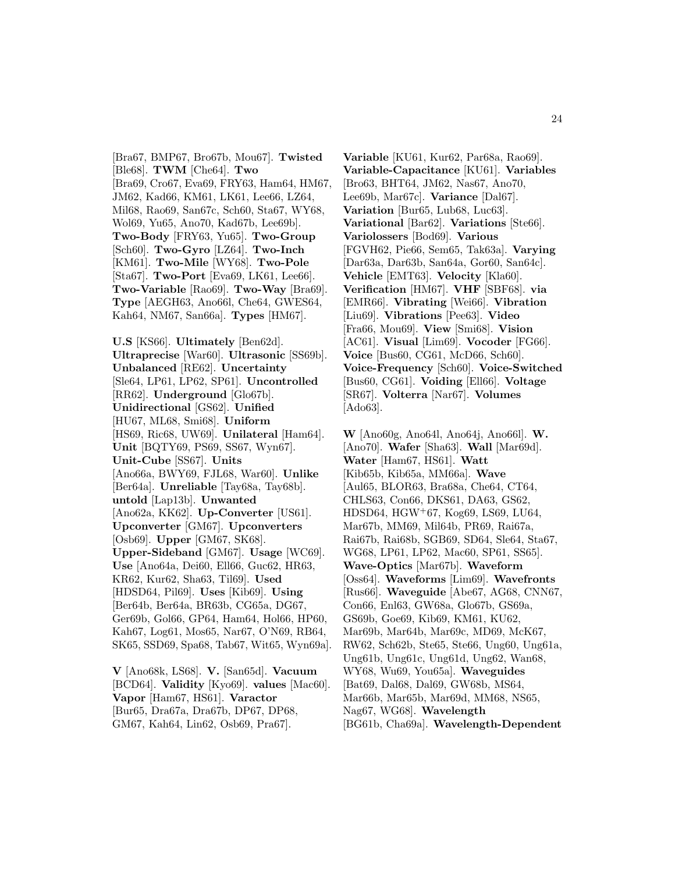[Bra67, BMP67, Bro67b, Mou67]. **Twisted** [Ble68]. **TWM** [Che64]. **Two** [Bra69, Cro67, Eva69, FRY63, Ham64, HM67, JM62, Kad66, KM61, LK61, Lee66, LZ64, Mil68, Rao69, San67c, Sch60, Sta67, WY68, Wol69, Yu65, Ano70, Kad67b, Lee69b]. **Two-Body** [FRY63, Yu65]. **Two-Group** [Sch60]. **Two-Gyro** [LZ64]. **Two-Inch** [KM61]. **Two-Mile** [WY68]. **Two-Pole** [Sta67]. **Two-Port** [Eva69, LK61, Lee66]. **Two-Variable** [Rao69]. **Two-Way** [Bra69]. **Type** [AEGH63, Ano66l, Che64, GWES64, Kah64, NM67, San66a]. **Types** [HM67].

**U.S** [KS66]. **Ultimately** [Ben62d]. **Ultraprecise** [War60]. **Ultrasonic** [SS69b]. **Unbalanced** [RE62]. **Uncertainty** [Sle64, LP61, LP62, SP61]. **Uncontrolled** [RR62]. **Underground** [Glo67b]. **Unidirectional** [GS62]. **Unified** [HU67, ML68, Smi68]. **Uniform** [HS69, Ric68, UW69]. **Unilateral** [Ham64]. **Unit** [BQTY69, PS69, SS67, Wyn67]. **Unit-Cube** [SS67]. **Units** [Ano66a, BWY69, FJL68, War60]. **Unlike** [Ber64a]. **Unreliable** [Tay68a, Tay68b]. **untold** [Lap13b]. **Unwanted** [Ano62a, KK62]. **Up-Converter** [US61]. **Upconverter** [GM67]. **Upconverters** [Osb69]. **Upper** [GM67, SK68]. **Upper-Sideband** [GM67]. **Usage** [WC69]. **Use** [Ano64a, Dei60, Ell66, Guc62, HR63, KR62, Kur62, Sha63, Til69]. **Used** [HDSD64, Pil69]. **Uses** [Kib69]. **Using** [Ber64b, Ber64a, BR63b, CG65a, DG67, Ger69b, Gol66, GP64, Ham64, Hol66, HP60, Kah67, Log61, Mos65, Nar67, O'N69, RB64, SK65, SSD69, Spa68, Tab67, Wit65, Wyn69a].

**V** [Ano68k, LS68]. **V.** [San65d]. **Vacuum** [BCD64]. **Validity** [Kyo69]. **values** [Mac60]. **Vapor** [Ham67, HS61]. **Varactor** [Bur65, Dra67a, Dra67b, DP67, DP68, GM67, Kah64, Lin62, Osb69, Pra67].

**Variable** [KU61, Kur62, Par68a, Rao69]. **Variable-Capacitance** [KU61]. **Variables** [Bro63, BHT64, JM62, Nas67, Ano70, Lee69b, Mar67c]. **Variance** [Dal67]. **Variation** [Bur65, Lub68, Luc63]. **Variational** [Bar62]. **Variations** [Ste66]. **Variolossers** [Bod69]. **Various** [FGVH62, Pie66, Sem65, Tak63a]. **Varying** [Dar63a, Dar63b, San64a, Gor60, San64c]. **Vehicle** [EMT63]. **Velocity** [Kla60]. **Verification** [HM67]. **VHF** [SBF68]. **via** [EMR66]. **Vibrating** [Wei66]. **Vibration** [Liu69]. **Vibrations** [Pee63]. **Video** [Fra66, Mou69]. **View** [Smi68]. **Vision** [AC61]. **Visual** [Lim69]. **Vocoder** [FG66]. **Voice** [Bus60, CG61, McD66, Sch60]. **Voice-Frequency** [Sch60]. **Voice-Switched** [Bus60, CG61]. **Voiding** [Ell66]. **Voltage** [SR67]. **Volterra** [Nar67]. **Volumes** [Ado63].

**W** [Ano60g, Ano64l, Ano64j, Ano66l]. **W.** [Ano70]. **Wafer** [Sha63]. **Wall** [Mar69d]. **Water** [Ham67, HS61]. **Watt** [Kib65b, Kib65a, MM66a]. **Wave** [Aul65, BLOR63, Bra68a, Che64, CT64, CHLS63, Con66, DKS61, DA63, GS62, HDSD64, HGW<sup>+</sup>67, Kog69, LS69, LU64, Mar67b, MM69, Mil64b, PR69, Rai67a, Rai67b, Rai68b, SGB69, SD64, Sle64, Sta67, WG68, LP61, LP62, Mac60, SP61, SS65]. **Wave-Optics** [Mar67b]. **Waveform** [Oss64]. **Waveforms** [Lim69]. **Wavefronts** [Rus66]. **Waveguide** [Abe67, AG68, CNN67, Con66, Enl63, GW68a, Glo67b, GS69a, GS69b, Goe69, Kib69, KM61, KU62, Mar69b, Mar64b, Mar69c, MD69, McK67, RW62, Sch62b, Ste65, Ste66, Ung60, Ung61a, Ung61b, Ung61c, Ung61d, Ung62, Wan68, WY68, Wu69, You65a]. **Waveguides** [Bat69, Dal68, Dal69, GW68b, MS64, Mar66b, Mar65b, Mar69d, MM68, NS65, Nag67, WG68]. **Wavelength** [BG61b, Cha69a]. **Wavelength-Dependent**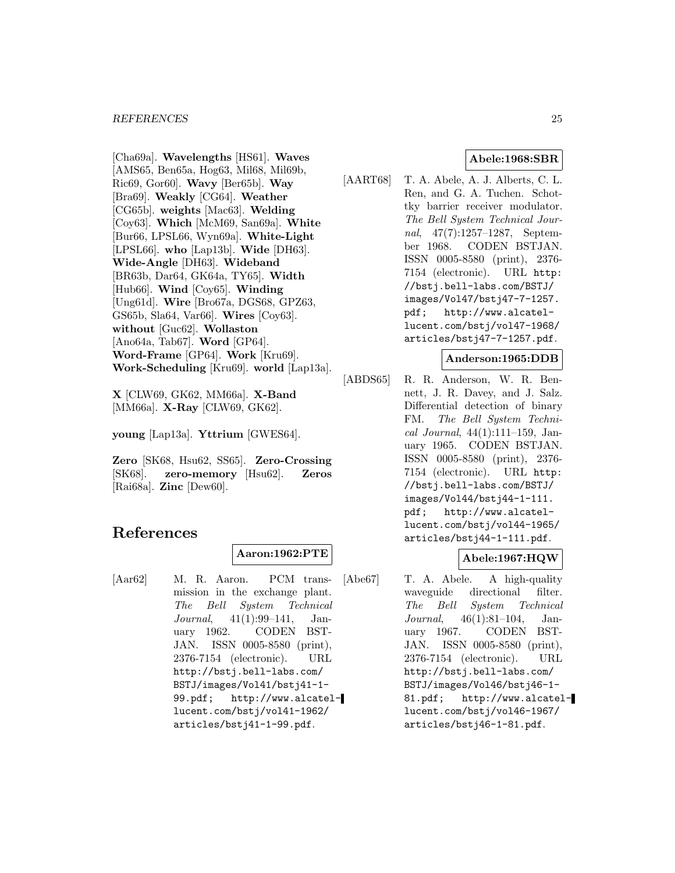#### *REFERENCES* 25

[Cha69a]. **Wavelengths** [HS61]. **Waves** [AMS65, Ben65a, Hog63, Mil68, Mil69b, Ric69, Gor60]. **Wavy** [Ber65b]. **Way** [Bra69]. **Weakly** [CG64]. **Weather** [CG65b]. **weights** [Mac63]. **Welding** [Coy63]. **Which** [McM69, San69a]. **White** [Bur66, LPSL66, Wyn69a]. **White-Light** [LPSL66]. **who** [Lap13b]. **Wide** [DH63]. **Wide-Angle** [DH63]. **Wideband** [BR63b, Dar64, GK64a, TY65]. **Width** [Hub66]. **Wind** [Coy65]. **Winding** [Ung61d]. **Wire** [Bro67a, DGS68, GPZ63, GS65b, Sla64, Var66]. **Wires** [Coy63]. **without** [Guc62]. **Wollaston** [Ano64a, Tab67]. **Word** [GP64]. **Word-Frame** [GP64]. **Work** [Kru69]. **Work-Scheduling** [Kru69]. **world** [Lap13a].

**X** [CLW69, GK62, MM66a]. **X-Band** [MM66a]. **X-Ray** [CLW69, GK62].

**young** [Lap13a]. **Yttrium** [GWES64].

**Zero** [SK68, Hsu62, SS65]. **Zero-Crossing** [SK68]. **zero-memory** [Hsu62]. **Zeros** [Rai68a]. **Zinc** [Dew60].

# **References**

## **Aaron:1962:PTE**

[Aar62] M. R. Aaron. PCM transmission in the exchange plant. The Bell System Technical Journal, 41(1):99–141, January 1962. CODEN BST-JAN. ISSN 0005-8580 (print), 2376-7154 (electronic). URL http://bstj.bell-labs.com/ BSTJ/images/Vol41/bstj41-1- 99.pdf; http://www.alcatellucent.com/bstj/vol41-1962/ articles/bstj41-1-99.pdf.

## **Abele:1968:SBR**

[AART68] T. A. Abele, A. J. Alberts, C. L. Ren, and G. A. Tuchen. Schottky barrier receiver modulator. The Bell System Technical Journal, 47(7):1257–1287, September 1968. CODEN BSTJAN. ISSN 0005-8580 (print), 2376- 7154 (electronic). URL http: //bstj.bell-labs.com/BSTJ/ images/Vol47/bstj47-7-1257. pdf; http://www.alcatellucent.com/bstj/vol47-1968/ articles/bstj47-7-1257.pdf.

## **Anderson:1965:DDB**

[ABDS65] R. R. Anderson, W. R. Bennett, J. R. Davey, and J. Salz. Differential detection of binary FM. The Bell System Technical Journal,  $44(1):111-159$ , January 1965. CODEN BSTJAN. ISSN 0005-8580 (print), 2376- 7154 (electronic). URL http: //bstj.bell-labs.com/BSTJ/ images/Vol44/bstj44-1-111. pdf; http://www.alcatellucent.com/bstj/vol44-1965/ articles/bstj44-1-111.pdf.

## **Abele:1967:HQW**

[Abe67] T. A. Abele. A high-quality waveguide directional filter. The Bell System Technical Journal, 46(1):81–104, January 1967. CODEN BST-JAN. ISSN 0005-8580 (print), 2376-7154 (electronic). URL http://bstj.bell-labs.com/ BSTJ/images/Vol46/bstj46-1- 81.pdf; http://www.alcatellucent.com/bstj/vol46-1967/ articles/bstj46-1-81.pdf.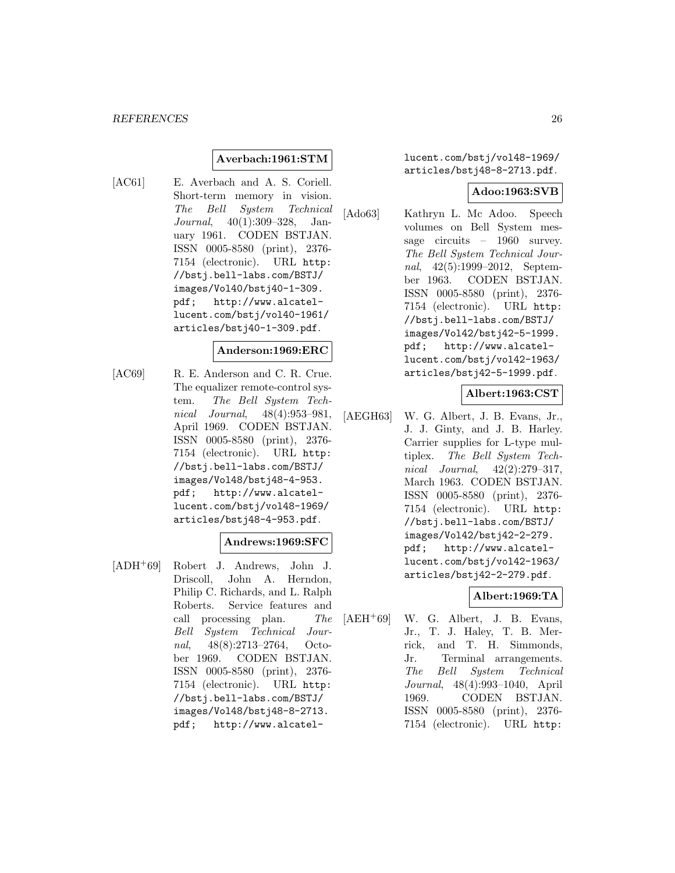## **Averbach:1961:STM**

[AC61] E. Averbach and A. S. Coriell. Short-term memory in vision. The Bell System Technical Journal, 40(1):309–328, January 1961. CODEN BSTJAN. ISSN 0005-8580 (print), 2376- 7154 (electronic). URL http: //bstj.bell-labs.com/BSTJ/ images/Vol40/bstj40-1-309. pdf; http://www.alcatellucent.com/bstj/vol40-1961/ articles/bstj40-1-309.pdf.

#### **Anderson:1969:ERC**

[AC69] R. E. Anderson and C. R. Crue. The equalizer remote-control system. The Bell System Technical Journal, 48(4):953–981, April 1969. CODEN BSTJAN. ISSN 0005-8580 (print), 2376- 7154 (electronic). URL http: //bstj.bell-labs.com/BSTJ/ images/Vol48/bstj48-4-953. pdf; http://www.alcatellucent.com/bstj/vol48-1969/ articles/bstj48-4-953.pdf.

#### **Andrews:1969:SFC**

[ADH<sup>+</sup>69] Robert J. Andrews, John J. Driscoll, John A. Herndon, Philip C. Richards, and L. Ralph Roberts. Service features and call processing plan. The Bell System Technical Journal, 48(8):2713–2764, October 1969. CODEN BSTJAN. ISSN 0005-8580 (print), 2376- 7154 (electronic). URL http: //bstj.bell-labs.com/BSTJ/ images/Vol48/bstj48-8-2713. pdf; http://www.alcatellucent.com/bstj/vol48-1969/ articles/bstj48-8-2713.pdf.

#### **Adoo:1963:SVB**

[Ado63] Kathryn L. Mc Adoo. Speech volumes on Bell System message circuits – 1960 survey. The Bell System Technical Journal, 42(5):1999–2012, September 1963. CODEN BSTJAN. ISSN 0005-8580 (print), 2376- 7154 (electronic). URL http: //bstj.bell-labs.com/BSTJ/ images/Vol42/bstj42-5-1999. pdf; http://www.alcatellucent.com/bstj/vol42-1963/ articles/bstj42-5-1999.pdf.

#### **Albert:1963:CST**

[AEGH63] W. G. Albert, J. B. Evans, Jr., J. J. Ginty, and J. B. Harley. Carrier supplies for L-type multiplex. The Bell System Technical Journal, 42(2):279–317, March 1963. CODEN BSTJAN. ISSN 0005-8580 (print), 2376- 7154 (electronic). URL http: //bstj.bell-labs.com/BSTJ/ images/Vol42/bstj42-2-279. pdf; http://www.alcatellucent.com/bstj/vol42-1963/ articles/bstj42-2-279.pdf.

## **Albert:1969:TA**

[AEH<sup>+</sup>69] W. G. Albert, J. B. Evans, Jr., T. J. Haley, T. B. Merrick, and T. H. Simmonds, Jr. Terminal arrangements. The Bell System Technical Journal, 48(4):993–1040, April 1969. CODEN BSTJAN. ISSN 0005-8580 (print), 2376- 7154 (electronic). URL http: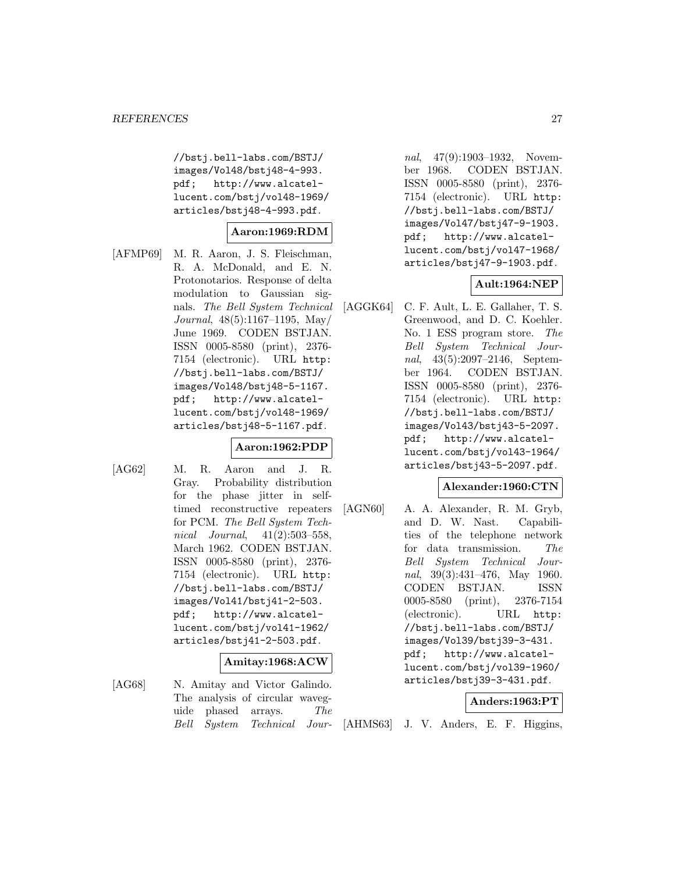//bstj.bell-labs.com/BSTJ/ images/Vol48/bstj48-4-993. pdf; http://www.alcatellucent.com/bstj/vol48-1969/ articles/bstj48-4-993.pdf.

## **Aaron:1969:RDM**

[AFMP69] M. R. Aaron, J. S. Fleischman, R. A. McDonald, and E. N. Protonotarios. Response of delta modulation to Gaussian signals. The Bell System Technical Journal, 48(5):1167–1195, May/ June 1969. CODEN BSTJAN. ISSN 0005-8580 (print), 2376- 7154 (electronic). URL http: //bstj.bell-labs.com/BSTJ/ images/Vol48/bstj48-5-1167. pdf; http://www.alcatellucent.com/bstj/vol48-1969/ articles/bstj48-5-1167.pdf.

## **Aaron:1962:PDP**

- 
- [AG62] M. R. Aaron and J. R. Gray. Probability distribution for the phase jitter in selftimed reconstructive repeaters for PCM. The Bell System Technical Journal,  $41(2):503-558$ , March 1962. CODEN BSTJAN. ISSN 0005-8580 (print), 2376- 7154 (electronic). URL http: //bstj.bell-labs.com/BSTJ/ images/Vol41/bstj41-2-503. pdf; http://www.alcatellucent.com/bstj/vol41-1962/ articles/bstj41-2-503.pdf.

#### **Amitay:1968:ACW**

[AG68] N. Amitay and Victor Galindo. The analysis of circular waveguide phased arrays. The Bell System Technical Jour-

nal, 47(9):1903–1932, November 1968. CODEN BSTJAN. ISSN 0005-8580 (print), 2376- 7154 (electronic). URL http: //bstj.bell-labs.com/BSTJ/ images/Vol47/bstj47-9-1903. pdf; http://www.alcatellucent.com/bstj/vol47-1968/ articles/bstj47-9-1903.pdf.

## **Ault:1964:NEP**

[AGGK64] C. F. Ault, L. E. Gallaher, T. S. Greenwood, and D. C. Koehler. No. 1 ESS program store. The Bell System Technical Journal, 43(5):2097–2146, September 1964. CODEN BSTJAN. ISSN 0005-8580 (print), 2376- 7154 (electronic). URL http: //bstj.bell-labs.com/BSTJ/ images/Vol43/bstj43-5-2097. pdf; http://www.alcatellucent.com/bstj/vol43-1964/ articles/bstj43-5-2097.pdf.

## **Alexander:1960:CTN**

[AGN60] A. A. Alexander, R. M. Gryb, and D. W. Nast. Capabilities of the telephone network for data transmission. The Bell System Technical Journal, 39(3):431–476, May 1960. CODEN BSTJAN. ISSN 0005-8580 (print), 2376-7154 (electronic). URL http: //bstj.bell-labs.com/BSTJ/ images/Vol39/bstj39-3-431. pdf; http://www.alcatellucent.com/bstj/vol39-1960/ articles/bstj39-3-431.pdf.

## **Anders:1963:PT**

[AHMS63] J. V. Anders, E. F. Higgins,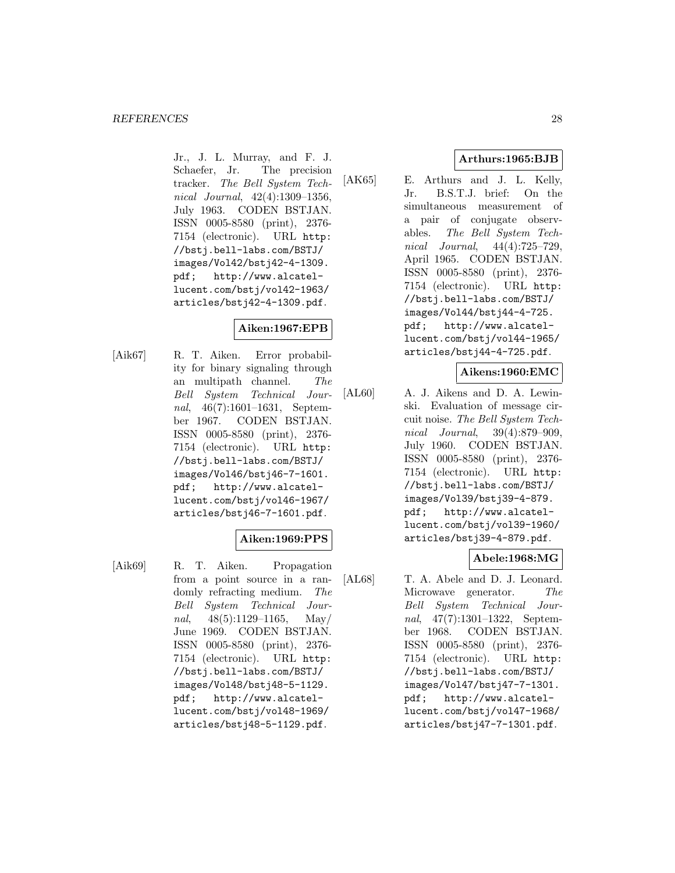Jr., J. L. Murray, and F. J. Schaefer, Jr. The precision tracker. The Bell System Technical Journal, 42(4):1309–1356, July 1963. CODEN BSTJAN. ISSN 0005-8580 (print), 2376- 7154 (electronic). URL http: //bstj.bell-labs.com/BSTJ/ images/Vol42/bstj42-4-1309. pdf; http://www.alcatellucent.com/bstj/vol42-1963/ articles/bstj42-4-1309.pdf.

## **Aiken:1967:EPB**

[Aik67] R. T. Aiken. Error probability for binary signaling through an multipath channel. The Bell System Technical Journal, 46(7):1601–1631, September 1967. CODEN BSTJAN. ISSN 0005-8580 (print), 2376- 7154 (electronic). URL http: //bstj.bell-labs.com/BSTJ/ images/Vol46/bstj46-7-1601. pdf; http://www.alcatellucent.com/bstj/vol46-1967/ articles/bstj46-7-1601.pdf.

## **Aiken:1969:PPS**

[Aik69] R. T. Aiken. Propagation from a point source in a randomly refracting medium. The Bell System Technical Journal,  $48(5):1129-1165$ , May/ June 1969. CODEN BSTJAN. ISSN 0005-8580 (print), 2376- 7154 (electronic). URL http: //bstj.bell-labs.com/BSTJ/ images/Vol48/bstj48-5-1129. pdf; http://www.alcatellucent.com/bstj/vol48-1969/ articles/bstj48-5-1129.pdf.

## **Arthurs:1965:BJB**

[AK65] E. Arthurs and J. L. Kelly, Jr. B.S.T.J. brief: On the simultaneous measurement of a pair of conjugate observables. The Bell System Technical Journal, 44(4):725–729, April 1965. CODEN BSTJAN. ISSN 0005-8580 (print), 2376- 7154 (electronic). URL http: //bstj.bell-labs.com/BSTJ/ images/Vol44/bstj44-4-725. pdf; http://www.alcatellucent.com/bstj/vol44-1965/ articles/bstj44-4-725.pdf.

## **Aikens:1960:EMC**

[AL60] A. J. Aikens and D. A. Lewinski. Evaluation of message circuit noise. The Bell System Technical Journal, 39(4):879–909, July 1960. CODEN BSTJAN. ISSN 0005-8580 (print), 2376- 7154 (electronic). URL http: //bstj.bell-labs.com/BSTJ/ images/Vol39/bstj39-4-879. pdf; http://www.alcatellucent.com/bstj/vol39-1960/ articles/bstj39-4-879.pdf.

## **Abele:1968:MG**

[AL68] T. A. Abele and D. J. Leonard. Microwave generator. The Bell System Technical Journal, 47(7):1301–1322, September 1968. CODEN BSTJAN. ISSN 0005-8580 (print), 2376- 7154 (electronic). URL http: //bstj.bell-labs.com/BSTJ/ images/Vol47/bstj47-7-1301. pdf; http://www.alcatellucent.com/bstj/vol47-1968/ articles/bstj47-7-1301.pdf.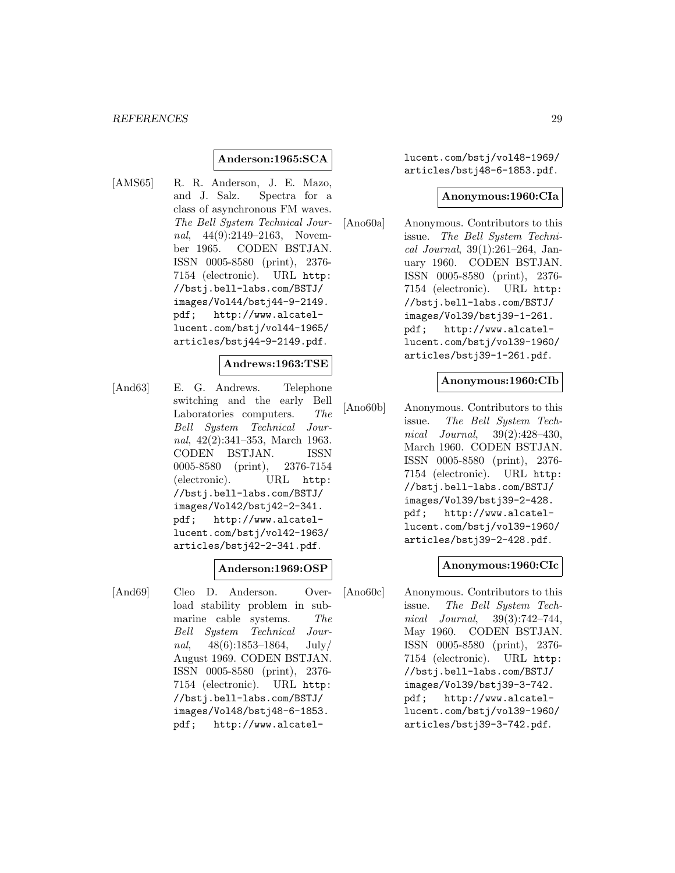#### *REFERENCES* 29

## **Anderson:1965:SCA**

[AMS65] R. R. Anderson, J. E. Mazo, and J. Salz. Spectra for a class of asynchronous FM waves. The Bell System Technical Journal, 44(9):2149–2163, November 1965. CODEN BSTJAN. ISSN 0005-8580 (print), 2376- 7154 (electronic). URL http: //bstj.bell-labs.com/BSTJ/ images/Vol44/bstj44-9-2149. pdf; http://www.alcatellucent.com/bstj/vol44-1965/ articles/bstj44-9-2149.pdf.

#### **Andrews:1963:TSE**

[And63] E. G. Andrews. Telephone switching and the early Bell Laboratories computers. The Bell System Technical Journal, 42(2):341–353, March 1963. CODEN BSTJAN. ISSN 0005-8580 (print), 2376-7154 (electronic). URL http: //bstj.bell-labs.com/BSTJ/ images/Vol42/bstj42-2-341. pdf; http://www.alcatellucent.com/bstj/vol42-1963/ articles/bstj42-2-341.pdf.

## **Anderson:1969:OSP**

[And69] Cleo D. Anderson. Overload stability problem in submarine cable systems. The Bell System Technical Journal,  $48(6):1853-1864$ , July/ August 1969. CODEN BSTJAN. ISSN 0005-8580 (print), 2376- 7154 (electronic). URL http: //bstj.bell-labs.com/BSTJ/ images/Vol48/bstj48-6-1853. pdf; http://www.alcatellucent.com/bstj/vol48-1969/ articles/bstj48-6-1853.pdf.

#### **Anonymous:1960:CIa**

[Ano60a] Anonymous. Contributors to this issue. The Bell System Technical Journal, 39(1):261–264, January 1960. CODEN BSTJAN. ISSN 0005-8580 (print), 2376- 7154 (electronic). URL http: //bstj.bell-labs.com/BSTJ/ images/Vol39/bstj39-1-261. pdf; http://www.alcatellucent.com/bstj/vol39-1960/ articles/bstj39-1-261.pdf.

#### **Anonymous:1960:CIb**

[Ano60b] Anonymous. Contributors to this issue. The Bell System Technical Journal, 39(2):428–430, March 1960. CODEN BSTJAN. ISSN 0005-8580 (print), 2376- 7154 (electronic). URL http: //bstj.bell-labs.com/BSTJ/ images/Vol39/bstj39-2-428. pdf; http://www.alcatellucent.com/bstj/vol39-1960/ articles/bstj39-2-428.pdf.

## **Anonymous:1960:CIc**

[Ano60c] Anonymous. Contributors to this issue. The Bell System Technical Journal, 39(3):742–744, May 1960. CODEN BSTJAN. ISSN 0005-8580 (print), 2376- 7154 (electronic). URL http: //bstj.bell-labs.com/BSTJ/ images/Vol39/bstj39-3-742. pdf; http://www.alcatellucent.com/bstj/vol39-1960/ articles/bstj39-3-742.pdf.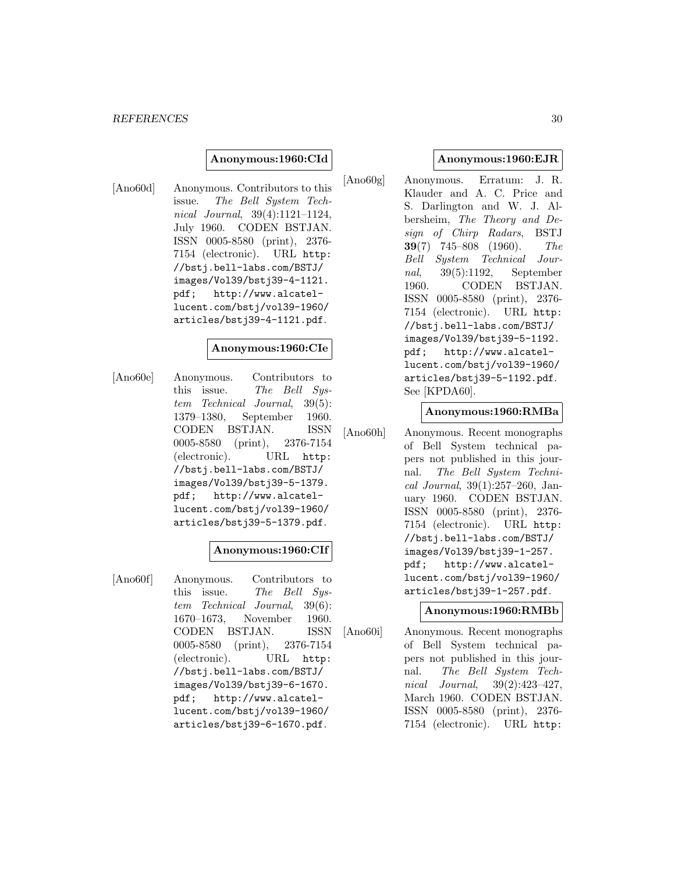#### **Anonymous:1960:CId**

[Ano60d] Anonymous. Contributors to this issue. The Bell System Technical Journal, 39(4):1121–1124, July 1960. CODEN BSTJAN. ISSN 0005-8580 (print), 2376- 7154 (electronic). URL http: //bstj.bell-labs.com/BSTJ/ images/Vol39/bstj39-4-1121. pdf; http://www.alcatellucent.com/bstj/vol39-1960/ articles/bstj39-4-1121.pdf.

#### **Anonymous:1960:CIe**

[Ano60e] Anonymous. Contributors to this issue. The Bell Sustem Technical Journal, 39(5): 1379–1380, September 1960. CODEN BSTJAN. ISSN 0005-8580 (print), 2376-7154 (electronic). URL http: //bstj.bell-labs.com/BSTJ/ images/Vol39/bstj39-5-1379. pdf; http://www.alcatellucent.com/bstj/vol39-1960/ articles/bstj39-5-1379.pdf.

## **Anonymous:1960:CIf**

[Ano60f] Anonymous. Contributors to this issue. The Bell System Technical Journal, 39(6): 1670–1673, November 1960. CODEN BSTJAN. ISSN 0005-8580 (print), 2376-7154 (electronic). URL http: //bstj.bell-labs.com/BSTJ/ images/Vol39/bstj39-6-1670. pdf; http://www.alcatellucent.com/bstj/vol39-1960/ articles/bstj39-6-1670.pdf.

#### **Anonymous:1960:EJR**

[Ano60g] Anonymous. Erratum: J. R. Klauder and A. C. Price and S. Darlington and W. J. Albersheim, The Theory and Design of Chirp Radars, BSTJ **39**(7) 745–808 (1960). The Bell System Technical Journal, 39(5):1192, September 1960. CODEN BSTJAN. ISSN 0005-8580 (print), 2376- 7154 (electronic). URL http: //bstj.bell-labs.com/BSTJ/ images/Vol39/bstj39-5-1192. pdf; http://www.alcatellucent.com/bstj/vol39-1960/ articles/bstj39-5-1192.pdf. See [KPDA60].

#### **Anonymous:1960:RMBa**

[Ano60h] Anonymous. Recent monographs of Bell System technical papers not published in this journal. The Bell System Technical Journal, 39(1):257–260, January 1960. CODEN BSTJAN. ISSN 0005-8580 (print), 2376- 7154 (electronic). URL http: //bstj.bell-labs.com/BSTJ/ images/Vol39/bstj39-1-257. pdf; http://www.alcatellucent.com/bstj/vol39-1960/ articles/bstj39-1-257.pdf.

## **Anonymous:1960:RMBb**

[Ano60i] Anonymous. Recent monographs of Bell System technical papers not published in this journal. The Bell System Technical Journal, 39(2):423–427, March 1960. CODEN BSTJAN. ISSN 0005-8580 (print), 2376- 7154 (electronic). URL http: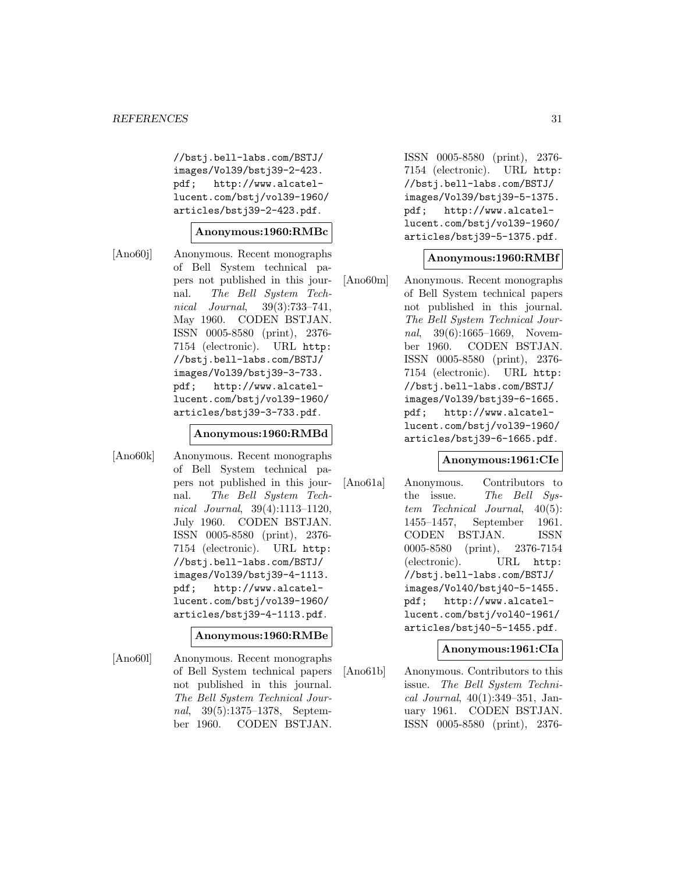//bstj.bell-labs.com/BSTJ/ images/Vol39/bstj39-2-423. pdf; http://www.alcatellucent.com/bstj/vol39-1960/ articles/bstj39-2-423.pdf.

#### **Anonymous:1960:RMBc**

[Ano60j] Anonymous. Recent monographs of Bell System technical papers not published in this journal. The Bell System Technical Journal, 39(3):733–741, May 1960. CODEN BSTJAN. ISSN 0005-8580 (print), 2376- 7154 (electronic). URL http: //bstj.bell-labs.com/BSTJ/ images/Vol39/bstj39-3-733. pdf; http://www.alcatellucent.com/bstj/vol39-1960/ articles/bstj39-3-733.pdf.

## **Anonymous:1960:RMBd**

[Ano60k] Anonymous. Recent monographs of Bell System technical papers not published in this journal. The Bell System Technical Journal, 39(4):1113–1120, July 1960. CODEN BSTJAN. ISSN 0005-8580 (print), 2376- 7154 (electronic). URL http: //bstj.bell-labs.com/BSTJ/ images/Vol39/bstj39-4-1113. pdf; http://www.alcatellucent.com/bstj/vol39-1960/ articles/bstj39-4-1113.pdf.

## **Anonymous:1960:RMBe**

[Ano60l] Anonymous. Recent monographs of Bell System technical papers not published in this journal. The Bell System Technical Journal, 39(5):1375–1378, September 1960. CODEN BSTJAN.

ISSN 0005-8580 (print), 2376- 7154 (electronic). URL http: //bstj.bell-labs.com/BSTJ/ images/Vol39/bstj39-5-1375. pdf; http://www.alcatellucent.com/bstj/vol39-1960/ articles/bstj39-5-1375.pdf.

## **Anonymous:1960:RMBf**

[Ano60m] Anonymous. Recent monographs of Bell System technical papers not published in this journal. The Bell System Technical Journal, 39(6):1665-1669, November 1960. CODEN BSTJAN. ISSN 0005-8580 (print), 2376- 7154 (electronic). URL http: //bstj.bell-labs.com/BSTJ/ images/Vol39/bstj39-6-1665. pdf; http://www.alcatellucent.com/bstj/vol39-1960/ articles/bstj39-6-1665.pdf.

#### **Anonymous:1961:CIe**

[Ano61a] Anonymous. Contributors to the issue. The Bell System Technical Journal, 40(5): 1455–1457, September 1961. CODEN BSTJAN. ISSN 0005-8580 (print), 2376-7154 (electronic). URL http: //bstj.bell-labs.com/BSTJ/ images/Vol40/bstj40-5-1455. pdf; http://www.alcatellucent.com/bstj/vol40-1961/ articles/bstj40-5-1455.pdf.

#### **Anonymous:1961:CIa**

[Ano61b] Anonymous. Contributors to this issue. The Bell System Technical Journal, 40(1):349–351, January 1961. CODEN BSTJAN. ISSN 0005-8580 (print), 2376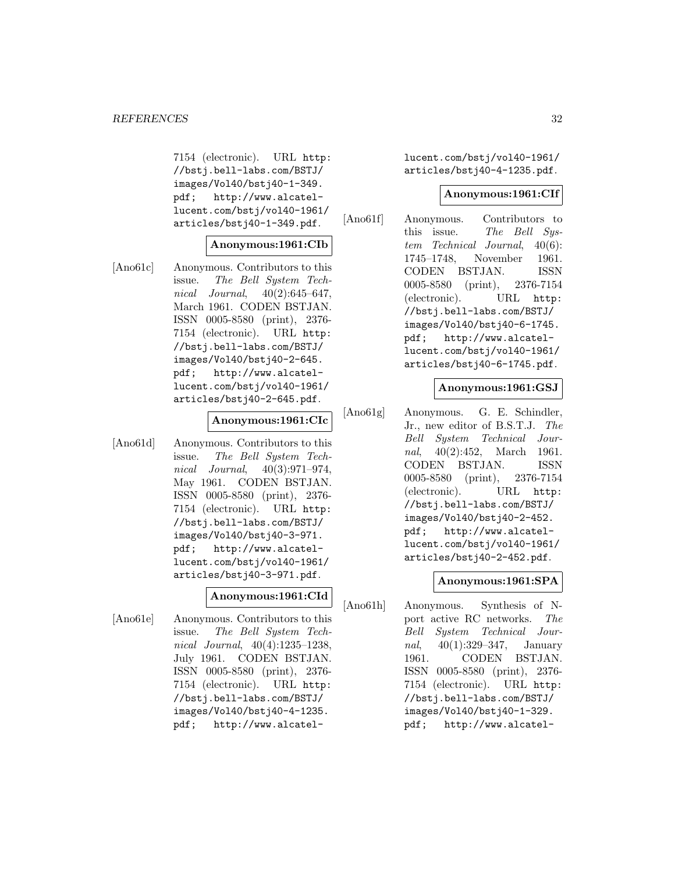7154 (electronic). URL http: //bstj.bell-labs.com/BSTJ/ images/Vol40/bstj40-1-349. pdf; http://www.alcatellucent.com/bstj/vol40-1961/ articles/bstj40-1-349.pdf.

#### **Anonymous:1961:CIb**

[Ano61c] Anonymous. Contributors to this issue. The Bell System Technical Journal,  $40(2):645-647$ , March 1961. CODEN BSTJAN. ISSN 0005-8580 (print), 2376- 7154 (electronic). URL http: //bstj.bell-labs.com/BSTJ/ images/Vol40/bstj40-2-645. pdf; http://www.alcatellucent.com/bstj/vol40-1961/ articles/bstj40-2-645.pdf.

#### **Anonymous:1961:CIc**

[Ano61d] Anonymous. Contributors to this issue. The Bell System Technical Journal, 40(3):971–974, May 1961. CODEN BSTJAN. ISSN 0005-8580 (print), 2376- 7154 (electronic). URL http: //bstj.bell-labs.com/BSTJ/ images/Vol40/bstj40-3-971. pdf; http://www.alcatellucent.com/bstj/vol40-1961/ articles/bstj40-3-971.pdf.

## **Anonymous:1961:CId**

[Ano61e] Anonymous. Contributors to this issue. The Bell System Technical Journal, 40(4):1235–1238, July 1961. CODEN BSTJAN. ISSN 0005-8580 (print), 2376- 7154 (electronic). URL http: //bstj.bell-labs.com/BSTJ/ images/Vol40/bstj40-4-1235. pdf; http://www.alcatellucent.com/bstj/vol40-1961/ articles/bstj40-4-1235.pdf.

#### **Anonymous:1961:CIf**

[Ano61f] Anonymous. Contributors to this issue. The Bell System Technical Journal, 40(6): 1745–1748, November 1961. CODEN BSTJAN. ISSN 0005-8580 (print), 2376-7154 (electronic). URL http: //bstj.bell-labs.com/BSTJ/ images/Vol40/bstj40-6-1745. pdf; http://www.alcatellucent.com/bstj/vol40-1961/ articles/bstj40-6-1745.pdf.

#### **Anonymous:1961:GSJ**

[Ano61g] Anonymous. G. E. Schindler, Jr., new editor of B.S.T.J. The Bell System Technical Journal, 40(2):452, March 1961. CODEN BSTJAN. ISSN 0005-8580 (print), 2376-7154 (electronic). URL http: //bstj.bell-labs.com/BSTJ/ images/Vol40/bstj40-2-452. pdf; http://www.alcatellucent.com/bstj/vol40-1961/ articles/bstj40-2-452.pdf.

## **Anonymous:1961:SPA**

[Ano61h] Anonymous. Synthesis of Nport active RC networks. The Bell System Technical Journal, 40(1):329–347, January 1961. CODEN BSTJAN. ISSN 0005-8580 (print), 2376- 7154 (electronic). URL http: //bstj.bell-labs.com/BSTJ/ images/Vol40/bstj40-1-329. pdf; http://www.alcatel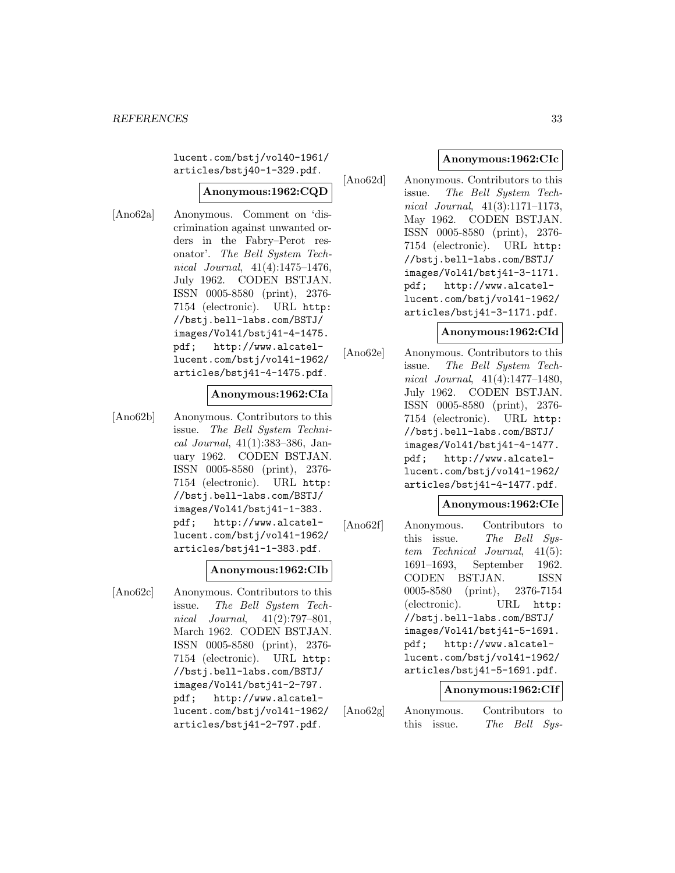lucent.com/bstj/vol40-1961/ articles/bstj40-1-329.pdf.

## **Anonymous:1962:CQD**

[Ano62a] Anonymous. Comment on 'discrimination against unwanted orders in the Fabry–Perot resonator'. The Bell System Technical Journal, 41(4):1475–1476, July 1962. CODEN BSTJAN. ISSN 0005-8580 (print), 2376- 7154 (electronic). URL http: //bstj.bell-labs.com/BSTJ/ images/Vol41/bstj41-4-1475. pdf; http://www.alcatellucent.com/bstj/vol41-1962/ articles/bstj41-4-1475.pdf.

#### **Anonymous:1962:CIa**

[Ano62b] Anonymous. Contributors to this issue. The Bell System Technical Journal, 41(1):383–386, January 1962. CODEN BSTJAN. ISSN 0005-8580 (print), 2376- 7154 (electronic). URL http: //bstj.bell-labs.com/BSTJ/ images/Vol41/bstj41-1-383. pdf; http://www.alcatellucent.com/bstj/vol41-1962/ articles/bstj41-1-383.pdf.

#### **Anonymous:1962:CIb**

[Ano62c] Anonymous. Contributors to this issue. The Bell System Technical Journal, 41(2):797–801, March 1962. CODEN BSTJAN. ISSN 0005-8580 (print), 2376- 7154 (electronic). URL http: //bstj.bell-labs.com/BSTJ/ images/Vol41/bstj41-2-797. pdf; http://www.alcatellucent.com/bstj/vol41-1962/ articles/bstj41-2-797.pdf.

## **Anonymous:1962:CIc**

[Ano62d] Anonymous. Contributors to this issue. The Bell System Technical Journal, 41(3):1171–1173, May 1962. CODEN BSTJAN. ISSN 0005-8580 (print), 2376- 7154 (electronic). URL http: //bstj.bell-labs.com/BSTJ/ images/Vol41/bstj41-3-1171. pdf; http://www.alcatellucent.com/bstj/vol41-1962/ articles/bstj41-3-1171.pdf.

#### **Anonymous:1962:CId**

[Ano62e] Anonymous. Contributors to this issue. The Bell System Technical Journal, 41(4):1477–1480, July 1962. CODEN BSTJAN. ISSN 0005-8580 (print), 2376- 7154 (electronic). URL http: //bstj.bell-labs.com/BSTJ/ images/Vol41/bstj41-4-1477. pdf; http://www.alcatellucent.com/bstj/vol41-1962/ articles/bstj41-4-1477.pdf.

#### **Anonymous:1962:CIe**

[Ano62f] Anonymous. Contributors to this issue. The Bell System Technical Journal, 41(5): 1691–1693, September 1962. CODEN BSTJAN. ISSN 0005-8580 (print), 2376-7154 (electronic). URL http: //bstj.bell-labs.com/BSTJ/ images/Vol41/bstj41-5-1691. pdf; http://www.alcatellucent.com/bstj/vol41-1962/ articles/bstj41-5-1691.pdf.

#### **Anonymous:1962:CIf**

[Ano62g] Anonymous. Contributors to this issue. The Bell Sys-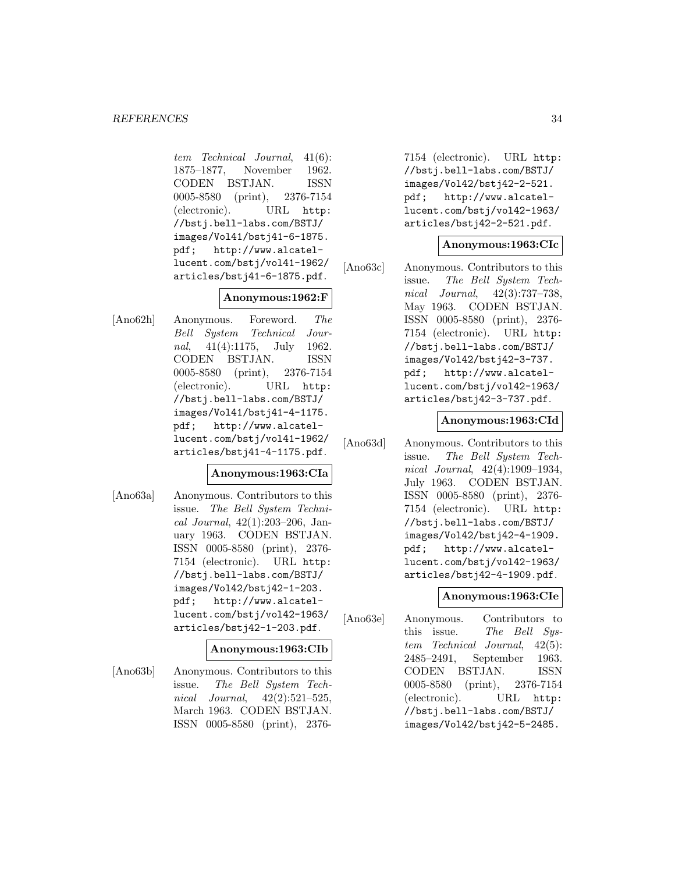tem Technical Journal, 41(6): 1875–1877, November 1962. CODEN BSTJAN. ISSN 0005-8580 (print), 2376-7154 (electronic). URL http: //bstj.bell-labs.com/BSTJ/ images/Vol41/bstj41-6-1875. pdf; http://www.alcatellucent.com/bstj/vol41-1962/ articles/bstj41-6-1875.pdf.

## **Anonymous:1962:F**

[Ano62h] Anonymous. Foreword. The Bell System Technical Journal, 41(4):1175, July 1962. CODEN BSTJAN. ISSN 0005-8580 (print), 2376-7154 (electronic). URL http: //bstj.bell-labs.com/BSTJ/ images/Vol41/bstj41-4-1175. pdf; http://www.alcatellucent.com/bstj/vol41-1962/ articles/bstj41-4-1175.pdf.

## **Anonymous:1963:CIa**

[Ano63a] Anonymous. Contributors to this issue. The Bell System Technical Journal, 42(1):203–206, January 1963. CODEN BSTJAN. ISSN 0005-8580 (print), 2376- 7154 (electronic). URL http: //bstj.bell-labs.com/BSTJ/ images/Vol42/bstj42-1-203. pdf; http://www.alcatellucent.com/bstj/vol42-1963/ articles/bstj42-1-203.pdf.

## **Anonymous:1963:CIb**

[Ano63b] Anonymous. Contributors to this issue. The Bell System Technical Journal, 42(2):521–525, March 1963. CODEN BSTJAN. ISSN 0005-8580 (print), 2376-

7154 (electronic). URL http: //bstj.bell-labs.com/BSTJ/ images/Vol42/bstj42-2-521. pdf; http://www.alcatellucent.com/bstj/vol42-1963/ articles/bstj42-2-521.pdf.

## **Anonymous:1963:CIc**

[Ano63c] Anonymous. Contributors to this issue. The Bell System Technical Journal, 42(3):737–738, May 1963. CODEN BSTJAN. ISSN 0005-8580 (print), 2376- 7154 (electronic). URL http: //bstj.bell-labs.com/BSTJ/ images/Vol42/bstj42-3-737. pdf; http://www.alcatellucent.com/bstj/vol42-1963/ articles/bstj42-3-737.pdf.

## **Anonymous:1963:CId**

[Ano63d] Anonymous. Contributors to this issue. The Bell System Technical Journal, 42(4):1909–1934, July 1963. CODEN BSTJAN. ISSN 0005-8580 (print), 2376- 7154 (electronic). URL http: //bstj.bell-labs.com/BSTJ/ images/Vol42/bstj42-4-1909. pdf; http://www.alcatellucent.com/bstj/vol42-1963/ articles/bstj42-4-1909.pdf.

## **Anonymous:1963:CIe**

[Ano63e] Anonymous. Contributors to this issue. The Bell System Technical Journal, 42(5): 2485–2491, September 1963. CODEN BSTJAN. ISSN 0005-8580 (print), 2376-7154 (electronic). URL http: //bstj.bell-labs.com/BSTJ/ images/Vol42/bstj42-5-2485.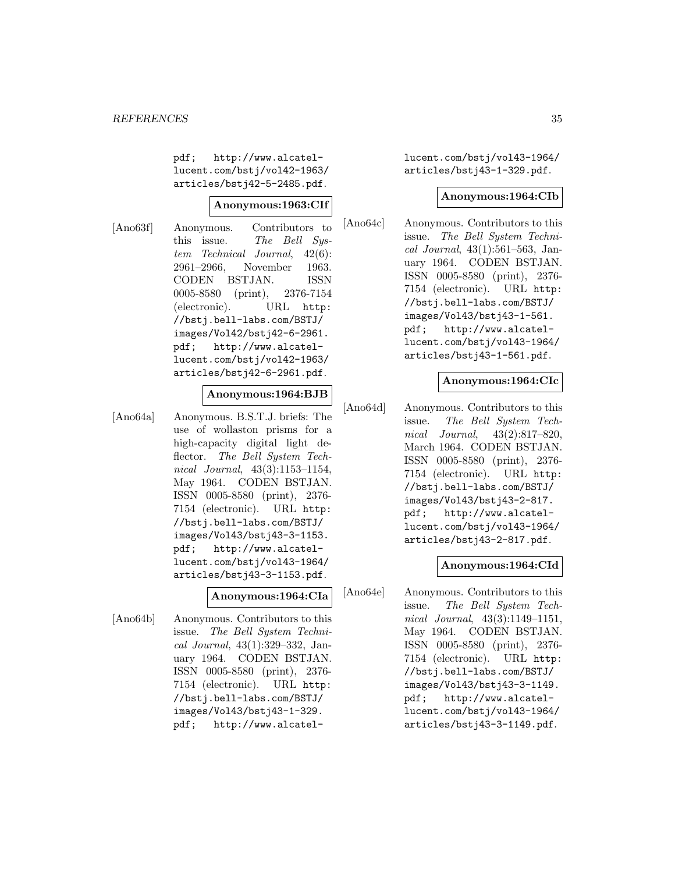pdf; http://www.alcatellucent.com/bstj/vol42-1963/ articles/bstj42-5-2485.pdf.

## **Anonymous:1963:CIf**

[Ano63f] Anonymous. Contributors to this issue. The Bell System Technical Journal, 42(6): 2961–2966, November 1963. CODEN BSTJAN. ISSN 0005-8580 (print), 2376-7154 (electronic). URL http: //bstj.bell-labs.com/BSTJ/ images/Vol42/bstj42-6-2961. pdf; http://www.alcatellucent.com/bstj/vol42-1963/ articles/bstj42-6-2961.pdf.

## **Anonymous:1964:BJB**

[Ano64a] Anonymous. B.S.T.J. briefs: The use of wollaston prisms for a high-capacity digital light deflector. The Bell System Technical Journal, 43(3):1153–1154, May 1964. CODEN BSTJAN. ISSN 0005-8580 (print), 2376- 7154 (electronic). URL http: //bstj.bell-labs.com/BSTJ/ images/Vol43/bstj43-3-1153. pdf; http://www.alcatellucent.com/bstj/vol43-1964/ articles/bstj43-3-1153.pdf.

## **Anonymous:1964:CIa**

[Ano64b] Anonymous. Contributors to this issue. The Bell System Technical Journal, 43(1):329–332, January 1964. CODEN BSTJAN. ISSN 0005-8580 (print), 2376- 7154 (electronic). URL http: //bstj.bell-labs.com/BSTJ/ images/Vol43/bstj43-1-329. pdf; http://www.alcatellucent.com/bstj/vol43-1964/ articles/bstj43-1-329.pdf.

#### **Anonymous:1964:CIb**

[Ano64c] Anonymous. Contributors to this issue. The Bell System Technical Journal, 43(1):561–563, January 1964. CODEN BSTJAN. ISSN 0005-8580 (print), 2376- 7154 (electronic). URL http: //bstj.bell-labs.com/BSTJ/ images/Vol43/bstj43-1-561. pdf; http://www.alcatellucent.com/bstj/vol43-1964/ articles/bstj43-1-561.pdf.

## **Anonymous:1964:CIc**

[Ano64d] Anonymous. Contributors to this issue. The Bell System Technical Journal, 43(2):817–820, March 1964. CODEN BSTJAN. ISSN 0005-8580 (print), 2376- 7154 (electronic). URL http: //bstj.bell-labs.com/BSTJ/ images/Vol43/bstj43-2-817. pdf; http://www.alcatellucent.com/bstj/vol43-1964/ articles/bstj43-2-817.pdf.

#### **Anonymous:1964:CId**

[Ano64e] Anonymous. Contributors to this issue. The Bell System Technical Journal, 43(3):1149–1151, May 1964. CODEN BSTJAN. ISSN 0005-8580 (print), 2376- 7154 (electronic). URL http: //bstj.bell-labs.com/BSTJ/ images/Vol43/bstj43-3-1149. pdf; http://www.alcatellucent.com/bstj/vol43-1964/ articles/bstj43-3-1149.pdf.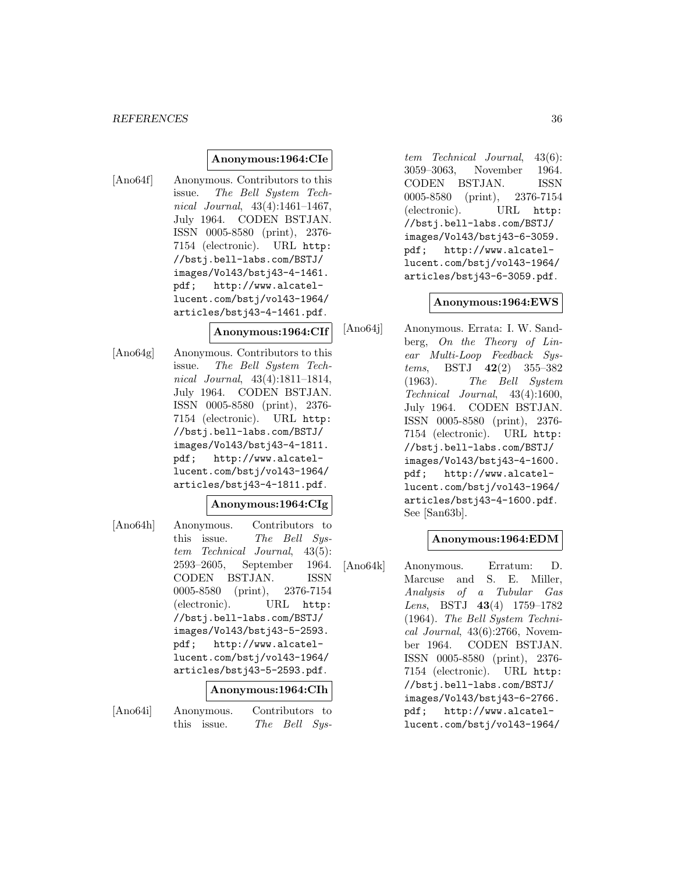#### *REFERENCES* 36

#### **Anonymous:1964:CIe**

[Ano64f] Anonymous. Contributors to this issue. The Bell System Technical Journal, 43(4):1461–1467, July 1964. CODEN BSTJAN. ISSN 0005-8580 (print), 2376- 7154 (electronic). URL http: //bstj.bell-labs.com/BSTJ/ images/Vol43/bstj43-4-1461. pdf; http://www.alcatellucent.com/bstj/vol43-1964/ articles/bstj43-4-1461.pdf.

#### **Anonymous:1964:CIf**

[Ano64g] Anonymous. Contributors to this issue. The Bell System Technical Journal, 43(4):1811–1814, July 1964. CODEN BSTJAN. ISSN 0005-8580 (print), 2376- 7154 (electronic). URL http: //bstj.bell-labs.com/BSTJ/ images/Vol43/bstj43-4-1811. pdf; http://www.alcatellucent.com/bstj/vol43-1964/ articles/bstj43-4-1811.pdf.

## **Anonymous:1964:CIg**

[Ano64h] Anonymous. Contributors to this issue. The Bell System Technical Journal, 43(5): 2593–2605, September 1964. CODEN BSTJAN. ISSN 0005-8580 (print), 2376-7154 (electronic). URL http: //bstj.bell-labs.com/BSTJ/ images/Vol43/bstj43-5-2593. pdf; http://www.alcatellucent.com/bstj/vol43-1964/ articles/bstj43-5-2593.pdf.

#### **Anonymous:1964:CIh**

[Ano64i] Anonymous. Contributors to this issue. The Bell Sys-

tem Technical Journal, 43(6): 3059–3063, November 1964. CODEN BSTJAN. ISSN 0005-8580 (print), 2376-7154 (electronic). URL http: //bstj.bell-labs.com/BSTJ/ images/Vol43/bstj43-6-3059. pdf; http://www.alcatellucent.com/bstj/vol43-1964/ articles/bstj43-6-3059.pdf.

#### **Anonymous:1964:EWS**

[Ano64j] Anonymous. Errata: I. W. Sandberg, On the Theory of Linear Multi-Loop Feedback Systems, BSTJ **42**(2) 355–382 (1963). The Bell System Technical Journal, 43(4):1600, July 1964. CODEN BSTJAN. ISSN 0005-8580 (print), 2376- 7154 (electronic). URL http: //bstj.bell-labs.com/BSTJ/ images/Vol43/bstj43-4-1600. pdf; http://www.alcatellucent.com/bstj/vol43-1964/ articles/bstj43-4-1600.pdf. See [San63b].

#### **Anonymous:1964:EDM**

[Ano64k] Anonymous. Erratum: D. Marcuse and S. E. Miller, Analysis of a Tubular Gas Lens, BSTJ **43**(4) 1759–1782 (1964). The Bell System Technical Journal,  $43(6):2766$ , November 1964. CODEN BSTJAN. ISSN 0005-8580 (print), 2376- 7154 (electronic). URL http: //bstj.bell-labs.com/BSTJ/ images/Vol43/bstj43-6-2766. pdf; http://www.alcatellucent.com/bstj/vol43-1964/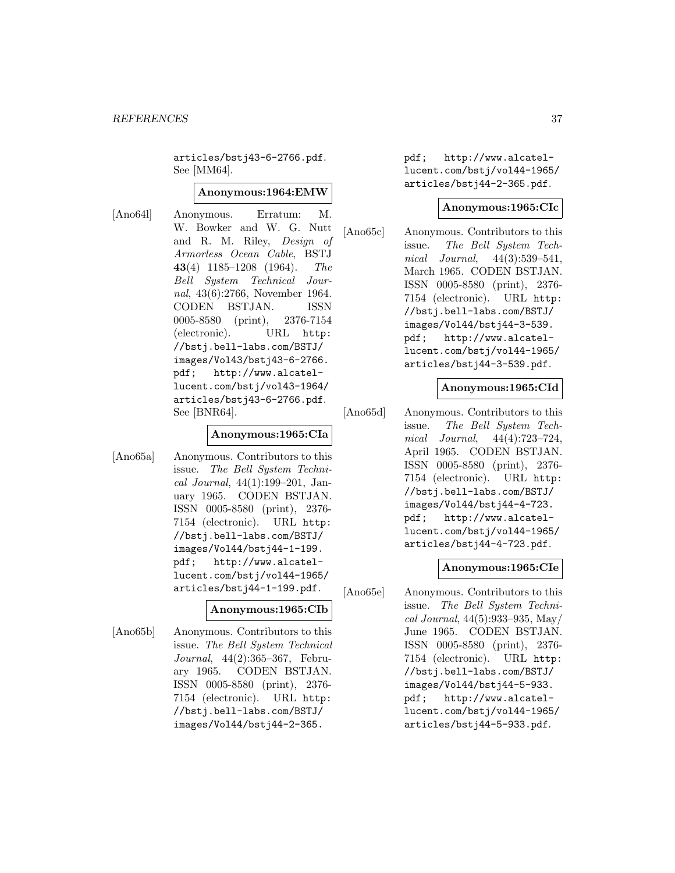articles/bstj43-6-2766.pdf. See [MM64].

#### **Anonymous:1964:EMW**

[Ano64l] Anonymous. Erratum: M. W. Bowker and W. G. Nutt and R. M. Riley, Design of Armorless Ocean Cable, BSTJ **43**(4) 1185–1208 (1964). The Bell System Technical Journal, 43(6):2766, November 1964. CODEN BSTJAN. ISSN 0005-8580 (print), 2376-7154 (electronic). URL http: //bstj.bell-labs.com/BSTJ/ images/Vol43/bstj43-6-2766. pdf; http://www.alcatellucent.com/bstj/vol43-1964/ articles/bstj43-6-2766.pdf. See [BNR64].

#### **Anonymous:1965:CIa**

[Ano65a] Anonymous. Contributors to this issue. The Bell System Technical Journal, 44(1):199–201, January 1965. CODEN BSTJAN. ISSN 0005-8580 (print), 2376- 7154 (electronic). URL http: //bstj.bell-labs.com/BSTJ/ images/Vol44/bstj44-1-199. pdf; http://www.alcatellucent.com/bstj/vol44-1965/ articles/bstj44-1-199.pdf.

### **Anonymous:1965:CIb**

[Ano65b] Anonymous. Contributors to this issue. The Bell System Technical Journal, 44(2):365–367, February 1965. CODEN BSTJAN. ISSN 0005-8580 (print), 2376- 7154 (electronic). URL http: //bstj.bell-labs.com/BSTJ/ images/Vol44/bstj44-2-365.

pdf; http://www.alcatellucent.com/bstj/vol44-1965/ articles/bstj44-2-365.pdf.

#### **Anonymous:1965:CIc**

[Ano65c] Anonymous. Contributors to this issue. The Bell System Technical Journal, 44(3):539–541, March 1965. CODEN BSTJAN. ISSN 0005-8580 (print), 2376- 7154 (electronic). URL http: //bstj.bell-labs.com/BSTJ/ images/Vol44/bstj44-3-539. pdf; http://www.alcatellucent.com/bstj/vol44-1965/ articles/bstj44-3-539.pdf.

#### **Anonymous:1965:CId**

[Ano65d] Anonymous. Contributors to this issue. The Bell System Technical Journal, 44(4):723–724, April 1965. CODEN BSTJAN. ISSN 0005-8580 (print), 2376- 7154 (electronic). URL http: //bstj.bell-labs.com/BSTJ/ images/Vol44/bstj44-4-723. pdf; http://www.alcatellucent.com/bstj/vol44-1965/ articles/bstj44-4-723.pdf.

#### **Anonymous:1965:CIe**

[Ano65e] Anonymous. Contributors to this issue. The Bell System Technical Journal, 44(5):933–935, May/ June 1965. CODEN BSTJAN. ISSN 0005-8580 (print), 2376- 7154 (electronic). URL http: //bstj.bell-labs.com/BSTJ/ images/Vol44/bstj44-5-933. pdf; http://www.alcatellucent.com/bstj/vol44-1965/ articles/bstj44-5-933.pdf.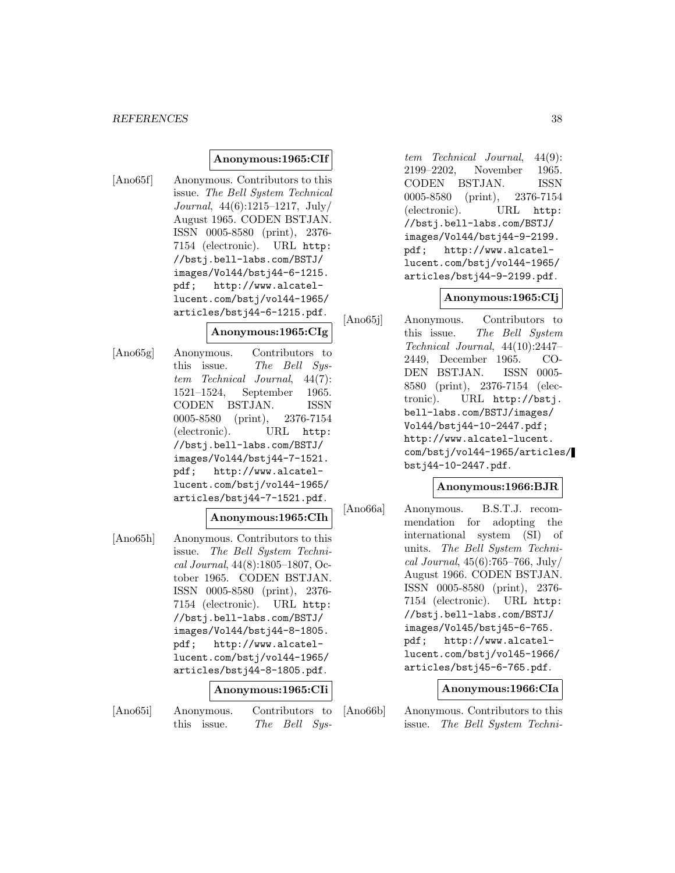### **Anonymous:1965:CIf**

[Ano65f] Anonymous. Contributors to this issue. The Bell System Technical Journal, 44(6):1215–1217, July/ August 1965. CODEN BSTJAN. ISSN 0005-8580 (print), 2376- 7154 (electronic). URL http: //bstj.bell-labs.com/BSTJ/ images/Vol44/bstj44-6-1215. pdf; http://www.alcatellucent.com/bstj/vol44-1965/ articles/bstj44-6-1215.pdf.

### **Anonymous:1965:CIg**

[Ano65g] Anonymous. Contributors to this issue. The Bell System Technical Journal, 44(7): 1521–1524, September 1965. CODEN BSTJAN. ISSN 0005-8580 (print), 2376-7154 (electronic). URL http: //bstj.bell-labs.com/BSTJ/ images/Vol44/bstj44-7-1521. pdf; http://www.alcatellucent.com/bstj/vol44-1965/ articles/bstj44-7-1521.pdf.

#### **Anonymous:1965:CIh**

[Ano65h] Anonymous. Contributors to this issue. The Bell System Technical Journal, 44(8):1805–1807, October 1965. CODEN BSTJAN. ISSN 0005-8580 (print), 2376- 7154 (electronic). URL http: //bstj.bell-labs.com/BSTJ/ images/Vol44/bstj44-8-1805. pdf; http://www.alcatellucent.com/bstj/vol44-1965/ articles/bstj44-8-1805.pdf.

#### **Anonymous:1965:CIi**

[Ano65i] Anonymous. Contributors to this issue. The Bell Sys-

tem Technical Journal, 44(9): 2199–2202, November 1965. CODEN BSTJAN. ISSN 0005-8580 (print), 2376-7154 (electronic). URL http: //bstj.bell-labs.com/BSTJ/ images/Vol44/bstj44-9-2199. pdf; http://www.alcatellucent.com/bstj/vol44-1965/ articles/bstj44-9-2199.pdf.

### **Anonymous:1965:CIj**

[Ano65j] Anonymous. Contributors to this issue. The Bell System Technical Journal, 44(10):2447– 2449, December 1965. CO-DEN BSTJAN. ISSN 0005- 8580 (print), 2376-7154 (electronic). URL http://bstj. bell-labs.com/BSTJ/images/ Vol44/bstj44-10-2447.pdf; http://www.alcatel-lucent. com/bstj/vol44-1965/articles/ bstj44-10-2447.pdf.

### **Anonymous:1966:BJR**

[Ano66a] Anonymous. B.S.T.J. recommendation for adopting the international system (SI) of units. The Bell System Technical Journal,  $45(6)$ :765–766, July/ August 1966. CODEN BSTJAN. ISSN 0005-8580 (print), 2376- 7154 (electronic). URL http: //bstj.bell-labs.com/BSTJ/ images/Vol45/bstj45-6-765. pdf; http://www.alcatellucent.com/bstj/vol45-1966/ articles/bstj45-6-765.pdf.

#### **Anonymous:1966:CIa**

[Ano66b] Anonymous. Contributors to this issue. The Bell System Techni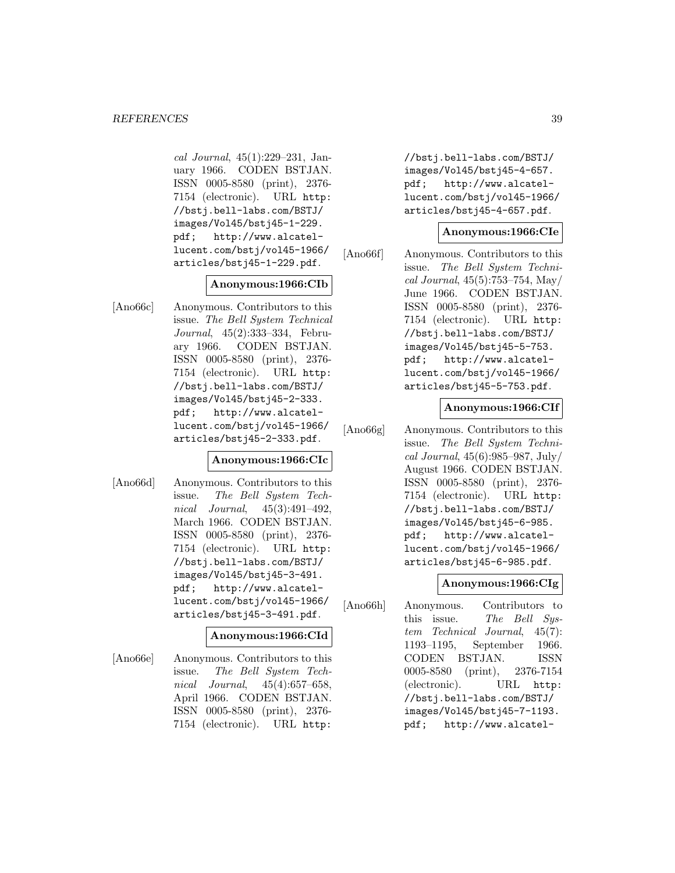cal Journal, 45(1):229–231, January 1966. CODEN BSTJAN. ISSN 0005-8580 (print), 2376- 7154 (electronic). URL http: //bstj.bell-labs.com/BSTJ/ images/Vol45/bstj45-1-229. pdf; http://www.alcatellucent.com/bstj/vol45-1966/ articles/bstj45-1-229.pdf.

#### **Anonymous:1966:CIb**

[Ano66c] Anonymous. Contributors to this issue. The Bell System Technical Journal, 45(2):333–334, February 1966. CODEN BSTJAN. ISSN 0005-8580 (print), 2376- 7154 (electronic). URL http: //bstj.bell-labs.com/BSTJ/ images/Vol45/bstj45-2-333. pdf; http://www.alcatellucent.com/bstj/vol45-1966/ articles/bstj45-2-333.pdf.

# **Anonymous:1966:CIc**

[Ano66d] Anonymous. Contributors to this issue. The Bell System Technical Journal, 45(3):491–492, March 1966. CODEN BSTJAN. ISSN 0005-8580 (print), 2376- 7154 (electronic). URL http: //bstj.bell-labs.com/BSTJ/ images/Vol45/bstj45-3-491. pdf; http://www.alcatellucent.com/bstj/vol45-1966/ articles/bstj45-3-491.pdf.

# **Anonymous:1966:CId**

[Ano66e] Anonymous. Contributors to this issue. The Bell System Technical Journal, 45(4):657–658, April 1966. CODEN BSTJAN. ISSN 0005-8580 (print), 2376- 7154 (electronic). URL http:

//bstj.bell-labs.com/BSTJ/ images/Vol45/bstj45-4-657. pdf; http://www.alcatellucent.com/bstj/vol45-1966/ articles/bstj45-4-657.pdf.

### **Anonymous:1966:CIe**

[Ano66f] Anonymous. Contributors to this issue. The Bell System Technical Journal, 45(5):753–754, May/ June 1966. CODEN BSTJAN. ISSN 0005-8580 (print), 2376- 7154 (electronic). URL http: //bstj.bell-labs.com/BSTJ/ images/Vol45/bstj45-5-753. pdf; http://www.alcatellucent.com/bstj/vol45-1966/ articles/bstj45-5-753.pdf.

### **Anonymous:1966:CIf**

[Ano66g] Anonymous. Contributors to this issue. The Bell System Technical Journal, 45(6):985–987, July/ August 1966. CODEN BSTJAN. ISSN 0005-8580 (print), 2376- 7154 (electronic). URL http: //bstj.bell-labs.com/BSTJ/ images/Vol45/bstj45-6-985. pdf; http://www.alcatellucent.com/bstj/vol45-1966/ articles/bstj45-6-985.pdf.

### **Anonymous:1966:CIg**

[Ano66h] Anonymous. Contributors to this issue. The Bell System Technical Journal, 45(7): 1193–1195, September 1966. CODEN BSTJAN. ISSN 0005-8580 (print), 2376-7154 (electronic). URL http: //bstj.bell-labs.com/BSTJ/ images/Vol45/bstj45-7-1193. pdf; http://www.alcatel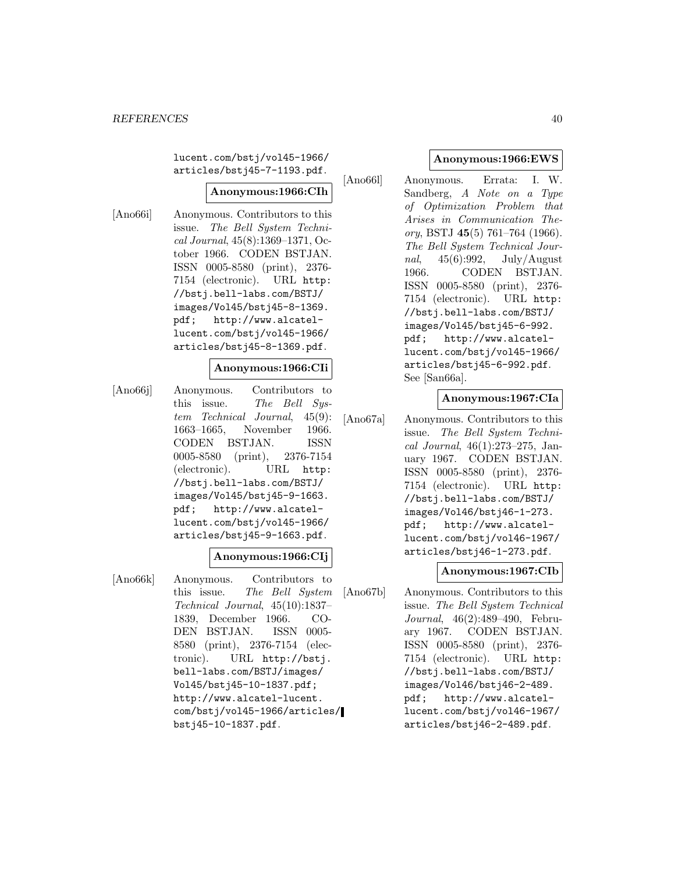lucent.com/bstj/vol45-1966/ articles/bstj45-7-1193.pdf.

# **Anonymous:1966:CIh**

[Ano66i] Anonymous. Contributors to this issue. The Bell System Technical Journal, 45(8):1369–1371, October 1966. CODEN BSTJAN. ISSN 0005-8580 (print), 2376- 7154 (electronic). URL http: //bstj.bell-labs.com/BSTJ/ images/Vol45/bstj45-8-1369. pdf; http://www.alcatellucent.com/bstj/vol45-1966/ articles/bstj45-8-1369.pdf.

#### **Anonymous:1966:CIi**

[Ano66j] Anonymous. Contributors to this issue. The Bell System Technical Journal, 45(9): 1663–1665, November 1966. CODEN BSTJAN. ISSN 0005-8580 (print), 2376-7154 (electronic). URL http: //bstj.bell-labs.com/BSTJ/ images/Vol45/bstj45-9-1663. pdf; http://www.alcatellucent.com/bstj/vol45-1966/ articles/bstj45-9-1663.pdf.

### **Anonymous:1966:CIj**

[Ano66k] Anonymous. Contributors to this issue. The Bell System Technical Journal, 45(10):1837– 1839, December 1966. CO-DEN BSTJAN. ISSN 0005- 8580 (print), 2376-7154 (electronic). URL http://bstj. bell-labs.com/BSTJ/images/ Vol45/bstj45-10-1837.pdf; http://www.alcatel-lucent. com/bstj/vol45-1966/articles/ bstj45-10-1837.pdf.

# **Anonymous:1966:EWS**

[Ano66l] Anonymous. Errata: I. W. Sandberg, A Note on a Type of Optimization Problem that Arises in Communication Theory, BSTJ **45**(5) 761–764 (1966). The Bell System Technical Journal,  $45(6):992$ , July/August 1966. CODEN BSTJAN. ISSN 0005-8580 (print), 2376- 7154 (electronic). URL http: //bstj.bell-labs.com/BSTJ/ images/Vol45/bstj45-6-992. pdf; http://www.alcatellucent.com/bstj/vol45-1966/ articles/bstj45-6-992.pdf. See [San66a].

# **Anonymous:1967:CIa**

[Ano67a] Anonymous. Contributors to this issue. The Bell System Technical Journal, 46(1):273–275, January 1967. CODEN BSTJAN. ISSN 0005-8580 (print), 2376- 7154 (electronic). URL http: //bstj.bell-labs.com/BSTJ/ images/Vol46/bstj46-1-273. pdf; http://www.alcatellucent.com/bstj/vol46-1967/ articles/bstj46-1-273.pdf.

### **Anonymous:1967:CIb**

[Ano67b] Anonymous. Contributors to this issue. The Bell System Technical Journal, 46(2):489–490, February 1967. CODEN BSTJAN. ISSN 0005-8580 (print), 2376- 7154 (electronic). URL http: //bstj.bell-labs.com/BSTJ/ images/Vol46/bstj46-2-489. pdf; http://www.alcatellucent.com/bstj/vol46-1967/ articles/bstj46-2-489.pdf.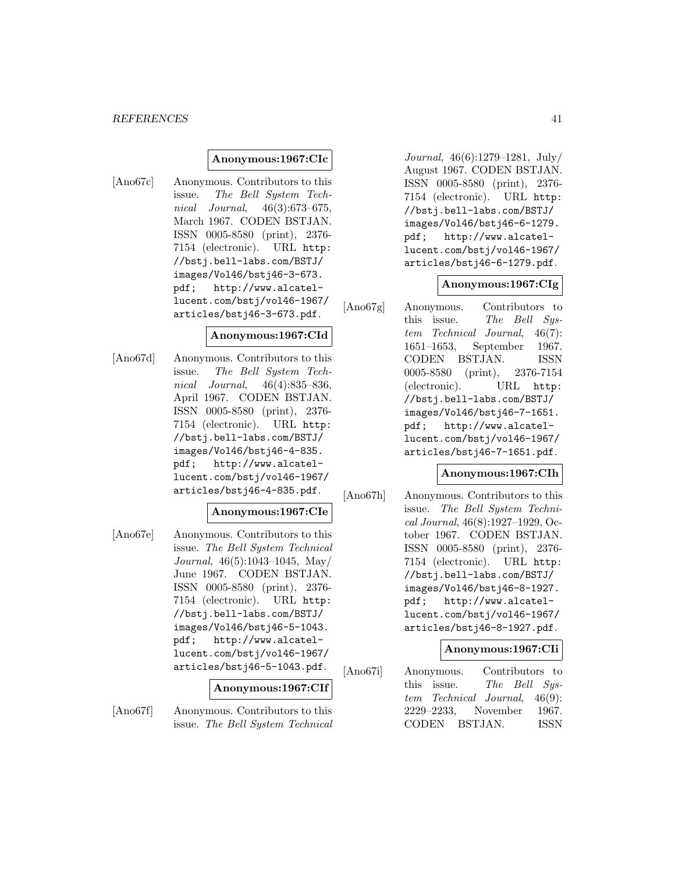#### **Anonymous:1967:CIc**

[Ano67c] Anonymous. Contributors to this issue. The Bell System Technical Journal, 46(3):673–675, March 1967. CODEN BSTJAN. ISSN 0005-8580 (print), 2376- 7154 (electronic). URL http: //bstj.bell-labs.com/BSTJ/ images/Vol46/bstj46-3-673. pdf; http://www.alcatellucent.com/bstj/vol46-1967/ articles/bstj46-3-673.pdf.

#### **Anonymous:1967:CId**

[Ano67d] Anonymous. Contributors to this issue. The Bell System Technical Journal, 46(4):835–836, April 1967. CODEN BSTJAN. ISSN 0005-8580 (print), 2376- 7154 (electronic). URL http: //bstj.bell-labs.com/BSTJ/ images/Vol46/bstj46-4-835. pdf; http://www.alcatellucent.com/bstj/vol46-1967/ articles/bstj46-4-835.pdf.

# **Anonymous:1967:CIe**

[Ano67e] Anonymous. Contributors to this issue. The Bell System Technical Journal, 46(5):1043–1045, May/ June 1967. CODEN BSTJAN. ISSN 0005-8580 (print), 2376- 7154 (electronic). URL http: //bstj.bell-labs.com/BSTJ/ images/Vol46/bstj46-5-1043. pdf; http://www.alcatellucent.com/bstj/vol46-1967/ articles/bstj46-5-1043.pdf.

#### **Anonymous:1967:CIf**

[Ano67f] Anonymous. Contributors to this issue. The Bell System Technical

Journal, 46(6):1279–1281, July/ August 1967. CODEN BSTJAN. ISSN 0005-8580 (print), 2376- 7154 (electronic). URL http: //bstj.bell-labs.com/BSTJ/ images/Vol46/bstj46-6-1279. pdf; http://www.alcatellucent.com/bstj/vol46-1967/ articles/bstj46-6-1279.pdf.

#### **Anonymous:1967:CIg**

[Ano67g] Anonymous. Contributors to this issue. The Bell System Technical Journal, 46(7): 1651–1653, September 1967. CODEN BSTJAN. ISSN 0005-8580 (print), 2376-7154 (electronic). URL http: //bstj.bell-labs.com/BSTJ/ images/Vol46/bstj46-7-1651. pdf; http://www.alcatellucent.com/bstj/vol46-1967/ articles/bstj46-7-1651.pdf.

#### **Anonymous:1967:CIh**

[Ano67h] Anonymous. Contributors to this issue. The Bell System Technical Journal, 46(8):1927–1929, October 1967. CODEN BSTJAN. ISSN 0005-8580 (print), 2376- 7154 (electronic). URL http: //bstj.bell-labs.com/BSTJ/ images/Vol46/bstj46-8-1927. pdf; http://www.alcatellucent.com/bstj/vol46-1967/ articles/bstj46-8-1927.pdf.

### **Anonymous:1967:CIi**

[Ano67i] Anonymous. Contributors to this issue. The Bell System Technical Journal, 46(9): 2229–2233, November 1967. CODEN BSTJAN. ISSN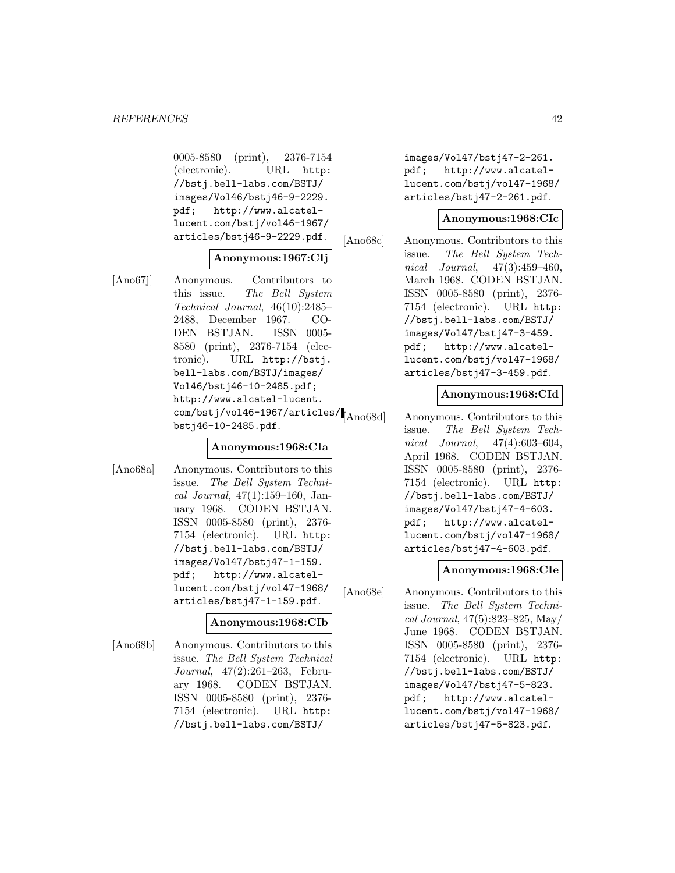0005-8580 (print), 2376-7154 (electronic). URL http: //bstj.bell-labs.com/BSTJ/ images/Vol46/bstj46-9-2229. pdf; http://www.alcatellucent.com/bstj/vol46-1967/ articles/bstj46-9-2229.pdf.

# **Anonymous:1967:CIj**

[Ano67j] Anonymous. Contributors to this issue. The Bell System Technical Journal, 46(10):2485– 2488, December 1967. CO-DEN BSTJAN. ISSN 0005- 8580 (print), 2376-7154 (electronic). URL http://bstj. bell-labs.com/BSTJ/images/ Vol46/bstj46-10-2485.pdf; http://www.alcatel-lucent.  $\frac{\text{com}}{\text{bstj}}$ /vol46-1967/articles/ $\text{A}$ <sub>Ano68d</sub> bstj46-10-2485.pdf.

### **Anonymous:1968:CIa**

[Ano68a] Anonymous. Contributors to this issue. The Bell System Technical Journal, 47(1):159–160, January 1968. CODEN BSTJAN. ISSN 0005-8580 (print), 2376- 7154 (electronic). URL http: //bstj.bell-labs.com/BSTJ/ images/Vol47/bstj47-1-159. pdf; http://www.alcatellucent.com/bstj/vol47-1968/ articles/bstj47-1-159.pdf.

### **Anonymous:1968:CIb**

[Ano68b] Anonymous. Contributors to this issue. The Bell System Technical Journal, 47(2):261–263, February 1968. CODEN BSTJAN. ISSN 0005-8580 (print), 2376- 7154 (electronic). URL http: //bstj.bell-labs.com/BSTJ/

images/Vol47/bstj47-2-261. pdf; http://www.alcatellucent.com/bstj/vol47-1968/ articles/bstj47-2-261.pdf.

### **Anonymous:1968:CIc**

[Ano68c] Anonymous. Contributors to this issue. The Bell System Technical Journal, 47(3):459–460, March 1968. CODEN BSTJAN. ISSN 0005-8580 (print), 2376- 7154 (electronic). URL http: //bstj.bell-labs.com/BSTJ/ images/Vol47/bstj47-3-459. pdf; http://www.alcatellucent.com/bstj/vol47-1968/ articles/bstj47-3-459.pdf.

# **Anonymous:1968:CId**

Anonymous. Contributors to this issue. The Bell System Technical Journal, 47(4):603–604, April 1968. CODEN BSTJAN. ISSN 0005-8580 (print), 2376- 7154 (electronic). URL http: //bstj.bell-labs.com/BSTJ/ images/Vol47/bstj47-4-603. pdf; http://www.alcatellucent.com/bstj/vol47-1968/ articles/bstj47-4-603.pdf.

### **Anonymous:1968:CIe**

[Ano68e] Anonymous. Contributors to this issue. The Bell System Technical Journal, 47(5):823–825, May/ June 1968. CODEN BSTJAN. ISSN 0005-8580 (print), 2376- 7154 (electronic). URL http: //bstj.bell-labs.com/BSTJ/ images/Vol47/bstj47-5-823. pdf; http://www.alcatellucent.com/bstj/vol47-1968/ articles/bstj47-5-823.pdf.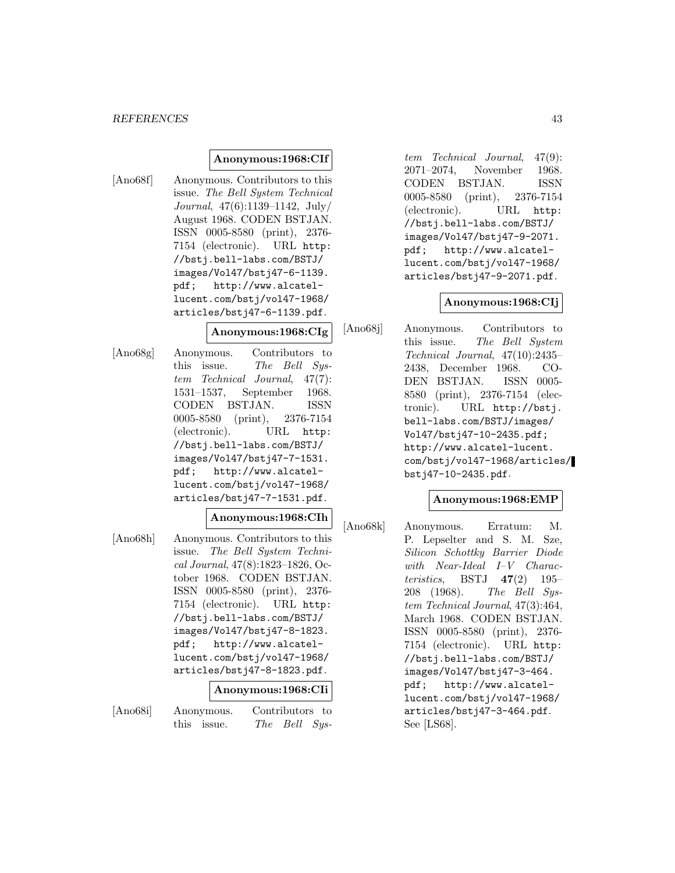#### *REFERENCES* 43

### **Anonymous:1968:CIf**

[Ano68f] Anonymous. Contributors to this issue. The Bell System Technical Journal, 47(6):1139–1142, July/ August 1968. CODEN BSTJAN. ISSN 0005-8580 (print), 2376- 7154 (electronic). URL http: //bstj.bell-labs.com/BSTJ/ images/Vol47/bstj47-6-1139. pdf; http://www.alcatellucent.com/bstj/vol47-1968/ articles/bstj47-6-1139.pdf.

#### **Anonymous:1968:CIg**

[Ano68g] Anonymous. Contributors to this issue. The Bell System Technical Journal, 47(7): 1531–1537, September 1968. CODEN BSTJAN. ISSN 0005-8580 (print), 2376-7154 (electronic). URL http: //bstj.bell-labs.com/BSTJ/ images/Vol47/bstj47-7-1531. pdf; http://www.alcatellucent.com/bstj/vol47-1968/ articles/bstj47-7-1531.pdf.

#### **Anonymous:1968:CIh**

[Ano68h] Anonymous. Contributors to this issue. The Bell System Technical Journal, 47(8):1823–1826, October 1968. CODEN BSTJAN. ISSN 0005-8580 (print), 2376- 7154 (electronic). URL http: //bstj.bell-labs.com/BSTJ/ images/Vol47/bstj47-8-1823. pdf; http://www.alcatellucent.com/bstj/vol47-1968/ articles/bstj47-8-1823.pdf.

### **Anonymous:1968:CIi**

[Ano68i] Anonymous. Contributors to this issue. The Bell Sys-

tem Technical Journal, 47(9): 2071–2074, November 1968. CODEN BSTJAN. ISSN 0005-8580 (print), 2376-7154 (electronic). URL http: //bstj.bell-labs.com/BSTJ/ images/Vol47/bstj47-9-2071. pdf; http://www.alcatellucent.com/bstj/vol47-1968/ articles/bstj47-9-2071.pdf.

#### **Anonymous:1968:CIj**

[Ano68j] Anonymous. Contributors to this issue. The Bell System Technical Journal, 47(10):2435– 2438, December 1968. CO-DEN BSTJAN. ISSN 0005- 8580 (print), 2376-7154 (electronic). URL http://bstj. bell-labs.com/BSTJ/images/ Vol47/bstj47-10-2435.pdf; http://www.alcatel-lucent. com/bstj/vol47-1968/articles/ bstj47-10-2435.pdf.

### **Anonymous:1968:EMP**

[Ano68k] Anonymous. Erratum: M. P. Lepselter and S. M. Sze, Silicon Schottky Barrier Diode with Near-Ideal I–V Characteristics, BSTJ **47**(2) 195– 208 (1968). The Bell System Technical Journal, 47(3):464, March 1968. CODEN BSTJAN. ISSN 0005-8580 (print), 2376- 7154 (electronic). URL http: //bstj.bell-labs.com/BSTJ/ images/Vol47/bstj47-3-464. pdf; http://www.alcatellucent.com/bstj/vol47-1968/ articles/bstj47-3-464.pdf. See [LS68].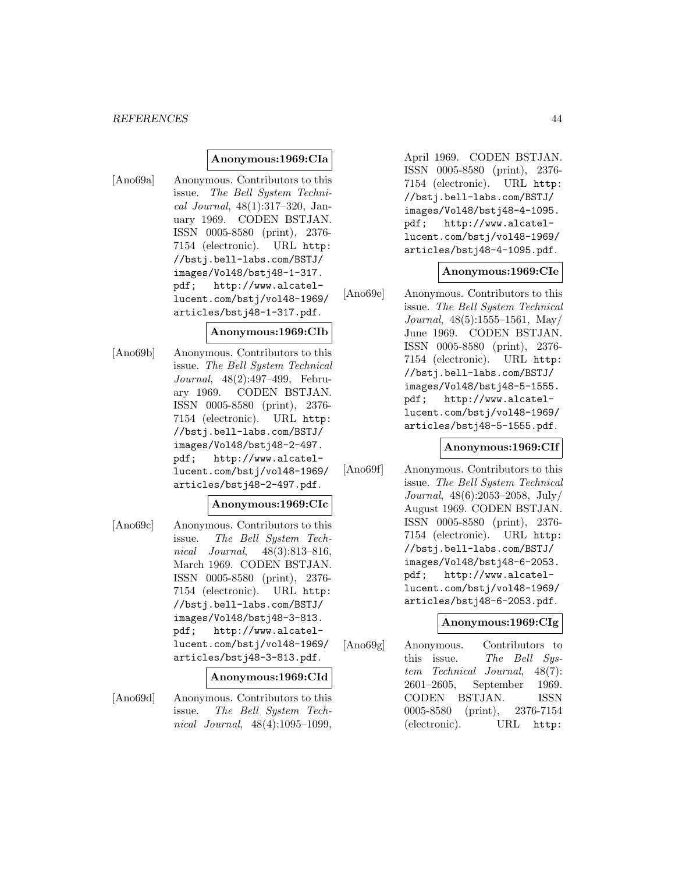#### *REFERENCES* 44

#### **Anonymous:1969:CIa**

[Ano69a] Anonymous. Contributors to this issue. The Bell System Technical Journal, 48(1):317–320, January 1969. CODEN BSTJAN. ISSN 0005-8580 (print), 2376- 7154 (electronic). URL http: //bstj.bell-labs.com/BSTJ/ images/Vol48/bstj48-1-317. pdf; http://www.alcatellucent.com/bstj/vol48-1969/ articles/bstj48-1-317.pdf.

#### **Anonymous:1969:CIb**

[Ano69b] Anonymous. Contributors to this issue. The Bell System Technical Journal, 48(2):497–499, February 1969. CODEN BSTJAN. ISSN 0005-8580 (print), 2376- 7154 (electronic). URL http: //bstj.bell-labs.com/BSTJ/ images/Vol48/bstj48-2-497. pdf; http://www.alcatellucent.com/bstj/vol48-1969/ articles/bstj48-2-497.pdf.

#### **Anonymous:1969:CIc**

[Ano69c] Anonymous. Contributors to this issue. The Bell System Technical Journal, 48(3):813–816, March 1969. CODEN BSTJAN. ISSN 0005-8580 (print), 2376- 7154 (electronic). URL http: //bstj.bell-labs.com/BSTJ/ images/Vol48/bstj48-3-813. pdf; http://www.alcatellucent.com/bstj/vol48-1969/ articles/bstj48-3-813.pdf.

#### **Anonymous:1969:CId**

[Ano69d] Anonymous. Contributors to this issue. The Bell System Technical Journal, 48(4):1095–1099,

April 1969. CODEN BSTJAN. ISSN 0005-8580 (print), 2376- 7154 (electronic). URL http: //bstj.bell-labs.com/BSTJ/ images/Vol48/bstj48-4-1095. pdf; http://www.alcatellucent.com/bstj/vol48-1969/ articles/bstj48-4-1095.pdf.

#### **Anonymous:1969:CIe**

[Ano69e] Anonymous. Contributors to this issue. The Bell System Technical Journal, 48(5):1555–1561, May/ June 1969. CODEN BSTJAN. ISSN 0005-8580 (print), 2376- 7154 (electronic). URL http: //bstj.bell-labs.com/BSTJ/ images/Vol48/bstj48-5-1555. pdf; http://www.alcatellucent.com/bstj/vol48-1969/ articles/bstj48-5-1555.pdf.

#### **Anonymous:1969:CIf**

[Ano69f] Anonymous. Contributors to this issue. The Bell System Technical Journal, 48(6):2053–2058, July/ August 1969. CODEN BSTJAN. ISSN 0005-8580 (print), 2376- 7154 (electronic). URL http: //bstj.bell-labs.com/BSTJ/ images/Vol48/bstj48-6-2053. pdf; http://www.alcatellucent.com/bstj/vol48-1969/ articles/bstj48-6-2053.pdf.

#### **Anonymous:1969:CIg**

[Ano69g] Anonymous. Contributors to this issue. The Bell Sustem Technical Journal, 48(7): 2601–2605, September 1969. CODEN BSTJAN. ISSN 0005-8580 (print), 2376-7154 (electronic). URL http: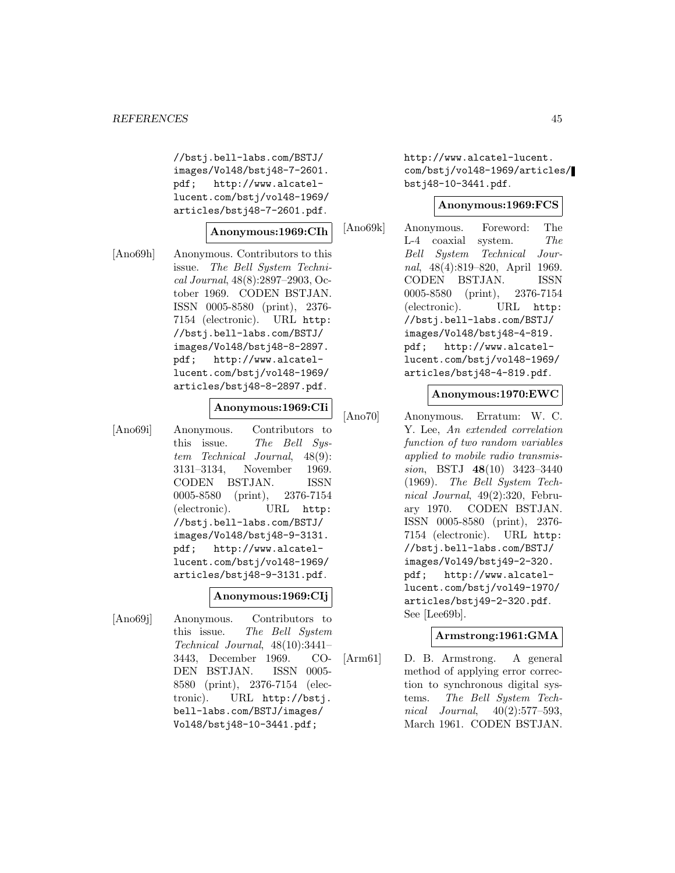//bstj.bell-labs.com/BSTJ/ images/Vol48/bstj48-7-2601. pdf; http://www.alcatellucent.com/bstj/vol48-1969/ articles/bstj48-7-2601.pdf.

# **Anonymous:1969:CIh**

[Ano69h] Anonymous. Contributors to this issue. The Bell System Technical Journal, 48(8):2897–2903, October 1969. CODEN BSTJAN. ISSN 0005-8580 (print), 2376- 7154 (electronic). URL http: //bstj.bell-labs.com/BSTJ/ images/Vol48/bstj48-8-2897. pdf; http://www.alcatellucent.com/bstj/vol48-1969/ articles/bstj48-8-2897.pdf.

#### **Anonymous:1969:CIi**

[Ano69i] Anonymous. Contributors to this issue. The Bell System Technical Journal, 48(9): 3131–3134, November 1969. CODEN BSTJAN. ISSN 0005-8580 (print), 2376-7154 (electronic). URL http: //bstj.bell-labs.com/BSTJ/ images/Vol48/bstj48-9-3131. pdf; http://www.alcatellucent.com/bstj/vol48-1969/ articles/bstj48-9-3131.pdf.

#### **Anonymous:1969:CIj**

[Ano69j] Anonymous. Contributors to this issue. The Bell System Technical Journal, 48(10):3441– 3443, December 1969. CO-DEN BSTJAN. ISSN 0005- 8580 (print), 2376-7154 (electronic). URL http://bstj. bell-labs.com/BSTJ/images/ Vol48/bstj48-10-3441.pdf;

http://www.alcatel-lucent. com/bstj/vol48-1969/articles/ bstj48-10-3441.pdf.

### **Anonymous:1969:FCS**

[Ano69k] Anonymous. Foreword: The L-4 coaxial system. The Bell System Technical Journal, 48(4):819–820, April 1969. CODEN BSTJAN. ISSN 0005-8580 (print), 2376-7154 (electronic). URL http: //bstj.bell-labs.com/BSTJ/ images/Vol48/bstj48-4-819. pdf; http://www.alcatellucent.com/bstj/vol48-1969/ articles/bstj48-4-819.pdf.

# **Anonymous:1970:EWC**

[Ano70] Anonymous. Erratum: W. C. Y. Lee, An extended correlation function of two random variables applied to mobile radio transmission, BSTJ **48**(10) 3423–3440 (1969). The Bell System Technical Journal, 49(2):320, February 1970. CODEN BSTJAN. ISSN 0005-8580 (print), 2376- 7154 (electronic). URL http: //bstj.bell-labs.com/BSTJ/ images/Vol49/bstj49-2-320. pdf; http://www.alcatellucent.com/bstj/vol49-1970/ articles/bstj49-2-320.pdf. See [Lee69b].

### **Armstrong:1961:GMA**

[Arm61] D. B. Armstrong. A general method of applying error correction to synchronous digital systems. The Bell System Technical Journal, 40(2):577–593, March 1961. CODEN BSTJAN.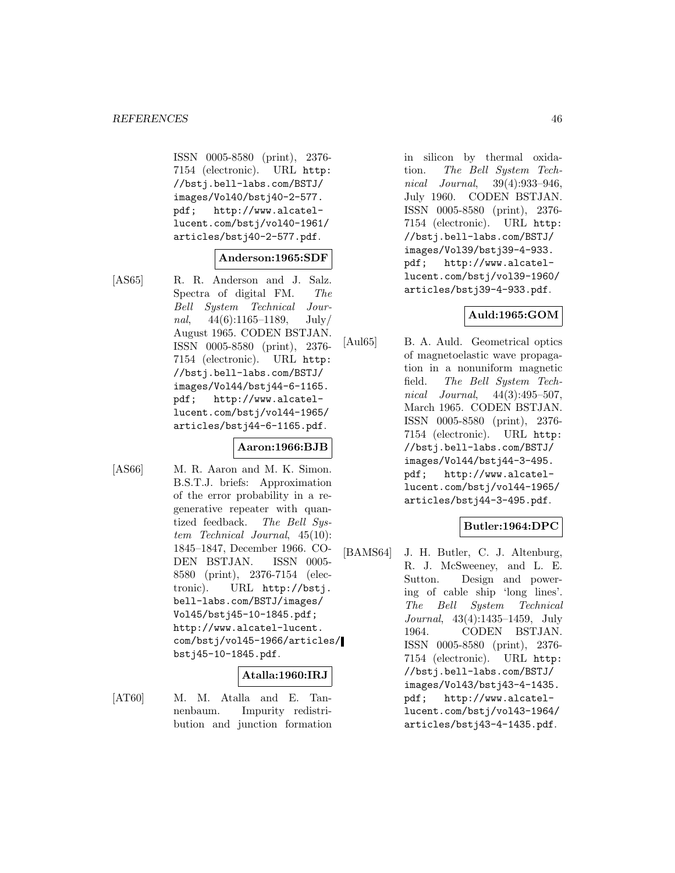ISSN 0005-8580 (print), 2376- 7154 (electronic). URL http: //bstj.bell-labs.com/BSTJ/ images/Vol40/bstj40-2-577. pdf; http://www.alcatellucent.com/bstj/vol40-1961/ articles/bstj40-2-577.pdf.

#### **Anderson:1965:SDF**

[AS65] R. R. Anderson and J. Salz. Spectra of digital FM. The Bell System Technical Journal,  $44(6):1165-1189$ , July/ August 1965. CODEN BSTJAN. ISSN 0005-8580 (print), 2376- 7154 (electronic). URL http: //bstj.bell-labs.com/BSTJ/ images/Vol44/bstj44-6-1165. pdf; http://www.alcatellucent.com/bstj/vol44-1965/ articles/bstj44-6-1165.pdf.

### **Aaron:1966:BJB**

[AS66] M. R. Aaron and M. K. Simon. B.S.T.J. briefs: Approximation of the error probability in a regenerative repeater with quantized feedback. The Bell System Technical Journal, 45(10): 1845–1847, December 1966. CO-DEN BSTJAN. ISSN 0005- 8580 (print), 2376-7154 (electronic). URL http://bstj. bell-labs.com/BSTJ/images/ Vol45/bstj45-10-1845.pdf; http://www.alcatel-lucent. com/bstj/vol45-1966/articles/ bstj45-10-1845.pdf.

#### **Atalla:1960:IRJ**

[AT60] M. M. Atalla and E. Tannenbaum. Impurity redistribution and junction formation

in silicon by thermal oxidation. The Bell System Technical Journal, 39(4):933–946, July 1960. CODEN BSTJAN. ISSN 0005-8580 (print), 2376- 7154 (electronic). URL http: //bstj.bell-labs.com/BSTJ/ images/Vol39/bstj39-4-933. pdf; http://www.alcatellucent.com/bstj/vol39-1960/ articles/bstj39-4-933.pdf.

# **Auld:1965:GOM**

[Aul65] B. A. Auld. Geometrical optics of magnetoelastic wave propagation in a nonuniform magnetic field. The Bell System Technical Journal, 44(3):495–507, March 1965. CODEN BSTJAN. ISSN 0005-8580 (print), 2376- 7154 (electronic). URL http: //bstj.bell-labs.com/BSTJ/ images/Vol44/bstj44-3-495. pdf; http://www.alcatellucent.com/bstj/vol44-1965/ articles/bstj44-3-495.pdf.

### **Butler:1964:DPC**

[BAMS64] J. H. Butler, C. J. Altenburg, R. J. McSweeney, and L. E. Sutton. Design and powering of cable ship 'long lines'. The Bell System Technical Journal, 43(4):1435–1459, July 1964. CODEN BSTJAN. ISSN 0005-8580 (print), 2376- 7154 (electronic). URL http: //bstj.bell-labs.com/BSTJ/ images/Vol43/bstj43-4-1435. pdf; http://www.alcatellucent.com/bstj/vol43-1964/ articles/bstj43-4-1435.pdf.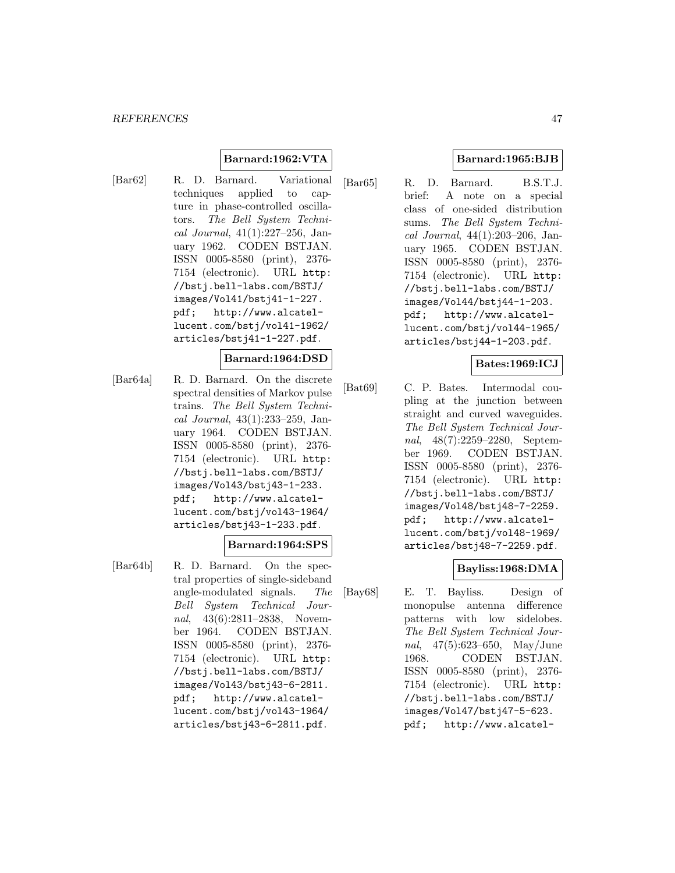### **Barnard:1962:VTA**

[Bar62] R. D. Barnard. Variational techniques applied to capture in phase-controlled oscillators. The Bell System Technical Journal, 41(1):227–256, January 1962. CODEN BSTJAN. ISSN 0005-8580 (print), 2376- 7154 (electronic). URL http: //bstj.bell-labs.com/BSTJ/ images/Vol41/bstj41-1-227. pdf; http://www.alcatellucent.com/bstj/vol41-1962/ articles/bstj41-1-227.pdf.

#### **Barnard:1964:DSD**

[Bar64a] R. D. Barnard. On the discrete spectral densities of Markov pulse trains. The Bell System Technical Journal, 43(1):233–259, January 1964. CODEN BSTJAN. ISSN 0005-8580 (print), 2376- 7154 (electronic). URL http: //bstj.bell-labs.com/BSTJ/ images/Vol43/bstj43-1-233. pdf; http://www.alcatellucent.com/bstj/vol43-1964/ articles/bstj43-1-233.pdf.

### **Barnard:1964:SPS**

[Bar64b] R. D. Barnard. On the spectral properties of single-sideband angle-modulated signals. The Bell System Technical Journal, 43(6):2811-2838, November 1964. CODEN BSTJAN. ISSN 0005-8580 (print), 2376- 7154 (electronic). URL http: //bstj.bell-labs.com/BSTJ/ images/Vol43/bstj43-6-2811. pdf; http://www.alcatellucent.com/bstj/vol43-1964/ articles/bstj43-6-2811.pdf.

# **Barnard:1965:BJB**

[Bar65] R. D. Barnard. B.S.T.J. brief: A note on a special class of one-sided distribution sums. The Bell System Technical Journal, 44(1):203–206, January 1965. CODEN BSTJAN. ISSN 0005-8580 (print), 2376- 7154 (electronic). URL http: //bstj.bell-labs.com/BSTJ/ images/Vol44/bstj44-1-203. pdf; http://www.alcatellucent.com/bstj/vol44-1965/ articles/bstj44-1-203.pdf.

# **Bates:1969:ICJ**

[Bat69] C. P. Bates. Intermodal coupling at the junction between straight and curved waveguides. The Bell System Technical Journal, 48(7):2259–2280, September 1969. CODEN BSTJAN. ISSN 0005-8580 (print), 2376- 7154 (electronic). URL http: //bstj.bell-labs.com/BSTJ/ images/Vol48/bstj48-7-2259. pdf; http://www.alcatellucent.com/bstj/vol48-1969/ articles/bstj48-7-2259.pdf.

### **Bayliss:1968:DMA**

[Bay68] E. T. Bayliss. Design of monopulse antenna difference patterns with low sidelobes. The Bell System Technical Journal, 47(5):623–650, May/June 1968. CODEN BSTJAN. ISSN 0005-8580 (print), 2376- 7154 (electronic). URL http: //bstj.bell-labs.com/BSTJ/ images/Vol47/bstj47-5-623. pdf; http://www.alcatel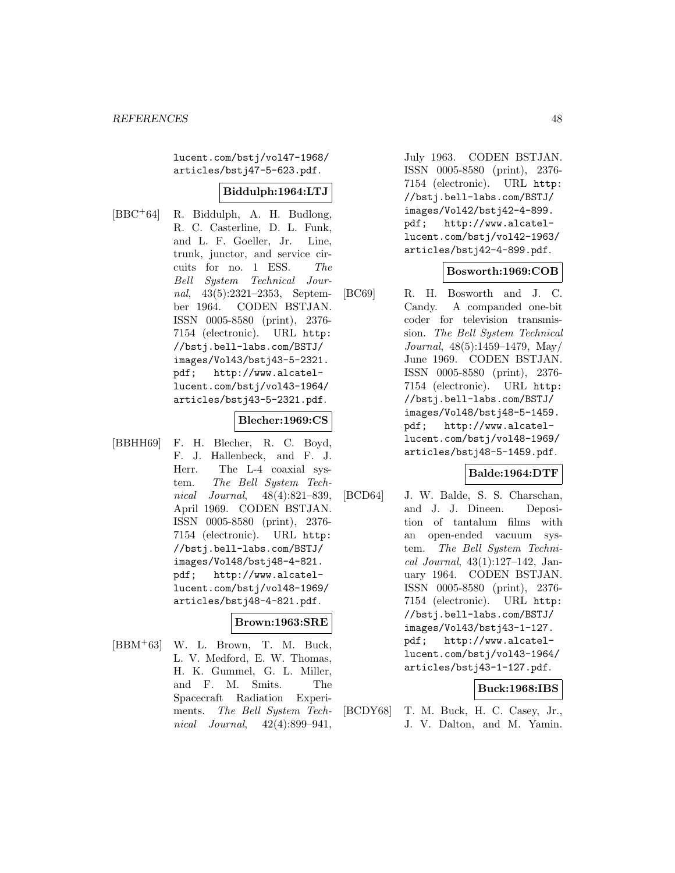lucent.com/bstj/vol47-1968/ articles/bstj47-5-623.pdf.

### **Biddulph:1964:LTJ**

[BBC<sup>+</sup>64] R. Biddulph, A. H. Budlong, R. C. Casterline, D. L. Funk, and L. F. Goeller, Jr. Line, trunk, junctor, and service circuits for no. 1 ESS. The Bell System Technical Journal, 43(5):2321–2353, September 1964. CODEN BSTJAN. ISSN 0005-8580 (print), 2376- 7154 (electronic). URL http: //bstj.bell-labs.com/BSTJ/ images/Vol43/bstj43-5-2321. pdf; http://www.alcatellucent.com/bstj/vol43-1964/ articles/bstj43-5-2321.pdf.

#### **Blecher:1969:CS**

[BBHH69] F. H. Blecher, R. C. Boyd, F. J. Hallenbeck, and F. J. Herr. The L-4 coaxial system. The Bell System Technical Journal, 48(4):821–839, April 1969. CODEN BSTJAN. ISSN 0005-8580 (print), 2376- 7154 (electronic). URL http: //bstj.bell-labs.com/BSTJ/ images/Vol48/bstj48-4-821. pdf; http://www.alcatellucent.com/bstj/vol48-1969/ articles/bstj48-4-821.pdf.

#### **Brown:1963:SRE**

[BBM<sup>+</sup>63] W. L. Brown, T. M. Buck, L. V. Medford, E. W. Thomas, H. K. Gummel, G. L. Miller, and F. M. Smits. The Spacecraft Radiation Experiments. The Bell System Technical Journal, 42(4):899–941,

July 1963. CODEN BSTJAN. ISSN 0005-8580 (print), 2376- 7154 (electronic). URL http: //bstj.bell-labs.com/BSTJ/ images/Vol42/bstj42-4-899. pdf; http://www.alcatellucent.com/bstj/vol42-1963/ articles/bstj42-4-899.pdf.

#### **Bosworth:1969:COB**

[BC69] R. H. Bosworth and J. C. Candy. A companded one-bit coder for television transmission. The Bell System Technical Journal, 48(5):1459–1479, May/ June 1969. CODEN BSTJAN. ISSN 0005-8580 (print), 2376- 7154 (electronic). URL http: //bstj.bell-labs.com/BSTJ/ images/Vol48/bstj48-5-1459. pdf; http://www.alcatellucent.com/bstj/vol48-1969/ articles/bstj48-5-1459.pdf.

### **Balde:1964:DTF**

[BCD64] J. W. Balde, S. S. Charschan, and J. J. Dineen. Deposition of tantalum films with an open-ended vacuum system. The Bell System Technical Journal, 43(1):127–142, January 1964. CODEN BSTJAN. ISSN 0005-8580 (print), 2376- 7154 (electronic). URL http: //bstj.bell-labs.com/BSTJ/ images/Vol43/bstj43-1-127. pdf; http://www.alcatellucent.com/bstj/vol43-1964/ articles/bstj43-1-127.pdf.

### **Buck:1968:IBS**

[BCDY68] T. M. Buck, H. C. Casey, Jr., J. V. Dalton, and M. Yamin.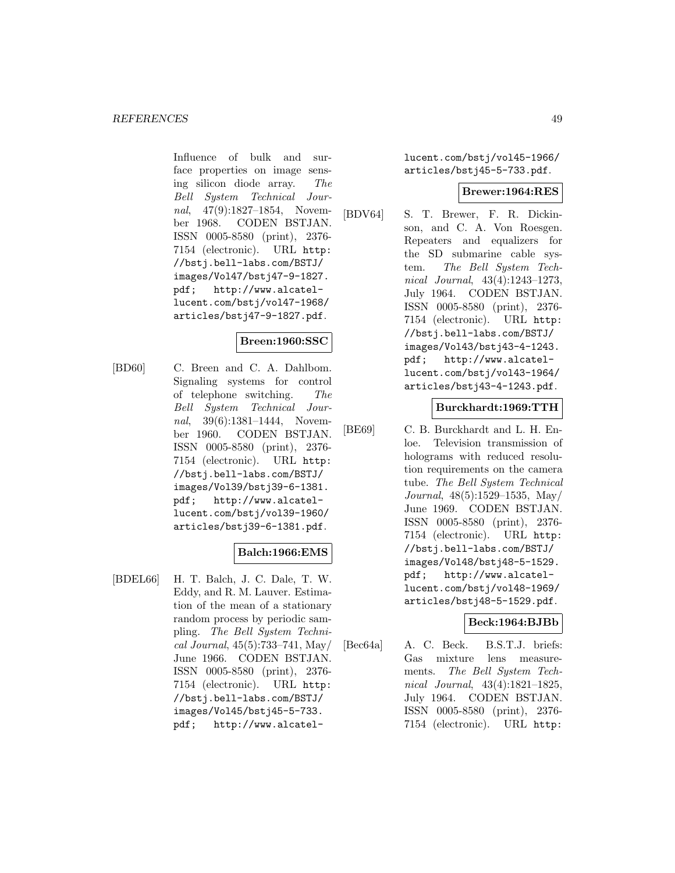Influence of bulk and surface properties on image sensing silicon diode array. The Bell System Technical Journal, 47(9):1827–1854, November 1968. CODEN BSTJAN. ISSN 0005-8580 (print), 2376- 7154 (electronic). URL http: //bstj.bell-labs.com/BSTJ/ images/Vol47/bstj47-9-1827. pdf; http://www.alcatellucent.com/bstj/vol47-1968/ articles/bstj47-9-1827.pdf.

# **Breen:1960:SSC**

[BD60] C. Breen and C. A. Dahlbom. Signaling systems for control of telephone switching. The Bell System Technical Journal, 39(6):1381–1444, November 1960. CODEN BSTJAN. ISSN 0005-8580 (print), 2376- 7154 (electronic). URL http: //bstj.bell-labs.com/BSTJ/ images/Vol39/bstj39-6-1381. pdf; http://www.alcatellucent.com/bstj/vol39-1960/ articles/bstj39-6-1381.pdf.

# **Balch:1966:EMS**

[BDEL66] H. T. Balch, J. C. Dale, T. W. Eddy, and R. M. Lauver. Estimation of the mean of a stationary random process by periodic sampling. The Bell System Technical Journal, 45(5):733–741, May/ June 1966. CODEN BSTJAN. ISSN 0005-8580 (print), 2376- 7154 (electronic). URL http: //bstj.bell-labs.com/BSTJ/ images/Vol45/bstj45-5-733. pdf; http://www.alcatellucent.com/bstj/vol45-1966/ articles/bstj45-5-733.pdf.

### **Brewer:1964:RES**

[BDV64] S. T. Brewer, F. R. Dickinson, and C. A. Von Roesgen. Repeaters and equalizers for the SD submarine cable system. The Bell System Technical Journal, 43(4):1243–1273, July 1964. CODEN BSTJAN. ISSN 0005-8580 (print), 2376- 7154 (electronic). URL http: //bstj.bell-labs.com/BSTJ/ images/Vol43/bstj43-4-1243. pdf; http://www.alcatellucent.com/bstj/vol43-1964/ articles/bstj43-4-1243.pdf.

# **Burckhardt:1969:TTH**

[BE69] C. B. Burckhardt and L. H. Enloe. Television transmission of holograms with reduced resolution requirements on the camera tube. The Bell System Technical Journal, 48(5):1529–1535, May/ June 1969. CODEN BSTJAN. ISSN 0005-8580 (print), 2376- 7154 (electronic). URL http: //bstj.bell-labs.com/BSTJ/ images/Vol48/bstj48-5-1529. pdf; http://www.alcatellucent.com/bstj/vol48-1969/ articles/bstj48-5-1529.pdf.

### **Beck:1964:BJBb**

[Bec64a] A. C. Beck. B.S.T.J. briefs: Gas mixture lens measurements. The Bell System Technical Journal, 43(4):1821–1825, July 1964. CODEN BSTJAN. ISSN 0005-8580 (print), 2376- 7154 (electronic). URL http: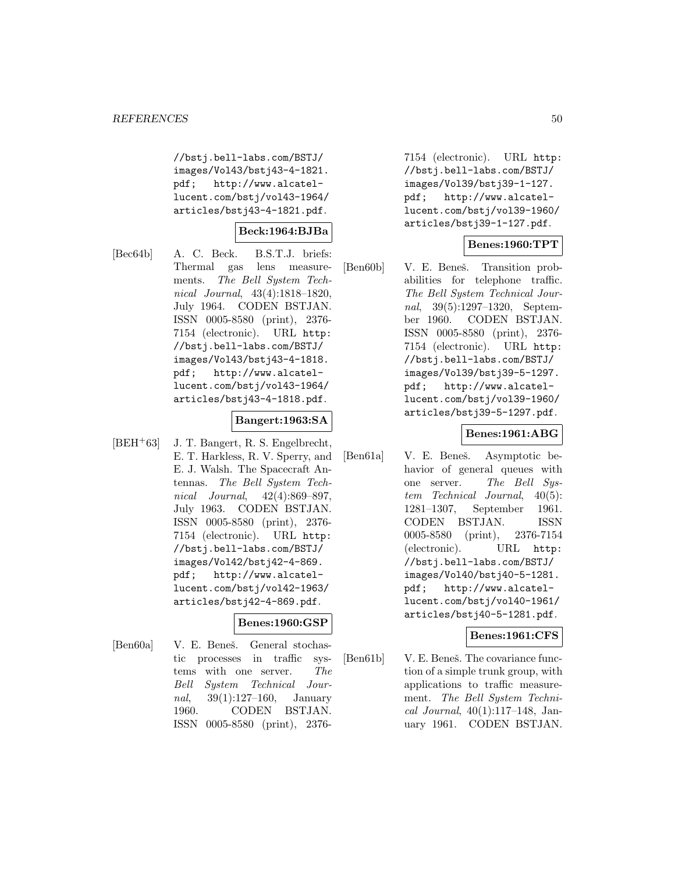//bstj.bell-labs.com/BSTJ/ images/Vol43/bstj43-4-1821. pdf; http://www.alcatellucent.com/bstj/vol43-1964/ articles/bstj43-4-1821.pdf.

# **Beck:1964:BJBa**

[Bec64b] A. C. Beck. B.S.T.J. briefs: Thermal gas lens measurements. The Bell System Technical Journal, 43(4):1818–1820, July 1964. CODEN BSTJAN. ISSN 0005-8580 (print), 2376- 7154 (electronic). URL http: //bstj.bell-labs.com/BSTJ/ images/Vol43/bstj43-4-1818. pdf; http://www.alcatellucent.com/bstj/vol43-1964/ articles/bstj43-4-1818.pdf.

### **Bangert:1963:SA**

[BEH<sup>+</sup>63] J. T. Bangert, R. S. Engelbrecht, E. T. Harkless, R. V. Sperry, and E. J. Walsh. The Spacecraft Antennas. The Bell System Technical Journal, 42(4):869–897, July 1963. CODEN BSTJAN. ISSN 0005-8580 (print), 2376- 7154 (electronic). URL http: //bstj.bell-labs.com/BSTJ/ images/Vol42/bstj42-4-869. pdf; http://www.alcatellucent.com/bstj/vol42-1963/ articles/bstj42-4-869.pdf.

### **Benes:1960:GSP**

[Ben60a] V. E. Beneš. General stochastic processes in traffic systems with one server. The Bell System Technical Journal, 39(1):127–160, January 1960. CODEN BSTJAN. ISSN 0005-8580 (print), 23767154 (electronic). URL http: //bstj.bell-labs.com/BSTJ/ images/Vol39/bstj39-1-127. pdf; http://www.alcatellucent.com/bstj/vol39-1960/ articles/bstj39-1-127.pdf.

# **Benes:1960:TPT**

[Ben60b] V. E. Beneš. Transition probabilities for telephone traffic. The Bell System Technical Journal, 39(5):1297–1320, September 1960. CODEN BSTJAN. ISSN 0005-8580 (print), 2376- 7154 (electronic). URL http: //bstj.bell-labs.com/BSTJ/ images/Vol39/bstj39-5-1297. pdf; http://www.alcatellucent.com/bstj/vol39-1960/ articles/bstj39-5-1297.pdf.

### **Benes:1961:ABG**

[Ben61a] V. E. Beneš. Asymptotic behavior of general queues with one server. The Bell System Technical Journal, 40(5): 1281–1307, September 1961. CODEN BSTJAN. ISSN 0005-8580 (print), 2376-7154 (electronic). URL http: //bstj.bell-labs.com/BSTJ/ images/Vol40/bstj40-5-1281. pdf; http://www.alcatellucent.com/bstj/vol40-1961/ articles/bstj40-5-1281.pdf.

# **Benes:1961:CFS**

[Ben61b] V. E. Beneš. The covariance function of a simple trunk group, with applications to traffic measurement. The Bell System Technical Journal, 40(1):117–148, January 1961. CODEN BSTJAN.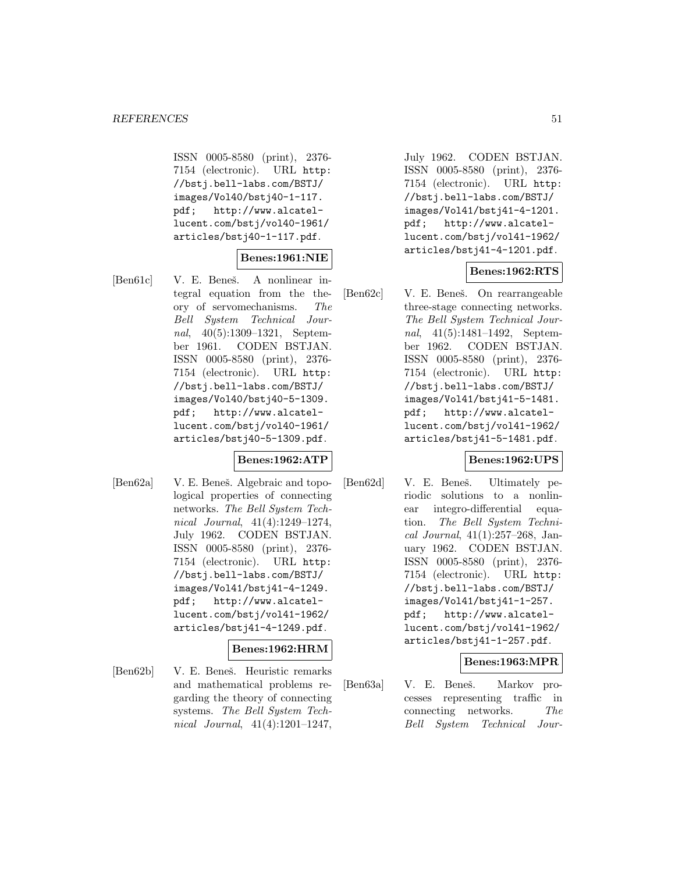ISSN 0005-8580 (print), 2376- 7154 (electronic). URL http: //bstj.bell-labs.com/BSTJ/ images/Vol40/bstj40-1-117. pdf; http://www.alcatellucent.com/bstj/vol40-1961/ articles/bstj40-1-117.pdf.

# **Benes:1961:NIE**

[Ben61c] V. E. Beneš. A nonlinear integral equation from the theory of servomechanisms. The Bell System Technical Journal, 40(5):1309–1321, September 1961. CODEN BSTJAN. ISSN 0005-8580 (print), 2376- 7154 (electronic). URL http: //bstj.bell-labs.com/BSTJ/ images/Vol40/bstj40-5-1309. pdf; http://www.alcatellucent.com/bstj/vol40-1961/ articles/bstj40-5-1309.pdf.

### **Benes:1962:ATP**

[Ben62a] V. E. Beneš. Algebraic and topological properties of connecting networks. The Bell System Technical Journal, 41(4):1249–1274, July 1962. CODEN BSTJAN. ISSN 0005-8580 (print), 2376- 7154 (electronic). URL http: //bstj.bell-labs.com/BSTJ/ images/Vol41/bstj41-4-1249. pdf; http://www.alcatellucent.com/bstj/vol41-1962/ articles/bstj41-4-1249.pdf.

### **Benes:1962:HRM**

[Ben62b] V. E. Beneš. Heuristic remarks and mathematical problems regarding the theory of connecting systems. The Bell System Technical Journal, 41(4):1201–1247,

July 1962. CODEN BSTJAN. ISSN 0005-8580 (print), 2376- 7154 (electronic). URL http: //bstj.bell-labs.com/BSTJ/ images/Vol41/bstj41-4-1201. pdf; http://www.alcatellucent.com/bstj/vol41-1962/ articles/bstj41-4-1201.pdf.

# **Benes:1962:RTS**

[Ben62c] V. E. Beneš. On rearrangeable three-stage connecting networks. The Bell System Technical Journal, 41(5):1481–1492, September 1962. CODEN BSTJAN. ISSN 0005-8580 (print), 2376- 7154 (electronic). URL http: //bstj.bell-labs.com/BSTJ/ images/Vol41/bstj41-5-1481. pdf; http://www.alcatellucent.com/bstj/vol41-1962/ articles/bstj41-5-1481.pdf.

# **Benes:1962:UPS**

[Ben62d] V. E. Beneš. Ultimately periodic solutions to a nonlinear integro-differential equation. The Bell System Technical Journal, 41(1):257–268, January 1962. CODEN BSTJAN. ISSN 0005-8580 (print), 2376- 7154 (electronic). URL http: //bstj.bell-labs.com/BSTJ/ images/Vol41/bstj41-1-257. pdf; http://www.alcatellucent.com/bstj/vol41-1962/ articles/bstj41-1-257.pdf.

### **Benes:1963:MPR**

[Ben63a] V. E. Beneš. Markov processes representing traffic in connecting networks. The Bell System Technical Jour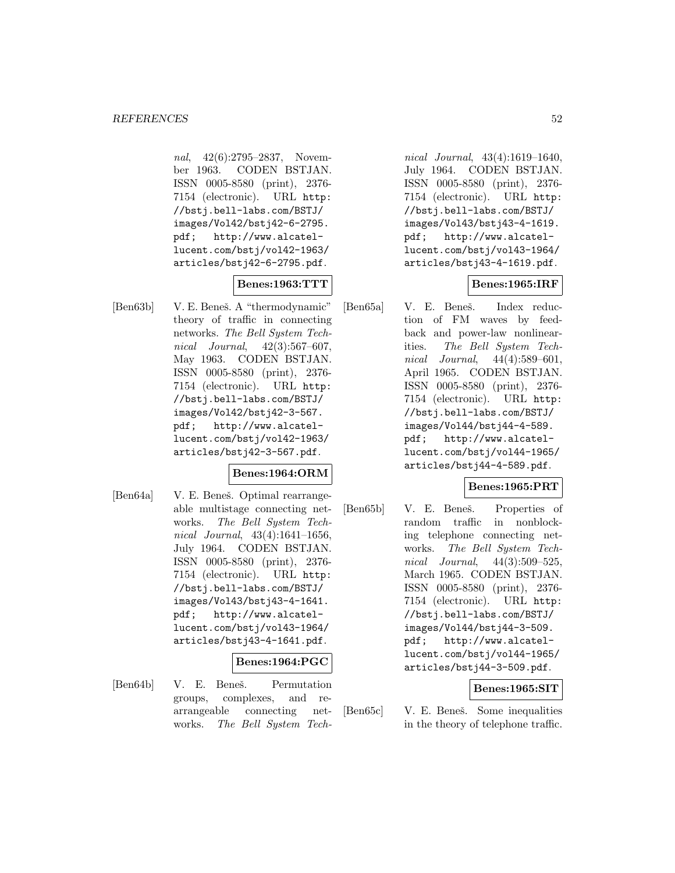nal, 42(6):2795–2837, November 1963. CODEN BSTJAN. ISSN 0005-8580 (print), 2376- 7154 (electronic). URL http: //bstj.bell-labs.com/BSTJ/ images/Vol42/bstj42-6-2795. pdf; http://www.alcatellucent.com/bstj/vol42-1963/ articles/bstj42-6-2795.pdf.

# **Benes:1963:TTT**

[Ben63b] V. E. Beneš. A "thermodynamic" theory of traffic in connecting networks. The Bell System Technical Journal, 42(3):567–607, May 1963. CODEN BSTJAN. ISSN 0005-8580 (print), 2376- 7154 (electronic). URL http: //bstj.bell-labs.com/BSTJ/ images/Vol42/bstj42-3-567. pdf; http://www.alcatellucent.com/bstj/vol42-1963/ articles/bstj42-3-567.pdf.

### **Benes:1964:ORM**

[Ben64a] V. E. Beneš. Optimal rearrangeable multistage connecting networks. The Bell System Technical Journal, 43(4):1641–1656, July 1964. CODEN BSTJAN. ISSN 0005-8580 (print), 2376- 7154 (electronic). URL http: //bstj.bell-labs.com/BSTJ/ images/Vol43/bstj43-4-1641. pdf; http://www.alcatellucent.com/bstj/vol43-1964/ articles/bstj43-4-1641.pdf.

### **Benes:1964:PGC**

[Ben64b] V. E. Beneš. Permutation groups, complexes, and rearrangeable connecting networks. The Bell System Tech-

nical Journal, 43(4):1619–1640, July 1964. CODEN BSTJAN. ISSN 0005-8580 (print), 2376- 7154 (electronic). URL http: //bstj.bell-labs.com/BSTJ/ images/Vol43/bstj43-4-1619. pdf; http://www.alcatellucent.com/bstj/vol43-1964/ articles/bstj43-4-1619.pdf.

### **Benes:1965:IRF**

[Ben65a] V. E. Beneš. Index reduction of FM waves by feedback and power-law nonlinearities. The Bell System Technical Journal, 44(4):589–601, April 1965. CODEN BSTJAN. ISSN 0005-8580 (print), 2376- 7154 (electronic). URL http: //bstj.bell-labs.com/BSTJ/ images/Vol44/bstj44-4-589. pdf; http://www.alcatellucent.com/bstj/vol44-1965/ articles/bstj44-4-589.pdf.

### **Benes:1965:PRT**

[Ben65b] V. E. Beneš. Properties of random traffic in nonblocking telephone connecting networks. The Bell System Technical Journal, 44(3):509–525, March 1965. CODEN BSTJAN. ISSN 0005-8580 (print), 2376- 7154 (electronic). URL http: //bstj.bell-labs.com/BSTJ/ images/Vol44/bstj44-3-509. pdf; http://www.alcatellucent.com/bstj/vol44-1965/ articles/bstj44-3-509.pdf.

### **Benes:1965:SIT**

[Ben65c] V. E. Beneš. Some inequalities in the theory of telephone traffic.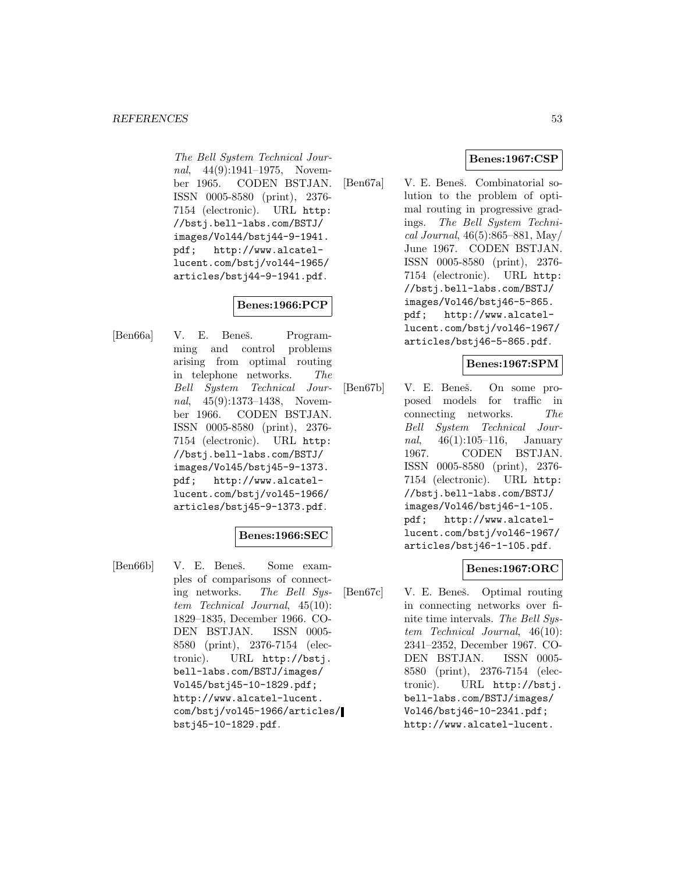The Bell System Technical Journal, 44(9):1941–1975, November 1965. CODEN BSTJAN. ISSN 0005-8580 (print), 2376- 7154 (electronic). URL http: //bstj.bell-labs.com/BSTJ/ images/Vol44/bstj44-9-1941. pdf; http://www.alcatellucent.com/bstj/vol44-1965/ articles/bstj44-9-1941.pdf.

# **Benes:1966:PCP**

[Ben66a] V. E. Beneš. Programming and control problems arising from optimal routing in telephone networks. The Bell System Technical Journal, 45(9):1373-1438, November 1966. CODEN BSTJAN. ISSN 0005-8580 (print), 2376- 7154 (electronic). URL http: //bstj.bell-labs.com/BSTJ/ images/Vol45/bstj45-9-1373. pdf; http://www.alcatellucent.com/bstj/vol45-1966/ articles/bstj45-9-1373.pdf.

### **Benes:1966:SEC**

[Ben66b] V. E. Beneš. Some examples of comparisons of connecting networks. The Bell System Technical Journal, 45(10): 1829–1835, December 1966. CO-DEN BSTJAN. ISSN 0005- 8580 (print), 2376-7154 (electronic). URL http://bstj. bell-labs.com/BSTJ/images/ Vol45/bstj45-10-1829.pdf; http://www.alcatel-lucent. com/bstj/vol45-1966/articles/ bstj45-10-1829.pdf.

# **Benes:1967:CSP**

[Ben67a] V. E. Beneš. Combinatorial solution to the problem of optimal routing in progressive gradings. The Bell System Technical Journal, 46(5):865–881, May/ June 1967. CODEN BSTJAN. ISSN 0005-8580 (print), 2376- 7154 (electronic). URL http: //bstj.bell-labs.com/BSTJ/ images/Vol46/bstj46-5-865. pdf; http://www.alcatellucent.com/bstj/vol46-1967/ articles/bstj46-5-865.pdf.

# **Benes:1967:SPM**

[Ben67b] V. E. Beneš. On some proposed models for traffic in connecting networks. The Bell System Technical Journal, 46(1):105–116, January 1967. CODEN BSTJAN. ISSN 0005-8580 (print), 2376- 7154 (electronic). URL http: //bstj.bell-labs.com/BSTJ/ images/Vol46/bstj46-1-105. pdf; http://www.alcatellucent.com/bstj/vol46-1967/ articles/bstj46-1-105.pdf.

# **Benes:1967:ORC**

[Ben67c] V. E. Beneš. Optimal routing in connecting networks over finite time intervals. The Bell System Technical Journal, 46(10): 2341–2352, December 1967. CO-DEN BSTJAN. ISSN 0005- 8580 (print), 2376-7154 (electronic). URL http://bstj. bell-labs.com/BSTJ/images/ Vol46/bstj46-10-2341.pdf; http://www.alcatel-lucent.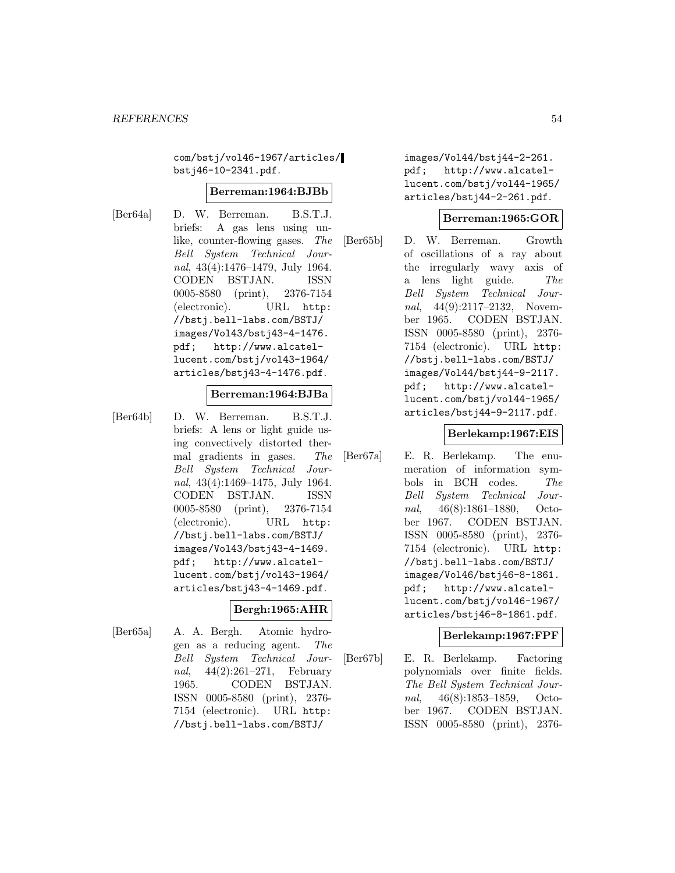com/bstj/vol46-1967/articles/ bstj46-10-2341.pdf.

### **Berreman:1964:BJBb**

- 
- [Ber64a] D. W. Berreman. B.S.T.J. briefs: A gas lens using unlike, counter-flowing gases. The Bell System Technical Journal, 43(4):1476–1479, July 1964. CODEN BSTJAN. ISSN 0005-8580 (print), 2376-7154 (electronic). URL http: //bstj.bell-labs.com/BSTJ/ images/Vol43/bstj43-4-1476. pdf; http://www.alcatellucent.com/bstj/vol43-1964/ articles/bstj43-4-1476.pdf.

#### **Berreman:1964:BJBa**

[Ber64b] D. W. Berreman. B.S.T.J. briefs: A lens or light guide using convectively distorted thermal gradients in gases. The Bell System Technical Journal, 43(4):1469–1475, July 1964. CODEN BSTJAN. ISSN 0005-8580 (print), 2376-7154 (electronic). URL http: //bstj.bell-labs.com/BSTJ/ images/Vol43/bstj43-4-1469. pdf; http://www.alcatellucent.com/bstj/vol43-1964/ articles/bstj43-4-1469.pdf.

# **Bergh:1965:AHR**

[Ber65a] A. A. Bergh. Atomic hydrogen as a reducing agent. The Bell System Technical Journal, 44(2):261–271, February 1965. CODEN BSTJAN. ISSN 0005-8580 (print), 2376- 7154 (electronic). URL http: //bstj.bell-labs.com/BSTJ/

images/Vol44/bstj44-2-261. pdf; http://www.alcatellucent.com/bstj/vol44-1965/ articles/bstj44-2-261.pdf.

### **Berreman:1965:GOR**

[Ber65b] D. W. Berreman. Growth of oscillations of a ray about the irregularly wavy axis of a lens light guide. The Bell System Technical Journal, 44(9):2117–2132, November 1965. CODEN BSTJAN. ISSN 0005-8580 (print), 2376- 7154 (electronic). URL http: //bstj.bell-labs.com/BSTJ/ images/Vol44/bstj44-9-2117. pdf; http://www.alcatellucent.com/bstj/vol44-1965/ articles/bstj44-9-2117.pdf.

### **Berlekamp:1967:EIS**

[Ber67a] E. R. Berlekamp. The enumeration of information symbols in BCH codes. The Bell System Technical Journal, 46(8):1861–1880, October 1967. CODEN BSTJAN. ISSN 0005-8580 (print), 2376- 7154 (electronic). URL http: //bstj.bell-labs.com/BSTJ/ images/Vol46/bstj46-8-1861. pdf; http://www.alcatellucent.com/bstj/vol46-1967/ articles/bstj46-8-1861.pdf.

### **Berlekamp:1967:FPF**

[Ber67b] E. R. Berlekamp. Factoring polynomials over finite fields. The Bell System Technical Journal, 46(8):1853–1859, October 1967. CODEN BSTJAN. ISSN 0005-8580 (print), 2376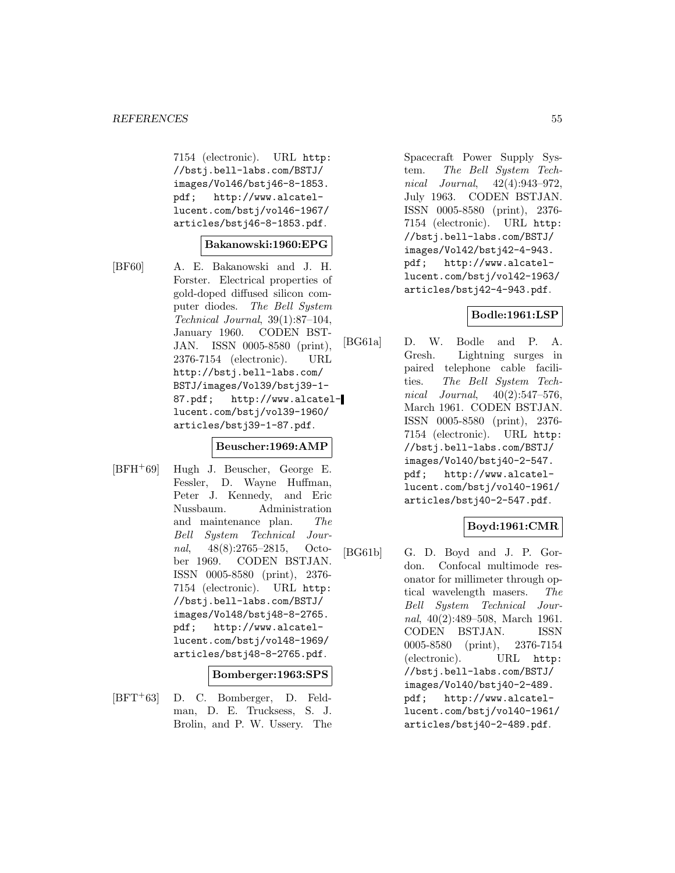7154 (electronic). URL http: //bstj.bell-labs.com/BSTJ/ images/Vol46/bstj46-8-1853.<br>pdf; http://www.alcatelhttp://www.alcatellucent.com/bstj/vol46-1967/ articles/bstj46-8-1853.pdf.

#### **Bakanowski:1960:EPG**

[BF60] A. E. Bakanowski and J. H. Forster. Electrical properties of gold-doped diffused silicon computer diodes. The Bell System Technical Journal, 39(1):87–104, January 1960. CODEN BST-JAN. ISSN 0005-8580 (print), 2376-7154 (electronic). URL http://bstj.bell-labs.com/ BSTJ/images/Vol39/bstj39-1- 87.pdf; http://www.alcatellucent.com/bstj/vol39-1960/ articles/bstj39-1-87.pdf.

#### **Beuscher:1969:AMP**

[BFH<sup>+</sup>69] Hugh J. Beuscher, George E. Fessler, D. Wayne Huffman, Peter J. Kennedy, and Eric Nussbaum. Administration and maintenance plan. The Bell System Technical Journal, 48(8):2765–2815, October 1969. CODEN BSTJAN. ISSN 0005-8580 (print), 2376- 7154 (electronic). URL http: //bstj.bell-labs.com/BSTJ/ images/Vol48/bstj48-8-2765. pdf; http://www.alcatellucent.com/bstj/vol48-1969/ articles/bstj48-8-2765.pdf.

#### **Bomberger:1963:SPS**

[BFT<sup>+</sup>63] D. C. Bomberger, D. Feldman, D. E. Trucksess, S. J. Brolin, and P. W. Ussery. The

Spacecraft Power Supply System. The Bell System Technical Journal, 42(4):943–972, July 1963. CODEN BSTJAN. ISSN 0005-8580 (print), 2376- 7154 (electronic). URL http: //bstj.bell-labs.com/BSTJ/ images/Vol42/bstj42-4-943. pdf; http://www.alcatellucent.com/bstj/vol42-1963/ articles/bstj42-4-943.pdf.

# **Bodle:1961:LSP**

[BG61a] D. W. Bodle and P. A. Gresh. Lightning surges in paired telephone cable facilities. The Bell System Technical Journal, 40(2):547–576, March 1961. CODEN BSTJAN. ISSN 0005-8580 (print), 2376- 7154 (electronic). URL http: //bstj.bell-labs.com/BSTJ/ images/Vol40/bstj40-2-547. pdf; http://www.alcatellucent.com/bstj/vol40-1961/ articles/bstj40-2-547.pdf.

# **Boyd:1961:CMR**

[BG61b] G. D. Boyd and J. P. Gordon. Confocal multimode resonator for millimeter through optical wavelength masers. The Bell System Technical Journal, 40(2):489–508, March 1961. CODEN BSTJAN. ISSN 0005-8580 (print), 2376-7154 (electronic). URL http: //bstj.bell-labs.com/BSTJ/ images/Vol40/bstj40-2-489. pdf; http://www.alcatellucent.com/bstj/vol40-1961/ articles/bstj40-2-489.pdf.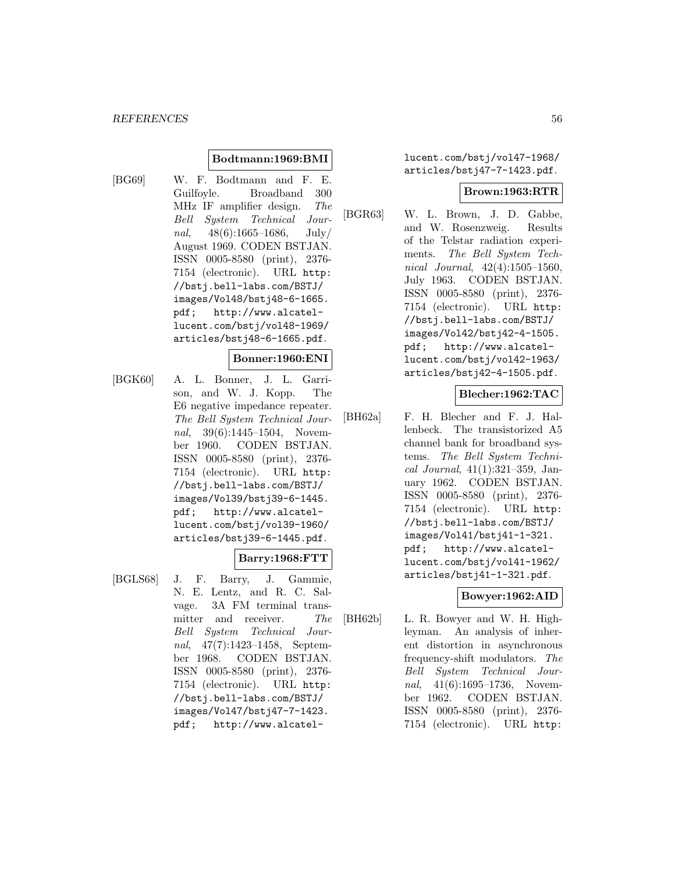### **Bodtmann:1969:BMI**

[BG69] W. F. Bodtmann and F. E. Guilfoyle. Broadband 300 MHz IF amplifier design. The Bell System Technical Journal,  $48(6):1665-1686$ , July/ August 1969. CODEN BSTJAN. ISSN 0005-8580 (print), 2376- 7154 (electronic). URL http: //bstj.bell-labs.com/BSTJ/ images/Vol48/bstj48-6-1665. pdf; http://www.alcatellucent.com/bstj/vol48-1969/ articles/bstj48-6-1665.pdf.

### **Bonner:1960:ENI**

[BGK60] A. L. Bonner, J. L. Garrison, and W. J. Kopp. The E6 negative impedance repeater. The Bell System Technical Journal, 39(6):1445–1504, November 1960. CODEN BSTJAN. ISSN 0005-8580 (print), 2376- 7154 (electronic). URL http: //bstj.bell-labs.com/BSTJ/ images/Vol39/bstj39-6-1445. pdf; http://www.alcatellucent.com/bstj/vol39-1960/ articles/bstj39-6-1445.pdf.

### **Barry:1968:FTT**

[BGLS68] J. F. Barry, J. Gammie, N. E. Lentz, and R. C. Salvage. 3A FM terminal transmitter and receiver. The Bell System Technical Journal, 47(7):1423–1458, September 1968. CODEN BSTJAN. ISSN 0005-8580 (print), 2376- 7154 (electronic). URL http: //bstj.bell-labs.com/BSTJ/ images/Vol47/bstj47-7-1423. pdf; http://www.alcatellucent.com/bstj/vol47-1968/ articles/bstj47-7-1423.pdf.

#### **Brown:1963:RTR**

[BGR63] W. L. Brown, J. D. Gabbe, and W. Rosenzweig. Results of the Telstar radiation experiments. The Bell System Technical Journal, 42(4):1505–1560, July 1963. CODEN BSTJAN. ISSN 0005-8580 (print), 2376- 7154 (electronic). URL http: //bstj.bell-labs.com/BSTJ/ images/Vol42/bstj42-4-1505. pdf; http://www.alcatellucent.com/bstj/vol42-1963/ articles/bstj42-4-1505.pdf.

# **Blecher:1962:TAC**

[BH62a] F. H. Blecher and F. J. Hallenbeck. The transistorized A5 channel bank for broadband systems. The Bell System Technical Journal, 41(1):321–359, January 1962. CODEN BSTJAN. ISSN 0005-8580 (print), 2376- 7154 (electronic). URL http: //bstj.bell-labs.com/BSTJ/ images/Vol41/bstj41-1-321. pdf; http://www.alcatellucent.com/bstj/vol41-1962/ articles/bstj41-1-321.pdf.

# **Bowyer:1962:AID**

[BH62b] L. R. Bowyer and W. H. Highleyman. An analysis of inherent distortion in asynchronous frequency-shift modulators. The Bell System Technical Journal, 41(6):1695-1736, November 1962. CODEN BSTJAN. ISSN 0005-8580 (print), 2376- 7154 (electronic). URL http: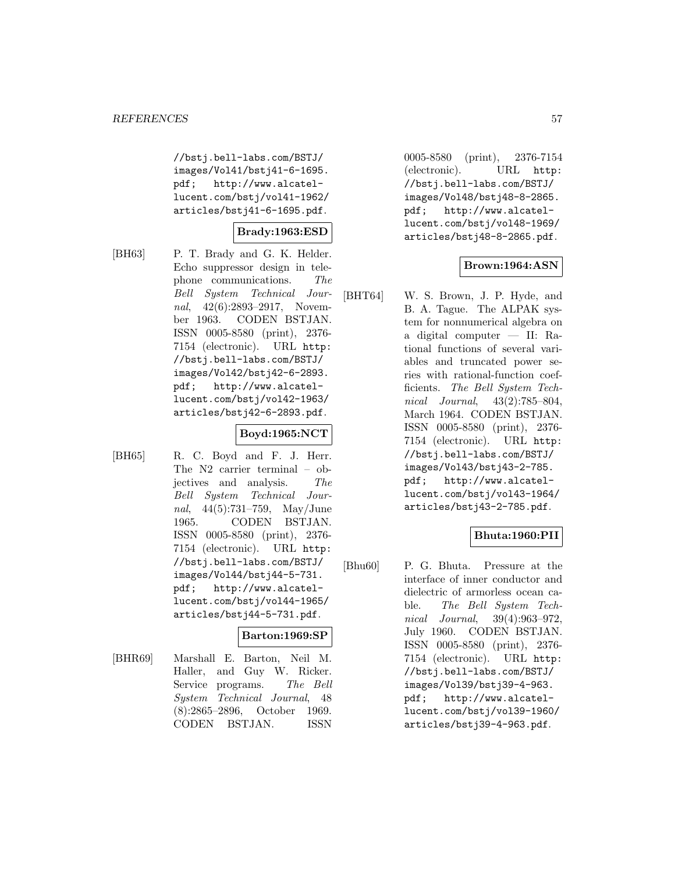//bstj.bell-labs.com/BSTJ/ images/Vol41/bstj41-6-1695. pdf; http://www.alcatellucent.com/bstj/vol41-1962/ articles/bstj41-6-1695.pdf.

# **Brady:1963:ESD**

[BH63] P. T. Brady and G. K. Helder. Echo suppressor design in telephone communications. The Bell System Technical Journal, 42(6):2893-2917, November 1963. CODEN BSTJAN. ISSN 0005-8580 (print), 2376- 7154 (electronic). URL http: //bstj.bell-labs.com/BSTJ/ images/Vol42/bstj42-6-2893. pdf; http://www.alcatellucent.com/bstj/vol42-1963/ articles/bstj42-6-2893.pdf.

# **Boyd:1965:NCT**

[BH65] R. C. Boyd and F. J. Herr. The N2 carrier terminal – objectives and analysis. The Bell System Technical Journal, 44(5):731–759, May/June 1965. CODEN BSTJAN. ISSN 0005-8580 (print), 2376- 7154 (electronic). URL http: //bstj.bell-labs.com/BSTJ/ images/Vol44/bstj44-5-731. pdf; http://www.alcatellucent.com/bstj/vol44-1965/ articles/bstj44-5-731.pdf.

### **Barton:1969:SP**

[BHR69] Marshall E. Barton, Neil M. Haller, and Guy W. Ricker. Service programs. The Bell System Technical Journal, 48 (8):2865–2896, October 1969. CODEN BSTJAN. ISSN

0005-8580 (print), 2376-7154 (electronic). URL http: //bstj.bell-labs.com/BSTJ/ images/Vol48/bstj48-8-2865. pdf; http://www.alcatellucent.com/bstj/vol48-1969/ articles/bstj48-8-2865.pdf.

# **Brown:1964:ASN**

[BHT64] W. S. Brown, J. P. Hyde, and B. A. Tague. The ALPAK system for nonnumerical algebra on a digital computer — II: Rational functions of several variables and truncated power series with rational-function coefficients. The Bell System Technical Journal, 43(2):785–804, March 1964. CODEN BSTJAN. ISSN 0005-8580 (print), 2376- 7154 (electronic). URL http: //bstj.bell-labs.com/BSTJ/ images/Vol43/bstj43-2-785. pdf; http://www.alcatellucent.com/bstj/vol43-1964/ articles/bstj43-2-785.pdf.

# **Bhuta:1960:PII**

[Bhu60] P. G. Bhuta. Pressure at the interface of inner conductor and dielectric of armorless ocean cable. The Bell System Technical Journal, 39(4):963–972, July 1960. CODEN BSTJAN. ISSN 0005-8580 (print), 2376- 7154 (electronic). URL http: //bstj.bell-labs.com/BSTJ/ images/Vol39/bstj39-4-963. pdf; http://www.alcatellucent.com/bstj/vol39-1960/ articles/bstj39-4-963.pdf.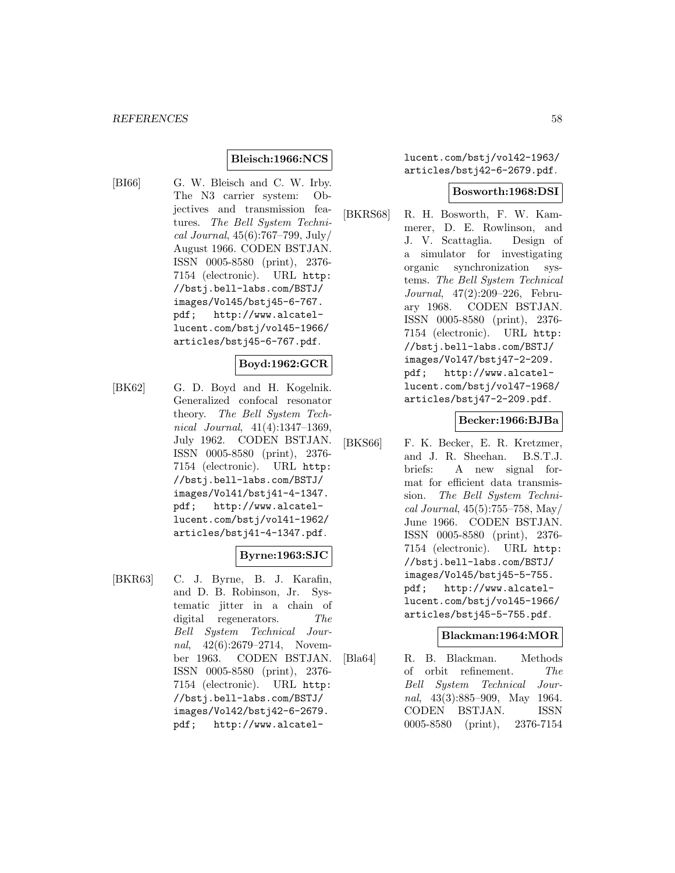### **Bleisch:1966:NCS**

[BI66] G. W. Bleisch and C. W. Irby. The N3 carrier system: Objectives and transmission features. The Bell System Technical Journal, 45(6):767–799, July/ August 1966. CODEN BSTJAN. ISSN 0005-8580 (print), 2376- 7154 (electronic). URL http: //bstj.bell-labs.com/BSTJ/ images/Vol45/bstj45-6-767. pdf; http://www.alcatellucent.com/bstj/vol45-1966/ articles/bstj45-6-767.pdf.

### **Boyd:1962:GCR**

[BK62] G. D. Boyd and H. Kogelnik. Generalized confocal resonator theory. The Bell System Technical Journal, 41(4):1347–1369, July 1962. CODEN BSTJAN. ISSN 0005-8580 (print), 2376- 7154 (electronic). URL http: //bstj.bell-labs.com/BSTJ/ images/Vol41/bstj41-4-1347. pdf; http://www.alcatellucent.com/bstj/vol41-1962/ articles/bstj41-4-1347.pdf.

### **Byrne:1963:SJC**

[BKR63] C. J. Byrne, B. J. Karafin, and D. B. Robinson, Jr. Systematic jitter in a chain of digital regenerators. The Bell System Technical Journal, 42(6):2679–2714, November 1963. CODEN BSTJAN. ISSN 0005-8580 (print), 2376- 7154 (electronic). URL http: //bstj.bell-labs.com/BSTJ/ images/Vol42/bstj42-6-2679. pdf; http://www.alcatellucent.com/bstj/vol42-1963/ articles/bstj42-6-2679.pdf.

#### **Bosworth:1968:DSI**

[BKRS68] R. H. Bosworth, F. W. Kammerer, D. E. Rowlinson, and J. V. Scattaglia. Design of a simulator for investigating organic synchronization systems. The Bell System Technical Journal, 47(2):209–226, February 1968. CODEN BSTJAN. ISSN 0005-8580 (print), 2376- 7154 (electronic). URL http: //bstj.bell-labs.com/BSTJ/ images/Vol47/bstj47-2-209. pdf; http://www.alcatellucent.com/bstj/vol47-1968/ articles/bstj47-2-209.pdf.

### **Becker:1966:BJBa**

[BKS66] F. K. Becker, E. R. Kretzmer, and J. R. Sheehan. B.S.T.J. briefs: A new signal format for efficient data transmission. The Bell System Technical Journal, 45(5):755–758, May/ June 1966. CODEN BSTJAN. ISSN 0005-8580 (print), 2376- 7154 (electronic). URL http: //bstj.bell-labs.com/BSTJ/ images/Vol45/bstj45-5-755. pdf; http://www.alcatellucent.com/bstj/vol45-1966/ articles/bstj45-5-755.pdf.

#### **Blackman:1964:MOR**

[Bla64] R. B. Blackman. Methods of orbit refinement. The Bell System Technical Journal, 43(3):885–909, May 1964. CODEN BSTJAN. ISSN 0005-8580 (print), 2376-7154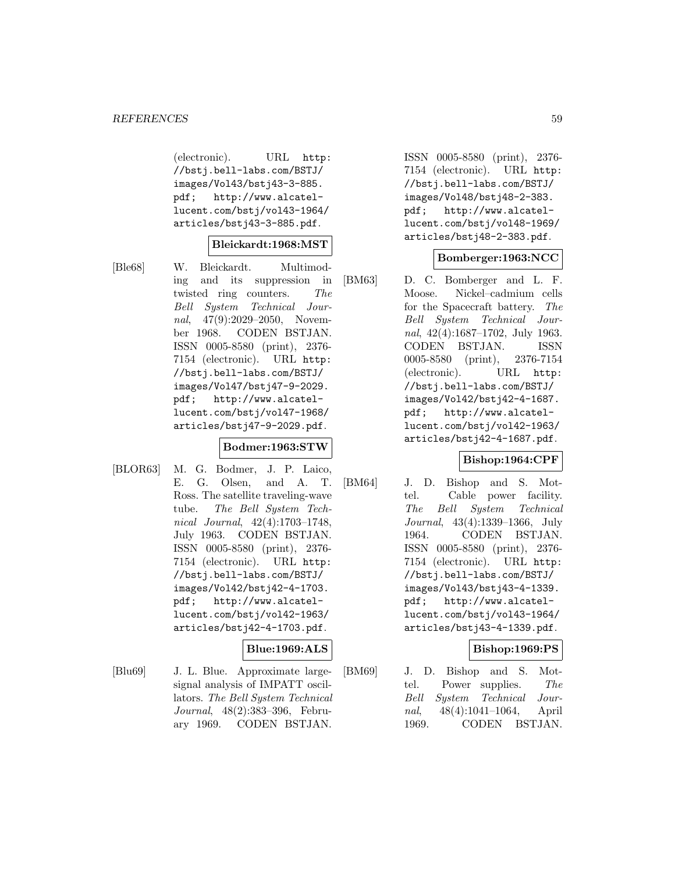(electronic). URL http: //bstj.bell-labs.com/BSTJ/ images/Vol43/bstj43-3-885. pdf; http://www.alcatellucent.com/bstj/vol43-1964/ articles/bstj43-3-885.pdf.

#### **Bleickardt:1968:MST**

[Ble68] W. Bleickardt. Multimoding and its suppression in twisted ring counters. The Bell System Technical Journal, 47(9):2029–2050, November 1968. CODEN BSTJAN. ISSN 0005-8580 (print), 2376- 7154 (electronic). URL http: //bstj.bell-labs.com/BSTJ/ images/Vol47/bstj47-9-2029. pdf; http://www.alcatellucent.com/bstj/vol47-1968/ articles/bstj47-9-2029.pdf.

### **Bodmer:1963:STW**

[BLOR63] M. G. Bodmer, J. P. Laico, E. G. Olsen, and A. T. Ross. The satellite traveling-wave tube. The Bell System Technical Journal, 42(4):1703–1748, July 1963. CODEN BSTJAN. ISSN 0005-8580 (print), 2376- 7154 (electronic). URL http: //bstj.bell-labs.com/BSTJ/ images/Vol42/bstj42-4-1703. pdf; http://www.alcatellucent.com/bstj/vol42-1963/ articles/bstj42-4-1703.pdf.

# **Blue:1969:ALS**

[Blu69] J. L. Blue. Approximate largesignal analysis of IMPATT oscillators. The Bell System Technical Journal, 48(2):383–396, February 1969. CODEN BSTJAN.

ISSN 0005-8580 (print), 2376- 7154 (electronic). URL http: //bstj.bell-labs.com/BSTJ/ images/Vol48/bstj48-2-383. pdf; http://www.alcatellucent.com/bstj/vol48-1969/ articles/bstj48-2-383.pdf.

# **Bomberger:1963:NCC**

[BM63] D. C. Bomberger and L. F. Moose. Nickel–cadmium cells for the Spacecraft battery. The Bell System Technical Journal, 42(4):1687–1702, July 1963. CODEN BSTJAN. ISSN 0005-8580 (print), 2376-7154 (electronic). URL http: //bstj.bell-labs.com/BSTJ/ images/Vol42/bstj42-4-1687. pdf; http://www.alcatellucent.com/bstj/vol42-1963/ articles/bstj42-4-1687.pdf.

### **Bishop:1964:CPF**

[BM64] J. D. Bishop and S. Mottel. Cable power facility. The Bell System Technical Journal, 43(4):1339–1366, July 1964. CODEN BSTJAN. ISSN 0005-8580 (print), 2376- 7154 (electronic). URL http: //bstj.bell-labs.com/BSTJ/ images/Vol43/bstj43-4-1339. pdf; http://www.alcatellucent.com/bstj/vol43-1964/ articles/bstj43-4-1339.pdf.

### **Bishop:1969:PS**

[BM69] J. D. Bishop and S. Mottel. Power supplies. The Bell System Technical Journal, 48(4):1041–1064, April 1969. CODEN BSTJAN.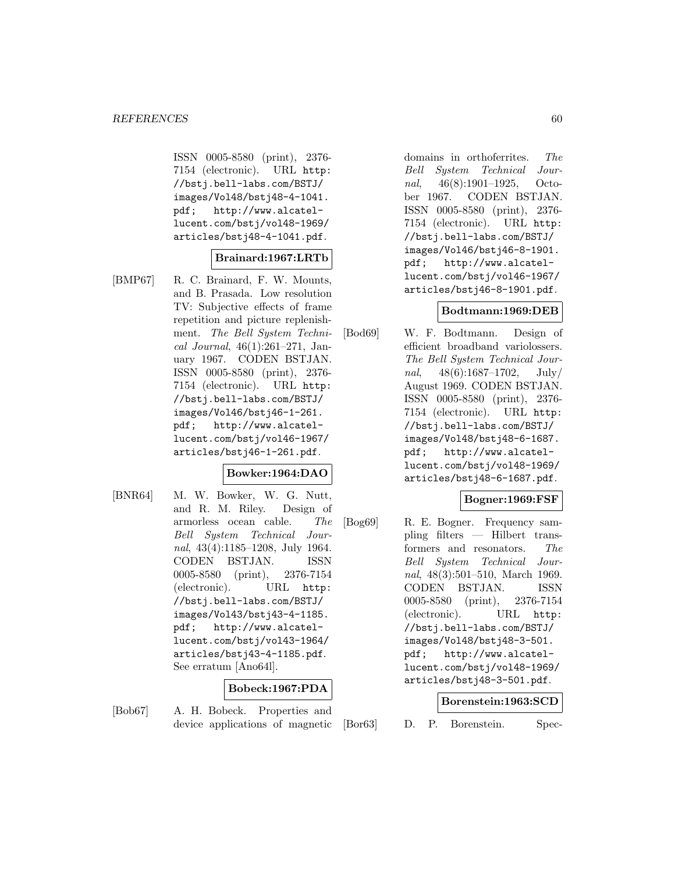ISSN 0005-8580 (print), 2376- 7154 (electronic). URL http: //bstj.bell-labs.com/BSTJ/ images/Vol48/bstj48-4-1041. pdf; http://www.alcatellucent.com/bstj/vol48-1969/ articles/bstj48-4-1041.pdf.

### **Brainard:1967:LRTb**

[BMP67] R. C. Brainard, F. W. Mounts, and B. Prasada. Low resolution TV: Subjective effects of frame repetition and picture replenishment. The Bell System Technical Journal, 46(1):261–271, January 1967. CODEN BSTJAN. ISSN 0005-8580 (print), 2376- 7154 (electronic). URL http: //bstj.bell-labs.com/BSTJ/ images/Vol46/bstj46-1-261. pdf; http://www.alcatellucent.com/bstj/vol46-1967/ articles/bstj46-1-261.pdf.

### **Bowker:1964:DAO**

[BNR64] M. W. Bowker, W. G. Nutt, and R. M. Riley. Design of armorless ocean cable. The Bell System Technical Journal, 43(4):1185–1208, July 1964. CODEN BSTJAN. ISSN 0005-8580 (print), 2376-7154 (electronic). URL http: //bstj.bell-labs.com/BSTJ/ images/Vol43/bstj43-4-1185. pdf; http://www.alcatellucent.com/bstj/vol43-1964/ articles/bstj43-4-1185.pdf. See erratum [Ano64l].

### **Bobeck:1967:PDA**

[Bob67] A. H. Bobeck. Properties and device applications of magnetic

August 1969. CODEN BSTJAN. ISSN 0005-8580 (print), 2376- 7154 (electronic). URL http: //bstj.bell-labs.com/BSTJ/ images/Vol48/bstj48-6-1687. pdf; http://www.alcatel-

[Bod69] W. F. Bodtmann. Design of

lucent.com/bstj/vol48-1969/ articles/bstj48-6-1687.pdf.

#### **Bogner:1969:FSF**

[Bog69] R. E. Bogner. Frequency sampling filters — Hilbert transformers and resonators. The Bell System Technical Journal, 48(3):501–510, March 1969. CODEN BSTJAN. ISSN 0005-8580 (print), 2376-7154 (electronic). URL http: //bstj.bell-labs.com/BSTJ/ images/Vol48/bstj48-3-501. pdf; http://www.alcatellucent.com/bstj/vol48-1969/ articles/bstj48-3-501.pdf.

#### **Borenstein:1963:SCD**

[Bor63] D. P. Borenstein. Spec-

domains in orthoferrites. The Bell System Technical Journal, 46(8):1901–1925, October 1967. CODEN BSTJAN. ISSN 0005-8580 (print), 2376- 7154 (electronic). URL http: //bstj.bell-labs.com/BSTJ/ images/Vol46/bstj46-8-1901. pdf; http://www.alcatellucent.com/bstj/vol46-1967/ articles/bstj46-8-1901.pdf.

# **Bodtmann:1969:DEB**

efficient broadband variolossers. The Bell System Technical Journal,  $48(6):1687-1702$ , July/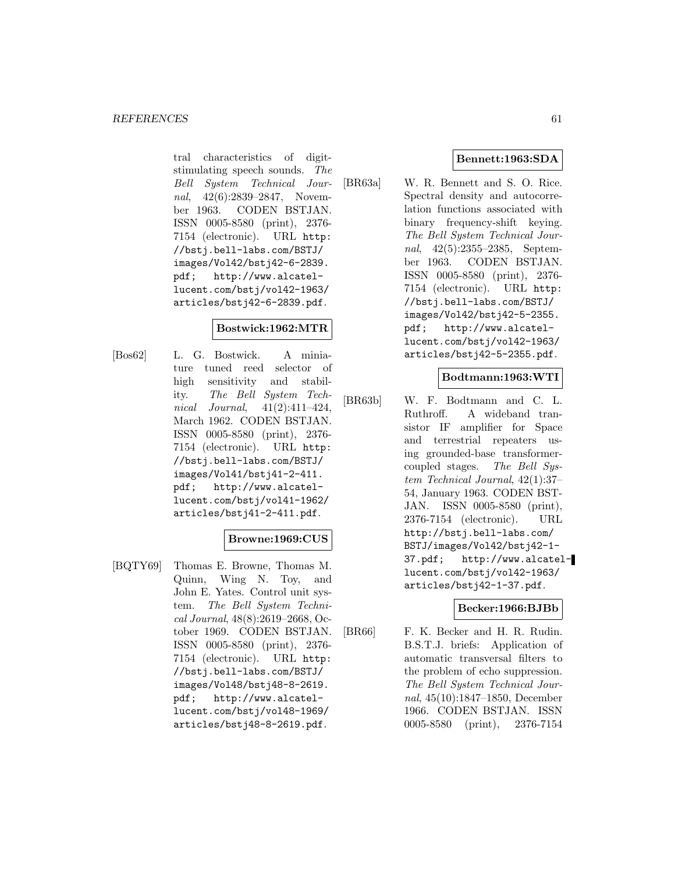tral characteristics of digitstimulating speech sounds. The Bell System Technical Journal, 42(6):2839–2847, November 1963. CODEN BSTJAN. ISSN 0005-8580 (print), 2376- 7154 (electronic). URL http: //bstj.bell-labs.com/BSTJ/ images/Vol42/bstj42-6-2839. pdf; http://www.alcatellucent.com/bstj/vol42-1963/ articles/bstj42-6-2839.pdf.

### **Bostwick:1962:MTR**

[Bos62] L. G. Bostwick. A miniature tuned reed selector of high sensitivity and stability. The Bell System Technical Journal, 41(2):411–424, March 1962. CODEN BSTJAN. ISSN 0005-8580 (print), 2376- 7154 (electronic). URL http: //bstj.bell-labs.com/BSTJ/ images/Vol41/bstj41-2-411. pdf; http://www.alcatellucent.com/bstj/vol41-1962/ articles/bstj41-2-411.pdf.

# **Browne:1969:CUS**

[BQTY69] Thomas E. Browne, Thomas M. Quinn, Wing N. Toy, and John E. Yates. Control unit system. The Bell System Technical Journal, 48(8):2619–2668, October 1969. CODEN BSTJAN. ISSN 0005-8580 (print), 2376- 7154 (electronic). URL http: //bstj.bell-labs.com/BSTJ/ images/Vol48/bstj48-8-2619. pdf; http://www.alcatellucent.com/bstj/vol48-1969/ articles/bstj48-8-2619.pdf.

# **Bennett:1963:SDA**

[BR63a] W. R. Bennett and S. O. Rice. Spectral density and autocorrelation functions associated with binary frequency-shift keying. The Bell System Technical Journal, 42(5):2355–2385, September 1963. CODEN BSTJAN. ISSN 0005-8580 (print), 2376- 7154 (electronic). URL http: //bstj.bell-labs.com/BSTJ/ images/Vol42/bstj42-5-2355. pdf; http://www.alcatellucent.com/bstj/vol42-1963/ articles/bstj42-5-2355.pdf.

### **Bodtmann:1963:WTI**

[BR63b] W. F. Bodtmann and C. L. Ruthroff. A wideband transistor IF amplifier for Space and terrestrial repeaters using grounded-base transformercoupled stages. The Bell System Technical Journal, 42(1):37– 54, January 1963. CODEN BST-JAN. ISSN 0005-8580 (print), 2376-7154 (electronic). URL http://bstj.bell-labs.com/ BSTJ/images/Vol42/bstj42-1- 37.pdf; http://www.alcatellucent.com/bstj/vol42-1963/ articles/bstj42-1-37.pdf.

#### **Becker:1966:BJBb**

[BR66] F. K. Becker and H. R. Rudin. B.S.T.J. briefs: Application of automatic transversal filters to the problem of echo suppression. The Bell System Technical Journal, 45(10):1847–1850, December 1966. CODEN BSTJAN. ISSN 0005-8580 (print), 2376-7154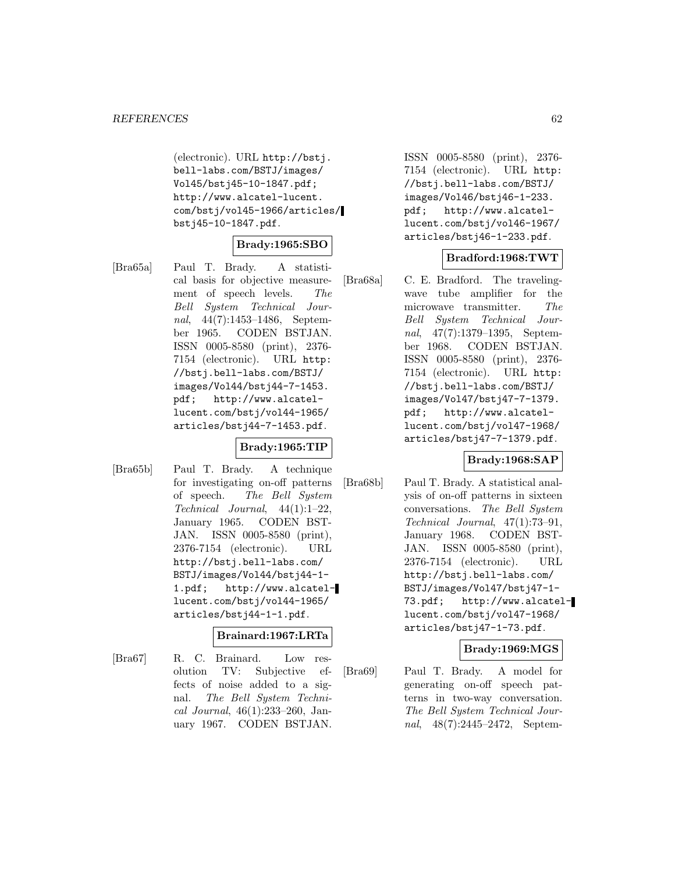(electronic). URL http://bstj. bell-labs.com/BSTJ/images/ Vol45/bstj45-10-1847.pdf; http://www.alcatel-lucent. com/bstj/vol45-1966/articles/ bstj45-10-1847.pdf.

#### **Brady:1965:SBO**

[Bra65a] Paul T. Brady. A statistical basis for objective measurement of speech levels. The Bell System Technical Journal, 44(7):1453–1486, September 1965. CODEN BSTJAN. ISSN 0005-8580 (print), 2376- 7154 (electronic). URL http: //bstj.bell-labs.com/BSTJ/ images/Vol44/bstj44-7-1453. pdf; http://www.alcatellucent.com/bstj/vol44-1965/ articles/bstj44-7-1453.pdf.

### **Brady:1965:TIP**

[Bra65b] Paul T. Brady. A technique for investigating on-off patterns of speech. The Bell System Technical Journal, 44(1):1–22, January 1965. CODEN BST-JAN. ISSN 0005-8580 (print), 2376-7154 (electronic). URL http://bstj.bell-labs.com/ BSTJ/images/Vol44/bstj44-1- 1.pdf; http://www.alcatellucent.com/bstj/vol44-1965/ articles/bstj44-1-1.pdf.

# **Brainard:1967:LRTa**

[Bra67] R. C. Brainard. Low resolution TV: Subjective effects of noise added to a signal. The Bell System Technical Journal, 46(1):233–260, January 1967. CODEN BSTJAN.

ISSN 0005-8580 (print), 2376- 7154 (electronic). URL http: //bstj.bell-labs.com/BSTJ/ images/Vol46/bstj46-1-233. pdf; http://www.alcatellucent.com/bstj/vol46-1967/ articles/bstj46-1-233.pdf.

# **Bradford:1968:TWT**

[Bra68a] C. E. Bradford. The travelingwave tube amplifier for the microwave transmitter. The Bell System Technical Journal, 47(7):1379–1395, September 1968. CODEN BSTJAN. ISSN 0005-8580 (print), 2376- 7154 (electronic). URL http: //bstj.bell-labs.com/BSTJ/ images/Vol47/bstj47-7-1379. pdf; http://www.alcatellucent.com/bstj/vol47-1968/ articles/bstj47-7-1379.pdf.

# **Brady:1968:SAP**

[Bra68b] Paul T. Brady. A statistical analysis of on-off patterns in sixteen conversations. The Bell System Technical Journal, 47(1):73–91, January 1968. CODEN BST-JAN. ISSN 0005-8580 (print), 2376-7154 (electronic). URL http://bstj.bell-labs.com/ BSTJ/images/Vol47/bstj47-1- 73.pdf; http://www.alcatellucent.com/bstj/vol47-1968/ articles/bstj47-1-73.pdf.

### **Brady:1969:MGS**

[Bra69] Paul T. Brady. A model for generating on-off speech patterns in two-way conversation. The Bell System Technical Journal, 48(7):2445–2472, Septem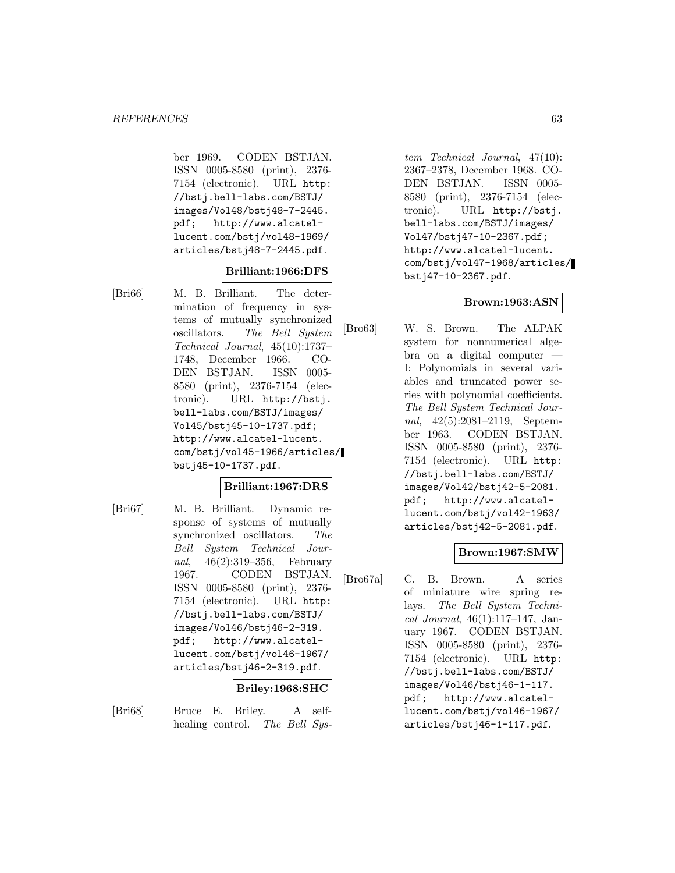ber 1969. CODEN BSTJAN. ISSN 0005-8580 (print), 2376- 7154 (electronic). URL http: //bstj.bell-labs.com/BSTJ/ images/Vol48/bstj48-7-2445. pdf; http://www.alcatellucent.com/bstj/vol48-1969/ articles/bstj48-7-2445.pdf.

### **Brilliant:1966:DFS**

[Bri66] M. B. Brilliant. The determination of frequency in systems of mutually synchronized oscillators. The Bell System Technical Journal, 45(10):1737– 1748, December 1966. CO-DEN BSTJAN. ISSN 0005- 8580 (print), 2376-7154 (electronic). URL http://bstj. bell-labs.com/BSTJ/images/ Vol45/bstj45-10-1737.pdf; http://www.alcatel-lucent. com/bstj/vol45-1966/articles/ bstj45-10-1737.pdf.

### **Brilliant:1967:DRS**

[Bri67] M. B. Brilliant. Dynamic response of systems of mutually synchronized oscillators. The Bell System Technical Journal, 46(2):319–356, February 1967. CODEN BSTJAN. ISSN 0005-8580 (print), 2376- 7154 (electronic). URL http: //bstj.bell-labs.com/BSTJ/ images/Vol46/bstj46-2-319. pdf; http://www.alcatellucent.com/bstj/vol46-1967/ articles/bstj46-2-319.pdf.

# **Briley:1968:SHC**

[Bri68] Bruce E. Briley. A selfhealing control. The Bell Sys-

tem Technical Journal, 47(10): 2367–2378, December 1968. CO-DEN BSTJAN. ISSN 0005- 8580 (print), 2376-7154 (electronic). URL http://bstj. bell-labs.com/BSTJ/images/ Vol47/bstj47-10-2367.pdf; http://www.alcatel-lucent. com/bstj/vol47-1968/articles/ bstj47-10-2367.pdf.

# **Brown:1963:ASN**

[Bro63] W. S. Brown. The ALPAK system for nonnumerical algebra on a digital computer — I: Polynomials in several variables and truncated power series with polynomial coefficients. The Bell System Technical Journal, 42(5):2081–2119, September 1963. CODEN BSTJAN. ISSN 0005-8580 (print), 2376- 7154 (electronic). URL http: //bstj.bell-labs.com/BSTJ/ images/Vol42/bstj42-5-2081. pdf; http://www.alcatellucent.com/bstj/vol42-1963/ articles/bstj42-5-2081.pdf.

# **Brown:1967:SMW**

[Bro67a] C. B. Brown. A series of miniature wire spring relays. The Bell System Technical Journal, 46(1):117–147, January 1967. CODEN BSTJAN. ISSN 0005-8580 (print), 2376- 7154 (electronic). URL http: //bstj.bell-labs.com/BSTJ/ images/Vol46/bstj46-1-117. pdf; http://www.alcatellucent.com/bstj/vol46-1967/ articles/bstj46-1-117.pdf.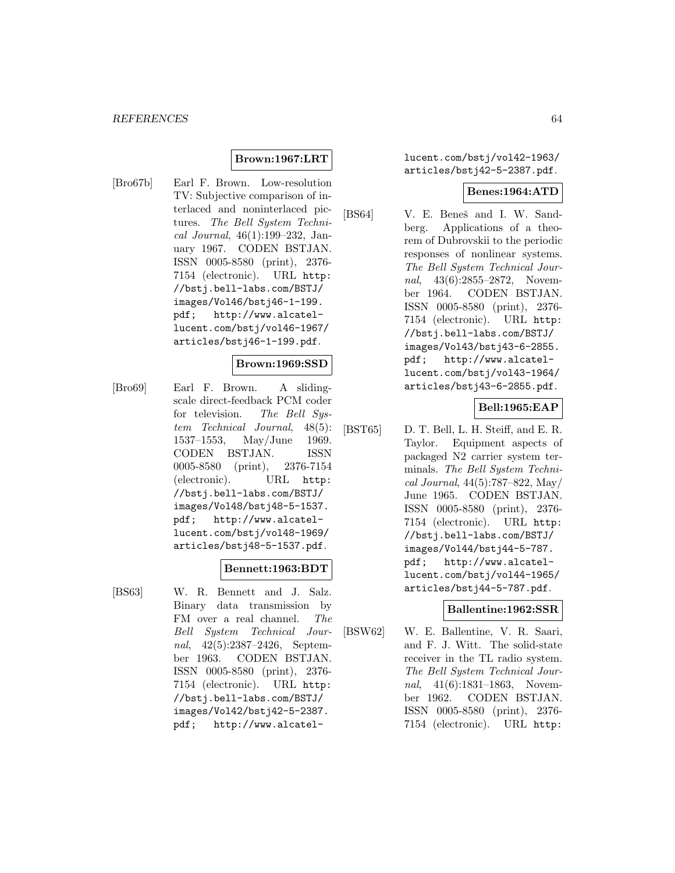# **Brown:1967:LRT**

[Bro67b] Earl F. Brown. Low-resolution TV: Subjective comparison of interlaced and noninterlaced pictures. The Bell System Technical Journal, 46(1):199–232, January 1967. CODEN BSTJAN. ISSN 0005-8580 (print), 2376- 7154 (electronic). URL http: //bstj.bell-labs.com/BSTJ/ images/Vol46/bstj46-1-199. pdf; http://www.alcatellucent.com/bstj/vol46-1967/ articles/bstj46-1-199.pdf.

### **Brown:1969:SSD**

[Bro69] Earl F. Brown. A slidingscale direct-feedback PCM coder for television. The Bell System Technical Journal, 48(5): 1537–1553, May/June 1969. CODEN BSTJAN. ISSN 0005-8580 (print), 2376-7154 (electronic). URL http: //bstj.bell-labs.com/BSTJ/ images/Vol48/bstj48-5-1537. pdf; http://www.alcatellucent.com/bstj/vol48-1969/ articles/bstj48-5-1537.pdf.

#### **Bennett:1963:BDT**

[BS63] W. R. Bennett and J. Salz. Binary data transmission by FM over a real channel. The Bell System Technical Journal, 42(5):2387–2426, September 1963. CODEN BSTJAN. ISSN 0005-8580 (print), 2376- 7154 (electronic). URL http: //bstj.bell-labs.com/BSTJ/ images/Vol42/bstj42-5-2387. pdf; http://www.alcatellucent.com/bstj/vol42-1963/ articles/bstj42-5-2387.pdf.

#### **Benes:1964:ATD**

[BS64] V. E. Beneš and I. W. Sandberg. Applications of a theorem of Dubrovskii to the periodic responses of nonlinear systems. The Bell System Technical Journal, 43(6):2855-2872, November 1964. CODEN BSTJAN. ISSN 0005-8580 (print), 2376- 7154 (electronic). URL http: //bstj.bell-labs.com/BSTJ/ images/Vol43/bstj43-6-2855. pdf; http://www.alcatellucent.com/bstj/vol43-1964/ articles/bstj43-6-2855.pdf.

### **Bell:1965:EAP**

[BST65] D. T. Bell, L. H. Steiff, and E. R. Taylor. Equipment aspects of packaged N2 carrier system terminals. The Bell System Technical Journal, 44(5):787–822, May/ June 1965. CODEN BSTJAN. ISSN 0005-8580 (print), 2376- 7154 (electronic). URL http: //bstj.bell-labs.com/BSTJ/ images/Vol44/bstj44-5-787. pdf; http://www.alcatellucent.com/bstj/vol44-1965/ articles/bstj44-5-787.pdf.

### **Ballentine:1962:SSR**

[BSW62] W. E. Ballentine, V. R. Saari, and F. J. Witt. The solid-state receiver in the TL radio system. The Bell System Technical Journal, 41(6):1831–1863, November 1962. CODEN BSTJAN. ISSN 0005-8580 (print), 2376- 7154 (electronic). URL http: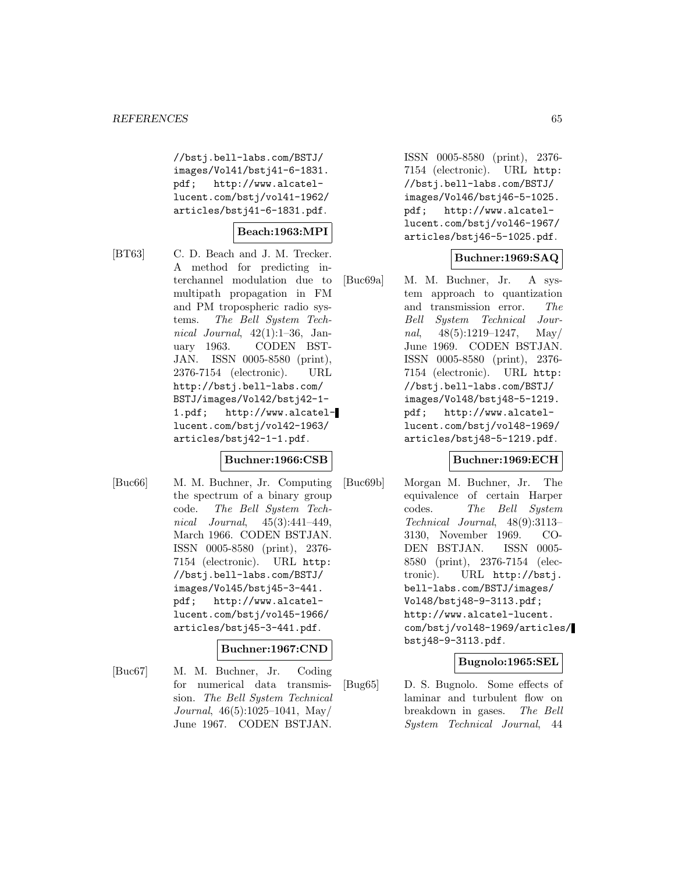//bstj.bell-labs.com/BSTJ/ images/Vol41/bstj41-6-1831. pdf; http://www.alcatellucent.com/bstj/vol41-1962/ articles/bstj41-6-1831.pdf.

# **Beach:1963:MPI**

- 
- [BT63] C. D. Beach and J. M. Trecker. A method for predicting interchannel modulation due to multipath propagation in FM and PM tropospheric radio systems. The Bell System Technical Journal,  $42(1):1-36$ , January 1963. CODEN BST-JAN. ISSN 0005-8580 (print), 2376-7154 (electronic). URL http://bstj.bell-labs.com/ BSTJ/images/Vol42/bstj42-1- 1.pdf; http://www.alcatellucent.com/bstj/vol42-1963/ articles/bstj42-1-1.pdf.

# **Buchner:1966:CSB**

[Buc66] M. M. Buchner, Jr. Computing the spectrum of a binary group code. The Bell System Technical Journal, 45(3):441–449, March 1966. CODEN BSTJAN. ISSN 0005-8580 (print), 2376- 7154 (electronic). URL http: //bstj.bell-labs.com/BSTJ/ images/Vol45/bstj45-3-441. pdf; http://www.alcatellucent.com/bstj/vol45-1966/ articles/bstj45-3-441.pdf.

#### **Buchner:1967:CND**

[Buc67] M. M. Buchner, Jr. Coding for numerical data transmission. The Bell System Technical Journal, 46(5):1025–1041, May/ June 1967. CODEN BSTJAN.

ISSN 0005-8580 (print), 2376- 7154 (electronic). URL http: //bstj.bell-labs.com/BSTJ/ images/Vol46/bstj46-5-1025. pdf; http://www.alcatellucent.com/bstj/vol46-1967/ articles/bstj46-5-1025.pdf.

# **Buchner:1969:SAQ**

[Buc69a] M. M. Buchner, Jr. A system approach to quantization and transmission error. The Bell System Technical Journal,  $48(5):1219-1247$ , May/ June 1969. CODEN BSTJAN. ISSN 0005-8580 (print), 2376- 7154 (electronic). URL http: //bstj.bell-labs.com/BSTJ/ images/Vol48/bstj48-5-1219. pdf; http://www.alcatellucent.com/bstj/vol48-1969/ articles/bstj48-5-1219.pdf.

### **Buchner:1969:ECH**

[Buc69b] Morgan M. Buchner, Jr. The equivalence of certain Harper codes. The Bell System Technical Journal, 48(9):3113– 3130, November 1969. CO-DEN BSTJAN. ISSN 0005- 8580 (print), 2376-7154 (electronic). URL http://bstj. bell-labs.com/BSTJ/images/ Vol48/bstj48-9-3113.pdf; http://www.alcatel-lucent. com/bstj/vol48-1969/articles/ bstj48-9-3113.pdf.

### **Bugnolo:1965:SEL**

[Bug65] D. S. Bugnolo. Some effects of laminar and turbulent flow on breakdown in gases. The Bell System Technical Journal, 44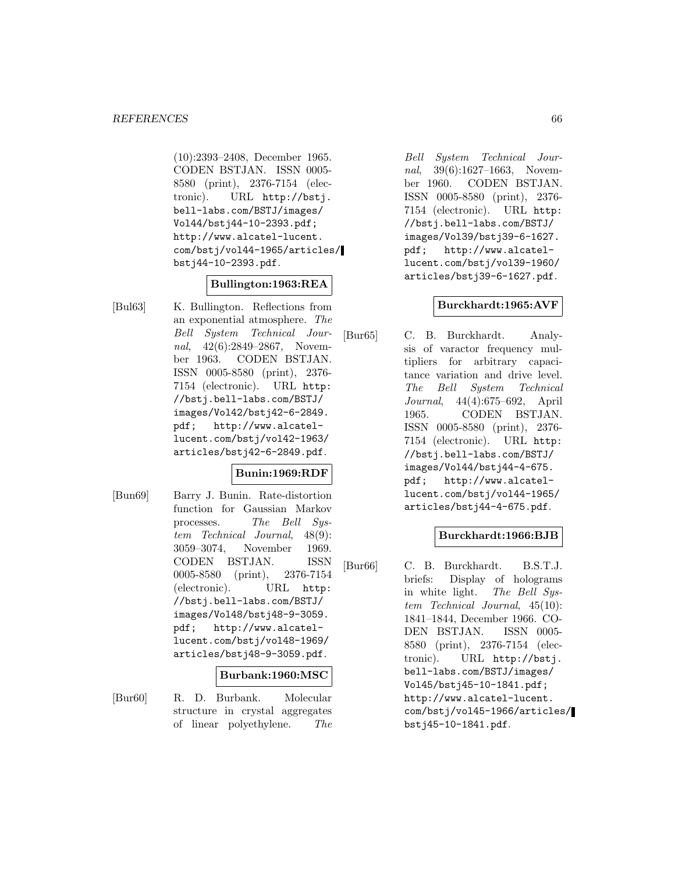(10):2393–2408, December 1965. CODEN BSTJAN. ISSN 0005- 8580 (print), 2376-7154 (electronic). URL http://bstj. bell-labs.com/BSTJ/images/ Vol44/bstj44-10-2393.pdf; http://www.alcatel-lucent. com/bstj/vol44-1965/articles/ bstj44-10-2393.pdf.

### **Bullington:1963:REA**

[Bul63] K. Bullington. Reflections from an exponential atmosphere. The Bell System Technical Journal, 42(6):2849–2867, November 1963. CODEN BSTJAN. ISSN 0005-8580 (print), 2376- 7154 (electronic). URL http: //bstj.bell-labs.com/BSTJ/ images/Vol42/bstj42-6-2849. pdf; http://www.alcatellucent.com/bstj/vol42-1963/ articles/bstj42-6-2849.pdf.

# **Bunin:1969:RDF**

[Bun69] Barry J. Bunin. Rate-distortion function for Gaussian Markov processes. The Bell System Technical Journal, 48(9): 3059–3074, November 1969. CODEN BSTJAN. ISSN 0005-8580 (print), 2376-7154 (electronic). URL http: //bstj.bell-labs.com/BSTJ/ images/Vol48/bstj48-9-3059. pdf; http://www.alcatellucent.com/bstj/vol48-1969/ articles/bstj48-9-3059.pdf.

#### **Burbank:1960:MSC**

[Bur60] R. D. Burbank. Molecular structure in crystal aggregates of linear polyethylene. The

Bell System Technical Journal, 39(6):1627–1663, November 1960. CODEN BSTJAN. ISSN 0005-8580 (print), 2376- 7154 (electronic). URL http: //bstj.bell-labs.com/BSTJ/ images/Vol39/bstj39-6-1627. pdf; http://www.alcatellucent.com/bstj/vol39-1960/ articles/bstj39-6-1627.pdf.

#### **Burckhardt:1965:AVF**

[Bur65] C. B. Burckhardt. Analysis of varactor frequency multipliers for arbitrary capacitance variation and drive level. The Bell System Technical Journal, 44(4):675–692, April 1965. CODEN BSTJAN. ISSN 0005-8580 (print), 2376- 7154 (electronic). URL http: //bstj.bell-labs.com/BSTJ/ images/Vol44/bstj44-4-675. pdf; http://www.alcatellucent.com/bstj/vol44-1965/ articles/bstj44-4-675.pdf.

### **Burckhardt:1966:BJB**

[Bur66] C. B. Burckhardt. B.S.T.J. briefs: Display of holograms in white light. The Bell System Technical Journal, 45(10): 1841–1844, December 1966. CO-DEN BSTJAN. ISSN 0005- 8580 (print), 2376-7154 (electronic). URL http://bstj. bell-labs.com/BSTJ/images/ Vol45/bstj45-10-1841.pdf; http://www.alcatel-lucent. com/bstj/vol45-1966/articles/ bstj45-10-1841.pdf.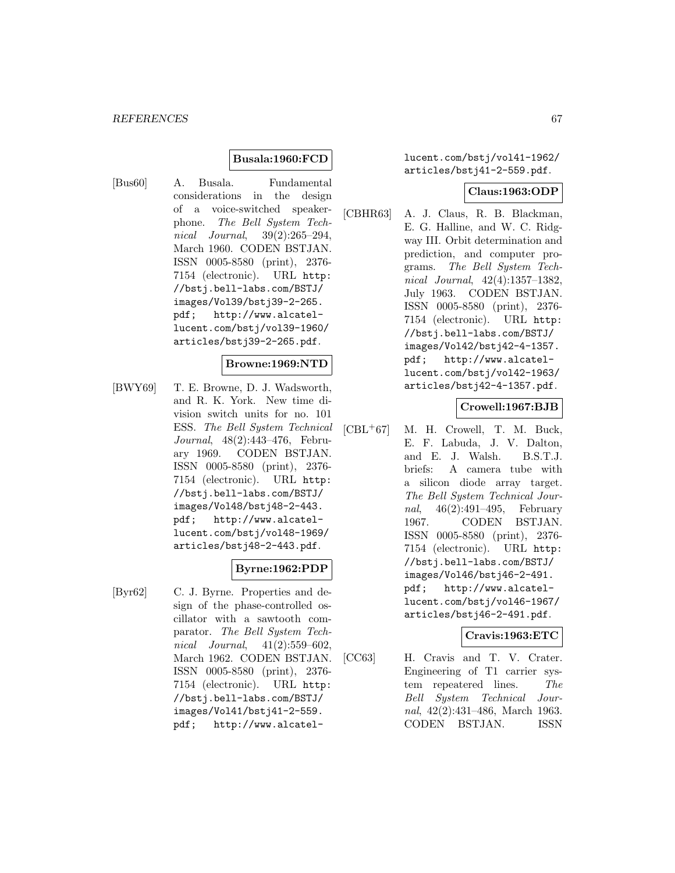# **Busala:1960:FCD**

[Bus60] A. Busala. Fundamental considerations in the design of a voice-switched speakerphone. The Bell System Technical Journal, 39(2):265–294, March 1960. CODEN BSTJAN. ISSN 0005-8580 (print), 2376- 7154 (electronic). URL http: //bstj.bell-labs.com/BSTJ/ images/Vol39/bstj39-2-265. pdf; http://www.alcatellucent.com/bstj/vol39-1960/ articles/bstj39-2-265.pdf.

#### **Browne:1969:NTD**

[BWY69] T. E. Browne, D. J. Wadsworth, and R. K. York. New time division switch units for no. 101 ESS. The Bell System Technical Journal, 48(2):443–476, February 1969. CODEN BSTJAN. ISSN 0005-8580 (print), 2376- 7154 (electronic). URL http: //bstj.bell-labs.com/BSTJ/ images/Vol48/bstj48-2-443. pdf; http://www.alcatellucent.com/bstj/vol48-1969/ articles/bstj48-2-443.pdf.

### **Byrne:1962:PDP**

[Byr62] C. J. Byrne. Properties and design of the phase-controlled oscillator with a sawtooth comparator. The Bell System Technical Journal, 41(2):559–602, March 1962. CODEN BSTJAN. ISSN 0005-8580 (print), 2376- 7154 (electronic). URL http: //bstj.bell-labs.com/BSTJ/ images/Vol41/bstj41-2-559. pdf; http://www.alcatellucent.com/bstj/vol41-1962/ articles/bstj41-2-559.pdf.

#### **Claus:1963:ODP**

[CBHR63] A. J. Claus, R. B. Blackman, E. G. Halline, and W. C. Ridgway III. Orbit determination and prediction, and computer programs. The Bell System Technical Journal, 42(4):1357–1382, July 1963. CODEN BSTJAN. ISSN 0005-8580 (print), 2376- 7154 (electronic). URL http: //bstj.bell-labs.com/BSTJ/ images/Vol42/bstj42-4-1357. pdf; http://www.alcatellucent.com/bstj/vol42-1963/ articles/bstj42-4-1357.pdf.

### **Crowell:1967:BJB**

[CBL<sup>+</sup>67] M. H. Crowell, T. M. Buck, E. F. Labuda, J. V. Dalton, and E. J. Walsh. B.S.T.J. briefs: A camera tube with a silicon diode array target. The Bell System Technical Journal, 46(2):491–495, February 1967. CODEN BSTJAN. ISSN 0005-8580 (print), 2376- 7154 (electronic). URL http: //bstj.bell-labs.com/BSTJ/ images/Vol46/bstj46-2-491. pdf; http://www.alcatellucent.com/bstj/vol46-1967/ articles/bstj46-2-491.pdf.

### **Cravis:1963:ETC**

[CC63] H. Cravis and T. V. Crater. Engineering of T1 carrier system repeatered lines. The Bell System Technical Journal, 42(2):431–486, March 1963. CODEN BSTJAN. ISSN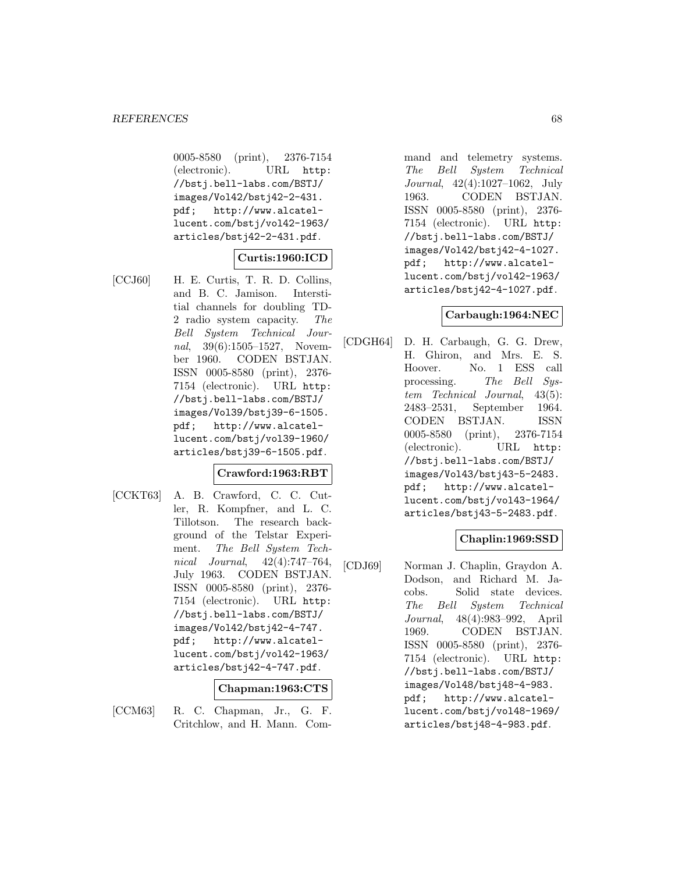0005-8580 (print), 2376-7154 (electronic). URL http: //bstj.bell-labs.com/BSTJ/ images/Vol42/bstj42-2-431. pdf; http://www.alcatellucent.com/bstj/vol42-1963/ articles/bstj42-2-431.pdf.

# **Curtis:1960:ICD**

[CCJ60] H. E. Curtis, T. R. D. Collins, and B. C. Jamison. Interstitial channels for doubling TD-2 radio system capacity. The Bell System Technical Journal, 39(6):1505–1527, November 1960. CODEN BSTJAN. ISSN 0005-8580 (print), 2376- 7154 (electronic). URL http: //bstj.bell-labs.com/BSTJ/ images/Vol39/bstj39-6-1505. pdf; http://www.alcatellucent.com/bstj/vol39-1960/ articles/bstj39-6-1505.pdf.

# **Crawford:1963:RBT**

[CCKT63] A. B. Crawford, C. C. Cutler, R. Kompfner, and L. C. Tillotson. The research background of the Telstar Experiment. The Bell System Technical Journal, 42(4):747–764, July 1963. CODEN BSTJAN. ISSN 0005-8580 (print), 2376- 7154 (electronic). URL http: //bstj.bell-labs.com/BSTJ/ images/Vol42/bstj42-4-747. pdf; http://www.alcatellucent.com/bstj/vol42-1963/ articles/bstj42-4-747.pdf.

### **Chapman:1963:CTS**

- 
- [CCM63] R. C. Chapman, Jr., G. F. Critchlow, and H. Mann. Com-

mand and telemetry systems. The Bell System Technical Journal, 42(4):1027–1062, July 1963. CODEN BSTJAN. ISSN 0005-8580 (print), 2376- 7154 (electronic). URL http: //bstj.bell-labs.com/BSTJ/ images/Vol42/bstj42-4-1027. pdf; http://www.alcatellucent.com/bstj/vol42-1963/ articles/bstj42-4-1027.pdf.

# **Carbaugh:1964:NEC**

[CDGH64] D. H. Carbaugh, G. G. Drew, H. Ghiron, and Mrs. E. S. Hoover. No. 1 ESS call processing. The Bell System Technical Journal, 43(5): 2483–2531, September 1964. CODEN BSTJAN. ISSN 0005-8580 (print), 2376-7154 (electronic). URL http: //bstj.bell-labs.com/BSTJ/ images/Vol43/bstj43-5-2483. pdf; http://www.alcatellucent.com/bstj/vol43-1964/ articles/bstj43-5-2483.pdf.

# **Chaplin:1969:SSD**

[CDJ69] Norman J. Chaplin, Graydon A. Dodson, and Richard M. Jacobs. Solid state devices. The Bell System Technical Journal, 48(4):983–992, April 1969. CODEN BSTJAN. ISSN 0005-8580 (print), 2376- 7154 (electronic). URL http: //bstj.bell-labs.com/BSTJ/ images/Vol48/bstj48-4-983. pdf; http://www.alcatellucent.com/bstj/vol48-1969/ articles/bstj48-4-983.pdf.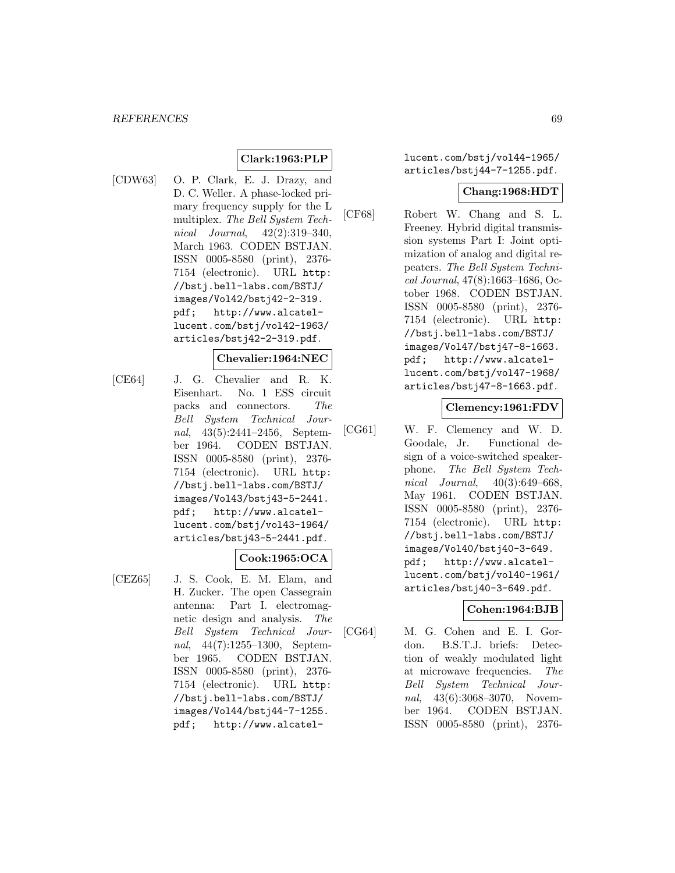# **Clark:1963:PLP**

[CDW63] O. P. Clark, E. J. Drazy, and D. C. Weller. A phase-locked primary frequency supply for the L multiplex. The Bell System Technical Journal, 42(2):319–340, March 1963. CODEN BSTJAN. ISSN 0005-8580 (print), 2376- 7154 (electronic). URL http: //bstj.bell-labs.com/BSTJ/ images/Vol42/bstj42-2-319. pdf; http://www.alcatellucent.com/bstj/vol42-1963/ articles/bstj42-2-319.pdf.

#### **Chevalier:1964:NEC**

[CE64] J. G. Chevalier and R. K. Eisenhart. No. 1 ESS circuit packs and connectors. The Bell System Technical Journal, 43(5):2441–2456, September 1964. CODEN BSTJAN. ISSN 0005-8580 (print), 2376- 7154 (electronic). URL http: //bstj.bell-labs.com/BSTJ/ images/Vol43/bstj43-5-2441. pdf; http://www.alcatellucent.com/bstj/vol43-1964/ articles/bstj43-5-2441.pdf.

# **Cook:1965:OCA**

[CEZ65] J. S. Cook, E. M. Elam, and H. Zucker. The open Cassegrain antenna: Part I. electromagnetic design and analysis. The Bell System Technical Journal, 44(7):1255–1300, September 1965. CODEN BSTJAN. ISSN 0005-8580 (print), 2376- 7154 (electronic). URL http: //bstj.bell-labs.com/BSTJ/ images/Vol44/bstj44-7-1255. pdf; http://www.alcatellucent.com/bstj/vol44-1965/ articles/bstj44-7-1255.pdf.

#### **Chang:1968:HDT**

[CF68] Robert W. Chang and S. L. Freeney. Hybrid digital transmission systems Part I: Joint optimization of analog and digital repeaters. The Bell System Technical Journal, 47(8):1663–1686, October 1968. CODEN BSTJAN. ISSN 0005-8580 (print), 2376- 7154 (electronic). URL http: //bstj.bell-labs.com/BSTJ/ images/Vol47/bstj47-8-1663. pdf; http://www.alcatellucent.com/bstj/vol47-1968/ articles/bstj47-8-1663.pdf.

### **Clemency:1961:FDV**

[CG61] W. F. Clemency and W. D. Goodale, Jr. Functional design of a voice-switched speakerphone. The Bell System Technical Journal, 40(3):649–668, May 1961. CODEN BSTJAN. ISSN 0005-8580 (print), 2376- 7154 (electronic). URL http: //bstj.bell-labs.com/BSTJ/ images/Vol40/bstj40-3-649. pdf; http://www.alcatellucent.com/bstj/vol40-1961/ articles/bstj40-3-649.pdf.

#### **Cohen:1964:BJB**

[CG64] M. G. Cohen and E. I. Gordon. B.S.T.J. briefs: Detection of weakly modulated light at microwave frequencies. The Bell System Technical Journal, 43(6):3068–3070, November 1964. CODEN BSTJAN. ISSN 0005-8580 (print), 2376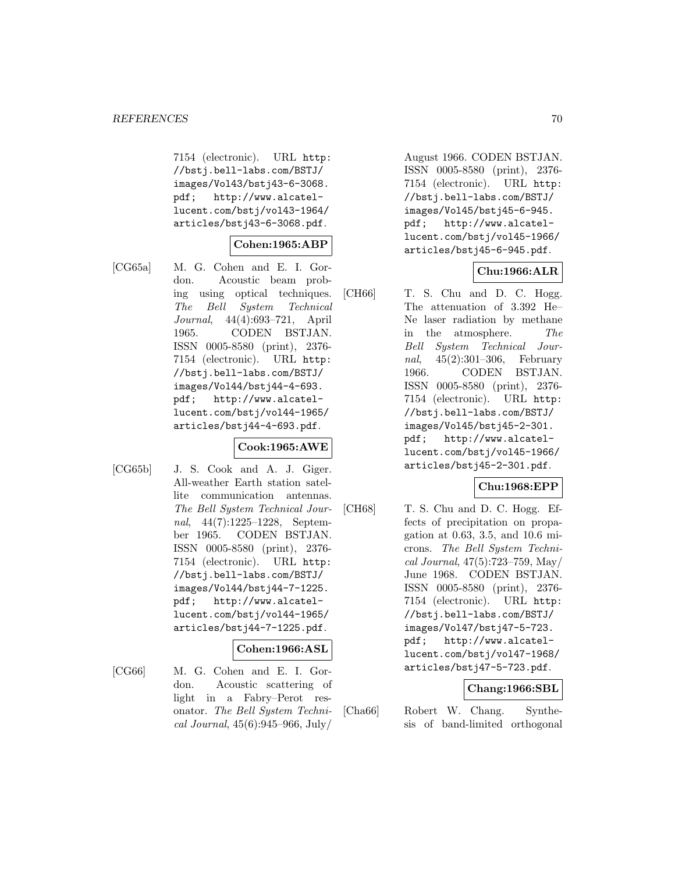7154 (electronic). URL http: //bstj.bell-labs.com/BSTJ/ images/Vol43/bstj43-6-3068. pdf; http://www.alcatellucent.com/bstj/vol43-1964/ articles/bstj43-6-3068.pdf.

# **Cohen:1965:ABP**

[CG65a] M. G. Cohen and E. I. Gordon. Acoustic beam probing using optical techniques. The Bell System Technical Journal, 44(4):693–721, April 1965. CODEN BSTJAN. ISSN 0005-8580 (print), 2376- 7154 (electronic). URL http: //bstj.bell-labs.com/BSTJ/ images/Vol44/bstj44-4-693. pdf; http://www.alcatellucent.com/bstj/vol44-1965/ articles/bstj44-4-693.pdf.

# **Cook:1965:AWE**

[CG65b] J. S. Cook and A. J. Giger. All-weather Earth station satellite communication antennas. The Bell System Technical Journal, 44(7):1225–1228, September 1965. CODEN BSTJAN. ISSN 0005-8580 (print), 2376- 7154 (electronic). URL http: //bstj.bell-labs.com/BSTJ/ images/Vol44/bstj44-7-1225. pdf; http://www.alcatellucent.com/bstj/vol44-1965/ articles/bstj44-7-1225.pdf.

### **Cohen:1966:ASL**

[CG66] M. G. Cohen and E. I. Gordon. Acoustic scattering of light in a Fabry–Perot resonator. The Bell System Technical Journal, 45(6):945–966, July/

August 1966. CODEN BSTJAN. ISSN 0005-8580 (print), 2376- 7154 (electronic). URL http: //bstj.bell-labs.com/BSTJ/ images/Vol45/bstj45-6-945. pdf; http://www.alcatellucent.com/bstj/vol45-1966/ articles/bstj45-6-945.pdf.

# **Chu:1966:ALR**

[CH66] T. S. Chu and D. C. Hogg. The attenuation of 3.392 He– Ne laser radiation by methane in the atmosphere. The Bell System Technical Journal, 45(2):301–306, February 1966. CODEN BSTJAN. ISSN 0005-8580 (print), 2376- 7154 (electronic). URL http: //bstj.bell-labs.com/BSTJ/ images/Vol45/bstj45-2-301. pdf; http://www.alcatellucent.com/bstj/vol45-1966/ articles/bstj45-2-301.pdf.

### **Chu:1968:EPP**

[CH68] T. S. Chu and D. C. Hogg. Effects of precipitation on propagation at 0.63, 3.5, and 10.6 microns. The Bell System Technical Journal, 47(5):723–759, May/ June 1968. CODEN BSTJAN. ISSN 0005-8580 (print), 2376- 7154 (electronic). URL http: //bstj.bell-labs.com/BSTJ/ images/Vol47/bstj47-5-723. pdf; http://www.alcatellucent.com/bstj/vol47-1968/ articles/bstj47-5-723.pdf.

# **Chang:1966:SBL**

[Cha66] Robert W. Chang. Synthesis of band-limited orthogonal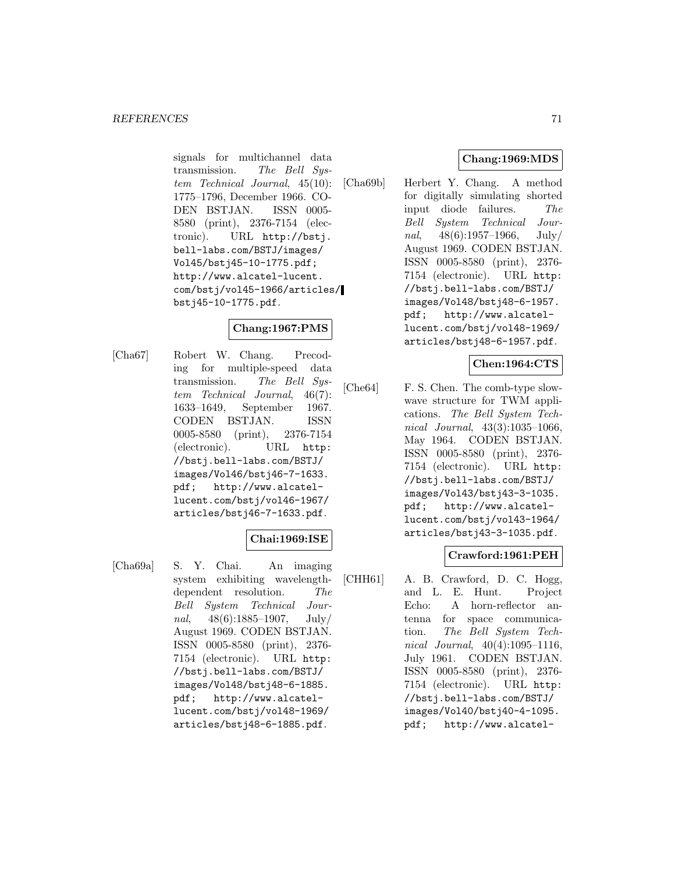signals for multichannel data transmission. The Bell System Technical Journal, 45(10): 1775–1796, December 1966. CO-DEN BSTJAN. ISSN 0005- 8580 (print), 2376-7154 (electronic). URL http://bstj. bell-labs.com/BSTJ/images/ Vol45/bstj45-10-1775.pdf; http://www.alcatel-lucent. com/bstj/vol45-1966/articles/ bstj45-10-1775.pdf.

# **Chang:1967:PMS**

[Cha67] Robert W. Chang. Precoding for multiple-speed data transmission. The Bell System Technical Journal, 46(7): 1633–1649, September 1967. CODEN BSTJAN. ISSN 0005-8580 (print), 2376-7154 (electronic). URL http: //bstj.bell-labs.com/BSTJ/ images/Vol46/bstj46-7-1633. pdf; http://www.alcatellucent.com/bstj/vol46-1967/ articles/bstj46-7-1633.pdf.

# **Chai:1969:ISE**

[Cha69a] S. Y. Chai. An imaging system exhibiting wavelengthdependent resolution. The Bell System Technical Journal,  $48(6):1885-1907$ , July/ August 1969. CODEN BSTJAN. ISSN 0005-8580 (print), 2376- 7154 (electronic). URL http: //bstj.bell-labs.com/BSTJ/ images/Vol48/bstj48-6-1885. pdf; http://www.alcatellucent.com/bstj/vol48-1969/ articles/bstj48-6-1885.pdf.

# **Chang:1969:MDS**

[Cha69b] Herbert Y. Chang. A method for digitally simulating shorted input diode failures. The Bell System Technical Journal,  $48(6):1957-1966$ , July/ August 1969. CODEN BSTJAN. ISSN 0005-8580 (print), 2376- 7154 (electronic). URL http: //bstj.bell-labs.com/BSTJ/ images/Vol48/bstj48-6-1957. pdf; http://www.alcatellucent.com/bstj/vol48-1969/ articles/bstj48-6-1957.pdf.

# **Chen:1964:CTS**

[Che64] F. S. Chen. The comb-type slowwave structure for TWM applications. The Bell System Technical Journal, 43(3):1035–1066, May 1964. CODEN BSTJAN. ISSN 0005-8580 (print), 2376- 7154 (electronic). URL http: //bstj.bell-labs.com/BSTJ/ images/Vol43/bstj43-3-1035. pdf; http://www.alcatellucent.com/bstj/vol43-1964/ articles/bstj43-3-1035.pdf.

# **Crawford:1961:PEH**

[CHH61] A. B. Crawford, D. C. Hogg, and L. E. Hunt. Project Echo: A horn-reflector antenna for space communication. The Bell System Technical Journal, 40(4):1095–1116, July 1961. CODEN BSTJAN. ISSN 0005-8580 (print), 2376- 7154 (electronic). URL http: //bstj.bell-labs.com/BSTJ/ images/Vol40/bstj40-4-1095. pdf; http://www.alcatel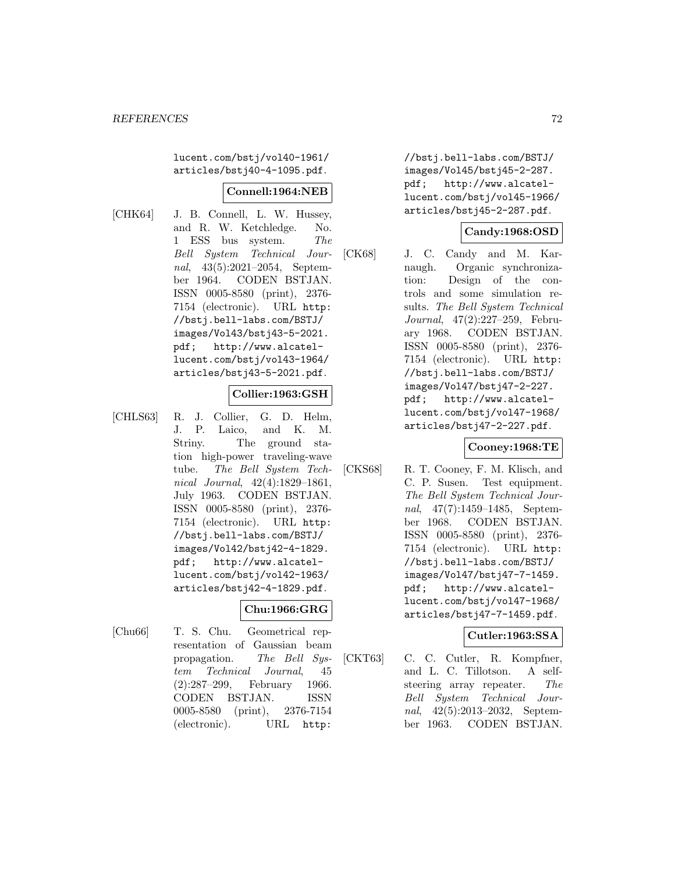lucent.com/bstj/vol40-1961/ articles/bstj40-4-1095.pdf.

#### **Connell:1964:NEB**

[CHK64] J. B. Connell, L. W. Hussey, and R. W. Ketchledge. No. 1 ESS bus system. The Bell System Technical Journal, 43(5):2021–2054, September 1964. CODEN BSTJAN. ISSN 0005-8580 (print), 2376- 7154 (electronic). URL http: //bstj.bell-labs.com/BSTJ/ images/Vol43/bstj43-5-2021. pdf; http://www.alcatellucent.com/bstj/vol43-1964/ articles/bstj43-5-2021.pdf.

# **Collier:1963:GSH**

[CHLS63] R. J. Collier, G. D. Helm, J. P. Laico, and K. M. Striny. The ground station high-power traveling-wave tube. The Bell System Technical Journal, 42(4):1829–1861, July 1963. CODEN BSTJAN. ISSN 0005-8580 (print), 2376- 7154 (electronic). URL http: //bstj.bell-labs.com/BSTJ/ images/Vol42/bstj42-4-1829. pdf; http://www.alcatellucent.com/bstj/vol42-1963/ articles/bstj42-4-1829.pdf.

# **Chu:1966:GRG**

[Chu66] T. S. Chu. Geometrical representation of Gaussian beam propagation. The Bell System Technical Journal, 45 (2):287–299, February 1966. CODEN BSTJAN. ISSN 0005-8580 (print), 2376-7154 (electronic). URL http:

//bstj.bell-labs.com/BSTJ/ images/Vol45/bstj45-2-287. pdf; http://www.alcatellucent.com/bstj/vol45-1966/ articles/bstj45-2-287.pdf.

# **Candy:1968:OSD**

[CK68] J. C. Candy and M. Karnaugh. Organic synchronization: Design of the controls and some simulation results. The Bell System Technical Journal, 47(2):227–259, February 1968. CODEN BSTJAN. ISSN 0005-8580 (print), 2376- 7154 (electronic). URL http: //bstj.bell-labs.com/BSTJ/ images/Vol47/bstj47-2-227. pdf; http://www.alcatellucent.com/bstj/vol47-1968/ articles/bstj47-2-227.pdf.

### **Cooney:1968:TE**

[CKS68] R. T. Cooney, F. M. Klisch, and C. P. Susen. Test equipment. The Bell System Technical Journal, 47(7):1459–1485, September 1968. CODEN BSTJAN. ISSN 0005-8580 (print), 2376- 7154 (electronic). URL http: //bstj.bell-labs.com/BSTJ/ images/Vol47/bstj47-7-1459. pdf; http://www.alcatellucent.com/bstj/vol47-1968/ articles/bstj47-7-1459.pdf.

# **Cutler:1963:SSA**

[CKT63] C. C. Cutler, R. Kompfner, and L. C. Tillotson. A selfsteering array repeater. The Bell System Technical Journal, 42(5):2013–2032, September 1963. CODEN BSTJAN.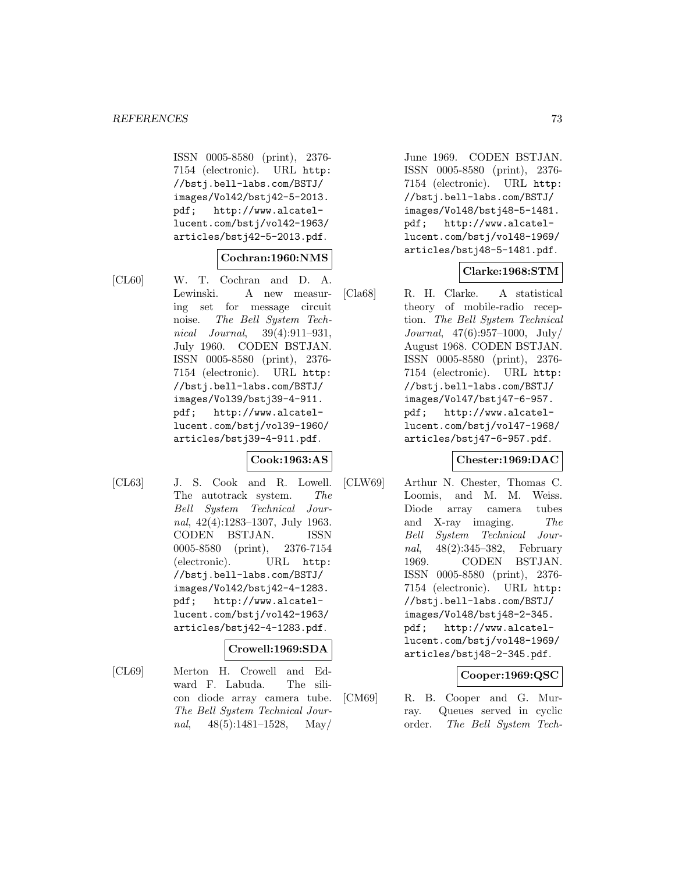ISSN 0005-8580 (print), 2376- 7154 (electronic). URL http: //bstj.bell-labs.com/BSTJ/ images/Vol42/bstj42-5-2013. pdf; http://www.alcatellucent.com/bstj/vol42-1963/ articles/bstj42-5-2013.pdf.

### **Cochran:1960:NMS**

[CL60] W. T. Cochran and D. A. Lewinski. A new measuring set for message circuit noise. The Bell System Technical Journal, 39(4):911–931, July 1960. CODEN BSTJAN. ISSN 0005-8580 (print), 2376- 7154 (electronic). URL http: //bstj.bell-labs.com/BSTJ/ images/Vol39/bstj39-4-911. pdf; http://www.alcatellucent.com/bstj/vol39-1960/ articles/bstj39-4-911.pdf.

## **Cook:1963:AS**

[CL63] J. S. Cook and R. Lowell. The autotrack system. The Bell System Technical Journal, 42(4):1283–1307, July 1963. CODEN BSTJAN. ISSN 0005-8580 (print), 2376-7154 (electronic). URL http: //bstj.bell-labs.com/BSTJ/ images/Vol42/bstj42-4-1283. pdf; http://www.alcatellucent.com/bstj/vol42-1963/ articles/bstj42-4-1283.pdf.

### **Crowell:1969:SDA**

[CL69] Merton H. Crowell and Edward F. Labuda. The silicon diode array camera tube. The Bell System Technical Journal, 48(5):1481–1528, May/

June 1969. CODEN BSTJAN. ISSN 0005-8580 (print), 2376- 7154 (electronic). URL http: //bstj.bell-labs.com/BSTJ/ images/Vol48/bstj48-5-1481. pdf; http://www.alcatellucent.com/bstj/vol48-1969/ articles/bstj48-5-1481.pdf.

## **Clarke:1968:STM**

[Cla68] R. H. Clarke. A statistical theory of mobile-radio reception. The Bell System Technical Journal, 47(6):957–1000, July/ August 1968. CODEN BSTJAN. ISSN 0005-8580 (print), 2376- 7154 (electronic). URL http: //bstj.bell-labs.com/BSTJ/ images/Vol47/bstj47-6-957. pdf; http://www.alcatellucent.com/bstj/vol47-1968/ articles/bstj47-6-957.pdf.

### **Chester:1969:DAC**

[CLW69] Arthur N. Chester, Thomas C. Loomis, and M. M. Weiss. Diode array camera tubes and X-ray imaging. The Bell System Technical Journal, 48(2):345–382, February 1969. CODEN BSTJAN. ISSN 0005-8580 (print), 2376- 7154 (electronic). URL http: //bstj.bell-labs.com/BSTJ/ images/Vol48/bstj48-2-345. pdf; http://www.alcatellucent.com/bstj/vol48-1969/ articles/bstj48-2-345.pdf.

## **Cooper:1969:QSC**

[CM69] R. B. Cooper and G. Murray. Queues served in cyclic order. The Bell System Tech-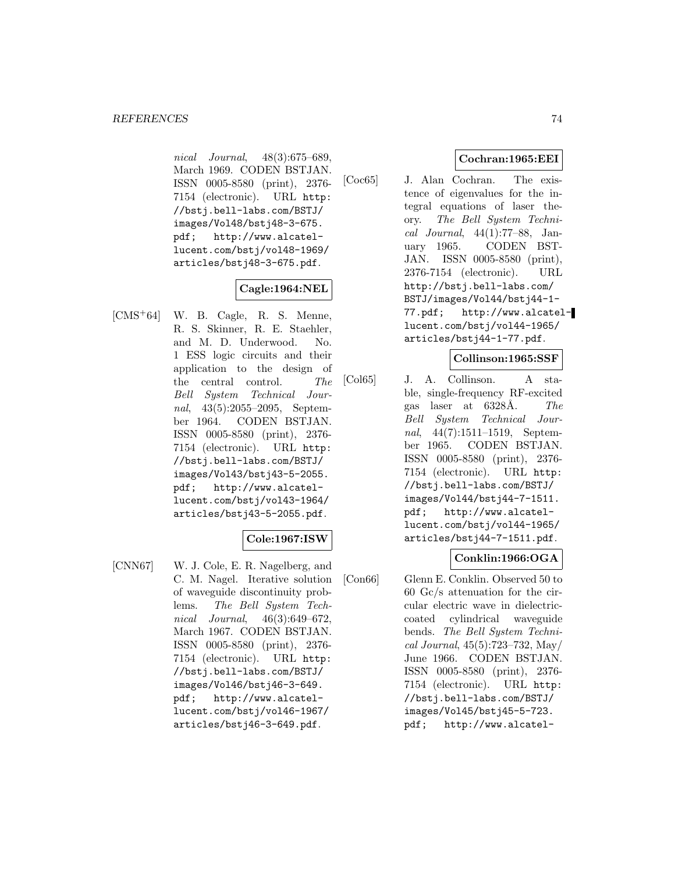nical Journal, 48(3):675–689, March 1969. CODEN BSTJAN. ISSN 0005-8580 (print), 2376- 7154 (electronic). URL http: //bstj.bell-labs.com/BSTJ/ images/Vol48/bstj48-3-675. pdf; http://www.alcatellucent.com/bstj/vol48-1969/ articles/bstj48-3-675.pdf.

## **Cagle:1964:NEL**

[CMS<sup>+</sup>64] W. B. Cagle, R. S. Menne, R. S. Skinner, R. E. Staehler, and M. D. Underwood. No. 1 ESS logic circuits and their application to the design of the central control. The Bell System Technical Journal, 43(5):2055–2095, September 1964. CODEN BSTJAN. ISSN 0005-8580 (print), 2376- 7154 (electronic). URL http: //bstj.bell-labs.com/BSTJ/ images/Vol43/bstj43-5-2055. pdf; http://www.alcatellucent.com/bstj/vol43-1964/ articles/bstj43-5-2055.pdf.

### **Cole:1967:ISW**

[CNN67] W. J. Cole, E. R. Nagelberg, and C. M. Nagel. Iterative solution of waveguide discontinuity problems. The Bell System Technical Journal, 46(3):649–672, March 1967. CODEN BSTJAN. ISSN 0005-8580 (print), 2376- 7154 (electronic). URL http: //bstj.bell-labs.com/BSTJ/ images/Vol46/bstj46-3-649. pdf; http://www.alcatellucent.com/bstj/vol46-1967/ articles/bstj46-3-649.pdf.

## **Cochran:1965:EEI**

[Coc65] J. Alan Cochran. The existence of eigenvalues for the integral equations of laser theory. The Bell System Technical Journal, 44(1):77–88, January 1965. CODEN BST-JAN. ISSN 0005-8580 (print), 2376-7154 (electronic). URL http://bstj.bell-labs.com/ BSTJ/images/Vol44/bstj44-1- 77.pdf; http://www.alcatellucent.com/bstj/vol44-1965/ articles/bstj44-1-77.pdf.

### **Collinson:1965:SSF**

[Col65] J. A. Collinson. A stable, single-frequency RF-excited gas laser at  $6328\text{\AA}$ . The Bell System Technical Journal, 44(7):1511–1519, September 1965. CODEN BSTJAN. ISSN 0005-8580 (print), 2376- 7154 (electronic). URL http: //bstj.bell-labs.com/BSTJ/ images/Vol44/bstj44-7-1511. pdf; http://www.alcatellucent.com/bstj/vol44-1965/ articles/bstj44-7-1511.pdf.

## **Conklin:1966:OGA**

[Con66] Glenn E. Conklin. Observed 50 to 60 Gc/s attenuation for the circular electric wave in dielectriccoated cylindrical waveguide bends. The Bell System Technical Journal, 45(5):723–732, May/ June 1966. CODEN BSTJAN. ISSN 0005-8580 (print), 2376- 7154 (electronic). URL http: //bstj.bell-labs.com/BSTJ/ images/Vol45/bstj45-5-723. pdf; http://www.alcatel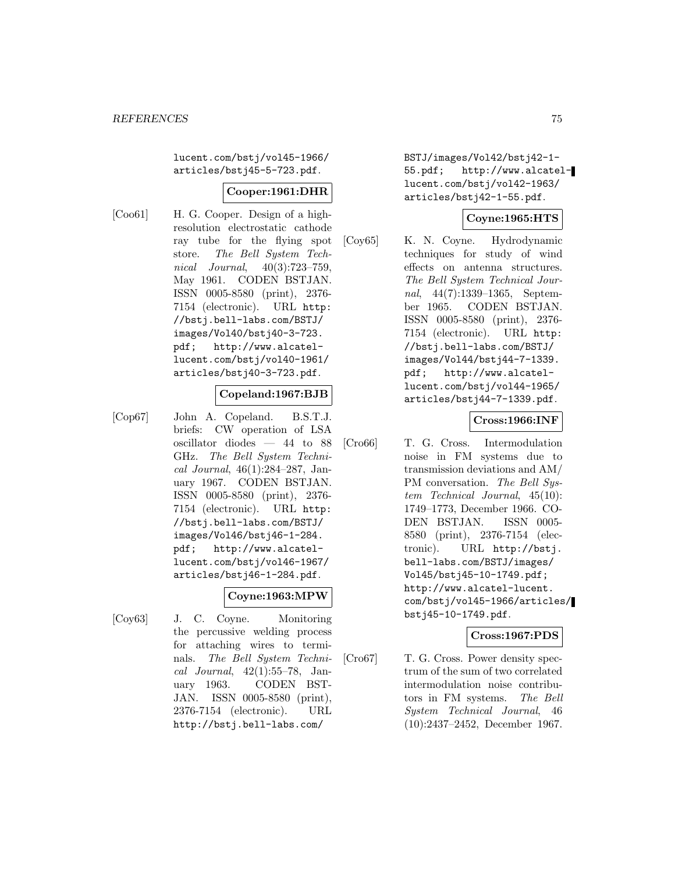lucent.com/bstj/vol45-1966/ articles/bstj45-5-723.pdf.

#### **Cooper:1961:DHR**

[Coo61] H. G. Cooper. Design of a highresolution electrostatic cathode ray tube for the flying spot store. The Bell System Technical Journal, 40(3):723–759, May 1961. CODEN BSTJAN. ISSN 0005-8580 (print), 2376- 7154 (electronic). URL http: //bstj.bell-labs.com/BSTJ/ images/Vol40/bstj40-3-723. pdf; http://www.alcatellucent.com/bstj/vol40-1961/ articles/bstj40-3-723.pdf.

#### **Copeland:1967:BJB**

[Cop67] John A. Copeland. B.S.T.J. briefs: CW operation of LSA oscillator diodes — 44 to 88 GHz. The Bell System Technical Journal, 46(1):284–287, January 1967. CODEN BSTJAN. ISSN 0005-8580 (print), 2376- 7154 (electronic). URL http: //bstj.bell-labs.com/BSTJ/ images/Vol46/bstj46-1-284. pdf; http://www.alcatellucent.com/bstj/vol46-1967/ articles/bstj46-1-284.pdf.

#### **Coyne:1963:MPW**

[Coy63] J. C. Coyne. Monitoring the percussive welding process for attaching wires to terminals. The Bell System Technical Journal, 42(1):55–78, January 1963. CODEN BST-JAN. ISSN 0005-8580 (print), 2376-7154 (electronic). URL http://bstj.bell-labs.com/

BSTJ/images/Vol42/bstj42-1- 55.pdf; http://www.alcatellucent.com/bstj/vol42-1963/ articles/bstj42-1-55.pdf.

### **Coyne:1965:HTS**

[Coy65] K. N. Coyne. Hydrodynamic techniques for study of wind effects on antenna structures. The Bell System Technical Journal, 44(7):1339–1365, September 1965. CODEN BSTJAN. ISSN 0005-8580 (print), 2376- 7154 (electronic). URL http: //bstj.bell-labs.com/BSTJ/ images/Vol44/bstj44-7-1339. pdf; http://www.alcatellucent.com/bstj/vol44-1965/ articles/bstj44-7-1339.pdf.

### **Cross:1966:INF**

[Cro66] T. G. Cross. Intermodulation noise in FM systems due to transmission deviations and AM/ PM conversation. The Bell System Technical Journal, 45(10): 1749–1773, December 1966. CO-DEN BSTJAN. ISSN 0005- 8580 (print), 2376-7154 (electronic). URL http://bstj. bell-labs.com/BSTJ/images/ Vol45/bstj45-10-1749.pdf; http://www.alcatel-lucent. com/bstj/vol45-1966/articles/ bstj45-10-1749.pdf.

### **Cross:1967:PDS**

[Cro67] T. G. Cross. Power density spectrum of the sum of two correlated intermodulation noise contributors in FM systems. The Bell System Technical Journal, 46 (10):2437–2452, December 1967.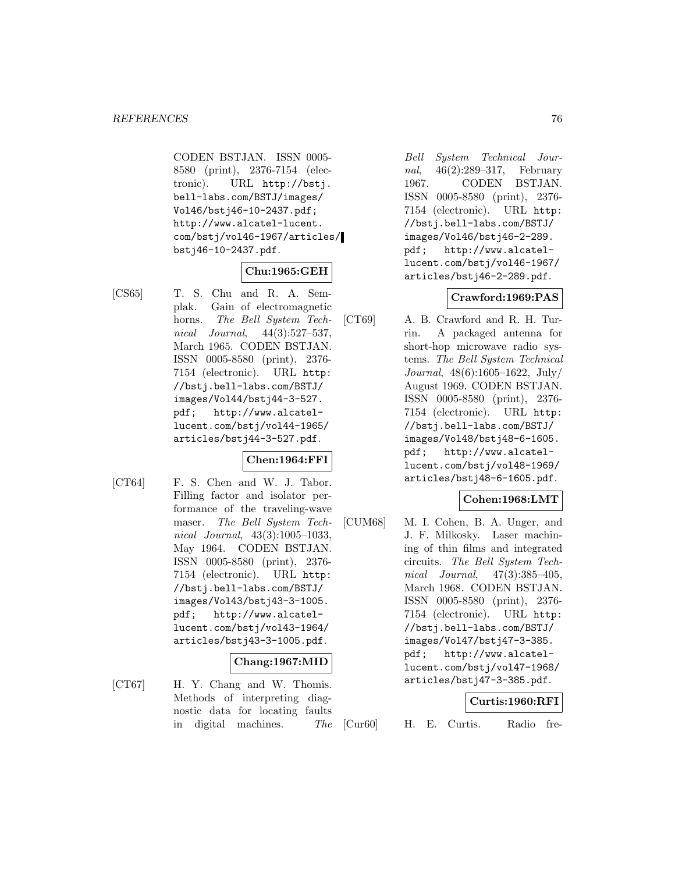CODEN BSTJAN. ISSN 0005- 8580 (print), 2376-7154 (electronic). URL http://bstj. bell-labs.com/BSTJ/images/ Vol46/bstj46-10-2437.pdf; http://www.alcatel-lucent. com/bstj/vol46-1967/articles/ bstj46-10-2437.pdf.

## **Chu:1965:GEH**

- 
- [CS65] T. S. Chu and R. A. Semplak. Gain of electromagnetic horns. The Bell System Technical Journal, 44(3):527–537, March 1965. CODEN BSTJAN. ISSN 0005-8580 (print), 2376- 7154 (electronic). URL http: //bstj.bell-labs.com/BSTJ/ images/Vol44/bstj44-3-527. pdf; http://www.alcatellucent.com/bstj/vol44-1965/ articles/bstj44-3-527.pdf.

## **Chen:1964:FFI**

[CT64] F. S. Chen and W. J. Tabor. Filling factor and isolator performance of the traveling-wave maser. The Bell System Technical Journal, 43(3):1005–1033, May 1964. CODEN BSTJAN. ISSN 0005-8580 (print), 2376- 7154 (electronic). URL http: //bstj.bell-labs.com/BSTJ/ images/Vol43/bstj43-3-1005. pdf; http://www.alcatellucent.com/bstj/vol43-1964/ articles/bstj43-3-1005.pdf.

### **Chang:1967:MID**

[CT67] H. Y. Chang and W. Thomis. Methods of interpreting diagnostic data for locating faults in digital machines. The

Bell System Technical Journal, 46(2):289–317, February 1967. CODEN BSTJAN. ISSN 0005-8580 (print), 2376- 7154 (electronic). URL http: //bstj.bell-labs.com/BSTJ/ images/Vol46/bstj46-2-289. pdf; http://www.alcatellucent.com/bstj/vol46-1967/ articles/bstj46-2-289.pdf.

### **Crawford:1969:PAS**

[CT69] A. B. Crawford and R. H. Turrin. A packaged antenna for short-hop microwave radio systems. The Bell System Technical Journal, 48(6):1605–1622, July/ August 1969. CODEN BSTJAN. ISSN 0005-8580 (print), 2376- 7154 (electronic). URL http: //bstj.bell-labs.com/BSTJ/ images/Vol48/bstj48-6-1605. pdf; http://www.alcatellucent.com/bstj/vol48-1969/ articles/bstj48-6-1605.pdf.

### **Cohen:1968:LMT**

[CUM68] M. I. Cohen, B. A. Unger, and J. F. Milkosky. Laser machining of thin films and integrated circuits. The Bell System Technical Journal, 47(3):385–405, March 1968. CODEN BSTJAN. ISSN 0005-8580 (print), 2376- 7154 (electronic). URL http: //bstj.bell-labs.com/BSTJ/ images/Vol47/bstj47-3-385. pdf; http://www.alcatellucent.com/bstj/vol47-1968/ articles/bstj47-3-385.pdf.

### **Curtis:1960:RFI**

[Cur60] H. E. Curtis. Radio fre-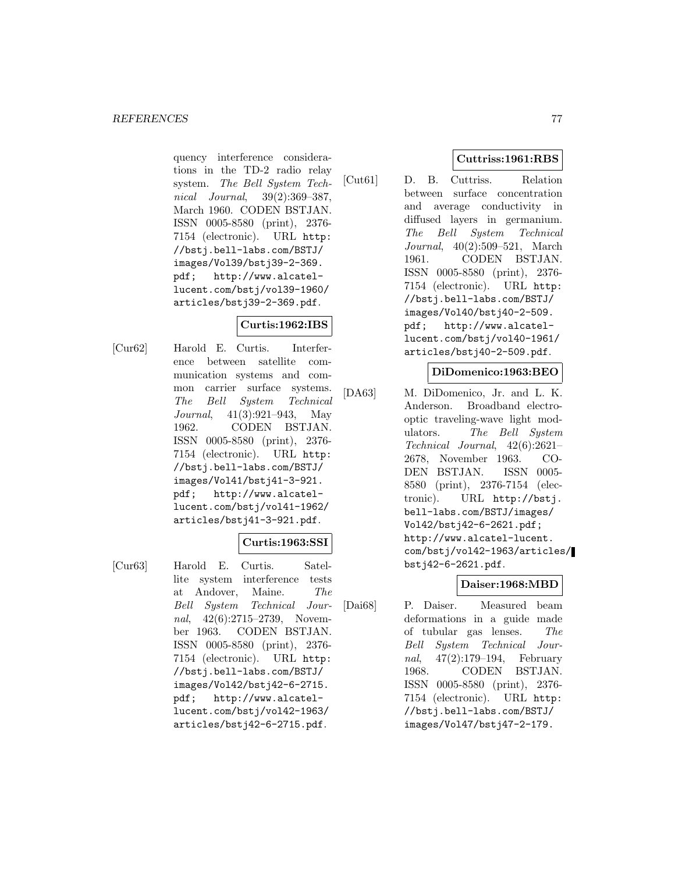quency interference considerations in the TD-2 radio relay system. The Bell System Technical Journal, 39(2):369–387, March 1960. CODEN BSTJAN. ISSN 0005-8580 (print), 2376- 7154 (electronic). URL http: //bstj.bell-labs.com/BSTJ/ images/Vol39/bstj39-2-369. pdf; http://www.alcatellucent.com/bstj/vol39-1960/ articles/bstj39-2-369.pdf.

## **Curtis:1962:IBS**

[Cur62] Harold E. Curtis. Interference between satellite communication systems and common carrier surface systems. The Bell System Technical Journal, 41(3):921–943, May 1962. CODEN BSTJAN. ISSN 0005-8580 (print), 2376- 7154 (electronic). URL http: //bstj.bell-labs.com/BSTJ/ images/Vol41/bstj41-3-921. pdf; http://www.alcatellucent.com/bstj/vol41-1962/ articles/bstj41-3-921.pdf.

### **Curtis:1963:SSI**

[Cur63] Harold E. Curtis. Satellite system interference tests at Andover, Maine. The Bell System Technical Journal, 42(6):2715–2739, November 1963. CODEN BSTJAN. ISSN 0005-8580 (print), 2376- 7154 (electronic). URL http: //bstj.bell-labs.com/BSTJ/ images/Vol42/bstj42-6-2715. pdf; http://www.alcatellucent.com/bstj/vol42-1963/ articles/bstj42-6-2715.pdf.

# **Cuttriss:1961:RBS**

[Cut61] D. B. Cuttriss. Relation between surface concentration and average conductivity in diffused layers in germanium. The Bell System Technical Journal, 40(2):509–521, March 1961. CODEN BSTJAN. ISSN 0005-8580 (print), 2376- 7154 (electronic). URL http: //bstj.bell-labs.com/BSTJ/ images/Vol40/bstj40-2-509. pdf; http://www.alcatellucent.com/bstj/vol40-1961/ articles/bstj40-2-509.pdf.

### **DiDomenico:1963:BEO**

[DA63] M. DiDomenico, Jr. and L. K. Anderson. Broadband electrooptic traveling-wave light modulators. The Bell System Technical Journal, 42(6):2621– 2678, November 1963. CO-DEN BSTJAN. ISSN 0005- 8580 (print), 2376-7154 (electronic). URL http://bstj. bell-labs.com/BSTJ/images/ Vol42/bstj42-6-2621.pdf; http://www.alcatel-lucent. com/bstj/vol42-1963/articles/ bstj42-6-2621.pdf.

## **Daiser:1968:MBD**

[Dai68] P. Daiser. Measured beam deformations in a guide made of tubular gas lenses. The Bell System Technical Journal, 47(2):179–194, February 1968. CODEN BSTJAN. ISSN 0005-8580 (print), 2376- 7154 (electronic). URL http: //bstj.bell-labs.com/BSTJ/ images/Vol47/bstj47-2-179.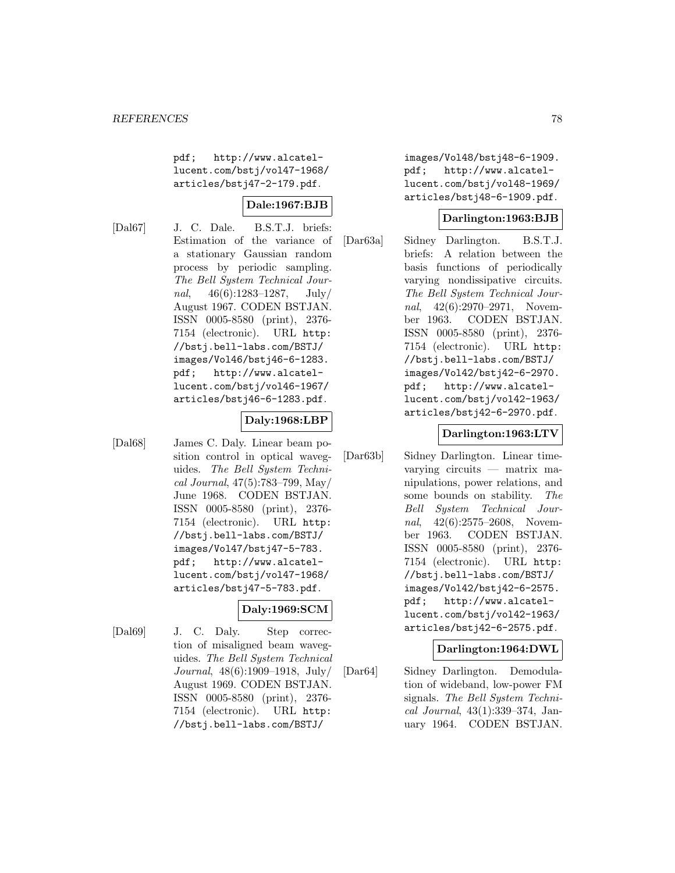pdf; http://www.alcatellucent.com/bstj/vol47-1968/ articles/bstj47-2-179.pdf.

# **Dale:1967:BJB**

[Dal67] J. C. Dale. B.S.T.J. briefs: Estimation of the variance of a stationary Gaussian random process by periodic sampling. The Bell System Technical Journal,  $46(6):1283-1287$ , July/ August 1967. CODEN BSTJAN. ISSN 0005-8580 (print), 2376- 7154 (electronic). URL http: //bstj.bell-labs.com/BSTJ/ images/Vol46/bstj46-6-1283. pdf; http://www.alcatellucent.com/bstj/vol46-1967/ articles/bstj46-6-1283.pdf.

### **Daly:1968:LBP**

[Dal68] James C. Daly. Linear beam position control in optical waveguides. The Bell System Technical Journal, 47(5):783–799, May/ June 1968. CODEN BSTJAN. ISSN 0005-8580 (print), 2376- 7154 (electronic). URL http: //bstj.bell-labs.com/BSTJ/ images/Vol47/bstj47-5-783. pdf; http://www.alcatellucent.com/bstj/vol47-1968/ articles/bstj47-5-783.pdf.

### **Daly:1969:SCM**

[Dal69] J. C. Daly. Step correction of misaligned beam waveguides. The Bell System Technical Journal, 48(6):1909–1918, July/ August 1969. CODEN BSTJAN. ISSN 0005-8580 (print), 2376- 7154 (electronic). URL http: //bstj.bell-labs.com/BSTJ/

images/Vol48/bstj48-6-1909. pdf; http://www.alcatellucent.com/bstj/vol48-1969/ articles/bstj48-6-1909.pdf.

### **Darlington:1963:BJB**

[Dar63a] Sidney Darlington. B.S.T.J. briefs: A relation between the basis functions of periodically varying nondissipative circuits. The Bell System Technical Journal, 42(6):2970–2971, November 1963. CODEN BSTJAN. ISSN 0005-8580 (print), 2376- 7154 (electronic). URL http: //bstj.bell-labs.com/BSTJ/ images/Vol42/bstj42-6-2970. pdf; http://www.alcatellucent.com/bstj/vol42-1963/ articles/bstj42-6-2970.pdf.

### **Darlington:1963:LTV**

[Dar63b] Sidney Darlington. Linear timevarying circuits — matrix manipulations, power relations, and some bounds on stability. The Bell System Technical Journal, 42(6):2575-2608, November 1963. CODEN BSTJAN. ISSN 0005-8580 (print), 2376- 7154 (electronic). URL http: //bstj.bell-labs.com/BSTJ/ images/Vol42/bstj42-6-2575. pdf; http://www.alcatellucent.com/bstj/vol42-1963/ articles/bstj42-6-2575.pdf.

### **Darlington:1964:DWL**

[Dar64] Sidney Darlington. Demodulation of wideband, low-power FM signals. The Bell System Technical Journal, 43(1):339–374, January 1964. CODEN BSTJAN.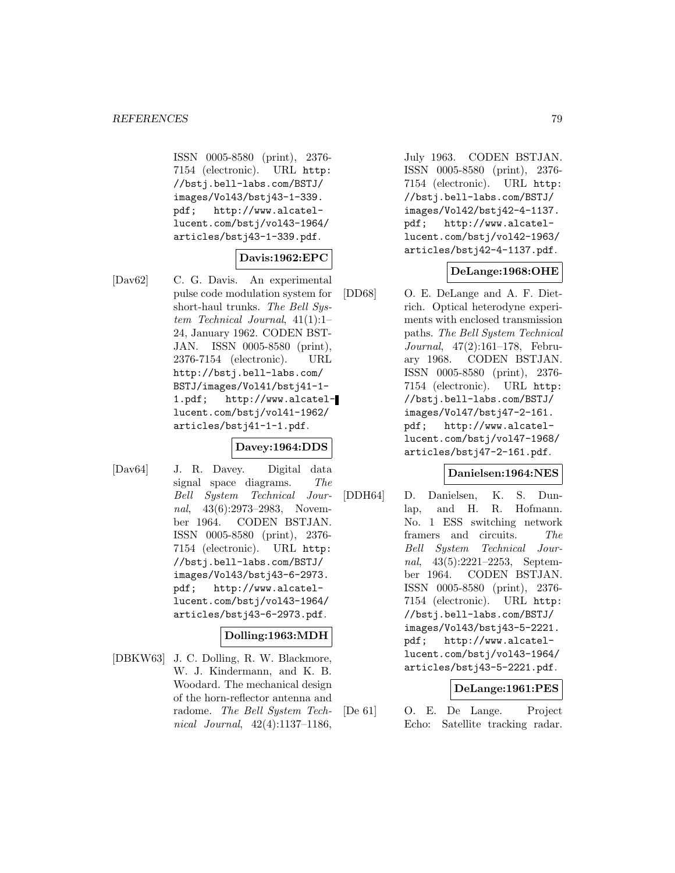ISSN 0005-8580 (print), 2376- 7154 (electronic). URL http: //bstj.bell-labs.com/BSTJ/ images/Vol43/bstj43-1-339. pdf; http://www.alcatellucent.com/bstj/vol43-1964/ articles/bstj43-1-339.pdf.

### **Davis:1962:EPC**

[Dav62] C. G. Davis. An experimental pulse code modulation system for short-haul trunks. The Bell System Technical Journal, 41(1):1– 24, January 1962. CODEN BST-JAN. ISSN 0005-8580 (print), 2376-7154 (electronic). URL http://bstj.bell-labs.com/ BSTJ/images/Vol41/bstj41-1- 1.pdf; http://www.alcatellucent.com/bstj/vol41-1962/ articles/bstj41-1-1.pdf.

## **Davey:1964:DDS**

[Dav64] J. R. Davey. Digital data signal space diagrams. The Bell System Technical Journal, 43(6):2973–2983, November 1964. CODEN BSTJAN. ISSN 0005-8580 (print), 2376- 7154 (electronic). URL http: //bstj.bell-labs.com/BSTJ/ images/Vol43/bstj43-6-2973. pdf; http://www.alcatellucent.com/bstj/vol43-1964/ articles/bstj43-6-2973.pdf.

# **Dolling:1963:MDH**

[DBKW63] J. C. Dolling, R. W. Blackmore, W. J. Kindermann, and K. B. Woodard. The mechanical design of the horn-reflector antenna and radome. The Bell System Technical Journal, 42(4):1137–1186,

July 1963. CODEN BSTJAN. ISSN 0005-8580 (print), 2376- 7154 (electronic). URL http: //bstj.bell-labs.com/BSTJ/ images/Vol42/bstj42-4-1137. pdf; http://www.alcatellucent.com/bstj/vol42-1963/ articles/bstj42-4-1137.pdf.

### **DeLange:1968:OHE**

[DD68] O. E. DeLange and A. F. Dietrich. Optical heterodyne experiments with enclosed transmission paths. The Bell System Technical Journal, 47(2):161–178, February 1968. CODEN BSTJAN. ISSN 0005-8580 (print), 2376- 7154 (electronic). URL http: //bstj.bell-labs.com/BSTJ/ images/Vol47/bstj47-2-161. pdf; http://www.alcatellucent.com/bstj/vol47-1968/ articles/bstj47-2-161.pdf.

### **Danielsen:1964:NES**

[DDH64] D. Danielsen, K. S. Dunlap, and H. R. Hofmann. No. 1 ESS switching network framers and circuits. The Bell System Technical Journal, 43(5):2221–2253, September 1964. CODEN BSTJAN. ISSN 0005-8580 (print), 2376- 7154 (electronic). URL http: //bstj.bell-labs.com/BSTJ/ images/Vol43/bstj43-5-2221. pdf; http://www.alcatellucent.com/bstj/vol43-1964/ articles/bstj43-5-2221.pdf.

### **DeLange:1961:PES**

[De 61] O. E. De Lange. Project Echo: Satellite tracking radar.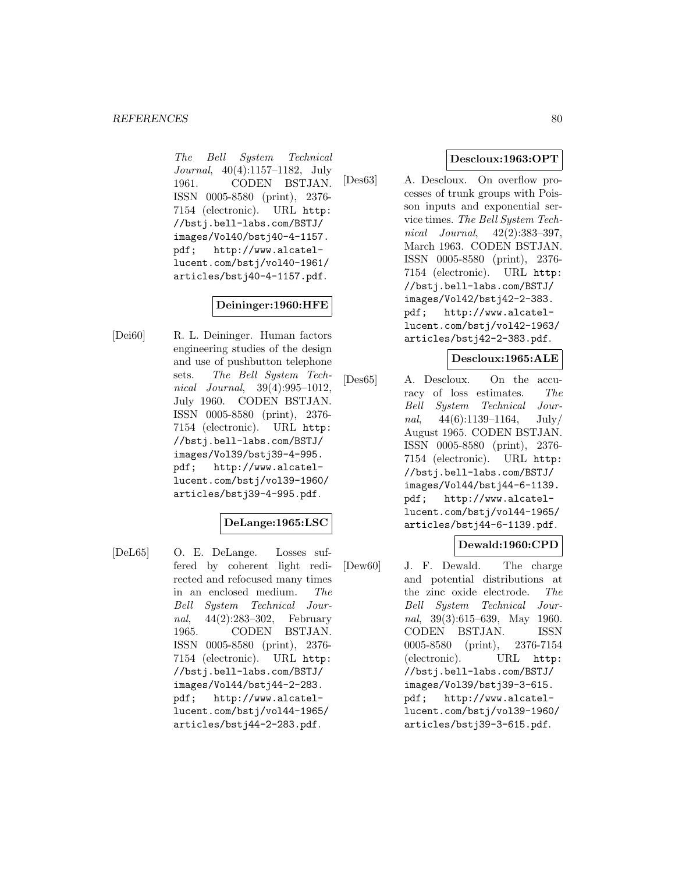The Bell System Technical Journal, 40(4):1157–1182, July 1961. CODEN BSTJAN. ISSN 0005-8580 (print), 2376- 7154 (electronic). URL http: //bstj.bell-labs.com/BSTJ/ images/Vol40/bstj40-4-1157. pdf; http://www.alcatellucent.com/bstj/vol40-1961/ articles/bstj40-4-1157.pdf.

### **Deininger:1960:HFE**

[Dei60] R. L. Deininger. Human factors engineering studies of the design and use of pushbutton telephone sets. The Bell System Technical Journal, 39(4):995–1012, July 1960. CODEN BSTJAN. ISSN 0005-8580 (print), 2376- 7154 (electronic). URL http: //bstj.bell-labs.com/BSTJ/ images/Vol39/bstj39-4-995. pdf; http://www.alcatellucent.com/bstj/vol39-1960/ articles/bstj39-4-995.pdf.

## **DeLange:1965:LSC**

[DeL65] O. E. DeLange. Losses suffered by coherent light redirected and refocused many times in an enclosed medium. The Bell System Technical Journal, 44(2):283–302, February 1965. CODEN BSTJAN. ISSN 0005-8580 (print), 2376- 7154 (electronic). URL http: //bstj.bell-labs.com/BSTJ/ images/Vol44/bstj44-2-283. pdf; http://www.alcatellucent.com/bstj/vol44-1965/ articles/bstj44-2-283.pdf.

## **Descloux:1963:OPT**

[Des63] A. Descloux. On overflow processes of trunk groups with Poisson inputs and exponential service times. The Bell System Technical Journal, 42(2):383–397, March 1963. CODEN BSTJAN. ISSN 0005-8580 (print), 2376- 7154 (electronic). URL http: //bstj.bell-labs.com/BSTJ/ images/Vol42/bstj42-2-383. pdf; http://www.alcatellucent.com/bstj/vol42-1963/ articles/bstj42-2-383.pdf.

### **Descloux:1965:ALE**

[Des65] A. Descloux. On the accuracy of loss estimates. The Bell System Technical Journal,  $44(6):1139-1164$ , July/ August 1965. CODEN BSTJAN. ISSN 0005-8580 (print), 2376- 7154 (electronic). URL http: //bstj.bell-labs.com/BSTJ/ images/Vol44/bstj44-6-1139. pdf; http://www.alcatellucent.com/bstj/vol44-1965/ articles/bstj44-6-1139.pdf.

## **Dewald:1960:CPD**

[Dew60] J. F. Dewald. The charge and potential distributions at the zinc oxide electrode. The Bell System Technical Journal, 39(3):615–639, May 1960. CODEN BSTJAN. ISSN 0005-8580 (print), 2376-7154 (electronic). URL http: //bstj.bell-labs.com/BSTJ/ images/Vol39/bstj39-3-615. pdf; http://www.alcatellucent.com/bstj/vol39-1960/ articles/bstj39-3-615.pdf.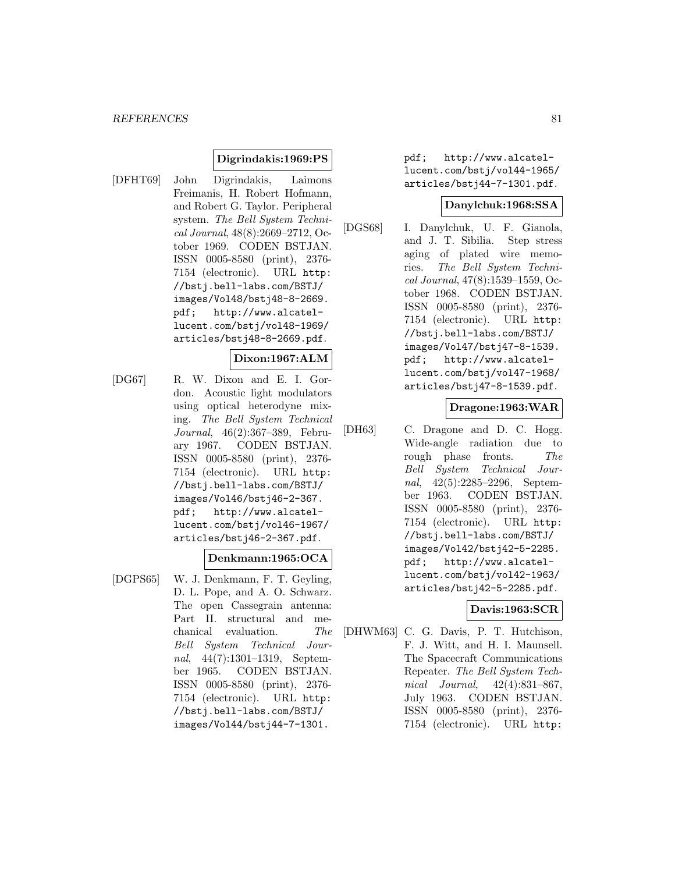### **Digrindakis:1969:PS**

[DFHT69] John Digrindakis, Laimons Freimanis, H. Robert Hofmann, and Robert G. Taylor. Peripheral system. The Bell System Technical Journal, 48(8):2669–2712, October 1969. CODEN BSTJAN. ISSN 0005-8580 (print), 2376- 7154 (electronic). URL http: //bstj.bell-labs.com/BSTJ/ images/Vol48/bstj48-8-2669. pdf; http://www.alcatellucent.com/bstj/vol48-1969/ articles/bstj48-8-2669.pdf.

### **Dixon:1967:ALM**

[DG67] R. W. Dixon and E. I. Gordon. Acoustic light modulators using optical heterodyne mixing. The Bell System Technical Journal, 46(2):367–389, February 1967. CODEN BSTJAN. ISSN 0005-8580 (print), 2376- 7154 (electronic). URL http: //bstj.bell-labs.com/BSTJ/ images/Vol46/bstj46-2-367. pdf; http://www.alcatellucent.com/bstj/vol46-1967/ articles/bstj46-2-367.pdf.

### **Denkmann:1965:OCA**

[DGPS65] W. J. Denkmann, F. T. Geyling, D. L. Pope, and A. O. Schwarz. The open Cassegrain antenna: Part II. structural and mechanical evaluation. The Bell System Technical Journal, 44(7):1301–1319, September 1965. CODEN BSTJAN. ISSN 0005-8580 (print), 2376- 7154 (electronic). URL http: //bstj.bell-labs.com/BSTJ/ images/Vol44/bstj44-7-1301.

pdf; http://www.alcatellucent.com/bstj/vol44-1965/ articles/bstj44-7-1301.pdf.

### **Danylchuk:1968:SSA**

[DGS68] I. Danylchuk, U. F. Gianola, and J. T. Sibilia. Step stress aging of plated wire memories. The Bell System Technical Journal, 47(8):1539–1559, October 1968. CODEN BSTJAN. ISSN 0005-8580 (print), 2376- 7154 (electronic). URL http: //bstj.bell-labs.com/BSTJ/ images/Vol47/bstj47-8-1539. pdf; http://www.alcatellucent.com/bstj/vol47-1968/ articles/bstj47-8-1539.pdf.

### **Dragone:1963:WAR**

[DH63] C. Dragone and D. C. Hogg. Wide-angle radiation due to rough phase fronts. The Bell System Technical Journal, 42(5):2285–2296, September 1963. CODEN BSTJAN. ISSN 0005-8580 (print), 2376- 7154 (electronic). URL http: //bstj.bell-labs.com/BSTJ/ images/Vol42/bstj42-5-2285. pdf; http://www.alcatellucent.com/bstj/vol42-1963/ articles/bstj42-5-2285.pdf.

### **Davis:1963:SCR**

[DHWM63] C. G. Davis, P. T. Hutchison, F. J. Witt, and H. I. Maunsell. The Spacecraft Communications Repeater. The Bell System Technical Journal, 42(4):831–867, July 1963. CODEN BSTJAN. ISSN 0005-8580 (print), 2376- 7154 (electronic). URL http: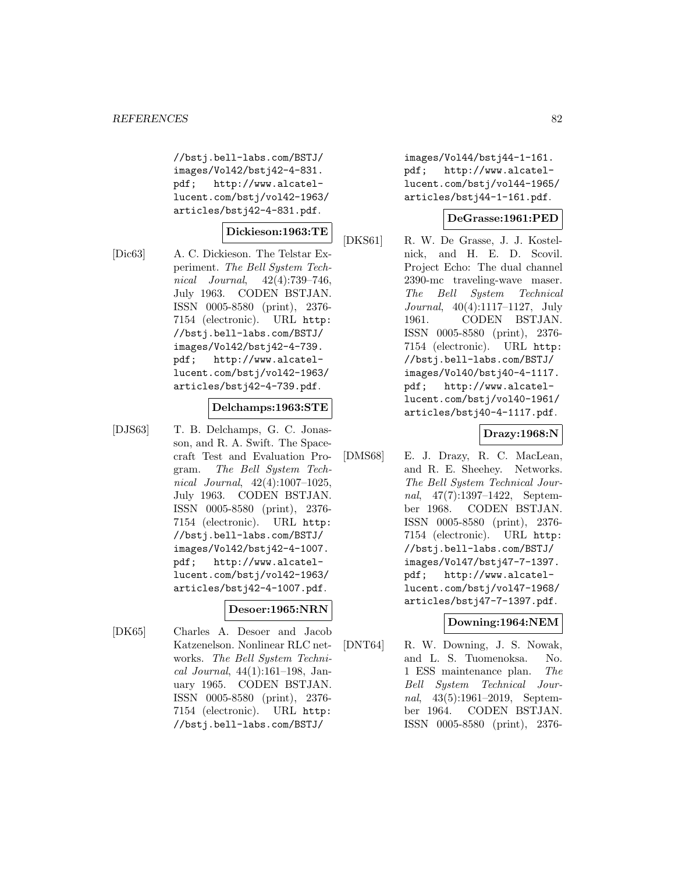//bstj.bell-labs.com/BSTJ/ images/Vol42/bstj42-4-831. pdf; http://www.alcatellucent.com/bstj/vol42-1963/ articles/bstj42-4-831.pdf.

### **Dickieson:1963:TE**

[Dic63] A. C. Dickieson. The Telstar Experiment. The Bell System Technical Journal, 42(4):739–746, July 1963. CODEN BSTJAN. ISSN 0005-8580 (print), 2376- 7154 (electronic). URL http: //bstj.bell-labs.com/BSTJ/ images/Vol42/bstj42-4-739. pdf; http://www.alcatellucent.com/bstj/vol42-1963/ articles/bstj42-4-739.pdf.

#### **Delchamps:1963:STE**

[DJS63] T. B. Delchamps, G. C. Jonasson, and R. A. Swift. The Spacecraft Test and Evaluation Program. The Bell System Technical Journal, 42(4):1007–1025, July 1963. CODEN BSTJAN. ISSN 0005-8580 (print), 2376- 7154 (electronic). URL http: //bstj.bell-labs.com/BSTJ/ images/Vol42/bstj42-4-1007. pdf; http://www.alcatellucent.com/bstj/vol42-1963/ articles/bstj42-4-1007.pdf.

## **Desoer:1965:NRN**

[DK65] Charles A. Desoer and Jacob Katzenelson. Nonlinear RLC networks. The Bell System Technical Journal, 44(1):161–198, January 1965. CODEN BSTJAN. ISSN 0005-8580 (print), 2376- 7154 (electronic). URL http: //bstj.bell-labs.com/BSTJ/

images/Vol44/bstj44-1-161. pdf; http://www.alcatellucent.com/bstj/vol44-1965/ articles/bstj44-1-161.pdf.

### **DeGrasse:1961:PED**

[DKS61] R. W. De Grasse, J. J. Kostelnick, and H. E. D. Scovil. Project Echo: The dual channel 2390-mc traveling-wave maser. The Bell System Technical Journal, 40(4):1117–1127, July 1961. CODEN BSTJAN. ISSN 0005-8580 (print), 2376- 7154 (electronic). URL http: //bstj.bell-labs.com/BSTJ/ images/Vol40/bstj40-4-1117. pdf; http://www.alcatellucent.com/bstj/vol40-1961/ articles/bstj40-4-1117.pdf.

### **Drazy:1968:N**

[DMS68] E. J. Drazy, R. C. MacLean, and R. E. Sheehey. Networks. The Bell System Technical Journal, 47(7):1397–1422, September 1968. CODEN BSTJAN. ISSN 0005-8580 (print), 2376- 7154 (electronic). URL http: //bstj.bell-labs.com/BSTJ/ images/Vol47/bstj47-7-1397. pdf; http://www.alcatellucent.com/bstj/vol47-1968/ articles/bstj47-7-1397.pdf.

### **Downing:1964:NEM**

[DNT64] R. W. Downing, J. S. Nowak, and L. S. Tuomenoksa. No. 1 ESS maintenance plan. The Bell System Technical Journal, 43(5):1961–2019, September 1964. CODEN BSTJAN. ISSN 0005-8580 (print), 2376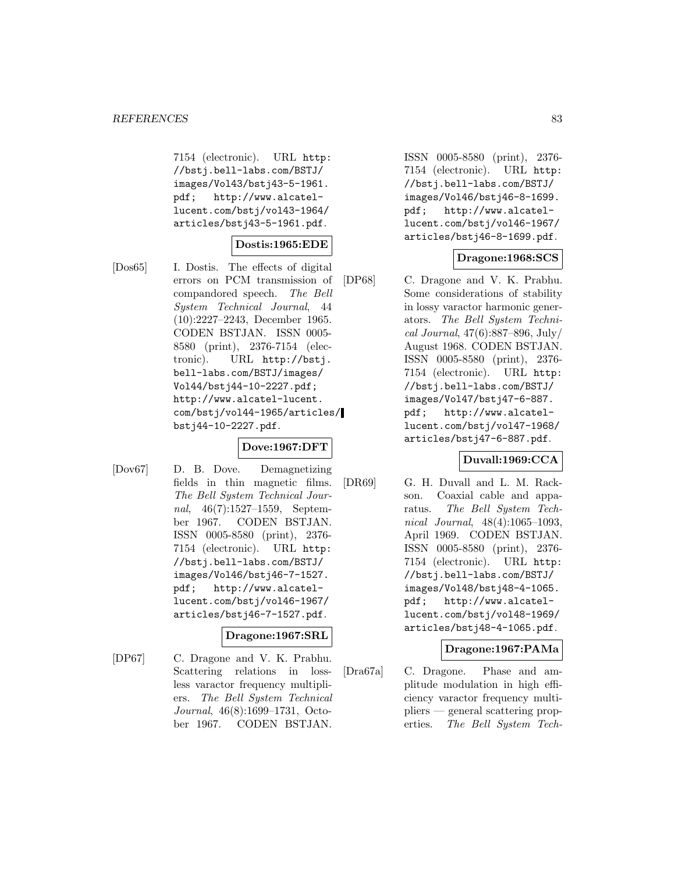7154 (electronic). URL http: //bstj.bell-labs.com/BSTJ/ images/Vol43/bstj43-5-1961. pdf; http://www.alcatellucent.com/bstj/vol43-1964/ articles/bstj43-5-1961.pdf.

## **Dostis:1965:EDE**

[Dos65] I. Dostis. The effects of digital errors on PCM transmission of compandored speech. The Bell System Technical Journal, 44 (10):2227–2243, December 1965. CODEN BSTJAN. ISSN 0005- 8580 (print), 2376-7154 (electronic). URL http://bstj. bell-labs.com/BSTJ/images/ Vol44/bstj44-10-2227.pdf; http://www.alcatel-lucent. com/bstj/vol44-1965/articles/ bstj44-10-2227.pdf.

### **Dove:1967:DFT**

[Dov67] D. B. Dove. Demagnetizing fields in thin magnetic films. The Bell System Technical Journal, 46(7):1527–1559, September 1967. CODEN BSTJAN. ISSN 0005-8580 (print), 2376- 7154 (electronic). URL http: //bstj.bell-labs.com/BSTJ/ images/Vol46/bstj46-7-1527. pdf; http://www.alcatellucent.com/bstj/vol46-1967/ articles/bstj46-7-1527.pdf.

# **Dragone:1967:SRL**

[DP67] C. Dragone and V. K. Prabhu. Scattering relations in lossless varactor frequency multipliers. The Bell System Technical Journal, 46(8):1699–1731, October 1967. CODEN BSTJAN.

ISSN 0005-8580 (print), 2376- 7154 (electronic). URL http: //bstj.bell-labs.com/BSTJ/ images/Vol46/bstj46-8-1699. pdf; http://www.alcatellucent.com/bstj/vol46-1967/ articles/bstj46-8-1699.pdf.

## **Dragone:1968:SCS**

[DP68] C. Dragone and V. K. Prabhu. Some considerations of stability in lossy varactor harmonic generators. The Bell System Technical Journal, 47(6):887–896, July/ August 1968. CODEN BSTJAN. ISSN 0005-8580 (print), 2376- 7154 (electronic). URL http: //bstj.bell-labs.com/BSTJ/ images/Vol47/bstj47-6-887. pdf; http://www.alcatellucent.com/bstj/vol47-1968/ articles/bstj47-6-887.pdf.

### **Duvall:1969:CCA**

[DR69] G. H. Duvall and L. M. Rackson. Coaxial cable and apparatus. The Bell System Technical Journal, 48(4):1065–1093, April 1969. CODEN BSTJAN. ISSN 0005-8580 (print), 2376- 7154 (electronic). URL http: //bstj.bell-labs.com/BSTJ/ images/Vol48/bstj48-4-1065. pdf; http://www.alcatellucent.com/bstj/vol48-1969/ articles/bstj48-4-1065.pdf.

### **Dragone:1967:PAMa**

[Dra67a] C. Dragone. Phase and amplitude modulation in high efficiency varactor frequency multipliers — general scattering properties. The Bell System Tech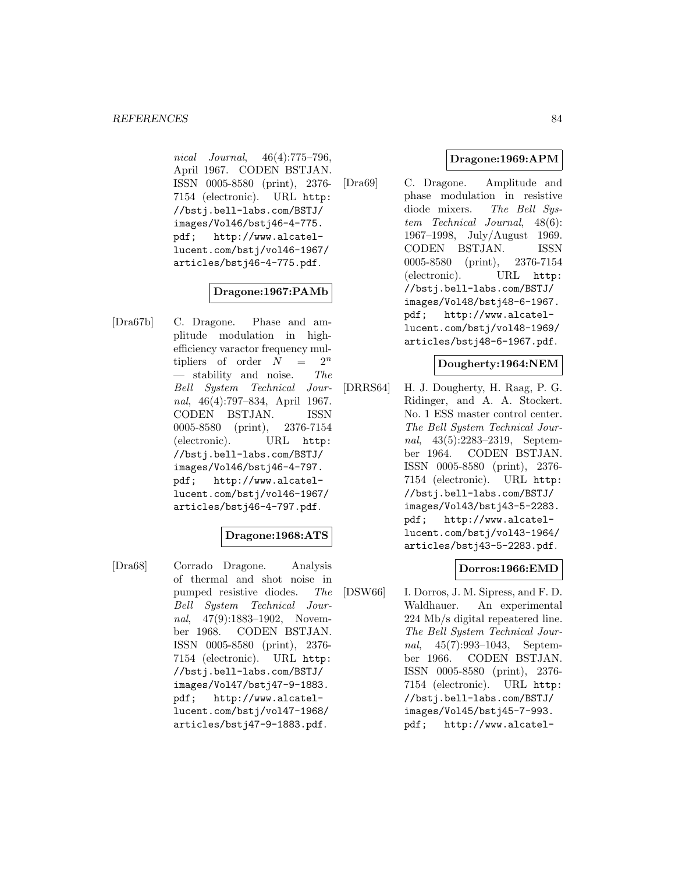nical Journal, 46(4):775–796, April 1967. CODEN BSTJAN. ISSN 0005-8580 (print), 2376- 7154 (electronic). URL http: //bstj.bell-labs.com/BSTJ/ images/Vol46/bstj46-4-775. pdf; http://www.alcatellucent.com/bstj/vol46-1967/ articles/bstj46-4-775.pdf.

# **Dragone:1967:PAMb**

[Dra67b] C. Dragone. Phase and amplitude modulation in highefficiency varactor frequency multipliers of order  $N = 2^n$  $-$  stability and noise. The Bell System Technical Journal, 46(4):797–834, April 1967. CODEN BSTJAN. ISSN 0005-8580 (print), 2376-7154 (electronic). URL http: //bstj.bell-labs.com/BSTJ/ images/Vol46/bstj46-4-797. pdf; http://www.alcatellucent.com/bstj/vol46-1967/ articles/bstj46-4-797.pdf.

### **Dragone:1968:ATS**

[Dra68] Corrado Dragone. Analysis of thermal and shot noise in pumped resistive diodes. The Bell System Technical Journal, 47(9):1883–1902, November 1968. CODEN BSTJAN. ISSN 0005-8580 (print), 2376- 7154 (electronic). URL http: //bstj.bell-labs.com/BSTJ/ images/Vol47/bstj47-9-1883. pdf; http://www.alcatellucent.com/bstj/vol47-1968/ articles/bstj47-9-1883.pdf.

### **Dragone:1969:APM**

[Dra69] C. Dragone. Amplitude and phase modulation in resistive diode mixers. The Bell System Technical Journal, 48(6): 1967–1998, July/August 1969. CODEN BSTJAN. ISSN 0005-8580 (print), 2376-7154 (electronic). URL http: //bstj.bell-labs.com/BSTJ/ images/Vol48/bstj48-6-1967. pdf; http://www.alcatellucent.com/bstj/vol48-1969/ articles/bstj48-6-1967.pdf.

### **Dougherty:1964:NEM**

[DRRS64] H. J. Dougherty, H. Raag, P. G. Ridinger, and A. A. Stockert. No. 1 ESS master control center. The Bell System Technical Journal, 43(5):2283–2319, September 1964. CODEN BSTJAN. ISSN 0005-8580 (print), 2376- 7154 (electronic). URL http: //bstj.bell-labs.com/BSTJ/ images/Vol43/bstj43-5-2283. pdf; http://www.alcatellucent.com/bstj/vol43-1964/ articles/bstj43-5-2283.pdf.

### **Dorros:1966:EMD**

[DSW66] I. Dorros, J. M. Sipress, and F. D. Waldhauer. An experimental 224 Mb/s digital repeatered line. The Bell System Technical Journal, 45(7):993–1043, September 1966. CODEN BSTJAN. ISSN 0005-8580 (print), 2376- 7154 (electronic). URL http: //bstj.bell-labs.com/BSTJ/ images/Vol45/bstj45-7-993. pdf; http://www.alcatel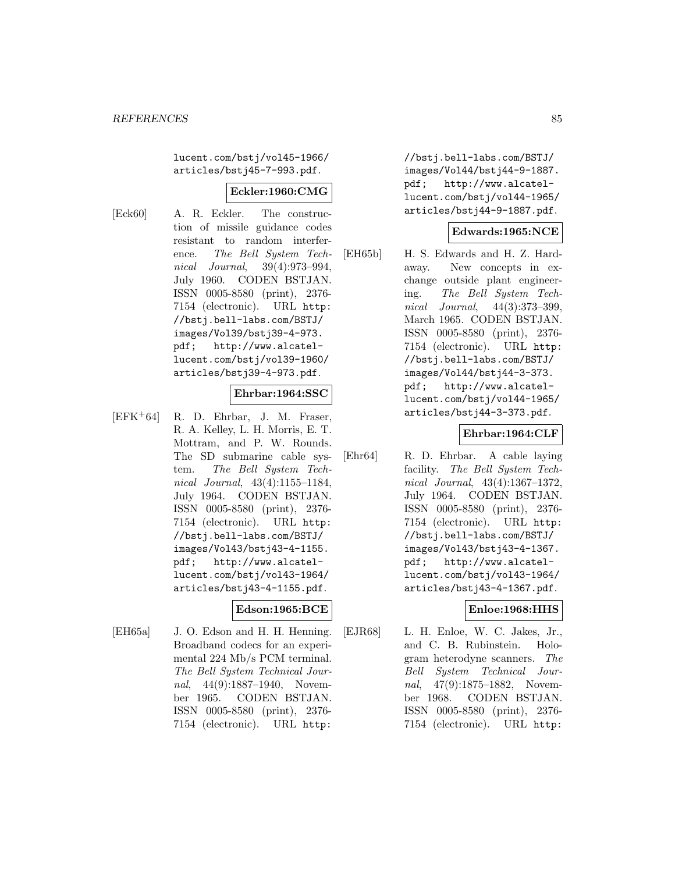lucent.com/bstj/vol45-1966/ articles/bstj45-7-993.pdf.

### **Eckler:1960:CMG**

- 
- [Eck60] A. R. Eckler. The construction of missile guidance codes resistant to random interference. The Bell System Technical Journal, 39(4):973–994, July 1960. CODEN BSTJAN. ISSN 0005-8580 (print), 2376- 7154 (electronic). URL http: //bstj.bell-labs.com/BSTJ/ images/Vol39/bstj39-4-973. pdf; http://www.alcatellucent.com/bstj/vol39-1960/ articles/bstj39-4-973.pdf.

### **Ehrbar:1964:SSC**

 $[EFK^+64]$  R. D. Ehrbar, J. M. Fraser, R. A. Kelley, L. H. Morris, E. T. Mottram, and P. W. Rounds. The SD submarine cable system. The Bell System Technical Journal, 43(4):1155–1184, July 1964. CODEN BSTJAN. ISSN 0005-8580 (print), 2376- 7154 (electronic). URL http: //bstj.bell-labs.com/BSTJ/ images/Vol43/bstj43-4-1155. pdf; http://www.alcatellucent.com/bstj/vol43-1964/ articles/bstj43-4-1155.pdf.

## **Edson:1965:BCE**

[EH65a] J. O. Edson and H. H. Henning. Broadband codecs for an experimental 224 Mb/s PCM terminal. The Bell System Technical Journal, 44(9):1887–1940, November 1965. CODEN BSTJAN. ISSN 0005-8580 (print), 2376- 7154 (electronic). URL http:

//bstj.bell-labs.com/BSTJ/ images/Vol44/bstj44-9-1887. pdf; http://www.alcatellucent.com/bstj/vol44-1965/ articles/bstj44-9-1887.pdf.

### **Edwards:1965:NCE**

[EH65b] H. S. Edwards and H. Z. Hardaway. New concepts in exchange outside plant engineering. The Bell System Technical Journal, 44(3):373–399, March 1965. CODEN BSTJAN. ISSN 0005-8580 (print), 2376- 7154 (electronic). URL http: //bstj.bell-labs.com/BSTJ/ images/Vol44/bstj44-3-373. pdf; http://www.alcatellucent.com/bstj/vol44-1965/ articles/bstj44-3-373.pdf.

## **Ehrbar:1964:CLF**

[Ehr64] R. D. Ehrbar. A cable laying facility. The Bell System Technical Journal, 43(4):1367–1372, July 1964. CODEN BSTJAN. ISSN 0005-8580 (print), 2376- 7154 (electronic). URL http: //bstj.bell-labs.com/BSTJ/ images/Vol43/bstj43-4-1367. pdf; http://www.alcatellucent.com/bstj/vol43-1964/ articles/bstj43-4-1367.pdf.

### **Enloe:1968:HHS**

[EJR68] L. H. Enloe, W. C. Jakes, Jr., and C. B. Rubinstein. Hologram heterodyne scanners. The Bell System Technical Journal, 47(9):1875–1882, November 1968. CODEN BSTJAN. ISSN 0005-8580 (print), 2376- 7154 (electronic). URL http: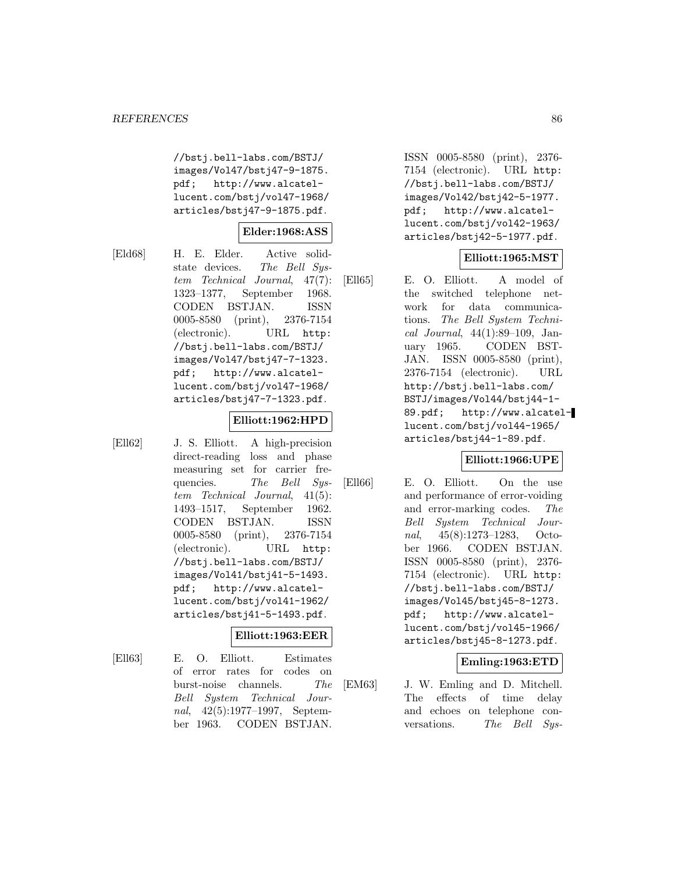//bstj.bell-labs.com/BSTJ/ images/Vol47/bstj47-9-1875. pdf; http://www.alcatellucent.com/bstj/vol47-1968/ articles/bstj47-9-1875.pdf.

### **Elder:1968:ASS**

[Eld68] H. E. Elder. Active solidstate devices. The Bell System Technical Journal, 47(7): 1323–1377, September 1968. CODEN BSTJAN. ISSN 0005-8580 (print), 2376-7154 (electronic). URL http: //bstj.bell-labs.com/BSTJ/ images/Vol47/bstj47-7-1323. pdf; http://www.alcatellucent.com/bstj/vol47-1968/ articles/bstj47-7-1323.pdf.

### **Elliott:1962:HPD**

[Ell62] J. S. Elliott. A high-precision direct-reading loss and phase measuring set for carrier frequencies. The Bell System Technical Journal, 41(5): 1493–1517, September 1962. CODEN BSTJAN. ISSN 0005-8580 (print), 2376-7154 (electronic). URL http: //bstj.bell-labs.com/BSTJ/ images/Vol41/bstj41-5-1493. pdf; http://www.alcatellucent.com/bstj/vol41-1962/ articles/bstj41-5-1493.pdf.

### **Elliott:1963:EER**

- 
- [Ell63] E. O. Elliott. Estimates of error rates for codes on burst-noise channels. The Bell System Technical Journal, 42(5):1977–1997, September 1963. CODEN BSTJAN.

ISSN 0005-8580 (print), 2376- 7154 (electronic). URL http: //bstj.bell-labs.com/BSTJ/ images/Vol42/bstj42-5-1977. pdf; http://www.alcatellucent.com/bstj/vol42-1963/ articles/bstj42-5-1977.pdf.

### **Elliott:1965:MST**

[Ell65] E. O. Elliott. A model of the switched telephone network for data communications. The Bell System Technical Journal, 44(1):89–109, January 1965. CODEN BST-JAN. ISSN 0005-8580 (print), 2376-7154 (electronic). URL http://bstj.bell-labs.com/ BSTJ/images/Vol44/bstj44-1- 89.pdf; http://www.alcatellucent.com/bstj/vol44-1965/ articles/bstj44-1-89.pdf.

### **Elliott:1966:UPE**

[Ell66] E. O. Elliott. On the use and performance of error-voiding and error-marking codes. The Bell System Technical Journal, 45(8):1273–1283, October 1966. CODEN BSTJAN. ISSN 0005-8580 (print), 2376- 7154 (electronic). URL http: //bstj.bell-labs.com/BSTJ/ images/Vol45/bstj45-8-1273. pdf; http://www.alcatellucent.com/bstj/vol45-1966/ articles/bstj45-8-1273.pdf.

### **Emling:1963:ETD**

[EM63] J. W. Emling and D. Mitchell. The effects of time delay and echoes on telephone conversations. The Bell Sys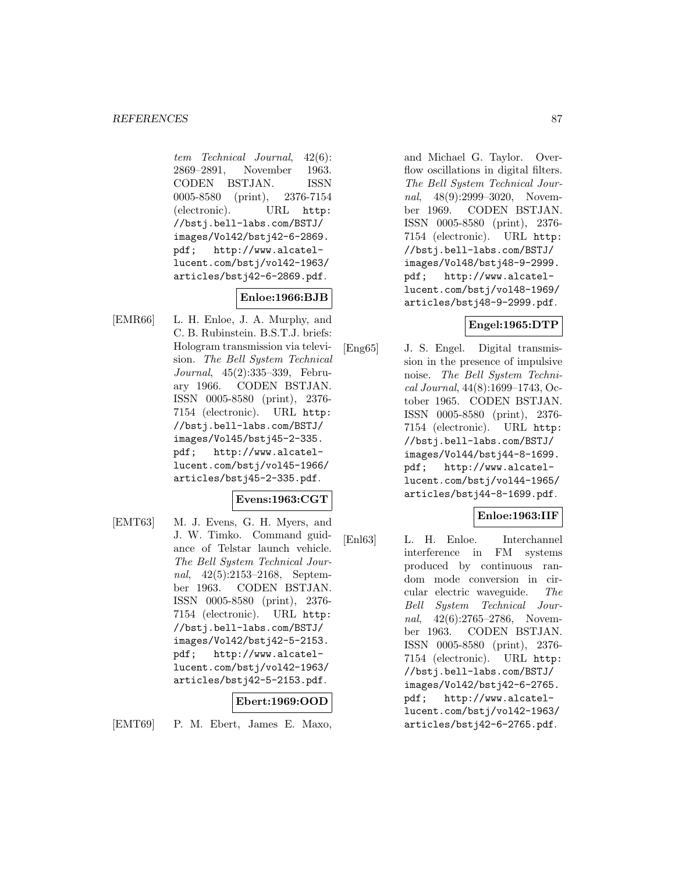tem Technical Journal, 42(6): 2869–2891, November 1963. CODEN BSTJAN. ISSN 0005-8580 (print), 2376-7154 (electronic). URL http: //bstj.bell-labs.com/BSTJ/ images/Vol42/bstj42-6-2869. pdf; http://www.alcatellucent.com/bstj/vol42-1963/ articles/bstj42-6-2869.pdf.

# **Enloe:1966:BJB**

[EMR66] L. H. Enloe, J. A. Murphy, and C. B. Rubinstein. B.S.T.J. briefs: Hologram transmission via television. The Bell System Technical Journal, 45(2):335–339, February 1966. CODEN BSTJAN. ISSN 0005-8580 (print), 2376- 7154 (electronic). URL http: //bstj.bell-labs.com/BSTJ/ images/Vol45/bstj45-2-335. pdf; http://www.alcatellucent.com/bstj/vol45-1966/ articles/bstj45-2-335.pdf.

### **Evens:1963:CGT**

[EMT63] M. J. Evens, G. H. Myers, and J. W. Timko. Command guidance of Telstar launch vehicle. The Bell System Technical Journal, 42(5):2153–2168, September 1963. CODEN BSTJAN. ISSN 0005-8580 (print), 2376- 7154 (electronic). URL http: //bstj.bell-labs.com/BSTJ/ images/Vol42/bstj42-5-2153. pdf; http://www.alcatellucent.com/bstj/vol42-1963/ articles/bstj42-5-2153.pdf.

# **Ebert:1969:OOD**

[EMT69] P. M. Ebert, James E. Maxo,

and Michael G. Taylor. Overflow oscillations in digital filters. The Bell System Technical Journal, 48(9):2999-3020, November 1969. CODEN BSTJAN. ISSN 0005-8580 (print), 2376- 7154 (electronic). URL http: //bstj.bell-labs.com/BSTJ/ images/Vol48/bstj48-9-2999. pdf; http://www.alcatellucent.com/bstj/vol48-1969/ articles/bstj48-9-2999.pdf.

### **Engel:1965:DTP**

[Eng65] J. S. Engel. Digital transmission in the presence of impulsive noise. The Bell System Technical Journal, 44(8):1699–1743, October 1965. CODEN BSTJAN. ISSN 0005-8580 (print), 2376- 7154 (electronic). URL http: //bstj.bell-labs.com/BSTJ/ images/Vol44/bstj44-8-1699. pdf; http://www.alcatellucent.com/bstj/vol44-1965/ articles/bstj44-8-1699.pdf.

## **Enloe:1963:IIF**

[Enl63] L. H. Enloe. Interchannel interference in FM systems produced by continuous random mode conversion in circular electric waveguide. The Bell System Technical Journal, 42(6):2765-2786, November 1963. CODEN BSTJAN. ISSN 0005-8580 (print), 2376- 7154 (electronic). URL http: //bstj.bell-labs.com/BSTJ/ images/Vol42/bstj42-6-2765. pdf; http://www.alcatellucent.com/bstj/vol42-1963/ articles/bstj42-6-2765.pdf.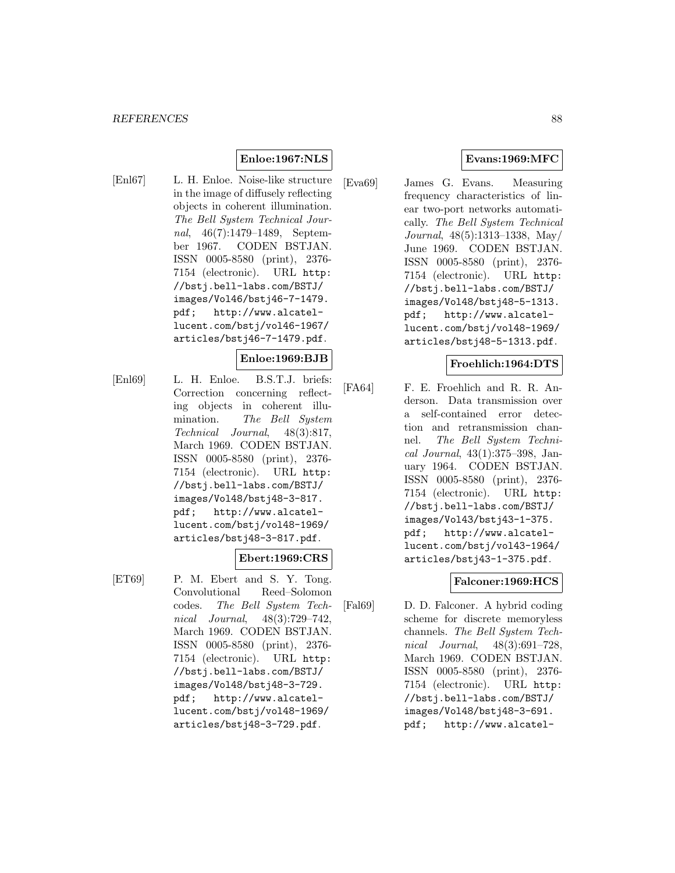### **Enloe:1967:NLS**

[Enl67] L. H. Enloe. Noise-like structure in the image of diffusely reflecting objects in coherent illumination. The Bell System Technical Journal, 46(7):1479–1489, September 1967. CODEN BSTJAN. ISSN 0005-8580 (print), 2376- 7154 (electronic). URL http: //bstj.bell-labs.com/BSTJ/ images/Vol46/bstj46-7-1479. pdf; http://www.alcatellucent.com/bstj/vol46-1967/ articles/bstj46-7-1479.pdf.

#### **Enloe:1969:BJB**

[Enl69] L. H. Enloe. B.S.T.J. briefs: Correction concerning reflecting objects in coherent illumination. The Bell System Technical Journal, 48(3):817, March 1969. CODEN BSTJAN. ISSN 0005-8580 (print), 2376- 7154 (electronic). URL http: //bstj.bell-labs.com/BSTJ/ images/Vol48/bstj48-3-817. pdf; http://www.alcatellucent.com/bstj/vol48-1969/ articles/bstj48-3-817.pdf.

### **Ebert:1969:CRS**

[ET69] P. M. Ebert and S. Y. Tong. Convolutional Reed–Solomon codes. The Bell System Technical Journal, 48(3):729–742, March 1969. CODEN BSTJAN. ISSN 0005-8580 (print), 2376- 7154 (electronic). URL http: //bstj.bell-labs.com/BSTJ/ images/Vol48/bstj48-3-729. pdf; http://www.alcatellucent.com/bstj/vol48-1969/ articles/bstj48-3-729.pdf.

## **Evans:1969:MFC**

[Eva69] James G. Evans. Measuring frequency characteristics of linear two-port networks automatically. The Bell System Technical Journal, 48(5):1313–1338, May/ June 1969. CODEN BSTJAN. ISSN 0005-8580 (print), 2376- 7154 (electronic). URL http: //bstj.bell-labs.com/BSTJ/ images/Vol48/bstj48-5-1313. pdf; http://www.alcatellucent.com/bstj/vol48-1969/ articles/bstj48-5-1313.pdf.

### **Froehlich:1964:DTS**

[FA64] F. E. Froehlich and R. R. Anderson. Data transmission over a self-contained error detection and retransmission channel. The Bell System Technical Journal, 43(1):375–398, January 1964. CODEN BSTJAN. ISSN 0005-8580 (print), 2376- 7154 (electronic). URL http: //bstj.bell-labs.com/BSTJ/ images/Vol43/bstj43-1-375. pdf; http://www.alcatellucent.com/bstj/vol43-1964/ articles/bstj43-1-375.pdf.

## **Falconer:1969:HCS**

[Fal69] D. D. Falconer. A hybrid coding scheme for discrete memoryless channels. The Bell System Technical Journal, 48(3):691–728, March 1969. CODEN BSTJAN. ISSN 0005-8580 (print), 2376- 7154 (electronic). URL http: //bstj.bell-labs.com/BSTJ/ images/Vol48/bstj48-3-691. pdf; http://www.alcatel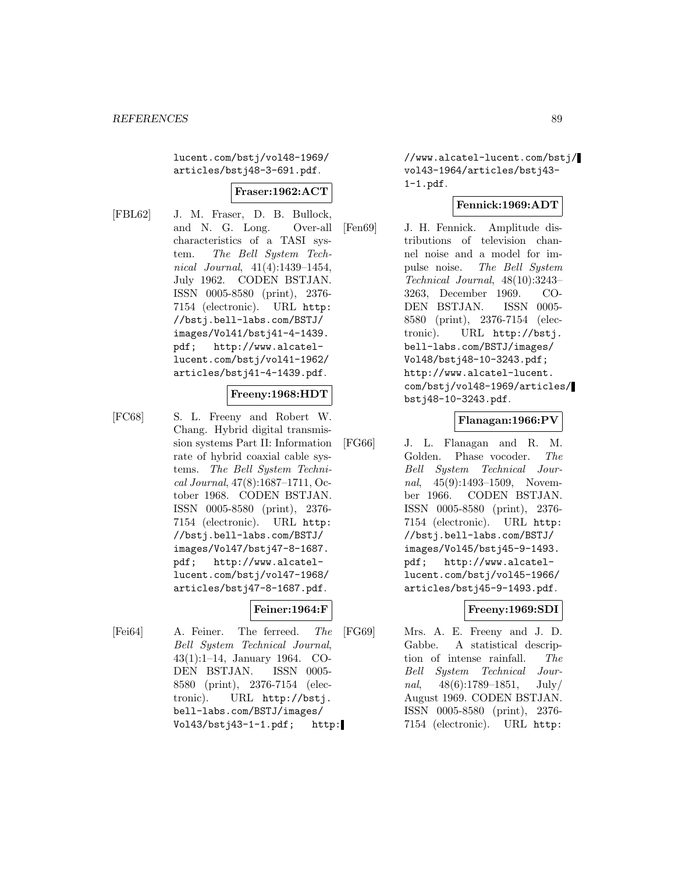lucent.com/bstj/vol48-1969/ articles/bstj48-3-691.pdf.

### **Fraser:1962:ACT**

[FBL62] J. M. Fraser, D. B. Bullock, and N. G. Long. Over-all characteristics of a TASI system. The Bell System Technical Journal, 41(4):1439–1454, July 1962. CODEN BSTJAN. ISSN 0005-8580 (print), 2376- 7154 (electronic). URL http: //bstj.bell-labs.com/BSTJ/ images/Vol41/bstj41-4-1439. pdf; http://www.alcatellucent.com/bstj/vol41-1962/ articles/bstj41-4-1439.pdf.

## **Freeny:1968:HDT**

[FC68] S. L. Freeny and Robert W. Chang. Hybrid digital transmission systems Part II: Information rate of hybrid coaxial cable systems. The Bell System Technical Journal, 47(8):1687–1711, October 1968. CODEN BSTJAN. ISSN 0005-8580 (print), 2376- 7154 (electronic). URL http: //bstj.bell-labs.com/BSTJ/ images/Vol47/bstj47-8-1687. pdf; http://www.alcatellucent.com/bstj/vol47-1968/ articles/bstj47-8-1687.pdf.

### **Feiner:1964:F**

[Fei64] A. Feiner. The ferreed. The Bell System Technical Journal, 43(1):1–14, January 1964. CO-DEN BSTJAN. ISSN 0005- 8580 (print), 2376-7154 (electronic). URL http://bstj. bell-labs.com/BSTJ/images/ Vol43/bstj43-1-1.pdf; http: //www.alcatel-lucent.com/bstj/ vol43-1964/articles/bstj43- 1-1.pdf.

### **Fennick:1969:ADT**

[Fen69] J. H. Fennick. Amplitude distributions of television channel noise and a model for impulse noise. The Bell System Technical Journal, 48(10):3243– 3263, December 1969. CO-DEN BSTJAN. ISSN 0005- 8580 (print), 2376-7154 (electronic). URL http://bstj. bell-labs.com/BSTJ/images/ Vol48/bstj48-10-3243.pdf; http://www.alcatel-lucent. com/bstj/vol48-1969/articles/ bstj48-10-3243.pdf.

### **Flanagan:1966:PV**

[FG66] J. L. Flanagan and R. M. Golden. Phase vocoder. The Bell System Technical Journal, 45(9):1493–1509, November 1966. CODEN BSTJAN. ISSN 0005-8580 (print), 2376- 7154 (electronic). URL http: //bstj.bell-labs.com/BSTJ/ images/Vol45/bstj45-9-1493. pdf; http://www.alcatellucent.com/bstj/vol45-1966/ articles/bstj45-9-1493.pdf.

### **Freeny:1969:SDI**

[FG69] Mrs. A. E. Freeny and J. D. Gabbe. A statistical description of intense rainfall. The Bell System Technical Journal,  $48(6):1789-1851$ , July/ August 1969. CODEN BSTJAN. ISSN 0005-8580 (print), 2376- 7154 (electronic). URL http: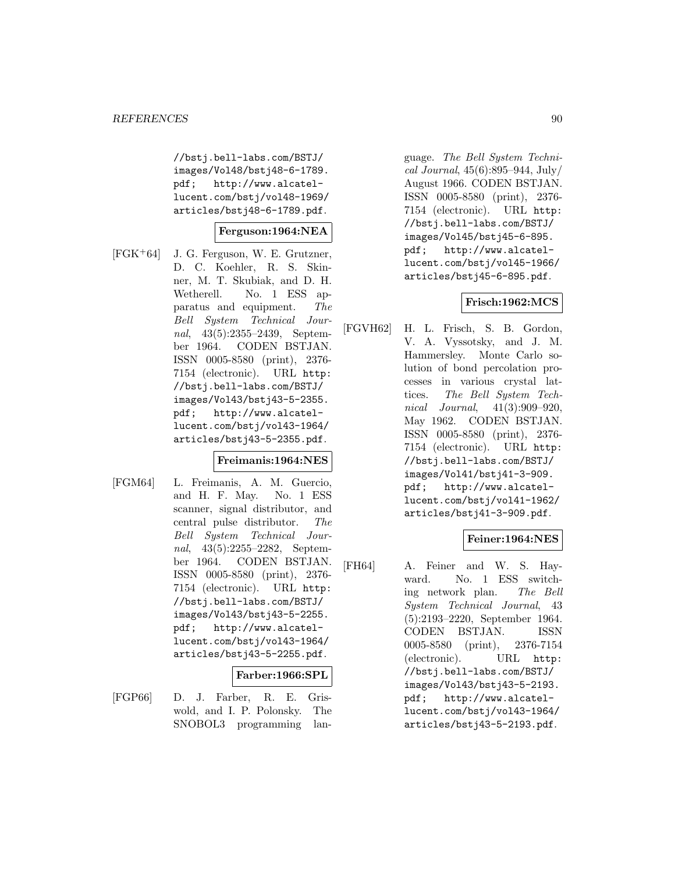//bstj.bell-labs.com/BSTJ/ images/Vol48/bstj48-6-1789. pdf; http://www.alcatellucent.com/bstj/vol48-1969/ articles/bstj48-6-1789.pdf.

### **Ferguson:1964:NEA**

[FGK<sup>+</sup>64] J. G. Ferguson, W. E. Grutzner, D. C. Koehler, R. S. Skinner, M. T. Skubiak, and D. H. Wetherell. No. 1 ESS apparatus and equipment. The Bell System Technical Journal, 43(5):2355-2439, September 1964. CODEN BSTJAN. ISSN 0005-8580 (print), 2376- 7154 (electronic). URL http: //bstj.bell-labs.com/BSTJ/ images/Vol43/bstj43-5-2355. pdf; http://www.alcatellucent.com/bstj/vol43-1964/ articles/bstj43-5-2355.pdf.

#### **Freimanis:1964:NES**

[FGM64] L. Freimanis, A. M. Guercio, and H. F. May. No. 1 ESS scanner, signal distributor, and central pulse distributor. The Bell System Technical Journal, 43(5):2255–2282, September 1964. CODEN BSTJAN. ISSN 0005-8580 (print), 2376- 7154 (electronic). URL http: //bstj.bell-labs.com/BSTJ/ images/Vol43/bstj43-5-2255. pdf; http://www.alcatellucent.com/bstj/vol43-1964/ articles/bstj43-5-2255.pdf.

#### **Farber:1966:SPL**

[FGP66] D. J. Farber, R. E. Griswold, and I. P. Polonsky. The SNOBOL3 programming lan-

guage. The Bell System Technical Journal, 45(6):895–944, July/ August 1966. CODEN BSTJAN. ISSN 0005-8580 (print), 2376- 7154 (electronic). URL http: //bstj.bell-labs.com/BSTJ/ images/Vol45/bstj45-6-895. pdf; http://www.alcatellucent.com/bstj/vol45-1966/ articles/bstj45-6-895.pdf.

### **Frisch:1962:MCS**

[FGVH62] H. L. Frisch, S. B. Gordon, V. A. Vyssotsky, and J. M. Hammersley. Monte Carlo solution of bond percolation processes in various crystal lattices. The Bell System Technical Journal, 41(3):909–920, May 1962. CODEN BSTJAN. ISSN 0005-8580 (print), 2376- 7154 (electronic). URL http: //bstj.bell-labs.com/BSTJ/ images/Vol41/bstj41-3-909. pdf; http://www.alcatellucent.com/bstj/vol41-1962/ articles/bstj41-3-909.pdf.

## **Feiner:1964:NES**

[FH64] A. Feiner and W. S. Hayward. No. 1 ESS switching network plan. The Bell System Technical Journal, 43 (5):2193–2220, September 1964. CODEN BSTJAN. ISSN 0005-8580 (print), 2376-7154 (electronic). URL http: //bstj.bell-labs.com/BSTJ/ images/Vol43/bstj43-5-2193. pdf; http://www.alcatellucent.com/bstj/vol43-1964/ articles/bstj43-5-2193.pdf.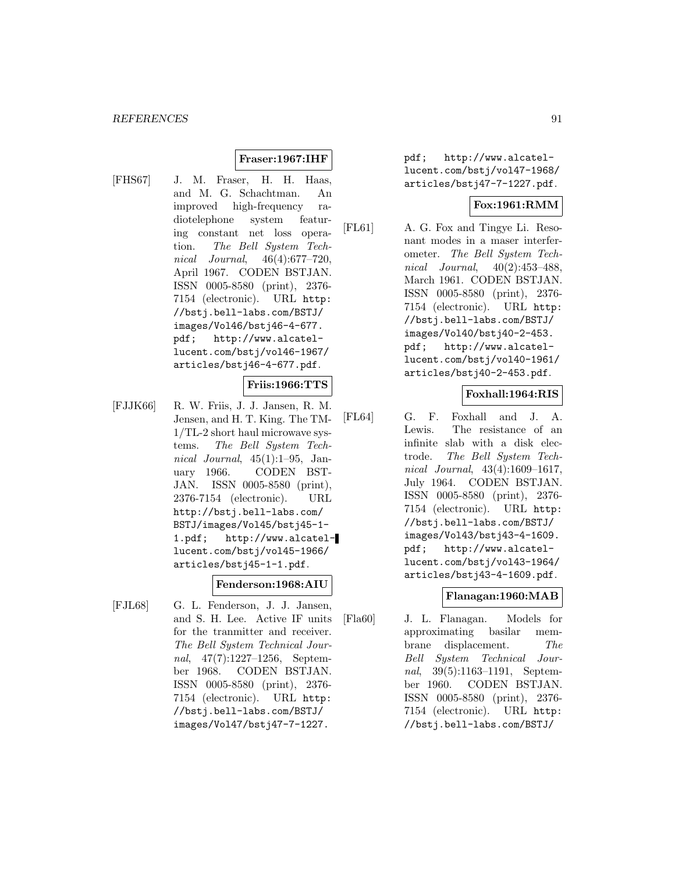### **Fraser:1967:IHF**

[FHS67] J. M. Fraser, H. H. Haas, and M. G. Schachtman. An improved high-frequency radiotelephone system featuring constant net loss operation. The Bell System Technical Journal, 46(4):677–720, April 1967. CODEN BSTJAN. ISSN 0005-8580 (print), 2376- 7154 (electronic). URL http: //bstj.bell-labs.com/BSTJ/ images/Vol46/bstj46-4-677. pdf; http://www.alcatellucent.com/bstj/vol46-1967/ articles/bstj46-4-677.pdf.

### **Friis:1966:TTS**

[FJJK66] R. W. Friis, J. J. Jansen, R. M. Jensen, and H. T. King. The TM-1/TL-2 short haul microwave systems. The Bell System Technical Journal,  $45(1):1-95$ , January 1966. CODEN BST-JAN. ISSN 0005-8580 (print), 2376-7154 (electronic). URL http://bstj.bell-labs.com/ BSTJ/images/Vol45/bstj45-1- 1.pdf; http://www.alcatellucent.com/bstj/vol45-1966/ articles/bstj45-1-1.pdf.

#### **Fenderson:1968:AIU**

[FJL68] G. L. Fenderson, J. J. Jansen, and S. H. Lee. Active IF units for the tranmitter and receiver. The Bell System Technical Journal, 47(7):1227–1256, September 1968. CODEN BSTJAN. ISSN 0005-8580 (print), 2376- 7154 (electronic). URL http: //bstj.bell-labs.com/BSTJ/ images/Vol47/bstj47-7-1227.

pdf; http://www.alcatellucent.com/bstj/vol47-1968/ articles/bstj47-7-1227.pdf.

#### **Fox:1961:RMM**

[FL61] A. G. Fox and Tingye Li. Resonant modes in a maser interferometer. The Bell System Technical Journal, 40(2):453–488, March 1961. CODEN BSTJAN. ISSN 0005-8580 (print), 2376- 7154 (electronic). URL http: //bstj.bell-labs.com/BSTJ/ images/Vol40/bstj40-2-453. pdf; http://www.alcatellucent.com/bstj/vol40-1961/ articles/bstj40-2-453.pdf.

#### **Foxhall:1964:RIS**

[FL64] G. F. Foxhall and J. A. Lewis. The resistance of an infinite slab with a disk electrode. The Bell System Technical Journal, 43(4):1609–1617, July 1964. CODEN BSTJAN. ISSN 0005-8580 (print), 2376- 7154 (electronic). URL http: //bstj.bell-labs.com/BSTJ/ images/Vol43/bstj43-4-1609. pdf; http://www.alcatellucent.com/bstj/vol43-1964/ articles/bstj43-4-1609.pdf.

#### **Flanagan:1960:MAB**

[Fla60] J. L. Flanagan. Models for approximating basilar membrane displacement. The Bell System Technical Journal, 39(5):1163–1191, September 1960. CODEN BSTJAN. ISSN 0005-8580 (print), 2376- 7154 (electronic). URL http: //bstj.bell-labs.com/BSTJ/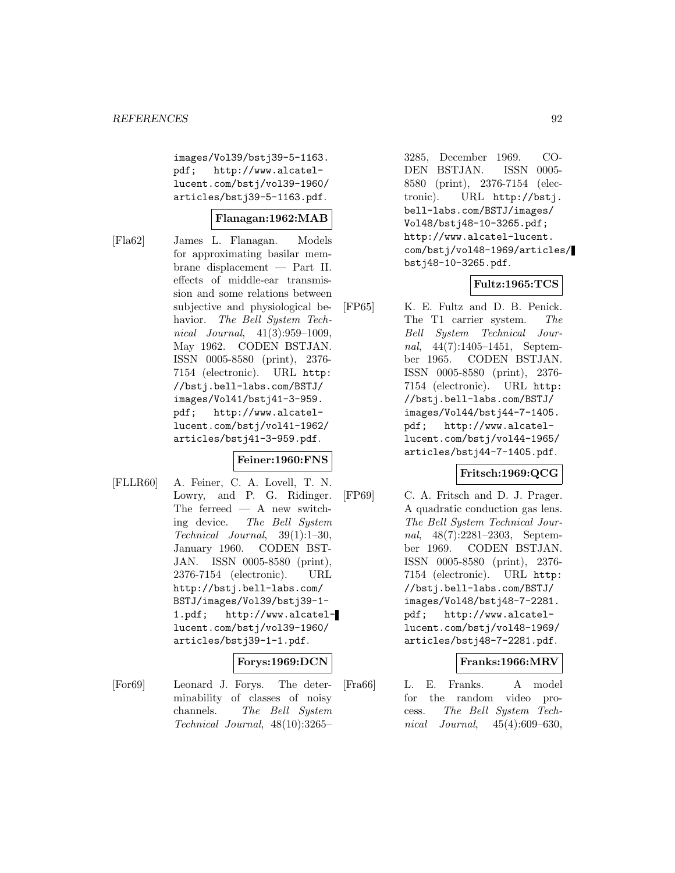images/Vol39/bstj39-5-1163. pdf; http://www.alcatellucent.com/bstj/vol39-1960/ articles/bstj39-5-1163.pdf.

### **Flanagan:1962:MAB**

[Fla62] James L. Flanagan. Models for approximating basilar membrane displacement — Part II. effects of middle-ear transmission and some relations between subjective and physiological behavior. The Bell System Technical Journal, 41(3):959–1009, May 1962. CODEN BSTJAN. ISSN 0005-8580 (print), 2376- 7154 (electronic). URL http: //bstj.bell-labs.com/BSTJ/ images/Vol41/bstj41-3-959. pdf; http://www.alcatellucent.com/bstj/vol41-1962/ articles/bstj41-3-959.pdf.

### **Feiner:1960:FNS**

[FLLR60] A. Feiner, C. A. Lovell, T. N. Lowry, and P. G. Ridinger. The ferreed — A new switching device. The Bell System Technical Journal, 39(1):1–30, January 1960. CODEN BST-JAN. ISSN 0005-8580 (print), 2376-7154 (electronic). URL http://bstj.bell-labs.com/ BSTJ/images/Vol39/bstj39-1- 1.pdf; http://www.alcatellucent.com/bstj/vol39-1960/ articles/bstj39-1-1.pdf.

### **Forys:1969:DCN**

[For69] Leonard J. Forys. The determinability of classes of noisy channels. The Bell System Technical Journal, 48(10):3265–

3285, December 1969. CO-DEN BSTJAN. ISSN 0005- 8580 (print), 2376-7154 (electronic). URL http://bstj. bell-labs.com/BSTJ/images/ Vol48/bstj48-10-3265.pdf; http://www.alcatel-lucent. com/bstj/vol48-1969/articles/ bstj48-10-3265.pdf.

### **Fultz:1965:TCS**

[FP65] K. E. Fultz and D. B. Penick. The T1 carrier system. The Bell System Technical Journal, 44(7):1405–1451, September 1965. CODEN BSTJAN. ISSN 0005-8580 (print), 2376- 7154 (electronic). URL http: //bstj.bell-labs.com/BSTJ/ images/Vol44/bstj44-7-1405. pdf; http://www.alcatellucent.com/bstj/vol44-1965/ articles/bstj44-7-1405.pdf.

## **Fritsch:1969:QCG**

[FP69] C. A. Fritsch and D. J. Prager. A quadratic conduction gas lens. The Bell System Technical Journal, 48(7):2281–2303, September 1969. CODEN BSTJAN. ISSN 0005-8580 (print), 2376- 7154 (electronic). URL http: //bstj.bell-labs.com/BSTJ/ images/Vol48/bstj48-7-2281. pdf; http://www.alcatellucent.com/bstj/vol48-1969/ articles/bstj48-7-2281.pdf.

### **Franks:1966:MRV**

[Fra66] L. E. Franks. A model for the random video process. The Bell System Technical Journal, 45(4):609–630,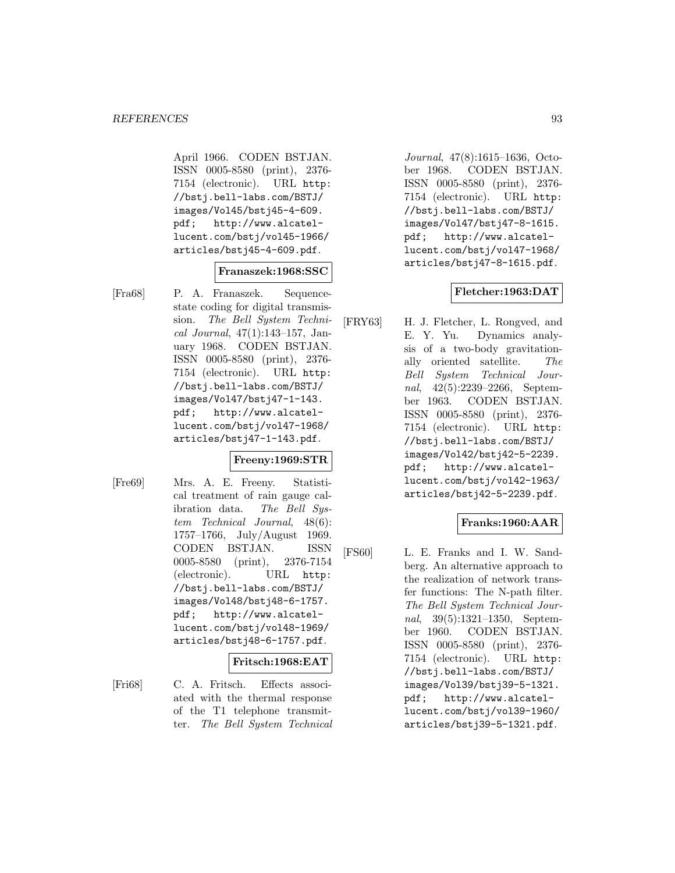April 1966. CODEN BSTJAN. ISSN 0005-8580 (print), 2376- 7154 (electronic). URL http: //bstj.bell-labs.com/BSTJ/ images/Vol45/bstj45-4-609. pdf; http://www.alcatellucent.com/bstj/vol45-1966/ articles/bstj45-4-609.pdf.

#### **Franaszek:1968:SSC**

[Fra68] P. A. Franaszek. Sequencestate coding for digital transmission. The Bell System Technical Journal, 47(1):143–157, January 1968. CODEN BSTJAN. ISSN 0005-8580 (print), 2376- 7154 (electronic). URL http: //bstj.bell-labs.com/BSTJ/ images/Vol47/bstj47-1-143. pdf; http://www.alcatellucent.com/bstj/vol47-1968/ articles/bstj47-1-143.pdf.

### **Freeny:1969:STR**

[Fre69] Mrs. A. E. Freeny. Statistical treatment of rain gauge calibration data. The Bell System Technical Journal, 48(6): 1757–1766, July/August 1969. CODEN BSTJAN. ISSN 0005-8580 (print), 2376-7154 (electronic). URL http: //bstj.bell-labs.com/BSTJ/ images/Vol48/bstj48-6-1757. pdf; http://www.alcatellucent.com/bstj/vol48-1969/ articles/bstj48-6-1757.pdf.

#### **Fritsch:1968:EAT**

[Fri68] C. A. Fritsch. Effects associated with the thermal response of the T1 telephone transmitter. The Bell System Technical

Journal, 47(8):1615–1636, October 1968. CODEN BSTJAN. ISSN 0005-8580 (print), 2376- 7154 (electronic). URL http: //bstj.bell-labs.com/BSTJ/ images/Vol47/bstj47-8-1615. pdf; http://www.alcatellucent.com/bstj/vol47-1968/ articles/bstj47-8-1615.pdf.

### **Fletcher:1963:DAT**

[FRY63] H. J. Fletcher, L. Rongved, and E. Y. Yu. Dynamics analysis of a two-body gravitationally oriented satellite. The Bell System Technical Journal, 42(5):2239–2266, September 1963. CODEN BSTJAN. ISSN 0005-8580 (print), 2376- 7154 (electronic). URL http: //bstj.bell-labs.com/BSTJ/ images/Vol42/bstj42-5-2239. pdf; http://www.alcatellucent.com/bstj/vol42-1963/ articles/bstj42-5-2239.pdf.

## **Franks:1960:AAR**

[FS60] L. E. Franks and I. W. Sandberg. An alternative approach to the realization of network transfer functions: The N-path filter. The Bell System Technical Journal, 39(5):1321–1350, September 1960. CODEN BSTJAN. ISSN 0005-8580 (print), 2376- 7154 (electronic). URL http: //bstj.bell-labs.com/BSTJ/ images/Vol39/bstj39-5-1321. pdf; http://www.alcatellucent.com/bstj/vol39-1960/ articles/bstj39-5-1321.pdf.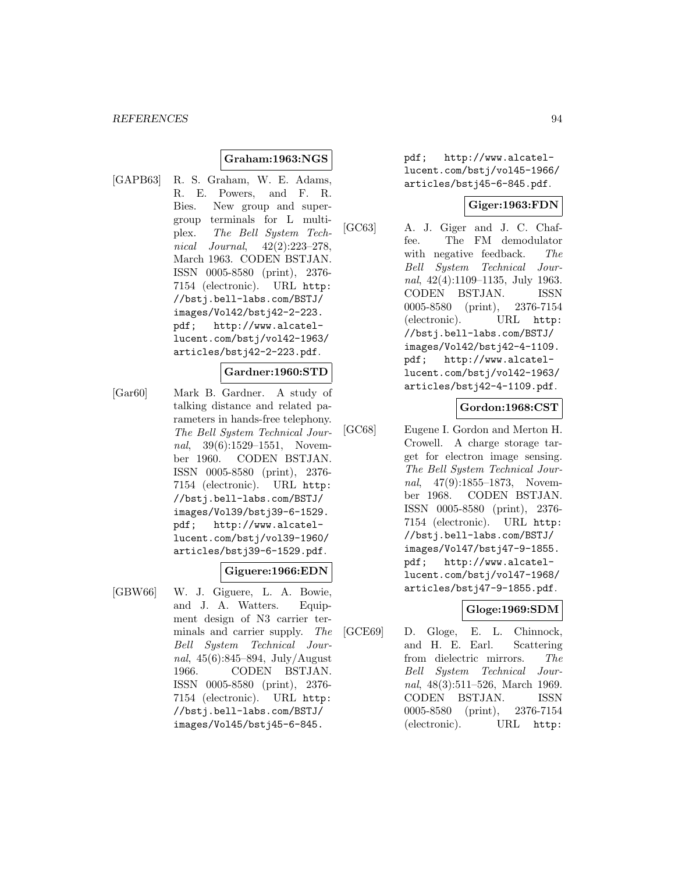### **Graham:1963:NGS**

[GAPB63] R. S. Graham, W. E. Adams, R. E. Powers, and F. R. Bies. New group and supergroup terminals for L multiplex. The Bell System Technical Journal, 42(2):223–278, March 1963. CODEN BSTJAN. ISSN 0005-8580 (print), 2376- 7154 (electronic). URL http: //bstj.bell-labs.com/BSTJ/ images/Vol42/bstj42-2-223. pdf; http://www.alcatellucent.com/bstj/vol42-1963/ articles/bstj42-2-223.pdf.

#### **Gardner:1960:STD**

[Gar60] Mark B. Gardner. A study of talking distance and related parameters in hands-free telephony. The Bell System Technical Journal, 39(6):1529–1551, November 1960. CODEN BSTJAN. ISSN 0005-8580 (print), 2376- 7154 (electronic). URL http: //bstj.bell-labs.com/BSTJ/ images/Vol39/bstj39-6-1529. pdf; http://www.alcatellucent.com/bstj/vol39-1960/ articles/bstj39-6-1529.pdf.

#### **Giguere:1966:EDN**

[GBW66] W. J. Giguere, L. A. Bowie, and J. A. Watters. Equipment design of N3 carrier terminals and carrier supply. The Bell System Technical Journal, 45(6):845–894, July/August 1966. CODEN BSTJAN. ISSN 0005-8580 (print), 2376- 7154 (electronic). URL http: //bstj.bell-labs.com/BSTJ/ images/Vol45/bstj45-6-845.

pdf; http://www.alcatellucent.com/bstj/vol45-1966/ articles/bstj45-6-845.pdf.

### **Giger:1963:FDN**

[GC63] A. J. Giger and J. C. Chaffee. The FM demodulator with negative feedback. The Bell System Technical Journal, 42(4):1109–1135, July 1963. CODEN BSTJAN. ISSN 0005-8580 (print), 2376-7154 (electronic). URL http: //bstj.bell-labs.com/BSTJ/ images/Vol42/bstj42-4-1109. pdf; http://www.alcatellucent.com/bstj/vol42-1963/ articles/bstj42-4-1109.pdf.

### **Gordon:1968:CST**

[GC68] Eugene I. Gordon and Merton H. Crowell. A charge storage target for electron image sensing. The Bell System Technical Journal, 47(9):1855–1873, November 1968. CODEN BSTJAN. ISSN 0005-8580 (print), 2376- 7154 (electronic). URL http: //bstj.bell-labs.com/BSTJ/ images/Vol47/bstj47-9-1855. pdf; http://www.alcatellucent.com/bstj/vol47-1968/ articles/bstj47-9-1855.pdf.

### **Gloge:1969:SDM**

[GCE69] D. Gloge, E. L. Chinnock, and H. E. Earl. Scattering from dielectric mirrors. The Bell System Technical Journal, 48(3):511–526, March 1969. CODEN BSTJAN. ISSN 0005-8580 (print), 2376-7154 (electronic). URL http: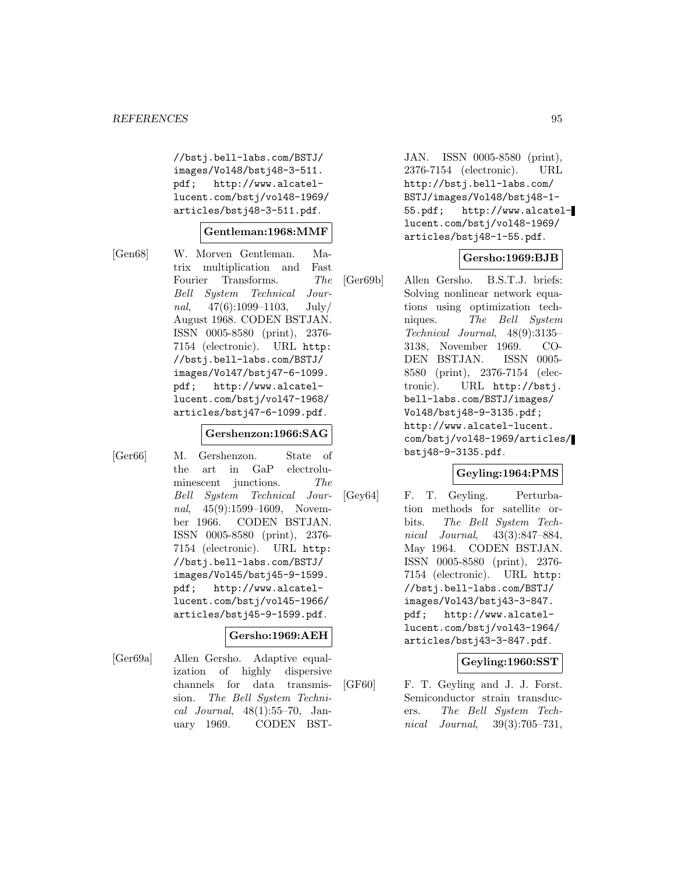//bstj.bell-labs.com/BSTJ/ images/Vol48/bstj48-3-511. pdf; http://www.alcatellucent.com/bstj/vol48-1969/ articles/bstj48-3-511.pdf.

#### **Gentleman:1968:MMF**

[Gen68] W. Morven Gentleman. Matrix multiplication and Fast Fourier Transforms. The Bell System Technical Journal,  $47(6):1099-1103$ , July/ August 1968. CODEN BSTJAN. ISSN 0005-8580 (print), 2376- 7154 (electronic). URL http: //bstj.bell-labs.com/BSTJ/ images/Vol47/bstj47-6-1099. pdf; http://www.alcatellucent.com/bstj/vol47-1968/ articles/bstj47-6-1099.pdf.

# **Gershenzon:1966:SAG**

[Ger66] M. Gershenzon. State of the art in GaP electroluminescent junctions. The Bell System Technical Journal, 45(9):1599–1609, November 1966. CODEN BSTJAN. ISSN 0005-8580 (print), 2376- 7154 (electronic). URL http: //bstj.bell-labs.com/BSTJ/ images/Vol45/bstj45-9-1599. pdf; http://www.alcatellucent.com/bstj/vol45-1966/ articles/bstj45-9-1599.pdf.

## **Gersho:1969:AEH**

[Ger69a] Allen Gersho. Adaptive equalization of highly dispersive channels for data transmission. The Bell System Technical Journal, 48(1):55–70, January 1969. CODEN BST-

JAN. ISSN 0005-8580 (print), 2376-7154 (electronic). URL http://bstj.bell-labs.com/ BSTJ/images/Vol48/bstj48-1- 55.pdf; http://www.alcatellucent.com/bstj/vol48-1969/ articles/bstj48-1-55.pdf.

### **Gersho:1969:BJB**

[Ger69b] Allen Gersho. B.S.T.J. briefs: Solving nonlinear network equations using optimization techniques. The Bell System Technical Journal, 48(9):3135– 3138, November 1969. CO-DEN BSTJAN. ISSN 0005- 8580 (print), 2376-7154 (electronic). URL http://bstj. bell-labs.com/BSTJ/images/ Vol48/bstj48-9-3135.pdf; http://www.alcatel-lucent. com/bstj/vol48-1969/articles/ bstj48-9-3135.pdf.

## **Geyling:1964:PMS**

[Gey64] F. T. Geyling. Perturbation methods for satellite orbits. The Bell System Technical Journal, 43(3):847–884, May 1964. CODEN BSTJAN. ISSN 0005-8580 (print), 2376- 7154 (electronic). URL http: //bstj.bell-labs.com/BSTJ/ images/Vol43/bstj43-3-847. pdf; http://www.alcatellucent.com/bstj/vol43-1964/ articles/bstj43-3-847.pdf.

## **Geyling:1960:SST**

[GF60] F. T. Geyling and J. J. Forst. Semiconductor strain transducers. The Bell System Technical Journal, 39(3):705–731,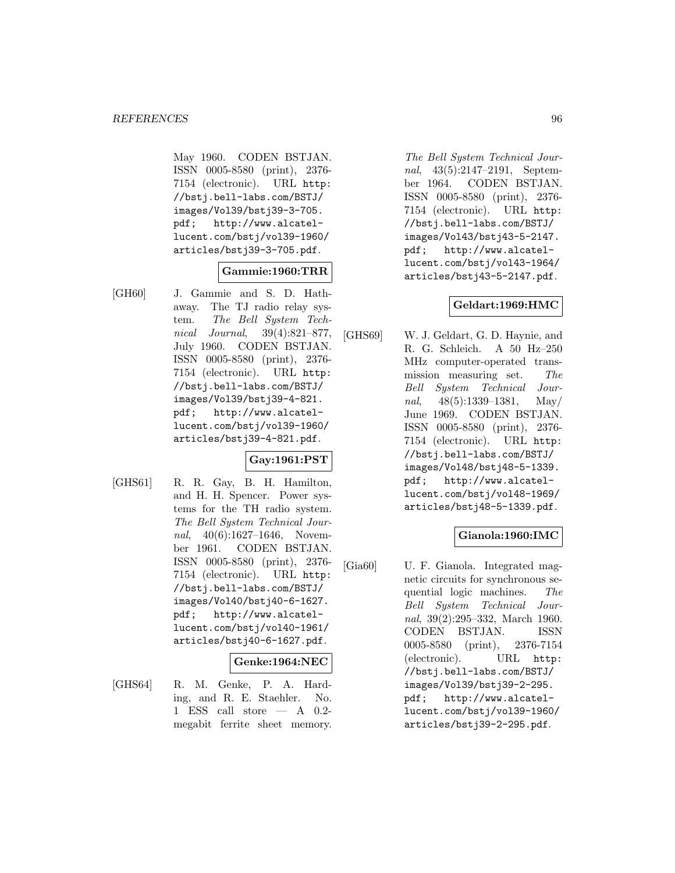May 1960. CODEN BSTJAN. ISSN 0005-8580 (print), 2376- 7154 (electronic). URL http: //bstj.bell-labs.com/BSTJ/ images/Vol39/bstj39-3-705. pdf; http://www.alcatellucent.com/bstj/vol39-1960/ articles/bstj39-3-705.pdf.

### **Gammie:1960:TRR**

[GH60] J. Gammie and S. D. Hathaway. The TJ radio relay system. The Bell System Technical Journal, 39(4):821–877, July 1960. CODEN BSTJAN. ISSN 0005-8580 (print), 2376- 7154 (electronic). URL http: //bstj.bell-labs.com/BSTJ/ images/Vol39/bstj39-4-821. pdf; http://www.alcatellucent.com/bstj/vol39-1960/ articles/bstj39-4-821.pdf.

## **Gay:1961:PST**

[GHS61] R. R. Gay, B. H. Hamilton, and H. H. Spencer. Power systems for the TH radio system. The Bell System Technical Journal, 40(6):1627-1646, November 1961. CODEN BSTJAN. ISSN 0005-8580 (print), 2376- 7154 (electronic). URL http: //bstj.bell-labs.com/BSTJ/ images/Vol40/bstj40-6-1627. pdf; http://www.alcatellucent.com/bstj/vol40-1961/ articles/bstj40-6-1627.pdf.

#### **Genke:1964:NEC**

[GHS64] R. M. Genke, P. A. Harding, and R. E. Staehler. No. 1 ESS call store — A 0.2 megabit ferrite sheet memory.

The Bell System Technical Journal, 43(5):2147–2191, September 1964. CODEN BSTJAN. ISSN 0005-8580 (print), 2376- 7154 (electronic). URL http: //bstj.bell-labs.com/BSTJ/ images/Vol43/bstj43-5-2147. pdf; http://www.alcatellucent.com/bstj/vol43-1964/ articles/bstj43-5-2147.pdf.

### **Geldart:1969:HMC**

[GHS69] W. J. Geldart, G. D. Haynie, and R. G. Schleich. A 50 Hz–250 MHz computer-operated transmission measuring set. The Bell System Technical Journal,  $48(5):1339-1381$ , May/ June 1969. CODEN BSTJAN. ISSN 0005-8580 (print), 2376- 7154 (electronic). URL http: //bstj.bell-labs.com/BSTJ/ images/Vol48/bstj48-5-1339. pdf; http://www.alcatellucent.com/bstj/vol48-1969/ articles/bstj48-5-1339.pdf.

### **Gianola:1960:IMC**

[Gia60] U. F. Gianola. Integrated magnetic circuits for synchronous sequential logic machines. The Bell System Technical Journal, 39(2):295–332, March 1960. CODEN BSTJAN. ISSN 0005-8580 (print), 2376-7154 (electronic). URL http: //bstj.bell-labs.com/BSTJ/ images/Vol39/bstj39-2-295. pdf; http://www.alcatellucent.com/bstj/vol39-1960/ articles/bstj39-2-295.pdf.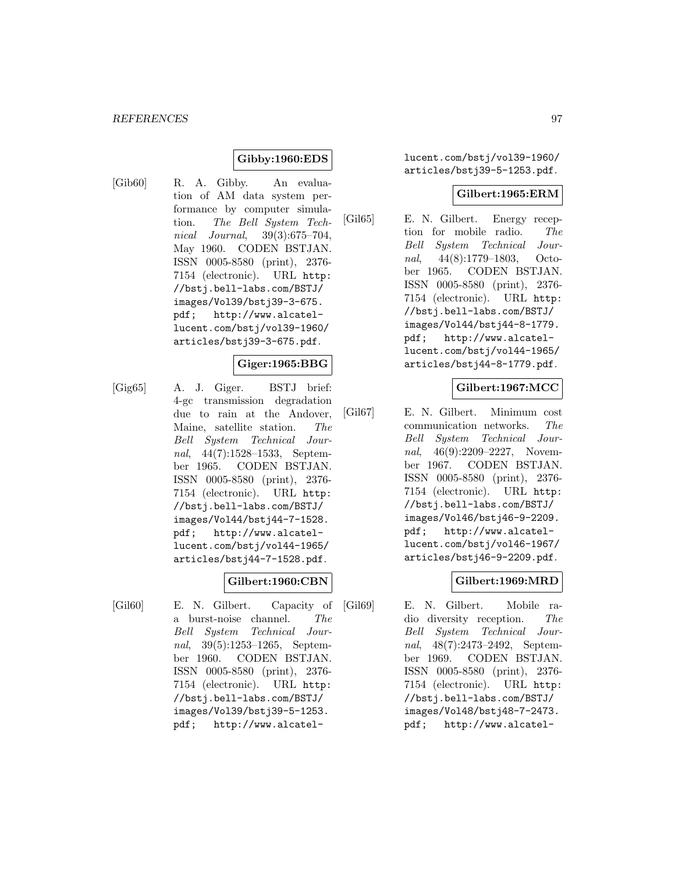## **Gibby:1960:EDS**

[Gib60] R. A. Gibby. An evaluation of AM data system performance by computer simulation. The Bell System Technical Journal, 39(3):675–704, May 1960. CODEN BSTJAN. ISSN 0005-8580 (print), 2376- 7154 (electronic). URL http: //bstj.bell-labs.com/BSTJ/ images/Vol39/bstj39-3-675. pdf; http://www.alcatellucent.com/bstj/vol39-1960/ articles/bstj39-3-675.pdf.

### **Giger:1965:BBG**

[Gig65] A. J. Giger. BSTJ brief: 4-gc transmission degradation due to rain at the Andover, Maine, satellite station. The Bell System Technical Journal, 44(7):1528–1533, September 1965. CODEN BSTJAN. ISSN 0005-8580 (print), 2376- 7154 (electronic). URL http: //bstj.bell-labs.com/BSTJ/ images/Vol44/bstj44-7-1528. pdf; http://www.alcatellucent.com/bstj/vol44-1965/ articles/bstj44-7-1528.pdf.

### **Gilbert:1960:CBN**

[Gil60] E. N. Gilbert. Capacity of a burst-noise channel. The Bell System Technical Journal, 39(5):1253–1265, September 1960. CODEN BSTJAN. ISSN 0005-8580 (print), 2376- 7154 (electronic). URL http: //bstj.bell-labs.com/BSTJ/ images/Vol39/bstj39-5-1253. pdf; http://www.alcatellucent.com/bstj/vol39-1960/ articles/bstj39-5-1253.pdf.

### **Gilbert:1965:ERM**

[Gil65] E. N. Gilbert. Energy reception for mobile radio. The Bell System Technical Journal, 44(8):1779–1803, October 1965. CODEN BSTJAN. ISSN 0005-8580 (print), 2376- 7154 (electronic). URL http: //bstj.bell-labs.com/BSTJ/ images/Vol44/bstj44-8-1779. pdf; http://www.alcatellucent.com/bstj/vol44-1965/ articles/bstj44-8-1779.pdf.

### **Gilbert:1967:MCC**

[Gil67] E. N. Gilbert. Minimum cost communication networks. The Bell System Technical Journal, 46(9):2209–2227, November 1967. CODEN BSTJAN. ISSN 0005-8580 (print), 2376- 7154 (electronic). URL http: //bstj.bell-labs.com/BSTJ/ images/Vol46/bstj46-9-2209. pdf; http://www.alcatellucent.com/bstj/vol46-1967/ articles/bstj46-9-2209.pdf.

## **Gilbert:1969:MRD**

[Gil69] E. N. Gilbert. Mobile radio diversity reception. The Bell System Technical Journal, 48(7):2473–2492, September 1969. CODEN BSTJAN. ISSN 0005-8580 (print), 2376- 7154 (electronic). URL http: //bstj.bell-labs.com/BSTJ/ images/Vol48/bstj48-7-2473. pdf; http://www.alcatel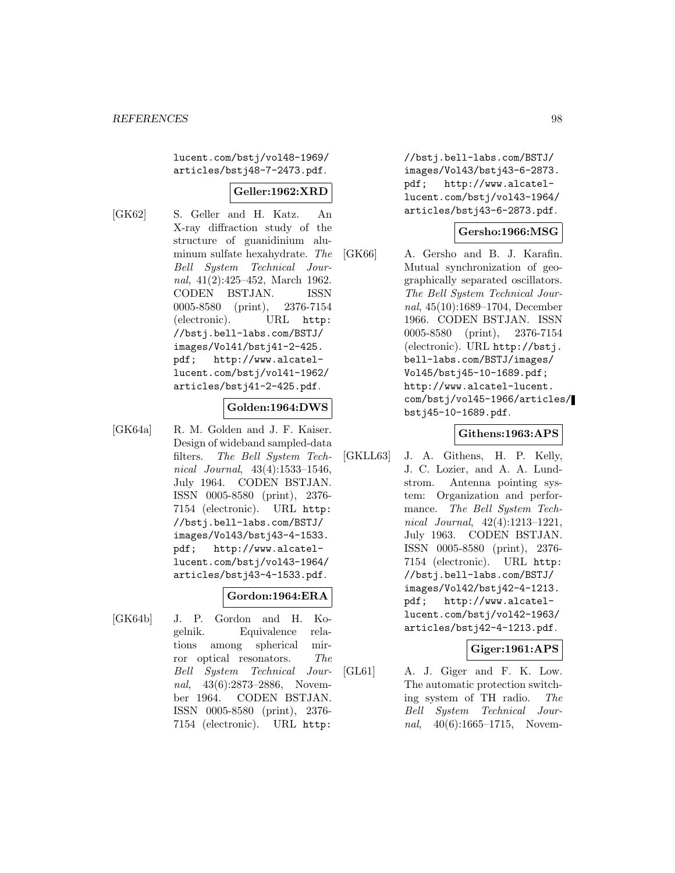lucent.com/bstj/vol48-1969/ articles/bstj48-7-2473.pdf.

## **Geller:1962:XRD**

[GK62] S. Geller and H. Katz. An X-ray diffraction study of the structure of guanidinium aluminum sulfate hexahydrate. The Bell System Technical Journal, 41(2):425–452, March 1962. CODEN BSTJAN. ISSN 0005-8580 (print), 2376-7154 (electronic). URL http: //bstj.bell-labs.com/BSTJ/ images/Vol41/bstj41-2-425. pdf; http://www.alcatellucent.com/bstj/vol41-1962/ articles/bstj41-2-425.pdf.

### **Golden:1964:DWS**

[GK64a] R. M. Golden and J. F. Kaiser. Design of wideband sampled-data filters. The Bell System Technical Journal, 43(4):1533–1546, July 1964. CODEN BSTJAN. ISSN 0005-8580 (print), 2376- 7154 (electronic). URL http: //bstj.bell-labs.com/BSTJ/ images/Vol43/bstj43-4-1533. pdf; http://www.alcatellucent.com/bstj/vol43-1964/ articles/bstj43-4-1533.pdf.

### **Gordon:1964:ERA**

[GK64b] J. P. Gordon and H. Kogelnik. Equivalence relations among spherical mirror optical resonators. The Bell System Technical Journal, 43(6):2873–2886, November 1964. CODEN BSTJAN. ISSN 0005-8580 (print), 2376- 7154 (electronic). URL http:

//bstj.bell-labs.com/BSTJ/ images/Vol43/bstj43-6-2873. pdf; http://www.alcatellucent.com/bstj/vol43-1964/ articles/bstj43-6-2873.pdf.

## **Gersho:1966:MSG**

[GK66] A. Gersho and B. J. Karafin. Mutual synchronization of geographically separated oscillators. The Bell System Technical Journal, 45(10):1689–1704, December 1966. CODEN BSTJAN. ISSN 0005-8580 (print), 2376-7154 (electronic). URL http://bstj. bell-labs.com/BSTJ/images/ Vol45/bstj45-10-1689.pdf; http://www.alcatel-lucent. com/bstj/vol45-1966/articles/ bstj45-10-1689.pdf.

## **Githens:1963:APS**

[GKLL63] J. A. Githens, H. P. Kelly, J. C. Lozier, and A. A. Lundstrom. Antenna pointing system: Organization and performance. The Bell System Technical Journal, 42(4):1213–1221, July 1963. CODEN BSTJAN. ISSN 0005-8580 (print), 2376- 7154 (electronic). URL http: //bstj.bell-labs.com/BSTJ/ images/Vol42/bstj42-4-1213. pdf; http://www.alcatellucent.com/bstj/vol42-1963/ articles/bstj42-4-1213.pdf.

### **Giger:1961:APS**

[GL61] A. J. Giger and F. K. Low. The automatic protection switching system of TH radio. The Bell System Technical Journal, 40(6):1665–1715, Novem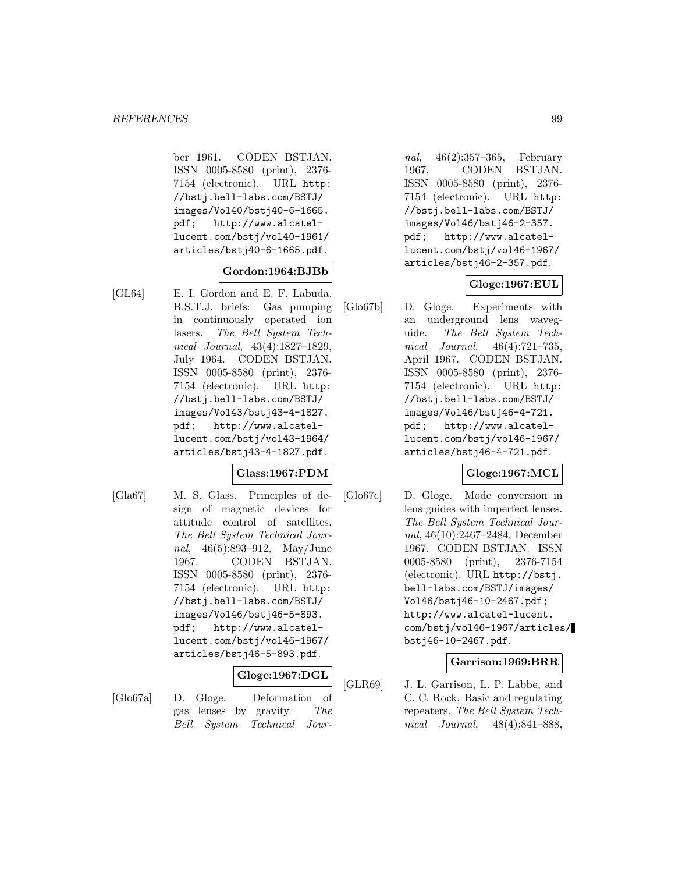ber 1961. CODEN BSTJAN. ISSN 0005-8580 (print), 2376- 7154 (electronic). URL http: //bstj.bell-labs.com/BSTJ/ images/Vol40/bstj40-6-1665. pdf; http://www.alcatellucent.com/bstj/vol40-1961/ articles/bstj40-6-1665.pdf.

### **Gordon:1964:BJBb**

[GL64] E. I. Gordon and E. F. Labuda. B.S.T.J. briefs: Gas pumping in continuously operated ion lasers. The Bell System Technical Journal, 43(4):1827–1829, July 1964. CODEN BSTJAN. ISSN 0005-8580 (print), 2376- 7154 (electronic). URL http: //bstj.bell-labs.com/BSTJ/ images/Vol43/bstj43-4-1827. pdf; http://www.alcatellucent.com/bstj/vol43-1964/ articles/bstj43-4-1827.pdf.

## **Glass:1967:PDM**

[Gla67] M. S. Glass. Principles of design of magnetic devices for attitude control of satellites. The Bell System Technical Journal, 46(5):893–912, May/June 1967. CODEN BSTJAN. ISSN 0005-8580 (print), 2376- 7154 (electronic). URL http: //bstj.bell-labs.com/BSTJ/ images/Vol46/bstj46-5-893. pdf; http://www.alcatellucent.com/bstj/vol46-1967/ articles/bstj46-5-893.pdf.

## **Gloge:1967:DGL**

[Glo67a] D. Gloge. Deformation of gas lenses by gravity. The Bell System Technical Jour-

nal, 46(2):357–365, February 1967. CODEN BSTJAN. ISSN 0005-8580 (print), 2376- 7154 (electronic). URL http: //bstj.bell-labs.com/BSTJ/ images/Vol46/bstj46-2-357. pdf; http://www.alcatellucent.com/bstj/vol46-1967/ articles/bstj46-2-357.pdf.

### **Gloge:1967:EUL**

[Glo67b] D. Gloge. Experiments with an underground lens waveguide. The Bell System Technical Journal, 46(4):721–735, April 1967. CODEN BSTJAN. ISSN 0005-8580 (print), 2376- 7154 (electronic). URL http: //bstj.bell-labs.com/BSTJ/ images/Vol46/bstj46-4-721. pdf; http://www.alcatellucent.com/bstj/vol46-1967/ articles/bstj46-4-721.pdf.

### **Gloge:1967:MCL**

[Glo67c] D. Gloge. Mode conversion in lens guides with imperfect lenses. The Bell System Technical Journal, 46(10):2467–2484, December 1967. CODEN BSTJAN. ISSN 0005-8580 (print), 2376-7154 (electronic). URL http://bstj. bell-labs.com/BSTJ/images/ Vol46/bstj46-10-2467.pdf; http://www.alcatel-lucent. com/bstj/vol46-1967/articles/ bstj46-10-2467.pdf.

### **Garrison:1969:BRR**

[GLR69] J. L. Garrison, L. P. Labbe, and C. C. Rock. Basic and regulating repeaters. The Bell System Technical Journal, 48(4):841–888,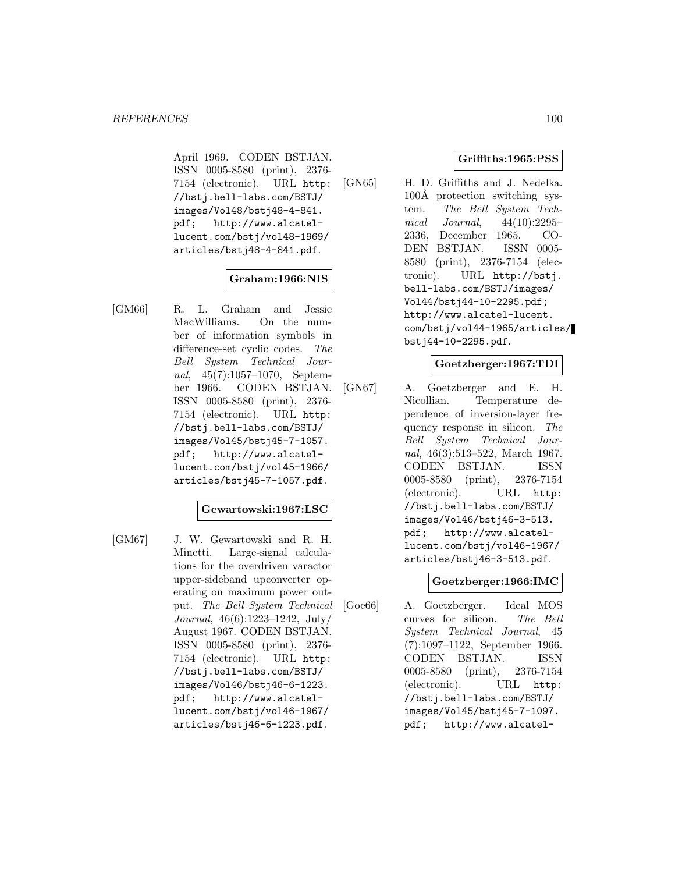April 1969. CODEN BSTJAN. ISSN 0005-8580 (print), 2376- 7154 (electronic). URL http: //bstj.bell-labs.com/BSTJ/ images/Vol48/bstj48-4-841. pdf; http://www.alcatellucent.com/bstj/vol48-1969/ articles/bstj48-4-841.pdf.

### **Graham:1966:NIS**

[GM66] R. L. Graham and Jessie MacWilliams. On the number of information symbols in difference-set cyclic codes. The Bell System Technical Journal, 45(7):1057–1070, September 1966. CODEN BSTJAN. ISSN 0005-8580 (print), 2376- 7154 (electronic). URL http: //bstj.bell-labs.com/BSTJ/ images/Vol45/bstj45-7-1057. pdf; http://www.alcatellucent.com/bstj/vol45-1966/ articles/bstj45-7-1057.pdf.

### **Gewartowski:1967:LSC**

[GM67] J. W. Gewartowski and R. H. Minetti. Large-signal calculations for the overdriven varactor upper-sideband upconverter operating on maximum power output. The Bell System Technical Journal, 46(6):1223–1242, July/ August 1967. CODEN BSTJAN. ISSN 0005-8580 (print), 2376- 7154 (electronic). URL http: //bstj.bell-labs.com/BSTJ/ images/Vol46/bstj46-6-1223. pdf; http://www.alcatellucent.com/bstj/vol46-1967/ articles/bstj46-6-1223.pdf.

### **Griffiths:1965:PSS**

[GN65] H. D. Griffiths and J. Nedelka. 100Å protection switching system. The Bell System Technical Journal, 44(10):2295– 2336, December 1965. CO-DEN BSTJAN. ISSN 0005- 8580 (print), 2376-7154 (electronic). URL http://bstj. bell-labs.com/BSTJ/images/ Vol44/bstj44-10-2295.pdf; http://www.alcatel-lucent. com/bstj/vol44-1965/articles/ bstj44-10-2295.pdf.

### **Goetzberger:1967:TDI**

[GN67] A. Goetzberger and E. H. Nicollian. Temperature dependence of inversion-layer frequency response in silicon. The Bell System Technical Journal, 46(3):513–522, March 1967. CODEN BSTJAN. ISSN 0005-8580 (print), 2376-7154 (electronic). URL http: //bstj.bell-labs.com/BSTJ/ images/Vol46/bstj46-3-513. pdf; http://www.alcatellucent.com/bstj/vol46-1967/ articles/bstj46-3-513.pdf.

## **Goetzberger:1966:IMC**

[Goe66] A. Goetzberger. Ideal MOS curves for silicon. The Bell System Technical Journal, 45 (7):1097–1122, September 1966. CODEN BSTJAN. ISSN 0005-8580 (print), 2376-7154 (electronic). URL http: //bstj.bell-labs.com/BSTJ/ images/Vol45/bstj45-7-1097. pdf; http://www.alcatel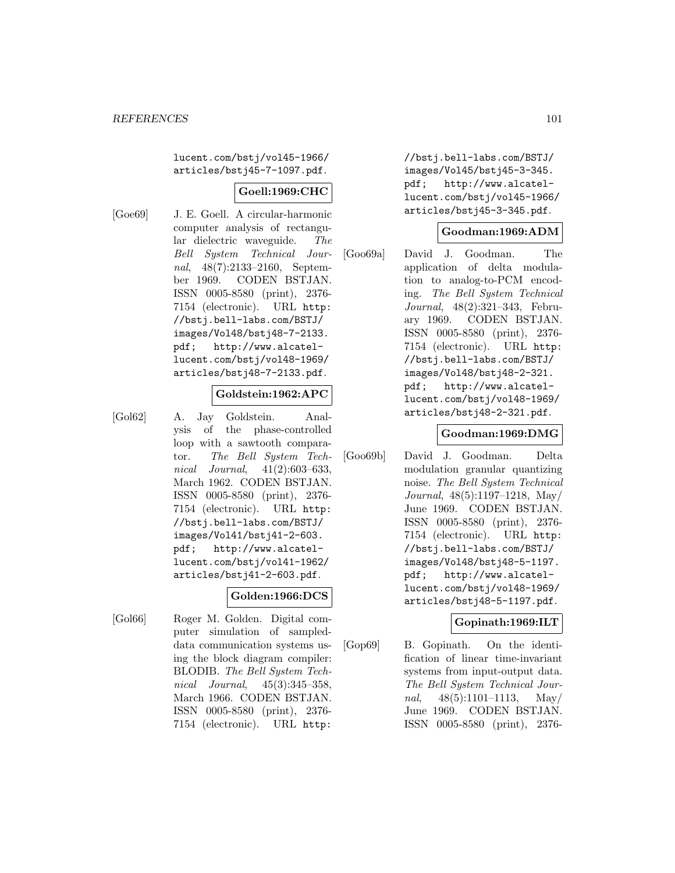lucent.com/bstj/vol45-1966/ articles/bstj45-7-1097.pdf.

# **Goell:1969:CHC**

[Goe69] J. E. Goell. A circular-harmonic computer analysis of rectangular dielectric waveguide. The Bell System Technical Journal, 48(7):2133–2160, September 1969. CODEN BSTJAN. ISSN 0005-8580 (print), 2376- 7154 (electronic). URL http: //bstj.bell-labs.com/BSTJ/ images/Vol48/bstj48-7-2133. pdf; http://www.alcatellucent.com/bstj/vol48-1969/ articles/bstj48-7-2133.pdf.

### **Goldstein:1962:APC**

[Gol62] A. Jay Goldstein. Analysis of the phase-controlled loop with a sawtooth comparator. The Bell System Technical Journal, 41(2):603–633, March 1962. CODEN BSTJAN. ISSN 0005-8580 (print), 2376- 7154 (electronic). URL http: //bstj.bell-labs.com/BSTJ/ images/Vol41/bstj41-2-603. pdf; http://www.alcatellucent.com/bstj/vol41-1962/ articles/bstj41-2-603.pdf.

### **Golden:1966:DCS**

[Gol66] Roger M. Golden. Digital computer simulation of sampleddata communication systems using the block diagram compiler: BLODIB. The Bell System Technical Journal, 45(3):345–358, March 1966. CODEN BSTJAN. ISSN 0005-8580 (print), 2376- 7154 (electronic). URL http:

//bstj.bell-labs.com/BSTJ/ images/Vol45/bstj45-3-345. pdf; http://www.alcatellucent.com/bstj/vol45-1966/ articles/bstj45-3-345.pdf.

### **Goodman:1969:ADM**

[Goo69a] David J. Goodman. The application of delta modulation to analog-to-PCM encoding. The Bell System Technical Journal, 48(2):321–343, February 1969. CODEN BSTJAN. ISSN 0005-8580 (print), 2376- 7154 (electronic). URL http: //bstj.bell-labs.com/BSTJ/ images/Vol48/bstj48-2-321. pdf; http://www.alcatellucent.com/bstj/vol48-1969/ articles/bstj48-2-321.pdf.

#### **Goodman:1969:DMG**

[Goo69b] David J. Goodman. Delta modulation granular quantizing noise. The Bell System Technical Journal, 48(5):1197–1218, May/ June 1969. CODEN BSTJAN. ISSN 0005-8580 (print), 2376- 7154 (electronic). URL http: //bstj.bell-labs.com/BSTJ/ images/Vol48/bstj48-5-1197. pdf; http://www.alcatellucent.com/bstj/vol48-1969/ articles/bstj48-5-1197.pdf.

### **Gopinath:1969:ILT**

[Gop69] B. Gopinath. On the identification of linear time-invariant systems from input-output data. The Bell System Technical Journal,  $48(5):1101-1113$ , May/ June 1969. CODEN BSTJAN. ISSN 0005-8580 (print), 2376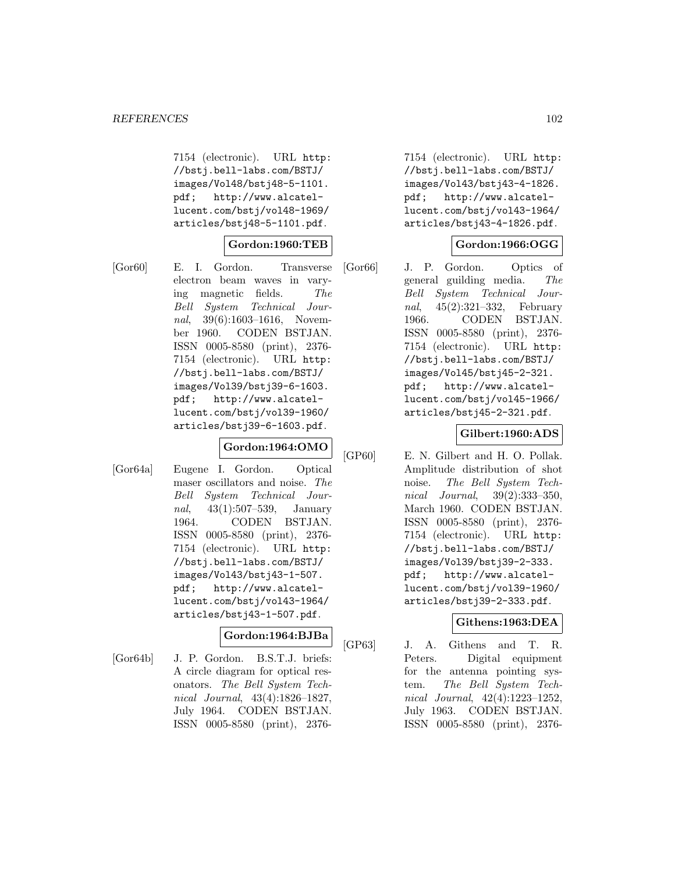7154 (electronic). URL http: //bstj.bell-labs.com/BSTJ/ images/Vol48/bstj48-5-1101. pdf; http://www.alcatellucent.com/bstj/vol48-1969/ articles/bstj48-5-1101.pdf.

### **Gordon:1960:TEB**

[Gor60] E. I. Gordon. Transverse electron beam waves in varying magnetic fields. The Bell System Technical Journal, 39(6):1603-1616, November 1960. CODEN BSTJAN. ISSN 0005-8580 (print), 2376- 7154 (electronic). URL http: //bstj.bell-labs.com/BSTJ/ images/Vol39/bstj39-6-1603. pdf; http://www.alcatellucent.com/bstj/vol39-1960/ articles/bstj39-6-1603.pdf.

### **Gordon:1964:OMO**

[Gor64a] Eugene I. Gordon. Optical maser oscillators and noise. The Bell System Technical Journal, 43(1):507–539, January 1964. CODEN BSTJAN. ISSN 0005-8580 (print), 2376- 7154 (electronic). URL http: //bstj.bell-labs.com/BSTJ/ images/Vol43/bstj43-1-507. pdf; http://www.alcatellucent.com/bstj/vol43-1964/ articles/bstj43-1-507.pdf.

### **Gordon:1964:BJBa**

[Gor64b] J. P. Gordon. B.S.T.J. briefs: A circle diagram for optical resonators. The Bell System Technical Journal, 43(4):1826–1827, July 1964. CODEN BSTJAN. ISSN 0005-8580 (print), 2376-

7154 (electronic). URL http: //bstj.bell-labs.com/BSTJ/ images/Vol43/bstj43-4-1826. pdf; http://www.alcatellucent.com/bstj/vol43-1964/ articles/bstj43-4-1826.pdf.

## **Gordon:1966:OGG**

[Gor66] J. P. Gordon. Optics of general guilding media. The Bell System Technical Journal, 45(2):321–332, February 1966. CODEN BSTJAN. ISSN 0005-8580 (print), 2376- 7154 (electronic). URL http: //bstj.bell-labs.com/BSTJ/ images/Vol45/bstj45-2-321. pdf; http://www.alcatellucent.com/bstj/vol45-1966/ articles/bstj45-2-321.pdf.

## **Gilbert:1960:ADS**

[GP60] E. N. Gilbert and H. O. Pollak. Amplitude distribution of shot noise. The Bell System Technical Journal, 39(2):333–350, March 1960. CODEN BSTJAN. ISSN 0005-8580 (print), 2376- 7154 (electronic). URL http: //bstj.bell-labs.com/BSTJ/ images/Vol39/bstj39-2-333. pdf; http://www.alcatellucent.com/bstj/vol39-1960/ articles/bstj39-2-333.pdf.

## **Githens:1963:DEA**

[GP63] J. A. Githens and T. R. Peters. Digital equipment for the antenna pointing system. The Bell System Technical Journal, 42(4):1223–1252, July 1963. CODEN BSTJAN. ISSN 0005-8580 (print), 2376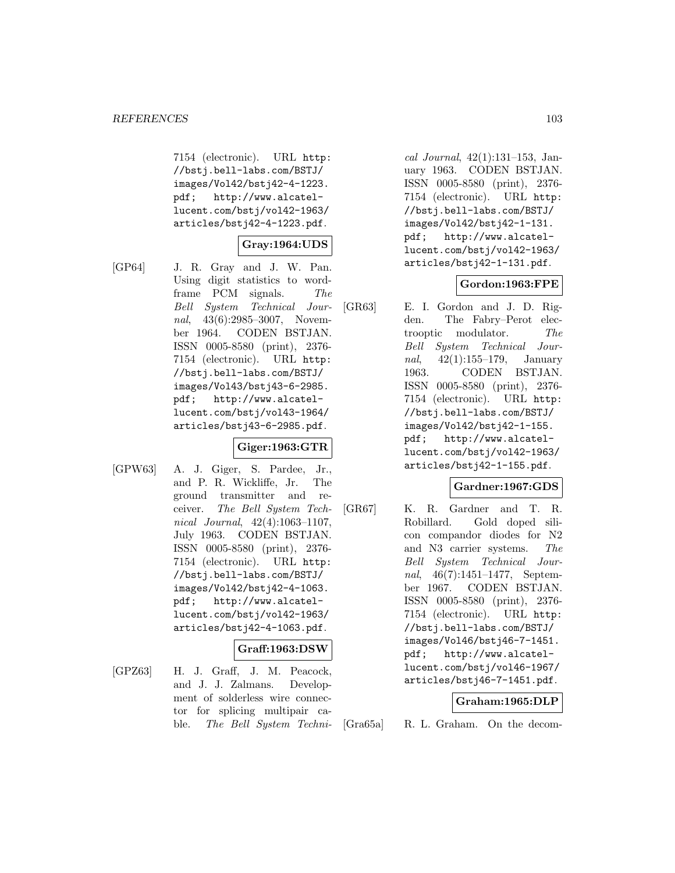7154 (electronic). URL http: //bstj.bell-labs.com/BSTJ/ images/Vol42/bstj42-4-1223. pdf; http://www.alcatellucent.com/bstj/vol42-1963/ articles/bstj42-4-1223.pdf.

### **Gray:1964:UDS**

[GP64] J. R. Gray and J. W. Pan. Using digit statistics to wordframe PCM signals. The Bell System Technical Journal, 43(6):2985-3007, November 1964. CODEN BSTJAN. ISSN 0005-8580 (print), 2376- 7154 (electronic). URL http: //bstj.bell-labs.com/BSTJ/ images/Vol43/bstj43-6-2985. pdf; http://www.alcatellucent.com/bstj/vol43-1964/ articles/bstj43-6-2985.pdf.

## **Giger:1963:GTR**

[GPW63] A. J. Giger, S. Pardee, Jr., and P. R. Wickliffe, Jr. The ground transmitter and receiver. The Bell System Technical Journal, 42(4):1063–1107, July 1963. CODEN BSTJAN. ISSN 0005-8580 (print), 2376- 7154 (electronic). URL http: //bstj.bell-labs.com/BSTJ/ images/Vol42/bstj42-4-1063. pdf; http://www.alcatellucent.com/bstj/vol42-1963/ articles/bstj42-4-1063.pdf.

### **Graff:1963:DSW**

[GPZ63] H. J. Graff, J. M. Peacock, and J. J. Zalmans. Development of solderless wire connector for splicing multipair cable. The Bell System Techni-

cal Journal, 42(1):131–153, January 1963. CODEN BSTJAN. ISSN 0005-8580 (print), 2376- 7154 (electronic). URL http: //bstj.bell-labs.com/BSTJ/ images/Vol42/bstj42-1-131. pdf; http://www.alcatellucent.com/bstj/vol42-1963/ articles/bstj42-1-131.pdf.

### **Gordon:1963:FPE**

[GR63] E. I. Gordon and J. D. Rigden. The Fabry–Perot electrooptic modulator. The Bell System Technical Jour*nal*,  $42(1):155-179$ , January 1963. CODEN BSTJAN. ISSN 0005-8580 (print), 2376- 7154 (electronic). URL http: //bstj.bell-labs.com/BSTJ/ images/Vol42/bstj42-1-155. pdf; http://www.alcatellucent.com/bstj/vol42-1963/ articles/bstj42-1-155.pdf.

### **Gardner:1967:GDS**

[GR67] K. R. Gardner and T. R. Robillard. Gold doped silicon compandor diodes for N2 and N3 carrier systems. The Bell System Technical Journal, 46(7):1451–1477, September 1967. CODEN BSTJAN. ISSN 0005-8580 (print), 2376- 7154 (electronic). URL http: //bstj.bell-labs.com/BSTJ/ images/Vol46/bstj46-7-1451. pdf; http://www.alcatellucent.com/bstj/vol46-1967/ articles/bstj46-7-1451.pdf.

### **Graham:1965:DLP**

[Gra65a] R. L. Graham. On the decom-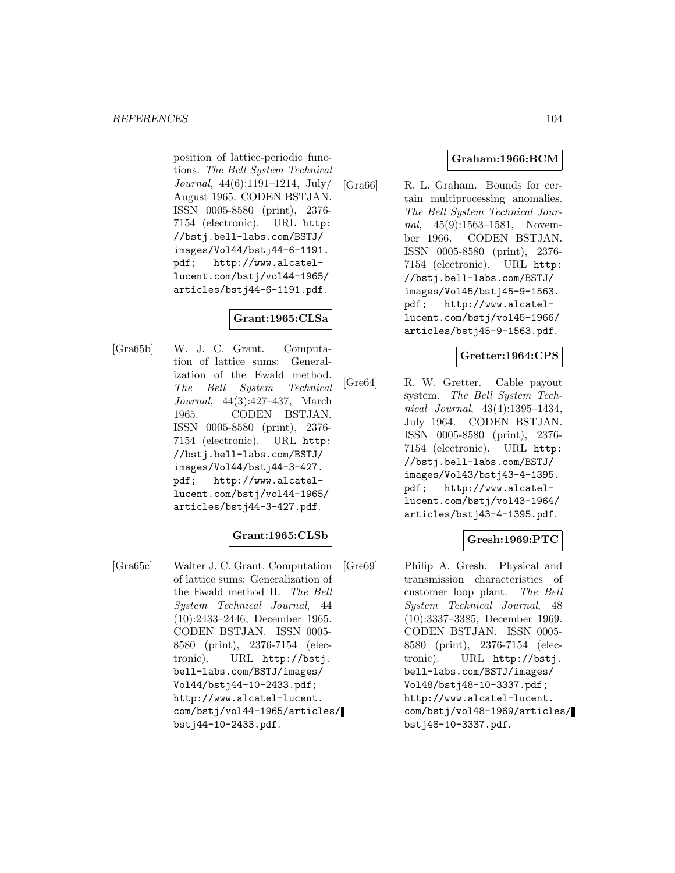position of lattice-periodic functions. The Bell System Technical Journal, 44(6):1191–1214, July/ August 1965. CODEN BSTJAN. ISSN 0005-8580 (print), 2376- 7154 (electronic). URL http: //bstj.bell-labs.com/BSTJ/ images/Vol44/bstj44-6-1191.<br>pdf; http://www.alcatelhttp://www.alcatellucent.com/bstj/vol44-1965/ articles/bstj44-6-1191.pdf.

# **Grant:1965:CLSa**

[Gra65b] W. J. C. Grant. Computation of lattice sums: Generalization of the Ewald method. The Bell System Technical Journal, 44(3):427–437, March 1965. CODEN BSTJAN. ISSN 0005-8580 (print), 2376- 7154 (electronic). URL http: //bstj.bell-labs.com/BSTJ/ images/Vol44/bstj44-3-427. pdf; http://www.alcatellucent.com/bstj/vol44-1965/ articles/bstj44-3-427.pdf.

### **Grant:1965:CLSb**

[Gra65c] Walter J. C. Grant. Computation of lattice sums: Generalization of the Ewald method II. The Bell System Technical Journal, 44 (10):2433–2446, December 1965. CODEN BSTJAN. ISSN 0005- 8580 (print), 2376-7154 (electronic). URL http://bstj. bell-labs.com/BSTJ/images/ Vol44/bstj44-10-2433.pdf; http://www.alcatel-lucent. com/bstj/vol44-1965/articles/ bstj44-10-2433.pdf.

### **Graham:1966:BCM**

[Gra66] R. L. Graham. Bounds for certain multiprocessing anomalies. The Bell System Technical Journal, 45(9):1563-1581, November 1966. CODEN BSTJAN. ISSN 0005-8580 (print), 2376- 7154 (electronic). URL http: //bstj.bell-labs.com/BSTJ/ images/Vol45/bstj45-9-1563. pdf; http://www.alcatellucent.com/bstj/vol45-1966/ articles/bstj45-9-1563.pdf.

## **Gretter:1964:CPS**

[Gre64] R. W. Gretter. Cable payout system. The Bell System Technical Journal, 43(4):1395–1434, July 1964. CODEN BSTJAN. ISSN 0005-8580 (print), 2376- 7154 (electronic). URL http: //bstj.bell-labs.com/BSTJ/ images/Vol43/bstj43-4-1395. pdf; http://www.alcatellucent.com/bstj/vol43-1964/ articles/bstj43-4-1395.pdf.

## **Gresh:1969:PTC**

[Gre69] Philip A. Gresh. Physical and transmission characteristics of customer loop plant. The Bell System Technical Journal, 48 (10):3337–3385, December 1969. CODEN BSTJAN. ISSN 0005- 8580 (print), 2376-7154 (electronic). URL http://bstj. bell-labs.com/BSTJ/images/ Vol48/bstj48-10-3337.pdf; http://www.alcatel-lucent. com/bstj/vol48-1969/articles/ bstj48-10-3337.pdf.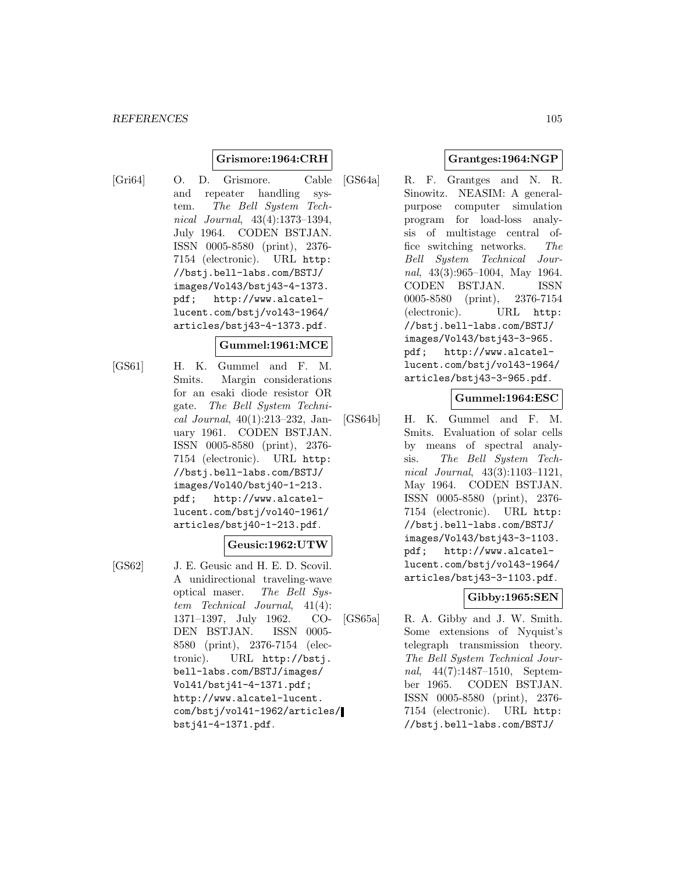## **Grismore:1964:CRH**

[Gri64] O. D. Grismore. Cable and repeater handling system. The Bell System Technical Journal, 43(4):1373–1394, July 1964. CODEN BSTJAN. ISSN 0005-8580 (print), 2376- 7154 (electronic). URL http: //bstj.bell-labs.com/BSTJ/ images/Vol43/bstj43-4-1373. pdf; http://www.alcatellucent.com/bstj/vol43-1964/ articles/bstj43-4-1373.pdf.

## **Gummel:1961:MCE**

[GS61] H. K. Gummel and F. M. Smits. Margin considerations for an esaki diode resistor OR gate. The Bell System Technical Journal, 40(1):213–232, January 1961. CODEN BSTJAN. ISSN 0005-8580 (print), 2376- 7154 (electronic). URL http: //bstj.bell-labs.com/BSTJ/ images/Vol40/bstj40-1-213. pdf; http://www.alcatellucent.com/bstj/vol40-1961/ articles/bstj40-1-213.pdf.

### **Geusic:1962:UTW**

- 
- [GS62] J. E. Geusic and H. E. D. Scovil. A unidirectional traveling-wave optical maser. The Bell System Technical Journal, 41(4): 1371–1397, July 1962. CO-DEN BSTJAN. ISSN 0005- 8580 (print), 2376-7154 (electronic). URL http://bstj. bell-labs.com/BSTJ/images/ Vol41/bstj41-4-1371.pdf; http://www.alcatel-lucent. com/bstj/vol41-1962/articles/ bstj41-4-1371.pdf.

## **Grantges:1964:NGP**

[GS64a] R. F. Grantges and N. R. Sinowitz. NEASIM: A generalpurpose computer simulation program for load-loss analysis of multistage central office switching networks. The Bell System Technical Journal, 43(3):965–1004, May 1964. CODEN BSTJAN. ISSN 0005-8580 (print), 2376-7154 (electronic). URL http: //bstj.bell-labs.com/BSTJ/ images/Vol43/bstj43-3-965. pdf; http://www.alcatellucent.com/bstj/vol43-1964/ articles/bstj43-3-965.pdf.

# **Gummel:1964:ESC**

[GS64b] H. K. Gummel and F. M. Smits. Evaluation of solar cells by means of spectral analysis. The Bell System Technical Journal, 43(3):1103–1121, May 1964. CODEN BSTJAN. ISSN 0005-8580 (print), 2376- 7154 (electronic). URL http: //bstj.bell-labs.com/BSTJ/ images/Vol43/bstj43-3-1103. pdf; http://www.alcatellucent.com/bstj/vol43-1964/ articles/bstj43-3-1103.pdf.

# **Gibby:1965:SEN**

[GS65a] R. A. Gibby and J. W. Smith. Some extensions of Nyquist's telegraph transmission theory. The Bell System Technical Journal, 44(7):1487–1510, September 1965. CODEN BSTJAN. ISSN 0005-8580 (print), 2376- 7154 (electronic). URL http: //bstj.bell-labs.com/BSTJ/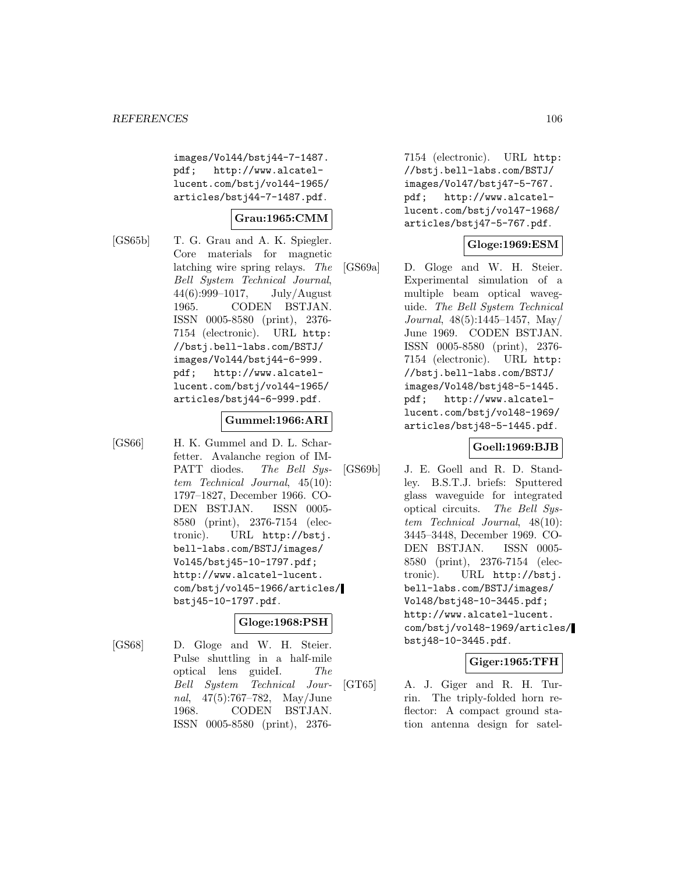images/Vol44/bstj44-7-1487. pdf; http://www.alcatellucent.com/bstj/vol44-1965/ articles/bstj44-7-1487.pdf.

### **Grau:1965:CMM**

[GS65b] T. G. Grau and A. K. Spiegler. Core materials for magnetic latching wire spring relays. The Bell System Technical Journal, 44(6):999–1017, July/August 1965. CODEN BSTJAN. ISSN 0005-8580 (print), 2376- 7154 (electronic). URL http: //bstj.bell-labs.com/BSTJ/ images/Vol44/bstj44-6-999. pdf; http://www.alcatellucent.com/bstj/vol44-1965/ articles/bstj44-6-999.pdf.

#### **Gummel:1966:ARI**

[GS66] H. K. Gummel and D. L. Scharfetter. Avalanche region of IM-PATT diodes. The Bell System Technical Journal, 45(10): 1797–1827, December 1966. CO-DEN BSTJAN. ISSN 0005- 8580 (print), 2376-7154 (electronic). URL http://bstj. bell-labs.com/BSTJ/images/ Vol45/bstj45-10-1797.pdf; http://www.alcatel-lucent. com/bstj/vol45-1966/articles/ bstj45-10-1797.pdf.

### **Gloge:1968:PSH**

[GS68] D. Gloge and W. H. Steier. Pulse shuttling in a half-mile optical lens guideI. The Bell System Technical Journal, 47(5):767–782, May/June 1968. CODEN BSTJAN. ISSN 0005-8580 (print), 2376-

7154 (electronic). URL http: //bstj.bell-labs.com/BSTJ/ images/Vol47/bstj47-5-767. pdf; http://www.alcatellucent.com/bstj/vol47-1968/ articles/bstj47-5-767.pdf.

### **Gloge:1969:ESM**

[GS69a] D. Gloge and W. H. Steier. Experimental simulation of a multiple beam optical waveguide. The Bell System Technical Journal, 48(5):1445–1457, May/ June 1969. CODEN BSTJAN. ISSN 0005-8580 (print), 2376- 7154 (electronic). URL http: //bstj.bell-labs.com/BSTJ/ images/Vol48/bstj48-5-1445. pdf; http://www.alcatellucent.com/bstj/vol48-1969/ articles/bstj48-5-1445.pdf.

### **Goell:1969:BJB**

[GS69b] J. E. Goell and R. D. Standley. B.S.T.J. briefs: Sputtered glass waveguide for integrated optical circuits. The Bell System Technical Journal, 48(10): 3445–3448, December 1969. CO-DEN BSTJAN. ISSN 0005- 8580 (print), 2376-7154 (electronic). URL http://bstj. bell-labs.com/BSTJ/images/ Vol48/bstj48-10-3445.pdf; http://www.alcatel-lucent. com/bstj/vol48-1969/articles/ bstj48-10-3445.pdf.

### **Giger:1965:TFH**

[GT65] A. J. Giger and R. H. Turrin. The triply-folded horn reflector: A compact ground station antenna design for satel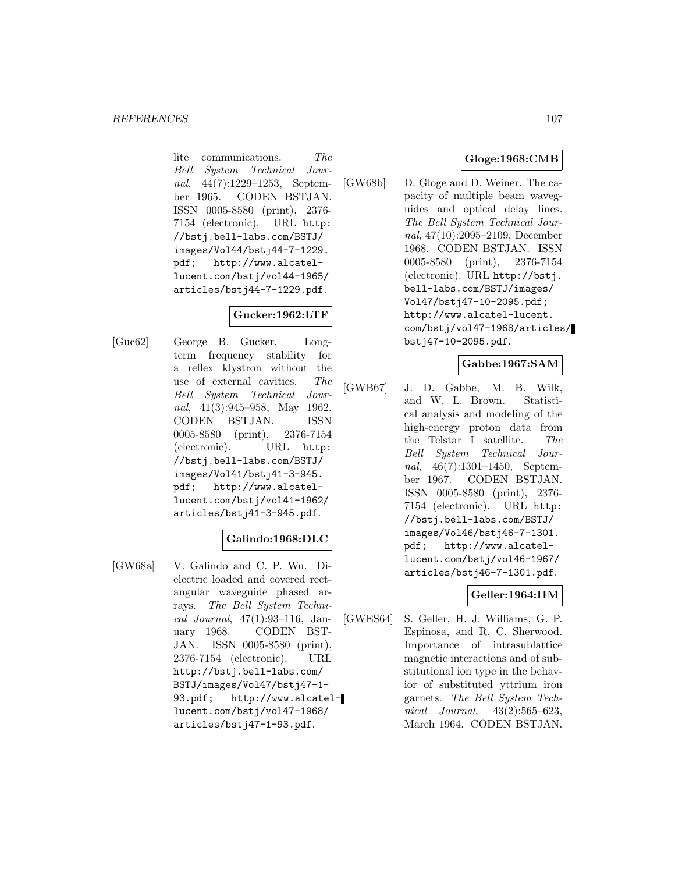lite communications. The Bell System Technical Journal, 44(7):1229–1253, September 1965. CODEN BSTJAN. ISSN 0005-8580 (print), 2376- 7154 (electronic). URL http: //bstj.bell-labs.com/BSTJ/ images/Vol44/bstj44-7-1229.<br>pdf; http://www.alcatelhttp://www.alcatellucent.com/bstj/vol44-1965/ articles/bstj44-7-1229.pdf.

# **Gucker:1962:LTF**

[Guc62] George B. Gucker. Longterm frequency stability for a reflex klystron without the use of external cavities. The Bell System Technical Journal, 41(3):945–958, May 1962. CODEN BSTJAN. ISSN 0005-8580 (print), 2376-7154 (electronic). URL http: //bstj.bell-labs.com/BSTJ/ images/Vol41/bstj41-3-945. pdf; http://www.alcatellucent.com/bstj/vol41-1962/ articles/bstj41-3-945.pdf.

### **Galindo:1968:DLC**

[GW68a] V. Galindo and C. P. Wu. Dielectric loaded and covered rectangular waveguide phased arrays. The Bell System Technical Journal, 47(1):93–116, January 1968. CODEN BST-JAN. ISSN 0005-8580 (print), 2376-7154 (electronic). URL http://bstj.bell-labs.com/ BSTJ/images/Vol47/bstj47-1- 93.pdf; http://www.alcatellucent.com/bstj/vol47-1968/ articles/bstj47-1-93.pdf.

## **Gloge:1968:CMB**

[GW68b] D. Gloge and D. Weiner. The capacity of multiple beam waveguides and optical delay lines. The Bell System Technical Journal, 47(10):2095–2109, December 1968. CODEN BSTJAN. ISSN 0005-8580 (print), 2376-7154 (electronic). URL http://bstj. bell-labs.com/BSTJ/images/ Vol47/bstj47-10-2095.pdf; http://www.alcatel-lucent. com/bstj/vol47-1968/articles/ bstj47-10-2095.pdf.

## **Gabbe:1967:SAM**

[GWB67] J. D. Gabbe, M. B. Wilk, and W. L. Brown. Statistical analysis and modeling of the high-energy proton data from the Telstar I satellite. The Bell System Technical Journal, 46(7):1301–1450, September 1967. CODEN BSTJAN. ISSN 0005-8580 (print), 2376- 7154 (electronic). URL http: //bstj.bell-labs.com/BSTJ/ images/Vol46/bstj46-7-1301. pdf; http://www.alcatellucent.com/bstj/vol46-1967/ articles/bstj46-7-1301.pdf.

## **Geller:1964:IIM**

[GWES64] S. Geller, H. J. Williams, G. P. Espinosa, and R. C. Sherwood. Importance of intrasublattice magnetic interactions and of substitutional ion type in the behavior of substituted yttrium iron garnets. The Bell System Technical Journal, 43(2):565–623, March 1964. CODEN BSTJAN.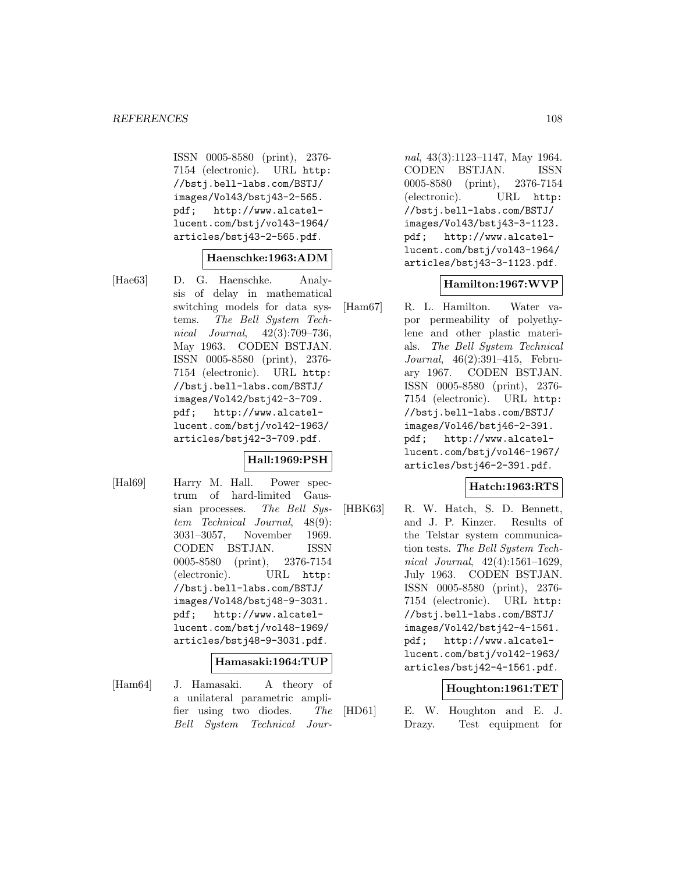ISSN 0005-8580 (print), 2376- 7154 (electronic). URL http: //bstj.bell-labs.com/BSTJ/ images/Vol43/bstj43-2-565. pdf; http://www.alcatellucent.com/bstj/vol43-1964/ articles/bstj43-2-565.pdf.

### **Haenschke:1963:ADM**

[Hae63] D. G. Haenschke. Analysis of delay in mathematical switching models for data systems. The Bell System Technical Journal, 42(3):709–736, May 1963. CODEN BSTJAN. ISSN 0005-8580 (print), 2376- 7154 (electronic). URL http: //bstj.bell-labs.com/BSTJ/ images/Vol42/bstj42-3-709. pdf; http://www.alcatellucent.com/bstj/vol42-1963/ articles/bstj42-3-709.pdf.

### **Hall:1969:PSH**

[Hal69] Harry M. Hall. Power spectrum of hard-limited Gaussian processes. The Bell System Technical Journal, 48(9): 3031–3057, November 1969. CODEN BSTJAN. ISSN 0005-8580 (print), 2376-7154 (electronic). URL http: //bstj.bell-labs.com/BSTJ/ images/Vol48/bstj48-9-3031. pdf; http://www.alcatellucent.com/bstj/vol48-1969/ articles/bstj48-9-3031.pdf.

#### **Hamasaki:1964:TUP**

[Ham64] J. Hamasaki. A theory of a unilateral parametric amplifier using two diodes. The Bell System Technical Jour-

nal, 43(3):1123–1147, May 1964. CODEN BSTJAN. ISSN 0005-8580 (print), 2376-7154 (electronic). URL http: //bstj.bell-labs.com/BSTJ/ images/Vol43/bstj43-3-1123. pdf; http://www.alcatellucent.com/bstj/vol43-1964/ articles/bstj43-3-1123.pdf.

### **Hamilton:1967:WVP**

[Ham67] R. L. Hamilton. Water vapor permeability of polyethylene and other plastic materials. The Bell System Technical Journal, 46(2):391–415, February 1967. CODEN BSTJAN. ISSN 0005-8580 (print), 2376- 7154 (electronic). URL http: //bstj.bell-labs.com/BSTJ/ images/Vol46/bstj46-2-391. pdf; http://www.alcatellucent.com/bstj/vol46-1967/ articles/bstj46-2-391.pdf.

### **Hatch:1963:RTS**

[HBK63] R. W. Hatch, S. D. Bennett, and J. P. Kinzer. Results of the Telstar system communication tests. The Bell System Technical Journal, 42(4):1561–1629, July 1963. CODEN BSTJAN. ISSN 0005-8580 (print), 2376- 7154 (electronic). URL http: //bstj.bell-labs.com/BSTJ/ images/Vol42/bstj42-4-1561. pdf; http://www.alcatellucent.com/bstj/vol42-1963/ articles/bstj42-4-1561.pdf.

### **Houghton:1961:TET**

[HD61] E. W. Houghton and E. J. Drazy. Test equipment for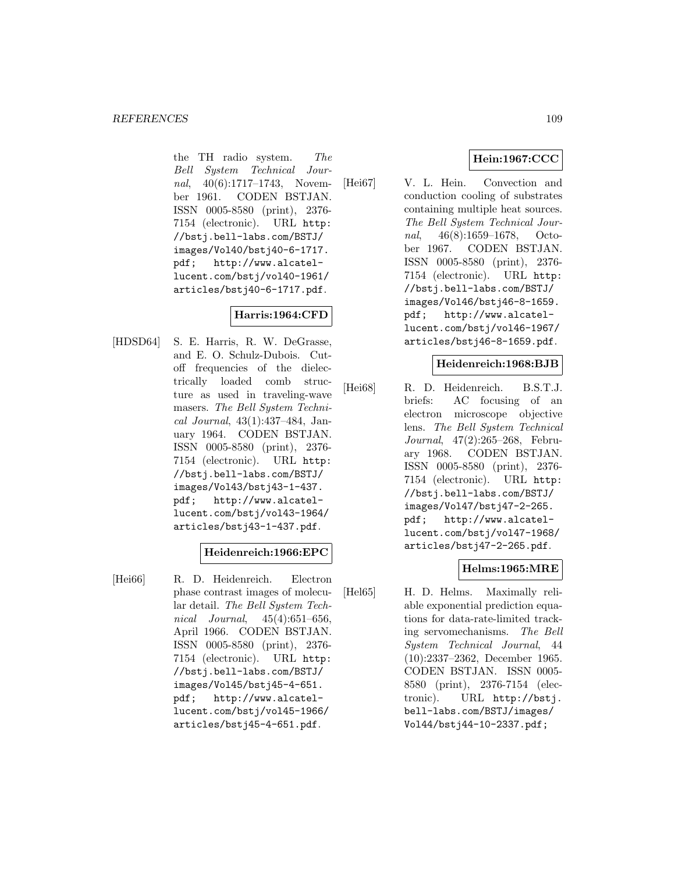the TH radio system. The Bell System Technical Journal, 40(6):1717–1743, November 1961. CODEN BSTJAN. ISSN 0005-8580 (print), 2376- 7154 (electronic). URL http: //bstj.bell-labs.com/BSTJ/ images/Vol40/bstj40-6-1717.<br>pdf; http://www.alcatelhttp://www.alcatellucent.com/bstj/vol40-1961/ articles/bstj40-6-1717.pdf.

# **Harris:1964:CFD**

[HDSD64] S. E. Harris, R. W. DeGrasse, and E. O. Schulz-Dubois. Cutoff frequencies of the dielectrically loaded comb structure as used in traveling-wave masers. The Bell System Technical Journal, 43(1):437–484, January 1964. CODEN BSTJAN. ISSN 0005-8580 (print), 2376- 7154 (electronic). URL http: //bstj.bell-labs.com/BSTJ/ images/Vol43/bstj43-1-437. pdf; http://www.alcatellucent.com/bstj/vol43-1964/ articles/bstj43-1-437.pdf.

# **Heidenreich:1966:EPC**

[Hei66] R. D. Heidenreich. Electron phase contrast images of molecular detail. The Bell System Technical Journal, 45(4):651–656, April 1966. CODEN BSTJAN. ISSN 0005-8580 (print), 2376- 7154 (electronic). URL http: //bstj.bell-labs.com/BSTJ/ images/Vol45/bstj45-4-651. pdf; http://www.alcatellucent.com/bstj/vol45-1966/ articles/bstj45-4-651.pdf.

# **Hein:1967:CCC**

[Hei67] V. L. Hein. Convection and conduction cooling of substrates containing multiple heat sources. The Bell System Technical Journal, 46(8):1659–1678, October 1967. CODEN BSTJAN. ISSN 0005-8580 (print), 2376- 7154 (electronic). URL http: //bstj.bell-labs.com/BSTJ/ images/Vol46/bstj46-8-1659. pdf; http://www.alcatellucent.com/bstj/vol46-1967/ articles/bstj46-8-1659.pdf.

# **Heidenreich:1968:BJB**

[Hei68] R. D. Heidenreich. B.S.T.J. briefs: AC focusing of an electron microscope objective lens. The Bell System Technical Journal, 47(2):265–268, February 1968. CODEN BSTJAN. ISSN 0005-8580 (print), 2376- 7154 (electronic). URL http: //bstj.bell-labs.com/BSTJ/ images/Vol47/bstj47-2-265. pdf; http://www.alcatellucent.com/bstj/vol47-1968/ articles/bstj47-2-265.pdf.

# **Helms:1965:MRE**

[Hel65] H. D. Helms. Maximally reliable exponential prediction equations for data-rate-limited tracking servomechanisms. The Bell System Technical Journal, 44 (10):2337–2362, December 1965. CODEN BSTJAN. ISSN 0005- 8580 (print), 2376-7154 (electronic). URL http://bstj. bell-labs.com/BSTJ/images/ Vol44/bstj44-10-2337.pdf;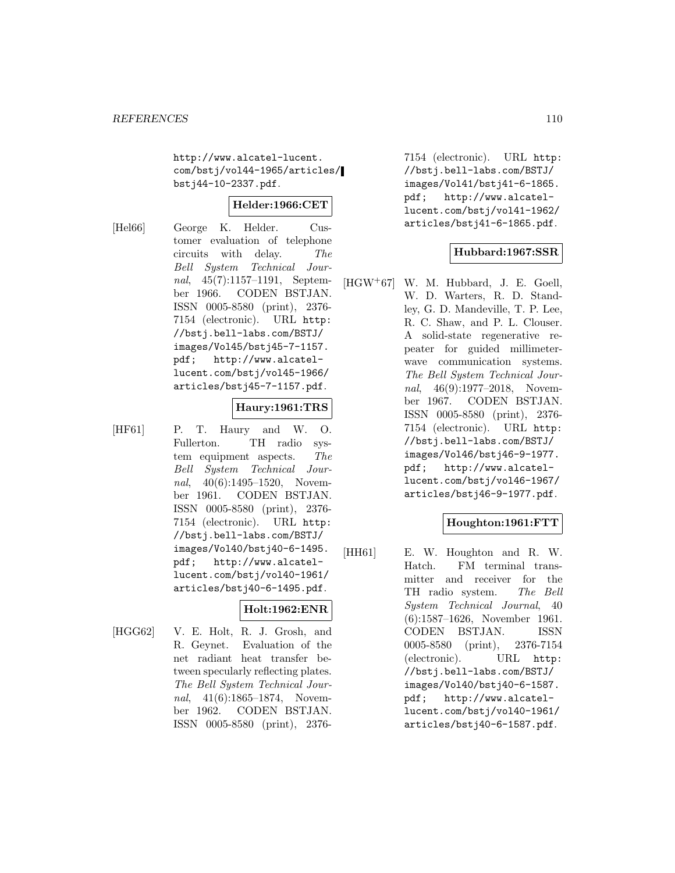http://www.alcatel-lucent. com/bstj/vol44-1965/articles/ bstj44-10-2337.pdf.

# **Helder:1966:CET**

[Hel66] George K. Helder. Customer evaluation of telephone circuits with delay. The Bell System Technical Journal, 45(7):1157–1191, September 1966. CODEN BSTJAN. ISSN 0005-8580 (print), 2376- 7154 (electronic). URL http: //bstj.bell-labs.com/BSTJ/ images/Vol45/bstj45-7-1157. pdf; http://www.alcatellucent.com/bstj/vol45-1966/ articles/bstj45-7-1157.pdf.

#### **Haury:1961:TRS**

[HF61] P. T. Haury and W. O. Fullerton. TH radio system equipment aspects. The Bell System Technical Journal, 40(6):1495–1520, November 1961. CODEN BSTJAN. ISSN 0005-8580 (print), 2376- 7154 (electronic). URL http: //bstj.bell-labs.com/BSTJ/ images/Vol40/bstj40-6-1495. pdf; http://www.alcatellucent.com/bstj/vol40-1961/ articles/bstj40-6-1495.pdf.

# **Holt:1962:ENR**

[HGG62] V. E. Holt, R. J. Grosh, and R. Geynet. Evaluation of the net radiant heat transfer between specularly reflecting plates. The Bell System Technical Journal, 41(6):1865–1874, November 1962. CODEN BSTJAN. ISSN 0005-8580 (print), 2376-

7154 (electronic). URL http: //bstj.bell-labs.com/BSTJ/ images/Vol41/bstj41-6-1865. pdf; http://www.alcatellucent.com/bstj/vol41-1962/ articles/bstj41-6-1865.pdf.

# **Hubbard:1967:SSR**

 $[HGW^+67]$  W. M. Hubbard, J. E. Goell, W. D. Warters, R. D. Standley, G. D. Mandeville, T. P. Lee, R. C. Shaw, and P. L. Clouser. A solid-state regenerative repeater for guided millimeterwave communication systems. The Bell System Technical Journal, 46(9):1977–2018, November 1967. CODEN BSTJAN. ISSN 0005-8580 (print), 2376- 7154 (electronic). URL http: //bstj.bell-labs.com/BSTJ/ images/Vol46/bstj46-9-1977. pdf; http://www.alcatellucent.com/bstj/vol46-1967/ articles/bstj46-9-1977.pdf.

# **Houghton:1961:FTT**

[HH61] E. W. Houghton and R. W. Hatch. FM terminal transmitter and receiver for the TH radio system. The Bell System Technical Journal, 40 (6):1587–1626, November 1961. CODEN BSTJAN. ISSN 0005-8580 (print), 2376-7154 (electronic). URL http: //bstj.bell-labs.com/BSTJ/ images/Vol40/bstj40-6-1587. pdf; http://www.alcatellucent.com/bstj/vol40-1961/ articles/bstj40-6-1587.pdf.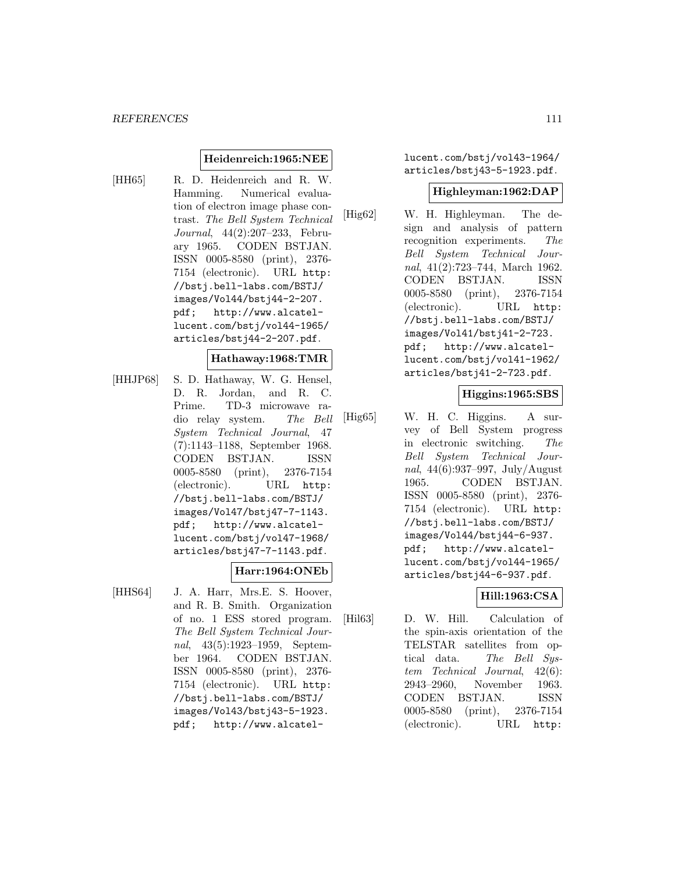### **Heidenreich:1965:NEE**

[HH65] R. D. Heidenreich and R. W. Hamming. Numerical evaluation of electron image phase contrast. The Bell System Technical Journal, 44(2):207–233, February 1965. CODEN BSTJAN. ISSN 0005-8580 (print), 2376- 7154 (electronic). URL http: //bstj.bell-labs.com/BSTJ/ images/Vol44/bstj44-2-207. pdf; http://www.alcatellucent.com/bstj/vol44-1965/ articles/bstj44-2-207.pdf.

# **Hathaway:1968:TMR**

[HHJP68] S. D. Hathaway, W. G. Hensel, D. R. Jordan, and R. C. Prime. TD-3 microwave radio relay system. The Bell System Technical Journal, 47 (7):1143–1188, September 1968. CODEN BSTJAN. ISSN 0005-8580 (print), 2376-7154 (electronic). URL http: //bstj.bell-labs.com/BSTJ/ images/Vol47/bstj47-7-1143. pdf; http://www.alcatellucent.com/bstj/vol47-1968/ articles/bstj47-7-1143.pdf.

#### **Harr:1964:ONEb**

[HHS64] J. A. Harr, Mrs.E. S. Hoover, and R. B. Smith. Organization of no. 1 ESS stored program. The Bell System Technical Journal, 43(5):1923–1959, September 1964. CODEN BSTJAN. ISSN 0005-8580 (print), 2376- 7154 (electronic). URL http: //bstj.bell-labs.com/BSTJ/ images/Vol43/bstj43-5-1923. pdf; http://www.alcatellucent.com/bstj/vol43-1964/ articles/bstj43-5-1923.pdf.

### **Highleyman:1962:DAP**

[Hig62] W. H. Highleyman. The design and analysis of pattern recognition experiments. The Bell System Technical Journal, 41(2):723–744, March 1962. CODEN BSTJAN. ISSN 0005-8580 (print), 2376-7154 (electronic). URL http: //bstj.bell-labs.com/BSTJ/ images/Vol41/bstj41-2-723. pdf; http://www.alcatellucent.com/bstj/vol41-1962/ articles/bstj41-2-723.pdf.

### **Higgins:1965:SBS**

[Hig65] W. H. C. Higgins. A survey of Bell System progress in electronic switching. The Bell System Technical Journal, 44(6):937–997, July/August 1965. CODEN BSTJAN. ISSN 0005-8580 (print), 2376- 7154 (electronic). URL http: //bstj.bell-labs.com/BSTJ/ images/Vol44/bstj44-6-937. pdf; http://www.alcatellucent.com/bstj/vol44-1965/ articles/bstj44-6-937.pdf.

# **Hill:1963:CSA**

[Hil63] D. W. Hill. Calculation of the spin-axis orientation of the TELSTAR satellites from optical data. The Bell System Technical Journal, 42(6): 2943–2960, November 1963. CODEN BSTJAN. ISSN 0005-8580 (print), 2376-7154 (electronic). URL http: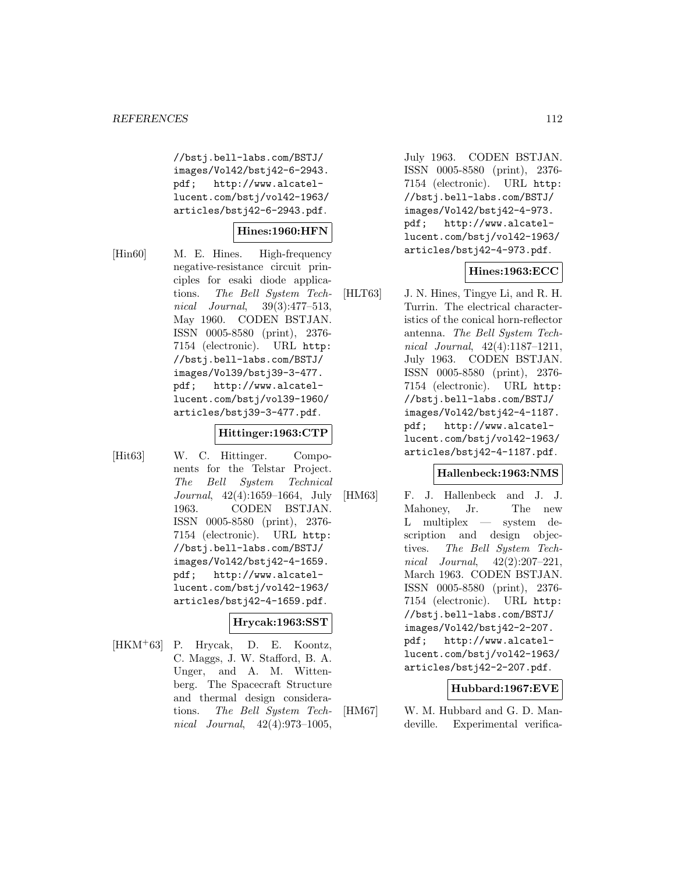//bstj.bell-labs.com/BSTJ/ images/Vol42/bstj42-6-2943. pdf; http://www.alcatellucent.com/bstj/vol42-1963/ articles/bstj42-6-2943.pdf.

# **Hines:1960:HFN**

[Hin60] M. E. Hines. High-frequency negative-resistance circuit principles for esaki diode applications. The Bell System Technical Journal, 39(3):477–513, May 1960. CODEN BSTJAN. ISSN 0005-8580 (print), 2376- 7154 (electronic). URL http: //bstj.bell-labs.com/BSTJ/ images/Vol39/bstj39-3-477. pdf; http://www.alcatellucent.com/bstj/vol39-1960/ articles/bstj39-3-477.pdf.

### **Hittinger:1963:CTP**

[Hit63] W. C. Hittinger. Components for the Telstar Project. The Bell System Technical Journal, 42(4):1659–1664, July 1963. CODEN BSTJAN. ISSN 0005-8580 (print), 2376- 7154 (electronic). URL http: //bstj.bell-labs.com/BSTJ/ images/Vol42/bstj42-4-1659. pdf; http://www.alcatellucent.com/bstj/vol42-1963/ articles/bstj42-4-1659.pdf.

### **Hrycak:1963:SST**

 $[HKM+63]$  P. Hrycak, D. E. Koontz, C. Maggs, J. W. Stafford, B. A. Unger, and A. M. Wittenberg. The Spacecraft Structure and thermal design considerations. The Bell System Technical Journal, 42(4):973–1005,

July 1963. CODEN BSTJAN. ISSN 0005-8580 (print), 2376- 7154 (electronic). URL http: //bstj.bell-labs.com/BSTJ/ images/Vol42/bstj42-4-973. pdf; http://www.alcatellucent.com/bstj/vol42-1963/ articles/bstj42-4-973.pdf.

# **Hines:1963:ECC**

[HLT63] J. N. Hines, Tingye Li, and R. H. Turrin. The electrical characteristics of the conical horn-reflector antenna. The Bell System Technical Journal, 42(4):1187–1211, July 1963. CODEN BSTJAN. ISSN 0005-8580 (print), 2376- 7154 (electronic). URL http: //bstj.bell-labs.com/BSTJ/ images/Vol42/bstj42-4-1187. pdf; http://www.alcatellucent.com/bstj/vol42-1963/ articles/bstj42-4-1187.pdf.

### **Hallenbeck:1963:NMS**

[HM63] F. J. Hallenbeck and J. J. Mahoney, Jr. The new L multiplex — system description and design objectives. The Bell System Technical Journal, 42(2):207–221, March 1963. CODEN BSTJAN. ISSN 0005-8580 (print), 2376- 7154 (electronic). URL http: //bstj.bell-labs.com/BSTJ/ images/Vol42/bstj42-2-207. pdf; http://www.alcatellucent.com/bstj/vol42-1963/ articles/bstj42-2-207.pdf.

# **Hubbard:1967:EVE**

[HM67] W. M. Hubbard and G. D. Mandeville. Experimental verifica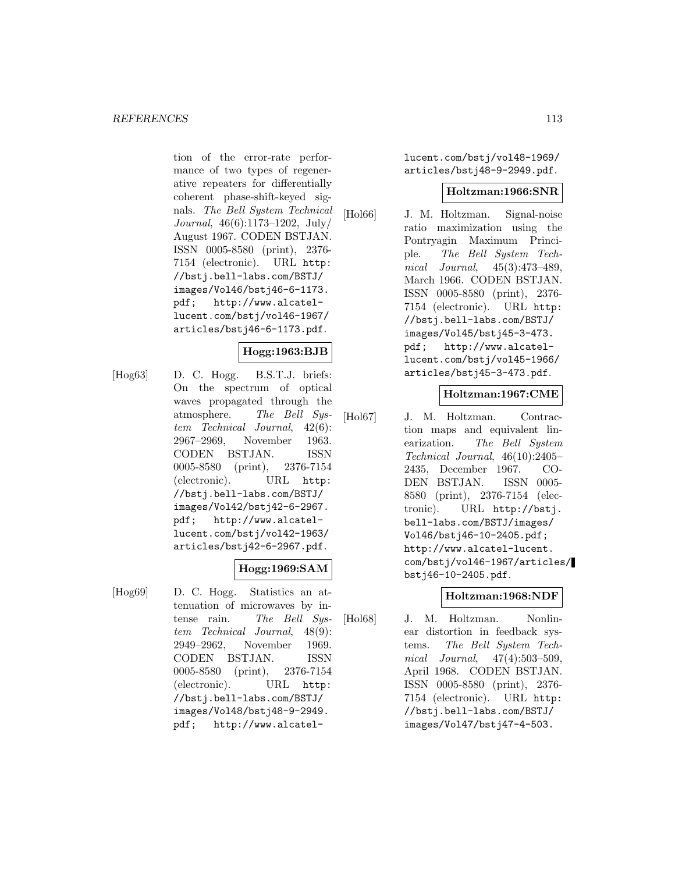tion of the error-rate performance of two types of regenerative repeaters for differentially coherent phase-shift-keyed signals. The Bell System Technical Journal, 46(6):1173–1202, July/ August 1967. CODEN BSTJAN. ISSN 0005-8580 (print), 2376- 7154 (electronic). URL http: //bstj.bell-labs.com/BSTJ/ images/Vol46/bstj46-6-1173. pdf; http://www.alcatellucent.com/bstj/vol46-1967/ articles/bstj46-6-1173.pdf.

# **Hogg:1963:BJB**

[Hog63] D. C. Hogg. B.S.T.J. briefs: On the spectrum of optical waves propagated through the atmosphere. The Bell System Technical Journal, 42(6): 2967–2969, November 1963. CODEN BSTJAN. ISSN 0005-8580 (print), 2376-7154 (electronic). URL http: //bstj.bell-labs.com/BSTJ/ images/Vol42/bstj42-6-2967. pdf; http://www.alcatellucent.com/bstj/vol42-1963/ articles/bstj42-6-2967.pdf.

### **Hogg:1969:SAM**

[Hog69] D. C. Hogg. Statistics an attenuation of microwaves by intense rain. The Bell System Technical Journal, 48(9): 2949–2962, November 1969. CODEN BSTJAN. ISSN 0005-8580 (print), 2376-7154 (electronic). URL http: //bstj.bell-labs.com/BSTJ/ images/Vol48/bstj48-9-2949. pdf; http://www.alcatellucent.com/bstj/vol48-1969/ articles/bstj48-9-2949.pdf.

# **Holtzman:1966:SNR**

[Hol66] J. M. Holtzman. Signal-noise ratio maximization using the Pontryagin Maximum Principle. The Bell System Technical Journal, 45(3):473–489, March 1966. CODEN BSTJAN. ISSN 0005-8580 (print), 2376- 7154 (electronic). URL http: //bstj.bell-labs.com/BSTJ/ images/Vol45/bstj45-3-473. pdf; http://www.alcatellucent.com/bstj/vol45-1966/ articles/bstj45-3-473.pdf.

# **Holtzman:1967:CME**

[Hol67] J. M. Holtzman. Contraction maps and equivalent linearization. The Bell System Technical Journal, 46(10):2405– 2435, December 1967. CO-DEN BSTJAN. ISSN 0005- 8580 (print), 2376-7154 (electronic). URL http://bstj. bell-labs.com/BSTJ/images/ Vol46/bstj46-10-2405.pdf; http://www.alcatel-lucent. com/bstj/vol46-1967/articles/ bstj46-10-2405.pdf.

### **Holtzman:1968:NDF**

[Hol68] J. M. Holtzman. Nonlinear distortion in feedback systems. The Bell System Technical Journal, 47(4):503–509, April 1968. CODEN BSTJAN. ISSN 0005-8580 (print), 2376- 7154 (electronic). URL http: //bstj.bell-labs.com/BSTJ/ images/Vol47/bstj47-4-503.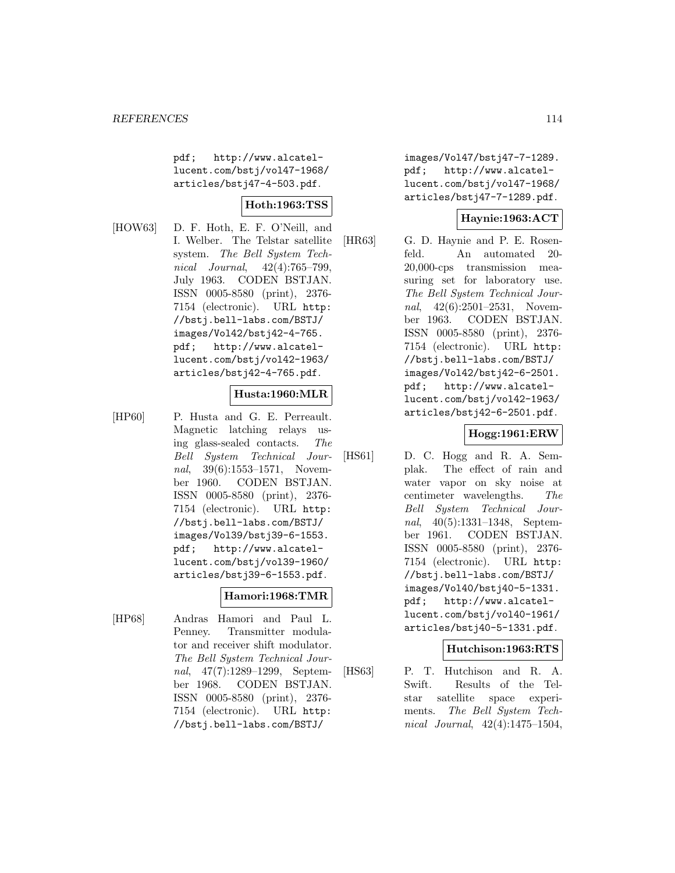pdf; http://www.alcatellucent.com/bstj/vol47-1968/ articles/bstj47-4-503.pdf.

# **Hoth:1963:TSS**

[HOW63] D. F. Hoth, E. F. O'Neill, and I. Welber. The Telstar satellite system. The Bell System Technical Journal, 42(4):765–799, July 1963. CODEN BSTJAN. ISSN 0005-8580 (print), 2376- 7154 (electronic). URL http: //bstj.bell-labs.com/BSTJ/ images/Vol42/bstj42-4-765. pdf; http://www.alcatellucent.com/bstj/vol42-1963/ articles/bstj42-4-765.pdf.

# **Husta:1960:MLR**

[HP60] P. Husta and G. E. Perreault. Magnetic latching relays using glass-sealed contacts. The Bell System Technical Journal, 39(6):1553-1571, November 1960. CODEN BSTJAN. ISSN 0005-8580 (print), 2376- 7154 (electronic). URL http: //bstj.bell-labs.com/BSTJ/ images/Vol39/bstj39-6-1553. pdf; http://www.alcatellucent.com/bstj/vol39-1960/ articles/bstj39-6-1553.pdf.

### **Hamori:1968:TMR**

[HP68] Andras Hamori and Paul L. Penney. Transmitter modulator and receiver shift modulator. The Bell System Technical Journal, 47(7):1289–1299, September 1968. CODEN BSTJAN. ISSN 0005-8580 (print), 2376- 7154 (electronic). URL http: //bstj.bell-labs.com/BSTJ/

images/Vol47/bstj47-7-1289. pdf; http://www.alcatellucent.com/bstj/vol47-1968/ articles/bstj47-7-1289.pdf.

# **Haynie:1963:ACT**

[HR63] G. D. Haynie and P. E. Rosenfeld. An automated 20- 20,000-cps transmission measuring set for laboratory use. The Bell System Technical Journal, 42(6):2501–2531, November 1963. CODEN BSTJAN. ISSN 0005-8580 (print), 2376- 7154 (electronic). URL http: //bstj.bell-labs.com/BSTJ/ images/Vol42/bstj42-6-2501. pdf; http://www.alcatellucent.com/bstj/vol42-1963/ articles/bstj42-6-2501.pdf.

# **Hogg:1961:ERW**

[HS61] D. C. Hogg and R. A. Semplak. The effect of rain and water vapor on sky noise at centimeter wavelengths. The Bell System Technical Journal, 40(5):1331–1348, September 1961. CODEN BSTJAN. ISSN 0005-8580 (print), 2376- 7154 (electronic). URL http: //bstj.bell-labs.com/BSTJ/ images/Vol40/bstj40-5-1331. pdf; http://www.alcatellucent.com/bstj/vol40-1961/ articles/bstj40-5-1331.pdf.

### **Hutchison:1963:RTS**

[HS63] P. T. Hutchison and R. A. Swift. Results of the Telstar satellite space experiments. The Bell System Technical Journal, 42(4):1475–1504,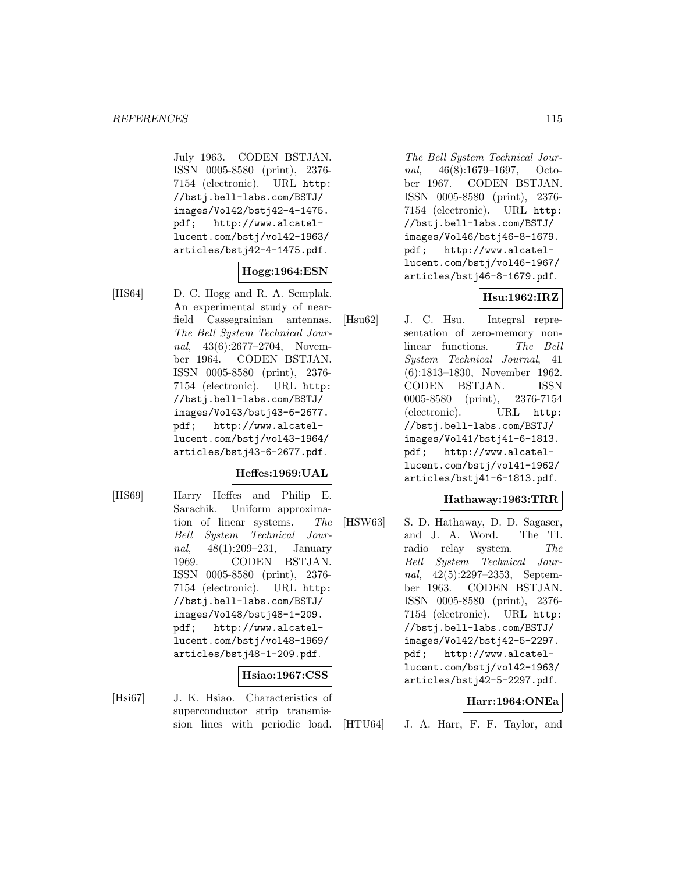July 1963. CODEN BSTJAN. ISSN 0005-8580 (print), 2376- 7154 (electronic). URL http: //bstj.bell-labs.com/BSTJ/ images/Vol42/bstj42-4-1475. pdf; http://www.alcatellucent.com/bstj/vol42-1963/ articles/bstj42-4-1475.pdf.

# **Hogg:1964:ESN**

[HS64] D. C. Hogg and R. A. Semplak. An experimental study of nearfield Cassegrainian antennas. The Bell System Technical Journal, 43(6):2677–2704, November 1964. CODEN BSTJAN. ISSN 0005-8580 (print), 2376- 7154 (electronic). URL http: //bstj.bell-labs.com/BSTJ/ images/Vol43/bstj43-6-2677. pdf; http://www.alcatellucent.com/bstj/vol43-1964/ articles/bstj43-6-2677.pdf.

### **Heffes:1969:UAL**

[HS69] Harry Heffes and Philip E. Sarachik. Uniform approximation of linear systems. The Bell System Technical Journal, 48(1):209–231, January 1969. CODEN BSTJAN. ISSN 0005-8580 (print), 2376- 7154 (electronic). URL http: //bstj.bell-labs.com/BSTJ/ images/Vol48/bstj48-1-209. pdf; http://www.alcatellucent.com/bstj/vol48-1969/ articles/bstj48-1-209.pdf.

#### **Hsiao:1967:CSS**

[Hsi67] J. K. Hsiao. Characteristics of superconductor strip transmission lines with periodic load.

The Bell System Technical Journal, 46(8):1679–1697, October 1967. CODEN BSTJAN. ISSN 0005-8580 (print), 2376- 7154 (electronic). URL http: //bstj.bell-labs.com/BSTJ/ images/Vol46/bstj46-8-1679. pdf; http://www.alcatellucent.com/bstj/vol46-1967/ articles/bstj46-8-1679.pdf.

# **Hsu:1962:IRZ**

[Hsu62] J. C. Hsu. Integral representation of zero-memory nonlinear functions. The Bell System Technical Journal, 41 (6):1813–1830, November 1962. CODEN BSTJAN. ISSN 0005-8580 (print), 2376-7154 (electronic). URL http: //bstj.bell-labs.com/BSTJ/ images/Vol41/bstj41-6-1813. pdf; http://www.alcatellucent.com/bstj/vol41-1962/ articles/bstj41-6-1813.pdf.

### **Hathaway:1963:TRR**

[HSW63] S. D. Hathaway, D. D. Sagaser, and J. A. Word. The TL radio relay system. The Bell System Technical Journal, 42(5):2297–2353, September 1963. CODEN BSTJAN. ISSN 0005-8580 (print), 2376- 7154 (electronic). URL http: //bstj.bell-labs.com/BSTJ/ images/Vol42/bstj42-5-2297. pdf; http://www.alcatellucent.com/bstj/vol42-1963/ articles/bstj42-5-2297.pdf.

### **Harr:1964:ONEa**

[HTU64] J. A. Harr, F. F. Taylor, and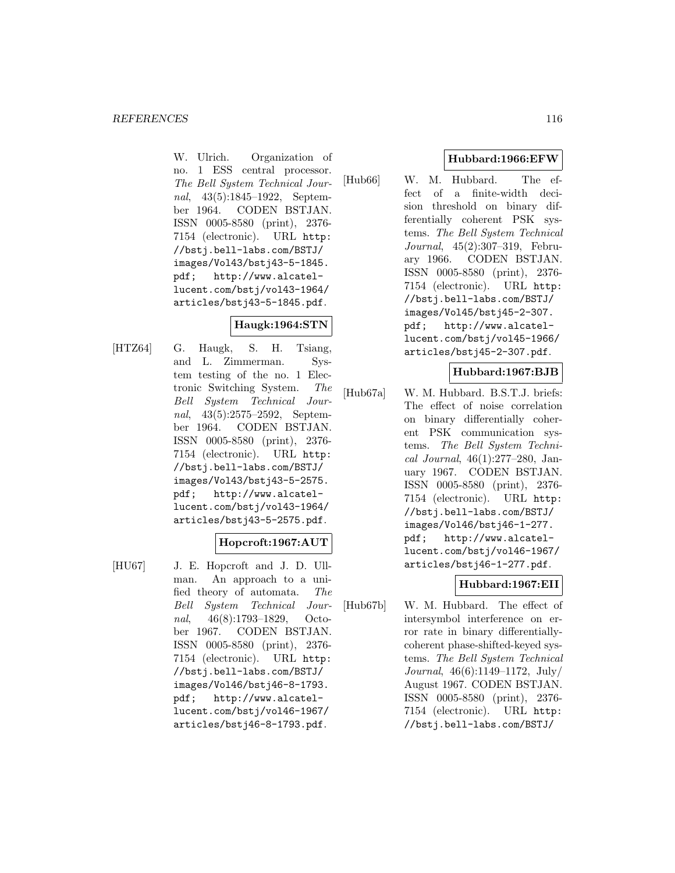W. Ulrich. Organization of no. 1 ESS central processor. The Bell System Technical Journal, 43(5):1845–1922, September 1964. CODEN BSTJAN. ISSN 0005-8580 (print), 2376- 7154 (electronic). URL http: //bstj.bell-labs.com/BSTJ/ images/Vol43/bstj43-5-1845. pdf; http://www.alcatellucent.com/bstj/vol43-1964/ articles/bstj43-5-1845.pdf.

# **Haugk:1964:STN**

[HTZ64] G. Haugk, S. H. Tsiang, and L. Zimmerman. System testing of the no. 1 Electronic Switching System. The Bell System Technical Journal, 43(5):2575–2592, September 1964. CODEN BSTJAN. ISSN 0005-8580 (print), 2376- 7154 (electronic). URL http: //bstj.bell-labs.com/BSTJ/ images/Vol43/bstj43-5-2575. pdf; http://www.alcatellucent.com/bstj/vol43-1964/ articles/bstj43-5-2575.pdf.

### **Hopcroft:1967:AUT**

- 
- [HU67] J. E. Hopcroft and J. D. Ullman. An approach to a unified theory of automata. The Bell System Technical Journal, 46(8):1793–1829, October 1967. CODEN BSTJAN. ISSN 0005-8580 (print), 2376- 7154 (electronic). URL http: //bstj.bell-labs.com/BSTJ/ images/Vol46/bstj46-8-1793. pdf; http://www.alcatellucent.com/bstj/vol46-1967/ articles/bstj46-8-1793.pdf.

# **Hubbard:1966:EFW**

[Hub66] W. M. Hubbard. The effect of a finite-width decision threshold on binary differentially coherent PSK systems. The Bell System Technical Journal, 45(2):307–319, February 1966. CODEN BSTJAN. ISSN 0005-8580 (print), 2376- 7154 (electronic). URL http: //bstj.bell-labs.com/BSTJ/ images/Vol45/bstj45-2-307. pdf; http://www.alcatellucent.com/bstj/vol45-1966/ articles/bstj45-2-307.pdf.

#### **Hubbard:1967:BJB**

[Hub67a] W. M. Hubbard. B.S.T.J. briefs: The effect of noise correlation on binary differentially coherent PSK communication systems. The Bell System Technical Journal, 46(1):277–280, January 1967. CODEN BSTJAN. ISSN 0005-8580 (print), 2376- 7154 (electronic). URL http: //bstj.bell-labs.com/BSTJ/ images/Vol46/bstj46-1-277. pdf; http://www.alcatellucent.com/bstj/vol46-1967/ articles/bstj46-1-277.pdf.

# **Hubbard:1967:EII**

[Hub67b] W. M. Hubbard. The effect of intersymbol interference on error rate in binary differentiallycoherent phase-shifted-keyed systems. The Bell System Technical Journal, 46(6):1149–1172, July/ August 1967. CODEN BSTJAN. ISSN 0005-8580 (print), 2376- 7154 (electronic). URL http: //bstj.bell-labs.com/BSTJ/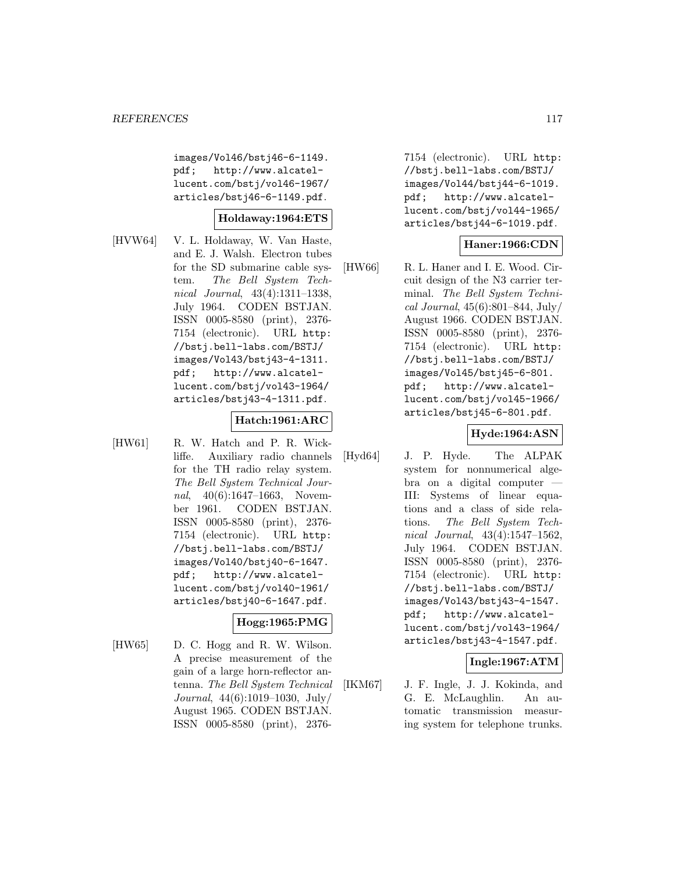images/Vol46/bstj46-6-1149. pdf; http://www.alcatellucent.com/bstj/vol46-1967/ articles/bstj46-6-1149.pdf.

### **Holdaway:1964:ETS**

[HVW64] V. L. Holdaway, W. Van Haste, and E. J. Walsh. Electron tubes for the SD submarine cable system. The Bell System Technical Journal, 43(4):1311–1338, July 1964. CODEN BSTJAN. ISSN 0005-8580 (print), 2376- 7154 (electronic). URL http: //bstj.bell-labs.com/BSTJ/ images/Vol43/bstj43-4-1311. pdf; http://www.alcatellucent.com/bstj/vol43-1964/ articles/bstj43-4-1311.pdf.

# **Hatch:1961:ARC**

[HW61] R. W. Hatch and P. R. Wickliffe. Auxiliary radio channels for the TH radio relay system. The Bell System Technical Journal, 40(6):1647-1663, November 1961. CODEN BSTJAN. ISSN 0005-8580 (print), 2376- 7154 (electronic). URL http: //bstj.bell-labs.com/BSTJ/ images/Vol40/bstj40-6-1647. pdf; http://www.alcatellucent.com/bstj/vol40-1961/ articles/bstj40-6-1647.pdf.

### **Hogg:1965:PMG**

[HW65] D. C. Hogg and R. W. Wilson. A precise measurement of the gain of a large horn-reflector antenna. The Bell System Technical Journal, 44(6):1019–1030, July/ August 1965. CODEN BSTJAN. ISSN 0005-8580 (print), 23767154 (electronic). URL http: //bstj.bell-labs.com/BSTJ/ images/Vol44/bstj44-6-1019. pdf; http://www.alcatellucent.com/bstj/vol44-1965/ articles/bstj44-6-1019.pdf.

# **Haner:1966:CDN**

[HW66] R. L. Haner and I. E. Wood. Circuit design of the N3 carrier terminal. The Bell System Technical Journal, 45(6):801–844, July/ August 1966. CODEN BSTJAN. ISSN 0005-8580 (print), 2376- 7154 (electronic). URL http: //bstj.bell-labs.com/BSTJ/ images/Vol45/bstj45-6-801. pdf; http://www.alcatellucent.com/bstj/vol45-1966/ articles/bstj45-6-801.pdf.

# **Hyde:1964:ASN**

[Hyd64] J. P. Hyde. The ALPAK system for nonnumerical algebra on a digital computer — III: Systems of linear equations and a class of side relations. The Bell System Technical Journal, 43(4):1547–1562, July 1964. CODEN BSTJAN. ISSN 0005-8580 (print), 2376- 7154 (electronic). URL http: //bstj.bell-labs.com/BSTJ/ images/Vol43/bstj43-4-1547. pdf; http://www.alcatellucent.com/bstj/vol43-1964/ articles/bstj43-4-1547.pdf.

# **Ingle:1967:ATM**

[IKM67] J. F. Ingle, J. J. Kokinda, and G. E. McLaughlin. An automatic transmission measuring system for telephone trunks.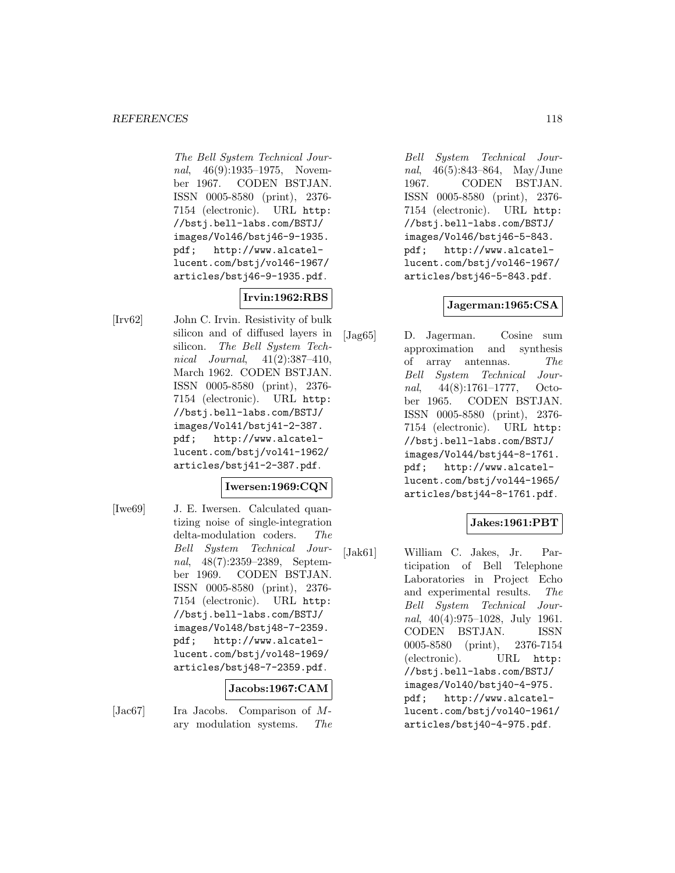The Bell System Technical Journal, 46(9):1935–1975, November 1967. CODEN BSTJAN. ISSN 0005-8580 (print), 2376- 7154 (electronic). URL http: //bstj.bell-labs.com/BSTJ/ images/Vol46/bstj46-9-1935. pdf; http://www.alcatellucent.com/bstj/vol46-1967/ articles/bstj46-9-1935.pdf.

# **Irvin:1962:RBS**

[Irv62] John C. Irvin. Resistivity of bulk silicon and of diffused layers in silicon. The Bell System Technical Journal, 41(2):387–410, March 1962. CODEN BSTJAN. ISSN 0005-8580 (print), 2376- 7154 (electronic). URL http: //bstj.bell-labs.com/BSTJ/ images/Vol41/bstj41-2-387. pdf; http://www.alcatellucent.com/bstj/vol41-1962/ articles/bstj41-2-387.pdf.

# **Iwersen:1969:CQN**

[Iwe69] J. E. Iwersen. Calculated quantizing noise of single-integration delta-modulation coders. The Bell System Technical Journal, 48(7):2359–2389, September 1969. CODEN BSTJAN. ISSN 0005-8580 (print), 2376- 7154 (electronic). URL http: //bstj.bell-labs.com/BSTJ/ images/Vol48/bstj48-7-2359. pdf; http://www.alcatellucent.com/bstj/vol48-1969/ articles/bstj48-7-2359.pdf.

# **Jacobs:1967:CAM**

- 
- [Jac67] Ira Jacobs. Comparison of Mary modulation systems. The

Bell System Technical Journal, 46(5):843–864, May/June 1967. CODEN BSTJAN. ISSN 0005-8580 (print), 2376- 7154 (electronic). URL http: //bstj.bell-labs.com/BSTJ/ images/Vol46/bstj46-5-843. pdf; http://www.alcatellucent.com/bstj/vol46-1967/ articles/bstj46-5-843.pdf.

# **Jagerman:1965:CSA**

[Jag65] D. Jagerman. Cosine sum approximation and synthesis of array antennas. The Bell System Technical Journal, 44(8):1761–1777, October 1965. CODEN BSTJAN. ISSN 0005-8580 (print), 2376- 7154 (electronic). URL http: //bstj.bell-labs.com/BSTJ/ images/Vol44/bstj44-8-1761. pdf; http://www.alcatellucent.com/bstj/vol44-1965/ articles/bstj44-8-1761.pdf.

# **Jakes:1961:PBT**

[Jak61] William C. Jakes, Jr. Participation of Bell Telephone Laboratories in Project Echo and experimental results. The Bell System Technical Journal, 40(4):975–1028, July 1961. CODEN BSTJAN. ISSN 0005-8580 (print), 2376-7154 (electronic). URL http: //bstj.bell-labs.com/BSTJ/ images/Vol40/bstj40-4-975. pdf; http://www.alcatellucent.com/bstj/vol40-1961/ articles/bstj40-4-975.pdf.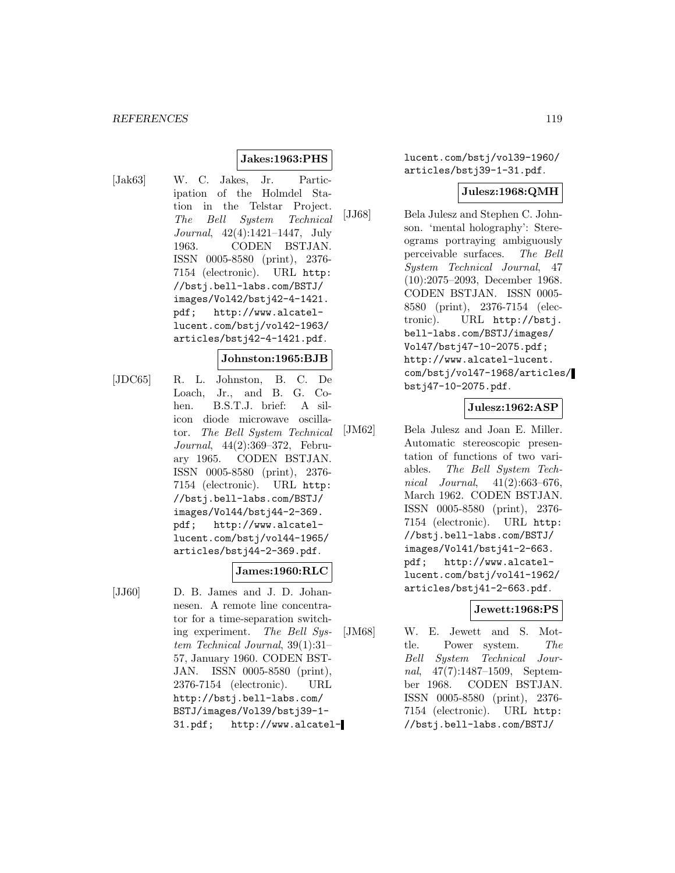# **Jakes:1963:PHS**

[Jak63] W. C. Jakes, Jr. Participation of the Holmdel Station in the Telstar Project. The Bell System Technical Journal, 42(4):1421–1447, July 1963. CODEN BSTJAN. ISSN 0005-8580 (print), 2376- 7154 (electronic). URL http: //bstj.bell-labs.com/BSTJ/ images/Vol42/bstj42-4-1421. pdf; http://www.alcatellucent.com/bstj/vol42-1963/ articles/bstj42-4-1421.pdf.

#### **Johnston:1965:BJB**

[JDC65] R. L. Johnston, B. C. De Loach, Jr., and B. G. Cohen. B.S.T.J. brief: A silicon diode microwave oscillator. The Bell System Technical Journal, 44(2):369–372, February 1965. CODEN BSTJAN. ISSN 0005-8580 (print), 2376- 7154 (electronic). URL http: //bstj.bell-labs.com/BSTJ/ images/Vol44/bstj44-2-369. pdf; http://www.alcatellucent.com/bstj/vol44-1965/ articles/bstj44-2-369.pdf.

### **James:1960:RLC**

[JJ60] D. B. James and J. D. Johannesen. A remote line concentrator for a time-separation switching experiment. The Bell System Technical Journal, 39(1):31– 57, January 1960. CODEN BST-JAN. ISSN 0005-8580 (print), 2376-7154 (electronic). URL http://bstj.bell-labs.com/ BSTJ/images/Vol39/bstj39-1- 31.pdf; http://www.alcatellucent.com/bstj/vol39-1960/ articles/bstj39-1-31.pdf.

#### **Julesz:1968:QMH**

[JJ68] Bela Julesz and Stephen C. Johnson. 'mental holography': Stereograms portraying ambiguously perceivable surfaces. The Bell System Technical Journal, 47 (10):2075–2093, December 1968. CODEN BSTJAN. ISSN 0005- 8580 (print), 2376-7154 (electronic). URL http://bstj. bell-labs.com/BSTJ/images/ Vol47/bstj47-10-2075.pdf; http://www.alcatel-lucent. com/bstj/vol47-1968/articles/ bstj47-10-2075.pdf.

#### **Julesz:1962:ASP**

[JM62] Bela Julesz and Joan E. Miller. Automatic stereoscopic presentation of functions of two variables. The Bell System Technical Journal, 41(2):663–676, March 1962. CODEN BSTJAN. ISSN 0005-8580 (print), 2376- 7154 (electronic). URL http: //bstj.bell-labs.com/BSTJ/ images/Vol41/bstj41-2-663. pdf; http://www.alcatellucent.com/bstj/vol41-1962/ articles/bstj41-2-663.pdf.

#### **Jewett:1968:PS**

[JM68] W. E. Jewett and S. Mottle. Power system. The Bell System Technical Journal, 47(7):1487–1509, September 1968. CODEN BSTJAN. ISSN 0005-8580 (print), 2376- 7154 (electronic). URL http: //bstj.bell-labs.com/BSTJ/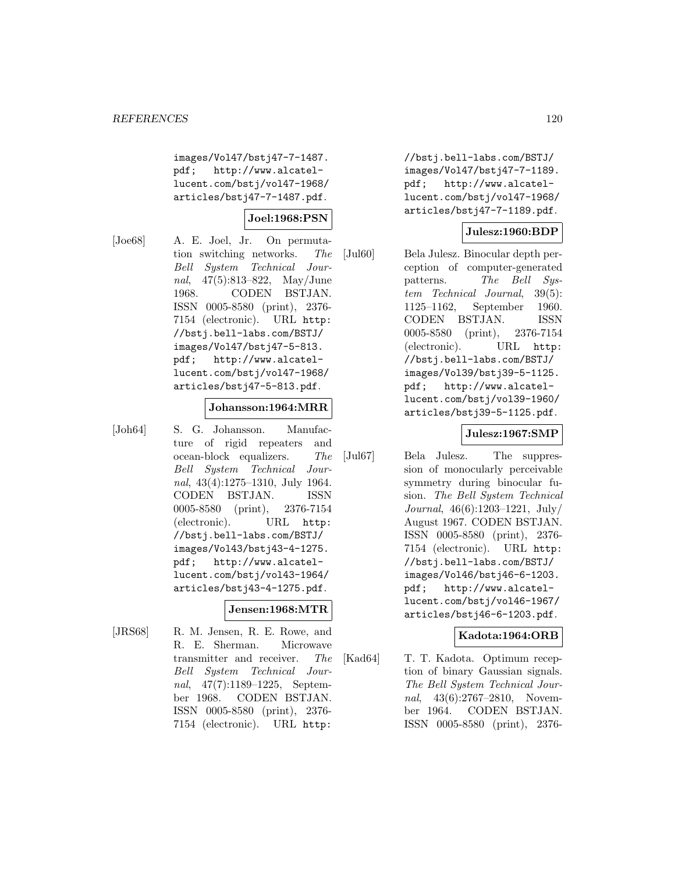images/Vol47/bstj47-7-1487. pdf; http://www.alcatellucent.com/bstj/vol47-1968/ articles/bstj47-7-1487.pdf.

### **Joel:1968:PSN**

[Joe68] A. E. Joel, Jr. On permutation switching networks. The Bell System Technical Journal, 47(5):813–822, May/June 1968. CODEN BSTJAN. ISSN 0005-8580 (print), 2376- 7154 (electronic). URL http: //bstj.bell-labs.com/BSTJ/ images/Vol47/bstj47-5-813. pdf; http://www.alcatellucent.com/bstj/vol47-1968/ articles/bstj47-5-813.pdf.

#### **Johansson:1964:MRR**

[Joh64] S. G. Johansson. Manufacture of rigid repeaters and ocean-block equalizers. The Bell System Technical Journal, 43(4):1275–1310, July 1964. CODEN BSTJAN. ISSN 0005-8580 (print), 2376-7154 (electronic). URL http: //bstj.bell-labs.com/BSTJ/ images/Vol43/bstj43-4-1275. pdf; http://www.alcatellucent.com/bstj/vol43-1964/ articles/bstj43-4-1275.pdf.

### **Jensen:1968:MTR**

[JRS68] R. M. Jensen, R. E. Rowe, and R. E. Sherman. Microwave transmitter and receiver. The Bell System Technical Journal, 47(7):1189–1225, September 1968. CODEN BSTJAN. ISSN 0005-8580 (print), 2376- 7154 (electronic). URL http:

//bstj.bell-labs.com/BSTJ/ images/Vol47/bstj47-7-1189. pdf; http://www.alcatellucent.com/bstj/vol47-1968/ articles/bstj47-7-1189.pdf.

# **Julesz:1960:BDP**

[Jul60] Bela Julesz. Binocular depth perception of computer-generated patterns. The Bell System Technical Journal, 39(5): 1125–1162, September 1960. CODEN BSTJAN. ISSN 0005-8580 (print), 2376-7154 (electronic). URL http: //bstj.bell-labs.com/BSTJ/ images/Vol39/bstj39-5-1125. pdf; http://www.alcatellucent.com/bstj/vol39-1960/ articles/bstj39-5-1125.pdf.

#### **Julesz:1967:SMP**

[Jul67] Bela Julesz. The suppression of monocularly perceivable symmetry during binocular fusion. The Bell System Technical Journal, 46(6):1203–1221, July/ August 1967. CODEN BSTJAN. ISSN 0005-8580 (print), 2376- 7154 (electronic). URL http: //bstj.bell-labs.com/BSTJ/ images/Vol46/bstj46-6-1203. pdf; http://www.alcatellucent.com/bstj/vol46-1967/ articles/bstj46-6-1203.pdf.

### **Kadota:1964:ORB**

[Kad64] T. T. Kadota. Optimum reception of binary Gaussian signals. The Bell System Technical Journal, 43(6):2767–2810, November 1964. CODEN BSTJAN. ISSN 0005-8580 (print), 2376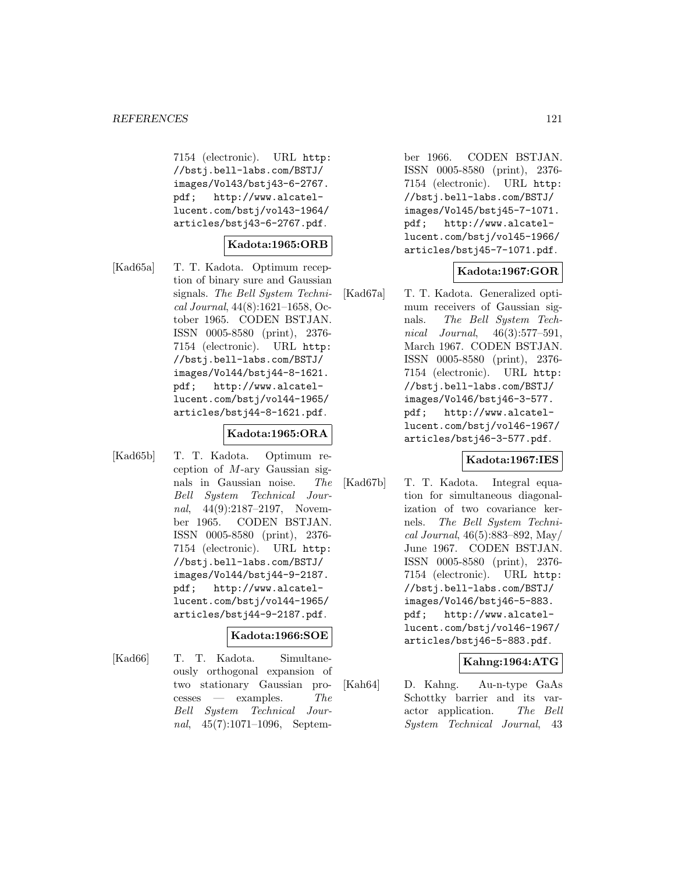7154 (electronic). URL http: //bstj.bell-labs.com/BSTJ/ images/Vol43/bstj43-6-2767. pdf; http://www.alcatellucent.com/bstj/vol43-1964/ articles/bstj43-6-2767.pdf.

### **Kadota:1965:ORB**

[Kad65a] T. T. Kadota. Optimum reception of binary sure and Gaussian signals. The Bell System Technical Journal, 44(8):1621–1658, October 1965. CODEN BSTJAN. ISSN 0005-8580 (print), 2376- 7154 (electronic). URL http: //bstj.bell-labs.com/BSTJ/ images/Vol44/bstj44-8-1621. pdf; http://www.alcatellucent.com/bstj/vol44-1965/ articles/bstj44-8-1621.pdf.

### **Kadota:1965:ORA**

[Kad65b] T. T. Kadota. Optimum reception of  $M$ -ary Gaussian signals in Gaussian noise. The Bell System Technical Journal, 44(9):2187-2197, November 1965. CODEN BSTJAN. ISSN 0005-8580 (print), 2376- 7154 (electronic). URL http: //bstj.bell-labs.com/BSTJ/ images/Vol44/bstj44-9-2187. pdf; http://www.alcatellucent.com/bstj/vol44-1965/ articles/bstj44-9-2187.pdf.

# **Kadota:1966:SOE**

[Kad66] T. T. Kadota. Simultaneously orthogonal expansion of two stationary Gaussian pro $c$ esses — examples. The Bell System Technical Journal, 45(7):1071–1096, September 1966. CODEN BSTJAN. ISSN 0005-8580 (print), 2376- 7154 (electronic). URL http: //bstj.bell-labs.com/BSTJ/ images/Vol45/bstj45-7-1071. pdf; http://www.alcatellucent.com/bstj/vol45-1966/ articles/bstj45-7-1071.pdf.

# **Kadota:1967:GOR**

[Kad67a] T. T. Kadota. Generalized optimum receivers of Gaussian signals. The Bell System Technical Journal, 46(3):577–591, March 1967. CODEN BSTJAN. ISSN 0005-8580 (print), 2376- 7154 (electronic). URL http: //bstj.bell-labs.com/BSTJ/ images/Vol46/bstj46-3-577. pdf; http://www.alcatellucent.com/bstj/vol46-1967/ articles/bstj46-3-577.pdf.

# **Kadota:1967:IES**

[Kad67b] T. T. Kadota. Integral equation for simultaneous diagonalization of two covariance kernels. The Bell System Technical Journal, 46(5):883–892, May/ June 1967. CODEN BSTJAN. ISSN 0005-8580 (print), 2376- 7154 (electronic). URL http: //bstj.bell-labs.com/BSTJ/ images/Vol46/bstj46-5-883. pdf; http://www.alcatellucent.com/bstj/vol46-1967/ articles/bstj46-5-883.pdf.

# **Kahng:1964:ATG**

[Kah64] D. Kahng. Au-n-type GaAs Schottky barrier and its varactor application. The Bell System Technical Journal, 43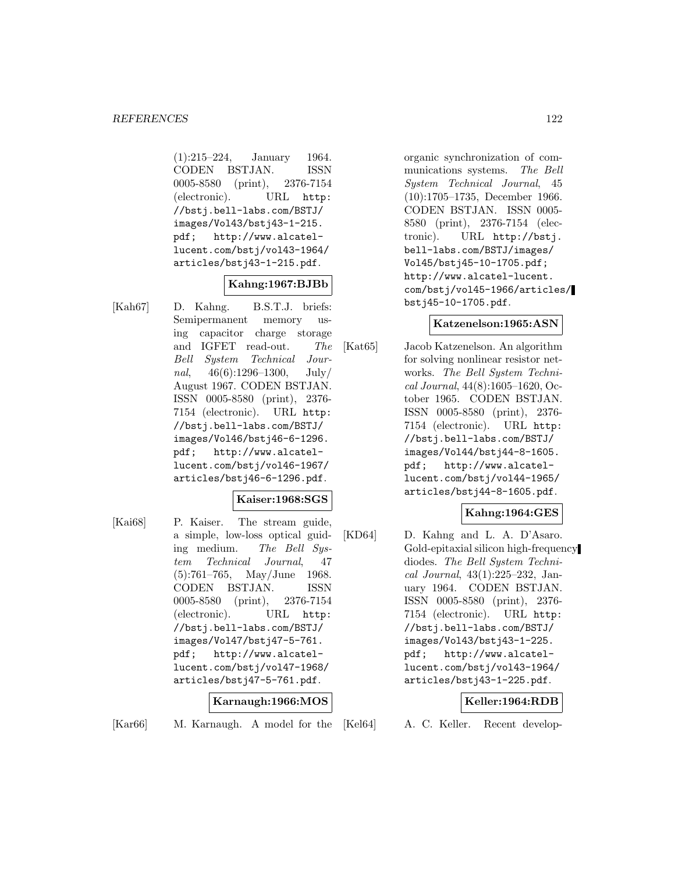(1):215–224, January 1964. CODEN BSTJAN. ISSN 0005-8580 (print), 2376-7154 (electronic). URL http: //bstj.bell-labs.com/BSTJ/ images/Vol43/bstj43-1-215. pdf; http://www.alcatellucent.com/bstj/vol43-1964/ articles/bstj43-1-215.pdf.

### **Kahng:1967:BJBb**

[Kah67] D. Kahng. B.S.T.J. briefs: Semipermanent memory using capacitor charge storage and IGFET read-out. The Bell System Technical Journal,  $46(6):1296-1300$ , July/ August 1967. CODEN BSTJAN. ISSN 0005-8580 (print), 2376- 7154 (electronic). URL http: //bstj.bell-labs.com/BSTJ/ images/Vol46/bstj46-6-1296. pdf; http://www.alcatellucent.com/bstj/vol46-1967/ articles/bstj46-6-1296.pdf.

### **Kaiser:1968:SGS**

[Kai68] P. Kaiser. The stream guide, a simple, low-loss optical guiding medium. The Bell System Technical Journal, 47 (5):761–765, May/June 1968. CODEN BSTJAN. ISSN 0005-8580 (print), 2376-7154 (electronic). URL http: //bstj.bell-labs.com/BSTJ/ images/Vol47/bstj47-5-761. pdf; http://www.alcatellucent.com/bstj/vol47-1968/ articles/bstj47-5-761.pdf.

### **Karnaugh:1966:MOS**

[Kar66] M. Karnaugh. A model for the

organic synchronization of communications systems. The Bell System Technical Journal, 45 (10):1705–1735, December 1966. CODEN BSTJAN. ISSN 0005- 8580 (print), 2376-7154 (electronic). URL http://bstj. bell-labs.com/BSTJ/images/ Vol45/bstj45-10-1705.pdf; http://www.alcatel-lucent. com/bstj/vol45-1966/articles/ bstj45-10-1705.pdf.

# **Katzenelson:1965:ASN**

[Kat65] Jacob Katzenelson. An algorithm for solving nonlinear resistor networks. The Bell System Technical Journal, 44(8):1605–1620, October 1965. CODEN BSTJAN. ISSN 0005-8580 (print), 2376- 7154 (electronic). URL http: //bstj.bell-labs.com/BSTJ/ images/Vol44/bstj44-8-1605. pdf; http://www.alcatellucent.com/bstj/vol44-1965/ articles/bstj44-8-1605.pdf.

# **Kahng:1964:GES**

[KD64] D. Kahng and L. A. D'Asaro. Gold-epitaxial silicon high-frequency diodes. The Bell System Technical Journal, 43(1):225–232, January 1964. CODEN BSTJAN. ISSN 0005-8580 (print), 2376- 7154 (electronic). URL http: //bstj.bell-labs.com/BSTJ/ images/Vol43/bstj43-1-225. pdf; http://www.alcatellucent.com/bstj/vol43-1964/ articles/bstj43-1-225.pdf.

### **Keller:1964:RDB**

[Kel64] A. C. Keller. Recent develop-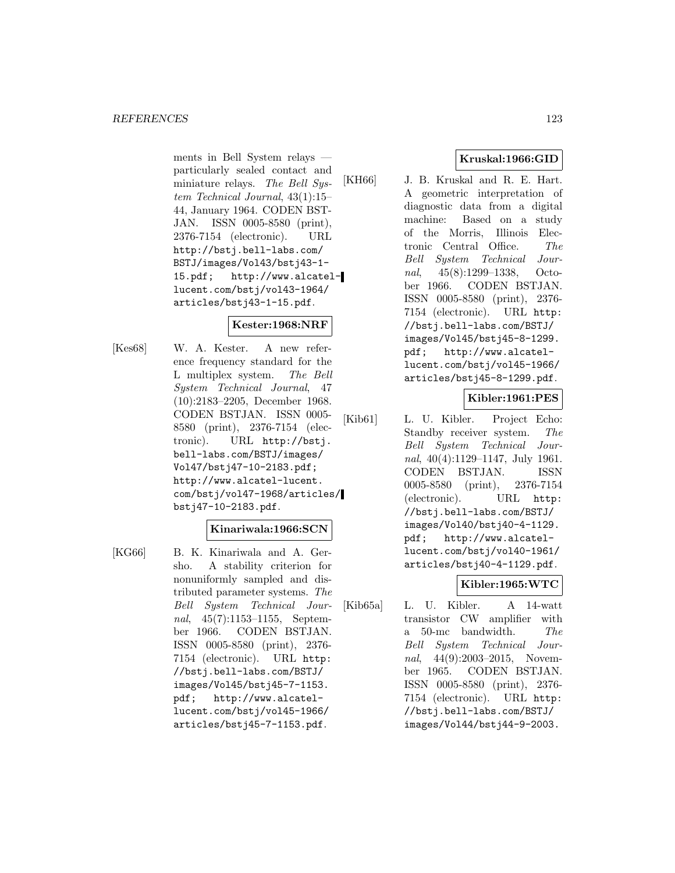ments in Bell System relays particularly sealed contact and miniature relays. The Bell System Technical Journal, 43(1):15– 44, January 1964. CODEN BST-JAN. ISSN 0005-8580 (print), 2376-7154 (electronic). URL http://bstj.bell-labs.com/ BSTJ/images/Vol43/bstj43-1- 15.pdf; http://www.alcatellucent.com/bstj/vol43-1964/ articles/bstj43-1-15.pdf.

# **Kester:1968:NRF**

[Kes68] W. A. Kester. A new reference frequency standard for the L multiplex system. The Bell System Technical Journal, 47 (10):2183–2205, December 1968. CODEN BSTJAN. ISSN 0005- 8580 (print), 2376-7154 (electronic). URL http://bstj. bell-labs.com/BSTJ/images/ Vol47/bstj47-10-2183.pdf; http://www.alcatel-lucent. com/bstj/vol47-1968/articles/ bstj47-10-2183.pdf.

# **Kinariwala:1966:SCN**

- 
- [KG66] B. K. Kinariwala and A. Gersho. A stability criterion for nonuniformly sampled and distributed parameter systems. The Bell System Technical Journal, 45(7):1153–1155, September 1966. CODEN BSTJAN. ISSN 0005-8580 (print), 2376- 7154 (electronic). URL http: //bstj.bell-labs.com/BSTJ/ images/Vol45/bstj45-7-1153. pdf; http://www.alcatellucent.com/bstj/vol45-1966/ articles/bstj45-7-1153.pdf.

# **Kruskal:1966:GID**

[KH66] J. B. Kruskal and R. E. Hart. A geometric interpretation of diagnostic data from a digital machine: Based on a study of the Morris, Illinois Electronic Central Office. The Bell System Technical Journal, 45(8):1299–1338, October 1966. CODEN BSTJAN. ISSN 0005-8580 (print), 2376- 7154 (electronic). URL http: //bstj.bell-labs.com/BSTJ/ images/Vol45/bstj45-8-1299. pdf; http://www.alcatellucent.com/bstj/vol45-1966/ articles/bstj45-8-1299.pdf.

# **Kibler:1961:PES**

[Kib61] L. U. Kibler. Project Echo: Standby receiver system. The Bell System Technical Journal, 40(4):1129–1147, July 1961. CODEN BSTJAN. ISSN 0005-8580 (print), 2376-7154 (electronic). URL http: //bstj.bell-labs.com/BSTJ/ images/Vol40/bstj40-4-1129. pdf; http://www.alcatellucent.com/bstj/vol40-1961/ articles/bstj40-4-1129.pdf.

# **Kibler:1965:WTC**

[Kib65a] L. U. Kibler. A 14-watt transistor CW amplifier with a 50-mc bandwidth. The Bell System Technical Journal, 44(9):2003–2015, November 1965. CODEN BSTJAN. ISSN 0005-8580 (print), 2376- 7154 (electronic). URL http: //bstj.bell-labs.com/BSTJ/ images/Vol44/bstj44-9-2003.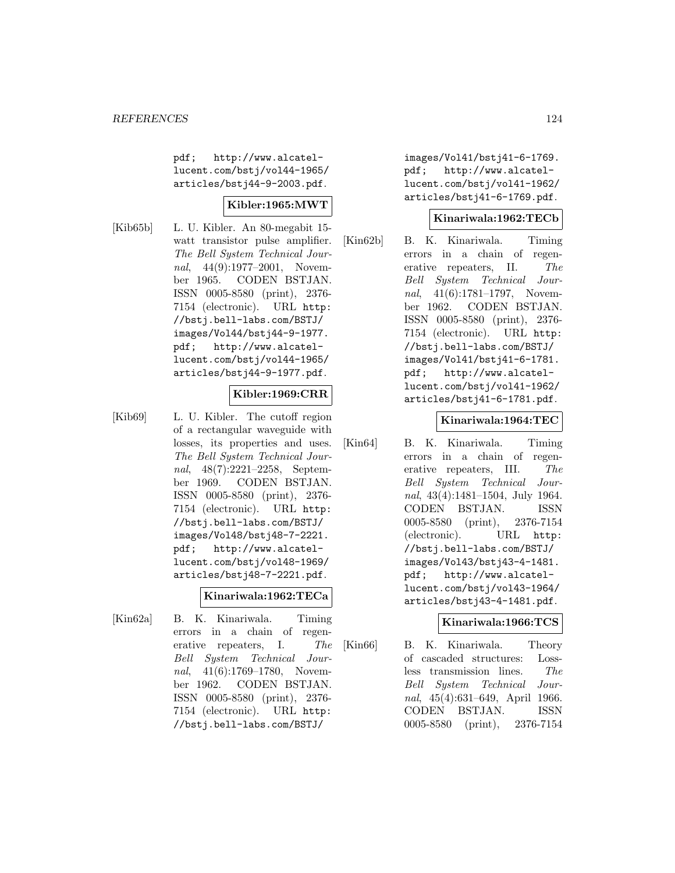pdf; http://www.alcatellucent.com/bstj/vol44-1965/ articles/bstj44-9-2003.pdf.

### **Kibler:1965:MWT**

[Kib65b] L. U. Kibler. An 80-megabit 15 watt transistor pulse amplifier. The Bell System Technical Journal, 44(9):1977–2001, November 1965. CODEN BSTJAN. ISSN 0005-8580 (print), 2376- 7154 (electronic). URL http: //bstj.bell-labs.com/BSTJ/ images/Vol44/bstj44-9-1977. pdf; http://www.alcatellucent.com/bstj/vol44-1965/ articles/bstj44-9-1977.pdf.

# **Kibler:1969:CRR**

[Kib69] L. U. Kibler. The cutoff region of a rectangular waveguide with losses, its properties and uses. The Bell System Technical Journal, 48(7):2221–2258, September 1969. CODEN BSTJAN. ISSN 0005-8580 (print), 2376- 7154 (electronic). URL http: //bstj.bell-labs.com/BSTJ/ images/Vol48/bstj48-7-2221. pdf; http://www.alcatellucent.com/bstj/vol48-1969/ articles/bstj48-7-2221.pdf.

#### **Kinariwala:1962:TECa**

[Kin62a] B. K. Kinariwala. Timing errors in a chain of regenerative repeaters, I. The Bell System Technical Journal, 41(6):1769–1780, November 1962. CODEN BSTJAN. ISSN 0005-8580 (print), 2376- 7154 (electronic). URL http: //bstj.bell-labs.com/BSTJ/

images/Vol41/bstj41-6-1769. pdf; http://www.alcatellucent.com/bstj/vol41-1962/ articles/bstj41-6-1769.pdf.

### **Kinariwala:1962:TECb**

[Kin62b] B. K. Kinariwala. Timing errors in a chain of regenerative repeaters, II. The Bell System Technical Journal, 41(6):1781–1797, November 1962. CODEN BSTJAN. ISSN 0005-8580 (print), 2376- 7154 (electronic). URL http: //bstj.bell-labs.com/BSTJ/ images/Vol41/bstj41-6-1781. pdf; http://www.alcatellucent.com/bstj/vol41-1962/ articles/bstj41-6-1781.pdf.

#### **Kinariwala:1964:TEC**

[Kin64] B. K. Kinariwala. Timing errors in a chain of regenerative repeaters, III. The Bell System Technical Journal, 43(4):1481–1504, July 1964. CODEN BSTJAN. ISSN 0005-8580 (print), 2376-7154 (electronic). URL http: //bstj.bell-labs.com/BSTJ/ images/Vol43/bstj43-4-1481. pdf; http://www.alcatellucent.com/bstj/vol43-1964/ articles/bstj43-4-1481.pdf.

### **Kinariwala:1966:TCS**

[Kin66] B. K. Kinariwala. Theory of cascaded structures: Lossless transmission lines. The Bell System Technical Journal, 45(4):631–649, April 1966. CODEN BSTJAN. ISSN 0005-8580 (print), 2376-7154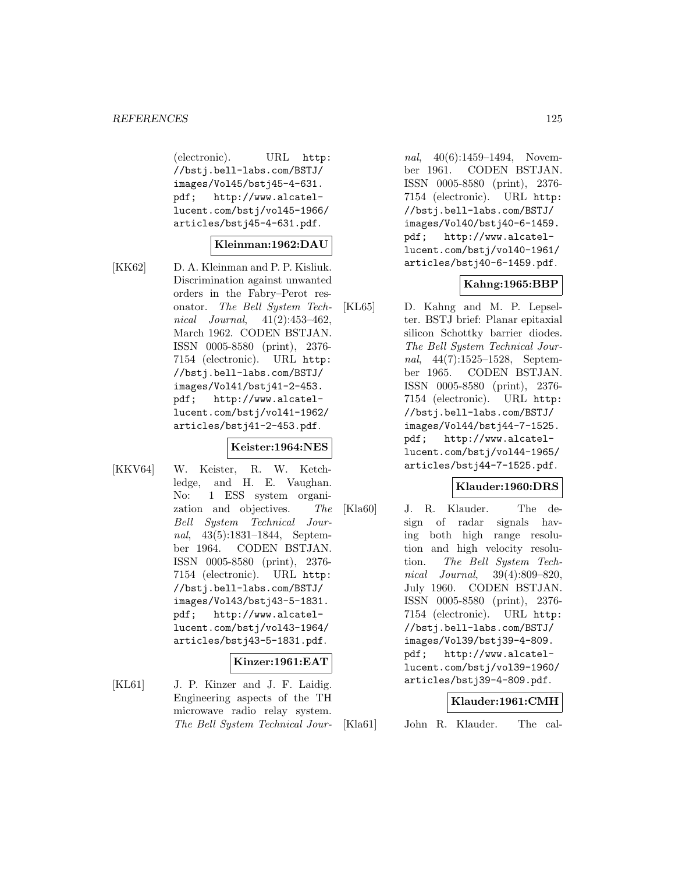(electronic). URL http: //bstj.bell-labs.com/BSTJ/ images/Vol45/bstj45-4-631. pdf; http://www.alcatellucent.com/bstj/vol45-1966/ articles/bstj45-4-631.pdf.

### **Kleinman:1962:DAU**

[KK62] D. A. Kleinman and P. P. Kisliuk. Discrimination against unwanted orders in the Fabry–Perot resonator. The Bell System Technical Journal, 41(2):453–462, March 1962. CODEN BSTJAN. ISSN 0005-8580 (print), 2376- 7154 (electronic). URL http: //bstj.bell-labs.com/BSTJ/ images/Vol41/bstj41-2-453. pdf; http://www.alcatellucent.com/bstj/vol41-1962/ articles/bstj41-2-453.pdf.

### **Keister:1964:NES**

[KKV64] W. Keister, R. W. Ketchledge, and H. E. Vaughan. No: 1 ESS system organization and objectives. The Bell System Technical Journal, 43(5):1831–1844, September 1964. CODEN BSTJAN. ISSN 0005-8580 (print), 2376- 7154 (electronic). URL http: //bstj.bell-labs.com/BSTJ/ images/Vol43/bstj43-5-1831. pdf; http://www.alcatellucent.com/bstj/vol43-1964/ articles/bstj43-5-1831.pdf.

#### **Kinzer:1961:EAT**

[KL61] J. P. Kinzer and J. F. Laidig. Engineering aspects of the TH microwave radio relay system. The Bell System Technical Jour-

nal, 40(6):1459-1494, November 1961. CODEN BSTJAN. ISSN 0005-8580 (print), 2376- 7154 (electronic). URL http: //bstj.bell-labs.com/BSTJ/ images/Vol40/bstj40-6-1459. pdf; http://www.alcatellucent.com/bstj/vol40-1961/ articles/bstj40-6-1459.pdf.

# **Kahng:1965:BBP**

[KL65] D. Kahng and M. P. Lepselter. BSTJ brief: Planar epitaxial silicon Schottky barrier diodes. The Bell System Technical Journal, 44(7):1525–1528, September 1965. CODEN BSTJAN. ISSN 0005-8580 (print), 2376- 7154 (electronic). URL http: //bstj.bell-labs.com/BSTJ/ images/Vol44/bstj44-7-1525. pdf; http://www.alcatellucent.com/bstj/vol44-1965/ articles/bstj44-7-1525.pdf.

### **Klauder:1960:DRS**

[Kla60] J. R. Klauder. The design of radar signals having both high range resolution and high velocity resolution. The Bell System Technical Journal, 39(4):809–820, July 1960. CODEN BSTJAN. ISSN 0005-8580 (print), 2376- 7154 (electronic). URL http: //bstj.bell-labs.com/BSTJ/ images/Vol39/bstj39-4-809. pdf; http://www.alcatellucent.com/bstj/vol39-1960/ articles/bstj39-4-809.pdf.

### **Klauder:1961:CMH**

- [Kla61] John R. Klauder. The cal-
-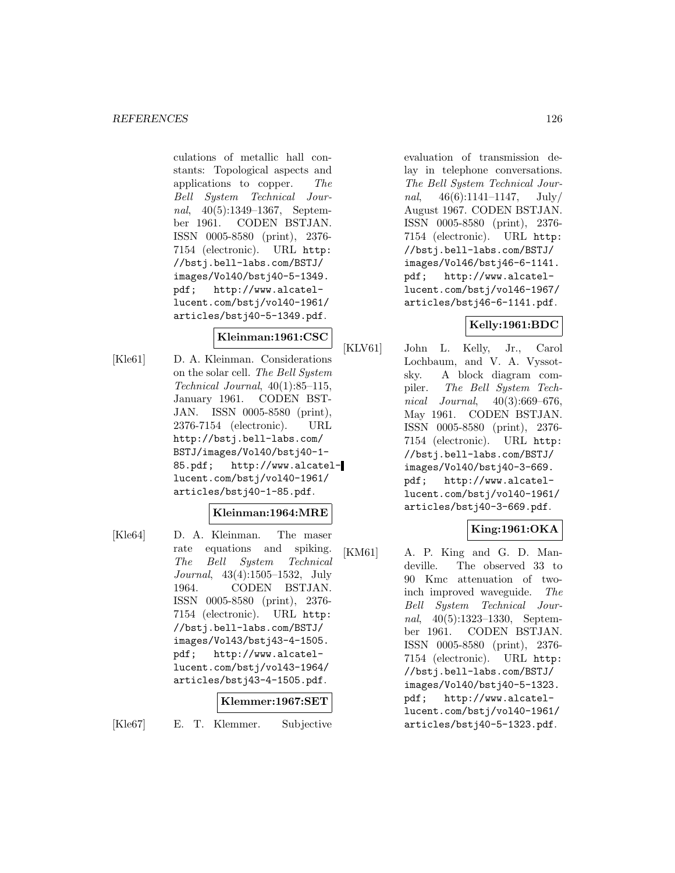culations of metallic hall constants: Topological aspects and applications to copper. The Bell System Technical Journal, 40(5):1349–1367, September 1961. CODEN BSTJAN. ISSN 0005-8580 (print), 2376- 7154 (electronic). URL http: //bstj.bell-labs.com/BSTJ/ images/Vol40/bstj40-5-1349. pdf; http://www.alcatellucent.com/bstj/vol40-1961/ articles/bstj40-5-1349.pdf.

# **Kleinman:1961:CSC**

[Kle61] D. A. Kleinman. Considerations on the solar cell. The Bell System Technical Journal, 40(1):85–115, January 1961. CODEN BST-JAN. ISSN 0005-8580 (print), 2376-7154 (electronic). URL http://bstj.bell-labs.com/ BSTJ/images/Vol40/bstj40-1- 85.pdf; http://www.alcatellucent.com/bstj/vol40-1961/ articles/bstj40-1-85.pdf.

# **Kleinman:1964:MRE**

[Kle64] D. A. Kleinman. The maser rate equations and spiking. The Bell System Technical Journal, 43(4):1505–1532, July 1964. CODEN BSTJAN. ISSN 0005-8580 (print), 2376- 7154 (electronic). URL http: //bstj.bell-labs.com/BSTJ/ images/Vol43/bstj43-4-1505. pdf; http://www.alcatellucent.com/bstj/vol43-1964/ articles/bstj43-4-1505.pdf.

### **Klemmer:1967:SET**

[Kle67] E. T. Klemmer. Subjective

evaluation of transmission delay in telephone conversations. The Bell System Technical Journal,  $46(6):1141-1147$ ,  $\text{July}/$ August 1967. CODEN BSTJAN. ISSN 0005-8580 (print), 2376- 7154 (electronic). URL http: //bstj.bell-labs.com/BSTJ/ images/Vol46/bstj46-6-1141. pdf; http://www.alcatellucent.com/bstj/vol46-1967/ articles/bstj46-6-1141.pdf.

# **Kelly:1961:BDC**

[KLV61] John L. Kelly, Jr., Carol Lochbaum, and V. A. Vyssotsky. A block diagram compiler. The Bell System Technical Journal,  $40(3):669-676$ , May 1961. CODEN BSTJAN. ISSN 0005-8580 (print), 2376- 7154 (electronic). URL http: //bstj.bell-labs.com/BSTJ/ images/Vol40/bstj40-3-669. pdf; http://www.alcatellucent.com/bstj/vol40-1961/ articles/bstj40-3-669.pdf.

# **King:1961:OKA**

[KM61] A. P. King and G. D. Mandeville. The observed 33 to 90 Kmc attenuation of twoinch improved waveguide. The Bell System Technical Journal, 40(5):1323–1330, September 1961. CODEN BSTJAN. ISSN 0005-8580 (print), 2376- 7154 (electronic). URL http: //bstj.bell-labs.com/BSTJ/ images/Vol40/bstj40-5-1323. pdf; http://www.alcatellucent.com/bstj/vol40-1961/ articles/bstj40-5-1323.pdf.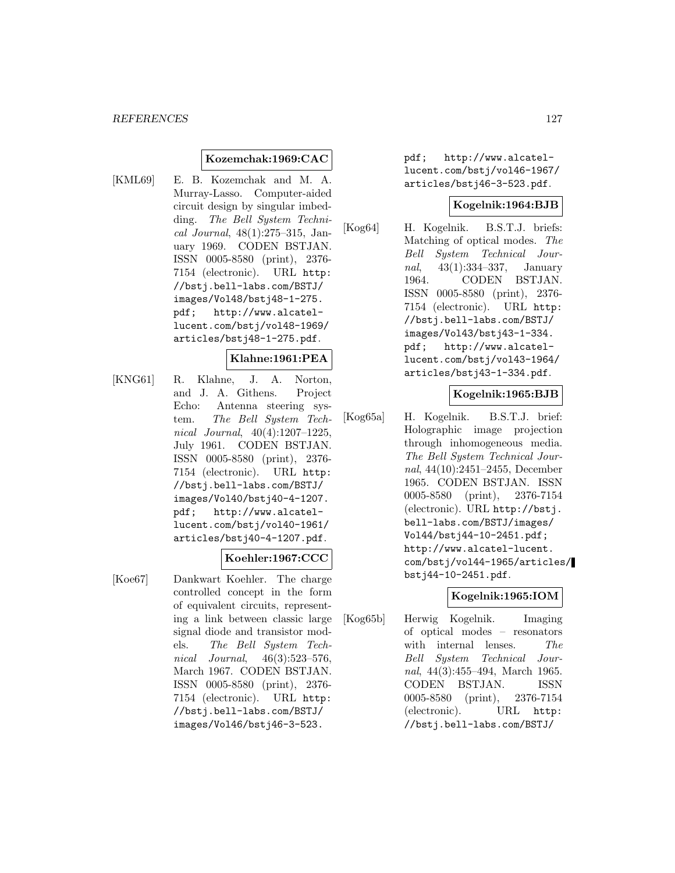### **Kozemchak:1969:CAC**

[KML69] E. B. Kozemchak and M. A. Murray-Lasso. Computer-aided circuit design by singular imbedding. The Bell System Technical Journal, 48(1):275–315, January 1969. CODEN BSTJAN. ISSN 0005-8580 (print), 2376- 7154 (electronic). URL http: //bstj.bell-labs.com/BSTJ/ images/Vol48/bstj48-1-275. pdf; http://www.alcatellucent.com/bstj/vol48-1969/ articles/bstj48-1-275.pdf.

### **Klahne:1961:PEA**

[KNG61] R. Klahne, J. A. Norton, and J. A. Githens. Project Echo: Antenna steering system. The Bell System Technical Journal, 40(4):1207–1225, July 1961. CODEN BSTJAN. ISSN 0005-8580 (print), 2376- 7154 (electronic). URL http: //bstj.bell-labs.com/BSTJ/ images/Vol40/bstj40-4-1207. pdf; http://www.alcatellucent.com/bstj/vol40-1961/ articles/bstj40-4-1207.pdf.

### **Koehler:1967:CCC**

[Koe67] Dankwart Koehler. The charge controlled concept in the form of equivalent circuits, representing a link between classic large signal diode and transistor models. The Bell System Technical Journal, 46(3):523–576, March 1967. CODEN BSTJAN. ISSN 0005-8580 (print), 2376- 7154 (electronic). URL http: //bstj.bell-labs.com/BSTJ/ images/Vol46/bstj46-3-523.

pdf; http://www.alcatellucent.com/bstj/vol46-1967/ articles/bstj46-3-523.pdf.

#### **Kogelnik:1964:BJB**

[Kog64] H. Kogelnik. B.S.T.J. briefs: Matching of optical modes. The Bell System Technical Journal, 43(1):334–337, January 1964. CODEN BSTJAN. ISSN 0005-8580 (print), 2376- 7154 (electronic). URL http: //bstj.bell-labs.com/BSTJ/ images/Vol43/bstj43-1-334. pdf; http://www.alcatellucent.com/bstj/vol43-1964/ articles/bstj43-1-334.pdf.

### **Kogelnik:1965:BJB**

[Kog65a] H. Kogelnik. B.S.T.J. brief: Holographic image projection through inhomogeneous media. The Bell System Technical Journal, 44(10):2451–2455, December 1965. CODEN BSTJAN. ISSN 0005-8580 (print), 2376-7154 (electronic). URL http://bstj. bell-labs.com/BSTJ/images/ Vol44/bstj44-10-2451.pdf; http://www.alcatel-lucent. com/bstj/vol44-1965/articles/ bstj44-10-2451.pdf.

### **Kogelnik:1965:IOM**

[Kog65b] Herwig Kogelnik. Imaging of optical modes – resonators with internal lenses. The Bell System Technical Journal, 44(3):455–494, March 1965. CODEN BSTJAN. ISSN 0005-8580 (print), 2376-7154 (electronic). URL http: //bstj.bell-labs.com/BSTJ/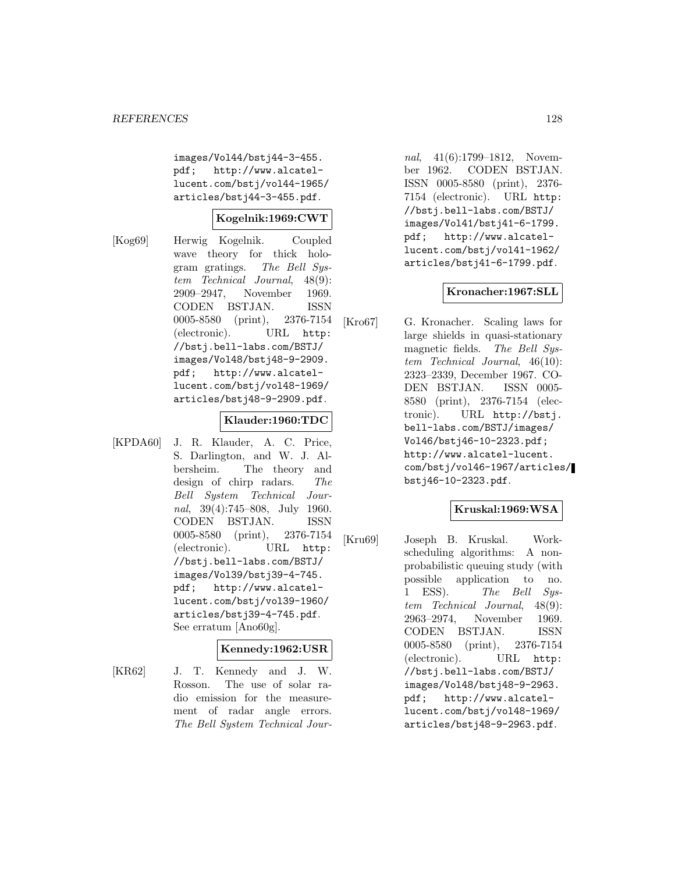images/Vol44/bstj44-3-455. pdf; http://www.alcatellucent.com/bstj/vol44-1965/ articles/bstj44-3-455.pdf.

### **Kogelnik:1969:CWT**

[Kog69] Herwig Kogelnik. Coupled wave theory for thick hologram gratings. The Bell System Technical Journal, 48(9): 2909–2947, November 1969. CODEN BSTJAN. ISSN 0005-8580 (print), 2376-7154 (electronic). URL http: //bstj.bell-labs.com/BSTJ/ images/Vol48/bstj48-9-2909. pdf; http://www.alcatellucent.com/bstj/vol48-1969/ articles/bstj48-9-2909.pdf.

### **Klauder:1960:TDC**

[KPDA60] J. R. Klauder, A. C. Price, S. Darlington, and W. J. Albersheim. The theory and design of chirp radars. The Bell System Technical Journal, 39(4):745–808, July 1960. CODEN BSTJAN. ISSN 0005-8580 (print), 2376-7154 (electronic). URL http: //bstj.bell-labs.com/BSTJ/ images/Vol39/bstj39-4-745. pdf; http://www.alcatellucent.com/bstj/vol39-1960/ articles/bstj39-4-745.pdf. See erratum [Ano60g].

### **Kennedy:1962:USR**

[KR62] J. T. Kennedy and J. W. Rosson. The use of solar radio emission for the measurement of radar angle errors. The Bell System Technical Jour-

nal, 41(6):1799–1812, November 1962. CODEN BSTJAN. ISSN 0005-8580 (print), 2376- 7154 (electronic). URL http: //bstj.bell-labs.com/BSTJ/ images/Vol41/bstj41-6-1799. pdf; http://www.alcatellucent.com/bstj/vol41-1962/ articles/bstj41-6-1799.pdf.

# **Kronacher:1967:SLL**

[Kro67] G. Kronacher. Scaling laws for large shields in quasi-stationary magnetic fields. The Bell System Technical Journal, 46(10): 2323–2339, December 1967. CO-DEN BSTJAN. ISSN 0005- 8580 (print), 2376-7154 (electronic). URL http://bstj. bell-labs.com/BSTJ/images/ Vol46/bstj46-10-2323.pdf; http://www.alcatel-lucent. com/bstj/vol46-1967/articles/ bstj46-10-2323.pdf.

# **Kruskal:1969:WSA**

[Kru69] Joseph B. Kruskal. Workscheduling algorithms: A nonprobabilistic queuing study (with possible application to no. 1 ESS). The Bell System Technical Journal, 48(9): 2963–2974, November 1969. CODEN BSTJAN. ISSN 0005-8580 (print), 2376-7154 (electronic). URL http: //bstj.bell-labs.com/BSTJ/ images/Vol48/bstj48-9-2963. pdf; http://www.alcatellucent.com/bstj/vol48-1969/ articles/bstj48-9-2963.pdf.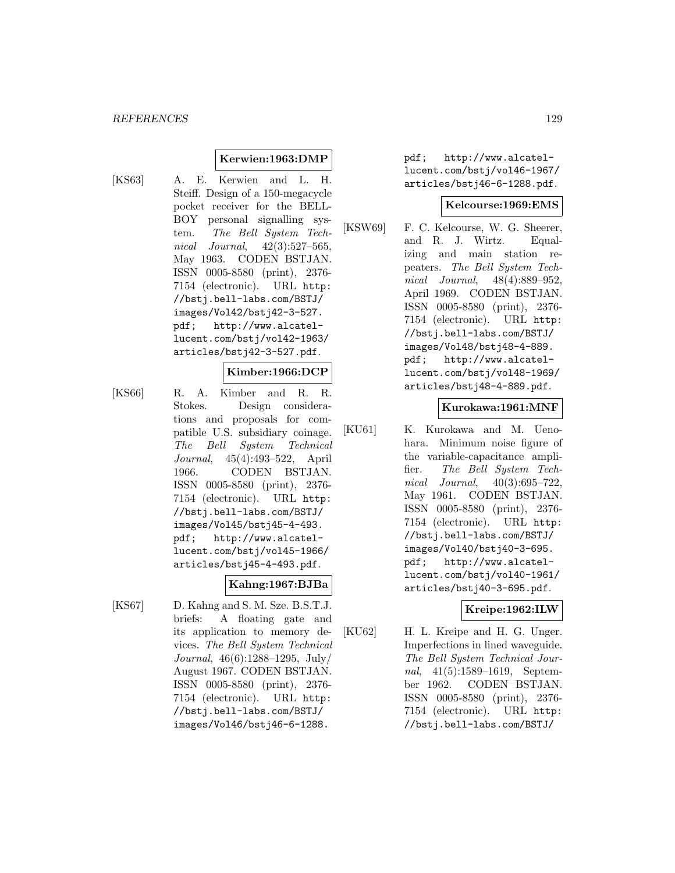# **Kerwien:1963:DMP**

[KS63] A. E. Kerwien and L. H. Steiff. Design of a 150-megacycle pocket receiver for the BELL-BOY personal signalling system. The Bell System Technical Journal, 42(3):527–565, May 1963. CODEN BSTJAN. ISSN 0005-8580 (print), 2376- 7154 (electronic). URL http: //bstj.bell-labs.com/BSTJ/ images/Vol42/bstj42-3-527. pdf; http://www.alcatellucent.com/bstj/vol42-1963/ articles/bstj42-3-527.pdf.

#### **Kimber:1966:DCP**

[KS66] R. A. Kimber and R. R. Stokes. Design considerations and proposals for compatible U.S. subsidiary coinage. The Bell System Technical Journal, 45(4):493–522, April 1966. CODEN BSTJAN. ISSN 0005-8580 (print), 2376- 7154 (electronic). URL http: //bstj.bell-labs.com/BSTJ/ images/Vol45/bstj45-4-493. pdf; http://www.alcatellucent.com/bstj/vol45-1966/ articles/bstj45-4-493.pdf.

### **Kahng:1967:BJBa**

[KS67] D. Kahng and S. M. Sze. B.S.T.J. briefs: A floating gate and its application to memory devices. The Bell System Technical Journal, 46(6):1288–1295, July/ August 1967. CODEN BSTJAN. ISSN 0005-8580 (print), 2376- 7154 (electronic). URL http: //bstj.bell-labs.com/BSTJ/ images/Vol46/bstj46-6-1288.

pdf; http://www.alcatellucent.com/bstj/vol46-1967/ articles/bstj46-6-1288.pdf.

#### **Kelcourse:1969:EMS**

[KSW69] F. C. Kelcourse, W. G. Sheerer, and R. J. Wirtz. Equalizing and main station repeaters. The Bell System Technical Journal, 48(4):889–952, April 1969. CODEN BSTJAN. ISSN 0005-8580 (print), 2376- 7154 (electronic). URL http: //bstj.bell-labs.com/BSTJ/ images/Vol48/bstj48-4-889. pdf; http://www.alcatellucent.com/bstj/vol48-1969/ articles/bstj48-4-889.pdf.

### **Kurokawa:1961:MNF**

[KU61] K. Kurokawa and M. Uenohara. Minimum noise figure of the variable-capacitance amplifier. The Bell System Technical Journal, 40(3):695–722, May 1961. CODEN BSTJAN. ISSN 0005-8580 (print), 2376- 7154 (electronic). URL http: //bstj.bell-labs.com/BSTJ/ images/Vol40/bstj40-3-695. pdf; http://www.alcatellucent.com/bstj/vol40-1961/ articles/bstj40-3-695.pdf.

# **Kreipe:1962:ILW**

[KU62] H. L. Kreipe and H. G. Unger. Imperfections in lined waveguide. The Bell System Technical Journal, 41(5):1589–1619, September 1962. CODEN BSTJAN. ISSN 0005-8580 (print), 2376- 7154 (electronic). URL http: //bstj.bell-labs.com/BSTJ/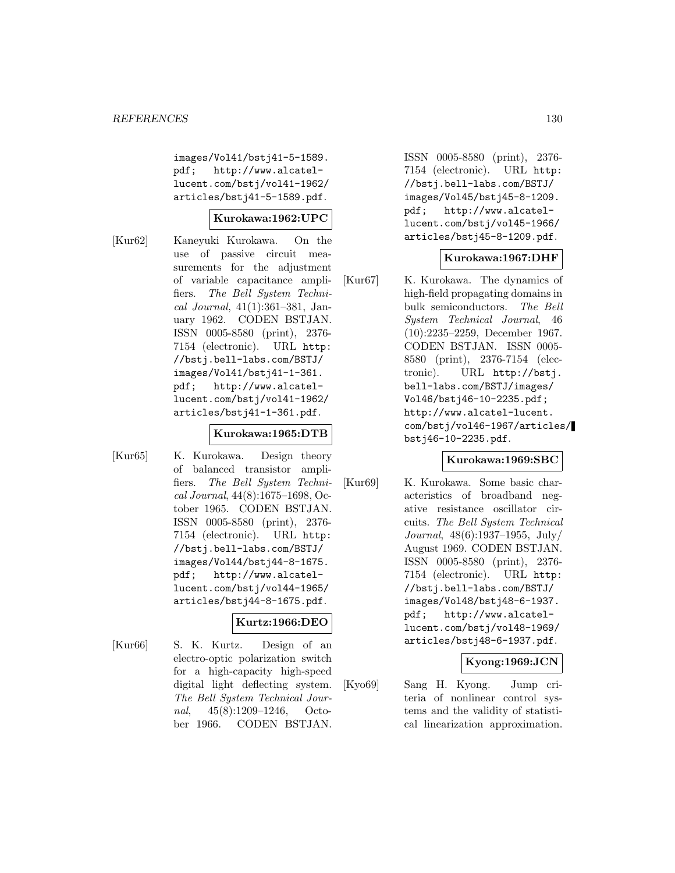images/Vol41/bstj41-5-1589. pdf; http://www.alcatellucent.com/bstj/vol41-1962/ articles/bstj41-5-1589.pdf.

### **Kurokawa:1962:UPC**

[Kur62] Kaneyuki Kurokawa. On the use of passive circuit measurements for the adjustment of variable capacitance amplifiers. The Bell System Technical Journal, 41(1):361–381, January 1962. CODEN BSTJAN. ISSN 0005-8580 (print), 2376- 7154 (electronic). URL http: //bstj.bell-labs.com/BSTJ/ images/Vol41/bstj41-1-361. pdf; http://www.alcatellucent.com/bstj/vol41-1962/ articles/bstj41-1-361.pdf.

### **Kurokawa:1965:DTB**

[Kur65] K. Kurokawa. Design theory of balanced transistor amplifiers. The Bell System Technical Journal, 44(8):1675–1698, October 1965. CODEN BSTJAN. ISSN 0005-8580 (print), 2376- 7154 (electronic). URL http: //bstj.bell-labs.com/BSTJ/ images/Vol44/bstj44-8-1675. pdf; http://www.alcatellucent.com/bstj/vol44-1965/ articles/bstj44-8-1675.pdf.

# **Kurtz:1966:DEO**

[Kur66] S. K. Kurtz. Design of an electro-optic polarization switch for a high-capacity high-speed digital light deflecting system. The Bell System Technical Journal, 45(8):1209–1246, October 1966. CODEN BSTJAN.

ISSN 0005-8580 (print), 2376- 7154 (electronic). URL http: //bstj.bell-labs.com/BSTJ/ images/Vol45/bstj45-8-1209. pdf; http://www.alcatellucent.com/bstj/vol45-1966/ articles/bstj45-8-1209.pdf.

# **Kurokawa:1967:DHF**

[Kur67] K. Kurokawa. The dynamics of high-field propagating domains in bulk semiconductors. The Bell System Technical Journal, 46 (10):2235–2259, December 1967. CODEN BSTJAN. ISSN 0005- 8580 (print), 2376-7154 (electronic). URL http://bstj. bell-labs.com/BSTJ/images/ Vol46/bstj46-10-2235.pdf; http://www.alcatel-lucent. com/bstj/vol46-1967/articles/ bstj46-10-2235.pdf.

### **Kurokawa:1969:SBC**

[Kur69] K. Kurokawa. Some basic characteristics of broadband negative resistance oscillator circuits. The Bell System Technical Journal, 48(6):1937–1955, July/ August 1969. CODEN BSTJAN. ISSN 0005-8580 (print), 2376- 7154 (electronic). URL http: //bstj.bell-labs.com/BSTJ/ images/Vol48/bstj48-6-1937. pdf; http://www.alcatellucent.com/bstj/vol48-1969/ articles/bstj48-6-1937.pdf.

# **Kyong:1969:JCN**

[Kyo69] Sang H. Kyong. Jump criteria of nonlinear control systems and the validity of statistical linearization approximation.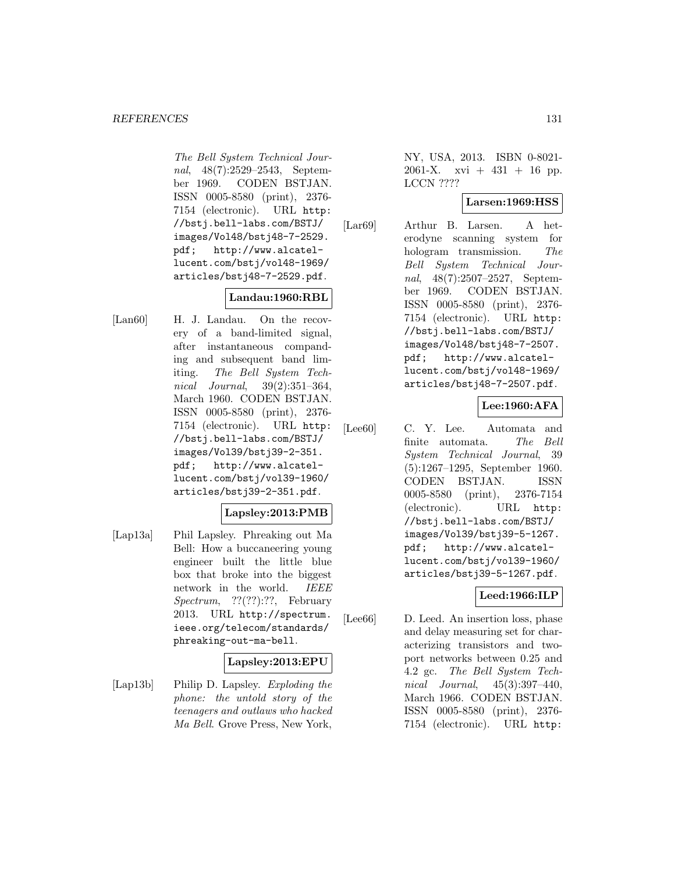#### *REFERENCES* 131

The Bell System Technical Journal, 48(7):2529–2543, September 1969. CODEN BSTJAN. ISSN 0005-8580 (print), 2376- 7154 (electronic). URL http: //bstj.bell-labs.com/BSTJ/ images/Vol48/bstj48-7-2529. pdf; http://www.alcatellucent.com/bstj/vol48-1969/ articles/bstj48-7-2529.pdf.

# **Landau:1960:RBL**

[Lan60] H. J. Landau. On the recovery of a band-limited signal, after instantaneous companding and subsequent band limiting. The Bell System Technical Journal, 39(2):351–364, March 1960. CODEN BSTJAN. ISSN 0005-8580 (print), 2376- 7154 (electronic). URL http: //bstj.bell-labs.com/BSTJ/ images/Vol39/bstj39-2-351. pdf; http://www.alcatellucent.com/bstj/vol39-1960/ articles/bstj39-2-351.pdf.

# **Lapsley:2013:PMB**

[Lap13a] Phil Lapsley. Phreaking out Ma Bell: How a buccaneering young engineer built the little blue box that broke into the biggest network in the world. IEEE Spectrum, ??(??):??, February 2013. URL http://spectrum. ieee.org/telecom/standards/ phreaking-out-ma-bell.

### **Lapsley:2013:EPU**

[Lap13b] Philip D. Lapsley. Exploding the phone: the untold story of the teenagers and outlaws who hacked Ma Bell. Grove Press, New York,

NY, USA, 2013. ISBN 0-8021- 2061-X. xvi +  $431 + 16$  pp. LCCN ????

### **Larsen:1969:HSS**

[Lar69] Arthur B. Larsen. A heterodyne scanning system for hologram transmission. The Bell System Technical Journal, 48(7):2507–2527, September 1969. CODEN BSTJAN. ISSN 0005-8580 (print), 2376- 7154 (electronic). URL http: //bstj.bell-labs.com/BSTJ/ images/Vol48/bstj48-7-2507. pdf; http://www.alcatellucent.com/bstj/vol48-1969/ articles/bstj48-7-2507.pdf.

# **Lee:1960:AFA**

[Lee60] C. Y. Lee. Automata and finite automata. The Bell System Technical Journal, 39 (5):1267–1295, September 1960. CODEN BSTJAN. ISSN 0005-8580 (print), 2376-7154 (electronic). URL http: //bstj.bell-labs.com/BSTJ/ images/Vol39/bstj39-5-1267. pdf; http://www.alcatellucent.com/bstj/vol39-1960/ articles/bstj39-5-1267.pdf.

### **Leed:1966:ILP**

[Lee66] D. Leed. An insertion loss, phase and delay measuring set for characterizing transistors and twoport networks between 0.25 and 4.2 gc. The Bell System Technical Journal, 45(3):397–440, March 1966. CODEN BSTJAN. ISSN 0005-8580 (print), 2376- 7154 (electronic). URL http: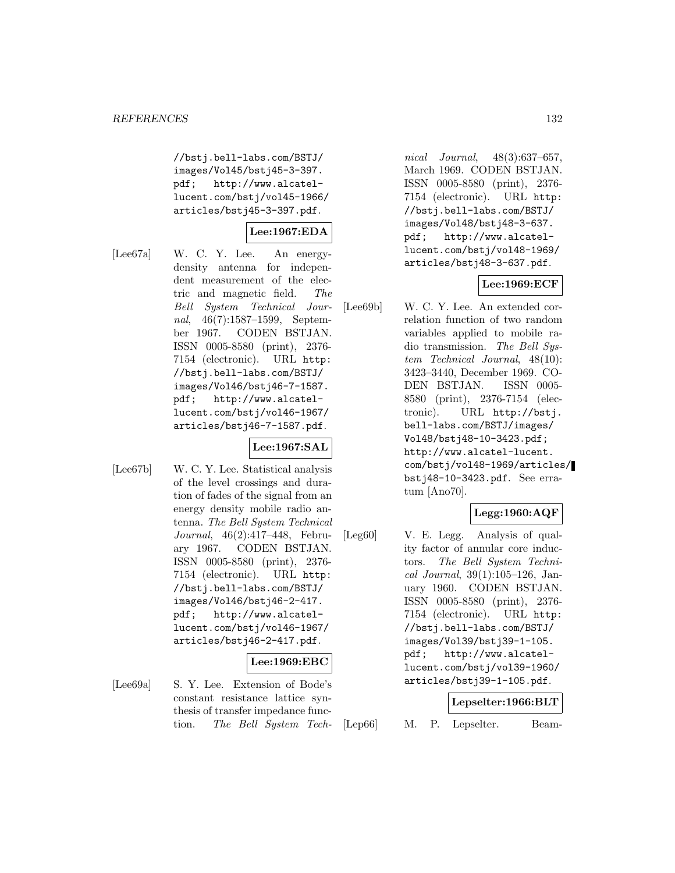//bstj.bell-labs.com/BSTJ/ images/Vol45/bstj45-3-397. pdf; http://www.alcatellucent.com/bstj/vol45-1966/ articles/bstj45-3-397.pdf.

# **Lee:1967:EDA**

[Lee67a] W. C. Y. Lee. An energydensity antenna for independent measurement of the electric and magnetic field. The Bell System Technical Journal, 46(7):1587–1599, September 1967. CODEN BSTJAN. ISSN 0005-8580 (print), 2376- 7154 (electronic). URL http: //bstj.bell-labs.com/BSTJ/ images/Vol46/bstj46-7-1587. pdf; http://www.alcatellucent.com/bstj/vol46-1967/ articles/bstj46-7-1587.pdf.

# **Lee:1967:SAL**

[Lee67b] W. C. Y. Lee. Statistical analysis of the level crossings and duration of fades of the signal from an energy density mobile radio antenna. The Bell System Technical Journal, 46(2):417–448, February 1967. CODEN BSTJAN. ISSN 0005-8580 (print), 2376- 7154 (electronic). URL http: //bstj.bell-labs.com/BSTJ/ images/Vol46/bstj46-2-417. pdf; http://www.alcatellucent.com/bstj/vol46-1967/ articles/bstj46-2-417.pdf.

### **Lee:1969:EBC**

[Lee69a] S. Y. Lee. Extension of Bode's constant resistance lattice synthesis of transfer impedance function. The Bell System Tech-

nical Journal, 48(3):637–657, March 1969. CODEN BSTJAN. ISSN 0005-8580 (print), 2376- 7154 (electronic). URL http: //bstj.bell-labs.com/BSTJ/ images/Vol48/bstj48-3-637. pdf; http://www.alcatellucent.com/bstj/vol48-1969/ articles/bstj48-3-637.pdf.

# **Lee:1969:ECF**

[Lee69b] W. C. Y. Lee. An extended correlation function of two random variables applied to mobile radio transmission. The Bell System Technical Journal, 48(10): 3423–3440, December 1969. CO-DEN BSTJAN. ISSN 0005- 8580 (print), 2376-7154 (electronic). URL http://bstj. bell-labs.com/BSTJ/images/ Vol48/bstj48-10-3423.pdf; http://www.alcatel-lucent. com/bstj/vol48-1969/articles/ bstj48-10-3423.pdf. See erratum [Ano70].

# **Legg:1960:AQF**

[Leg60] V. E. Legg. Analysis of quality factor of annular core inductors. The Bell System Technical Journal, 39(1):105–126, January 1960. CODEN BSTJAN. ISSN 0005-8580 (print), 2376- 7154 (electronic). URL http: //bstj.bell-labs.com/BSTJ/ images/Vol39/bstj39-1-105. pdf; http://www.alcatellucent.com/bstj/vol39-1960/ articles/bstj39-1-105.pdf.

### **Lepselter:1966:BLT**

[Lep66] M. P. Lepselter. Beam-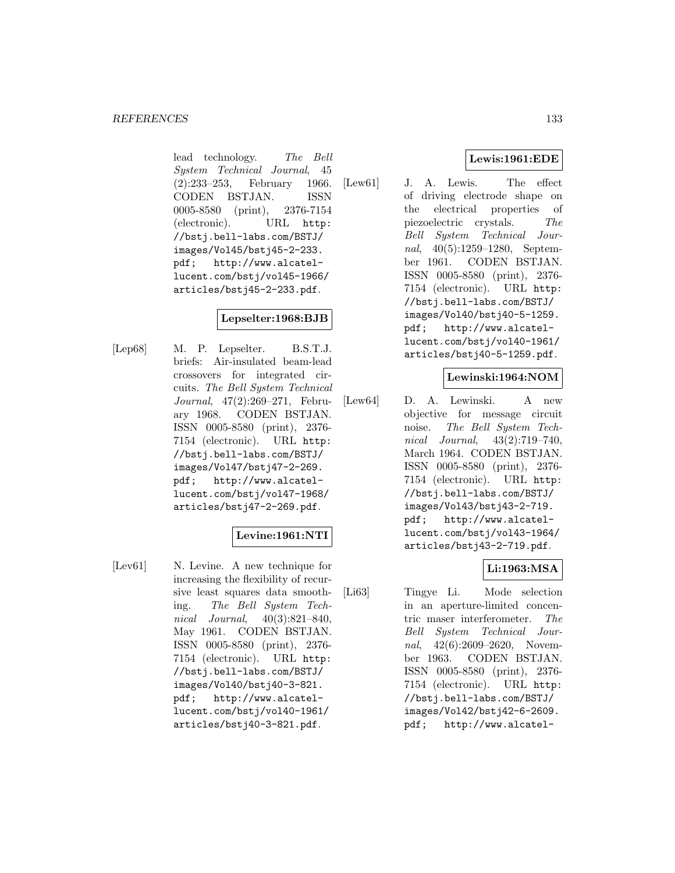lead technology. The Bell System Technical Journal, 45 (2):233–253, February 1966. CODEN BSTJAN. ISSN 0005-8580 (print), 2376-7154 (electronic). URL http: //bstj.bell-labs.com/BSTJ/ images/Vol45/bstj45-2-233.<br>pdf; http://www.alcatelhttp://www.alcatellucent.com/bstj/vol45-1966/ articles/bstj45-2-233.pdf.

# **Lepselter:1968:BJB**

[Lep68] M. P. Lepselter. B.S.T.J. briefs: Air-insulated beam-lead crossovers for integrated circuits. The Bell System Technical Journal, 47(2):269–271, February 1968. CODEN BSTJAN. ISSN 0005-8580 (print), 2376- 7154 (electronic). URL http: //bstj.bell-labs.com/BSTJ/ images/Vol47/bstj47-2-269. pdf; http://www.alcatellucent.com/bstj/vol47-1968/ articles/bstj47-2-269.pdf.

# **Levine:1961:NTI**

[Lev61] N. Levine. A new technique for increasing the flexibility of recursive least squares data smoothing. The Bell System Technical Journal, 40(3):821–840, May 1961. CODEN BSTJAN. ISSN 0005-8580 (print), 2376- 7154 (electronic). URL http: //bstj.bell-labs.com/BSTJ/ images/Vol40/bstj40-3-821. pdf; http://www.alcatellucent.com/bstj/vol40-1961/ articles/bstj40-3-821.pdf.

# **Lewis:1961:EDE**

[Lew61] J. A. Lewis. The effect of driving electrode shape on the electrical properties of piezoelectric crystals. The Bell System Technical Journal, 40(5):1259–1280, September 1961. CODEN BSTJAN. ISSN 0005-8580 (print), 2376- 7154 (electronic). URL http: //bstj.bell-labs.com/BSTJ/ images/Vol40/bstj40-5-1259. pdf; http://www.alcatellucent.com/bstj/vol40-1961/ articles/bstj40-5-1259.pdf.

# **Lewinski:1964:NOM**

[Lew64] D. A. Lewinski. A new objective for message circuit noise. The Bell System Technical Journal, 43(2):719–740, March 1964. CODEN BSTJAN. ISSN 0005-8580 (print), 2376- 7154 (electronic). URL http: //bstj.bell-labs.com/BSTJ/ images/Vol43/bstj43-2-719. pdf; http://www.alcatellucent.com/bstj/vol43-1964/ articles/bstj43-2-719.pdf.

# **Li:1963:MSA**

[Li63] Tingye Li. Mode selection in an aperture-limited concentric maser interferometer. The Bell System Technical Journal, 42(6):2609–2620, November 1963. CODEN BSTJAN. ISSN 0005-8580 (print), 2376- 7154 (electronic). URL http: //bstj.bell-labs.com/BSTJ/ images/Vol42/bstj42-6-2609. pdf; http://www.alcatel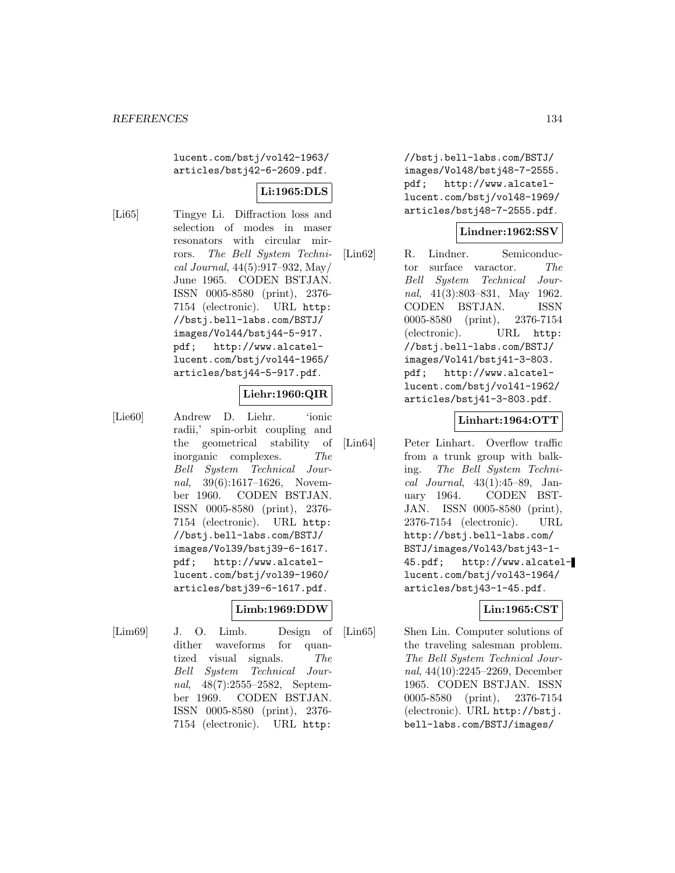lucent.com/bstj/vol42-1963/ articles/bstj42-6-2609.pdf.

# **Li:1965:DLS**

[Li65] Tingye Li. Diffraction loss and selection of modes in maser resonators with circular mirrors. The Bell System Technical Journal, 44(5):917–932, May/ June 1965. CODEN BSTJAN. ISSN 0005-8580 (print), 2376- 7154 (electronic). URL http: //bstj.bell-labs.com/BSTJ/ images/Vol44/bstj44-5-917. pdf; http://www.alcatellucent.com/bstj/vol44-1965/ articles/bstj44-5-917.pdf.

# **Liehr:1960:QIR**

[Lie60] Andrew D. Liehr. 'ionic radii,' spin-orbit coupling and the geometrical stability of inorganic complexes. The Bell System Technical Journal, 39(6):1617–1626, November 1960. CODEN BSTJAN. ISSN 0005-8580 (print), 2376- 7154 (electronic). URL http: //bstj.bell-labs.com/BSTJ/ images/Vol39/bstj39-6-1617. pdf; http://www.alcatellucent.com/bstj/vol39-1960/ articles/bstj39-6-1617.pdf.

# **Limb:1969:DDW**

[Lim69] J. O. Limb. Design of dither waveforms for quantized visual signals. The Bell System Technical Journal, 48(7):2555-2582, September 1969. CODEN BSTJAN. ISSN 0005-8580 (print), 2376- 7154 (electronic). URL http:

//bstj.bell-labs.com/BSTJ/ images/Vol48/bstj48-7-2555. pdf; http://www.alcatellucent.com/bstj/vol48-1969/ articles/bstj48-7-2555.pdf.

# **Lindner:1962:SSV**

[Lin62] R. Lindner. Semiconductor surface varactor. The Bell System Technical Journal, 41(3):803–831, May 1962. CODEN BSTJAN. ISSN 0005-8580 (print), 2376-7154 (electronic). URL http: //bstj.bell-labs.com/BSTJ/ images/Vol41/bstj41-3-803. pdf; http://www.alcatellucent.com/bstj/vol41-1962/ articles/bstj41-3-803.pdf.

# **Linhart:1964:OTT**

[Lin64] Peter Linhart. Overflow traffic from a trunk group with balking. The Bell System Technical Journal, 43(1):45–89, January 1964. CODEN BST-JAN. ISSN 0005-8580 (print), 2376-7154 (electronic). URL http://bstj.bell-labs.com/ BSTJ/images/Vol43/bstj43-1- 45.pdf; http://www.alcatellucent.com/bstj/vol43-1964/ articles/bstj43-1-45.pdf.

# **Lin:1965:CST**

[Lin65] Shen Lin. Computer solutions of the traveling salesman problem. The Bell System Technical Journal, 44(10):2245–2269, December 1965. CODEN BSTJAN. ISSN 0005-8580 (print), 2376-7154 (electronic). URL http://bstj. bell-labs.com/BSTJ/images/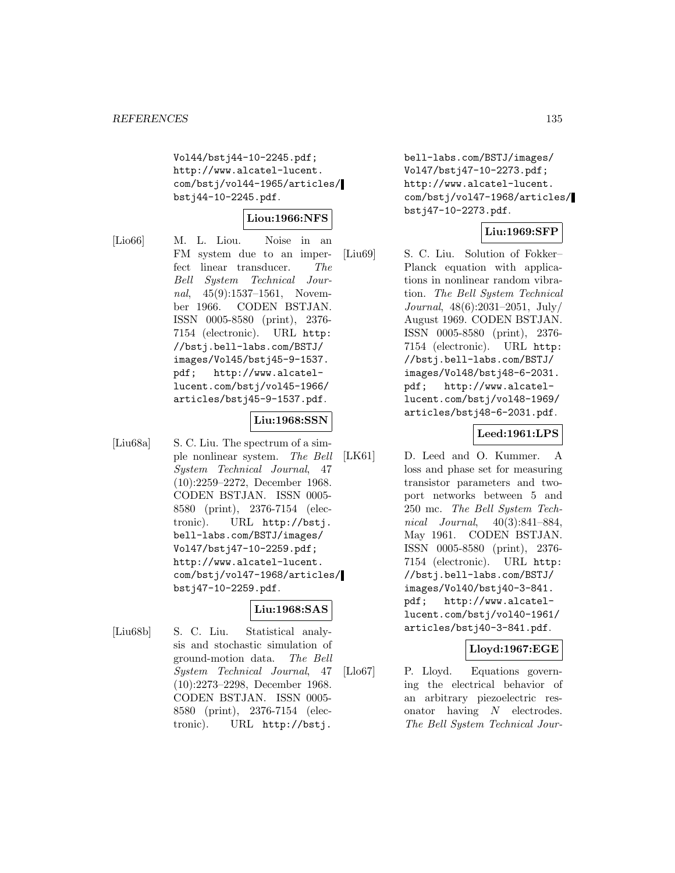Vol44/bstj44-10-2245.pdf; http://www.alcatel-lucent. com/bstj/vol44-1965/articles/ bstj44-10-2245.pdf.

### **Liou:1966:NFS**

[Lio66] M. L. Liou. Noise in an FM system due to an imperfect linear transducer. The Bell System Technical Journal, 45(9):1537–1561, November 1966. CODEN BSTJAN. ISSN 0005-8580 (print), 2376- 7154 (electronic). URL http: //bstj.bell-labs.com/BSTJ/ images/Vol45/bstj45-9-1537. pdf; http://www.alcatellucent.com/bstj/vol45-1966/ articles/bstj45-9-1537.pdf.

### **Liu:1968:SSN**

[Liu68a] S. C. Liu. The spectrum of a simple nonlinear system. The Bell System Technical Journal, 47 (10):2259–2272, December 1968. CODEN BSTJAN. ISSN 0005- 8580 (print), 2376-7154 (electronic). URL http://bstj. bell-labs.com/BSTJ/images/ Vol47/bstj47-10-2259.pdf; http://www.alcatel-lucent. com/bstj/vol47-1968/articles/ bstj47-10-2259.pdf.

# **Liu:1968:SAS**

[Liu68b] S. C. Liu. Statistical analysis and stochastic simulation of ground-motion data. The Bell System Technical Journal, 47 (10):2273–2298, December 1968. CODEN BSTJAN. ISSN 0005- 8580 (print), 2376-7154 (electronic). URL http://bstj.

bell-labs.com/BSTJ/images/ Vol47/bstj47-10-2273.pdf; http://www.alcatel-lucent. com/bstj/vol47-1968/articles/ bstj47-10-2273.pdf.

### **Liu:1969:SFP**

[Liu69] S. C. Liu. Solution of Fokker– Planck equation with applications in nonlinear random vibration. The Bell System Technical Journal, 48(6):2031–2051, July/ August 1969. CODEN BSTJAN. ISSN 0005-8580 (print), 2376- 7154 (electronic). URL http: //bstj.bell-labs.com/BSTJ/ images/Vol48/bstj48-6-2031. pdf; http://www.alcatellucent.com/bstj/vol48-1969/ articles/bstj48-6-2031.pdf.

### **Leed:1961:LPS**

[LK61] D. Leed and O. Kummer. A loss and phase set for measuring transistor parameters and twoport networks between 5 and 250 mc. The Bell System Technical Journal, 40(3):841–884, May 1961. CODEN BSTJAN. ISSN 0005-8580 (print), 2376- 7154 (electronic). URL http: //bstj.bell-labs.com/BSTJ/ images/Vol40/bstj40-3-841. pdf; http://www.alcatellucent.com/bstj/vol40-1961/ articles/bstj40-3-841.pdf.

### **Lloyd:1967:EGE**

[Llo67] P. Lloyd. Equations governing the electrical behavior of an arbitrary piezoelectric resonator having N electrodes. The Bell System Technical Jour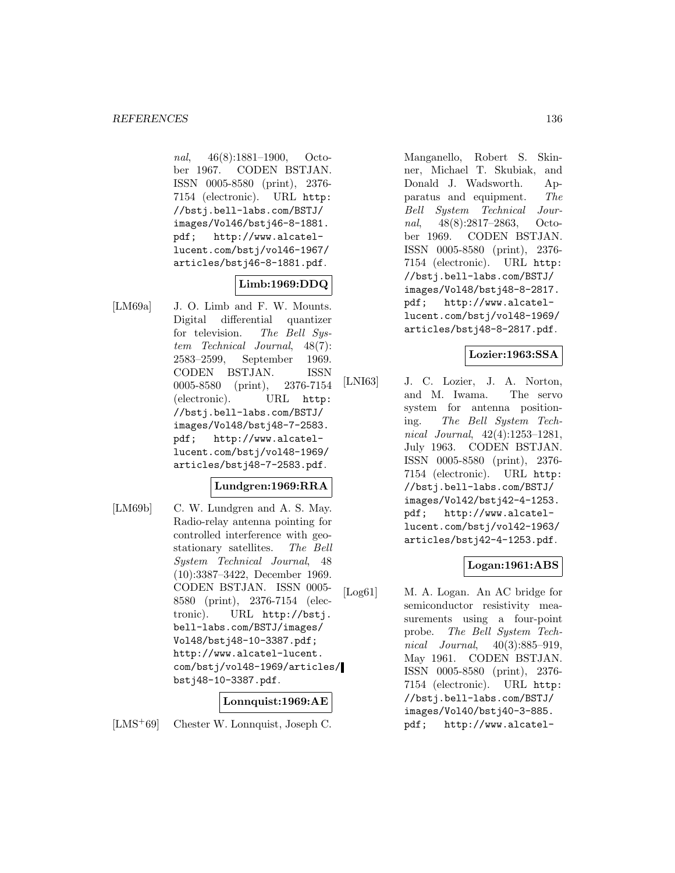nal, 46(8):1881–1900, October 1967. CODEN BSTJAN. ISSN 0005-8580 (print), 2376- 7154 (electronic). URL http: //bstj.bell-labs.com/BSTJ/ images/Vol46/bstj46-8-1881. pdf; http://www.alcatellucent.com/bstj/vol46-1967/ articles/bstj46-8-1881.pdf.

# **Limb:1969:DDQ**

[LM69a] J. O. Limb and F. W. Mounts. Digital differential quantizer for television. The Bell System Technical Journal, 48(7): 2583–2599, September 1969. CODEN BSTJAN. ISSN 0005-8580 (print), 2376-7154 (electronic). URL http: //bstj.bell-labs.com/BSTJ/ images/Vol48/bstj48-7-2583. pdf; http://www.alcatellucent.com/bstj/vol48-1969/ articles/bstj48-7-2583.pdf.

# **Lundgren:1969:RRA**

[LM69b] C. W. Lundgren and A. S. May. Radio-relay antenna pointing for controlled interference with geostationary satellites. The Bell System Technical Journal, 48 (10):3387–3422, December 1969. CODEN BSTJAN. ISSN 0005- 8580 (print), 2376-7154 (electronic). URL http://bstj. bell-labs.com/BSTJ/images/ Vol48/bstj48-10-3387.pdf; http://www.alcatel-lucent. com/bstj/vol48-1969/articles/ bstj48-10-3387.pdf.

### **Lonnquist:1969:AE**

[LMS<sup>+</sup>69] Chester W. Lonnquist, Joseph C.

Manganello, Robert S. Skinner, Michael T. Skubiak, and Donald J. Wadsworth. Apparatus and equipment. The Bell System Technical Journal, 48(8):2817–2863, October 1969. CODEN BSTJAN. ISSN 0005-8580 (print), 2376- 7154 (electronic). URL http: //bstj.bell-labs.com/BSTJ/ images/Vol48/bstj48-8-2817. pdf; http://www.alcatellucent.com/bstj/vol48-1969/ articles/bstj48-8-2817.pdf.

### **Lozier:1963:SSA**

[LNI63] J. C. Lozier, J. A. Norton, and M. Iwama. The servo system for antenna positioning. The Bell System Technical Journal, 42(4):1253–1281, July 1963. CODEN BSTJAN. ISSN 0005-8580 (print), 2376- 7154 (electronic). URL http: //bstj.bell-labs.com/BSTJ/ images/Vol42/bstj42-4-1253. pdf; http://www.alcatellucent.com/bstj/vol42-1963/ articles/bstj42-4-1253.pdf.

# **Logan:1961:ABS**

[Log61] M. A. Logan. An AC bridge for semiconductor resistivity measurements using a four-point probe. The Bell System Technical Journal, 40(3):885–919, May 1961. CODEN BSTJAN. ISSN 0005-8580 (print), 2376- 7154 (electronic). URL http: //bstj.bell-labs.com/BSTJ/ images/Vol40/bstj40-3-885. pdf; http://www.alcatel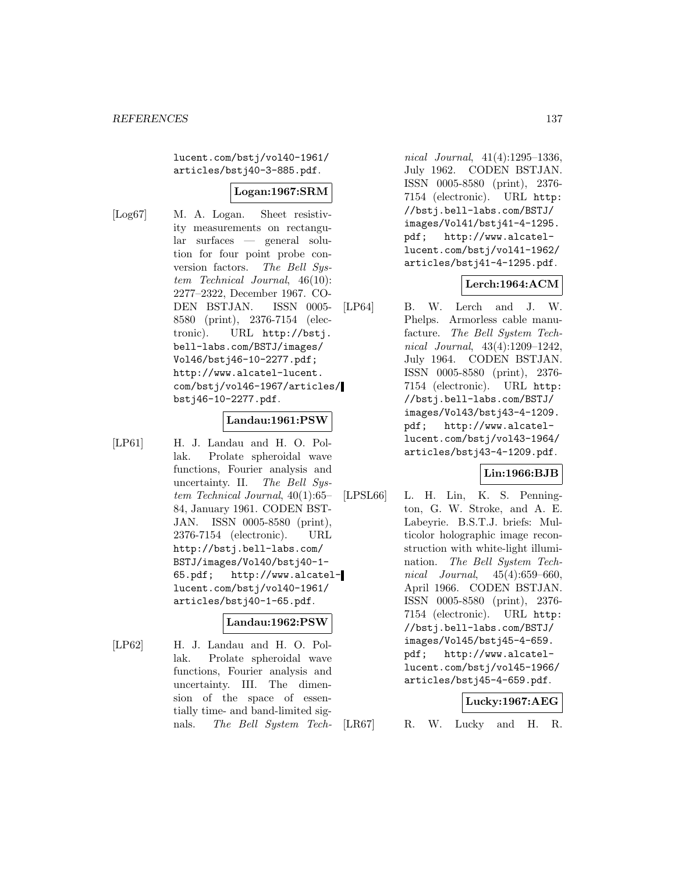lucent.com/bstj/vol40-1961/ articles/bstj40-3-885.pdf.

# **Logan:1967:SRM**

- 
- [Log67] M. A. Logan. Sheet resistivity measurements on rectangular surfaces — general solution for four point probe conversion factors. The Bell System Technical Journal, 46(10): 2277–2322, December 1967. CO-DEN BSTJAN. ISSN 0005- 8580 (print), 2376-7154 (electronic). URL http://bstj. bell-labs.com/BSTJ/images/ Vol46/bstj46-10-2277.pdf; http://www.alcatel-lucent. com/bstj/vol46-1967/articles/ bstj46-10-2277.pdf.

### **Landau:1961:PSW**

[LP61] H. J. Landau and H. O. Pollak. Prolate spheroidal wave functions, Fourier analysis and uncertainty. II. The Bell System Technical Journal, 40(1):65– 84, January 1961. CODEN BST-JAN. ISSN 0005-8580 (print), 2376-7154 (electronic). URL http://bstj.bell-labs.com/ BSTJ/images/Vol40/bstj40-1- 65.pdf; http://www.alcatellucent.com/bstj/vol40-1961/ articles/bstj40-1-65.pdf.

### **Landau:1962:PSW**

[LP62] H. J. Landau and H. O. Pollak. Prolate spheroidal wave functions, Fourier analysis and uncertainty. III. The dimension of the space of essentially time- and band-limited signals. The Bell System Tech-

nical Journal, 41(4):1295–1336, July 1962. CODEN BSTJAN. ISSN 0005-8580 (print), 2376- 7154 (electronic). URL http: //bstj.bell-labs.com/BSTJ/ images/Vol41/bstj41-4-1295. pdf; http://www.alcatellucent.com/bstj/vol41-1962/ articles/bstj41-4-1295.pdf.

# **Lerch:1964:ACM**

[LP64] B. W. Lerch and J. W. Phelps. Armorless cable manufacture. The Bell System Technical Journal, 43(4):1209–1242, July 1964. CODEN BSTJAN. ISSN 0005-8580 (print), 2376- 7154 (electronic). URL http: //bstj.bell-labs.com/BSTJ/ images/Vol43/bstj43-4-1209. pdf; http://www.alcatellucent.com/bstj/vol43-1964/ articles/bstj43-4-1209.pdf.

# **Lin:1966:BJB**

[LPSL66] L. H. Lin, K. S. Pennington, G. W. Stroke, and A. E. Labeyrie. B.S.T.J. briefs: Multicolor holographic image reconstruction with white-light illumination. The Bell System Technical Journal, 45(4):659–660, April 1966. CODEN BSTJAN. ISSN 0005-8580 (print), 2376- 7154 (electronic). URL http: //bstj.bell-labs.com/BSTJ/ images/Vol45/bstj45-4-659. pdf; http://www.alcatellucent.com/bstj/vol45-1966/ articles/bstj45-4-659.pdf.

# **Lucky:1967:AEG**

[LR67] R. W. Lucky and H. R.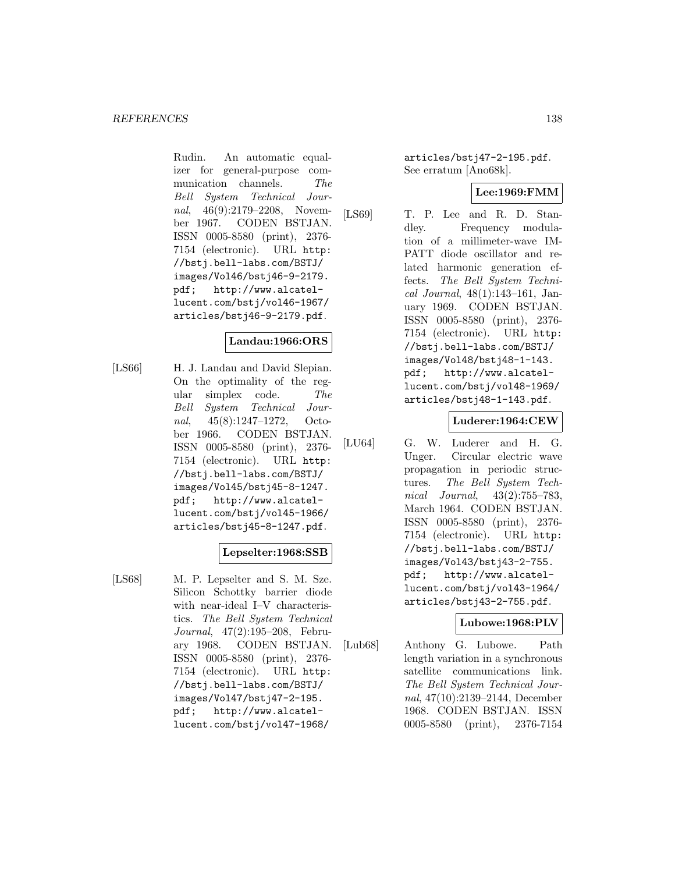Rudin. An automatic equalizer for general-purpose communication channels. The Bell System Technical Journal, 46(9):2179–2208, November 1967. CODEN BSTJAN. ISSN 0005-8580 (print), 2376- 7154 (electronic). URL http: //bstj.bell-labs.com/BSTJ/ images/Vol46/bstj46-9-2179. pdf; http://www.alcatellucent.com/bstj/vol46-1967/ articles/bstj46-9-2179.pdf.

# **Landau:1966:ORS**

[LS66] H. J. Landau and David Slepian. On the optimality of the regular simplex code. The Bell System Technical Journal, 45(8):1247–1272, October 1966. CODEN BSTJAN. ISSN 0005-8580 (print), 2376- 7154 (electronic). URL http: //bstj.bell-labs.com/BSTJ/ images/Vol45/bstj45-8-1247. pdf; http://www.alcatellucent.com/bstj/vol45-1966/ articles/bstj45-8-1247.pdf.

# **Lepselter:1968:SSB**

[LS68] M. P. Lepselter and S. M. Sze. Silicon Schottky barrier diode with near-ideal I–V characteristics. The Bell System Technical Journal, 47(2):195–208, February 1968. CODEN BSTJAN. ISSN 0005-8580 (print), 2376- 7154 (electronic). URL http: //bstj.bell-labs.com/BSTJ/ images/Vol47/bstj47-2-195. pdf; http://www.alcatellucent.com/bstj/vol47-1968/

articles/bstj47-2-195.pdf. See erratum [Ano68k].

# **Lee:1969:FMM**

[LS69] T. P. Lee and R. D. Standley. Frequency modulation of a millimeter-wave IM-PATT diode oscillator and related harmonic generation effects. The Bell System Technical Journal, 48(1):143–161, January 1969. CODEN BSTJAN. ISSN 0005-8580 (print), 2376- 7154 (electronic). URL http: //bstj.bell-labs.com/BSTJ/ images/Vol48/bstj48-1-143. pdf; http://www.alcatellucent.com/bstj/vol48-1969/ articles/bstj48-1-143.pdf.

# **Luderer:1964:CEW**

[LU64] G. W. Luderer and H. G. Unger. Circular electric wave propagation in periodic structures. The Bell System Technical Journal, 43(2):755–783, March 1964. CODEN BSTJAN. ISSN 0005-8580 (print), 2376- 7154 (electronic). URL http: //bstj.bell-labs.com/BSTJ/ images/Vol43/bstj43-2-755. pdf; http://www.alcatellucent.com/bstj/vol43-1964/ articles/bstj43-2-755.pdf.

### **Lubowe:1968:PLV**

[Lub68] Anthony G. Lubowe. Path length variation in a synchronous satellite communications link. The Bell System Technical Journal, 47(10):2139–2144, December 1968. CODEN BSTJAN. ISSN 0005-8580 (print), 2376-7154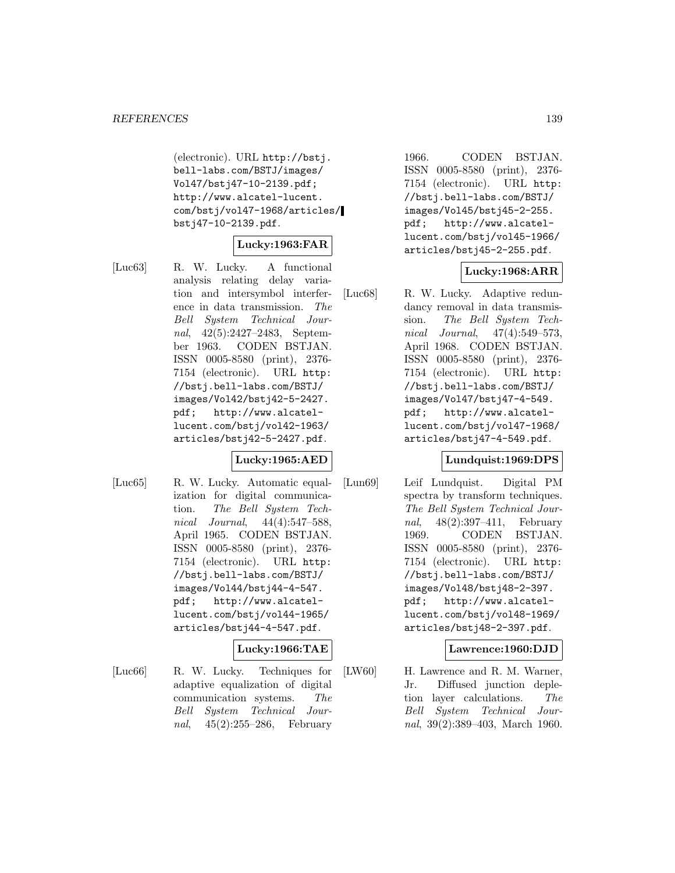(electronic). URL http://bstj. bell-labs.com/BSTJ/images/ Vol47/bstj47-10-2139.pdf; http://www.alcatel-lucent. com/bstj/vol47-1968/articles/ bstj47-10-2139.pdf.

### **Lucky:1963:FAR**

[Luc63] R. W. Lucky. A functional analysis relating delay variation and intersymbol interference in data transmission. The Bell System Technical Journal, 42(5):2427–2483, September 1963. CODEN BSTJAN. ISSN 0005-8580 (print), 2376- 7154 (electronic). URL http: //bstj.bell-labs.com/BSTJ/ images/Vol42/bstj42-5-2427. pdf; http://www.alcatellucent.com/bstj/vol42-1963/ articles/bstj42-5-2427.pdf.

# **Lucky:1965:AED**

[Luc65] R. W. Lucky. Automatic equalization for digital communication. The Bell System Technical Journal, 44(4):547–588, April 1965. CODEN BSTJAN. ISSN 0005-8580 (print), 2376- 7154 (electronic). URL http: //bstj.bell-labs.com/BSTJ/ images/Vol44/bstj44-4-547. pdf; http://www.alcatellucent.com/bstj/vol44-1965/ articles/bstj44-4-547.pdf.

# **Lucky:1966:TAE**

[Luc66] R. W. Lucky. Techniques for adaptive equalization of digital communication systems. The Bell System Technical Journal, 45(2):255–286, February

1966. CODEN BSTJAN. ISSN 0005-8580 (print), 2376- 7154 (electronic). URL http: //bstj.bell-labs.com/BSTJ/ images/Vol45/bstj45-2-255. pdf; http://www.alcatellucent.com/bstj/vol45-1966/ articles/bstj45-2-255.pdf.

### **Lucky:1968:ARR**

[Luc68] R. W. Lucky. Adaptive redundancy removal in data transmission. The Bell System Technical Journal, 47(4):549–573, April 1968. CODEN BSTJAN. ISSN 0005-8580 (print), 2376- 7154 (electronic). URL http: //bstj.bell-labs.com/BSTJ/ images/Vol47/bstj47-4-549. pdf; http://www.alcatellucent.com/bstj/vol47-1968/ articles/bstj47-4-549.pdf.

### **Lundquist:1969:DPS**

[Lun69] Leif Lundquist. Digital PM spectra by transform techniques. The Bell System Technical Journal, 48(2):397–411, February 1969. CODEN BSTJAN. ISSN 0005-8580 (print), 2376- 7154 (electronic). URL http: //bstj.bell-labs.com/BSTJ/ images/Vol48/bstj48-2-397. pdf; http://www.alcatellucent.com/bstj/vol48-1969/ articles/bstj48-2-397.pdf.

### **Lawrence:1960:DJD**

[LW60] H. Lawrence and R. M. Warner, Jr. Diffused junction depletion layer calculations. The Bell System Technical Journal, 39(2):389–403, March 1960.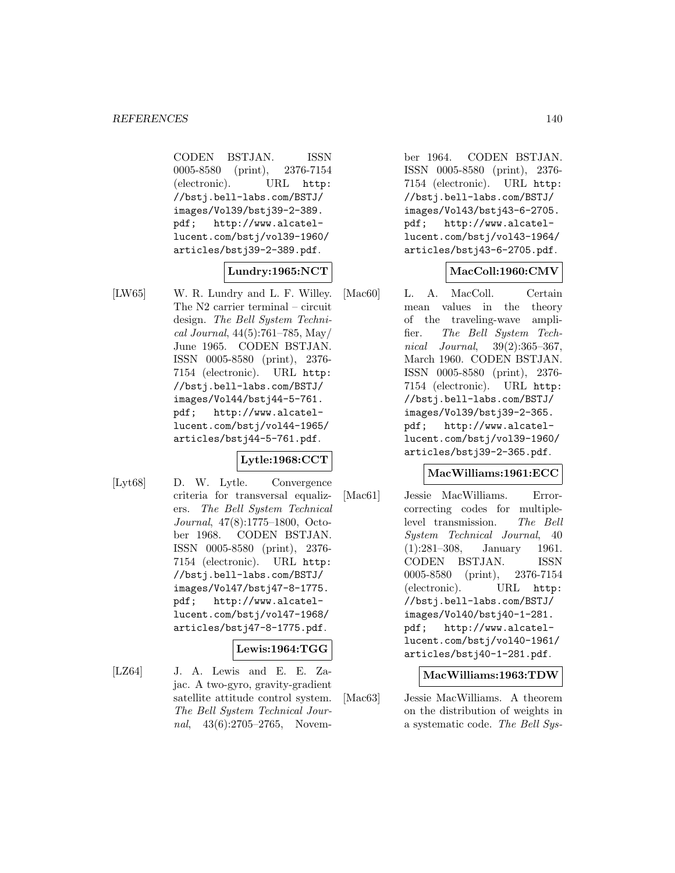CODEN BSTJAN. ISSN 0005-8580 (print), 2376-7154 (electronic). URL http: //bstj.bell-labs.com/BSTJ/ images/Vol39/bstj39-2-389. pdf; http://www.alcatellucent.com/bstj/vol39-1960/ articles/bstj39-2-389.pdf.

# **Lundry:1965:NCT**

[LW65] W. R. Lundry and L. F. Willey. The N2 carrier terminal – circuit design. The Bell System Technical Journal, 44(5):761–785, May/ June 1965. CODEN BSTJAN. ISSN 0005-8580 (print), 2376- 7154 (electronic). URL http: //bstj.bell-labs.com/BSTJ/ images/Vol44/bstj44-5-761. pdf; http://www.alcatellucent.com/bstj/vol44-1965/ articles/bstj44-5-761.pdf.

# **Lytle:1968:CCT**

[Lyt68] D. W. Lytle. Convergence criteria for transversal equalizers. The Bell System Technical Journal, 47(8):1775–1800, October 1968. CODEN BSTJAN. ISSN 0005-8580 (print), 2376- 7154 (electronic). URL http: //bstj.bell-labs.com/BSTJ/ images/Vol47/bstj47-8-1775. pdf; http://www.alcatellucent.com/bstj/vol47-1968/ articles/bstj47-8-1775.pdf.

### **Lewis:1964:TGG**

[LZ64] J. A. Lewis and E. E. Zajac. A two-gyro, gravity-gradient satellite attitude control system. The Bell System Technical Journal, 43(6):2705–2765, Novem-

ber 1964. CODEN BSTJAN. ISSN 0005-8580 (print), 2376- 7154 (electronic). URL http: //bstj.bell-labs.com/BSTJ/ images/Vol43/bstj43-6-2705. pdf; http://www.alcatellucent.com/bstj/vol43-1964/ articles/bstj43-6-2705.pdf.

# **MacColl:1960:CMV**

[Mac60] L. A. MacColl. Certain mean values in the theory of the traveling-wave amplifier. The Bell System Technical Journal, 39(2):365–367, March 1960. CODEN BSTJAN. ISSN 0005-8580 (print), 2376- 7154 (electronic). URL http: //bstj.bell-labs.com/BSTJ/ images/Vol39/bstj39-2-365. pdf; http://www.alcatellucent.com/bstj/vol39-1960/ articles/bstj39-2-365.pdf.

# **MacWilliams:1961:ECC**

[Mac61] Jessie MacWilliams. Errorcorrecting codes for multiplelevel transmission. The Bell System Technical Journal, 40 (1):281–308, January 1961. CODEN BSTJAN. ISSN 0005-8580 (print), 2376-7154 (electronic). URL http: //bstj.bell-labs.com/BSTJ/ images/Vol40/bstj40-1-281. pdf; http://www.alcatellucent.com/bstj/vol40-1961/ articles/bstj40-1-281.pdf.

### **MacWilliams:1963:TDW**

[Mac63] Jessie MacWilliams. A theorem on the distribution of weights in a systematic code. The Bell Sys-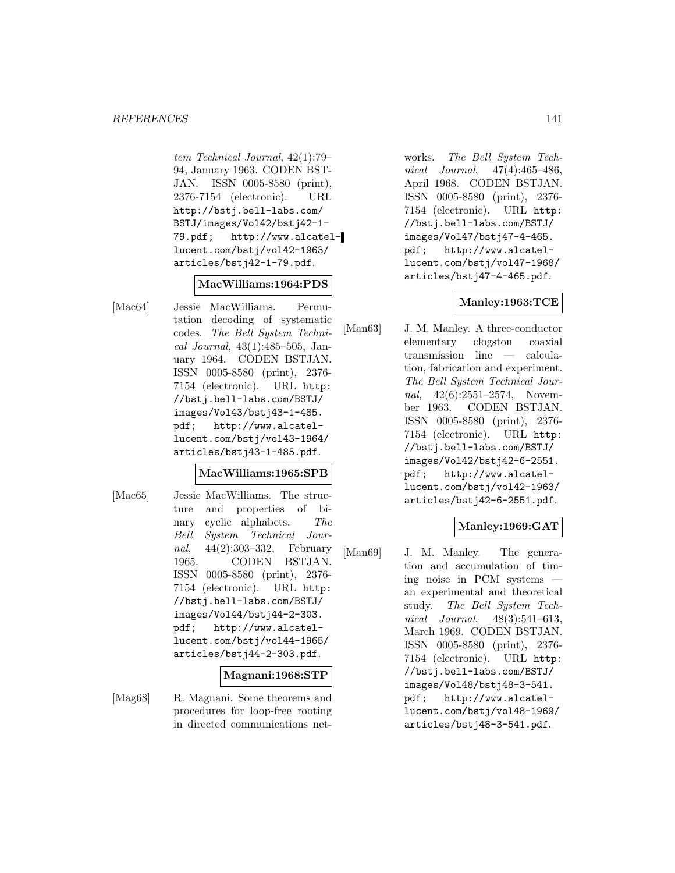#### *REFERENCES* 141

tem Technical Journal, 42(1):79– 94, January 1963. CODEN BST-JAN. ISSN 0005-8580 (print), 2376-7154 (electronic). URL http://bstj.bell-labs.com/ BSTJ/images/Vol42/bstj42-1- 79.pdf; http://www.alcatellucent.com/bstj/vol42-1963/ articles/bstj42-1-79.pdf.

### **MacWilliams:1964:PDS**

[Mac64] Jessie MacWilliams. Permutation decoding of systematic codes. The Bell System Technical Journal, 43(1):485–505, January 1964. CODEN BSTJAN. ISSN 0005-8580 (print), 2376- 7154 (electronic). URL http: //bstj.bell-labs.com/BSTJ/ images/Vol43/bstj43-1-485. pdf; http://www.alcatellucent.com/bstj/vol43-1964/ articles/bstj43-1-485.pdf.

#### **MacWilliams:1965:SPB**

[Mac65] Jessie MacWilliams. The structure and properties of binary cyclic alphabets. The Bell System Technical Journal, 44(2):303–332, February 1965. CODEN BSTJAN. ISSN 0005-8580 (print), 2376- 7154 (electronic). URL http: //bstj.bell-labs.com/BSTJ/ images/Vol44/bstj44-2-303. pdf; http://www.alcatellucent.com/bstj/vol44-1965/ articles/bstj44-2-303.pdf.

#### **Magnani:1968:STP**

[Mag68] R. Magnani. Some theorems and procedures for loop-free rooting in directed communications net-

works. The Bell System Technical Journal, 47(4):465–486, April 1968. CODEN BSTJAN. ISSN 0005-8580 (print), 2376- 7154 (electronic). URL http: //bstj.bell-labs.com/BSTJ/ images/Vol47/bstj47-4-465. pdf; http://www.alcatellucent.com/bstj/vol47-1968/ articles/bstj47-4-465.pdf.

# **Manley:1963:TCE**

[Man63] J. M. Manley. A three-conductor elementary clogston coaxial transmission line — calculation, fabrication and experiment. The Bell System Technical Journal, 42(6):2551-2574, November 1963. CODEN BSTJAN. ISSN 0005-8580 (print), 2376- 7154 (electronic). URL http: //bstj.bell-labs.com/BSTJ/ images/Vol42/bstj42-6-2551. pdf; http://www.alcatellucent.com/bstj/vol42-1963/ articles/bstj42-6-2551.pdf.

### **Manley:1969:GAT**

[Man69] J. M. Manley. The generation and accumulation of timing noise in PCM systems an experimental and theoretical study. The Bell System Technical Journal, 48(3):541–613, March 1969. CODEN BSTJAN. ISSN 0005-8580 (print), 2376- 7154 (electronic). URL http: //bstj.bell-labs.com/BSTJ/ images/Vol48/bstj48-3-541. pdf; http://www.alcatellucent.com/bstj/vol48-1969/ articles/bstj48-3-541.pdf.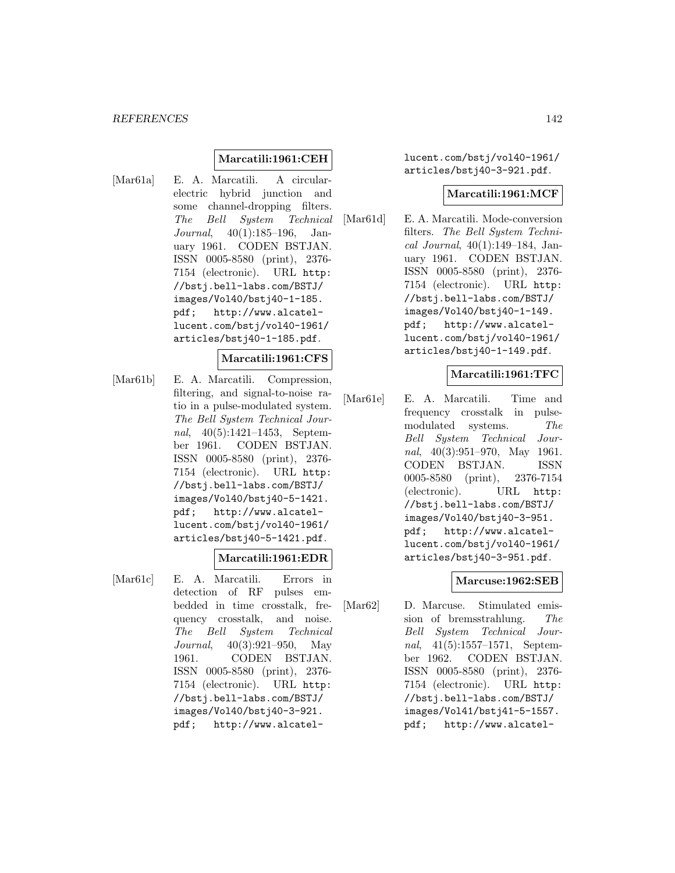# **Marcatili:1961:CEH**

[Mar61a] E. A. Marcatili. A circularelectric hybrid junction and some channel-dropping filters. The Bell System Technical Journal, 40(1):185–196, January 1961. CODEN BSTJAN. ISSN 0005-8580 (print), 2376- 7154 (electronic). URL http: //bstj.bell-labs.com/BSTJ/ images/Vol40/bstj40-1-185. pdf; http://www.alcatellucent.com/bstj/vol40-1961/ articles/bstj40-1-185.pdf.

#### **Marcatili:1961:CFS**

[Mar61b] E. A. Marcatili. Compression, filtering, and signal-to-noise ratio in a pulse-modulated system. The Bell System Technical Journal, 40(5):1421–1453, September 1961. CODEN BSTJAN. ISSN 0005-8580 (print), 2376- 7154 (electronic). URL http: //bstj.bell-labs.com/BSTJ/ images/Vol40/bstj40-5-1421. pdf; http://www.alcatellucent.com/bstj/vol40-1961/ articles/bstj40-5-1421.pdf.

### **Marcatili:1961:EDR**

[Mar61c] E. A. Marcatili. Errors in detection of RF pulses embedded in time crosstalk, frequency crosstalk, and noise. The Bell System Technical Journal, 40(3):921–950, May 1961. CODEN BSTJAN. ISSN 0005-8580 (print), 2376- 7154 (electronic). URL http: //bstj.bell-labs.com/BSTJ/ images/Vol40/bstj40-3-921. pdf; http://www.alcatellucent.com/bstj/vol40-1961/ articles/bstj40-3-921.pdf.

### **Marcatili:1961:MCF**

[Mar61d] E. A. Marcatili. Mode-conversion filters. The Bell System Technical Journal, 40(1):149–184, January 1961. CODEN BSTJAN. ISSN 0005-8580 (print), 2376- 7154 (electronic). URL http: //bstj.bell-labs.com/BSTJ/ images/Vol40/bstj40-1-149. pdf; http://www.alcatellucent.com/bstj/vol40-1961/ articles/bstj40-1-149.pdf.

#### **Marcatili:1961:TFC**

[Mar61e] E. A. Marcatili. Time and frequency crosstalk in pulsemodulated systems. The Bell System Technical Journal, 40(3):951–970, May 1961. CODEN BSTJAN. ISSN 0005-8580 (print), 2376-7154 (electronic). URL http: //bstj.bell-labs.com/BSTJ/ images/Vol40/bstj40-3-951. pdf; http://www.alcatellucent.com/bstj/vol40-1961/ articles/bstj40-3-951.pdf.

# **Marcuse:1962:SEB**

[Mar62] D. Marcuse. Stimulated emission of bremsstrahlung. The Bell System Technical Journal, 41(5):1557–1571, September 1962. CODEN BSTJAN. ISSN 0005-8580 (print), 2376- 7154 (electronic). URL http: //bstj.bell-labs.com/BSTJ/ images/Vol41/bstj41-5-1557. pdf; http://www.alcatel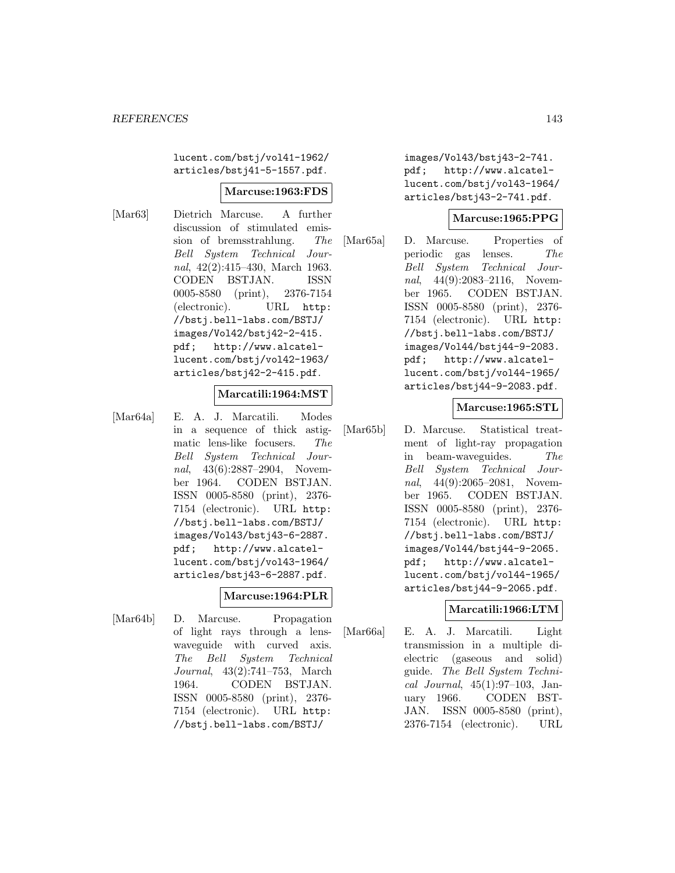lucent.com/bstj/vol41-1962/ articles/bstj41-5-1557.pdf.

### **Marcuse:1963:FDS**

[Mar63] Dietrich Marcuse. A further discussion of stimulated emission of bremsstrahlung. The Bell System Technical Journal, 42(2):415–430, March 1963. CODEN BSTJAN. ISSN 0005-8580 (print), 2376-7154 (electronic). URL http: //bstj.bell-labs.com/BSTJ/ images/Vol42/bstj42-2-415. pdf; http://www.alcatellucent.com/bstj/vol42-1963/ articles/bstj42-2-415.pdf.

#### **Marcatili:1964:MST**

[Mar64a] E. A. J. Marcatili. Modes in a sequence of thick astigmatic lens-like focusers. The Bell System Technical Journal, 43(6):2887–2904, November 1964. CODEN BSTJAN. ISSN 0005-8580 (print), 2376- 7154 (electronic). URL http: //bstj.bell-labs.com/BSTJ/ images/Vol43/bstj43-6-2887. pdf; http://www.alcatellucent.com/bstj/vol43-1964/ articles/bstj43-6-2887.pdf.

### **Marcuse:1964:PLR**

[Mar64b] D. Marcuse. Propagation of light rays through a lenswaveguide with curved axis. The Bell System Technical Journal, 43(2):741–753, March 1964. CODEN BSTJAN. ISSN 0005-8580 (print), 2376- 7154 (electronic). URL http: //bstj.bell-labs.com/BSTJ/

images/Vol43/bstj43-2-741. pdf; http://www.alcatellucent.com/bstj/vol43-1964/ articles/bstj43-2-741.pdf.

### **Marcuse:1965:PPG**

[Mar65a] D. Marcuse. Properties of periodic gas lenses. The Bell System Technical Journal, 44(9):2083-2116, November 1965. CODEN BSTJAN. ISSN 0005-8580 (print), 2376- 7154 (electronic). URL http: //bstj.bell-labs.com/BSTJ/ images/Vol44/bstj44-9-2083. pdf; http://www.alcatellucent.com/bstj/vol44-1965/ articles/bstj44-9-2083.pdf.

### **Marcuse:1965:STL**

[Mar65b] D. Marcuse. Statistical treatment of light-ray propagation in beam-waveguides. The Bell System Technical Journal, 44(9):2065–2081, November 1965. CODEN BSTJAN. ISSN 0005-8580 (print), 2376- 7154 (electronic). URL http: //bstj.bell-labs.com/BSTJ/ images/Vol44/bstj44-9-2065. pdf; http://www.alcatellucent.com/bstj/vol44-1965/ articles/bstj44-9-2065.pdf.

# **Marcatili:1966:LTM**

[Mar66a] E. A. J. Marcatili. Light transmission in a multiple dielectric (gaseous and solid) guide. The Bell System Technical Journal, 45(1):97–103, January 1966. CODEN BST-JAN. ISSN 0005-8580 (print), 2376-7154 (electronic). URL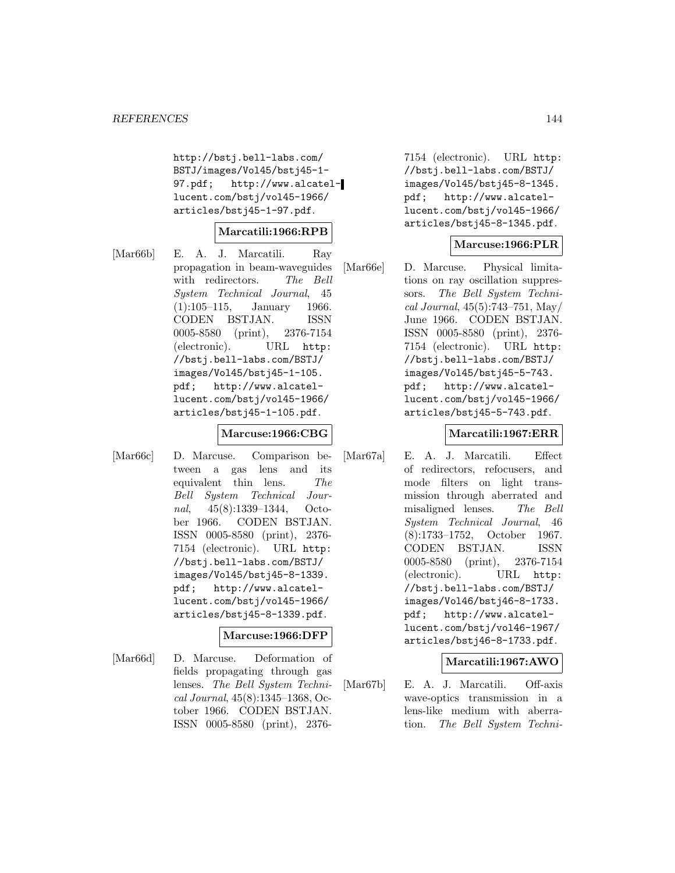http://bstj.bell-labs.com/ BSTJ/images/Vol45/bstj45-1- 97.pdf; http://www.alcatellucent.com/bstj/vol45-1966/ articles/bstj45-1-97.pdf.

### **Marcatili:1966:RPB**

[Mar66b] E. A. J. Marcatili. Ray propagation in beam-waveguides with redirectors. The Bell System Technical Journal, 45 (1):105–115, January 1966. CODEN BSTJAN. ISSN 0005-8580 (print), 2376-7154 (electronic). URL http: //bstj.bell-labs.com/BSTJ/ images/Vol45/bstj45-1-105. pdf; http://www.alcatellucent.com/bstj/vol45-1966/ articles/bstj45-1-105.pdf.

# **Marcuse:1966:CBG**

[Mar66c] D. Marcuse. Comparison between a gas lens and its equivalent thin lens. The Bell System Technical Journal, 45(8):1339–1344, October 1966. CODEN BSTJAN. ISSN 0005-8580 (print), 2376- 7154 (electronic). URL http: //bstj.bell-labs.com/BSTJ/ images/Vol45/bstj45-8-1339. pdf; http://www.alcatellucent.com/bstj/vol45-1966/ articles/bstj45-8-1339.pdf.

# **Marcuse:1966:DFP**

[Mar66d] D. Marcuse. Deformation of fields propagating through gas lenses. The Bell System Technical Journal, 45(8):1345–1368, October 1966. CODEN BSTJAN. ISSN 0005-8580 (print), 2376-

7154 (electronic). URL http: //bstj.bell-labs.com/BSTJ/ images/Vol45/bstj45-8-1345. pdf; http://www.alcatellucent.com/bstj/vol45-1966/ articles/bstj45-8-1345.pdf.

### **Marcuse:1966:PLR**

[Mar66e] D. Marcuse. Physical limitations on ray oscillation suppressors. The Bell System Technical Journal, 45(5):743–751, May/ June 1966. CODEN BSTJAN. ISSN 0005-8580 (print), 2376- 7154 (electronic). URL http: //bstj.bell-labs.com/BSTJ/ images/Vol45/bstj45-5-743. pdf; http://www.alcatellucent.com/bstj/vol45-1966/ articles/bstj45-5-743.pdf.

### **Marcatili:1967:ERR**

[Mar67a] E. A. J. Marcatili. Effect of redirectors, refocusers, and mode filters on light transmission through aberrated and misaligned lenses. The Bell System Technical Journal, 46 (8):1733–1752, October 1967. CODEN BSTJAN. ISSN 0005-8580 (print), 2376-7154 (electronic). URL http: //bstj.bell-labs.com/BSTJ/ images/Vol46/bstj46-8-1733. pdf; http://www.alcatellucent.com/bstj/vol46-1967/ articles/bstj46-8-1733.pdf.

### **Marcatili:1967:AWO**

[Mar67b] E. A. J. Marcatili. Off-axis wave-optics transmission in a lens-like medium with aberration. The Bell System Techni-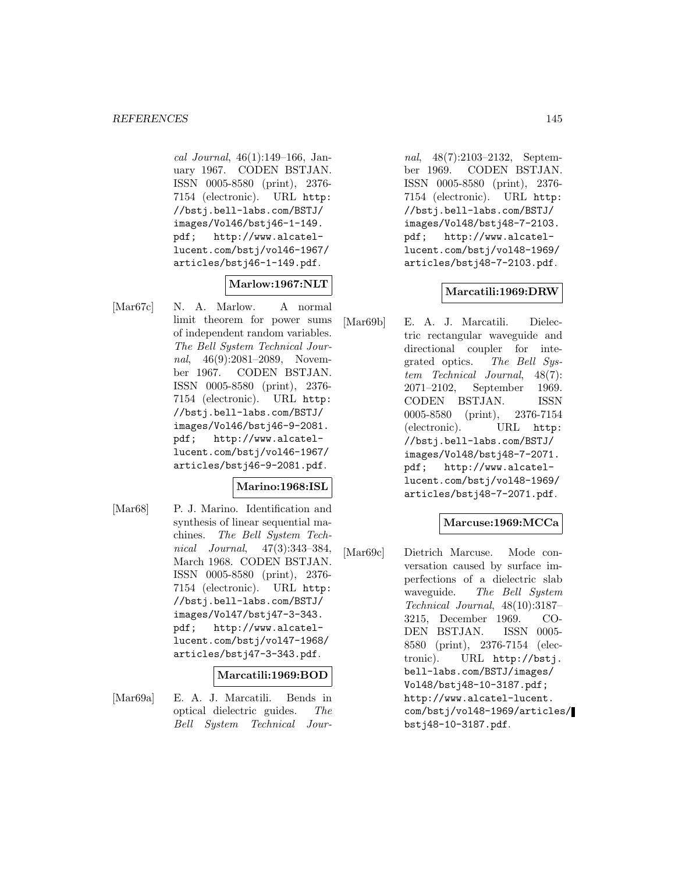cal Journal, 46(1):149–166, January 1967. CODEN BSTJAN. ISSN 0005-8580 (print), 2376- 7154 (electronic). URL http: //bstj.bell-labs.com/BSTJ/ images/Vol46/bstj46-1-149. pdf; http://www.alcatellucent.com/bstj/vol46-1967/ articles/bstj46-1-149.pdf.

# **Marlow:1967:NLT**

[Mar67c] N. A. Marlow. A normal limit theorem for power sums of independent random variables. The Bell System Technical Journal, 46(9):2081-2089, November 1967. CODEN BSTJAN. ISSN 0005-8580 (print), 2376- 7154 (electronic). URL http: //bstj.bell-labs.com/BSTJ/ images/Vol46/bstj46-9-2081. pdf; http://www.alcatellucent.com/bstj/vol46-1967/ articles/bstj46-9-2081.pdf.

# **Marino:1968:ISL**

[Mar68] P. J. Marino. Identification and synthesis of linear sequential machines. The Bell System Technical Journal, 47(3):343–384, March 1968. CODEN BSTJAN. ISSN 0005-8580 (print), 2376- 7154 (electronic). URL http: //bstj.bell-labs.com/BSTJ/ images/Vol47/bstj47-3-343. pdf; http://www.alcatellucent.com/bstj/vol47-1968/ articles/bstj47-3-343.pdf.

#### **Marcatili:1969:BOD**

[Mar69a] E. A. J. Marcatili. Bends in optical dielectric guides. The Bell System Technical Jour-

nal, 48(7):2103–2132, September 1969. CODEN BSTJAN. ISSN 0005-8580 (print), 2376- 7154 (electronic). URL http: //bstj.bell-labs.com/BSTJ/ images/Vol48/bstj48-7-2103. pdf; http://www.alcatellucent.com/bstj/vol48-1969/ articles/bstj48-7-2103.pdf.

## **Marcatili:1969:DRW**

[Mar69b] E. A. J. Marcatili. Dielectric rectangular waveguide and directional coupler for integrated optics. The Bell System Technical Journal, 48(7): 2071–2102, September 1969. CODEN BSTJAN. ISSN 0005-8580 (print), 2376-7154 (electronic). URL http: //bstj.bell-labs.com/BSTJ/ images/Vol48/bstj48-7-2071. pdf; http://www.alcatellucent.com/bstj/vol48-1969/ articles/bstj48-7-2071.pdf.

## **Marcuse:1969:MCCa**

[Mar69c] Dietrich Marcuse. Mode conversation caused by surface imperfections of a dielectric slab waveguide. The Bell System Technical Journal, 48(10):3187– 3215, December 1969. CO-DEN BSTJAN. ISSN 0005- 8580 (print), 2376-7154 (electronic). URL http://bstj. bell-labs.com/BSTJ/images/ Vol48/bstj48-10-3187.pdf; http://www.alcatel-lucent. com/bstj/vol48-1969/articles/ bstj48-10-3187.pdf.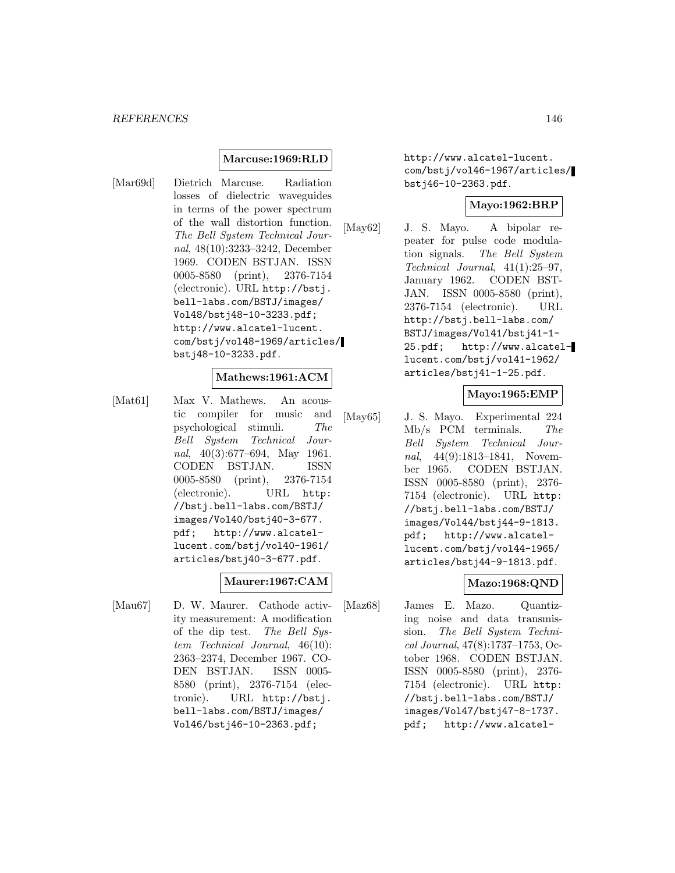## **Marcuse:1969:RLD**

[Mar69d] Dietrich Marcuse. Radiation losses of dielectric waveguides in terms of the power spectrum of the wall distortion function. The Bell System Technical Journal, 48(10):3233–3242, December 1969. CODEN BSTJAN. ISSN 0005-8580 (print), 2376-7154 (electronic). URL http://bstj. bell-labs.com/BSTJ/images/ Vol48/bstj48-10-3233.pdf; http://www.alcatel-lucent. com/bstj/vol48-1969/articles/ bstj48-10-3233.pdf.

#### **Mathews:1961:ACM**

[Mat61] Max V. Mathews. An acoustic compiler for music and psychological stimuli. The Bell System Technical Journal, 40(3):677–694, May 1961. CODEN BSTJAN. ISSN 0005-8580 (print), 2376-7154 (electronic). URL http: //bstj.bell-labs.com/BSTJ/ images/Vol40/bstj40-3-677. pdf; http://www.alcatellucent.com/bstj/vol40-1961/ articles/bstj40-3-677.pdf.

# **Maurer:1967:CAM**

[Mau67] D. W. Maurer. Cathode activity measurement: A modification of the dip test. The Bell System Technical Journal, 46(10): 2363–2374, December 1967. CO-DEN BSTJAN. ISSN 0005- 8580 (print), 2376-7154 (electronic). URL http://bstj. bell-labs.com/BSTJ/images/ Vol46/bstj46-10-2363.pdf;

http://www.alcatel-lucent. com/bstj/vol46-1967/articles/ bstj46-10-2363.pdf.

## **Mayo:1962:BRP**

[May62] J. S. Mayo. A bipolar repeater for pulse code modulation signals. The Bell System Technical Journal, 41(1):25–97, January 1962. CODEN BST-JAN. ISSN 0005-8580 (print), 2376-7154 (electronic). URL http://bstj.bell-labs.com/ BSTJ/images/Vol41/bstj41-1- 25.pdf; http://www.alcatellucent.com/bstj/vol41-1962/ articles/bstj41-1-25.pdf.

#### **Mayo:1965:EMP**

[May65] J. S. Mayo. Experimental 224 Mb/s PCM terminals. The Bell System Technical Journal, 44(9):1813–1841, November 1965. CODEN BSTJAN. ISSN 0005-8580 (print), 2376- 7154 (electronic). URL http: //bstj.bell-labs.com/BSTJ/ images/Vol44/bstj44-9-1813. pdf; http://www.alcatellucent.com/bstj/vol44-1965/ articles/bstj44-9-1813.pdf.

# **Mazo:1968:QND**

[Maz68] James E. Mazo. Quantizing noise and data transmission. The Bell System Technical Journal, 47(8):1737–1753, October 1968. CODEN BSTJAN. ISSN 0005-8580 (print), 2376- 7154 (electronic). URL http: //bstj.bell-labs.com/BSTJ/ images/Vol47/bstj47-8-1737. pdf; http://www.alcatel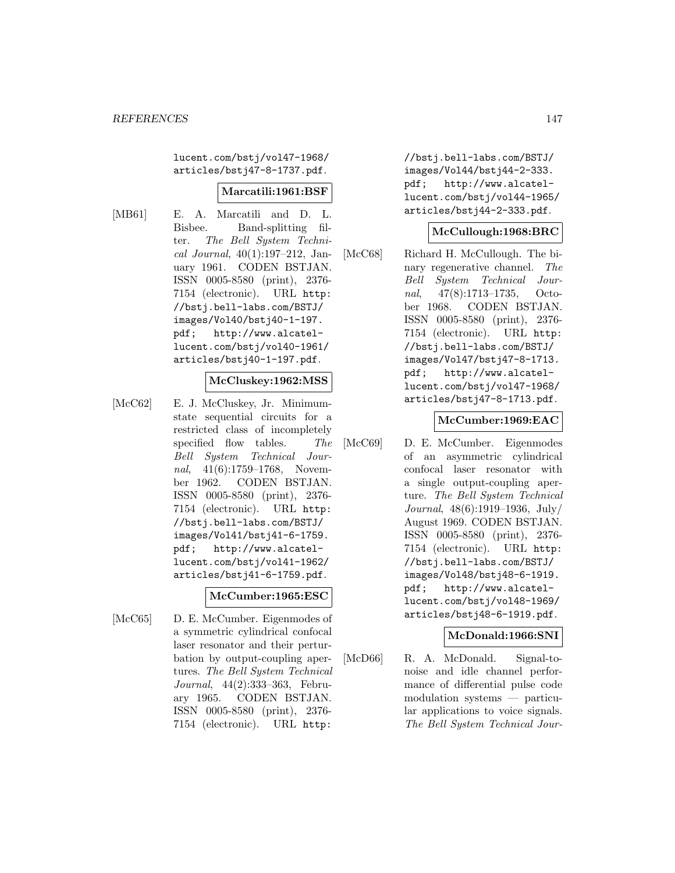lucent.com/bstj/vol47-1968/ articles/bstj47-8-1737.pdf.

## **Marcatili:1961:BSF**

- 
- [MB61] E. A. Marcatili and D. L. Bisbee. Band-splitting filter. The Bell System Technical Journal, 40(1):197–212, January 1961. CODEN BSTJAN. ISSN 0005-8580 (print), 2376- 7154 (electronic). URL http: //bstj.bell-labs.com/BSTJ/ images/Vol40/bstj40-1-197. pdf; http://www.alcatellucent.com/bstj/vol40-1961/ articles/bstj40-1-197.pdf.

## **McCluskey:1962:MSS**

[McC62] E. J. McCluskey, Jr. Minimumstate sequential circuits for a restricted class of incompletely specified flow tables. The Bell System Technical Journal, 41(6):1759–1768, November 1962. CODEN BSTJAN. ISSN 0005-8580 (print), 2376- 7154 (electronic). URL http: //bstj.bell-labs.com/BSTJ/ images/Vol41/bstj41-6-1759. pdf; http://www.alcatellucent.com/bstj/vol41-1962/ articles/bstj41-6-1759.pdf.

#### **McCumber:1965:ESC**

[McC65] D. E. McCumber. Eigenmodes of a symmetric cylindrical confocal laser resonator and their perturbation by output-coupling apertures. The Bell System Technical Journal, 44(2):333–363, February 1965. CODEN BSTJAN. ISSN 0005-8580 (print), 2376- 7154 (electronic). URL http:

//bstj.bell-labs.com/BSTJ/ images/Vol44/bstj44-2-333. pdf; http://www.alcatellucent.com/bstj/vol44-1965/ articles/bstj44-2-333.pdf.

## **McCullough:1968:BRC**

[McC68] Richard H. McCullough. The binary regenerative channel. The Bell System Technical Journal, 47(8):1713–1735, October 1968. CODEN BSTJAN. ISSN 0005-8580 (print), 2376- 7154 (electronic). URL http: //bstj.bell-labs.com/BSTJ/ images/Vol47/bstj47-8-1713. pdf; http://www.alcatellucent.com/bstj/vol47-1968/ articles/bstj47-8-1713.pdf.

#### **McCumber:1969:EAC**

[McC69] D. E. McCumber. Eigenmodes of an asymmetric cylindrical confocal laser resonator with a single output-coupling aperture. The Bell System Technical Journal, 48(6):1919–1936, July/ August 1969. CODEN BSTJAN. ISSN 0005-8580 (print), 2376- 7154 (electronic). URL http: //bstj.bell-labs.com/BSTJ/ images/Vol48/bstj48-6-1919. pdf; http://www.alcatellucent.com/bstj/vol48-1969/ articles/bstj48-6-1919.pdf.

## **McDonald:1966:SNI**

[McD66] R. A. McDonald. Signal-tonoise and idle channel performance of differential pulse code modulation systems — particular applications to voice signals. The Bell System Technical Jour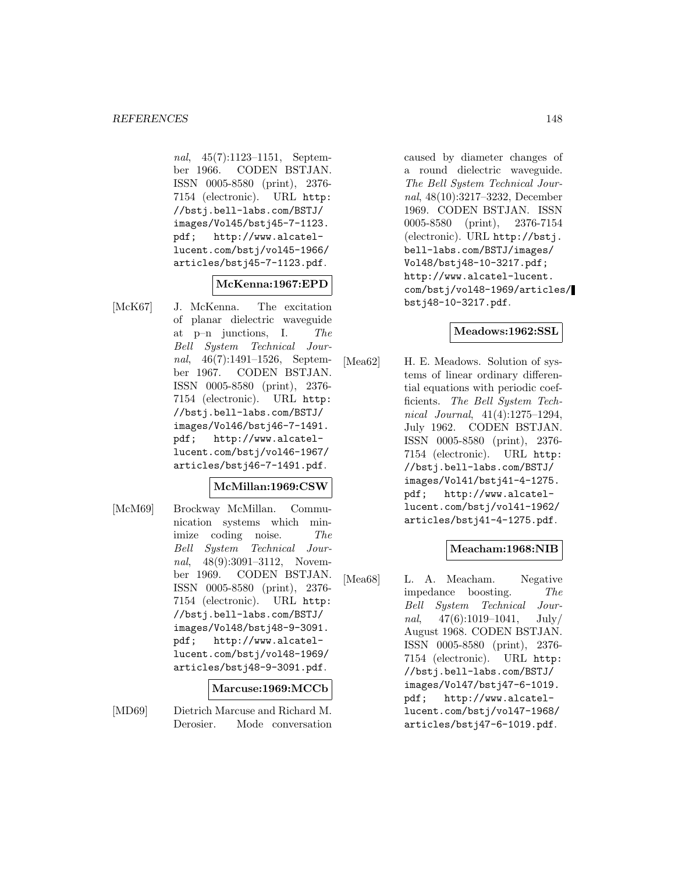nal, 45(7):1123–1151, September 1966. CODEN BSTJAN. ISSN 0005-8580 (print), 2376- 7154 (electronic). URL http: //bstj.bell-labs.com/BSTJ/ images/Vol45/bstj45-7-1123. pdf; http://www.alcatellucent.com/bstj/vol45-1966/ articles/bstj45-7-1123.pdf.

## **McKenna:1967:EPD**

[McK67] J. McKenna. The excitation of planar dielectric waveguide at p–n junctions, I. The Bell System Technical Journal, 46(7):1491–1526, September 1967. CODEN BSTJAN. ISSN 0005-8580 (print), 2376- 7154 (electronic). URL http: //bstj.bell-labs.com/BSTJ/ images/Vol46/bstj46-7-1491. pdf; http://www.alcatellucent.com/bstj/vol46-1967/ articles/bstj46-7-1491.pdf.

## **McMillan:1969:CSW**

[McM69] Brockway McMillan. Communication systems which minimize coding noise. The Bell System Technical Journal, 48(9):3091-3112, November 1969. CODEN BSTJAN. ISSN 0005-8580 (print), 2376- 7154 (electronic). URL http: //bstj.bell-labs.com/BSTJ/ images/Vol48/bstj48-9-3091. pdf; http://www.alcatellucent.com/bstj/vol48-1969/ articles/bstj48-9-3091.pdf.

#### **Marcuse:1969:MCCb**

[MD69] Dietrich Marcuse and Richard M. Derosier. Mode conversation caused by diameter changes of a round dielectric waveguide. The Bell System Technical Journal, 48(10):3217–3232, December 1969. CODEN BSTJAN. ISSN 0005-8580 (print), 2376-7154 (electronic). URL http://bstj. bell-labs.com/BSTJ/images/ Vol48/bstj48-10-3217.pdf; http://www.alcatel-lucent. com/bstj/vol48-1969/articles/ bstj48-10-3217.pdf.

## **Meadows:1962:SSL**

[Mea62] H. E. Meadows. Solution of systems of linear ordinary differential equations with periodic coefficients. The Bell System Technical Journal, 41(4):1275–1294, July 1962. CODEN BSTJAN. ISSN 0005-8580 (print), 2376- 7154 (electronic). URL http: //bstj.bell-labs.com/BSTJ/ images/Vol41/bstj41-4-1275. pdf; http://www.alcatellucent.com/bstj/vol41-1962/ articles/bstj41-4-1275.pdf.

## **Meacham:1968:NIB**

[Mea68] L. A. Meacham. Negative impedance boosting. The Bell System Technical Journal,  $47(6):1019-1041$ , July/ August 1968. CODEN BSTJAN. ISSN 0005-8580 (print), 2376- 7154 (electronic). URL http: //bstj.bell-labs.com/BSTJ/ images/Vol47/bstj47-6-1019. pdf; http://www.alcatellucent.com/bstj/vol47-1968/ articles/bstj47-6-1019.pdf.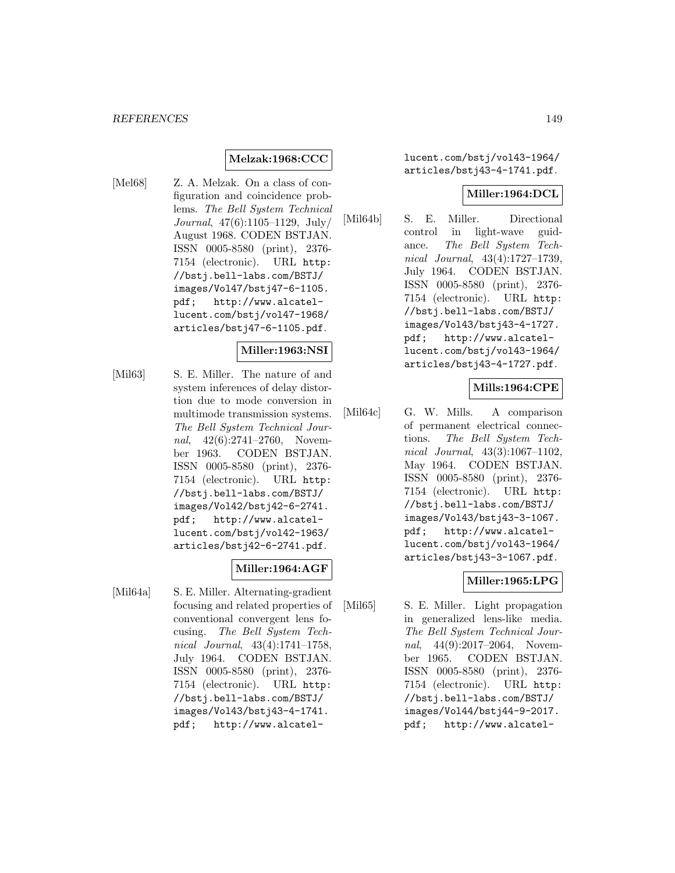## **Melzak:1968:CCC**

[Mel68] Z. A. Melzak. On a class of configuration and coincidence problems. The Bell System Technical Journal, 47(6):1105–1129, July/ August 1968. CODEN BSTJAN. ISSN 0005-8580 (print), 2376- 7154 (electronic). URL http: //bstj.bell-labs.com/BSTJ/ images/Vol47/bstj47-6-1105. pdf; http://www.alcatellucent.com/bstj/vol47-1968/ articles/bstj47-6-1105.pdf.

#### **Miller:1963:NSI**

[Mil63] S. E. Miller. The nature of and system inferences of delay distortion due to mode conversion in multimode transmission systems. The Bell System Technical Journal, 42(6):2741-2760, November 1963. CODEN BSTJAN. ISSN 0005-8580 (print), 2376- 7154 (electronic). URL http: //bstj.bell-labs.com/BSTJ/ images/Vol42/bstj42-6-2741. pdf; http://www.alcatellucent.com/bstj/vol42-1963/ articles/bstj42-6-2741.pdf.

## **Miller:1964:AGF**

[Mil64a] S. E. Miller. Alternating-gradient focusing and related properties of conventional convergent lens focusing. The Bell System Technical Journal, 43(4):1741–1758, July 1964. CODEN BSTJAN. ISSN 0005-8580 (print), 2376- 7154 (electronic). URL http: //bstj.bell-labs.com/BSTJ/ images/Vol43/bstj43-4-1741. pdf; http://www.alcatellucent.com/bstj/vol43-1964/ articles/bstj43-4-1741.pdf.

#### **Miller:1964:DCL**

[Mil64b] S. E. Miller. Directional control in light-wave guidance. The Bell System Technical Journal, 43(4):1727–1739, July 1964. CODEN BSTJAN. ISSN 0005-8580 (print), 2376- 7154 (electronic). URL http: //bstj.bell-labs.com/BSTJ/ images/Vol43/bstj43-4-1727. pdf; http://www.alcatellucent.com/bstj/vol43-1964/ articles/bstj43-4-1727.pdf.

## **Mills:1964:CPE**

[Mil64c] G. W. Mills. A comparison of permanent electrical connections. The Bell System Technical Journal, 43(3):1067–1102, May 1964. CODEN BSTJAN. ISSN 0005-8580 (print), 2376- 7154 (electronic). URL http: //bstj.bell-labs.com/BSTJ/ images/Vol43/bstj43-3-1067. pdf; http://www.alcatellucent.com/bstj/vol43-1964/ articles/bstj43-3-1067.pdf.

#### **Miller:1965:LPG**

[Mil65] S. E. Miller. Light propagation in generalized lens-like media. The Bell System Technical Journal, 44(9):2017–2064, November 1965. CODEN BSTJAN. ISSN 0005-8580 (print), 2376- 7154 (electronic). URL http: //bstj.bell-labs.com/BSTJ/ images/Vol44/bstj44-9-2017. pdf; http://www.alcatel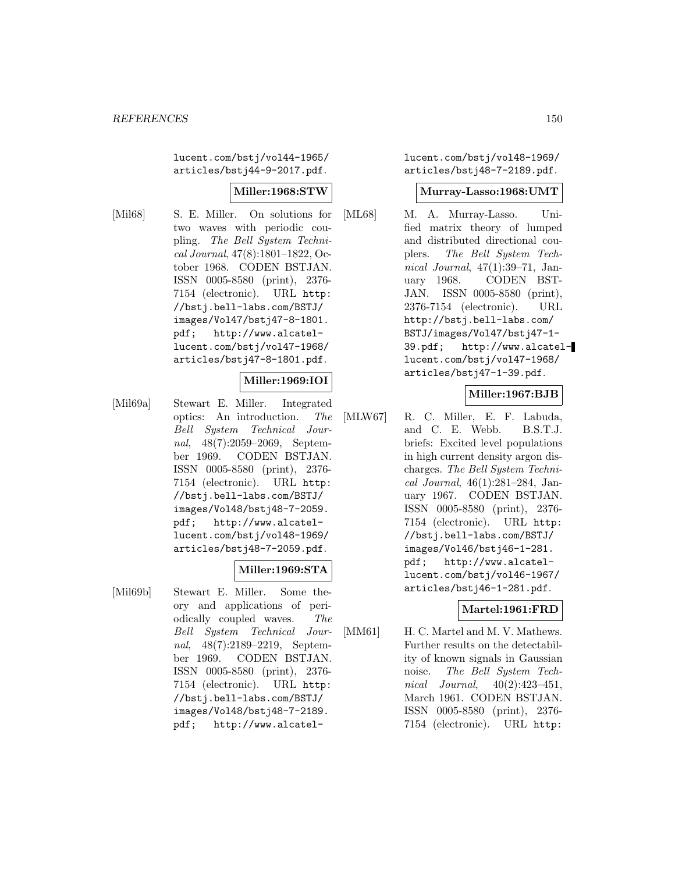lucent.com/bstj/vol44-1965/ articles/bstj44-9-2017.pdf.

## **Miller:1968:STW**

[Mil68] S. E. Miller. On solutions for two waves with periodic coupling. The Bell System Technical Journal, 47(8):1801–1822, October 1968. CODEN BSTJAN. ISSN 0005-8580 (print), 2376- 7154 (electronic). URL http: //bstj.bell-labs.com/BSTJ/ images/Vol47/bstj47-8-1801. pdf; http://www.alcatellucent.com/bstj/vol47-1968/ articles/bstj47-8-1801.pdf.

# **Miller:1969:IOI**

[Mil69a] Stewart E. Miller. Integrated optics: An introduction. The Bell System Technical Journal, 48(7):2059–2069, September 1969. CODEN BSTJAN. ISSN 0005-8580 (print), 2376- 7154 (electronic). URL http: //bstj.bell-labs.com/BSTJ/ images/Vol48/bstj48-7-2059. pdf; http://www.alcatellucent.com/bstj/vol48-1969/ articles/bstj48-7-2059.pdf.

## **Miller:1969:STA**

[Mil69b] Stewart E. Miller. Some theory and applications of periodically coupled waves. The Bell System Technical Journal, 48(7):2189–2219, September 1969. CODEN BSTJAN. ISSN 0005-8580 (print), 2376- 7154 (electronic). URL http: //bstj.bell-labs.com/BSTJ/ images/Vol48/bstj48-7-2189. pdf; http://www.alcatellucent.com/bstj/vol48-1969/ articles/bstj48-7-2189.pdf.

## **Murray-Lasso:1968:UMT**

[ML68] M. A. Murray-Lasso. Unified matrix theory of lumped and distributed directional couplers. The Bell System Technical Journal, 47(1):39–71, January 1968. CODEN BST-JAN. ISSN 0005-8580 (print), 2376-7154 (electronic). URL http://bstj.bell-labs.com/ BSTJ/images/Vol47/bstj47-1- 39.pdf; http://www.alcatellucent.com/bstj/vol47-1968/ articles/bstj47-1-39.pdf.

## **Miller:1967:BJB**

[MLW67] R. C. Miller, E. F. Labuda, and C. E. Webb. B.S.T.J. briefs: Excited level populations in high current density argon discharges. The Bell System Technical Journal, 46(1):281–284, January 1967. CODEN BSTJAN. ISSN 0005-8580 (print), 2376- 7154 (electronic). URL http: //bstj.bell-labs.com/BSTJ/ images/Vol46/bstj46-1-281. pdf; http://www.alcatellucent.com/bstj/vol46-1967/ articles/bstj46-1-281.pdf.

# **Martel:1961:FRD**

[MM61] H. C. Martel and M. V. Mathews. Further results on the detectability of known signals in Gaussian noise. The Bell System Technical Journal, 40(2):423–451, March 1961. CODEN BSTJAN. ISSN 0005-8580 (print), 2376- 7154 (electronic). URL http: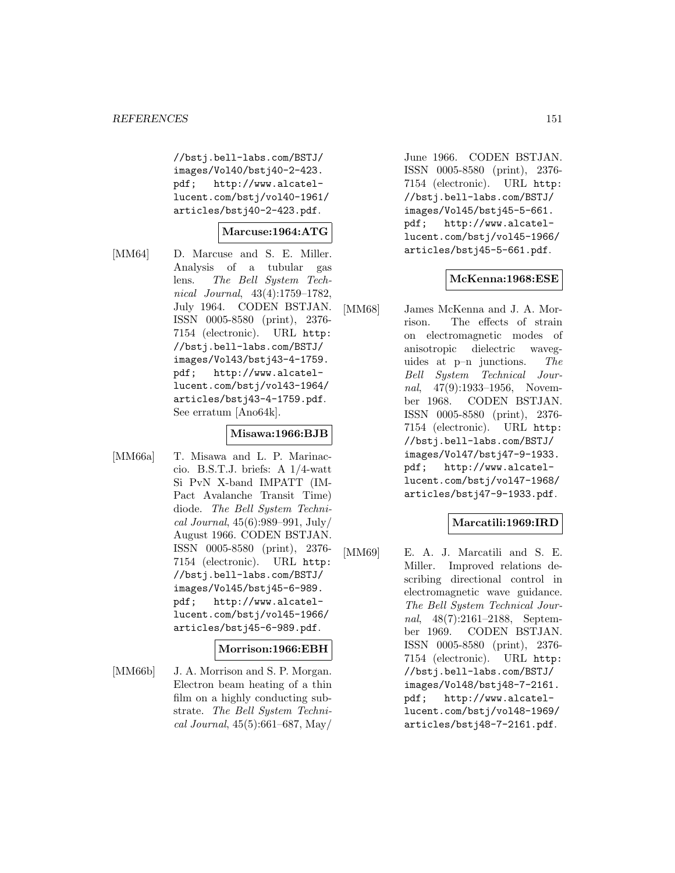//bstj.bell-labs.com/BSTJ/ images/Vol40/bstj40-2-423. pdf; http://www.alcatellucent.com/bstj/vol40-1961/ articles/bstj40-2-423.pdf.

## **Marcuse:1964:ATG**

[MM64] D. Marcuse and S. E. Miller. Analysis of a tubular gas lens. The Bell System Technical Journal, 43(4):1759–1782, July 1964. CODEN BSTJAN. ISSN 0005-8580 (print), 2376- 7154 (electronic). URL http: //bstj.bell-labs.com/BSTJ/ images/Vol43/bstj43-4-1759. pdf; http://www.alcatellucent.com/bstj/vol43-1964/ articles/bstj43-4-1759.pdf. See erratum [Ano64k].

## **Misawa:1966:BJB**

[MM66a] T. Misawa and L. P. Marinaccio. B.S.T.J. briefs: A 1/4-watt Si PvN X-band IMPATT (IM-Pact Avalanche Transit Time) diode. The Bell System Technical Journal, 45(6):989–991, July/ August 1966. CODEN BSTJAN. ISSN 0005-8580 (print), 2376- 7154 (electronic). URL http: //bstj.bell-labs.com/BSTJ/ images/Vol45/bstj45-6-989. pdf; http://www.alcatellucent.com/bstj/vol45-1966/ articles/bstj45-6-989.pdf.

#### **Morrison:1966:EBH**

[MM66b] J. A. Morrison and S. P. Morgan. Electron beam heating of a thin film on a highly conducting substrate. The Bell System Technical Journal, 45(5):661–687, May/

June 1966. CODEN BSTJAN. ISSN 0005-8580 (print), 2376- 7154 (electronic). URL http: //bstj.bell-labs.com/BSTJ/ images/Vol45/bstj45-5-661. pdf; http://www.alcatellucent.com/bstj/vol45-1966/ articles/bstj45-5-661.pdf.

## **McKenna:1968:ESE**

[MM68] James McKenna and J. A. Morrison. The effects of strain on electromagnetic modes of anisotropic dielectric waveguides at p–n junctions. The Bell System Technical Journal, 47(9):1933–1956, November 1968. CODEN BSTJAN. ISSN 0005-8580 (print), 2376- 7154 (electronic). URL http: //bstj.bell-labs.com/BSTJ/ images/Vol47/bstj47-9-1933. pdf; http://www.alcatellucent.com/bstj/vol47-1968/ articles/bstj47-9-1933.pdf.

## **Marcatili:1969:IRD**

[MM69] E. A. J. Marcatili and S. E. Miller. Improved relations describing directional control in electromagnetic wave guidance. The Bell System Technical Journal, 48(7):2161–2188, September 1969. CODEN BSTJAN. ISSN 0005-8580 (print), 2376- 7154 (electronic). URL http: //bstj.bell-labs.com/BSTJ/ images/Vol48/bstj48-7-2161. pdf; http://www.alcatellucent.com/bstj/vol48-1969/ articles/bstj48-7-2161.pdf.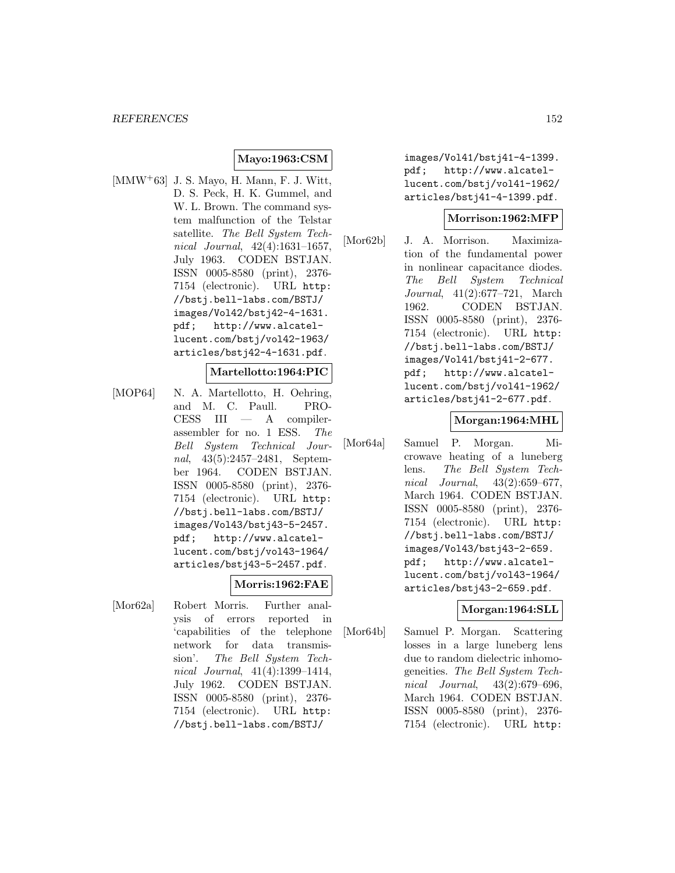## **Mayo:1963:CSM**

[MMW<sup>+</sup>63] J. S. Mayo, H. Mann, F. J. Witt, D. S. Peck, H. K. Gummel, and W. L. Brown. The command system malfunction of the Telstar satellite. The Bell System Technical Journal, 42(4):1631–1657, July 1963. CODEN BSTJAN. ISSN 0005-8580 (print), 2376- 7154 (electronic). URL http: //bstj.bell-labs.com/BSTJ/ images/Vol42/bstj42-4-1631. pdf; http://www.alcatellucent.com/bstj/vol42-1963/ articles/bstj42-4-1631.pdf.

#### **Martellotto:1964:PIC**

[MOP64] N. A. Martellotto, H. Oehring, and M. C. Paull. PRO- $CESS$  III  $-$  A compilerassembler for no. 1 ESS. The Bell System Technical Journal, 43(5):2457–2481, September 1964. CODEN BSTJAN. ISSN 0005-8580 (print), 2376- 7154 (electronic). URL http: //bstj.bell-labs.com/BSTJ/ images/Vol43/bstj43-5-2457. pdf; http://www.alcatellucent.com/bstj/vol43-1964/ articles/bstj43-5-2457.pdf.

#### **Morris:1962:FAE**

[Mor62a] Robert Morris. Further analysis of errors reported in 'capabilities of the telephone network for data transmission'. The Bell System Technical Journal, 41(4):1399–1414, July 1962. CODEN BSTJAN. ISSN 0005-8580 (print), 2376- 7154 (electronic). URL http: //bstj.bell-labs.com/BSTJ/

images/Vol41/bstj41-4-1399. pdf; http://www.alcatellucent.com/bstj/vol41-1962/ articles/bstj41-4-1399.pdf.

## **Morrison:1962:MFP**

[Mor62b] J. A. Morrison. Maximization of the fundamental power in nonlinear capacitance diodes. The Bell System Technical Journal, 41(2):677–721, March 1962. CODEN BSTJAN. ISSN 0005-8580 (print), 2376- 7154 (electronic). URL http: //bstj.bell-labs.com/BSTJ/ images/Vol41/bstj41-2-677. pdf; http://www.alcatellucent.com/bstj/vol41-1962/ articles/bstj41-2-677.pdf.

#### **Morgan:1964:MHL**

[Mor64a] Samuel P. Morgan. Microwave heating of a luneberg lens. The Bell System Technical Journal, 43(2):659–677, March 1964. CODEN BSTJAN. ISSN 0005-8580 (print), 2376- 7154 (electronic). URL http: //bstj.bell-labs.com/BSTJ/ images/Vol43/bstj43-2-659. pdf; http://www.alcatellucent.com/bstj/vol43-1964/ articles/bstj43-2-659.pdf.

## **Morgan:1964:SLL**

[Mor64b] Samuel P. Morgan. Scattering losses in a large luneberg lens due to random dielectric inhomogeneities. The Bell System Technical Journal, 43(2):679–696, March 1964. CODEN BSTJAN. ISSN 0005-8580 (print), 2376- 7154 (electronic). URL http: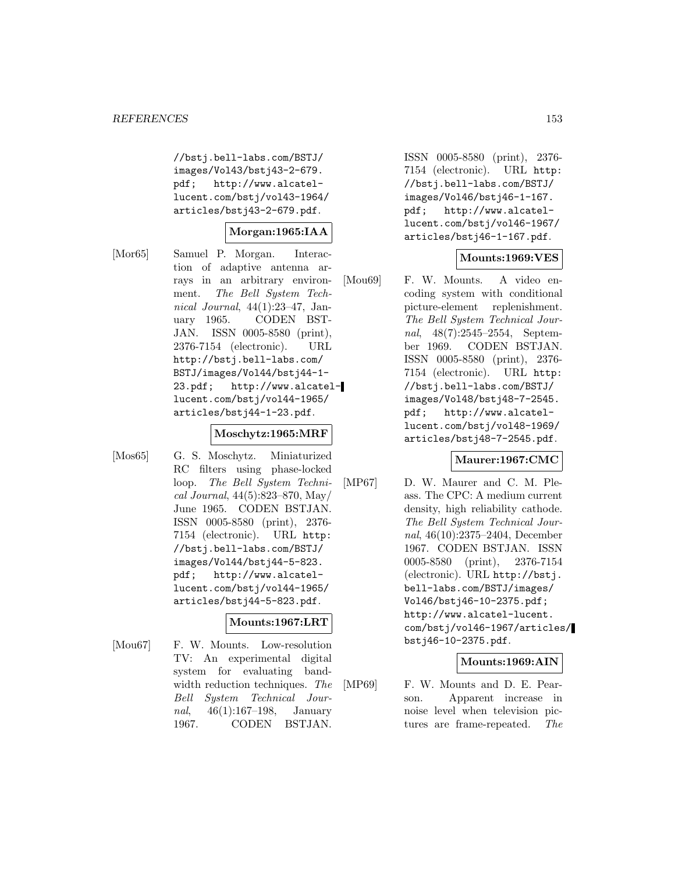//bstj.bell-labs.com/BSTJ/ images/Vol43/bstj43-2-679. pdf; http://www.alcatellucent.com/bstj/vol43-1964/ articles/bstj43-2-679.pdf.

## **Morgan:1965:IAA**

[Mor65] Samuel P. Morgan. Interaction of adaptive antenna arrays in an arbitrary environment. The Bell System Technical Journal, 44(1):23–47, January 1965. CODEN BST-JAN. ISSN 0005-8580 (print), 2376-7154 (electronic). URL http://bstj.bell-labs.com/ BSTJ/images/Vol44/bstj44-1- 23.pdf; http://www.alcatellucent.com/bstj/vol44-1965/ articles/bstj44-1-23.pdf.

#### **Moschytz:1965:MRF**

[Mos65] G. S. Moschytz. Miniaturized RC filters using phase-locked loop. The Bell System Technical Journal, 44(5):823–870, May/ June 1965. CODEN BSTJAN. ISSN 0005-8580 (print), 2376- 7154 (electronic). URL http: //bstj.bell-labs.com/BSTJ/ images/Vol44/bstj44-5-823. pdf; http://www.alcatellucent.com/bstj/vol44-1965/ articles/bstj44-5-823.pdf.

## **Mounts:1967:LRT**

[Mou67] F. W. Mounts. Low-resolution TV: An experimental digital system for evaluating bandwidth reduction techniques. The Bell System Technical Journal, 46(1):167–198, January 1967. CODEN BSTJAN.

ISSN 0005-8580 (print), 2376- 7154 (electronic). URL http: //bstj.bell-labs.com/BSTJ/ images/Vol46/bstj46-1-167. pdf; http://www.alcatellucent.com/bstj/vol46-1967/ articles/bstj46-1-167.pdf.

## **Mounts:1969:VES**

[Mou69] F. W. Mounts. A video encoding system with conditional picture-element replenishment. The Bell System Technical Journal, 48(7):2545–2554, September 1969. CODEN BSTJAN. ISSN 0005-8580 (print), 2376- 7154 (electronic). URL http: //bstj.bell-labs.com/BSTJ/ images/Vol48/bstj48-7-2545. pdf; http://www.alcatellucent.com/bstj/vol48-1969/ articles/bstj48-7-2545.pdf.

## **Maurer:1967:CMC**

[MP67] D. W. Maurer and C. M. Pleass. The CPC: A medium current density, high reliability cathode. The Bell System Technical Journal, 46(10):2375–2404, December 1967. CODEN BSTJAN. ISSN 0005-8580 (print), 2376-7154 (electronic). URL http://bstj. bell-labs.com/BSTJ/images/ Vol46/bstj46-10-2375.pdf; http://www.alcatel-lucent. com/bstj/vol46-1967/articles/ bstj46-10-2375.pdf.

## **Mounts:1969:AIN**

[MP69] F. W. Mounts and D. E. Pearson. Apparent increase in noise level when television pictures are frame-repeated. The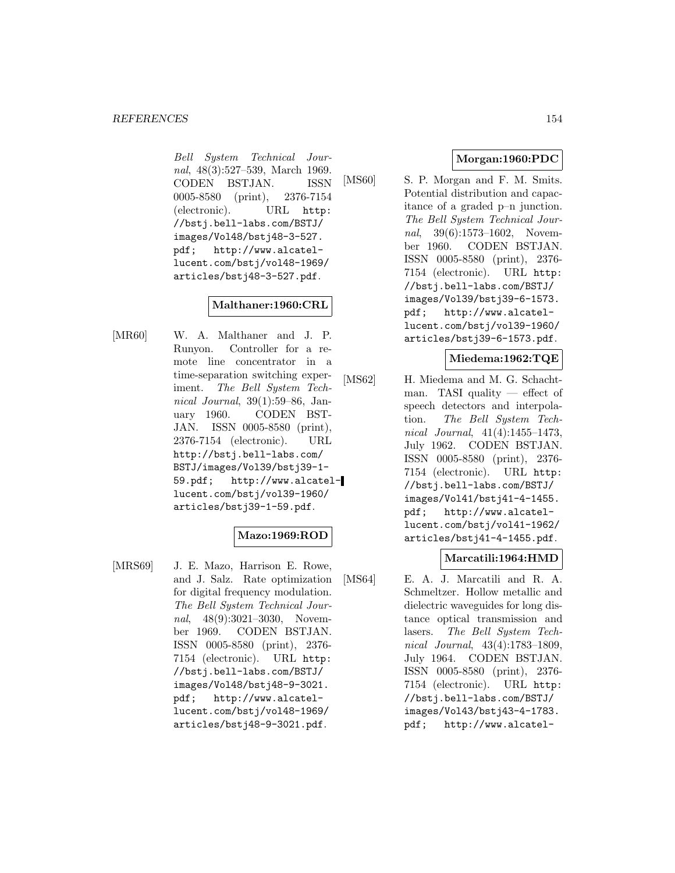Bell System Technical Journal, 48(3):527–539, March 1969. CODEN BSTJAN. ISSN 0005-8580 (print), 2376-7154 (electronic). URL http: //bstj.bell-labs.com/BSTJ/ images/Vol48/bstj48-3-527. pdf; http://www.alcatellucent.com/bstj/vol48-1969/ articles/bstj48-3-527.pdf.

## **Malthaner:1960:CRL**

[MR60] W. A. Malthaner and J. P. Runyon. Controller for a remote line concentrator in a time-separation switching experiment. The Bell System Technical Journal, 39(1):59–86, January 1960. CODEN BST-JAN. ISSN 0005-8580 (print), 2376-7154 (electronic). URL http://bstj.bell-labs.com/ BSTJ/images/Vol39/bstj39-1- 59.pdf; http://www.alcatellucent.com/bstj/vol39-1960/ articles/bstj39-1-59.pdf.

## **Mazo:1969:ROD**

[MRS69] J. E. Mazo, Harrison E. Rowe, and J. Salz. Rate optimization for digital frequency modulation. The Bell System Technical Journal, 48(9):3021-3030, November 1969. CODEN BSTJAN. ISSN 0005-8580 (print), 2376- 7154 (electronic). URL http: //bstj.bell-labs.com/BSTJ/ images/Vol48/bstj48-9-3021. pdf; http://www.alcatellucent.com/bstj/vol48-1969/ articles/bstj48-9-3021.pdf.

# **Morgan:1960:PDC**

[MS60] S. P. Morgan and F. M. Smits. Potential distribution and capacitance of a graded p–n junction. The Bell System Technical Journal, 39(6):1573–1602, November 1960. CODEN BSTJAN. ISSN 0005-8580 (print), 2376- 7154 (electronic). URL http: //bstj.bell-labs.com/BSTJ/ images/Vol39/bstj39-6-1573. pdf; http://www.alcatellucent.com/bstj/vol39-1960/ articles/bstj39-6-1573.pdf.

## **Miedema:1962:TQE**

[MS62] H. Miedema and M. G. Schachtman. TASI quality — effect of speech detectors and interpolation. The Bell System Technical Journal, 41(4):1455–1473, July 1962. CODEN BSTJAN. ISSN 0005-8580 (print), 2376- 7154 (electronic). URL http: //bstj.bell-labs.com/BSTJ/ images/Vol41/bstj41-4-1455. pdf; http://www.alcatellucent.com/bstj/vol41-1962/ articles/bstj41-4-1455.pdf.

# **Marcatili:1964:HMD**

[MS64] E. A. J. Marcatili and R. A. Schmeltzer. Hollow metallic and dielectric waveguides for long distance optical transmission and lasers. The Bell System Technical Journal, 43(4):1783–1809, July 1964. CODEN BSTJAN. ISSN 0005-8580 (print), 2376- 7154 (electronic). URL http: //bstj.bell-labs.com/BSTJ/ images/Vol43/bstj43-4-1783. pdf; http://www.alcatel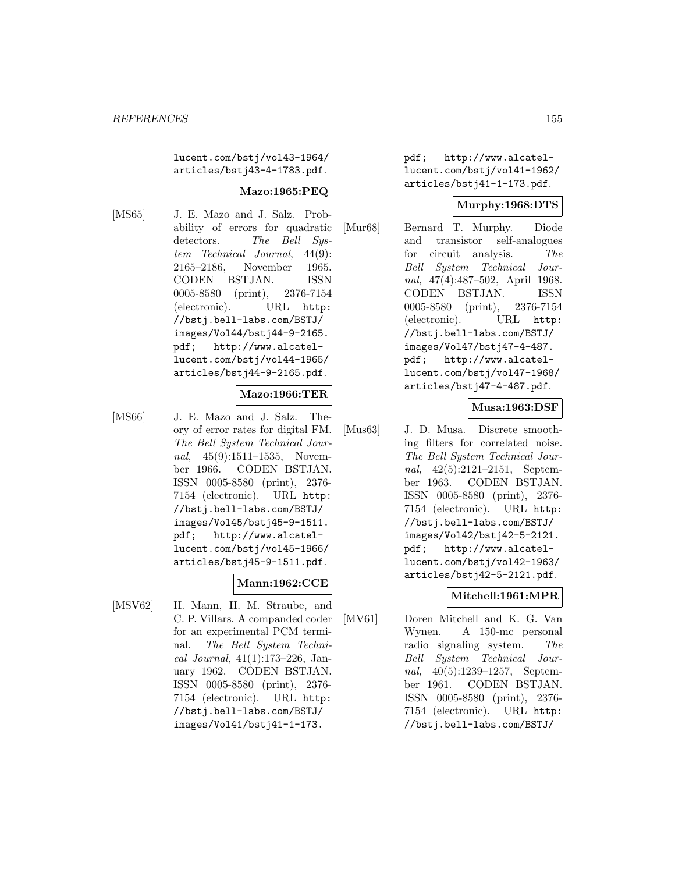lucent.com/bstj/vol43-1964/ articles/bstj43-4-1783.pdf.

# **Mazo:1965:PEQ**

- 
- [MS65] J. E. Mazo and J. Salz. Probability of errors for quadratic detectors. The Bell System Technical Journal, 44(9): 2165–2186, November 1965. CODEN BSTJAN. ISSN 0005-8580 (print), 2376-7154 (electronic). URL http: //bstj.bell-labs.com/BSTJ/ images/Vol44/bstj44-9-2165. pdf; http://www.alcatellucent.com/bstj/vol44-1965/ articles/bstj44-9-2165.pdf.

## **Mazo:1966:TER**

[MS66] J. E. Mazo and J. Salz. Theory of error rates for digital FM. The Bell System Technical Journal, 45(9):1511–1535, November 1966. CODEN BSTJAN. ISSN 0005-8580 (print), 2376- 7154 (electronic). URL http: //bstj.bell-labs.com/BSTJ/ images/Vol45/bstj45-9-1511. pdf; http://www.alcatellucent.com/bstj/vol45-1966/ articles/bstj45-9-1511.pdf.

## **Mann:1962:CCE**

[MSV62] H. Mann, H. M. Straube, and C. P. Villars. A companded coder for an experimental PCM terminal. The Bell System Technical Journal, 41(1):173–226, January 1962. CODEN BSTJAN. ISSN 0005-8580 (print), 2376- 7154 (electronic). URL http: //bstj.bell-labs.com/BSTJ/ images/Vol41/bstj41-1-173.

pdf; http://www.alcatellucent.com/bstj/vol41-1962/ articles/bstj41-1-173.pdf.

## **Murphy:1968:DTS**

[Mur68] Bernard T. Murphy. Diode and transistor self-analogues for circuit analysis. The Bell System Technical Journal, 47(4):487–502, April 1968. CODEN BSTJAN. ISSN 0005-8580 (print), 2376-7154 (electronic). URL http: //bstj.bell-labs.com/BSTJ/ images/Vol47/bstj47-4-487. pdf; http://www.alcatellucent.com/bstj/vol47-1968/ articles/bstj47-4-487.pdf.

## **Musa:1963:DSF**

[Mus63] J. D. Musa. Discrete smoothing filters for correlated noise. The Bell System Technical Journal, 42(5):2121–2151, September 1963. CODEN BSTJAN. ISSN 0005-8580 (print), 2376- 7154 (electronic). URL http: //bstj.bell-labs.com/BSTJ/ images/Vol42/bstj42-5-2121. pdf; http://www.alcatellucent.com/bstj/vol42-1963/ articles/bstj42-5-2121.pdf.

# **Mitchell:1961:MPR**

[MV61] Doren Mitchell and K. G. Van Wynen. A 150-mc personal radio signaling system. The Bell System Technical Journal, 40(5):1239–1257, September 1961. CODEN BSTJAN. ISSN 0005-8580 (print), 2376- 7154 (electronic). URL http: //bstj.bell-labs.com/BSTJ/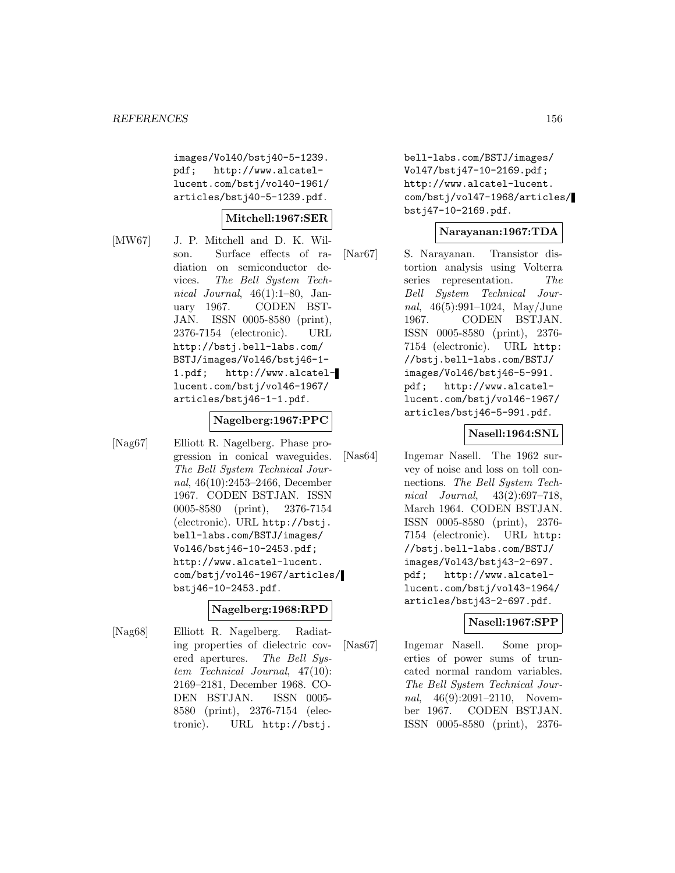images/Vol40/bstj40-5-1239. pdf; http://www.alcatellucent.com/bstj/vol40-1961/ articles/bstj40-5-1239.pdf.

#### **Mitchell:1967:SER**

[MW67] J. P. Mitchell and D. K. Wilson. Surface effects of radiation on semiconductor devices. The Bell System Technical Journal,  $46(1):1-80$ , January 1967. CODEN BST-JAN. ISSN 0005-8580 (print), 2376-7154 (electronic). URL http://bstj.bell-labs.com/ BSTJ/images/Vol46/bstj46-1- 1.pdf; http://www.alcatellucent.com/bstj/vol46-1967/ articles/bstj46-1-1.pdf.

## **Nagelberg:1967:PPC**

[Nag67] Elliott R. Nagelberg. Phase progression in conical waveguides. The Bell System Technical Journal, 46(10):2453–2466, December 1967. CODEN BSTJAN. ISSN 0005-8580 (print), 2376-7154 (electronic). URL http://bstj. bell-labs.com/BSTJ/images/ Vol46/bstj46-10-2453.pdf; http://www.alcatel-lucent. com/bstj/vol46-1967/articles/ bstj46-10-2453.pdf.

## **Nagelberg:1968:RPD**

[Nag68] Elliott R. Nagelberg. Radiating properties of dielectric covered apertures. The Bell System Technical Journal, 47(10): 2169–2181, December 1968. CO-DEN BSTJAN. ISSN 0005- 8580 (print), 2376-7154 (electronic). URL http://bstj.

bell-labs.com/BSTJ/images/ Vol47/bstj47-10-2169.pdf; http://www.alcatel-lucent. com/bstj/vol47-1968/articles/ bstj47-10-2169.pdf.

## **Narayanan:1967:TDA**

[Nar67] S. Narayanan. Transistor distortion analysis using Volterra series representation. The Bell System Technical Journal, 46(5):991–1024, May/June 1967. CODEN BSTJAN. ISSN 0005-8580 (print), 2376- 7154 (electronic). URL http: //bstj.bell-labs.com/BSTJ/ images/Vol46/bstj46-5-991. pdf; http://www.alcatellucent.com/bstj/vol46-1967/ articles/bstj46-5-991.pdf.

## **Nasell:1964:SNL**

[Nas64] Ingemar Nasell. The 1962 survey of noise and loss on toll connections. The Bell System Technical Journal, 43(2):697–718, March 1964. CODEN BSTJAN. ISSN 0005-8580 (print), 2376- 7154 (electronic). URL http: //bstj.bell-labs.com/BSTJ/ images/Vol43/bstj43-2-697. pdf; http://www.alcatellucent.com/bstj/vol43-1964/ articles/bstj43-2-697.pdf.

## **Nasell:1967:SPP**

[Nas67] Ingemar Nasell. Some properties of power sums of truncated normal random variables. The Bell System Technical Journal, 46(9):2091-2110, November 1967. CODEN BSTJAN. ISSN 0005-8580 (print), 2376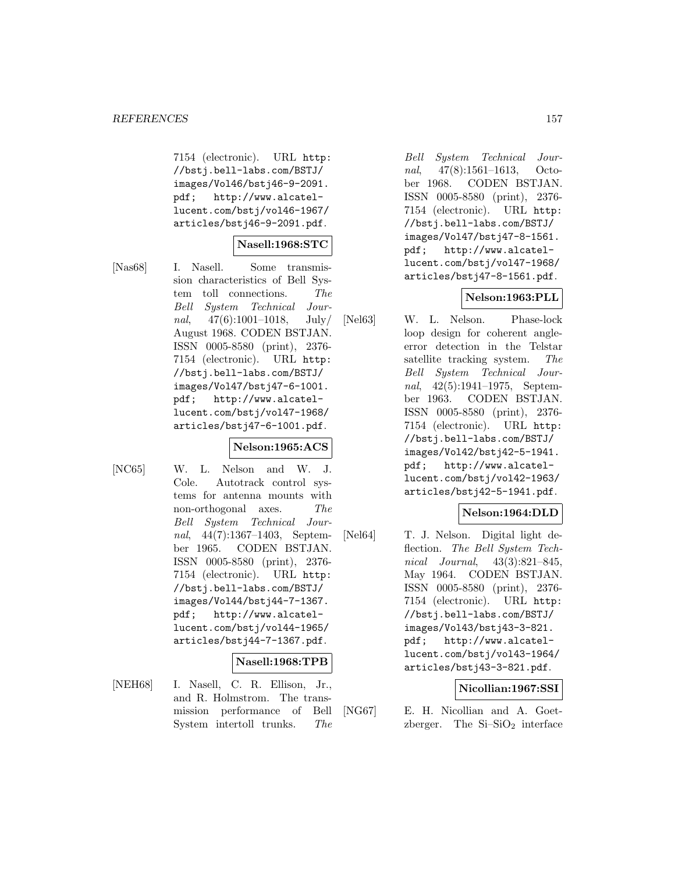7154 (electronic). URL http: //bstj.bell-labs.com/BSTJ/ images/Vol46/bstj46-9-2091. pdf; http://www.alcatellucent.com/bstj/vol46-1967/ articles/bstj46-9-2091.pdf.

## **Nasell:1968:STC**

[Nas68] I. Nasell. Some transmission characteristics of Bell System toll connections. The Bell System Technical Journal, 47(6):1001–1018, July/ August 1968. CODEN BSTJAN. ISSN 0005-8580 (print), 2376- 7154 (electronic). URL http: //bstj.bell-labs.com/BSTJ/ images/Vol47/bstj47-6-1001. pdf; http://www.alcatellucent.com/bstj/vol47-1968/ articles/bstj47-6-1001.pdf.

## **Nelson:1965:ACS**

[NC65] W. L. Nelson and W. J. Cole. Autotrack control systems for antenna mounts with non-orthogonal axes. The Bell System Technical Journal, 44(7):1367–1403, September 1965. CODEN BSTJAN. ISSN 0005-8580 (print), 2376- 7154 (electronic). URL http: //bstj.bell-labs.com/BSTJ/ images/Vol44/bstj44-7-1367. pdf; http://www.alcatellucent.com/bstj/vol44-1965/ articles/bstj44-7-1367.pdf.

#### **Nasell:1968:TPB**

[NEH68] I. Nasell, C. R. Ellison, Jr., and R. Holmstrom. The transmission performance of Bell System intertoll trunks. The

Bell System Technical Journal, 47(8):1561–1613, October 1968. CODEN BSTJAN. ISSN 0005-8580 (print), 2376- 7154 (electronic). URL http: //bstj.bell-labs.com/BSTJ/ images/Vol47/bstj47-8-1561. pdf; http://www.alcatellucent.com/bstj/vol47-1968/ articles/bstj47-8-1561.pdf.

# **Nelson:1963:PLL**

[Nel63] W. L. Nelson. Phase-lock loop design for coherent angleerror detection in the Telstar satellite tracking system. The Bell System Technical Journal, 42(5):1941–1975, September 1963. CODEN BSTJAN. ISSN 0005-8580 (print), 2376- 7154 (electronic). URL http: //bstj.bell-labs.com/BSTJ/ images/Vol42/bstj42-5-1941. pdf; http://www.alcatellucent.com/bstj/vol42-1963/ articles/bstj42-5-1941.pdf.

# **Nelson:1964:DLD**

[Nel64] T. J. Nelson. Digital light deflection. The Bell System Technical Journal, 43(3):821–845, May 1964. CODEN BSTJAN. ISSN 0005-8580 (print), 2376- 7154 (electronic). URL http: //bstj.bell-labs.com/BSTJ/ images/Vol43/bstj43-3-821. pdf; http://www.alcatellucent.com/bstj/vol43-1964/ articles/bstj43-3-821.pdf.

# **Nicollian:1967:SSI**

[NG67] E. H. Nicollian and A. Goetzberger. The  $Si-SiO<sub>2</sub>$  interface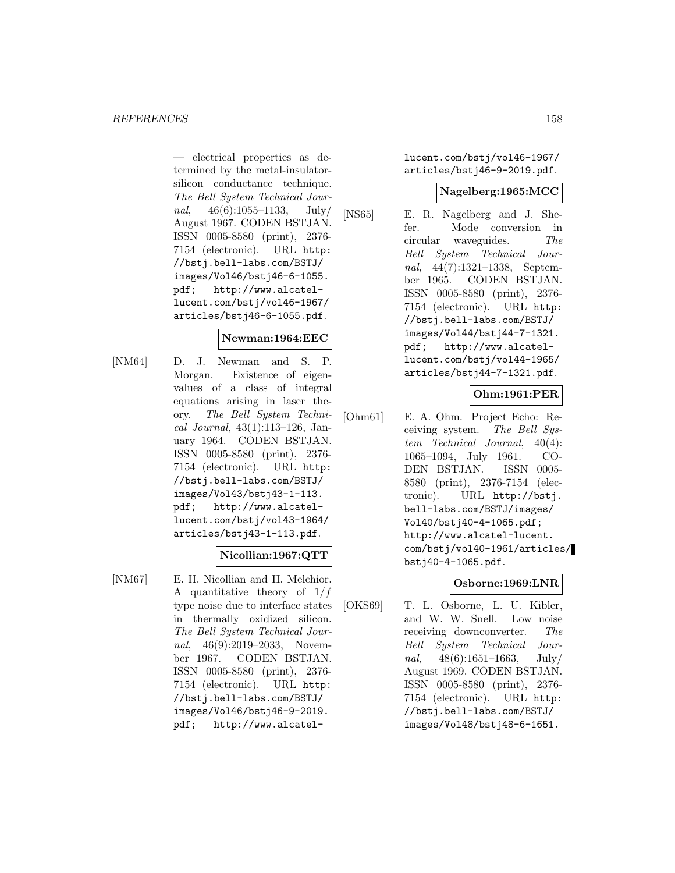— electrical properties as determined by the metal-insulatorsilicon conductance technique. The Bell System Technical Journal, 46(6):1055–1133, July/ August 1967. CODEN BSTJAN. ISSN 0005-8580 (print), 2376- 7154 (electronic). URL http: //bstj.bell-labs.com/BSTJ/ images/Vol46/bstj46-6-1055. pdf; http://www.alcatellucent.com/bstj/vol46-1967/ articles/bstj46-6-1055.pdf.

## **Newman:1964:EEC**

[NM64] D. J. Newman and S. P. Morgan. Existence of eigenvalues of a class of integral equations arising in laser theory. The Bell System Technical Journal, 43(1):113–126, January 1964. CODEN BSTJAN. ISSN 0005-8580 (print), 2376- 7154 (electronic). URL http: //bstj.bell-labs.com/BSTJ/ images/Vol43/bstj43-1-113. pdf; http://www.alcatellucent.com/bstj/vol43-1964/ articles/bstj43-1-113.pdf.

# **Nicollian:1967:QTT**

[NM67] E. H. Nicollian and H. Melchior. A quantitative theory of  $1/f$ type noise due to interface states in thermally oxidized silicon. The Bell System Technical Journal, 46(9):2019–2033, November 1967. CODEN BSTJAN. ISSN 0005-8580 (print), 2376- 7154 (electronic). URL http: //bstj.bell-labs.com/BSTJ/ images/Vol46/bstj46-9-2019. pdf; http://www.alcatellucent.com/bstj/vol46-1967/ articles/bstj46-9-2019.pdf.

## **Nagelberg:1965:MCC**

[NS65] E. R. Nagelberg and J. Shefer. Mode conversion in circular waveguides. The Bell System Technical Journal, 44(7):1321–1338, September 1965. CODEN BSTJAN. ISSN 0005-8580 (print), 2376- 7154 (electronic). URL http: //bstj.bell-labs.com/BSTJ/ images/Vol44/bstj44-7-1321. pdf; http://www.alcatellucent.com/bstj/vol44-1965/ articles/bstj44-7-1321.pdf.

# **Ohm:1961:PER**

[Ohm61] E. A. Ohm. Project Echo: Receiving system. The Bell System Technical Journal, 40(4): 1065–1094, July 1961. CO-DEN BSTJAN. ISSN 0005- 8580 (print), 2376-7154 (electronic). URL http://bstj. bell-labs.com/BSTJ/images/ Vol40/bstj40-4-1065.pdf; http://www.alcatel-lucent. com/bstj/vol40-1961/articles/ bstj40-4-1065.pdf.

# **Osborne:1969:LNR**

[OKS69] T. L. Osborne, L. U. Kibler, and W. W. Snell. Low noise receiving downconverter. The Bell System Technical Journal,  $48(6):1651-1663$ , July/ August 1969. CODEN BSTJAN. ISSN 0005-8580 (print), 2376- 7154 (electronic). URL http: //bstj.bell-labs.com/BSTJ/ images/Vol48/bstj48-6-1651.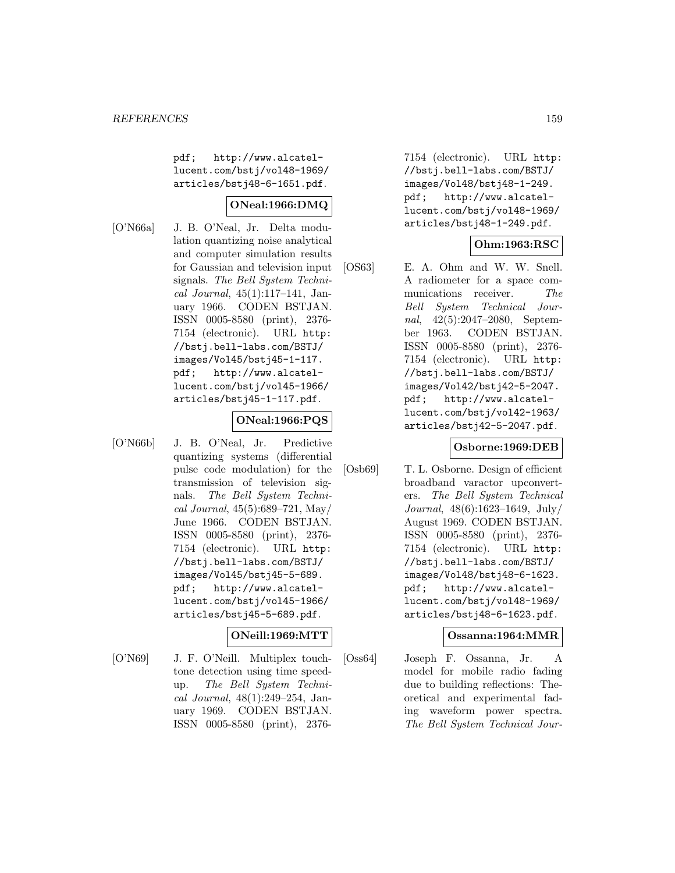pdf; http://www.alcatellucent.com/bstj/vol48-1969/ articles/bstj48-6-1651.pdf.

## **ONeal:1966:DMQ**

[O'N66a] J. B. O'Neal, Jr. Delta modulation quantizing noise analytical and computer simulation results for Gaussian and television input signals. The Bell System Technical Journal,  $45(1):117-141$ , January 1966. CODEN BSTJAN. ISSN 0005-8580 (print), 2376- 7154 (electronic). URL http: //bstj.bell-labs.com/BSTJ/ images/Vol45/bstj45-1-117. pdf; http://www.alcatellucent.com/bstj/vol45-1966/ articles/bstj45-1-117.pdf.

## **ONeal:1966:PQS**

[O'N66b] J. B. O'Neal, Jr. Predictive quantizing systems (differential pulse code modulation) for the transmission of television signals. The Bell System Technical Journal, 45(5):689–721, May/ June 1966. CODEN BSTJAN. ISSN 0005-8580 (print), 2376- 7154 (electronic). URL http: //bstj.bell-labs.com/BSTJ/ images/Vol45/bstj45-5-689. pdf; http://www.alcatellucent.com/bstj/vol45-1966/ articles/bstj45-5-689.pdf.

## **ONeill:1969:MTT**

[O'N69] J. F. O'Neill. Multiplex touchtone detection using time speedup. The Bell System Technical Journal, 48(1):249–254, January 1969. CODEN BSTJAN. ISSN 0005-8580 (print), 2376-

7154 (electronic). URL http: //bstj.bell-labs.com/BSTJ/ images/Vol48/bstj48-1-249. pdf; http://www.alcatellucent.com/bstj/vol48-1969/ articles/bstj48-1-249.pdf.

# **Ohm:1963:RSC**

[OS63] E. A. Ohm and W. W. Snell. A radiometer for a space communications receiver. The Bell System Technical Journal, 42(5):2047–2080, September 1963. CODEN BSTJAN. ISSN 0005-8580 (print), 2376- 7154 (electronic). URL http: //bstj.bell-labs.com/BSTJ/ images/Vol42/bstj42-5-2047. pdf; http://www.alcatellucent.com/bstj/vol42-1963/ articles/bstj42-5-2047.pdf.

## **Osborne:1969:DEB**

[Osb69] T. L. Osborne. Design of efficient broadband varactor upconverters. The Bell System Technical Journal, 48(6):1623–1649, July/ August 1969. CODEN BSTJAN. ISSN 0005-8580 (print), 2376- 7154 (electronic). URL http: //bstj.bell-labs.com/BSTJ/ images/Vol48/bstj48-6-1623. pdf; http://www.alcatellucent.com/bstj/vol48-1969/ articles/bstj48-6-1623.pdf.

## **Ossanna:1964:MMR**

[Oss64] Joseph F. Ossanna, Jr. A model for mobile radio fading due to building reflections: Theoretical and experimental fading waveform power spectra. The Bell System Technical Jour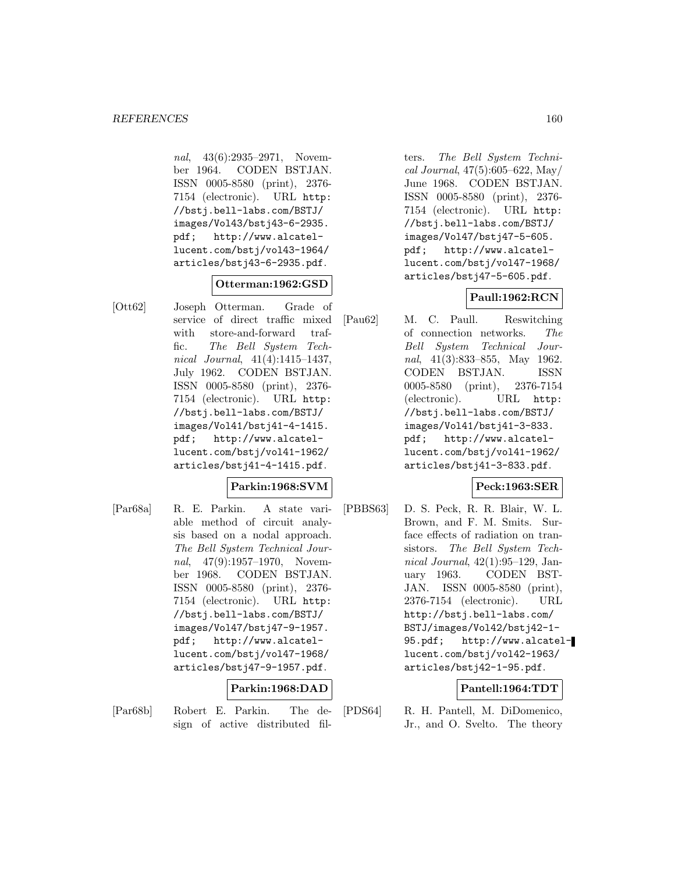nal, 43(6):2935–2971, November 1964. CODEN BSTJAN. ISSN 0005-8580 (print), 2376- 7154 (electronic). URL http: //bstj.bell-labs.com/BSTJ/ images/Vol43/bstj43-6-2935. pdf; http://www.alcatellucent.com/bstj/vol43-1964/ articles/bstj43-6-2935.pdf.

## **Otterman:1962:GSD**

[Ott62] Joseph Otterman. Grade of service of direct traffic mixed with store-and-forward traffic. The Bell System Technical Journal, 41(4):1415–1437, July 1962. CODEN BSTJAN. ISSN 0005-8580 (print), 2376- 7154 (electronic). URL http: //bstj.bell-labs.com/BSTJ/ images/Vol41/bstj41-4-1415. pdf; http://www.alcatellucent.com/bstj/vol41-1962/ articles/bstj41-4-1415.pdf.

## **Parkin:1968:SVM**

[Par68a] R. E. Parkin. A state variable method of circuit analysis based on a nodal approach. The Bell System Technical Journal, 47(9):1957–1970, November 1968. CODEN BSTJAN. ISSN 0005-8580 (print), 2376- 7154 (electronic). URL http: //bstj.bell-labs.com/BSTJ/ images/Vol47/bstj47-9-1957. pdf; http://www.alcatellucent.com/bstj/vol47-1968/ articles/bstj47-9-1957.pdf.

# **Parkin:1968:DAD**

[Par68b] Robert E. Parkin. The design of active distributed fil-

ters. The Bell System Technical Journal, 47(5):605–622, May/ June 1968. CODEN BSTJAN. ISSN 0005-8580 (print), 2376- 7154 (electronic). URL http: //bstj.bell-labs.com/BSTJ/ images/Vol47/bstj47-5-605. pdf; http://www.alcatellucent.com/bstj/vol47-1968/ articles/bstj47-5-605.pdf.

## **Paull:1962:RCN**

[Pau62] M. C. Paull. Reswitching of connection networks. The Bell System Technical Journal, 41(3):833–855, May 1962. CODEN BSTJAN. ISSN 0005-8580 (print), 2376-7154 (electronic). URL http: //bstj.bell-labs.com/BSTJ/ images/Vol41/bstj41-3-833. pdf; http://www.alcatellucent.com/bstj/vol41-1962/ articles/bstj41-3-833.pdf.

# **Peck:1963:SER**

[PBBS63] D. S. Peck, R. R. Blair, W. L. Brown, and F. M. Smits. Surface effects of radiation on transistors. The Bell System Technical Journal, 42(1):95–129, January 1963. CODEN BST-JAN. ISSN 0005-8580 (print), 2376-7154 (electronic). URL http://bstj.bell-labs.com/ BSTJ/images/Vol42/bstj42-1- 95.pdf; http://www.alcatellucent.com/bstj/vol42-1963/ articles/bstj42-1-95.pdf.

## **Pantell:1964:TDT**

[PDS64] R. H. Pantell, M. DiDomenico, Jr., and O. Svelto. The theory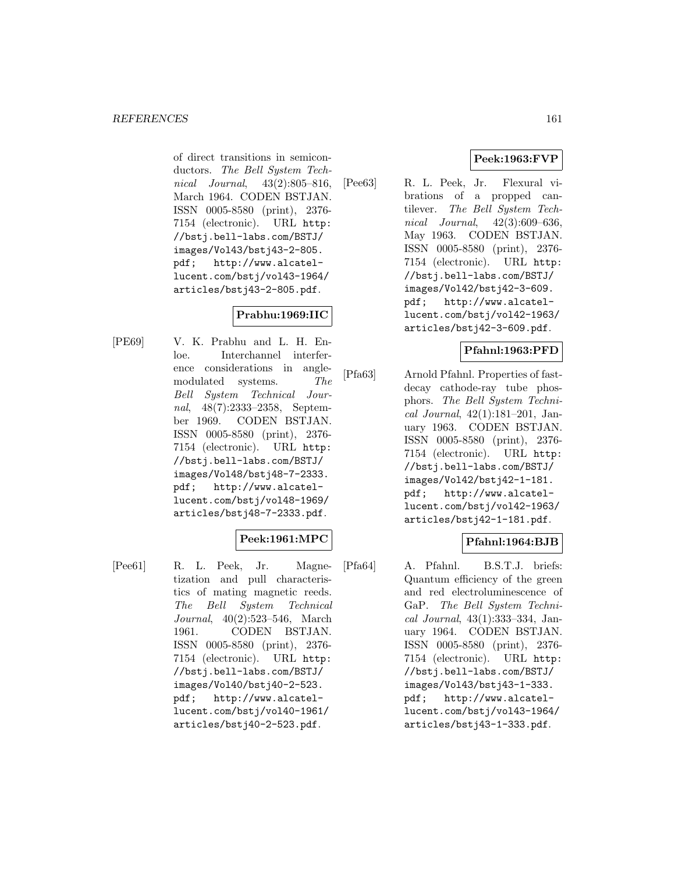of direct transitions in semiconductors. The Bell System Technical Journal, 43(2):805–816, March 1964. CODEN BSTJAN. ISSN 0005-8580 (print), 2376- 7154 (electronic). URL http: //bstj.bell-labs.com/BSTJ/ images/Vol43/bstj43-2-805. pdf; http://www.alcatellucent.com/bstj/vol43-1964/ articles/bstj43-2-805.pdf.

# **Prabhu:1969:IIC**

[PE69] V. K. Prabhu and L. H. Enloe. Interchannel interference considerations in anglemodulated systems. The Bell System Technical Journal, 48(7):2333–2358, September 1969. CODEN BSTJAN. ISSN 0005-8580 (print), 2376- 7154 (electronic). URL http: //bstj.bell-labs.com/BSTJ/ images/Vol48/bstj48-7-2333. pdf; http://www.alcatellucent.com/bstj/vol48-1969/ articles/bstj48-7-2333.pdf.

# **Peek:1961:MPC**

[Pee61] R. L. Peek, Jr. Magnetization and pull characteristics of mating magnetic reeds. The Bell System Technical Journal, 40(2):523–546, March 1961. CODEN BSTJAN. ISSN 0005-8580 (print), 2376- 7154 (electronic). URL http: //bstj.bell-labs.com/BSTJ/ images/Vol40/bstj40-2-523. pdf; http://www.alcatellucent.com/bstj/vol40-1961/ articles/bstj40-2-523.pdf.

# **Peek:1963:FVP**

[Pee63] R. L. Peek, Jr. Flexural vibrations of a propped cantilever. The Bell System Technical Journal, 42(3):609–636, May 1963. CODEN BSTJAN. ISSN 0005-8580 (print), 2376- 7154 (electronic). URL http: //bstj.bell-labs.com/BSTJ/ images/Vol42/bstj42-3-609. pdf; http://www.alcatellucent.com/bstj/vol42-1963/ articles/bstj42-3-609.pdf.

## **Pfahnl:1963:PFD**

[Pfa63] Arnold Pfahnl. Properties of fastdecay cathode-ray tube phosphors. The Bell System Technical Journal, 42(1):181–201, January 1963. CODEN BSTJAN. ISSN 0005-8580 (print), 2376- 7154 (electronic). URL http: //bstj.bell-labs.com/BSTJ/ images/Vol42/bstj42-1-181. pdf; http://www.alcatellucent.com/bstj/vol42-1963/ articles/bstj42-1-181.pdf.

# **Pfahnl:1964:BJB**

[Pfa64] A. Pfahnl. B.S.T.J. briefs: Quantum efficiency of the green and red electroluminescence of GaP. The Bell System Technical Journal, 43(1):333–334, January 1964. CODEN BSTJAN. ISSN 0005-8580 (print), 2376- 7154 (electronic). URL http: //bstj.bell-labs.com/BSTJ/ images/Vol43/bstj43-1-333. pdf; http://www.alcatellucent.com/bstj/vol43-1964/ articles/bstj43-1-333.pdf.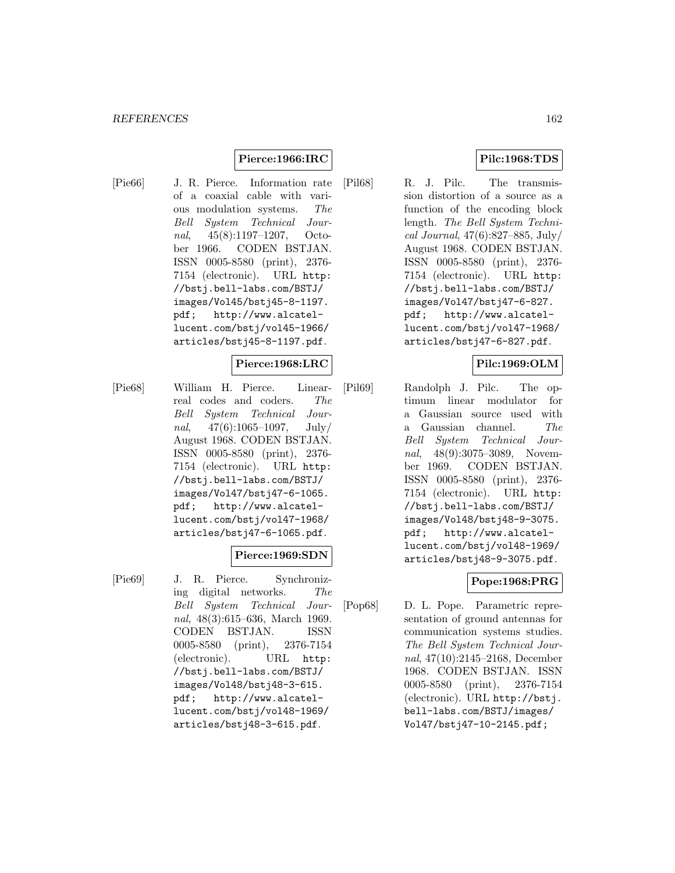# **Pierce:1966:IRC**

- 
- [Pie66] J. R. Pierce. Information rate of a coaxial cable with various modulation systems. The Bell System Technical Journal, 45(8):1197–1207, October 1966. CODEN BSTJAN. ISSN 0005-8580 (print), 2376- 7154 (electronic). URL http: //bstj.bell-labs.com/BSTJ/ images/Vol45/bstj45-8-1197. pdf; http://www.alcatellucent.com/bstj/vol45-1966/ articles/bstj45-8-1197.pdf.

#### **Pierce:1968:LRC**

[Pie68] William H. Pierce. Linearreal codes and coders. The Bell System Technical Journal,  $47(6):1065-1097$ , July/ August 1968. CODEN BSTJAN. ISSN 0005-8580 (print), 2376- 7154 (electronic). URL http: //bstj.bell-labs.com/BSTJ/ images/Vol47/bstj47-6-1065. pdf; http://www.alcatellucent.com/bstj/vol47-1968/ articles/bstj47-6-1065.pdf.

## **Pierce:1969:SDN**

[Pie69] J. R. Pierce. Synchronizing digital networks. The Bell System Technical Journal, 48(3):615–636, March 1969. CODEN BSTJAN. ISSN 0005-8580 (print), 2376-7154 (electronic). URL http: //bstj.bell-labs.com/BSTJ/ images/Vol48/bstj48-3-615. pdf; http://www.alcatellucent.com/bstj/vol48-1969/ articles/bstj48-3-615.pdf.

# **Pilc:1968:TDS**

[Pil68] R. J. Pilc. The transmission distortion of a source as a function of the encoding block length. The Bell System Technical Journal, 47(6):827–885, July/ August 1968. CODEN BSTJAN. ISSN 0005-8580 (print), 2376- 7154 (electronic). URL http: //bstj.bell-labs.com/BSTJ/ images/Vol47/bstj47-6-827. pdf; http://www.alcatellucent.com/bstj/vol47-1968/ articles/bstj47-6-827.pdf.

## **Pilc:1969:OLM**

[Pil69] Randolph J. Pilc. The optimum linear modulator for a Gaussian source used with a Gaussian channel. The Bell System Technical Journal, 48(9):3075–3089, November 1969. CODEN BSTJAN. ISSN 0005-8580 (print), 2376- 7154 (electronic). URL http: //bstj.bell-labs.com/BSTJ/ images/Vol48/bstj48-9-3075. pdf; http://www.alcatellucent.com/bstj/vol48-1969/ articles/bstj48-9-3075.pdf.

# **Pope:1968:PRG**

[Pop68] D. L. Pope. Parametric representation of ground antennas for communication systems studies. The Bell System Technical Journal, 47(10):2145–2168, December 1968. CODEN BSTJAN. ISSN 0005-8580 (print), 2376-7154 (electronic). URL http://bstj. bell-labs.com/BSTJ/images/ Vol47/bstj47-10-2145.pdf;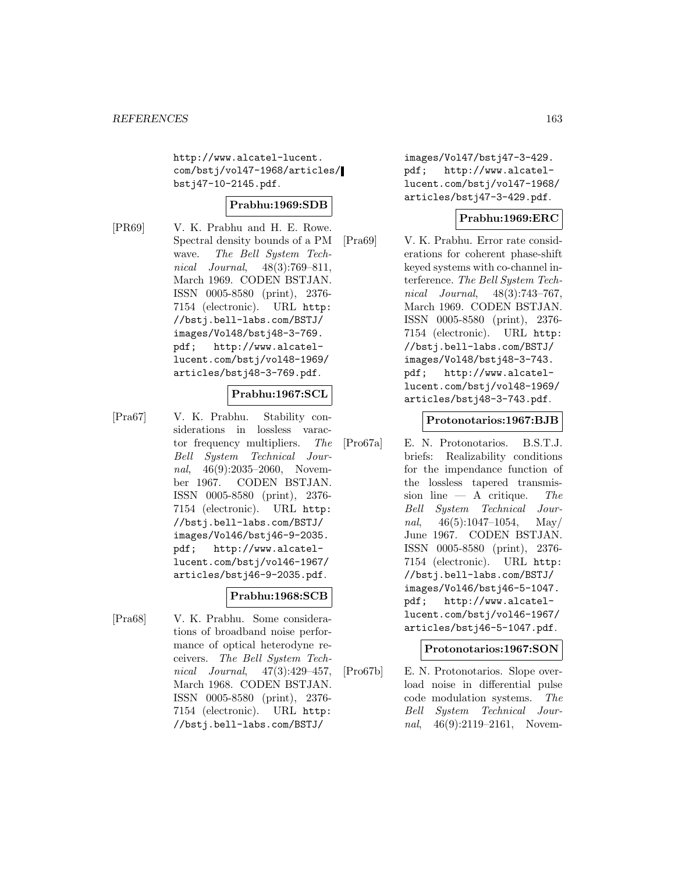http://www.alcatel-lucent. com/bstj/vol47-1968/articles/ bstj47-10-2145.pdf.

## **Prabhu:1969:SDB**

[PR69] V. K. Prabhu and H. E. Rowe. Spectral density bounds of a PM wave. The Bell System Technical Journal, 48(3):769–811, March 1969. CODEN BSTJAN. ISSN 0005-8580 (print), 2376- 7154 (electronic). URL http: //bstj.bell-labs.com/BSTJ/ images/Vol48/bstj48-3-769. pdf; http://www.alcatellucent.com/bstj/vol48-1969/ articles/bstj48-3-769.pdf.

# **Prabhu:1967:SCL**

[Pra67] V. K. Prabhu. Stability considerations in lossless varactor frequency multipliers. The Bell System Technical Journal, 46(9):2035-2060, November 1967. CODEN BSTJAN. ISSN 0005-8580 (print), 2376- 7154 (electronic). URL http: //bstj.bell-labs.com/BSTJ/ images/Vol46/bstj46-9-2035. pdf; http://www.alcatellucent.com/bstj/vol46-1967/ articles/bstj46-9-2035.pdf.

## **Prabhu:1968:SCB**

[Pra68] V. K. Prabhu. Some considerations of broadband noise performance of optical heterodyne receivers. The Bell System Technical Journal, 47(3):429–457, March 1968. CODEN BSTJAN. ISSN 0005-8580 (print), 2376- 7154 (electronic). URL http: //bstj.bell-labs.com/BSTJ/

images/Vol47/bstj47-3-429. pdf; http://www.alcatellucent.com/bstj/vol47-1968/ articles/bstj47-3-429.pdf.

# **Prabhu:1969:ERC**

[Pra69] V. K. Prabhu. Error rate considerations for coherent phase-shift keyed systems with co-channel interference. The Bell System Technical Journal, 48(3):743–767, March 1969. CODEN BSTJAN. ISSN 0005-8580 (print), 2376- 7154 (electronic). URL http: //bstj.bell-labs.com/BSTJ/ images/Vol48/bstj48-3-743. pdf; http://www.alcatellucent.com/bstj/vol48-1969/ articles/bstj48-3-743.pdf.

## **Protonotarios:1967:BJB**

[Pro67a] E. N. Protonotarios. B.S.T.J. briefs: Realizability conditions for the impendance function of the lossless tapered transmission line  $-$  A critique. The Bell System Technical Journal,  $46(5):1047-1054$ , May/ June 1967. CODEN BSTJAN. ISSN 0005-8580 (print), 2376- 7154 (electronic). URL http: //bstj.bell-labs.com/BSTJ/ images/Vol46/bstj46-5-1047. pdf; http://www.alcatellucent.com/bstj/vol46-1967/ articles/bstj46-5-1047.pdf.

## **Protonotarios:1967:SON**

[Pro67b] E. N. Protonotarios. Slope overload noise in differential pulse code modulation systems. The Bell System Technical Journal, 46(9):2119-2161, Novem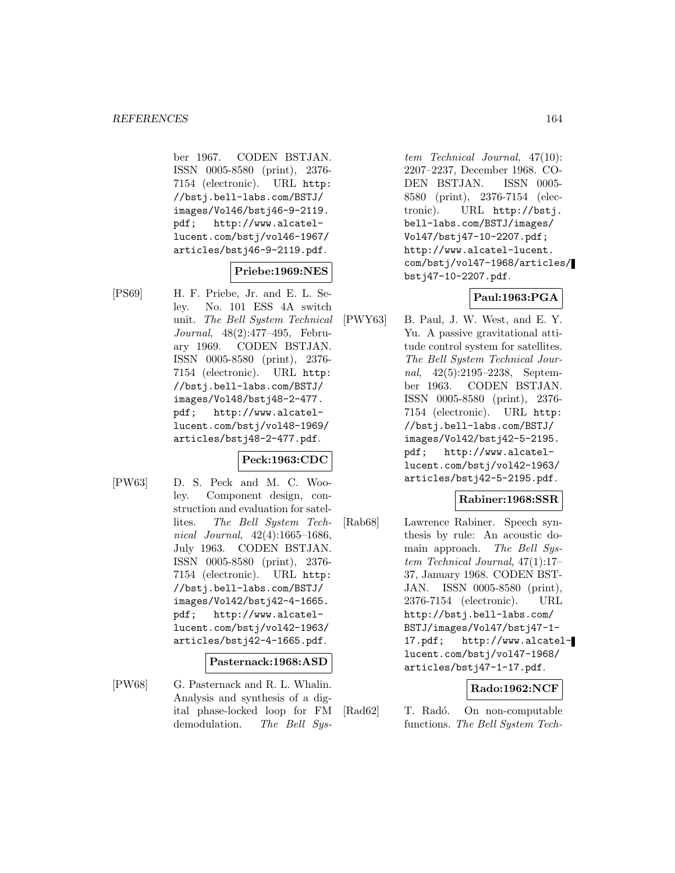ber 1967. CODEN BSTJAN. ISSN 0005-8580 (print), 2376- 7154 (electronic). URL http: //bstj.bell-labs.com/BSTJ/ images/Vol46/bstj46-9-2119. pdf; http://www.alcatellucent.com/bstj/vol46-1967/ articles/bstj46-9-2119.pdf.

## **Priebe:1969:NES**

[PS69] H. F. Priebe, Jr. and E. L. Seley. No. 101 ESS 4A switch unit. The Bell System Technical Journal, 48(2):477–495, February 1969. CODEN BSTJAN. ISSN 0005-8580 (print), 2376- 7154 (electronic). URL http: //bstj.bell-labs.com/BSTJ/ images/Vol48/bstj48-2-477. pdf; http://www.alcatellucent.com/bstj/vol48-1969/ articles/bstj48-2-477.pdf.

## **Peck:1963:CDC**

[PW63] D. S. Peck and M. C. Wooley. Component design, construction and evaluation for satellites. The Bell System Technical Journal, 42(4):1665–1686, July 1963. CODEN BSTJAN. ISSN 0005-8580 (print), 2376- 7154 (electronic). URL http: //bstj.bell-labs.com/BSTJ/ images/Vol42/bstj42-4-1665. pdf; http://www.alcatellucent.com/bstj/vol42-1963/ articles/bstj42-4-1665.pdf.

## **Pasternack:1968:ASD**

[PW68] G. Pasternack and R. L. Whalin. Analysis and synthesis of a digital phase-locked loop for FM demodulation. The Bell Sys-

tem Technical Journal, 47(10): 2207–2237, December 1968. CO-DEN BSTJAN. ISSN 0005- 8580 (print), 2376-7154 (electronic). URL http://bstj. bell-labs.com/BSTJ/images/ Vol47/bstj47-10-2207.pdf; http://www.alcatel-lucent. com/bstj/vol47-1968/articles/ bstj47-10-2207.pdf.

# **Paul:1963:PGA**

[PWY63] B. Paul, J. W. West, and E. Y. Yu. A passive gravitational attitude control system for satellites. The Bell System Technical Journal, 42(5):2195–2238, September 1963. CODEN BSTJAN. ISSN 0005-8580 (print), 2376- 7154 (electronic). URL http: //bstj.bell-labs.com/BSTJ/ images/Vol42/bstj42-5-2195. pdf; http://www.alcatellucent.com/bstj/vol42-1963/ articles/bstj42-5-2195.pdf.

## **Rabiner:1968:SSR**

[Rab68] Lawrence Rabiner. Speech synthesis by rule: An acoustic domain approach. The Bell System Technical Journal, 47(1):17– 37, January 1968. CODEN BST-JAN. ISSN 0005-8580 (print), 2376-7154 (electronic). URL http://bstj.bell-labs.com/ BSTJ/images/Vol47/bstj47-1- 17.pdf; http://www.alcatellucent.com/bstj/vol47-1968/ articles/bstj47-1-17.pdf.

# **Rado:1962:NCF**

[Rad62] T. Radó. On non-computable functions. The Bell System Tech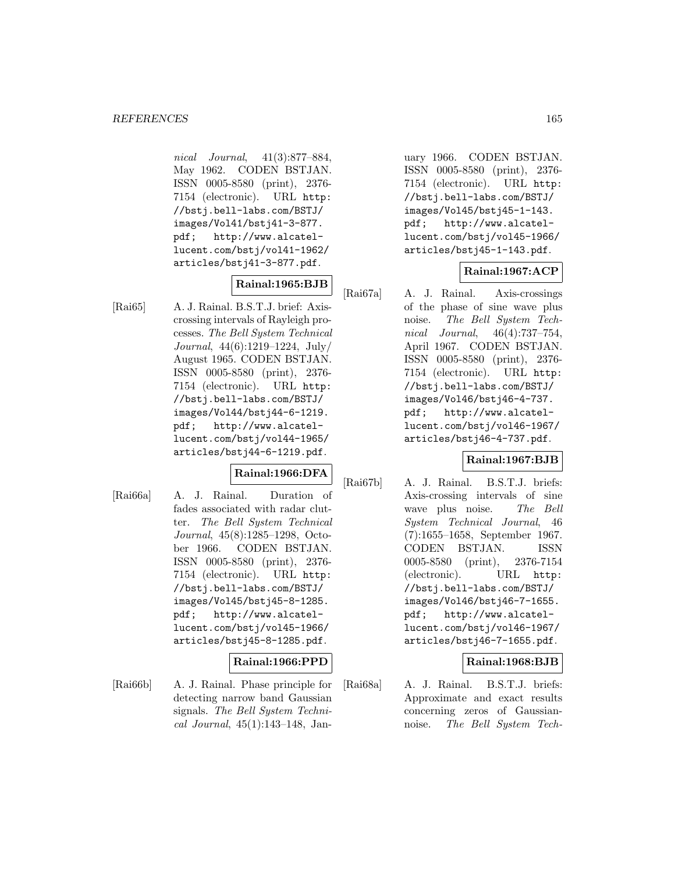nical Journal, 41(3):877–884, May 1962. CODEN BSTJAN. ISSN 0005-8580 (print), 2376- 7154 (electronic). URL http: //bstj.bell-labs.com/BSTJ/ images/Vol41/bstj41-3-877. pdf; http://www.alcatellucent.com/bstj/vol41-1962/ articles/bstj41-3-877.pdf.

# **Rainal:1965:BJB**

[Rai65] A. J. Rainal. B.S.T.J. brief: Axiscrossing intervals of Rayleigh processes. The Bell System Technical Journal, 44(6):1219–1224, July/ August 1965. CODEN BSTJAN. ISSN 0005-8580 (print), 2376- 7154 (electronic). URL http: //bstj.bell-labs.com/BSTJ/ images/Vol44/bstj44-6-1219. pdf; http://www.alcatellucent.com/bstj/vol44-1965/ articles/bstj44-6-1219.pdf.

## **Rainal:1966:DFA**

[Rai66a] A. J. Rainal. Duration of fades associated with radar clutter. The Bell System Technical Journal, 45(8):1285–1298, October 1966. CODEN BSTJAN. ISSN 0005-8580 (print), 2376- 7154 (electronic). URL http: //bstj.bell-labs.com/BSTJ/ images/Vol45/bstj45-8-1285. pdf; http://www.alcatellucent.com/bstj/vol45-1966/ articles/bstj45-8-1285.pdf.

## **Rainal:1966:PPD**

[Rai66b] A. J. Rainal. Phase principle for detecting narrow band Gaussian signals. The Bell System Technical Journal, 45(1):143–148, January 1966. CODEN BSTJAN. ISSN 0005-8580 (print), 2376- 7154 (electronic). URL http: //bstj.bell-labs.com/BSTJ/ images/Vol45/bstj45-1-143. pdf; http://www.alcatellucent.com/bstj/vol45-1966/ articles/bstj45-1-143.pdf.

## **Rainal:1967:ACP**

[Rai67a] A. J. Rainal. Axis-crossings of the phase of sine wave plus noise. The Bell System Technical Journal, 46(4):737–754, April 1967. CODEN BSTJAN. ISSN 0005-8580 (print), 2376- 7154 (electronic). URL http: //bstj.bell-labs.com/BSTJ/ images/Vol46/bstj46-4-737. pdf; http://www.alcatellucent.com/bstj/vol46-1967/ articles/bstj46-4-737.pdf.

## **Rainal:1967:BJB**

[Rai67b] A. J. Rainal. B.S.T.J. briefs: Axis-crossing intervals of sine wave plus noise. The Bell System Technical Journal, 46 (7):1655–1658, September 1967. CODEN BSTJAN. ISSN 0005-8580 (print), 2376-7154 (electronic). URL http: //bstj.bell-labs.com/BSTJ/ images/Vol46/bstj46-7-1655. pdf; http://www.alcatellucent.com/bstj/vol46-1967/ articles/bstj46-7-1655.pdf.

## **Rainal:1968:BJB**

[Rai68a] A. J. Rainal. B.S.T.J. briefs: Approximate and exact results concerning zeros of Gaussiannoise. The Bell System Tech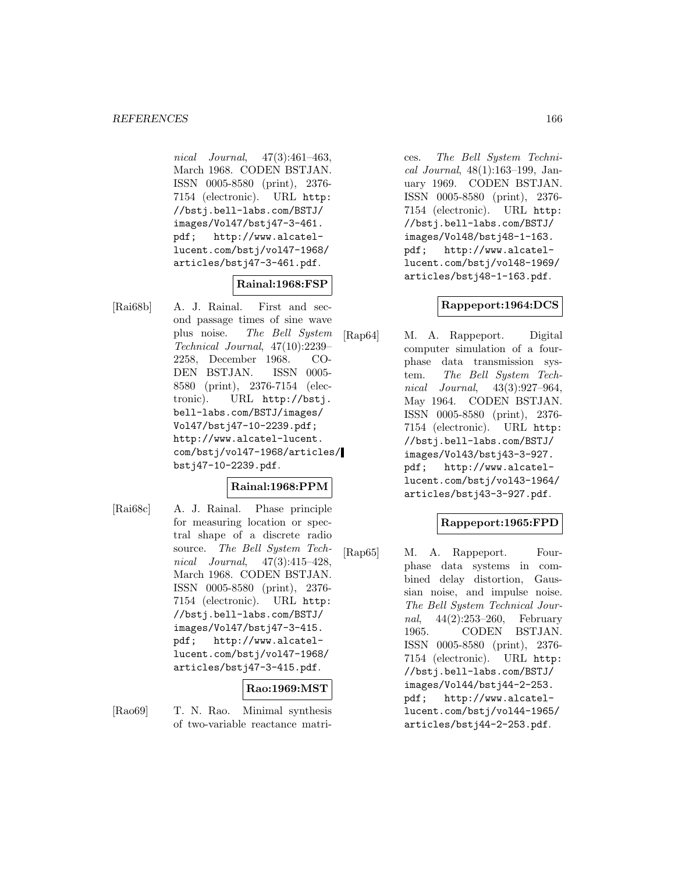nical Journal, 47(3):461–463, March 1968. CODEN BSTJAN. ISSN 0005-8580 (print), 2376- 7154 (electronic). URL http: //bstj.bell-labs.com/BSTJ/ images/Vol47/bstj47-3-461. pdf; http://www.alcatellucent.com/bstj/vol47-1968/ articles/bstj47-3-461.pdf.

# **Rainal:1968:FSP**

[Rai68b] A. J. Rainal. First and second passage times of sine wave plus noise. The Bell System Technical Journal, 47(10):2239– 2258, December 1968. CO-DEN BSTJAN. ISSN 0005- 8580 (print), 2376-7154 (electronic). URL http://bstj. bell-labs.com/BSTJ/images/ Vol47/bstj47-10-2239.pdf; http://www.alcatel-lucent. com/bstj/vol47-1968/articles/ bstj47-10-2239.pdf.

# **Rainal:1968:PPM**

[Rai68c] A. J. Rainal. Phase principle for measuring location or spectral shape of a discrete radio source. The Bell System Technical Journal, 47(3):415–428, March 1968. CODEN BSTJAN. ISSN 0005-8580 (print), 2376- 7154 (electronic). URL http: //bstj.bell-labs.com/BSTJ/ images/Vol47/bstj47-3-415. pdf; http://www.alcatellucent.com/bstj/vol47-1968/ articles/bstj47-3-415.pdf.

# **Rao:1969:MST**

- 
- [Rao69] T. N. Rao. Minimal synthesis of two-variable reactance matri-

ces. The Bell System Technical Journal, 48(1):163–199, January 1969. CODEN BSTJAN. ISSN 0005-8580 (print), 2376- 7154 (electronic). URL http: //bstj.bell-labs.com/BSTJ/ images/Vol48/bstj48-1-163. pdf; http://www.alcatellucent.com/bstj/vol48-1969/ articles/bstj48-1-163.pdf.

## **Rappeport:1964:DCS**

[Rap64] M. A. Rappeport. Digital computer simulation of a fourphase data transmission system. The Bell System Technical Journal, 43(3):927–964, May 1964. CODEN BSTJAN. ISSN 0005-8580 (print), 2376- 7154 (electronic). URL http: //bstj.bell-labs.com/BSTJ/ images/Vol43/bstj43-3-927. pdf; http://www.alcatellucent.com/bstj/vol43-1964/ articles/bstj43-3-927.pdf.

# **Rappeport:1965:FPD**

[Rap65] M. A. Rappeport. Fourphase data systems in combined delay distortion, Gaussian noise, and impulse noise. The Bell System Technical Journal, 44(2):253–260, February 1965. CODEN BSTJAN. ISSN 0005-8580 (print), 2376- 7154 (electronic). URL http: //bstj.bell-labs.com/BSTJ/ images/Vol44/bstj44-2-253. pdf; http://www.alcatellucent.com/bstj/vol44-1965/ articles/bstj44-2-253.pdf.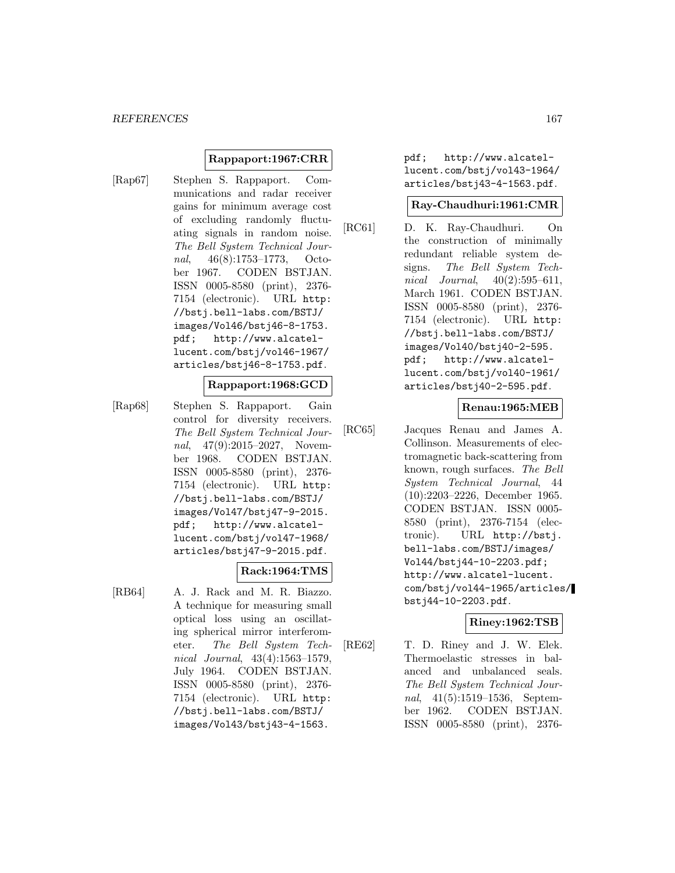## **Rappaport:1967:CRR**

[Rap67] Stephen S. Rappaport. Communications and radar receiver gains for minimum average cost of excluding randomly fluctuating signals in random noise. The Bell System Technical Journal, 46(8):1753–1773, October 1967. CODEN BSTJAN. ISSN 0005-8580 (print), 2376- 7154 (electronic). URL http: //bstj.bell-labs.com/BSTJ/ images/Vol46/bstj46-8-1753. pdf; http://www.alcatellucent.com/bstj/vol46-1967/ articles/bstj46-8-1753.pdf.

# **Rappaport:1968:GCD**

[Rap68] Stephen S. Rappaport. Gain control for diversity receivers. The Bell System Technical Journal, 47(9):2015–2027, November 1968. CODEN BSTJAN. ISSN 0005-8580 (print), 2376- 7154 (electronic). URL http: //bstj.bell-labs.com/BSTJ/ images/Vol47/bstj47-9-2015. pdf; http://www.alcatellucent.com/bstj/vol47-1968/ articles/bstj47-9-2015.pdf.

## **Rack:1964:TMS**

[RB64] A. J. Rack and M. R. Biazzo. A technique for measuring small optical loss using an oscillating spherical mirror interferometer. The Bell System Technical Journal, 43(4):1563–1579, July 1964. CODEN BSTJAN. ISSN 0005-8580 (print), 2376- 7154 (electronic). URL http: //bstj.bell-labs.com/BSTJ/ images/Vol43/bstj43-4-1563.

pdf; http://www.alcatellucent.com/bstj/vol43-1964/ articles/bstj43-4-1563.pdf.

#### **Ray-Chaudhuri:1961:CMR**

[RC61] D. K. Ray-Chaudhuri. On the construction of minimally redundant reliable system designs. The Bell System Technical Journal,  $40(2):595-611$ , March 1961. CODEN BSTJAN. ISSN 0005-8580 (print), 2376- 7154 (electronic). URL http: //bstj.bell-labs.com/BSTJ/ images/Vol40/bstj40-2-595. pdf; http://www.alcatellucent.com/bstj/vol40-1961/ articles/bstj40-2-595.pdf.

## **Renau:1965:MEB**

[RC65] Jacques Renau and James A. Collinson. Measurements of electromagnetic back-scattering from known, rough surfaces. The Bell System Technical Journal, 44 (10):2203–2226, December 1965. CODEN BSTJAN. ISSN 0005- 8580 (print), 2376-7154 (electronic). URL http://bstj. bell-labs.com/BSTJ/images/ Vol44/bstj44-10-2203.pdf; http://www.alcatel-lucent. com/bstj/vol44-1965/articles/ bstj44-10-2203.pdf.

## **Riney:1962:TSB**

[RE62] T. D. Riney and J. W. Elek. Thermoelastic stresses in balanced and unbalanced seals. The Bell System Technical Journal, 41(5):1519–1536, September 1962. CODEN BSTJAN. ISSN 0005-8580 (print), 2376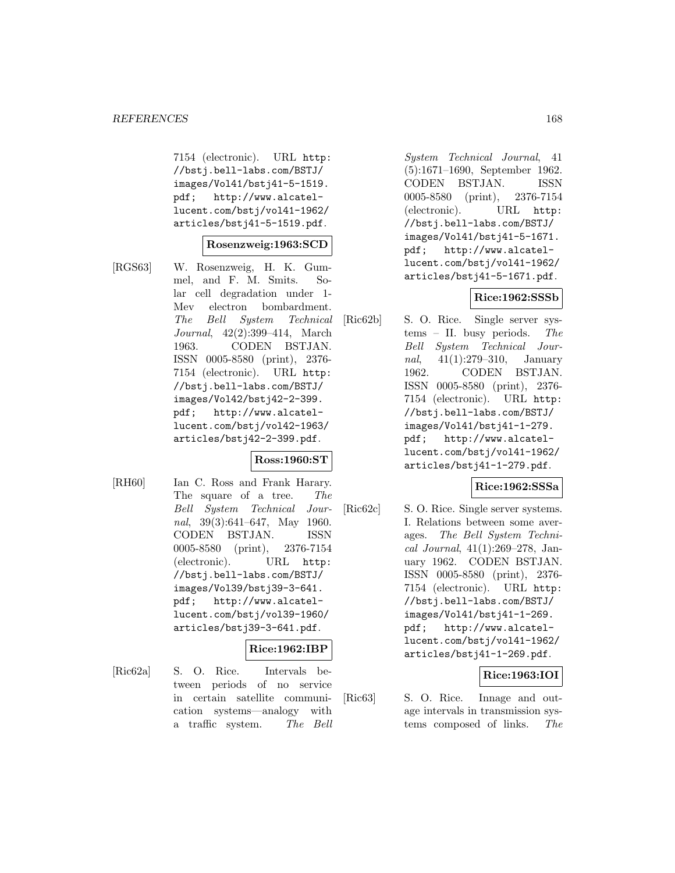7154 (electronic). URL http: //bstj.bell-labs.com/BSTJ/ images/Vol41/bstj41-5-1519. pdf; http://www.alcatellucent.com/bstj/vol41-1962/ articles/bstj41-5-1519.pdf.

#### **Rosenzweig:1963:SCD**

[RGS63] W. Rosenzweig, H. K. Gummel, and F. M. Smits. Solar cell degradation under 1- Mev electron bombardment. The Bell System Technical Journal, 42(2):399–414, March 1963. CODEN BSTJAN. ISSN 0005-8580 (print), 2376- 7154 (electronic). URL http: //bstj.bell-labs.com/BSTJ/ images/Vol42/bstj42-2-399. pdf; http://www.alcatellucent.com/bstj/vol42-1963/ articles/bstj42-2-399.pdf.

## **Ross:1960:ST**

[RH60] Ian C. Ross and Frank Harary. The square of a tree. The Bell System Technical Journal, 39(3):641–647, May 1960. CODEN BSTJAN. ISSN 0005-8580 (print), 2376-7154 (electronic). URL http: //bstj.bell-labs.com/BSTJ/ images/Vol39/bstj39-3-641. pdf; http://www.alcatellucent.com/bstj/vol39-1960/ articles/bstj39-3-641.pdf.

## **Rice:1962:IBP**

[Ric62a] S. O. Rice. Intervals between periods of no service in certain satellite communication systems—analogy with a traffic system. The Bell

System Technical Journal, 41 (5):1671–1690, September 1962. CODEN BSTJAN. ISSN 0005-8580 (print), 2376-7154 (electronic). URL http: //bstj.bell-labs.com/BSTJ/ images/Vol41/bstj41-5-1671. pdf; http://www.alcatellucent.com/bstj/vol41-1962/ articles/bstj41-5-1671.pdf.

## **Rice:1962:SSSb**

[Ric62b] S. O. Rice. Single server systems – II. busy periods. The Bell System Technical Journal, 41(1):279–310, January 1962. CODEN BSTJAN. ISSN 0005-8580 (print), 2376- 7154 (electronic). URL http: //bstj.bell-labs.com/BSTJ/ images/Vol41/bstj41-1-279. pdf; http://www.alcatellucent.com/bstj/vol41-1962/ articles/bstj41-1-279.pdf.

## **Rice:1962:SSSa**

[Ric $62c$ ] S. O. Rice. Single server systems. I. Relations between some averages. The Bell System Technical Journal, 41(1):269–278, January 1962. CODEN BSTJAN. ISSN 0005-8580 (print), 2376- 7154 (electronic). URL http: //bstj.bell-labs.com/BSTJ/ images/Vol41/bstj41-1-269. pdf; http://www.alcatellucent.com/bstj/vol41-1962/ articles/bstj41-1-269.pdf.

## **Rice:1963:IOI**

[Ric63] S. O. Rice. Innage and outage intervals in transmission systems composed of links. The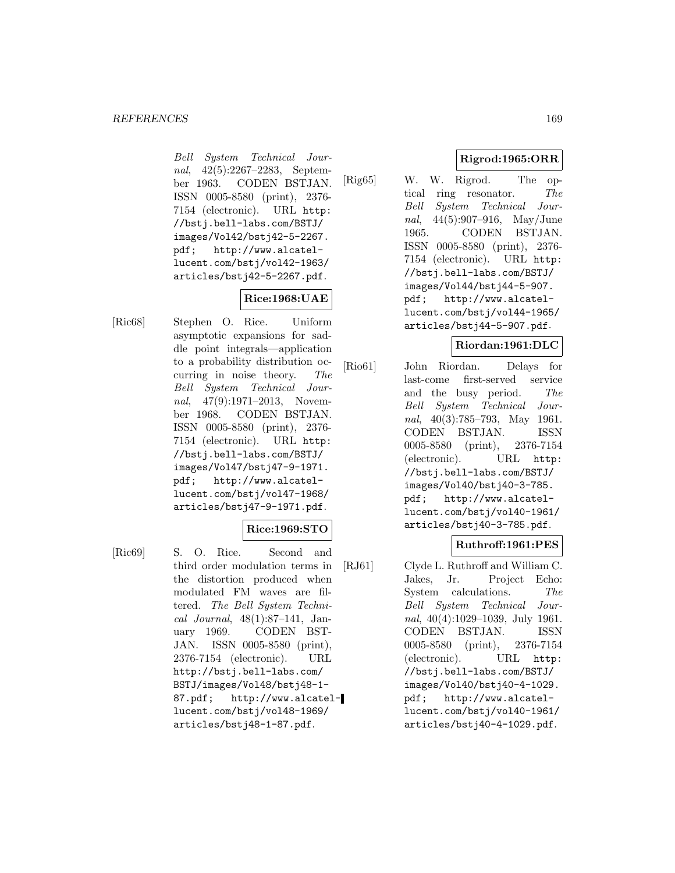Bell System Technical Journal, 42(5):2267–2283, September 1963. CODEN BSTJAN. ISSN 0005-8580 (print), 2376- 7154 (electronic). URL http: //bstj.bell-labs.com/BSTJ/ images/Vol42/bstj42-5-2267. pdf; http://www.alcatellucent.com/bstj/vol42-1963/ articles/bstj42-5-2267.pdf.

# **Rice:1968:UAE**

[Ric68] Stephen O. Rice. Uniform asymptotic expansions for saddle point integrals—application to a probability distribution occurring in noise theory. The Bell System Technical Journal, 47(9):1971–2013, November 1968. CODEN BSTJAN. ISSN 0005-8580 (print), 2376- 7154 (electronic). URL http: //bstj.bell-labs.com/BSTJ/ images/Vol47/bstj47-9-1971. pdf; http://www.alcatellucent.com/bstj/vol47-1968/ articles/bstj47-9-1971.pdf.

# **Rice:1969:STO**

[Ric69] S. O. Rice. Second and third order modulation terms in the distortion produced when modulated FM waves are filtered. The Bell System Technical Journal, 48(1):87–141, January 1969. CODEN BST-JAN. ISSN 0005-8580 (print), 2376-7154 (electronic). URL http://bstj.bell-labs.com/ BSTJ/images/Vol48/bstj48-1- 87.pdf; http://www.alcatellucent.com/bstj/vol48-1969/ articles/bstj48-1-87.pdf.

# **Rigrod:1965:ORR**

[Rig65] W. W. Rigrod. The optical ring resonator. The Bell System Technical Journal, 44(5):907–916, May/June 1965. CODEN BSTJAN. ISSN 0005-8580 (print), 2376- 7154 (electronic). URL http: //bstj.bell-labs.com/BSTJ/ images/Vol44/bstj44-5-907. pdf; http://www.alcatellucent.com/bstj/vol44-1965/ articles/bstj44-5-907.pdf.

# **Riordan:1961:DLC**

[Rio61] John Riordan. Delays for last-come first-served service and the busy period. The Bell System Technical Journal, 40(3):785–793, May 1961. CODEN BSTJAN. ISSN 0005-8580 (print), 2376-7154 (electronic). URL http: //bstj.bell-labs.com/BSTJ/ images/Vol40/bstj40-3-785. pdf; http://www.alcatellucent.com/bstj/vol40-1961/ articles/bstj40-3-785.pdf.

# **Ruthroff:1961:PES**

[RJ61] Clyde L. Ruthroff and William C. Jakes, Jr. Project Echo: System calculations. The Bell System Technical Journal, 40(4):1029–1039, July 1961. CODEN BSTJAN. ISSN 0005-8580 (print), 2376-7154 (electronic). URL http: //bstj.bell-labs.com/BSTJ/ images/Vol40/bstj40-4-1029. pdf; http://www.alcatellucent.com/bstj/vol40-1961/ articles/bstj40-4-1029.pdf.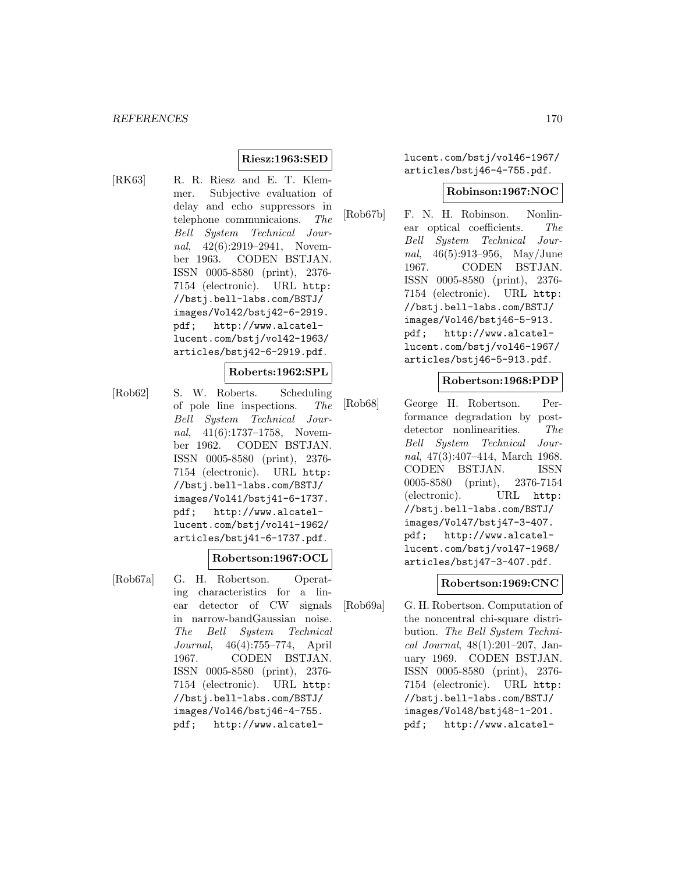# **Riesz:1963:SED**

[RK63] R. R. Riesz and E. T. Klemmer. Subjective evaluation of delay and echo suppressors in telephone communicaions. The Bell System Technical Journal, 42(6):2919–2941, November 1963. CODEN BSTJAN. ISSN 0005-8580 (print), 2376- 7154 (electronic). URL http: //bstj.bell-labs.com/BSTJ/ images/Vol42/bstj42-6-2919. pdf; http://www.alcatellucent.com/bstj/vol42-1963/ articles/bstj42-6-2919.pdf.

#### **Roberts:1962:SPL**

[Rob62] S. W. Roberts. Scheduling of pole line inspections. The Bell System Technical Journal, 41(6):1737–1758, November 1962. CODEN BSTJAN. ISSN 0005-8580 (print), 2376- 7154 (electronic). URL http: //bstj.bell-labs.com/BSTJ/ images/Vol41/bstj41-6-1737. pdf; http://www.alcatellucent.com/bstj/vol41-1962/ articles/bstj41-6-1737.pdf.

## **Robertson:1967:OCL**

[Rob67a] G. H. Robertson. Operating characteristics for a linear detector of CW signals in narrow-bandGaussian noise. The Bell System Technical Journal, 46(4):755–774, April 1967. CODEN BSTJAN. ISSN 0005-8580 (print), 2376- 7154 (electronic). URL http: //bstj.bell-labs.com/BSTJ/ images/Vol46/bstj46-4-755. pdf; http://www.alcatellucent.com/bstj/vol46-1967/ articles/bstj46-4-755.pdf.

#### **Robinson:1967:NOC**

[Rob67b] F. N. H. Robinson. Nonlinear optical coefficients. The Bell System Technical Journal, 46(5):913–956, May/June 1967. CODEN BSTJAN. ISSN 0005-8580 (print), 2376- 7154 (electronic). URL http: //bstj.bell-labs.com/BSTJ/ images/Vol46/bstj46-5-913. pdf; http://www.alcatellucent.com/bstj/vol46-1967/ articles/bstj46-5-913.pdf.

#### **Robertson:1968:PDP**

[Rob68] George H. Robertson. Performance degradation by postdetector nonlinearities. The Bell System Technical Journal, 47(3):407–414, March 1968. CODEN BSTJAN. ISSN 0005-8580 (print), 2376-7154 (electronic). URL http: //bstj.bell-labs.com/BSTJ/ images/Vol47/bstj47-3-407. pdf; http://www.alcatellucent.com/bstj/vol47-1968/ articles/bstj47-3-407.pdf.

# **Robertson:1969:CNC**

[Rob69a] G. H. Robertson. Computation of the noncentral chi-square distribution. The Bell System Technical Journal, 48(1):201–207, January 1969. CODEN BSTJAN. ISSN 0005-8580 (print), 2376- 7154 (electronic). URL http: //bstj.bell-labs.com/BSTJ/ images/Vol48/bstj48-1-201. pdf; http://www.alcatel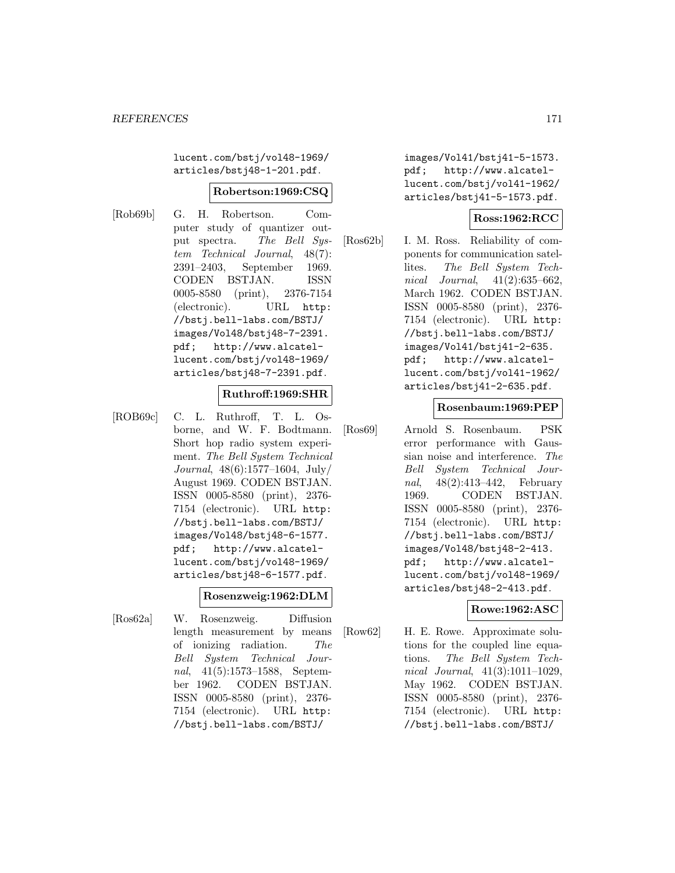lucent.com/bstj/vol48-1969/ articles/bstj48-1-201.pdf.

#### **Robertson:1969:CSQ**

[Rob69b] G. H. Robertson. Computer study of quantizer output spectra. The Bell System Technical Journal, 48(7): 2391–2403, September 1969. CODEN BSTJAN. ISSN 0005-8580 (print), 2376-7154 (electronic). URL http: //bstj.bell-labs.com/BSTJ/ images/Vol48/bstj48-7-2391. pdf; http://www.alcatellucent.com/bstj/vol48-1969/ articles/bstj48-7-2391.pdf.

## **Ruthroff:1969:SHR**

[ROB69c] C. L. Ruthroff, T. L. Osborne, and W. F. Bodtmann. Short hop radio system experiment. The Bell System Technical Journal, 48(6):1577–1604, July/ August 1969. CODEN BSTJAN. ISSN 0005-8580 (print), 2376- 7154 (electronic). URL http: //bstj.bell-labs.com/BSTJ/ images/Vol48/bstj48-6-1577. pdf; http://www.alcatellucent.com/bstj/vol48-1969/ articles/bstj48-6-1577.pdf.

#### **Rosenzweig:1962:DLM**

[Ros62a] W. Rosenzweig. Diffusion length measurement by means of ionizing radiation. The Bell System Technical Journal, 41(5):1573–1588, September 1962. CODEN BSTJAN. ISSN 0005-8580 (print), 2376- 7154 (electronic). URL http: //bstj.bell-labs.com/BSTJ/

images/Vol41/bstj41-5-1573. pdf; http://www.alcatellucent.com/bstj/vol41-1962/ articles/bstj41-5-1573.pdf.

# **Ross:1962:RCC**

[Ros62b] I. M. Ross. Reliability of components for communication satellites. The Bell System Technical Journal, 41(2):635–662, March 1962. CODEN BSTJAN. ISSN 0005-8580 (print), 2376- 7154 (electronic). URL http: //bstj.bell-labs.com/BSTJ/ images/Vol41/bstj41-2-635. pdf; http://www.alcatellucent.com/bstj/vol41-1962/ articles/bstj41-2-635.pdf.

## **Rosenbaum:1969:PEP**

[Ros69] Arnold S. Rosenbaum. PSK error performance with Gaussian noise and interference. The Bell System Technical Journal, 48(2):413–442, February 1969. CODEN BSTJAN. ISSN 0005-8580 (print), 2376- 7154 (electronic). URL http: //bstj.bell-labs.com/BSTJ/ images/Vol48/bstj48-2-413. pdf; http://www.alcatellucent.com/bstj/vol48-1969/ articles/bstj48-2-413.pdf.

## **Rowe:1962:ASC**

[Row62] H. E. Rowe. Approximate solutions for the coupled line equations. The Bell System Technical Journal, 41(3):1011–1029, May 1962. CODEN BSTJAN. ISSN 0005-8580 (print), 2376- 7154 (electronic). URL http: //bstj.bell-labs.com/BSTJ/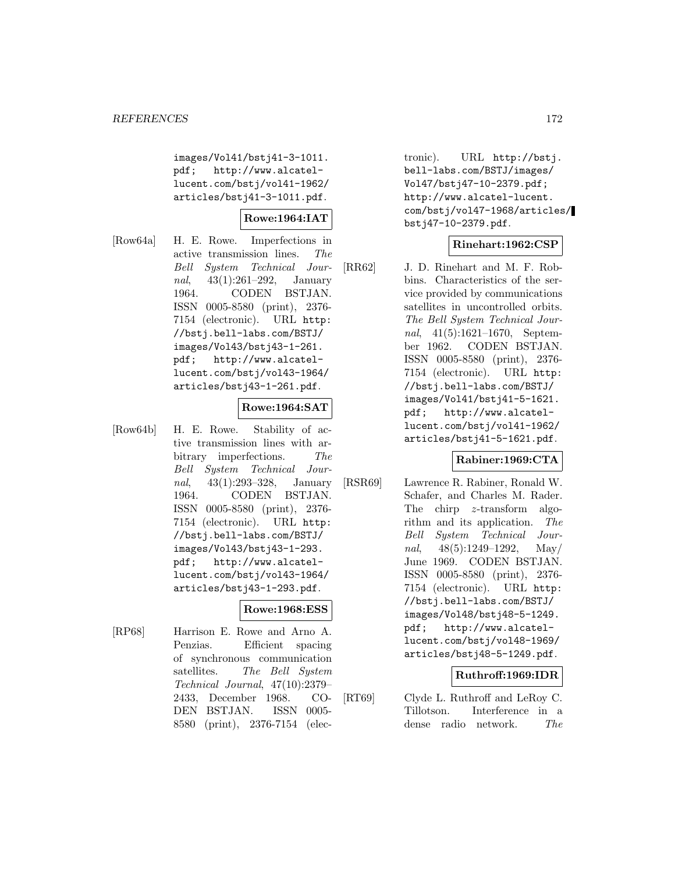images/Vol41/bstj41-3-1011. pdf; http://www.alcatellucent.com/bstj/vol41-1962/ articles/bstj41-3-1011.pdf.

## **Rowe:1964:IAT**

[Row64a] H. E. Rowe. Imperfections in active transmission lines. The Bell System Technical Journal, 43(1):261–292, January 1964. CODEN BSTJAN. ISSN 0005-8580 (print), 2376- 7154 (electronic). URL http: //bstj.bell-labs.com/BSTJ/ images/Vol43/bstj43-1-261. pdf; http://www.alcatellucent.com/bstj/vol43-1964/ articles/bstj43-1-261.pdf.

#### **Rowe:1964:SAT**

[Row64b] H. E. Rowe. Stability of active transmission lines with arbitrary imperfections. The Bell System Technical Journal, 43(1):293–328, January 1964. CODEN BSTJAN. ISSN 0005-8580 (print), 2376- 7154 (electronic). URL http: //bstj.bell-labs.com/BSTJ/ images/Vol43/bstj43-1-293. pdf; http://www.alcatellucent.com/bstj/vol43-1964/ articles/bstj43-1-293.pdf.

# **Rowe:1968:ESS**

[RP68] Harrison E. Rowe and Arno A. Penzias. Efficient spacing of synchronous communication satellites. The Bell System Technical Journal, 47(10):2379– 2433, December 1968. CO-DEN BSTJAN. ISSN 0005- 8580 (print), 2376-7154 (elec-

tronic). URL http://bstj. bell-labs.com/BSTJ/images/ Vol47/bstj47-10-2379.pdf; http://www.alcatel-lucent. com/bstj/vol47-1968/articles/ bstj47-10-2379.pdf.

#### **Rinehart:1962:CSP**

[RR62] J. D. Rinehart and M. F. Robbins. Characteristics of the service provided by communications satellites in uncontrolled orbits. The Bell System Technical Journal, 41(5):1621–1670, September 1962. CODEN BSTJAN. ISSN 0005-8580 (print), 2376- 7154 (electronic). URL http: //bstj.bell-labs.com/BSTJ/ images/Vol41/bstj41-5-1621. pdf; http://www.alcatellucent.com/bstj/vol41-1962/ articles/bstj41-5-1621.pdf.

## **Rabiner:1969:CTA**

[RSR69] Lawrence R. Rabiner, Ronald W. Schafer, and Charles M. Rader. The chirp z-transform algorithm and its application. The Bell System Technical Journal,  $48(5):1249-1292$ , May/ June 1969. CODEN BSTJAN. ISSN 0005-8580 (print), 2376- 7154 (electronic). URL http: //bstj.bell-labs.com/BSTJ/ images/Vol48/bstj48-5-1249. pdf; http://www.alcatellucent.com/bstj/vol48-1969/ articles/bstj48-5-1249.pdf.

## **Ruthroff:1969:IDR**

[RT69] Clyde L. Ruthroff and LeRoy C. Tillotson. Interference in a dense radio network. The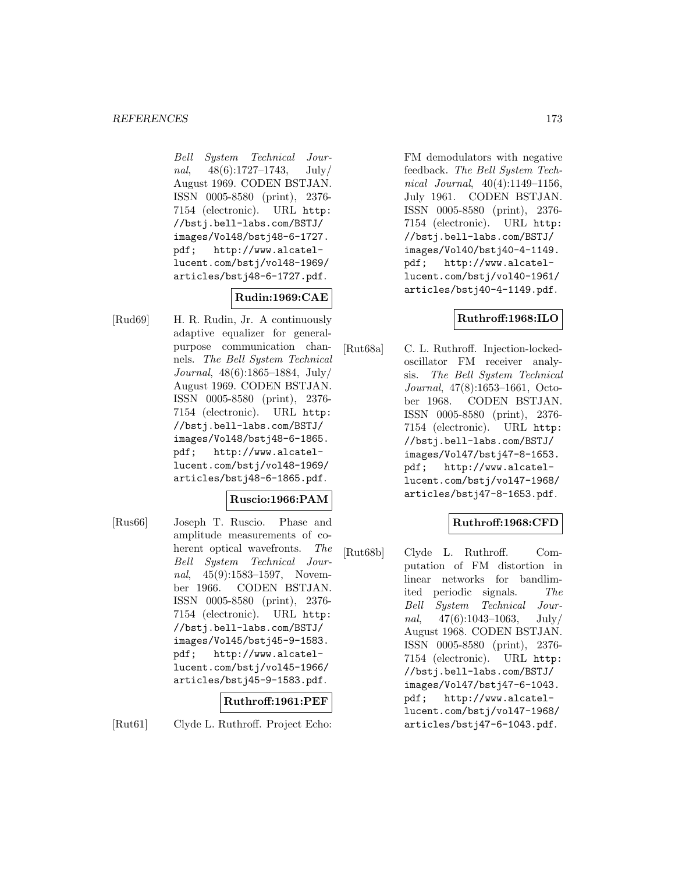Bell System Technical Journal,  $48(6):1727-1743$ , July/ August 1969. CODEN BSTJAN. ISSN 0005-8580 (print), 2376- 7154 (electronic). URL http: //bstj.bell-labs.com/BSTJ/ images/Vol48/bstj48-6-1727. pdf; http://www.alcatellucent.com/bstj/vol48-1969/ articles/bstj48-6-1727.pdf.

# **Rudin:1969:CAE**

[Rud69] H. R. Rudin, Jr. A continuously adaptive equalizer for generalpurpose communication channels. The Bell System Technical Journal, 48(6):1865–1884, July/ August 1969. CODEN BSTJAN. ISSN 0005-8580 (print), 2376- 7154 (electronic). URL http: //bstj.bell-labs.com/BSTJ/ images/Vol48/bstj48-6-1865. pdf; http://www.alcatellucent.com/bstj/vol48-1969/ articles/bstj48-6-1865.pdf.

## **Ruscio:1966:PAM**

[Rus66] Joseph T. Ruscio. Phase and amplitude measurements of coherent optical wavefronts. The Bell System Technical Journal, 45(9):1583-1597, November 1966. CODEN BSTJAN. ISSN 0005-8580 (print), 2376- 7154 (electronic). URL http: //bstj.bell-labs.com/BSTJ/ images/Vol45/bstj45-9-1583. pdf; http://www.alcatellucent.com/bstj/vol45-1966/ articles/bstj45-9-1583.pdf.

## **Ruthroff:1961:PEF**

[Rut61] Clyde L. Ruthroff. Project Echo:

FM demodulators with negative feedback. The Bell System Technical Journal, 40(4):1149–1156, July 1961. CODEN BSTJAN. ISSN 0005-8580 (print), 2376- 7154 (electronic). URL http: //bstj.bell-labs.com/BSTJ/ images/Vol40/bstj40-4-1149. pdf; http://www.alcatellucent.com/bstj/vol40-1961/ articles/bstj40-4-1149.pdf.

# **Ruthroff:1968:ILO**

[Rut68a] C. L. Ruthroff. Injection-lockedoscillator FM receiver analysis. The Bell System Technical Journal, 47(8):1653–1661, October 1968. CODEN BSTJAN. ISSN 0005-8580 (print), 2376- 7154 (electronic). URL http: //bstj.bell-labs.com/BSTJ/ images/Vol47/bstj47-8-1653. pdf; http://www.alcatellucent.com/bstj/vol47-1968/ articles/bstj47-8-1653.pdf.

## **Ruthroff:1968:CFD**

[Rut68b] Clyde L. Ruthroff. Computation of FM distortion in linear networks for bandlimited periodic signals. The Bell System Technical Journal,  $47(6):1043-1063$ , July/ August 1968. CODEN BSTJAN. ISSN 0005-8580 (print), 2376- 7154 (electronic). URL http: //bstj.bell-labs.com/BSTJ/ images/Vol47/bstj47-6-1043. pdf; http://www.alcatellucent.com/bstj/vol47-1968/ articles/bstj47-6-1043.pdf.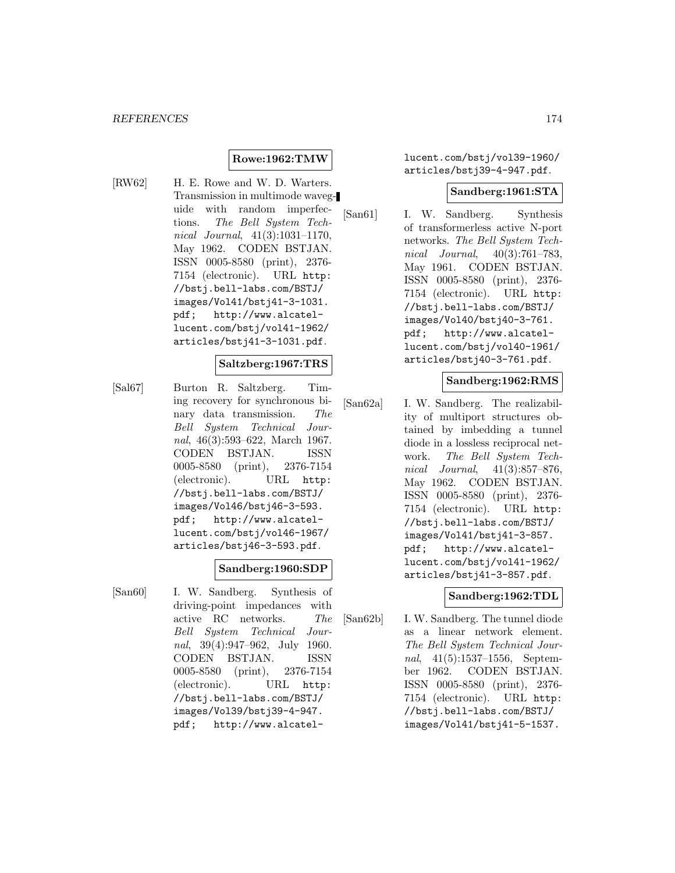## **Rowe:1962:TMW**

[RW62] H. E. Rowe and W. D. Warters. Transmission in multimode waveguide with random imperfections. The Bell System Technical Journal, 41(3):1031–1170, May 1962. CODEN BSTJAN. ISSN 0005-8580 (print), 2376- 7154 (electronic). URL http: //bstj.bell-labs.com/BSTJ/ images/Vol41/bstj41-3-1031. pdf; http://www.alcatellucent.com/bstj/vol41-1962/ articles/bstj41-3-1031.pdf.

## **Saltzberg:1967:TRS**

[Sal67] Burton R. Saltzberg. Timing recovery for synchronous binary data transmission. The Bell System Technical Journal, 46(3):593–622, March 1967. CODEN BSTJAN. ISSN 0005-8580 (print), 2376-7154 (electronic). URL http: //bstj.bell-labs.com/BSTJ/ images/Vol46/bstj46-3-593. pdf; http://www.alcatellucent.com/bstj/vol46-1967/ articles/bstj46-3-593.pdf.

#### **Sandberg:1960:SDP**

[San60] I. W. Sandberg. Synthesis of driving-point impedances with active RC networks. The Bell System Technical Journal, 39(4):947–962, July 1960. CODEN BSTJAN. ISSN 0005-8580 (print), 2376-7154 (electronic). URL http: //bstj.bell-labs.com/BSTJ/ images/Vol39/bstj39-4-947. pdf; http://www.alcatellucent.com/bstj/vol39-1960/ articles/bstj39-4-947.pdf.

#### **Sandberg:1961:STA**

[San61] I. W. Sandberg. Synthesis of transformerless active N-port networks. The Bell System Technical Journal, 40(3):761–783, May 1961. CODEN BSTJAN. ISSN 0005-8580 (print), 2376- 7154 (electronic). URL http: //bstj.bell-labs.com/BSTJ/ images/Vol40/bstj40-3-761. pdf; http://www.alcatellucent.com/bstj/vol40-1961/ articles/bstj40-3-761.pdf.

#### **Sandberg:1962:RMS**

[San62a] I. W. Sandberg. The realizability of multiport structures obtained by imbedding a tunnel diode in a lossless reciprocal network. The Bell System Technical Journal, 41(3):857–876, May 1962. CODEN BSTJAN. ISSN 0005-8580 (print), 2376- 7154 (electronic). URL http: //bstj.bell-labs.com/BSTJ/ images/Vol41/bstj41-3-857. pdf; http://www.alcatellucent.com/bstj/vol41-1962/ articles/bstj41-3-857.pdf.

## **Sandberg:1962:TDL**

[San62b] I. W. Sandberg. The tunnel diode as a linear network element. The Bell System Technical Journal, 41(5):1537–1556, September 1962. CODEN BSTJAN. ISSN 0005-8580 (print), 2376- 7154 (electronic). URL http: //bstj.bell-labs.com/BSTJ/ images/Vol41/bstj41-5-1537.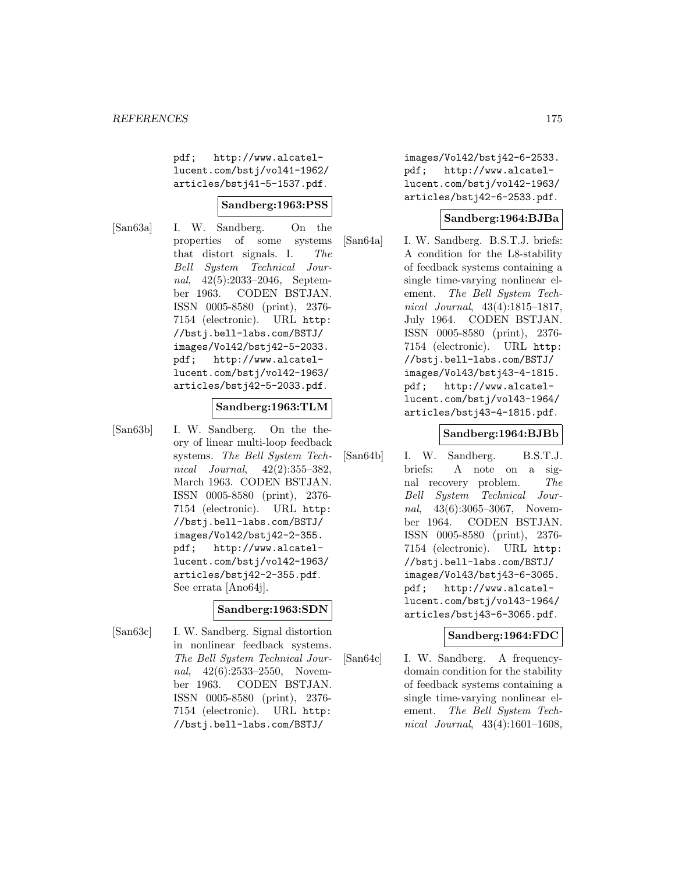pdf; http://www.alcatellucent.com/bstj/vol41-1962/ articles/bstj41-5-1537.pdf.

## **Sandberg:1963:PSS**

[San63a] I. W. Sandberg. On the properties of some systems that distort signals. I. The Bell System Technical Journal, 42(5):2033–2046, September 1963. CODEN BSTJAN. ISSN 0005-8580 (print), 2376- 7154 (electronic). URL http: //bstj.bell-labs.com/BSTJ/ images/Vol42/bstj42-5-2033. pdf; http://www.alcatellucent.com/bstj/vol42-1963/ articles/bstj42-5-2033.pdf.

## **Sandberg:1963:TLM**

[San63b] I. W. Sandberg. On the theory of linear multi-loop feedback systems. The Bell System Technical Journal, 42(2):355–382, March 1963. CODEN BSTJAN. ISSN 0005-8580 (print), 2376- 7154 (electronic). URL http: //bstj.bell-labs.com/BSTJ/ images/Vol42/bstj42-2-355. pdf; http://www.alcatellucent.com/bstj/vol42-1963/ articles/bstj42-2-355.pdf. See errata [Ano64j].

# **Sandberg:1963:SDN**

[San63c] I. W. Sandberg. Signal distortion in nonlinear feedback systems. The Bell System Technical Journal, 42(6):2533-2550, November 1963. CODEN BSTJAN. ISSN 0005-8580 (print), 2376- 7154 (electronic). URL http: //bstj.bell-labs.com/BSTJ/

images/Vol42/bstj42-6-2533. pdf; http://www.alcatellucent.com/bstj/vol42-1963/ articles/bstj42-6-2533.pdf.

## **Sandberg:1964:BJBa**

[San64a] I. W. Sandberg. B.S.T.J. briefs: A condition for the L8-stability of feedback systems containing a single time-varying nonlinear element. The Bell System Technical Journal, 43(4):1815–1817, July 1964. CODEN BSTJAN. ISSN 0005-8580 (print), 2376- 7154 (electronic). URL http: //bstj.bell-labs.com/BSTJ/ images/Vol43/bstj43-4-1815. pdf; http://www.alcatellucent.com/bstj/vol43-1964/ articles/bstj43-4-1815.pdf.

## **Sandberg:1964:BJBb**

[San64b] I. W. Sandberg. B.S.T.J. briefs: A note on a signal recovery problem. The Bell System Technical Journal, 43(6):3065-3067, November 1964. CODEN BSTJAN. ISSN 0005-8580 (print), 2376- 7154 (electronic). URL http: //bstj.bell-labs.com/BSTJ/ images/Vol43/bstj43-6-3065. pdf; http://www.alcatellucent.com/bstj/vol43-1964/ articles/bstj43-6-3065.pdf.

# **Sandberg:1964:FDC**

[San64c] I. W. Sandberg. A frequencydomain condition for the stability of feedback systems containing a single time-varying nonlinear element. The Bell System Technical Journal, 43(4):1601–1608,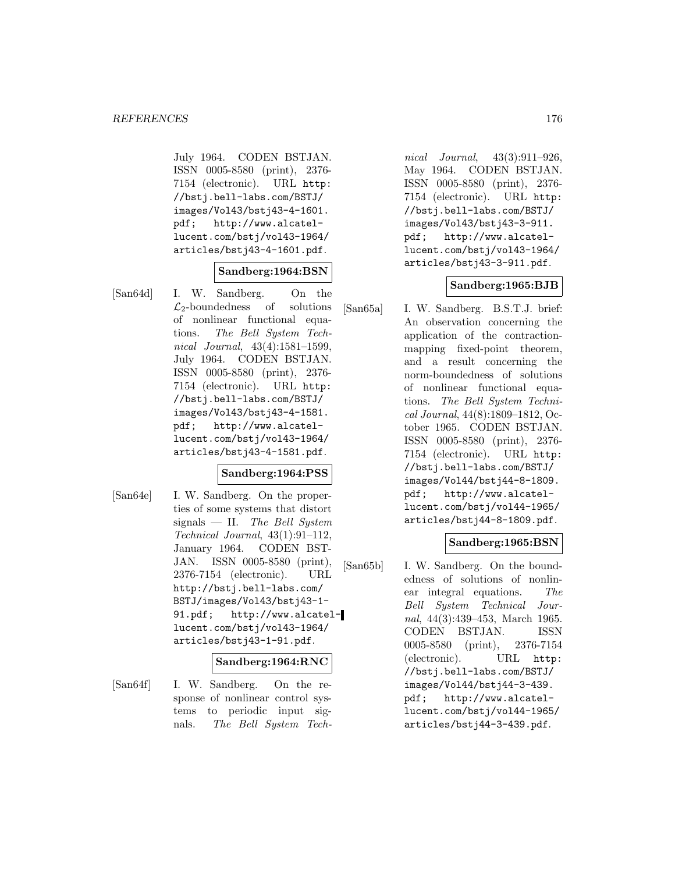July 1964. CODEN BSTJAN. ISSN 0005-8580 (print), 2376- 7154 (electronic). URL http: //bstj.bell-labs.com/BSTJ/ images/Vol43/bstj43-4-1601. pdf; http://www.alcatellucent.com/bstj/vol43-1964/ articles/bstj43-4-1601.pdf.

#### **Sandberg:1964:BSN**

[San64d] I. W. Sandberg. On the  $\mathcal{L}_2$ -boundedness of solutions of nonlinear functional equations. The Bell System Technical Journal, 43(4):1581–1599, July 1964. CODEN BSTJAN. ISSN 0005-8580 (print), 2376- 7154 (electronic). URL http: //bstj.bell-labs.com/BSTJ/ images/Vol43/bstj43-4-1581. pdf; http://www.alcatellucent.com/bstj/vol43-1964/ articles/bstj43-4-1581.pdf.

## **Sandberg:1964:PSS**

[San64e] I. W. Sandberg. On the properties of some systems that distort signals — II. The Bell System Technical Journal, 43(1):91–112, January 1964. CODEN BST-JAN. ISSN 0005-8580 (print), 2376-7154 (electronic). URL http://bstj.bell-labs.com/ BSTJ/images/Vol43/bstj43-1- 91.pdf; http://www.alcatellucent.com/bstj/vol43-1964/ articles/bstj43-1-91.pdf.

## **Sandberg:1964:RNC**

[San64f] I. W. Sandberg. On the response of nonlinear control systems to periodic input signals. The Bell System Tech-

nical Journal, 43(3):911–926, May 1964. CODEN BSTJAN. ISSN 0005-8580 (print), 2376- 7154 (electronic). URL http: //bstj.bell-labs.com/BSTJ/ images/Vol43/bstj43-3-911. pdf; http://www.alcatellucent.com/bstj/vol43-1964/ articles/bstj43-3-911.pdf.

## **Sandberg:1965:BJB**

[San65a] I. W. Sandberg. B.S.T.J. brief: An observation concerning the application of the contractionmapping fixed-point theorem, and a result concerning the norm-boundedness of solutions of nonlinear functional equations. The Bell System Technical Journal, 44(8):1809–1812, October 1965. CODEN BSTJAN. ISSN 0005-8580 (print), 2376- 7154 (electronic). URL http: //bstj.bell-labs.com/BSTJ/ images/Vol44/bstj44-8-1809. pdf; http://www.alcatellucent.com/bstj/vol44-1965/ articles/bstj44-8-1809.pdf.

## **Sandberg:1965:BSN**

[San65b] I. W. Sandberg. On the boundedness of solutions of nonlinear integral equations. The Bell System Technical Journal, 44(3):439–453, March 1965. CODEN BSTJAN. ISSN 0005-8580 (print), 2376-7154 (electronic). URL http: //bstj.bell-labs.com/BSTJ/ images/Vol44/bstj44-3-439. pdf; http://www.alcatellucent.com/bstj/vol44-1965/ articles/bstj44-3-439.pdf.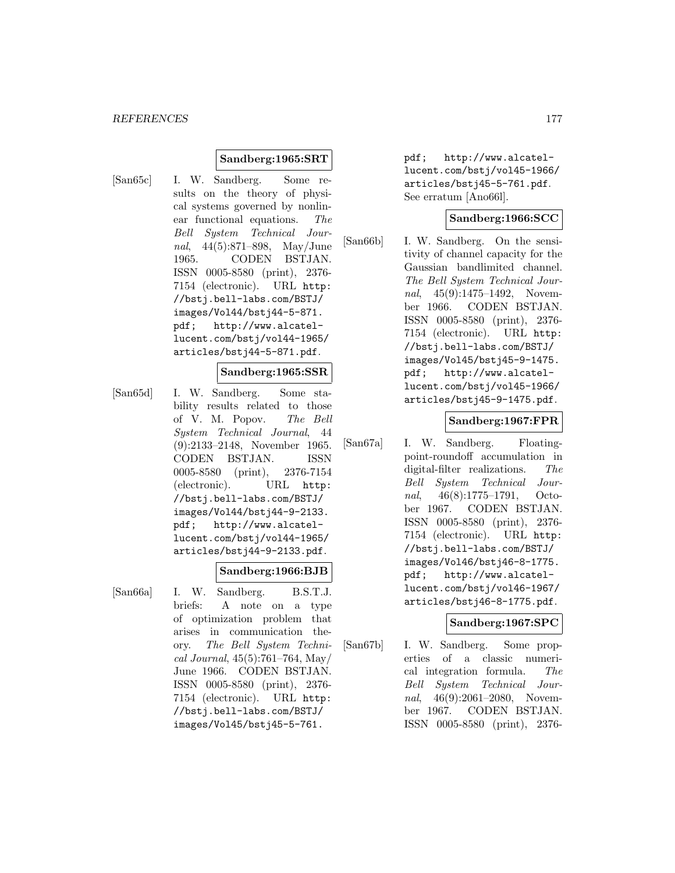## **Sandberg:1965:SRT**

[San65c] I. W. Sandberg. Some results on the theory of physical systems governed by nonlinear functional equations. The Bell System Technical Journal, 44(5):871–898, May/June 1965. CODEN BSTJAN. ISSN 0005-8580 (print), 2376- 7154 (electronic). URL http: //bstj.bell-labs.com/BSTJ/ images/Vol44/bstj44-5-871. pdf; http://www.alcatellucent.com/bstj/vol44-1965/ articles/bstj44-5-871.pdf.

#### **Sandberg:1965:SSR**

[San65d] I. W. Sandberg. Some stability results related to those of V. M. Popov. The Bell System Technical Journal, 44 (9):2133–2148, November 1965. CODEN BSTJAN. ISSN 0005-8580 (print), 2376-7154 (electronic). URL http: //bstj.bell-labs.com/BSTJ/ images/Vol44/bstj44-9-2133. pdf; http://www.alcatellucent.com/bstj/vol44-1965/ articles/bstj44-9-2133.pdf.

#### **Sandberg:1966:BJB**

- 
- [San66a] I. W. Sandberg. B.S.T.J. briefs: A note on a type of optimization problem that arises in communication theory. The Bell System Technical Journal, 45(5):761–764, May/ June 1966. CODEN BSTJAN. ISSN 0005-8580 (print), 2376- 7154 (electronic). URL http: //bstj.bell-labs.com/BSTJ/ images/Vol45/bstj45-5-761.

pdf; http://www.alcatellucent.com/bstj/vol45-1966/ articles/bstj45-5-761.pdf. See erratum [Ano66l].

## **Sandberg:1966:SCC**

[San66b] I. W. Sandberg. On the sensitivity of channel capacity for the Gaussian bandlimited channel. The Bell System Technical Journal, 45(9):1475–1492, November 1966. CODEN BSTJAN. ISSN 0005-8580 (print), 2376- 7154 (electronic). URL http: //bstj.bell-labs.com/BSTJ/ images/Vol45/bstj45-9-1475. pdf; http://www.alcatellucent.com/bstj/vol45-1966/ articles/bstj45-9-1475.pdf.

## **Sandberg:1967:FPR**

[San67a] I. W. Sandberg. Floatingpoint-roundoff accumulation in digital-filter realizations. The Bell System Technical Journal, 46(8):1775–1791, October 1967. CODEN BSTJAN. ISSN 0005-8580 (print), 2376- 7154 (electronic). URL http: //bstj.bell-labs.com/BSTJ/ images/Vol46/bstj46-8-1775. pdf; http://www.alcatellucent.com/bstj/vol46-1967/ articles/bstj46-8-1775.pdf.

#### **Sandberg:1967:SPC**

[San67b] I. W. Sandberg. Some properties of a classic numerical integration formula. The Bell System Technical Journal, 46(9):2061-2080, November 1967. CODEN BSTJAN. ISSN 0005-8580 (print), 2376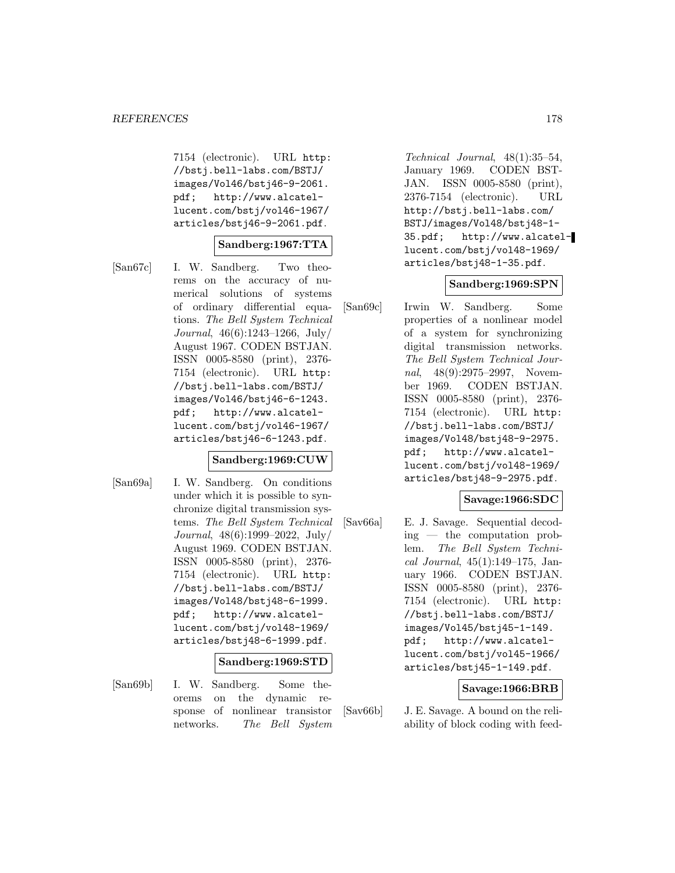7154 (electronic). URL http: //bstj.bell-labs.com/BSTJ/ images/Vol46/bstj46-9-2061. pdf; http://www.alcatellucent.com/bstj/vol46-1967/ articles/bstj46-9-2061.pdf.

## **Sandberg:1967:TTA**

- 
- [San67c] I. W. Sandberg. Two theorems on the accuracy of numerical solutions of systems of ordinary differential equations. The Bell System Technical Journal, 46(6):1243–1266, July/ August 1967. CODEN BSTJAN. ISSN 0005-8580 (print), 2376- 7154 (electronic). URL http: //bstj.bell-labs.com/BSTJ/ images/Vol46/bstj46-6-1243. pdf; http://www.alcatellucent.com/bstj/vol46-1967/ articles/bstj46-6-1243.pdf.

## **Sandberg:1969:CUW**

[San69a] I. W. Sandberg. On conditions under which it is possible to synchronize digital transmission systems. The Bell System Technical Journal, 48(6):1999–2022, July/ August 1969. CODEN BSTJAN. ISSN 0005-8580 (print), 2376- 7154 (electronic). URL http: //bstj.bell-labs.com/BSTJ/ images/Vol48/bstj48-6-1999. pdf; http://www.alcatellucent.com/bstj/vol48-1969/ articles/bstj48-6-1999.pdf.

#### **Sandberg:1969:STD**

[San69b] I. W. Sandberg. Some theorems on the dynamic response of nonlinear transistor networks. The Bell System

Technical Journal, 48(1):35–54, January 1969. CODEN BST-JAN. ISSN 0005-8580 (print), 2376-7154 (electronic). URL http://bstj.bell-labs.com/ BSTJ/images/Vol48/bstj48-1- 35.pdf; http://www.alcatellucent.com/bstj/vol48-1969/ articles/bstj48-1-35.pdf.

#### **Sandberg:1969:SPN**

[San69c] Irwin W. Sandberg. Some properties of a nonlinear model of a system for synchronizing digital transmission networks. The Bell System Technical Journal, 48(9):2975–2997, November 1969. CODEN BSTJAN. ISSN 0005-8580 (print), 2376- 7154 (electronic). URL http: //bstj.bell-labs.com/BSTJ/ images/Vol48/bstj48-9-2975. pdf; http://www.alcatellucent.com/bstj/vol48-1969/ articles/bstj48-9-2975.pdf.

#### **Savage:1966:SDC**

[Sav66a] E. J. Savage. Sequential decoding — the computation problem. The Bell System Technical Journal, 45(1):149–175, January 1966. CODEN BSTJAN. ISSN 0005-8580 (print), 2376- 7154 (electronic). URL http: //bstj.bell-labs.com/BSTJ/ images/Vol45/bstj45-1-149. pdf; http://www.alcatellucent.com/bstj/vol45-1966/ articles/bstj45-1-149.pdf.

## **Savage:1966:BRB**

[Sav66b] J. E. Savage. A bound on the reliability of block coding with feed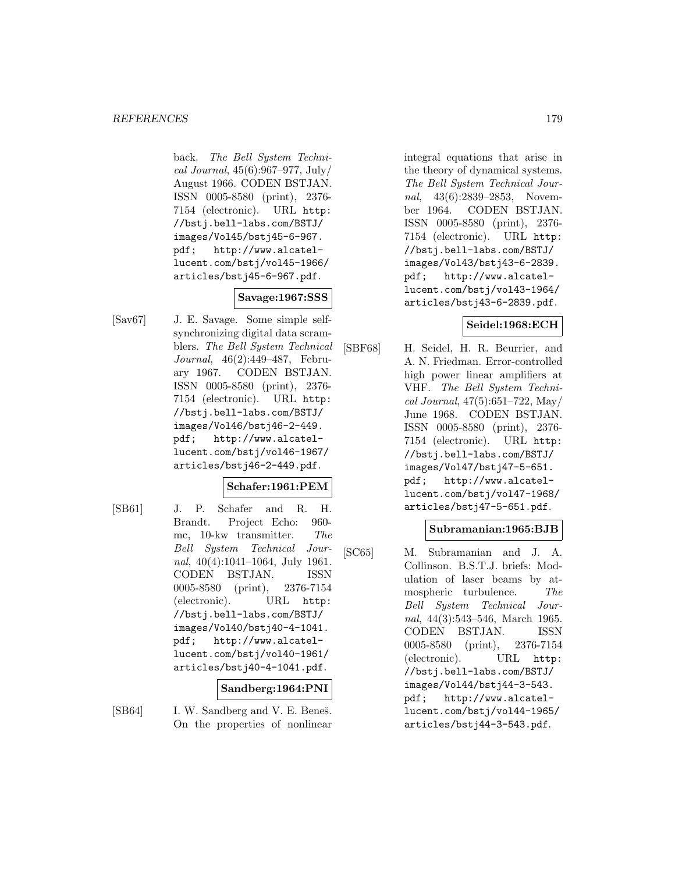back. The Bell System Technical Journal, 45(6):967–977, July/ August 1966. CODEN BSTJAN. ISSN 0005-8580 (print), 2376- 7154 (electronic). URL http: //bstj.bell-labs.com/BSTJ/ images/Vol45/bstj45-6-967. pdf; http://www.alcatellucent.com/bstj/vol45-1966/ articles/bstj45-6-967.pdf.

# **Savage:1967:SSS**

[Sav67] J. E. Savage. Some simple selfsynchronizing digital data scramblers. The Bell System Technical Journal, 46(2):449–487, February 1967. CODEN BSTJAN. ISSN 0005-8580 (print), 2376- 7154 (electronic). URL http: //bstj.bell-labs.com/BSTJ/ images/Vol46/bstj46-2-449. pdf; http://www.alcatellucent.com/bstj/vol46-1967/ articles/bstj46-2-449.pdf.

# **Schafer:1961:PEM**

[SB61] J. P. Schafer and R. H. Brandt. Project Echo: 960 mc, 10-kw transmitter. The Bell System Technical Journal, 40(4):1041–1064, July 1961. CODEN BSTJAN. ISSN 0005-8580 (print), 2376-7154 (electronic). URL http: //bstj.bell-labs.com/BSTJ/ images/Vol40/bstj40-4-1041. pdf; http://www.alcatellucent.com/bstj/vol40-1961/ articles/bstj40-4-1041.pdf.

## **Sandberg:1964:PNI**

[SB64] I. W. Sandberg and V. E. Beneš. On the properties of nonlinear

integral equations that arise in the theory of dynamical systems. The Bell System Technical Journal, 43(6):2839–2853, November 1964. CODEN BSTJAN. ISSN 0005-8580 (print), 2376- 7154 (electronic). URL http: //bstj.bell-labs.com/BSTJ/ images/Vol43/bstj43-6-2839. pdf; http://www.alcatellucent.com/bstj/vol43-1964/ articles/bstj43-6-2839.pdf.

# **Seidel:1968:ECH**

[SBF68] H. Seidel, H. R. Beurrier, and A. N. Friedman. Error-controlled high power linear amplifiers at VHF. The Bell System Technical Journal, 47(5):651–722, May/ June 1968. CODEN BSTJAN. ISSN 0005-8580 (print), 2376- 7154 (electronic). URL http: //bstj.bell-labs.com/BSTJ/ images/Vol47/bstj47-5-651. pdf; http://www.alcatellucent.com/bstj/vol47-1968/ articles/bstj47-5-651.pdf.

# **Subramanian:1965:BJB**

[SC65] M. Subramanian and J. A. Collinson. B.S.T.J. briefs: Modulation of laser beams by atmospheric turbulence. The Bell System Technical Journal, 44(3):543–546, March 1965. CODEN BSTJAN. ISSN 0005-8580 (print), 2376-7154 (electronic). URL http: //bstj.bell-labs.com/BSTJ/ images/Vol44/bstj44-3-543. pdf; http://www.alcatellucent.com/bstj/vol44-1965/ articles/bstj44-3-543.pdf.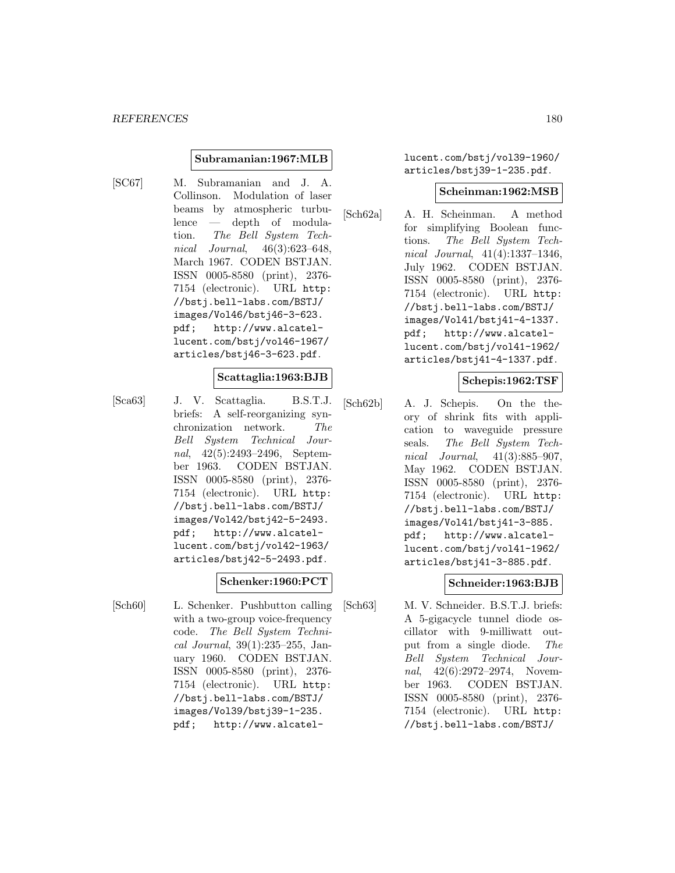## **Subramanian:1967:MLB**

[SC67] M. Subramanian and J. A. Collinson. Modulation of laser beams by atmospheric turbulence — depth of modulation. The Bell System Technical Journal, 46(3):623–648, March 1967. CODEN BSTJAN. ISSN 0005-8580 (print), 2376- 7154 (electronic). URL http: //bstj.bell-labs.com/BSTJ/ images/Vol46/bstj46-3-623. pdf; http://www.alcatellucent.com/bstj/vol46-1967/ articles/bstj46-3-623.pdf.

## **Scattaglia:1963:BJB**

[Sca63] J. V. Scattaglia. B.S.T.J. briefs: A self-reorganizing synchronization network. The Bell System Technical Journal, 42(5):2493–2496, September 1963. CODEN BSTJAN. ISSN 0005-8580 (print), 2376- 7154 (electronic). URL http: //bstj.bell-labs.com/BSTJ/ images/Vol42/bstj42-5-2493. pdf; http://www.alcatellucent.com/bstj/vol42-1963/ articles/bstj42-5-2493.pdf.

# **Schenker:1960:PCT**

[Sch60] L. Schenker. Pushbutton calling with a two-group voice-frequency code. The Bell System Technical Journal, 39(1):235–255, January 1960. CODEN BSTJAN. ISSN 0005-8580 (print), 2376- 7154 (electronic). URL http: //bstj.bell-labs.com/BSTJ/ images/Vol39/bstj39-1-235. pdf; http://www.alcatellucent.com/bstj/vol39-1960/ articles/bstj39-1-235.pdf.

#### **Scheinman:1962:MSB**

[Sch62a] A. H. Scheinman. A method for simplifying Boolean functions. The Bell System Technical Journal, 41(4):1337–1346, July 1962. CODEN BSTJAN. ISSN 0005-8580 (print), 2376- 7154 (electronic). URL http: //bstj.bell-labs.com/BSTJ/ images/Vol41/bstj41-4-1337. pdf; http://www.alcatellucent.com/bstj/vol41-1962/ articles/bstj41-4-1337.pdf.

# **Schepis:1962:TSF**

[Sch62b] A. J. Schepis. On the theory of shrink fits with application to waveguide pressure seals. The Bell System Technical Journal, 41(3):885–907, May 1962. CODEN BSTJAN. ISSN 0005-8580 (print), 2376- 7154 (electronic). URL http: //bstj.bell-labs.com/BSTJ/ images/Vol41/bstj41-3-885. pdf; http://www.alcatellucent.com/bstj/vol41-1962/ articles/bstj41-3-885.pdf.

## **Schneider:1963:BJB**

[Sch63] M. V. Schneider. B.S.T.J. briefs: A 5-gigacycle tunnel diode oscillator with 9-milliwatt output from a single diode. The Bell System Technical Journal, 42(6):2972–2974, November 1963. CODEN BSTJAN. ISSN 0005-8580 (print), 2376- 7154 (electronic). URL http: //bstj.bell-labs.com/BSTJ/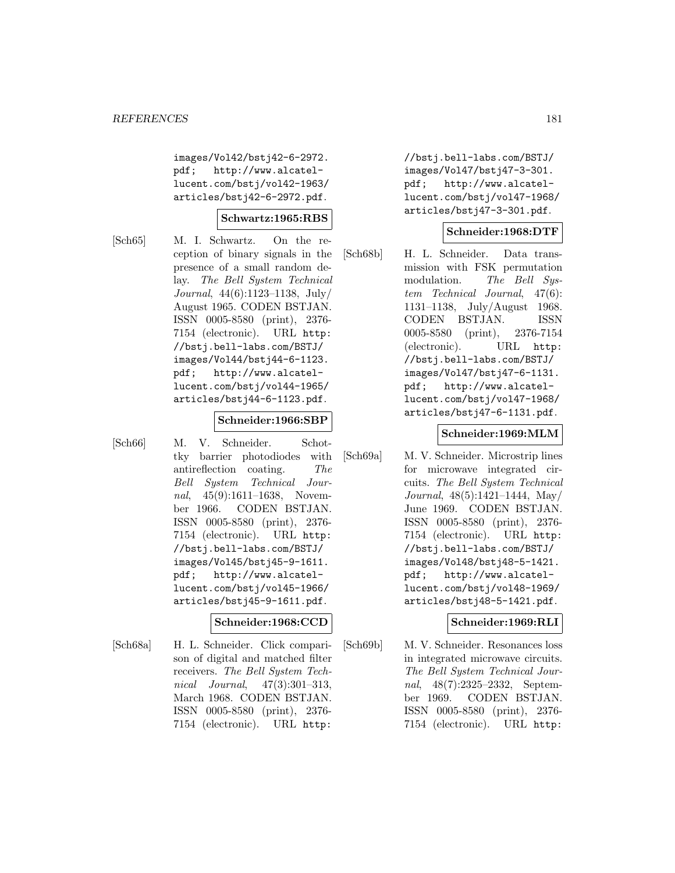images/Vol42/bstj42-6-2972. pdf; http://www.alcatellucent.com/bstj/vol42-1963/ articles/bstj42-6-2972.pdf.

#### **Schwartz:1965:RBS**

[Sch65] M. I. Schwartz. On the reception of binary signals in the presence of a small random delay. The Bell System Technical Journal, 44(6):1123–1138, July/ August 1965. CODEN BSTJAN. ISSN 0005-8580 (print), 2376- 7154 (electronic). URL http: //bstj.bell-labs.com/BSTJ/ images/Vol44/bstj44-6-1123. pdf; http://www.alcatellucent.com/bstj/vol44-1965/ articles/bstj44-6-1123.pdf.

#### **Schneider:1966:SBP**

[Sch66] M. V. Schneider. Schottky barrier photodiodes with antireflection coating. The Bell System Technical Journal, 45(9):1611-1638, November 1966. CODEN BSTJAN. ISSN 0005-8580 (print), 2376- 7154 (electronic). URL http: //bstj.bell-labs.com/BSTJ/ images/Vol45/bstj45-9-1611. pdf; http://www.alcatellucent.com/bstj/vol45-1966/ articles/bstj45-9-1611.pdf.

#### **Schneider:1968:CCD**

[Sch68a] H. L. Schneider. Click comparison of digital and matched filter receivers. The Bell System Technical Journal, 47(3):301–313, March 1968. CODEN BSTJAN. ISSN 0005-8580 (print), 2376- 7154 (electronic). URL http:

//bstj.bell-labs.com/BSTJ/ images/Vol47/bstj47-3-301. pdf; http://www.alcatellucent.com/bstj/vol47-1968/ articles/bstj47-3-301.pdf.

### **Schneider:1968:DTF**

[Sch68b] H. L. Schneider. Data transmission with FSK permutation modulation. The Bell System Technical Journal, 47(6): 1131–1138, July/August 1968. CODEN BSTJAN. ISSN 0005-8580 (print), 2376-7154 (electronic). URL http: //bstj.bell-labs.com/BSTJ/ images/Vol47/bstj47-6-1131. pdf; http://www.alcatellucent.com/bstj/vol47-1968/ articles/bstj47-6-1131.pdf.

#### **Schneider:1969:MLM**

[Sch69a] M. V. Schneider. Microstrip lines for microwave integrated circuits. The Bell System Technical Journal, 48(5):1421–1444, May/ June 1969. CODEN BSTJAN. ISSN 0005-8580 (print), 2376- 7154 (electronic). URL http: //bstj.bell-labs.com/BSTJ/ images/Vol48/bstj48-5-1421. pdf; http://www.alcatellucent.com/bstj/vol48-1969/ articles/bstj48-5-1421.pdf.

#### **Schneider:1969:RLI**

[Sch69b] M. V. Schneider. Resonances loss in integrated microwave circuits. The Bell System Technical Journal, 48(7):2325–2332, September 1969. CODEN BSTJAN. ISSN 0005-8580 (print), 2376- 7154 (electronic). URL http: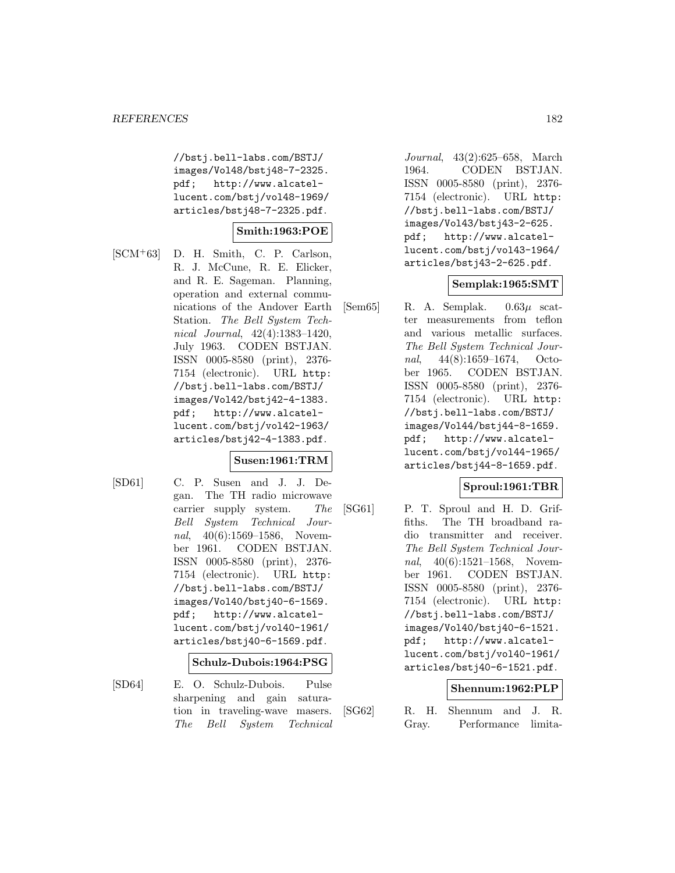//bstj.bell-labs.com/BSTJ/ images/Vol48/bstj48-7-2325. pdf; http://www.alcatellucent.com/bstj/vol48-1969/ articles/bstj48-7-2325.pdf.

## **Smith:1963:POE**

[SCM<sup>+</sup>63] D. H. Smith, C. P. Carlson, R. J. McCune, R. E. Elicker, and R. E. Sageman. Planning, operation and external communications of the Andover Earth Station. The Bell System Technical Journal, 42(4):1383–1420, July 1963. CODEN BSTJAN. ISSN 0005-8580 (print), 2376- 7154 (electronic). URL http: //bstj.bell-labs.com/BSTJ/ images/Vol42/bstj42-4-1383. pdf; http://www.alcatellucent.com/bstj/vol42-1963/ articles/bstj42-4-1383.pdf.

#### **Susen:1961:TRM**

- 
- [SD61] C. P. Susen and J. J. Degan. The TH radio microwave carrier supply system. The Bell System Technical Journal, 40(6):1569–1586, November 1961. CODEN BSTJAN. ISSN 0005-8580 (print), 2376- 7154 (electronic). URL http: //bstj.bell-labs.com/BSTJ/ images/Vol40/bstj40-6-1569. pdf; http://www.alcatellucent.com/bstj/vol40-1961/ articles/bstj40-6-1569.pdf.

#### **Schulz-Dubois:1964:PSG**

[SD64] E. O. Schulz-Dubois. Pulse sharpening and gain saturation in traveling-wave masers. The Bell System Technical

Journal, 43(2):625–658, March 1964. CODEN BSTJAN. ISSN 0005-8580 (print), 2376- 7154 (electronic). URL http: //bstj.bell-labs.com/BSTJ/ images/Vol43/bstj43-2-625. pdf; http://www.alcatellucent.com/bstj/vol43-1964/ articles/bstj43-2-625.pdf.

#### **Semplak:1965:SMT**

 $[\text{Sem65}]$  R. A. Semplak.  $0.63\mu$  scatter measurements from teflon and various metallic surfaces. The Bell System Technical Journal, 44(8):1659–1674, October 1965. CODEN BSTJAN. ISSN 0005-8580 (print), 2376- 7154 (electronic). URL http: //bstj.bell-labs.com/BSTJ/ images/Vol44/bstj44-8-1659. pdf; http://www.alcatellucent.com/bstj/vol44-1965/ articles/bstj44-8-1659.pdf.

### **Sproul:1961:TBR**

[SG61] P. T. Sproul and H. D. Griffiths. The TH broadband radio transmitter and receiver. The Bell System Technical Journal, 40(6):1521-1568, November 1961. CODEN BSTJAN. ISSN 0005-8580 (print), 2376- 7154 (electronic). URL http: //bstj.bell-labs.com/BSTJ/ images/Vol40/bstj40-6-1521. pdf; http://www.alcatellucent.com/bstj/vol40-1961/ articles/bstj40-6-1521.pdf.

### **Shennum:1962:PLP**

[SG62] R. H. Shennum and J. R. Gray. Performance limita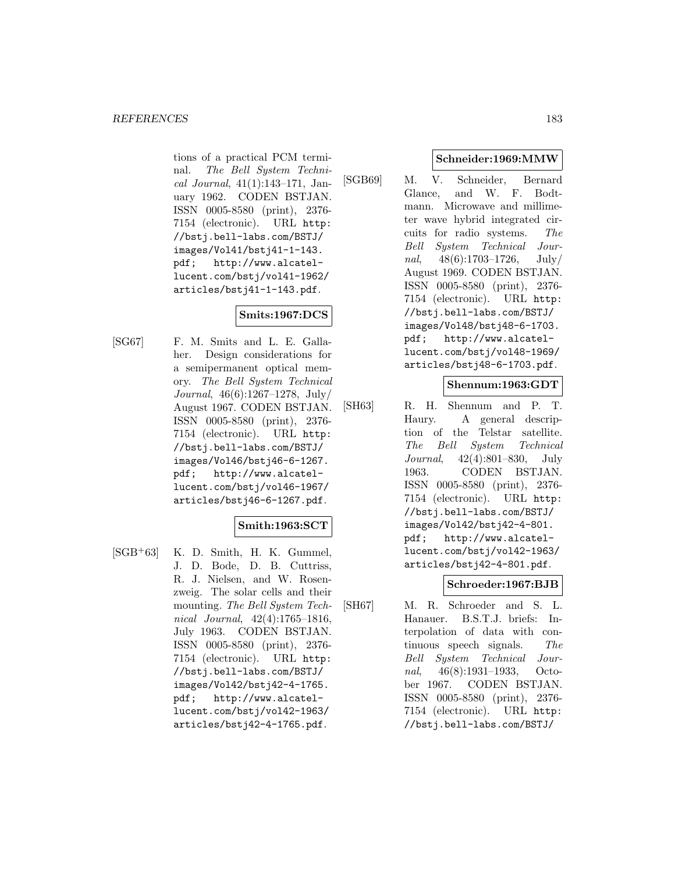tions of a practical PCM terminal. The Bell System Technical Journal, 41(1):143–171, January 1962. CODEN BSTJAN. ISSN 0005-8580 (print), 2376- 7154 (electronic). URL http: //bstj.bell-labs.com/BSTJ/ images/Vol41/bstj41-1-143.<br>pdf; http://www.alcatelhttp://www.alcatellucent.com/bstj/vol41-1962/ articles/bstj41-1-143.pdf.

### **Smits:1967:DCS**

[SG67] F. M. Smits and L. E. Gallaher. Design considerations for a semipermanent optical memory. The Bell System Technical Journal, 46(6):1267–1278, July/ August 1967. CODEN BSTJAN. ISSN 0005-8580 (print), 2376- 7154 (electronic). URL http: //bstj.bell-labs.com/BSTJ/ images/Vol46/bstj46-6-1267. pdf; http://www.alcatellucent.com/bstj/vol46-1967/ articles/bstj46-6-1267.pdf.

### **Smith:1963:SCT**

 $[SGB<sup>+</sup>63]$  K. D. Smith, H. K. Gummel, J. D. Bode, D. B. Cuttriss, R. J. Nielsen, and W. Rosenzweig. The solar cells and their mounting. The Bell System Technical Journal, 42(4):1765–1816, July 1963. CODEN BSTJAN. ISSN 0005-8580 (print), 2376- 7154 (electronic). URL http: //bstj.bell-labs.com/BSTJ/ images/Vol42/bstj42-4-1765. pdf; http://www.alcatellucent.com/bstj/vol42-1963/ articles/bstj42-4-1765.pdf.

### **Schneider:1969:MMW**

[SGB69] M. V. Schneider, Bernard Glance, and W. F. Bodtmann. Microwave and millimeter wave hybrid integrated circuits for radio systems. The Bell System Technical Journal,  $48(6):1703-1726$ , July/ August 1969. CODEN BSTJAN. ISSN 0005-8580 (print), 2376- 7154 (electronic). URL http: //bstj.bell-labs.com/BSTJ/ images/Vol48/bstj48-6-1703. pdf; http://www.alcatellucent.com/bstj/vol48-1969/ articles/bstj48-6-1703.pdf.

### **Shennum:1963:GDT**

[SH63] R. H. Shennum and P. T. Haury. A general description of the Telstar satellite. The Bell System Technical Journal, 42(4):801–830, July 1963. CODEN BSTJAN. ISSN 0005-8580 (print), 2376- 7154 (electronic). URL http: //bstj.bell-labs.com/BSTJ/ images/Vol42/bstj42-4-801. pdf; http://www.alcatellucent.com/bstj/vol42-1963/ articles/bstj42-4-801.pdf.

### **Schroeder:1967:BJB**

[SH67] M. R. Schroeder and S. L. Hanauer. B.S.T.J. briefs: Interpolation of data with continuous speech signals. The Bell System Technical Journal, 46(8):1931–1933, October 1967. CODEN BSTJAN. ISSN 0005-8580 (print), 2376- 7154 (electronic). URL http: //bstj.bell-labs.com/BSTJ/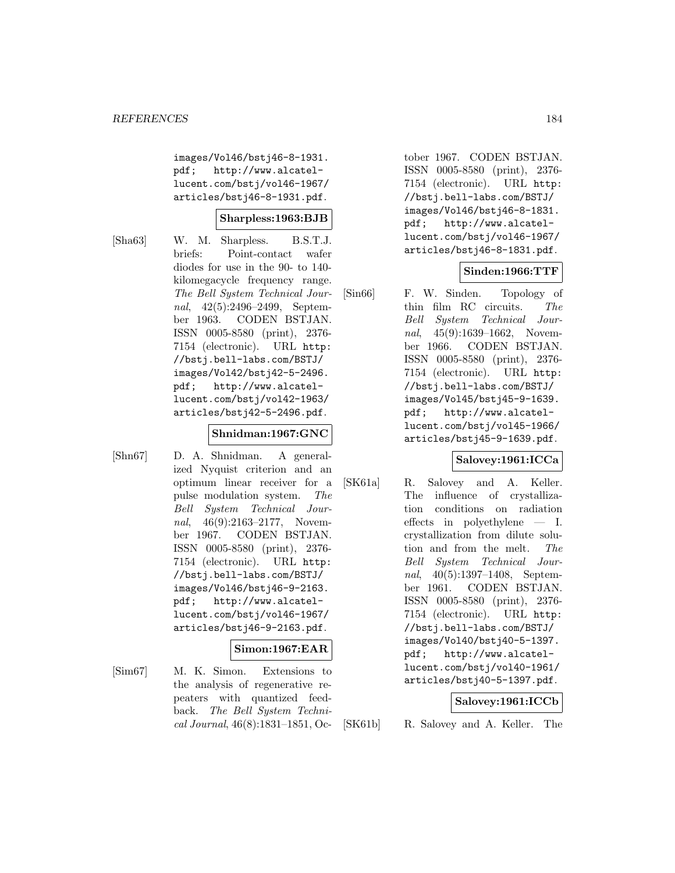images/Vol46/bstj46-8-1931. pdf; http://www.alcatellucent.com/bstj/vol46-1967/ articles/bstj46-8-1931.pdf.

### **Sharpless:1963:BJB**

[Sha63] W. M. Sharpless. B.S.T.J. briefs: Point-contact wafer diodes for use in the 90- to 140 kilomegacycle frequency range. The Bell System Technical Journal, 42(5):2496–2499, September 1963. CODEN BSTJAN. ISSN 0005-8580 (print), 2376- 7154 (electronic). URL http: //bstj.bell-labs.com/BSTJ/ images/Vol42/bstj42-5-2496. pdf; http://www.alcatellucent.com/bstj/vol42-1963/ articles/bstj42-5-2496.pdf.

## **Shnidman:1967:GNC**

[Shn67] D. A. Shnidman. A generalized Nyquist criterion and an optimum linear receiver for a pulse modulation system. The Bell System Technical Journal, 46(9):2163-2177, November 1967. CODEN BSTJAN. ISSN 0005-8580 (print), 2376- 7154 (electronic). URL http: //bstj.bell-labs.com/BSTJ/ images/Vol46/bstj46-9-2163. pdf; http://www.alcatellucent.com/bstj/vol46-1967/ articles/bstj46-9-2163.pdf.

### **Simon:1967:EAR**

[Sim67] M. K. Simon. Extensions to the analysis of regenerative repeaters with quantized feedback. The Bell System Technical Journal, 46(8):1831–1851, Oc-

tober 1967. CODEN BSTJAN. ISSN 0005-8580 (print), 2376- 7154 (electronic). URL http: //bstj.bell-labs.com/BSTJ/ images/Vol46/bstj46-8-1831. pdf; http://www.alcatellucent.com/bstj/vol46-1967/ articles/bstj46-8-1831.pdf.

### **Sinden:1966:TTF**

[Sin66] F. W. Sinden. Topology of thin film RC circuits. The Bell System Technical Journal, 45(9):1639-1662, November 1966. CODEN BSTJAN. ISSN 0005-8580 (print), 2376- 7154 (electronic). URL http: //bstj.bell-labs.com/BSTJ/ images/Vol45/bstj45-9-1639. pdf; http://www.alcatellucent.com/bstj/vol45-1966/ articles/bstj45-9-1639.pdf.

### **Salovey:1961:ICCa**

[SK61a] R. Salovey and A. Keller. The influence of crystallization conditions on radiation effects in polyethylene — I. crystallization from dilute solution and from the melt. The Bell System Technical Journal, 40(5):1397–1408, September 1961. CODEN BSTJAN. ISSN 0005-8580 (print), 2376- 7154 (electronic). URL http: //bstj.bell-labs.com/BSTJ/ images/Vol40/bstj40-5-1397. pdf; http://www.alcatellucent.com/bstj/vol40-1961/ articles/bstj40-5-1397.pdf.

#### **Salovey:1961:ICCb**

[SK61b] R. Salovey and A. Keller. The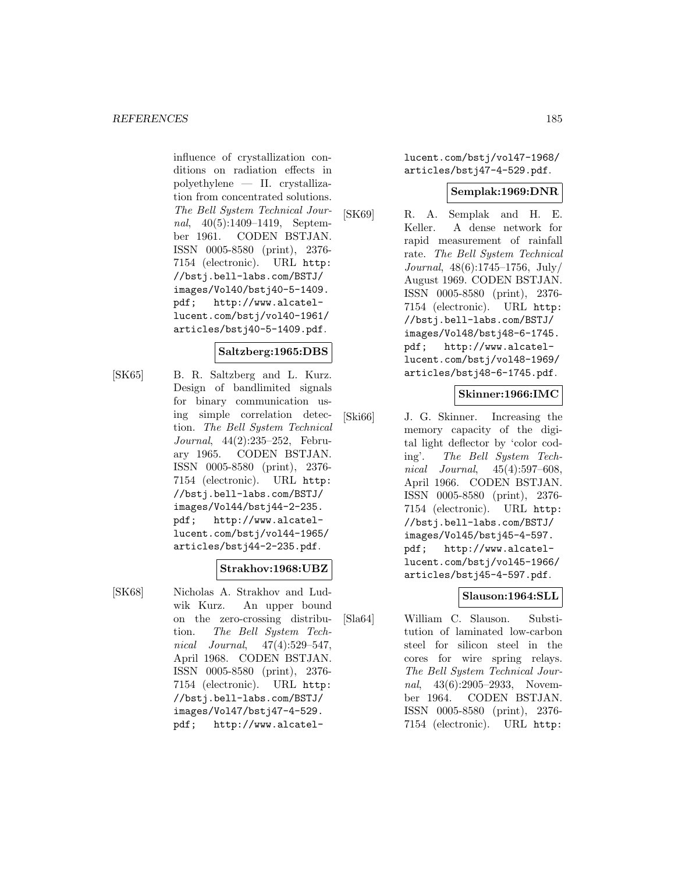influence of crystallization conditions on radiation effects in polyethylene — II. crystallization from concentrated solutions. The Bell System Technical Journal, 40(5):1409–1419, September 1961. CODEN BSTJAN. ISSN 0005-8580 (print), 2376- 7154 (electronic). URL http: //bstj.bell-labs.com/BSTJ/ images/Vol40/bstj40-5-1409. pdf; http://www.alcatellucent.com/bstj/vol40-1961/ articles/bstj40-5-1409.pdf.

#### **Saltzberg:1965:DBS**

[SK65] B. R. Saltzberg and L. Kurz. Design of bandlimited signals for binary communication using simple correlation detection. The Bell System Technical Journal, 44(2):235–252, February 1965. CODEN BSTJAN. ISSN 0005-8580 (print), 2376- 7154 (electronic). URL http: //bstj.bell-labs.com/BSTJ/ images/Vol44/bstj44-2-235. pdf; http://www.alcatellucent.com/bstj/vol44-1965/ articles/bstj44-2-235.pdf.

#### **Strakhov:1968:UBZ**

[SK68] Nicholas A. Strakhov and Ludwik Kurz. An upper bound on the zero-crossing distribution. The Bell System Technical Journal, 47(4):529–547, April 1968. CODEN BSTJAN. ISSN 0005-8580 (print), 2376- 7154 (electronic). URL http: //bstj.bell-labs.com/BSTJ/ images/Vol47/bstj47-4-529. pdf; http://www.alcatellucent.com/bstj/vol47-1968/ articles/bstj47-4-529.pdf.

#### **Semplak:1969:DNR**

[SK69] R. A. Semplak and H. E. Keller. A dense network for rapid measurement of rainfall rate. The Bell System Technical Journal, 48(6):1745–1756, July/ August 1969. CODEN BSTJAN. ISSN 0005-8580 (print), 2376- 7154 (electronic). URL http: //bstj.bell-labs.com/BSTJ/ images/Vol48/bstj48-6-1745. pdf; http://www.alcatellucent.com/bstj/vol48-1969/ articles/bstj48-6-1745.pdf.

### **Skinner:1966:IMC**

[Ski66] J. G. Skinner. Increasing the memory capacity of the digital light deflector by 'color coding'. The Bell System Technical Journal, 45(4):597–608, April 1966. CODEN BSTJAN. ISSN 0005-8580 (print), 2376- 7154 (electronic). URL http: //bstj.bell-labs.com/BSTJ/ images/Vol45/bstj45-4-597. pdf; http://www.alcatellucent.com/bstj/vol45-1966/ articles/bstj45-4-597.pdf.

### **Slauson:1964:SLL**

[Sla64] William C. Slauson. Substitution of laminated low-carbon steel for silicon steel in the cores for wire spring relays. The Bell System Technical Journal, 43(6):2905–2933, November 1964. CODEN BSTJAN. ISSN 0005-8580 (print), 2376- 7154 (electronic). URL http: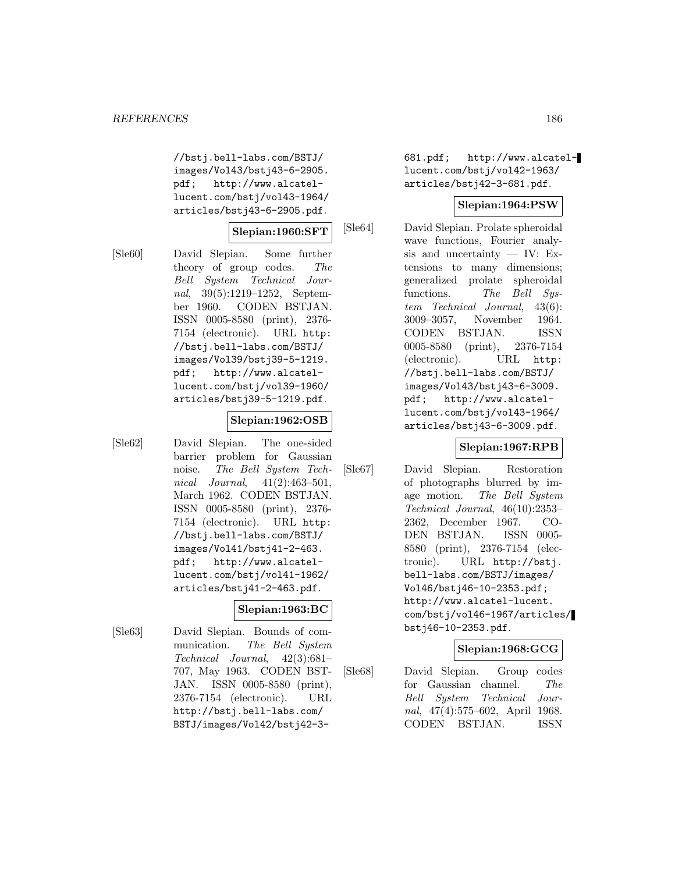//bstj.bell-labs.com/BSTJ/ images/Vol43/bstj43-6-2905. pdf; http://www.alcatellucent.com/bstj/vol43-1964/ articles/bstj43-6-2905.pdf.

### **Slepian:1960:SFT**

[Sle60] David Slepian. Some further theory of group codes. The Bell System Technical Journal, 39(5):1219–1252, September 1960. CODEN BSTJAN. ISSN 0005-8580 (print), 2376- 7154 (electronic). URL http: //bstj.bell-labs.com/BSTJ/ images/Vol39/bstj39-5-1219. pdf; http://www.alcatellucent.com/bstj/vol39-1960/ articles/bstj39-5-1219.pdf.

#### **Slepian:1962:OSB**

[Sle62] David Slepian. The one-sided barrier problem for Gaussian noise. The Bell System Technical Journal, 41(2):463–501, March 1962. CODEN BSTJAN. ISSN 0005-8580 (print), 2376- 7154 (electronic). URL http: //bstj.bell-labs.com/BSTJ/ images/Vol41/bstj41-2-463. pdf; http://www.alcatellucent.com/bstj/vol41-1962/ articles/bstj41-2-463.pdf.

# **Slepian:1963:BC**

[Sle63] David Slepian. Bounds of communication. The Bell System Technical Journal, 42(3):681– 707, May 1963. CODEN BST-JAN. ISSN 0005-8580 (print), 2376-7154 (electronic). URL http://bstj.bell-labs.com/ BSTJ/images/Vol42/bstj42-3-

681.pdf; http://www.alcatellucent.com/bstj/vol42-1963/ articles/bstj42-3-681.pdf.

#### **Slepian:1964:PSW**

[Sle64] David Slepian. Prolate spheroidal wave functions, Fourier analysis and uncertainty — IV: Extensions to many dimensions; generalized prolate spheroidal functions. The Bell System Technical Journal, 43(6): 3009–3057, November 1964. CODEN BSTJAN. ISSN 0005-8580 (print), 2376-7154 (electronic). URL http: //bstj.bell-labs.com/BSTJ/ images/Vol43/bstj43-6-3009. pdf; http://www.alcatellucent.com/bstj/vol43-1964/ articles/bstj43-6-3009.pdf.

### **Slepian:1967:RPB**

[Sle67] David Slepian. Restoration of photographs blurred by image motion. The Bell System Technical Journal, 46(10):2353– 2362, December 1967. CO-DEN BSTJAN. ISSN 0005- 8580 (print), 2376-7154 (electronic). URL http://bstj. bell-labs.com/BSTJ/images/ Vol46/bstj46-10-2353.pdf; http://www.alcatel-lucent. com/bstj/vol46-1967/articles/ bstj46-10-2353.pdf.

### **Slepian:1968:GCG**

[Sle68] David Slepian. Group codes for Gaussian channel. The Bell System Technical Journal, 47(4):575–602, April 1968. CODEN BSTJAN. ISSN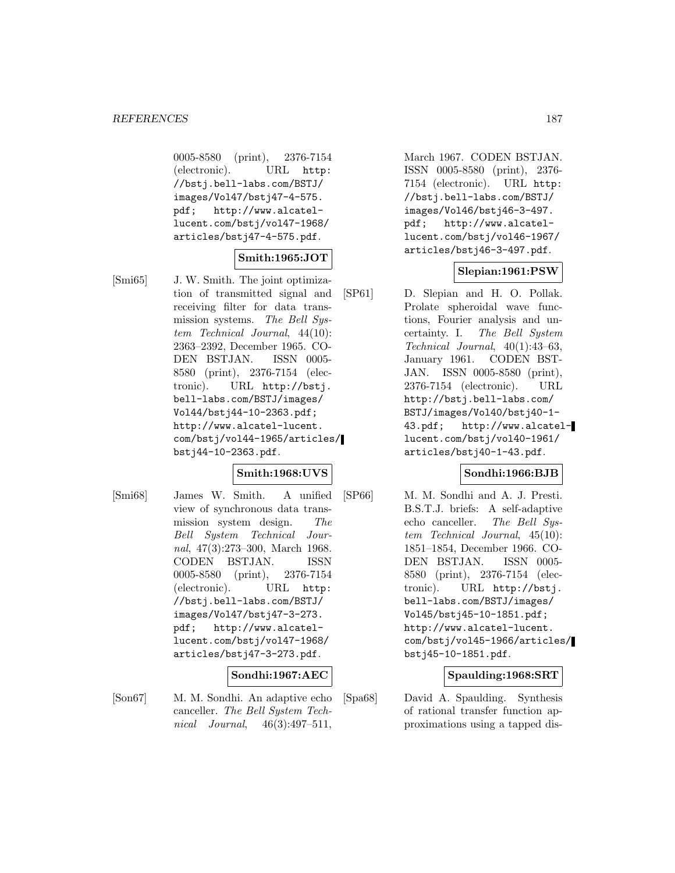0005-8580 (print), 2376-7154 (electronic). URL http: //bstj.bell-labs.com/BSTJ/ images/Vol47/bstj47-4-575. pdf; http://www.alcatellucent.com/bstj/vol47-1968/ articles/bstj47-4-575.pdf.

## **Smith:1965:JOT**

[Smi65] J. W. Smith. The joint optimization of transmitted signal and receiving filter for data transmission systems. The Bell System Technical Journal, 44(10): 2363–2392, December 1965. CO-DEN BSTJAN. ISSN 0005- 8580 (print), 2376-7154 (electronic). URL http://bstj. bell-labs.com/BSTJ/images/ Vol44/bstj44-10-2363.pdf; http://www.alcatel-lucent. com/bstj/vol44-1965/articles/ bstj44-10-2363.pdf.

#### **Smith:1968:UVS**

[Smi68] James W. Smith. A unified view of synchronous data transmission system design. The Bell System Technical Journal, 47(3):273–300, March 1968. CODEN BSTJAN. ISSN 0005-8580 (print), 2376-7154 (electronic). URL http: //bstj.bell-labs.com/BSTJ/ images/Vol47/bstj47-3-273. pdf; http://www.alcatellucent.com/bstj/vol47-1968/ articles/bstj47-3-273.pdf.

### **Sondhi:1967:AEC**

[Son67] M. M. Sondhi. An adaptive echo canceller. The Bell System Technical Journal, 46(3):497–511,

March 1967. CODEN BSTJAN. ISSN 0005-8580 (print), 2376- 7154 (electronic). URL http: //bstj.bell-labs.com/BSTJ/ images/Vol46/bstj46-3-497. pdf; http://www.alcatellucent.com/bstj/vol46-1967/ articles/bstj46-3-497.pdf.

### **Slepian:1961:PSW**

[SP61] D. Slepian and H. O. Pollak. Prolate spheroidal wave functions, Fourier analysis and uncertainty. I. The Bell System Technical Journal, 40(1):43–63, January 1961. CODEN BST-JAN. ISSN 0005-8580 (print), 2376-7154 (electronic). URL http://bstj.bell-labs.com/ BSTJ/images/Vol40/bstj40-1- 43.pdf; http://www.alcatellucent.com/bstj/vol40-1961/ articles/bstj40-1-43.pdf.

#### **Sondhi:1966:BJB**

[SP66] M. M. Sondhi and A. J. Presti. B.S.T.J. briefs: A self-adaptive echo canceller. The Bell System Technical Journal, 45(10): 1851–1854, December 1966. CO-DEN BSTJAN. ISSN 0005- 8580 (print), 2376-7154 (electronic). URL http://bstj. bell-labs.com/BSTJ/images/ Vol45/bstj45-10-1851.pdf; http://www.alcatel-lucent. com/bstj/vol45-1966/articles/ bstj45-10-1851.pdf.

### **Spaulding:1968:SRT**

[Spa68] David A. Spaulding. Synthesis of rational transfer function approximations using a tapped dis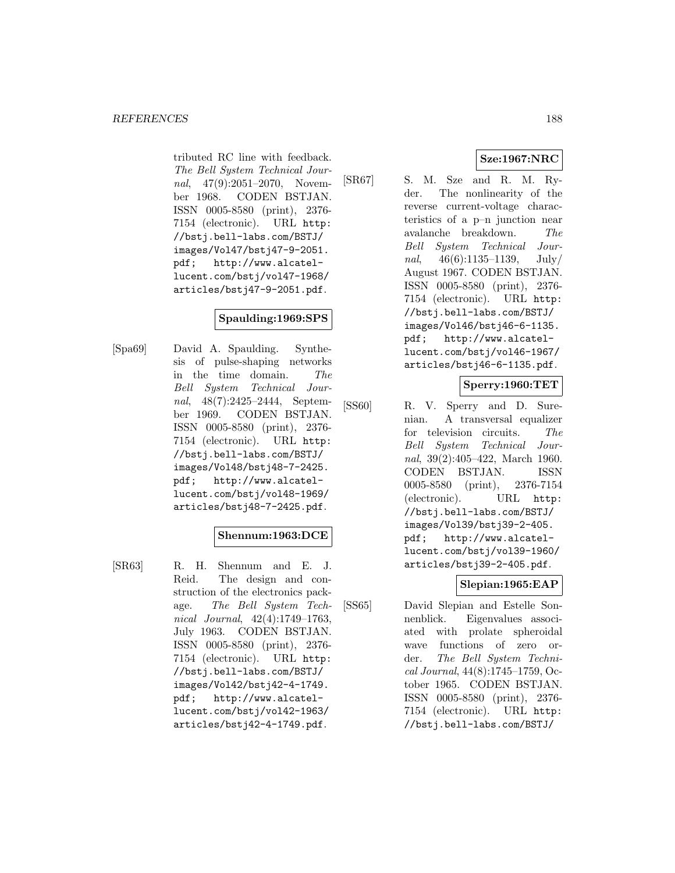tributed RC line with feedback. The Bell System Technical Journal, 47(9):2051-2070, November 1968. CODEN BSTJAN. ISSN 0005-8580 (print), 2376- 7154 (electronic). URL http: //bstj.bell-labs.com/BSTJ/ images/Vol47/bstj47-9-2051.<br>pdf; http://www.alcatelhttp://www.alcatellucent.com/bstj/vol47-1968/ articles/bstj47-9-2051.pdf.

## **Spaulding:1969:SPS**

[Spa69] David A. Spaulding. Synthesis of pulse-shaping networks in the time domain. The Bell System Technical Journal, 48(7):2425–2444, September 1969. CODEN BSTJAN. ISSN 0005-8580 (print), 2376- 7154 (electronic). URL http: //bstj.bell-labs.com/BSTJ/ images/Vol48/bstj48-7-2425. pdf; http://www.alcatellucent.com/bstj/vol48-1969/ articles/bstj48-7-2425.pdf.

#### **Shennum:1963:DCE**

[SR63] R. H. Shennum and E. J. Reid. The design and construction of the electronics package. The Bell System Technical Journal, 42(4):1749–1763, July 1963. CODEN BSTJAN. ISSN 0005-8580 (print), 2376- 7154 (electronic). URL http: //bstj.bell-labs.com/BSTJ/ images/Vol42/bstj42-4-1749. pdf; http://www.alcatellucent.com/bstj/vol42-1963/ articles/bstj42-4-1749.pdf.

# **Sze:1967:NRC**

[SR67] S. M. Sze and R. M. Ryder. The nonlinearity of the reverse current-voltage characteristics of a p–n junction near avalanche breakdown. The Bell System Technical Journal,  $46(6):1135-1139$ , July/ August 1967. CODEN BSTJAN. ISSN 0005-8580 (print), 2376- 7154 (electronic). URL http: //bstj.bell-labs.com/BSTJ/ images/Vol46/bstj46-6-1135. pdf; http://www.alcatellucent.com/bstj/vol46-1967/ articles/bstj46-6-1135.pdf.

## **Sperry:1960:TET**

[SS60] R. V. Sperry and D. Surenian. A transversal equalizer for television circuits. The Bell System Technical Journal, 39(2):405–422, March 1960. CODEN BSTJAN. ISSN 0005-8580 (print), 2376-7154 (electronic). URL http: //bstj.bell-labs.com/BSTJ/ images/Vol39/bstj39-2-405. pdf; http://www.alcatellucent.com/bstj/vol39-1960/ articles/bstj39-2-405.pdf.

# **Slepian:1965:EAP**

[SS65] David Slepian and Estelle Sonnenblick. Eigenvalues associated with prolate spheroidal wave functions of zero order. The Bell System Technical Journal, 44(8):1745–1759, October 1965. CODEN BSTJAN. ISSN 0005-8580 (print), 2376- 7154 (electronic). URL http: //bstj.bell-labs.com/BSTJ/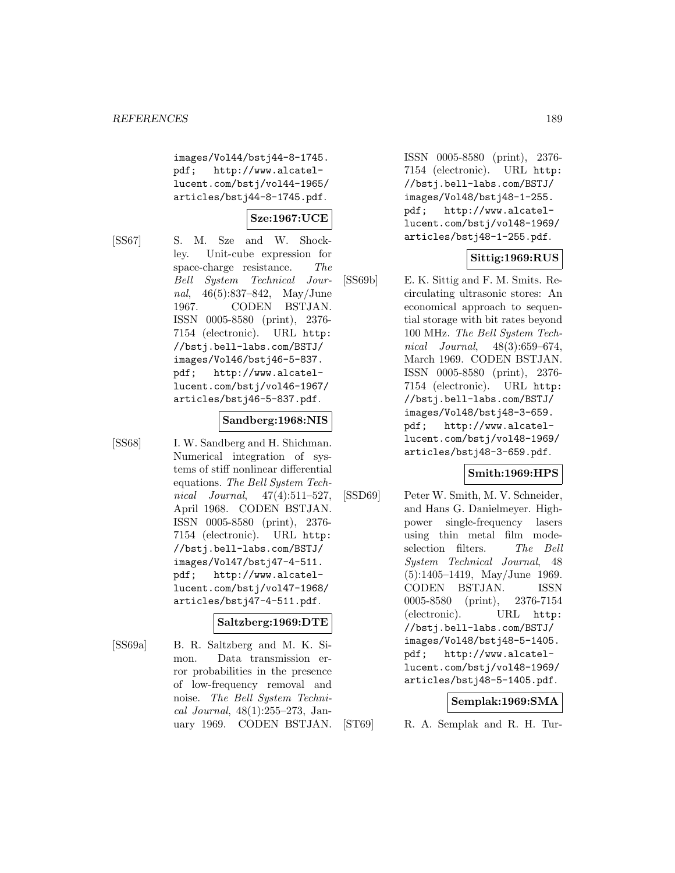images/Vol44/bstj44-8-1745. pdf; http://www.alcatellucent.com/bstj/vol44-1965/ articles/bstj44-8-1745.pdf.

## **Sze:1967:UCE**

[SS67] S. M. Sze and W. Shockley. Unit-cube expression for space-charge resistance. The Bell System Technical Journal, 46(5):837–842, May/June 1967. CODEN BSTJAN. ISSN 0005-8580 (print), 2376- 7154 (electronic). URL http: //bstj.bell-labs.com/BSTJ/ images/Vol46/bstj46-5-837. pdf; http://www.alcatellucent.com/bstj/vol46-1967/ articles/bstj46-5-837.pdf.

#### **Sandberg:1968:NIS**

[SS68] I. W. Sandberg and H. Shichman. Numerical integration of systems of stiff nonlinear differential equations. The Bell System Technical Journal, 47(4):511–527, April 1968. CODEN BSTJAN. ISSN 0005-8580 (print), 2376- 7154 (electronic). URL http: //bstj.bell-labs.com/BSTJ/ images/Vol47/bstj47-4-511. pdf; http://www.alcatellucent.com/bstj/vol47-1968/ articles/bstj47-4-511.pdf.

#### **Saltzberg:1969:DTE**

[SS69a] B. R. Saltzberg and M. K. Simon. Data transmission error probabilities in the presence of low-frequency removal and noise. The Bell System Technical Journal, 48(1):255–273, January 1969. CODEN BSTJAN.

ISSN 0005-8580 (print), 2376- 7154 (electronic). URL http: //bstj.bell-labs.com/BSTJ/ images/Vol48/bstj48-1-255. pdf; http://www.alcatellucent.com/bstj/vol48-1969/ articles/bstj48-1-255.pdf.

### **Sittig:1969:RUS**

[SS69b] E. K. Sittig and F. M. Smits. Recirculating ultrasonic stores: An economical approach to sequential storage with bit rates beyond 100 MHz. The Bell System Technical Journal, 48(3):659–674, March 1969. CODEN BSTJAN. ISSN 0005-8580 (print), 2376- 7154 (electronic). URL http: //bstj.bell-labs.com/BSTJ/ images/Vol48/bstj48-3-659. pdf; http://www.alcatellucent.com/bstj/vol48-1969/ articles/bstj48-3-659.pdf.

### **Smith:1969:HPS**

[SSD69] Peter W. Smith, M. V. Schneider, and Hans G. Danielmeyer. Highpower single-frequency lasers using thin metal film modeselection filters. The Bell System Technical Journal, 48 (5):1405–1419, May/June 1969. CODEN BSTJAN. ISSN 0005-8580 (print), 2376-7154 (electronic). URL http: //bstj.bell-labs.com/BSTJ/ images/Vol48/bstj48-5-1405. pdf; http://www.alcatellucent.com/bstj/vol48-1969/ articles/bstj48-5-1405.pdf.

#### **Semplak:1969:SMA**

[ST69] R. A. Semplak and R. H. Tur-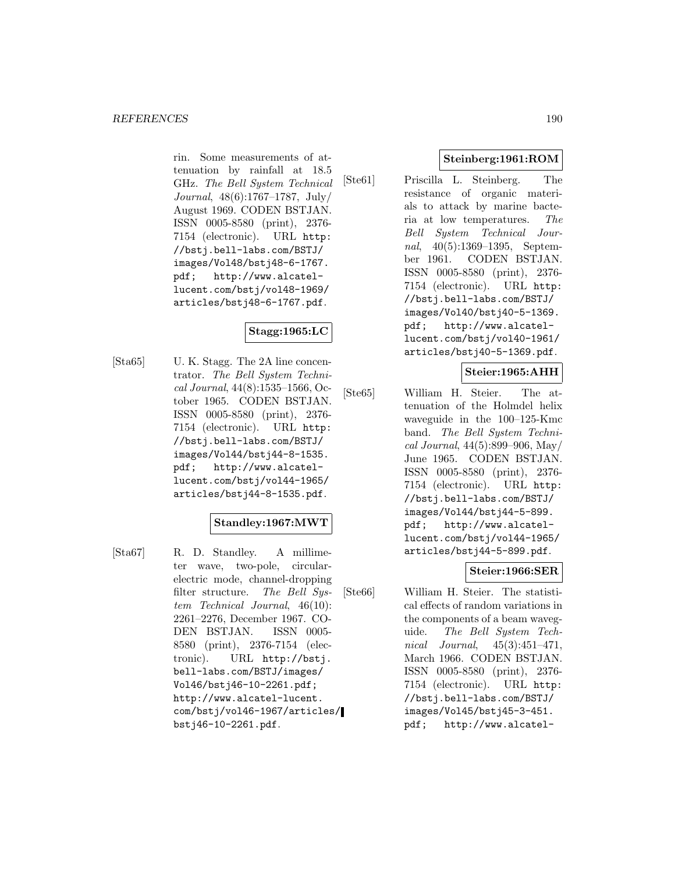rin. Some measurements of attenuation by rainfall at 18.5 GHz. The Bell System Technical Journal, 48(6):1767–1787, July/ August 1969. CODEN BSTJAN. ISSN 0005-8580 (print), 2376- 7154 (electronic). URL http: //bstj.bell-labs.com/BSTJ/ images/Vol48/bstj48-6-1767. pdf; http://www.alcatellucent.com/bstj/vol48-1969/ articles/bstj48-6-1767.pdf.

## **Stagg:1965:LC**

[Sta65] U. K. Stagg. The 2A line concentrator. The Bell System Technical Journal, 44(8):1535–1566, October 1965. CODEN BSTJAN. ISSN 0005-8580 (print), 2376- 7154 (electronic). URL http: //bstj.bell-labs.com/BSTJ/ images/Vol44/bstj44-8-1535. pdf; http://www.alcatellucent.com/bstj/vol44-1965/ articles/bstj44-8-1535.pdf.

#### **Standley:1967:MWT**

[Sta67] R. D. Standley. A millimeter wave, two-pole, circularelectric mode, channel-dropping filter structure. The Bell System Technical Journal, 46(10): 2261–2276, December 1967. CO-DEN BSTJAN. ISSN 0005- 8580 (print), 2376-7154 (electronic). URL http://bstj. bell-labs.com/BSTJ/images/ Vol46/bstj46-10-2261.pdf; http://www.alcatel-lucent. com/bstj/vol46-1967/articles/ bstj46-10-2261.pdf.

## **Steinberg:1961:ROM**

[Ste61] Priscilla L. Steinberg. The resistance of organic materials to attack by marine bacteria at low temperatures. The Bell System Technical Journal, 40(5):1369–1395, September 1961. CODEN BSTJAN. ISSN 0005-8580 (print), 2376- 7154 (electronic). URL http: //bstj.bell-labs.com/BSTJ/ images/Vol40/bstj40-5-1369. pdf; http://www.alcatellucent.com/bstj/vol40-1961/ articles/bstj40-5-1369.pdf.

#### **Steier:1965:AHH**

[Ste65] William H. Steier. The attenuation of the Holmdel helix waveguide in the 100–125-Kmc band. The Bell System Technical Journal, 44(5):899–906, May/ June 1965. CODEN BSTJAN. ISSN 0005-8580 (print), 2376- 7154 (electronic). URL http: //bstj.bell-labs.com/BSTJ/ images/Vol44/bstj44-5-899. pdf; http://www.alcatellucent.com/bstj/vol44-1965/ articles/bstj44-5-899.pdf.

#### **Steier:1966:SER**

[Ste66] William H. Steier. The statistical effects of random variations in the components of a beam waveguide. The Bell System Technical Journal, 45(3):451–471, March 1966. CODEN BSTJAN. ISSN 0005-8580 (print), 2376- 7154 (electronic). URL http: //bstj.bell-labs.com/BSTJ/ images/Vol45/bstj45-3-451. pdf; http://www.alcatel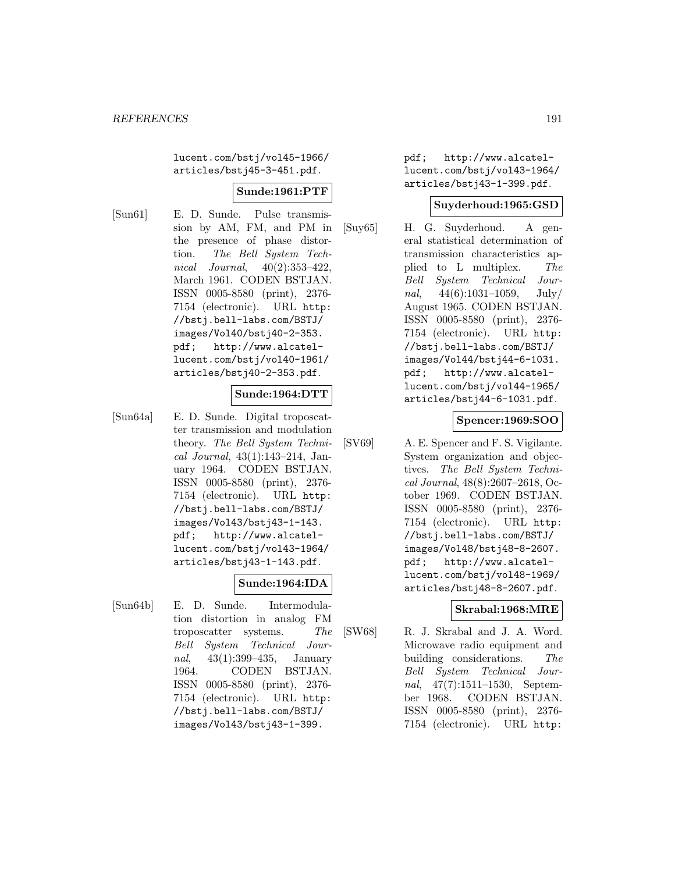lucent.com/bstj/vol45-1966/ articles/bstj45-3-451.pdf.

### **Sunde:1961:PTF**

[Sun61] E. D. Sunde. Pulse transmission by AM, FM, and PM in the presence of phase distortion. The Bell System Technical Journal, 40(2):353–422, March 1961. CODEN BSTJAN. ISSN 0005-8580 (print), 2376- 7154 (electronic). URL http: //bstj.bell-labs.com/BSTJ/ images/Vol40/bstj40-2-353. pdf; http://www.alcatellucent.com/bstj/vol40-1961/ articles/bstj40-2-353.pdf.

### **Sunde:1964:DTT**

[Sun64a] E. D. Sunde. Digital troposcatter transmission and modulation theory. The Bell System Technical Journal, 43(1):143–214, January 1964. CODEN BSTJAN. ISSN 0005-8580 (print), 2376- 7154 (electronic). URL http: //bstj.bell-labs.com/BSTJ/ images/Vol43/bstj43-1-143. pdf; http://www.alcatellucent.com/bstj/vol43-1964/ articles/bstj43-1-143.pdf.

#### **Sunde:1964:IDA**

[Sun64b] E. D. Sunde. Intermodulation distortion in analog FM troposcatter systems. The Bell System Technical Journal, 43(1):399–435, January 1964. CODEN BSTJAN. ISSN 0005-8580 (print), 2376- 7154 (electronic). URL http: //bstj.bell-labs.com/BSTJ/ images/Vol43/bstj43-1-399.

pdf; http://www.alcatellucent.com/bstj/vol43-1964/ articles/bstj43-1-399.pdf.

#### **Suyderhoud:1965:GSD**

[Suy65] H. G. Suyderhoud. A general statistical determination of transmission characteristics applied to L multiplex. The Bell System Technical Journal,  $44(6):1031-1059$ , July/ August 1965. CODEN BSTJAN. ISSN 0005-8580 (print), 2376- 7154 (electronic). URL http: //bstj.bell-labs.com/BSTJ/ images/Vol44/bstj44-6-1031. pdf; http://www.alcatellucent.com/bstj/vol44-1965/ articles/bstj44-6-1031.pdf.

#### **Spencer:1969:SOO**

[SV69] A. E. Spencer and F. S. Vigilante. System organization and objectives. The Bell System Technical Journal, 48(8):2607–2618, October 1969. CODEN BSTJAN. ISSN 0005-8580 (print), 2376- 7154 (electronic). URL http: //bstj.bell-labs.com/BSTJ/ images/Vol48/bstj48-8-2607. pdf; http://www.alcatellucent.com/bstj/vol48-1969/ articles/bstj48-8-2607.pdf.

#### **Skrabal:1968:MRE**

[SW68] R. J. Skrabal and J. A. Word. Microwave radio equipment and building considerations. The Bell System Technical Journal, 47(7):1511–1530, September 1968. CODEN BSTJAN. ISSN 0005-8580 (print), 2376- 7154 (electronic). URL http: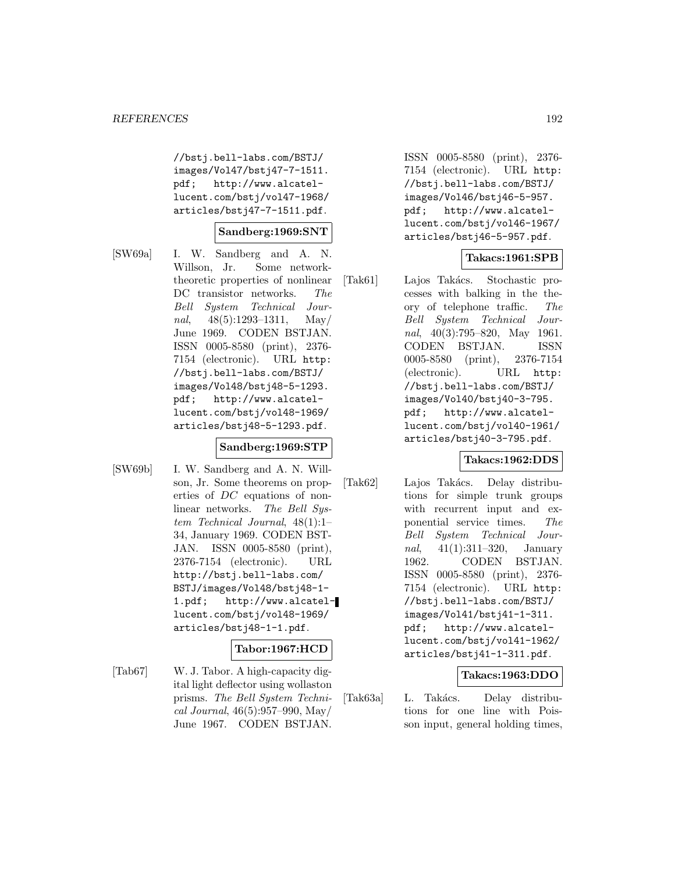//bstj.bell-labs.com/BSTJ/ images/Vol47/bstj47-7-1511. pdf; http://www.alcatellucent.com/bstj/vol47-1968/ articles/bstj47-7-1511.pdf.

#### **Sandberg:1969:SNT**

[SW69a] I. W. Sandberg and A. N. Willson, Jr. Some networktheoretic properties of nonlinear DC transistor networks. The Bell System Technical Journal,  $48(5):1293-1311$ , May June 1969. CODEN BSTJAN. ISSN 0005-8580 (print), 2376- 7154 (electronic). URL http: //bstj.bell-labs.com/BSTJ/ images/Vol48/bstj48-5-1293. pdf; http://www.alcatellucent.com/bstj/vol48-1969/ articles/bstj48-5-1293.pdf.

#### **Sandberg:1969:STP**

[SW69b] I. W. Sandberg and A. N. Willson, Jr. Some theorems on properties of DC equations of nonlinear networks. The Bell System Technical Journal, 48(1):1– 34, January 1969. CODEN BST-JAN. ISSN 0005-8580 (print), 2376-7154 (electronic). URL http://bstj.bell-labs.com/ BSTJ/images/Vol48/bstj48-1- 1.pdf; http://www.alcatellucent.com/bstj/vol48-1969/ articles/bstj48-1-1.pdf.

#### **Tabor:1967:HCD**

[Tab67] W. J. Tabor. A high-capacity digital light deflector using wollaston prisms. The Bell System Technical Journal, 46(5):957–990, May/ June 1967. CODEN BSTJAN.

ISSN 0005-8580 (print), 2376- 7154 (electronic). URL http: //bstj.bell-labs.com/BSTJ/ images/Vol46/bstj46-5-957. pdf; http://www.alcatellucent.com/bstj/vol46-1967/ articles/bstj46-5-957.pdf.

#### **Takacs:1961:SPB**

[Tak61] Lajos Tak´acs. Stochastic processes with balking in the theory of telephone traffic. The Bell System Technical Journal, 40(3):795–820, May 1961. CODEN BSTJAN. ISSN 0005-8580 (print), 2376-7154 (electronic). URL http: //bstj.bell-labs.com/BSTJ/ images/Vol40/bstj40-3-795. pdf; http://www.alcatellucent.com/bstj/vol40-1961/ articles/bstj40-3-795.pdf.

#### **Takacs:1962:DDS**

[Tak62] Lajos Takács. Delay distributions for simple trunk groups with recurrent input and exponential service times. The Bell System Technical Journal, 41(1):311–320, January 1962. CODEN BSTJAN. ISSN 0005-8580 (print), 2376- 7154 (electronic). URL http: //bstj.bell-labs.com/BSTJ/ images/Vol41/bstj41-1-311. pdf; http://www.alcatellucent.com/bstj/vol41-1962/ articles/bstj41-1-311.pdf.

#### **Takacs:1963:DDO**

[Tak63a] L. Takács. Delay distributions for one line with Poisson input, general holding times,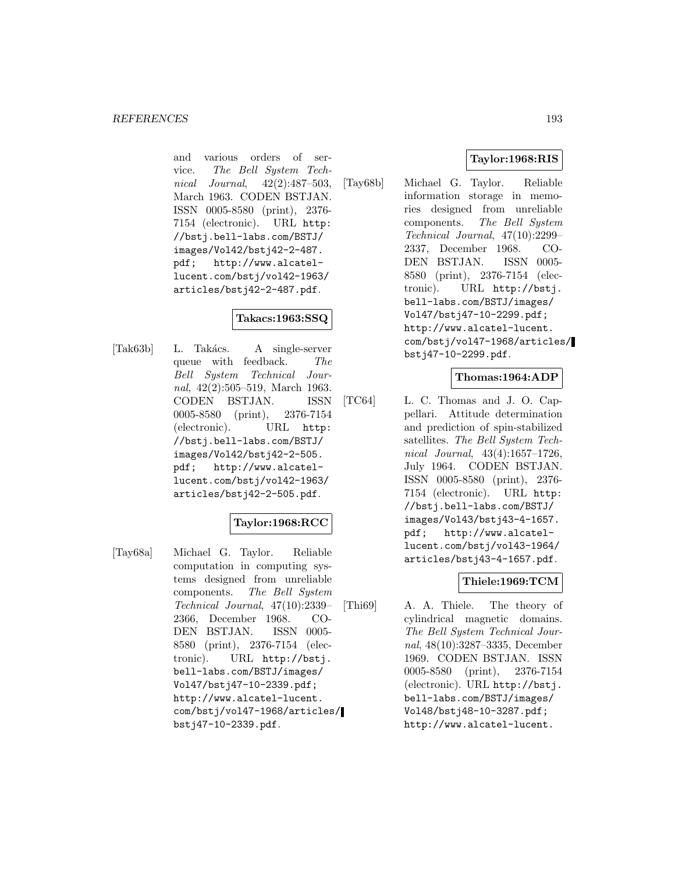and various orders of service. The Bell System Technical Journal, 42(2):487–503, March 1963. CODEN BSTJAN. ISSN 0005-8580 (print), 2376- 7154 (electronic). URL http: //bstj.bell-labs.com/BSTJ/ images/Vol42/bstj42-2-487.<br>pdf; http://www.alcatelhttp://www.alcatellucent.com/bstj/vol42-1963/ articles/bstj42-2-487.pdf.

# **Takacs:1963:SSQ**

[Tak63b] L. Takács. A single-server queue with feedback. The Bell System Technical Journal, 42(2):505–519, March 1963. CODEN BSTJAN. ISSN 0005-8580 (print), 2376-7154 (electronic). URL http: //bstj.bell-labs.com/BSTJ/ images/Vol42/bstj42-2-505. pdf; http://www.alcatellucent.com/bstj/vol42-1963/ articles/bstj42-2-505.pdf.

# **Taylor:1968:RCC**

[Tay68a] Michael G. Taylor. Reliable computation in computing systems designed from unreliable components. The Bell System Technical Journal, 47(10):2339– 2366, December 1968. CO-DEN BSTJAN. ISSN 0005- 8580 (print), 2376-7154 (electronic). URL http://bstj. bell-labs.com/BSTJ/images/ Vol47/bstj47-10-2339.pdf; http://www.alcatel-lucent. com/bstj/vol47-1968/articles/ bstj47-10-2339.pdf.

## **Taylor:1968:RIS**

[Tay68b] Michael G. Taylor. Reliable information storage in memories designed from unreliable components. The Bell System Technical Journal, 47(10):2299– 2337, December 1968. CO-DEN BSTJAN. ISSN 0005- 8580 (print), 2376-7154 (electronic). URL http://bstj. bell-labs.com/BSTJ/images/ Vol47/bstj47-10-2299.pdf; http://www.alcatel-lucent. com/bstj/vol47-1968/articles/ bstj47-10-2299.pdf.

### **Thomas:1964:ADP**

[TC64] L. C. Thomas and J. O. Cappellari. Attitude determination and prediction of spin-stabilized satellites. The Bell System Technical Journal, 43(4):1657–1726, July 1964. CODEN BSTJAN. ISSN 0005-8580 (print), 2376- 7154 (electronic). URL http: //bstj.bell-labs.com/BSTJ/ images/Vol43/bstj43-4-1657. pdf; http://www.alcatellucent.com/bstj/vol43-1964/ articles/bstj43-4-1657.pdf.

# **Thiele:1969:TCM**

[Thi69] A. A. Thiele. The theory of cylindrical magnetic domains. The Bell System Technical Journal, 48(10):3287–3335, December 1969. CODEN BSTJAN. ISSN 0005-8580 (print), 2376-7154 (electronic). URL http://bstj. bell-labs.com/BSTJ/images/ Vol48/bstj48-10-3287.pdf; http://www.alcatel-lucent.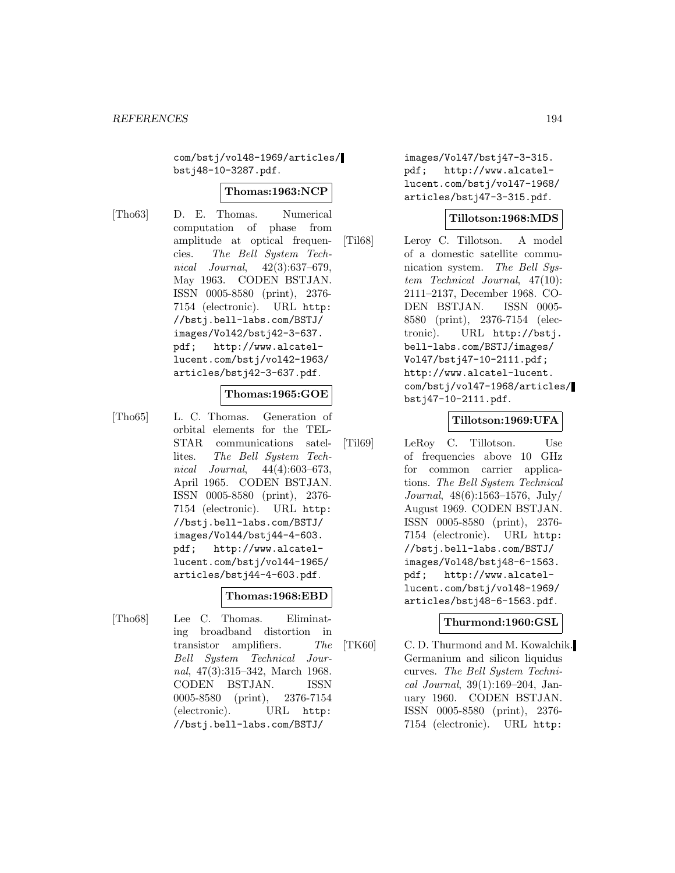com/bstj/vol48-1969/articles/ bstj48-10-3287.pdf.

#### **Thomas:1963:NCP**

[Tho63] D. E. Thomas. Numerical computation of phase from amplitude at optical frequencies. The Bell System Technical Journal, 42(3):637–679, May 1963. CODEN BSTJAN. ISSN 0005-8580 (print), 2376- 7154 (electronic). URL http: //bstj.bell-labs.com/BSTJ/ images/Vol42/bstj42-3-637. pdf; http://www.alcatellucent.com/bstj/vol42-1963/ articles/bstj42-3-637.pdf.

#### **Thomas:1965:GOE**

[Tho65] L. C. Thomas. Generation of orbital elements for the TEL-STAR communications satellites. The Bell System Technical Journal, 44(4):603–673, April 1965. CODEN BSTJAN. ISSN 0005-8580 (print), 2376- 7154 (electronic). URL http: //bstj.bell-labs.com/BSTJ/ images/Vol44/bstj44-4-603. pdf; http://www.alcatellucent.com/bstj/vol44-1965/ articles/bstj44-4-603.pdf.

#### **Thomas:1968:EBD**

[Tho68] Lee C. Thomas. Eliminating broadband distortion in transistor amplifiers. The Bell System Technical Journal, 47(3):315–342, March 1968. CODEN BSTJAN. ISSN 0005-8580 (print), 2376-7154 (electronic). URL http: //bstj.bell-labs.com/BSTJ/

images/Vol47/bstj47-3-315. pdf; http://www.alcatellucent.com/bstj/vol47-1968/ articles/bstj47-3-315.pdf.

### **Tillotson:1968:MDS**

[Til68] Leroy C. Tillotson. A model of a domestic satellite communication system. The Bell System Technical Journal, 47(10): 2111–2137, December 1968. CO-DEN BSTJAN. ISSN 0005- 8580 (print), 2376-7154 (electronic). URL http://bstj. bell-labs.com/BSTJ/images/ Vol47/bstj47-10-2111.pdf; http://www.alcatel-lucent. com/bstj/vol47-1968/articles/ bstj47-10-2111.pdf.

#### **Tillotson:1969:UFA**

[Til69] LeRoy C. Tillotson. Use of frequencies above 10 GHz for common carrier applications. The Bell System Technical Journal, 48(6):1563–1576, July/ August 1969. CODEN BSTJAN. ISSN 0005-8580 (print), 2376- 7154 (electronic). URL http: //bstj.bell-labs.com/BSTJ/ images/Vol48/bstj48-6-1563. pdf; http://www.alcatellucent.com/bstj/vol48-1969/ articles/bstj48-6-1563.pdf.

#### **Thurmond:1960:GSL**

[TK60] C. D. Thurmond and M. Kowalchik. Germanium and silicon liquidus curves. The Bell System Technical Journal, 39(1):169–204, January 1960. CODEN BSTJAN. ISSN 0005-8580 (print), 2376- 7154 (electronic). URL http: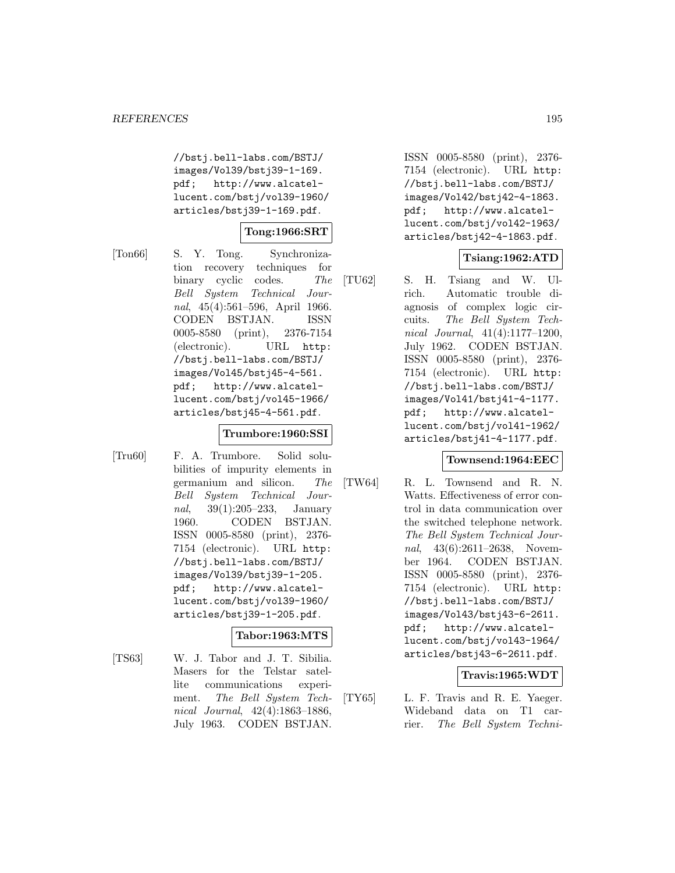//bstj.bell-labs.com/BSTJ/ images/Vol39/bstj39-1-169. pdf; http://www.alcatellucent.com/bstj/vol39-1960/ articles/bstj39-1-169.pdf.

### **Tong:1966:SRT**

[Ton66] S. Y. Tong. Synchronization recovery techniques for binary cyclic codes. The Bell System Technical Journal, 45(4):561–596, April 1966. CODEN BSTJAN. ISSN 0005-8580 (print), 2376-7154 (electronic). URL http: //bstj.bell-labs.com/BSTJ/ images/Vol45/bstj45-4-561. pdf; http://www.alcatellucent.com/bstj/vol45-1966/ articles/bstj45-4-561.pdf.

#### **Trumbore:1960:SSI**

[Tru60] F. A. Trumbore. Solid solubilities of impurity elements in germanium and silicon. The Bell System Technical Journal, 39(1):205–233, January 1960. CODEN BSTJAN. ISSN 0005-8580 (print), 2376- 7154 (electronic). URL http: //bstj.bell-labs.com/BSTJ/ images/Vol39/bstj39-1-205. pdf; http://www.alcatellucent.com/bstj/vol39-1960/ articles/bstj39-1-205.pdf.

### **Tabor:1963:MTS**

[TS63] W. J. Tabor and J. T. Sibilia. Masers for the Telstar satellite communications experiment. The Bell System Technical Journal, 42(4):1863–1886, July 1963. CODEN BSTJAN.

ISSN 0005-8580 (print), 2376- 7154 (electronic). URL http: //bstj.bell-labs.com/BSTJ/ images/Vol42/bstj42-4-1863. pdf; http://www.alcatellucent.com/bstj/vol42-1963/ articles/bstj42-4-1863.pdf.

### **Tsiang:1962:ATD**

[TU62] S. H. Tsiang and W. Ulrich. Automatic trouble diagnosis of complex logic circuits. The Bell System Technical Journal, 41(4):1177–1200, July 1962. CODEN BSTJAN. ISSN 0005-8580 (print), 2376- 7154 (electronic). URL http: //bstj.bell-labs.com/BSTJ/ images/Vol41/bstj41-4-1177. pdf; http://www.alcatellucent.com/bstj/vol41-1962/ articles/bstj41-4-1177.pdf.

#### **Townsend:1964:EEC**

[TW64] R. L. Townsend and R. N. Watts. Effectiveness of error control in data communication over the switched telephone network. The Bell System Technical Journal, 43(6):2611–2638, November 1964. CODEN BSTJAN. ISSN 0005-8580 (print), 2376- 7154 (electronic). URL http: //bstj.bell-labs.com/BSTJ/ images/Vol43/bstj43-6-2611. pdf; http://www.alcatellucent.com/bstj/vol43-1964/ articles/bstj43-6-2611.pdf.

#### **Travis:1965:WDT**

[TY65] L. F. Travis and R. E. Yaeger. Wideband data on T1 carrier. The Bell System Techni-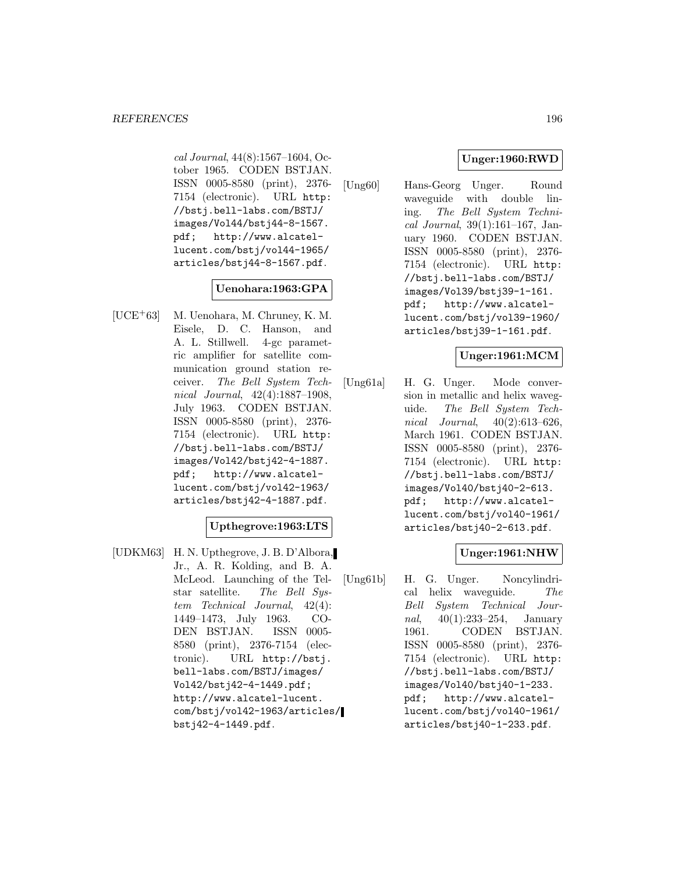cal Journal, 44(8):1567–1604, October 1965. CODEN BSTJAN. ISSN 0005-8580 (print), 2376- 7154 (electronic). URL http: //bstj.bell-labs.com/BSTJ/ images/Vol44/bstj44-8-1567. pdf; http://www.alcatellucent.com/bstj/vol44-1965/ articles/bstj44-8-1567.pdf.

### **Uenohara:1963:GPA**

[UCE<sup>+</sup>63] M. Uenohara, M. Chruney, K. M. Eisele, D. C. Hanson, and A. L. Stillwell. 4-gc parametric amplifier for satellite communication ground station receiver. The Bell System Technical Journal, 42(4):1887–1908, July 1963. CODEN BSTJAN. ISSN 0005-8580 (print), 2376- 7154 (electronic). URL http: //bstj.bell-labs.com/BSTJ/ images/Vol42/bstj42-4-1887. pdf; http://www.alcatellucent.com/bstj/vol42-1963/ articles/bstj42-4-1887.pdf.

### **Upthegrove:1963:LTS**

[UDKM63] H. N. Upthegrove, J. B. D'Albora, Jr., A. R. Kolding, and B. A. McLeod. Launching of the Telstar satellite. The Bell System Technical Journal, 42(4): 1449–1473, July 1963. CO-DEN BSTJAN. ISSN 0005- 8580 (print), 2376-7154 (electronic). URL http://bstj. bell-labs.com/BSTJ/images/ Vol42/bstj42-4-1449.pdf; http://www.alcatel-lucent. com/bstj/vol42-1963/articles/ bstj42-4-1449.pdf.

# **Unger:1960:RWD**

[Ung60] Hans-Georg Unger. Round waveguide with double lining. The Bell System Technical Journal, 39(1):161–167, January 1960. CODEN BSTJAN. ISSN 0005-8580 (print), 2376- 7154 (electronic). URL http: //bstj.bell-labs.com/BSTJ/ images/Vol39/bstj39-1-161. pdf; http://www.alcatellucent.com/bstj/vol39-1960/ articles/bstj39-1-161.pdf.

### **Unger:1961:MCM**

[Ung61a] H. G. Unger. Mode conversion in metallic and helix waveguide. The Bell System Technical Journal, 40(2):613–626, March 1961. CODEN BSTJAN. ISSN 0005-8580 (print), 2376- 7154 (electronic). URL http: //bstj.bell-labs.com/BSTJ/ images/Vol40/bstj40-2-613. pdf; http://www.alcatellucent.com/bstj/vol40-1961/ articles/bstj40-2-613.pdf.

### **Unger:1961:NHW**

[Ung61b] H. G. Unger. Noncylindrical helix waveguide. The Bell System Technical Journal, 40(1):233–254, January 1961. CODEN BSTJAN. ISSN 0005-8580 (print), 2376- 7154 (electronic). URL http: //bstj.bell-labs.com/BSTJ/ images/Vol40/bstj40-1-233. pdf; http://www.alcatellucent.com/bstj/vol40-1961/ articles/bstj40-1-233.pdf.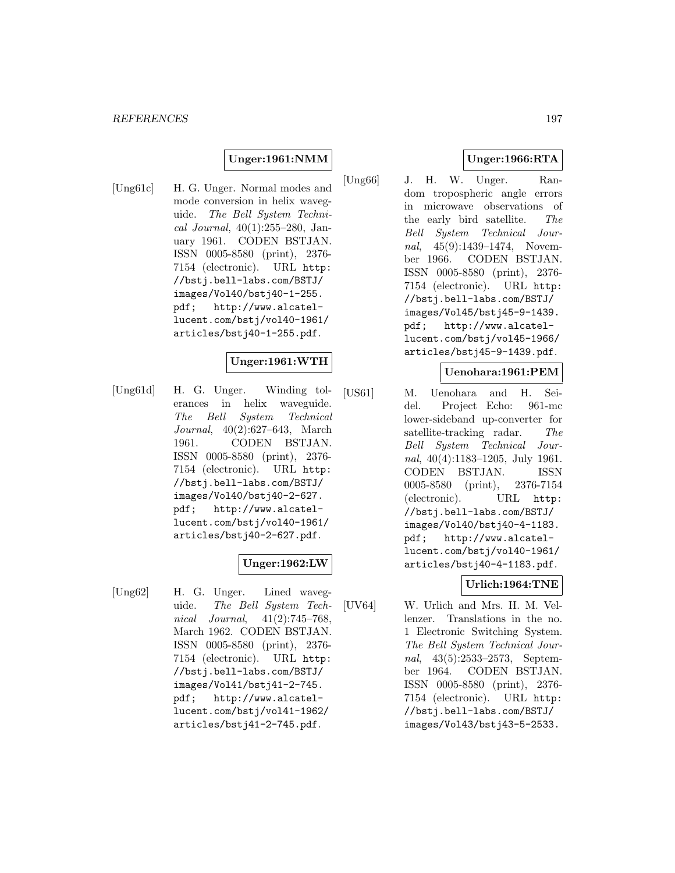#### **Unger:1961:NMM**

[Ung61c] H. G. Unger. Normal modes and mode conversion in helix waveguide. The Bell System Technical Journal,  $40(1):255-280$ , January 1961. CODEN BSTJAN. ISSN 0005-8580 (print), 2376- 7154 (electronic). URL http: //bstj.bell-labs.com/BSTJ/ images/Vol40/bstj40-1-255. pdf; http://www.alcatellucent.com/bstj/vol40-1961/ articles/bstj40-1-255.pdf.

#### **Unger:1961:WTH**

[Ung61d] H. G. Unger. Winding tolerances in helix waveguide. The Bell System Technical Journal, 40(2):627–643, March 1961. CODEN BSTJAN. ISSN 0005-8580 (print), 2376- 7154 (electronic). URL http: //bstj.bell-labs.com/BSTJ/ images/Vol40/bstj40-2-627. pdf; http://www.alcatellucent.com/bstj/vol40-1961/ articles/bstj40-2-627.pdf.

#### **Unger:1962:LW**

[Ung62] H. G. Unger. Lined waveguide. The Bell System Technical Journal, 41(2):745–768, March 1962. CODEN BSTJAN. ISSN 0005-8580 (print), 2376- 7154 (electronic). URL http: //bstj.bell-labs.com/BSTJ/ images/Vol41/bstj41-2-745. pdf; http://www.alcatellucent.com/bstj/vol41-1962/ articles/bstj41-2-745.pdf.

### **Unger:1966:RTA**

[Ung66] J. H. W. Unger. Random tropospheric angle errors in microwave observations of the early bird satellite. The Bell System Technical Journal, 45(9):1439–1474, November 1966. CODEN BSTJAN. ISSN 0005-8580 (print), 2376- 7154 (electronic). URL http: //bstj.bell-labs.com/BSTJ/ images/Vol45/bstj45-9-1439. pdf; http://www.alcatellucent.com/bstj/vol45-1966/ articles/bstj45-9-1439.pdf.

#### **Uenohara:1961:PEM**

[US61] M. Uenohara and H. Seidel. Project Echo: 961-mc lower-sideband up-converter for satellite-tracking radar. The Bell System Technical Journal, 40(4):1183–1205, July 1961. CODEN BSTJAN. ISSN 0005-8580 (print), 2376-7154 (electronic). URL http: //bstj.bell-labs.com/BSTJ/ images/Vol40/bstj40-4-1183. pdf; http://www.alcatellucent.com/bstj/vol40-1961/ articles/bstj40-4-1183.pdf.

#### **Urlich:1964:TNE**

[UV64] W. Urlich and Mrs. H. M. Vellenzer. Translations in the no. 1 Electronic Switching System. The Bell System Technical Journal, 43(5):2533–2573, September 1964. CODEN BSTJAN. ISSN 0005-8580 (print), 2376- 7154 (electronic). URL http: //bstj.bell-labs.com/BSTJ/ images/Vol43/bstj43-5-2533.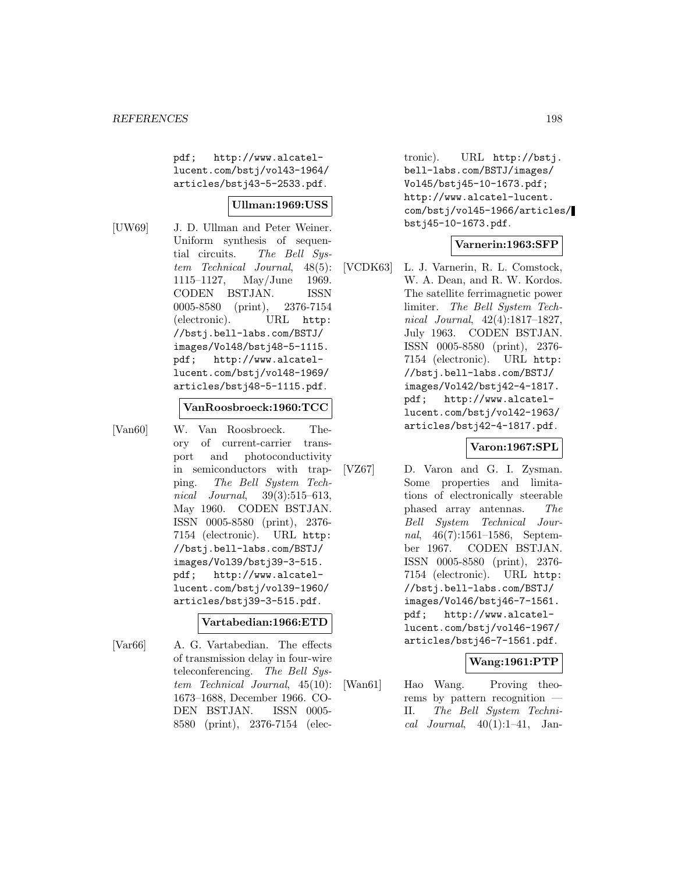pdf; http://www.alcatellucent.com/bstj/vol43-1964/ articles/bstj43-5-2533.pdf.

#### **Ullman:1969:USS**

[UW69] J. D. Ullman and Peter Weiner. Uniform synthesis of sequential circuits. The Bell System Technical Journal, 48(5): 1115–1127, May/June 1969. CODEN BSTJAN. ISSN 0005-8580 (print), 2376-7154 (electronic). URL http: //bstj.bell-labs.com/BSTJ/ images/Vol48/bstj48-5-1115. pdf; http://www.alcatellucent.com/bstj/vol48-1969/ articles/bstj48-5-1115.pdf.

#### **VanRoosbroeck:1960:TCC**

[Van60] W. Van Roosbroeck. Theory of current-carrier transport and photoconductivity in semiconductors with trapping. The Bell System Technical Journal, 39(3):515–613, May 1960. CODEN BSTJAN. ISSN 0005-8580 (print), 2376- 7154 (electronic). URL http: //bstj.bell-labs.com/BSTJ/ images/Vol39/bstj39-3-515. pdf; http://www.alcatellucent.com/bstj/vol39-1960/ articles/bstj39-3-515.pdf.

#### **Vartabedian:1966:ETD**

[Var66] A. G. Vartabedian. The effects of transmission delay in four-wire teleconferencing. The Bell System Technical Journal, 45(10): 1673–1688, December 1966. CO-DEN BSTJAN. ISSN 0005- 8580 (print), 2376-7154 (elec-

tronic). URL http://bstj. bell-labs.com/BSTJ/images/ Vol45/bstj45-10-1673.pdf; http://www.alcatel-lucent. com/bstj/vol45-1966/articles/ bstj45-10-1673.pdf.

#### **Varnerin:1963:SFP**

[VCDK63] L. J. Varnerin, R. L. Comstock, W. A. Dean, and R. W. Kordos. The satellite ferrimagnetic power limiter. The Bell System Technical Journal, 42(4):1817–1827, July 1963. CODEN BSTJAN. ISSN 0005-8580 (print), 2376- 7154 (electronic). URL http: //bstj.bell-labs.com/BSTJ/ images/Vol42/bstj42-4-1817. pdf; http://www.alcatellucent.com/bstj/vol42-1963/ articles/bstj42-4-1817.pdf.

#### **Varon:1967:SPL**

[VZ67] D. Varon and G. I. Zysman. Some properties and limitations of electronically steerable phased array antennas. The Bell System Technical Journal, 46(7):1561–1586, September 1967. CODEN BSTJAN. ISSN 0005-8580 (print), 2376- 7154 (electronic). URL http: //bstj.bell-labs.com/BSTJ/ images/Vol46/bstj46-7-1561. pdf; http://www.alcatellucent.com/bstj/vol46-1967/ articles/bstj46-7-1561.pdf.

#### **Wang:1961:PTP**

[Wan61] Hao Wang. Proving theorems by pattern recognition — II. The Bell System Technical Journal,  $40(1):1-41$ , Jan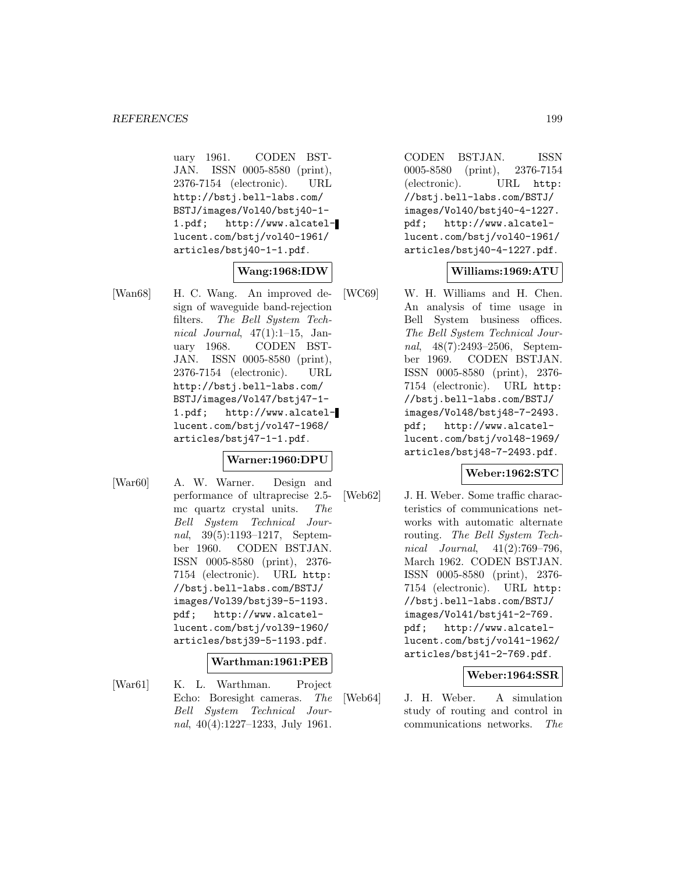uary 1961. CODEN BST-JAN. ISSN 0005-8580 (print), 2376-7154 (electronic). URL http://bstj.bell-labs.com/ BSTJ/images/Vol40/bstj40-1- 1.pdf; http://www.alcatellucent.com/bstj/vol40-1961/ articles/bstj40-1-1.pdf.

## **Wang:1968:IDW**

[Wan68] H. C. Wang. An improved design of waveguide band-rejection filters. The Bell System Technical Journal,  $47(1):1-15$ , January 1968. CODEN BST-JAN. ISSN 0005-8580 (print), 2376-7154 (electronic). URL http://bstj.bell-labs.com/ BSTJ/images/Vol47/bstj47-1- 1.pdf; http://www.alcatellucent.com/bstj/vol47-1968/ articles/bstj47-1-1.pdf.

#### **Warner:1960:DPU**

[War60] A. W. Warner. Design and performance of ultraprecise 2.5 mc quartz crystal units. The Bell System Technical Journal, 39(5):1193–1217, September 1960. CODEN BSTJAN. ISSN 0005-8580 (print), 2376- 7154 (electronic). URL http: //bstj.bell-labs.com/BSTJ/ images/Vol39/bstj39-5-1193. pdf; http://www.alcatellucent.com/bstj/vol39-1960/ articles/bstj39-5-1193.pdf.

#### **Warthman:1961:PEB**

[War61] K. L. Warthman. Project Echo: Boresight cameras. The Bell System Technical Journal, 40(4):1227–1233, July 1961.

CODEN BSTJAN. ISSN 0005-8580 (print), 2376-7154 (electronic). URL http: //bstj.bell-labs.com/BSTJ/ images/Vol40/bstj40-4-1227. pdf; http://www.alcatellucent.com/bstj/vol40-1961/ articles/bstj40-4-1227.pdf.

### **Williams:1969:ATU**

[WC69] W. H. Williams and H. Chen. An analysis of time usage in Bell System business offices. The Bell System Technical Journal, 48(7):2493–2506, September 1969. CODEN BSTJAN. ISSN 0005-8580 (print), 2376- 7154 (electronic). URL http: //bstj.bell-labs.com/BSTJ/ images/Vol48/bstj48-7-2493. pdf; http://www.alcatellucent.com/bstj/vol48-1969/ articles/bstj48-7-2493.pdf.

#### **Weber:1962:STC**

[Web62] J. H. Weber. Some traffic characteristics of communications networks with automatic alternate routing. The Bell System Technical Journal, 41(2):769–796, March 1962. CODEN BSTJAN. ISSN 0005-8580 (print), 2376- 7154 (electronic). URL http: //bstj.bell-labs.com/BSTJ/ images/Vol41/bstj41-2-769. pdf; http://www.alcatellucent.com/bstj/vol41-1962/ articles/bstj41-2-769.pdf.

#### **Weber:1964:SSR**

[Web64] J. H. Weber. A simulation study of routing and control in communications networks. The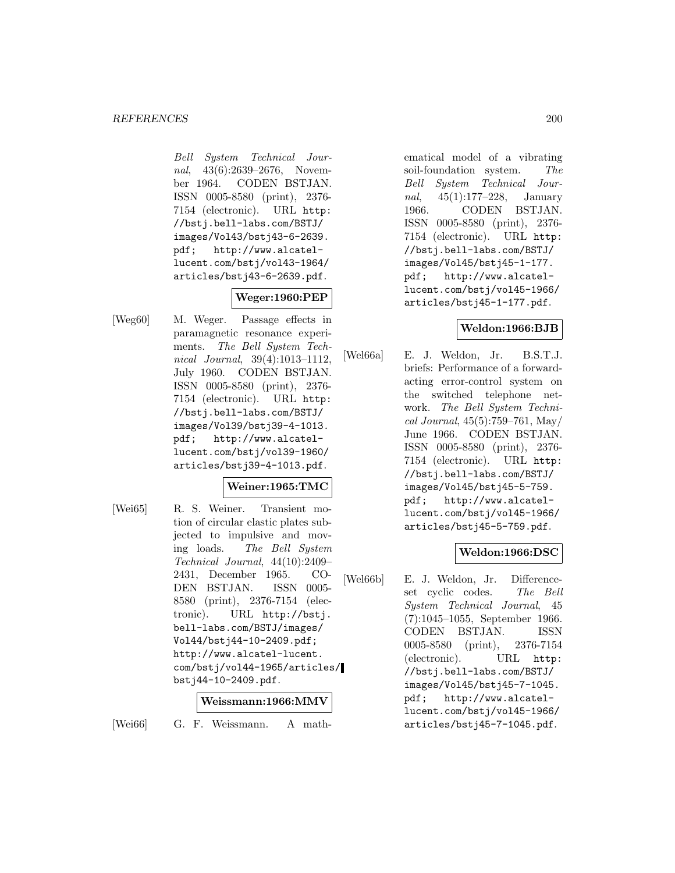Bell System Technical Journal, 43(6):2639–2676, November 1964. CODEN BSTJAN. ISSN 0005-8580 (print), 2376- 7154 (electronic). URL http: //bstj.bell-labs.com/BSTJ/ images/Vol43/bstj43-6-2639. pdf; http://www.alcatellucent.com/bstj/vol43-1964/ articles/bstj43-6-2639.pdf.

# **Weger:1960:PEP**

[Weg60] M. Weger. Passage effects in paramagnetic resonance experiments. The Bell System Technical Journal, 39(4):1013–1112, July 1960. CODEN BSTJAN. ISSN 0005-8580 (print), 2376- 7154 (electronic). URL http: //bstj.bell-labs.com/BSTJ/ images/Vol39/bstj39-4-1013. pdf; http://www.alcatellucent.com/bstj/vol39-1960/ articles/bstj39-4-1013.pdf.

### **Weiner:1965:TMC**

[Wei65] R. S. Weiner. Transient motion of circular elastic plates subjected to impulsive and moving loads. The Bell System Technical Journal, 44(10):2409– 2431, December 1965. CO-DEN BSTJAN. ISSN 0005- 8580 (print), 2376-7154 (electronic). URL http://bstj. bell-labs.com/BSTJ/images/ Vol44/bstj44-10-2409.pdf; http://www.alcatel-lucent. com/bstj/vol44-1965/articles/ bstj44-10-2409.pdf.

#### **Weissmann:1966:MMV**

[Wei66] G. F. Weissmann. A math-

ematical model of a vibrating soil-foundation system. The Bell System Technical Journal, 45(1):177–228, January 1966. CODEN BSTJAN. ISSN 0005-8580 (print), 2376- 7154 (electronic). URL http: //bstj.bell-labs.com/BSTJ/ images/Vol45/bstj45-1-177. pdf; http://www.alcatellucent.com/bstj/vol45-1966/ articles/bstj45-1-177.pdf.

### **Weldon:1966:BJB**

[Wel66a] E. J. Weldon, Jr. B.S.T.J. briefs: Performance of a forwardacting error-control system on the switched telephone network. The Bell System Technical Journal, 45(5):759–761, May/ June 1966. CODEN BSTJAN. ISSN 0005-8580 (print), 2376- 7154 (electronic). URL http: //bstj.bell-labs.com/BSTJ/ images/Vol45/bstj45-5-759. pdf; http://www.alcatellucent.com/bstj/vol45-1966/ articles/bstj45-5-759.pdf.

### **Weldon:1966:DSC**

[Wel66b] E. J. Weldon, Jr. Differenceset cyclic codes. The Bell System Technical Journal, 45 (7):1045–1055, September 1966. CODEN BSTJAN. ISSN 0005-8580 (print), 2376-7154 (electronic). URL http: //bstj.bell-labs.com/BSTJ/ images/Vol45/bstj45-7-1045. pdf; http://www.alcatellucent.com/bstj/vol45-1966/ articles/bstj45-7-1045.pdf.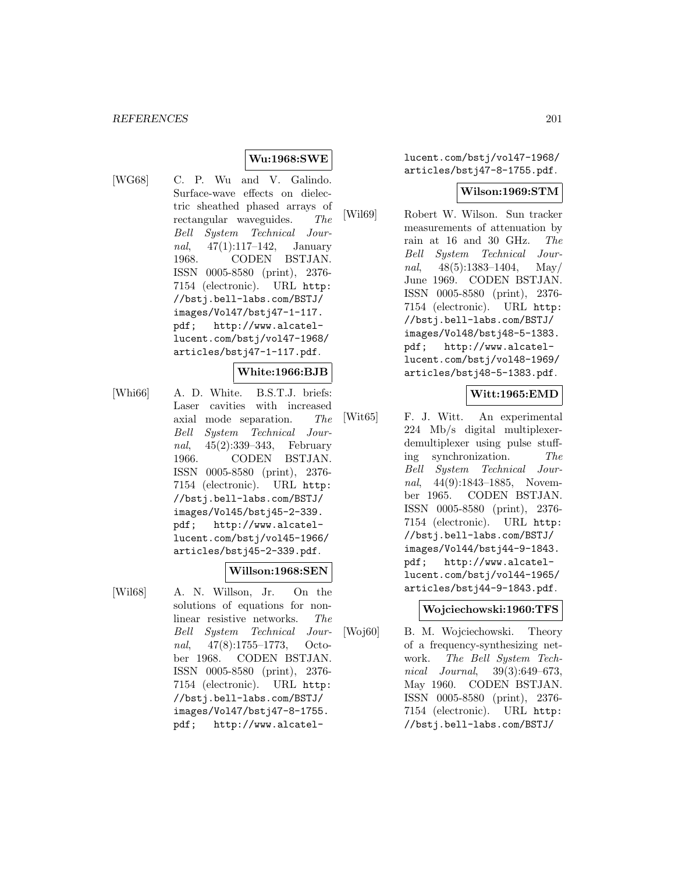## **Wu:1968:SWE**

[WG68] C. P. Wu and V. Galindo. Surface-wave effects on dielectric sheathed phased arrays of rectangular waveguides. The Bell System Technical Journal, 47(1):117–142, January 1968. CODEN BSTJAN. ISSN 0005-8580 (print), 2376- 7154 (electronic). URL http: //bstj.bell-labs.com/BSTJ/ images/Vol47/bstj47-1-117. pdf; http://www.alcatellucent.com/bstj/vol47-1968/ articles/bstj47-1-117.pdf.

#### **White:1966:BJB**

[Whi66] A. D. White. B.S.T.J. briefs: Laser cavities with increased axial mode separation. The Bell System Technical Journal, 45(2):339–343, February 1966. CODEN BSTJAN. ISSN 0005-8580 (print), 2376- 7154 (electronic). URL http: //bstj.bell-labs.com/BSTJ/ images/Vol45/bstj45-2-339. pdf; http://www.alcatellucent.com/bstj/vol45-1966/ articles/bstj45-2-339.pdf.

#### **Willson:1968:SEN**

images/Vol47/bstj47-8-1755. pdf; http://www.alcatel-

[Wil68] A. N. Willson, Jr. On the solutions of equations for nonlinear resistive networks. The Bell System Technical Journal, 47(8):1755–1773, October 1968. CODEN BSTJAN. ISSN 0005-8580 (print), 2376- 7154 (electronic). URL http: //bstj.bell-labs.com/BSTJ/

lucent.com/bstj/vol47-1968/ articles/bstj47-8-1755.pdf.

#### **Wilson:1969:STM**

[Wil69] Robert W. Wilson. Sun tracker measurements of attenuation by rain at 16 and 30 GHz. The Bell System Technical Journal,  $48(5):1383-1404$ , May/ June 1969. CODEN BSTJAN. ISSN 0005-8580 (print), 2376- 7154 (electronic). URL http: //bstj.bell-labs.com/BSTJ/ images/Vol48/bstj48-5-1383. pdf; http://www.alcatellucent.com/bstj/vol48-1969/ articles/bstj48-5-1383.pdf.

#### **Witt:1965:EMD**

[Wit65] F. J. Witt. An experimental 224 Mb/s digital multiplexerdemultiplexer using pulse stuffing synchronization. The Bell System Technical Journal, 44(9):1843–1885, November 1965. CODEN BSTJAN. ISSN 0005-8580 (print), 2376- 7154 (electronic). URL http: //bstj.bell-labs.com/BSTJ/ images/Vol44/bstj44-9-1843. pdf; http://www.alcatellucent.com/bstj/vol44-1965/ articles/bstj44-9-1843.pdf.

#### **Wojciechowski:1960:TFS**

[Woj60] B. M. Wojciechowski. Theory of a frequency-synthesizing network. The Bell System Technical Journal, 39(3):649–673, May 1960. CODEN BSTJAN. ISSN 0005-8580 (print), 2376- 7154 (electronic). URL http: //bstj.bell-labs.com/BSTJ/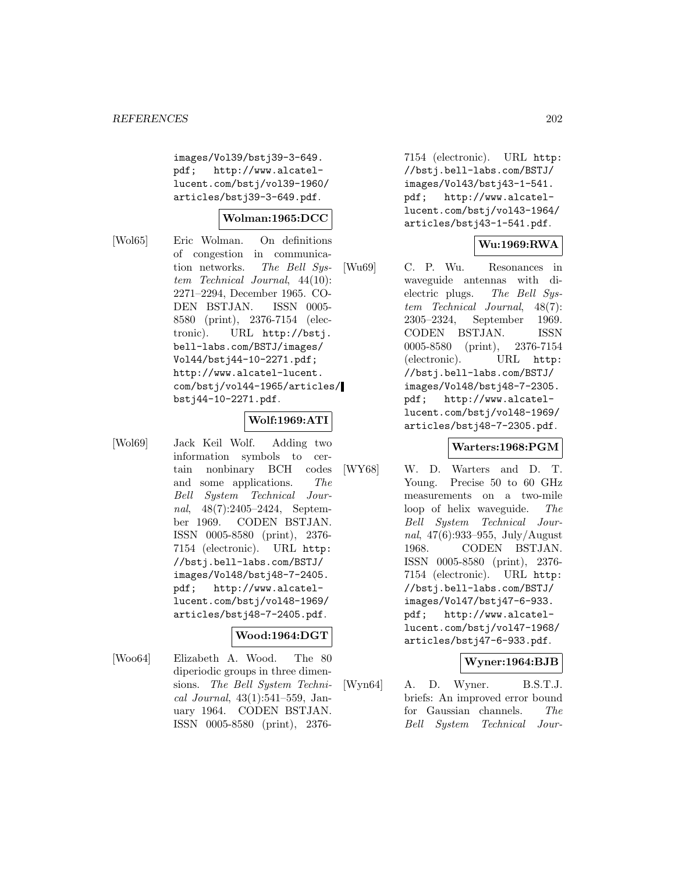images/Vol39/bstj39-3-649. pdf; http://www.alcatellucent.com/bstj/vol39-1960/ articles/bstj39-3-649.pdf.

#### **Wolman:1965:DCC**

[Wol65] Eric Wolman. On definitions of congestion in communication networks. The Bell System Technical Journal, 44(10): 2271–2294, December 1965. CO-DEN BSTJAN. ISSN 0005- 8580 (print), 2376-7154 (electronic). URL http://bstj. bell-labs.com/BSTJ/images/ Vol44/bstj44-10-2271.pdf; http://www.alcatel-lucent. com/bstj/vol44-1965/articles/ bstj44-10-2271.pdf.

#### **Wolf:1969:ATI**

[Wol69] Jack Keil Wolf. Adding two information symbols to certain nonbinary BCH codes and some applications. The Bell System Technical Journal, 48(7):2405–2424, September 1969. CODEN BSTJAN. ISSN 0005-8580 (print), 2376- 7154 (electronic). URL http: //bstj.bell-labs.com/BSTJ/ images/Vol48/bstj48-7-2405. pdf; http://www.alcatellucent.com/bstj/vol48-1969/ articles/bstj48-7-2405.pdf.

### **Wood:1964:DGT**

[Woo64] Elizabeth A. Wood. The 80 diperiodic groups in three dimensions. The Bell System Technical Journal, 43(1):541–559, January 1964. CODEN BSTJAN. ISSN 0005-8580 (print), 2376-

7154 (electronic). URL http: //bstj.bell-labs.com/BSTJ/ images/Vol43/bstj43-1-541. pdf; http://www.alcatellucent.com/bstj/vol43-1964/ articles/bstj43-1-541.pdf.

### **Wu:1969:RWA**

[Wu69] C. P. Wu. Resonances in waveguide antennas with dielectric plugs. The Bell System Technical Journal, 48(7): 2305–2324, September 1969. CODEN BSTJAN. ISSN 0005-8580 (print), 2376-7154 (electronic). URL http: //bstj.bell-labs.com/BSTJ/ images/Vol48/bstj48-7-2305. pdf; http://www.alcatellucent.com/bstj/vol48-1969/ articles/bstj48-7-2305.pdf.

#### **Warters:1968:PGM**

[WY68] W. D. Warters and D. T. Young. Precise 50 to 60 GHz measurements on a two-mile loop of helix waveguide. The Bell System Technical Journal, 47(6):933–955, July/August 1968. CODEN BSTJAN. ISSN 0005-8580 (print), 2376- 7154 (electronic). URL http: //bstj.bell-labs.com/BSTJ/ images/Vol47/bstj47-6-933. pdf; http://www.alcatellucent.com/bstj/vol47-1968/ articles/bstj47-6-933.pdf.

#### **Wyner:1964:BJB**

[Wyn64] A. D. Wyner. B.S.T.J. briefs: An improved error bound for Gaussian channels. The Bell System Technical Jour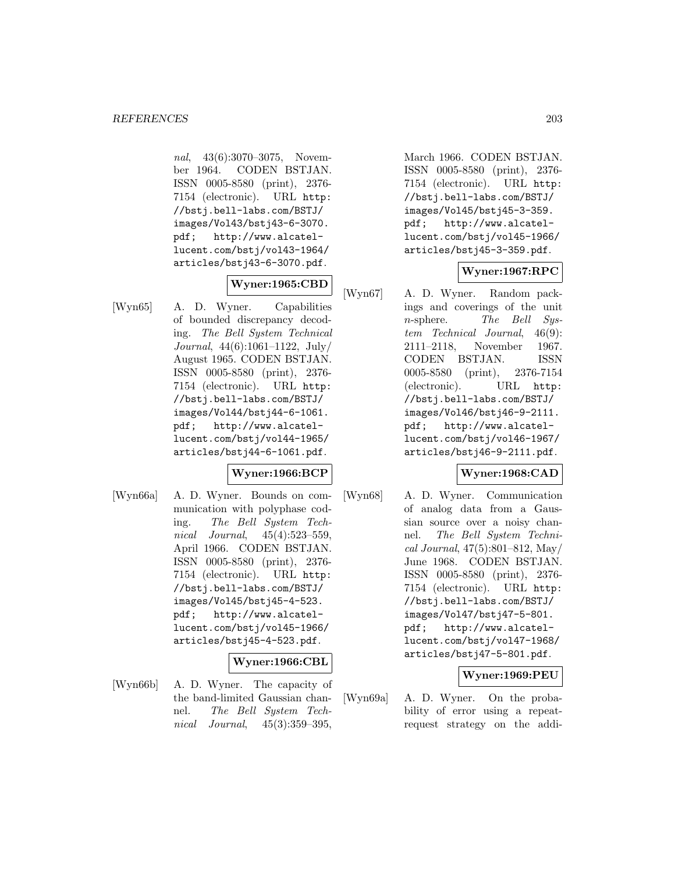nal, 43(6):3070–3075, November 1964. CODEN BSTJAN. ISSN 0005-8580 (print), 2376- 7154 (electronic). URL http: //bstj.bell-labs.com/BSTJ/ images/Vol43/bstj43-6-3070. pdf; http://www.alcatellucent.com/bstj/vol43-1964/ articles/bstj43-6-3070.pdf.

## **Wyner:1965:CBD**

[Wyn65] A. D. Wyner. Capabilities of bounded discrepancy decoding. The Bell System Technical Journal, 44(6):1061–1122, July/ August 1965. CODEN BSTJAN. ISSN 0005-8580 (print), 2376- 7154 (electronic). URL http: //bstj.bell-labs.com/BSTJ/ images/Vol44/bstj44-6-1061. pdf; http://www.alcatellucent.com/bstj/vol44-1965/ articles/bstj44-6-1061.pdf.

#### **Wyner:1966:BCP**

[Wyn66a] A. D. Wyner. Bounds on communication with polyphase coding. The Bell System Technical Journal, 45(4):523–559, April 1966. CODEN BSTJAN. ISSN 0005-8580 (print), 2376- 7154 (electronic). URL http: //bstj.bell-labs.com/BSTJ/ images/Vol45/bstj45-4-523. pdf; http://www.alcatellucent.com/bstj/vol45-1966/ articles/bstj45-4-523.pdf.

#### **Wyner:1966:CBL**

[Wyn66b] A. D. Wyner. The capacity of the band-limited Gaussian channel. The Bell System Technical Journal, 45(3):359–395,

March 1966. CODEN BSTJAN. ISSN 0005-8580 (print), 2376- 7154 (electronic). URL http: //bstj.bell-labs.com/BSTJ/ images/Vol45/bstj45-3-359. pdf; http://www.alcatellucent.com/bstj/vol45-1966/ articles/bstj45-3-359.pdf.

### **Wyner:1967:RPC**

[Wyn67] A. D. Wyner. Random packings and coverings of the unit n-sphere. The Bell System Technical Journal, 46(9): 2111–2118, November 1967. CODEN BSTJAN. ISSN 0005-8580 (print), 2376-7154 (electronic). URL http: //bstj.bell-labs.com/BSTJ/ images/Vol46/bstj46-9-2111. pdf; http://www.alcatellucent.com/bstj/vol46-1967/ articles/bstj46-9-2111.pdf.

### **Wyner:1968:CAD**

[Wyn68] A. D. Wyner. Communication of analog data from a Gaussian source over a noisy channel. The Bell System Technical Journal, 47(5):801–812, May/ June 1968. CODEN BSTJAN. ISSN 0005-8580 (print), 2376- 7154 (electronic). URL http: //bstj.bell-labs.com/BSTJ/ images/Vol47/bstj47-5-801. pdf; http://www.alcatellucent.com/bstj/vol47-1968/ articles/bstj47-5-801.pdf.

### **Wyner:1969:PEU**

[Wyn69a] A. D. Wyner. On the probability of error using a repeatrequest strategy on the addi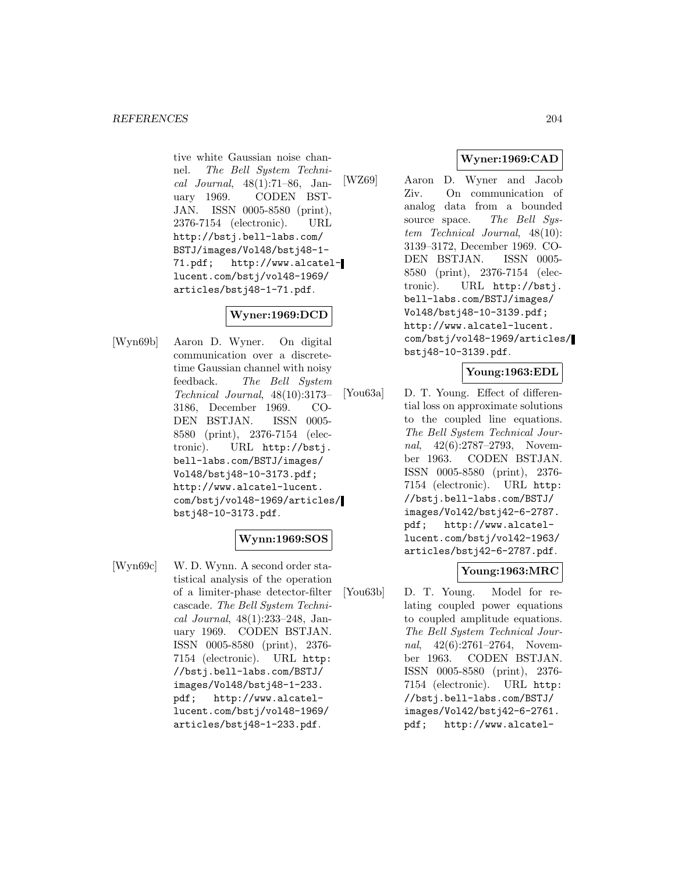tive white Gaussian noise channel. The Bell System Technical Journal, 48(1):71–86, January 1969. CODEN BST-JAN. ISSN 0005-8580 (print), 2376-7154 (electronic). URL http://bstj.bell-labs.com/ BSTJ/images/Vol48/bstj48-1- 71.pdf; http://www.alcatellucent.com/bstj/vol48-1969/ articles/bstj48-1-71.pdf.

## **Wyner:1969:DCD**

[Wyn69b] Aaron D. Wyner. On digital communication over a discretetime Gaussian channel with noisy feedback. The Bell System Technical Journal, 48(10):3173– 3186, December 1969. CO-DEN BSTJAN. ISSN 0005- 8580 (print), 2376-7154 (electronic). URL http://bstj. bell-labs.com/BSTJ/images/ Vol48/bstj48-10-3173.pdf; http://www.alcatel-lucent. com/bstj/vol48-1969/articles/ bstj48-10-3173.pdf.

### **Wynn:1969:SOS**

[Wyn69c] W. D. Wynn. A second order statistical analysis of the operation of a limiter-phase detector-filter cascade. The Bell System Technical Journal, 48(1):233–248, January 1969. CODEN BSTJAN. ISSN 0005-8580 (print), 2376- 7154 (electronic). URL http: //bstj.bell-labs.com/BSTJ/ images/Vol48/bstj48-1-233. pdf; http://www.alcatellucent.com/bstj/vol48-1969/ articles/bstj48-1-233.pdf.

# **Wyner:1969:CAD**

[WZ69] Aaron D. Wyner and Jacob Ziv. On communication of analog data from a bounded source space. The Bell System Technical Journal, 48(10): 3139–3172, December 1969. CO-DEN BSTJAN. ISSN 0005- 8580 (print), 2376-7154 (electronic). URL http://bstj. bell-labs.com/BSTJ/images/ Vol48/bstj48-10-3139.pdf; http://www.alcatel-lucent. com/bstj/vol48-1969/articles/ bstj48-10-3139.pdf.

#### **Young:1963:EDL**

[You63a] D. T. Young. Effect of differential loss on approximate solutions to the coupled line equations. The Bell System Technical Journal, 42(6):2787–2793, November 1963. CODEN BSTJAN. ISSN 0005-8580 (print), 2376- 7154 (electronic). URL http: //bstj.bell-labs.com/BSTJ/ images/Vol42/bstj42-6-2787. pdf; http://www.alcatellucent.com/bstj/vol42-1963/ articles/bstj42-6-2787.pdf.

### **Young:1963:MRC**

[You63b] D. T. Young. Model for relating coupled power equations to coupled amplitude equations. The Bell System Technical Journal, 42(6):2761–2764, November 1963. CODEN BSTJAN. ISSN 0005-8580 (print), 2376- 7154 (electronic). URL http: //bstj.bell-labs.com/BSTJ/ images/Vol42/bstj42-6-2761. pdf; http://www.alcatel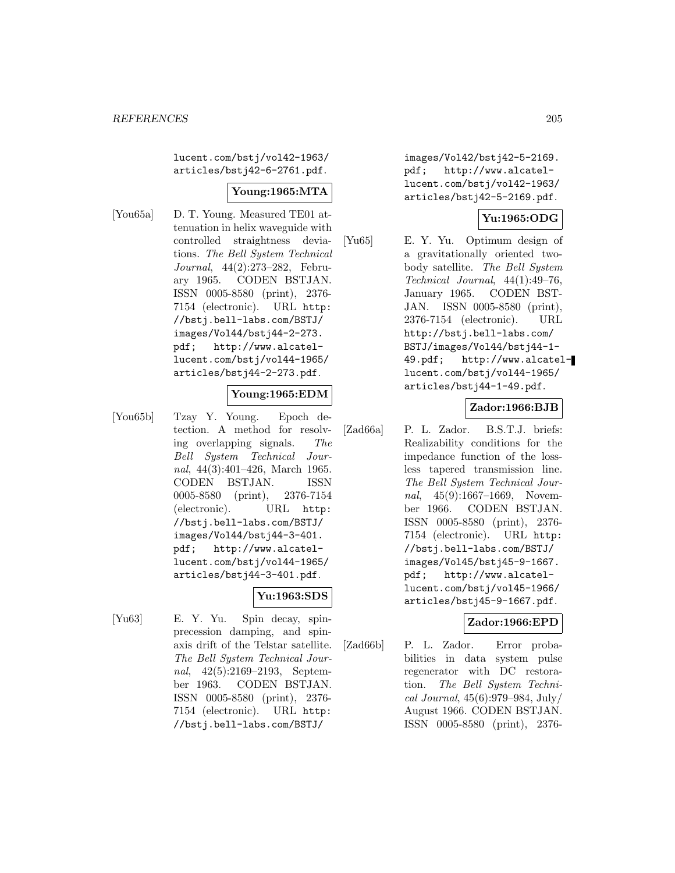lucent.com/bstj/vol42-1963/ articles/bstj42-6-2761.pdf.

### **Young:1965:MTA**

[You65a] D. T. Young. Measured TE01 attenuation in helix waveguide with controlled straightness deviations. The Bell System Technical Journal, 44(2):273–282, February 1965. CODEN BSTJAN. ISSN 0005-8580 (print), 2376- 7154 (electronic). URL http: //bstj.bell-labs.com/BSTJ/ images/Vol44/bstj44-2-273. pdf; http://www.alcatellucent.com/bstj/vol44-1965/ articles/bstj44-2-273.pdf.

### **Young:1965:EDM**

[You65b] Tzay Y. Young. Epoch detection. A method for resolving overlapping signals. The Bell System Technical Journal, 44(3):401–426, March 1965. CODEN BSTJAN. ISSN 0005-8580 (print), 2376-7154 (electronic). URL http: //bstj.bell-labs.com/BSTJ/ images/Vol44/bstj44-3-401. pdf; http://www.alcatellucent.com/bstj/vol44-1965/ articles/bstj44-3-401.pdf.

### **Yu:1963:SDS**

[Yu63] E. Y. Yu. Spin decay, spinprecession damping, and spinaxis drift of the Telstar satellite. The Bell System Technical Journal, 42(5):2169–2193, September 1963. CODEN BSTJAN. ISSN 0005-8580 (print), 2376- 7154 (electronic). URL http: //bstj.bell-labs.com/BSTJ/

images/Vol42/bstj42-5-2169. pdf; http://www.alcatellucent.com/bstj/vol42-1963/ articles/bstj42-5-2169.pdf.

# **Yu:1965:ODG**

[Yu65] E. Y. Yu. Optimum design of a gravitationally oriented twobody satellite. The Bell System Technical Journal, 44(1):49–76, January 1965. CODEN BST-JAN. ISSN 0005-8580 (print), 2376-7154 (electronic). URL http://bstj.bell-labs.com/ BSTJ/images/Vol44/bstj44-1- 49.pdf; http://www.alcatellucent.com/bstj/vol44-1965/ articles/bstj44-1-49.pdf.

#### **Zador:1966:BJB**

[Zad66a] P. L. Zador. B.S.T.J. briefs: Realizability conditions for the impedance function of the lossless tapered transmission line. The Bell System Technical Journal, 45(9):1667–1669, November 1966. CODEN BSTJAN. ISSN 0005-8580 (print), 2376- 7154 (electronic). URL http: //bstj.bell-labs.com/BSTJ/ images/Vol45/bstj45-9-1667. pdf; http://www.alcatellucent.com/bstj/vol45-1966/ articles/bstj45-9-1667.pdf.

#### **Zador:1966:EPD**

[Zad66b] P. L. Zador. Error probabilities in data system pulse regenerator with DC restoration. The Bell System Technical Journal, 45(6):979–984, July/ August 1966. CODEN BSTJAN. ISSN 0005-8580 (print), 2376